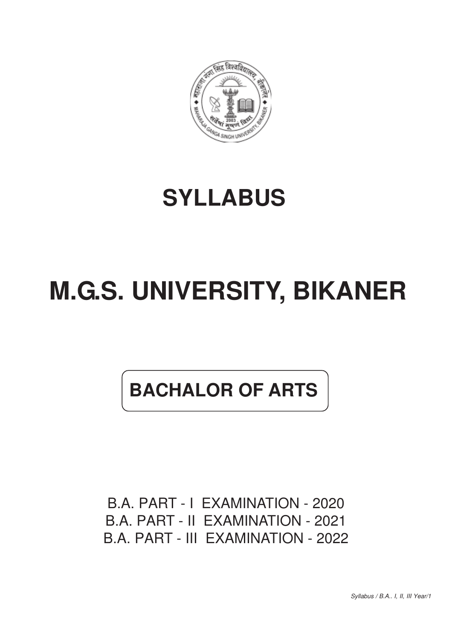

# **SYLLABUS**

# **M.G.S. UNIVERSITY, BIKANER**

# **BACHALOR OF ARTS**

B.A. PART - I EXAMINATION - 2020 B.A. PART - II EXAMINATION - 2021 B.A. PART - III EXAMINATION - 2022

*Syllabus / B.A.. I, II, III Year/1*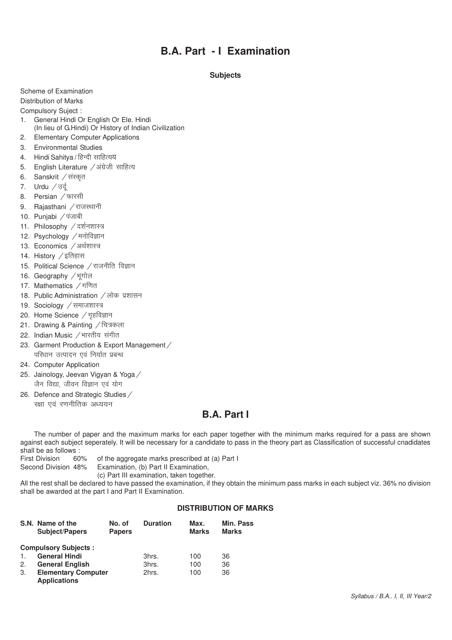# **B.A. Part - I Examination**

# **Subjects**

Scheme of Examination

Distribution of Marks

Compulsory Suject :

- 1. General Hindi Or English Or Ele. Hindi (In lieu of G.Hindi) Or History of Indian Civilization
- 2. Elementary Computer Applications
- 3. Environmental Studies
- 4. Hindi Sahitya / हिन्दी साहित्यय
- 5. English Literature / अंग्रेजी साहित्य
- 6. Sanskrit / संस्कृत
- 7. Urdu  $\sqrt{3}z$
- 8. Persian / फारसी
- 9. Rajasthani / राजस्थानी
- 10. Punjabi / पंजाबी
- 11. Philosophy / दर्शनशास्त्र
- 12. Psychology / मनोविज्ञान
- 13. Economics / अर्थशास्त्र
- 14. History  $\angle$ इतिहास
- 15. Political Science / राजनीति विज्ञान
- 16. Geography / भूगोल
- 17. Mathematics / गणित
- 18. Public Administration / लोक प्रशासन
- 19. Sociology / समाजशास्त्र
- 20. Home Science  $\sqrt{q}$ हविज्ञान
- 21. Drawing & Painting / चित्रकला
- 22. Indian Music / भारतीय संगीत
- 23. Garment Production & Export Management / परिधान उत्पादन एवं निर्यात प्रबन्ध
- 24. Computer Application
- 25. Jainology, Jeevan Vigyan & Yoga / जैन विद्या, जीवन विज्ञान एवं योग
- 26. Defence and Strategic Studies /
- रक्षा एवं रणनीतिक अध्ययन

# **B.A. Part I**

The number of paper and the maximum marks for each paper together with the minimum marks required for a pass are shown against each subject seperately. It will be necessary for a candidate to pass in the theory part as Classification of successful cnadidates shall be as follows :

First Division 60% of the aggregate marks prescribed at (a) Part I

Second Division 48% Examination, (b) Part II Examination,

(c) Part III examination, taken together.

All the rest shall be declared to have passed the examination, if they obtain the minimum pass marks in each subject viz. 36% no division shall be awarded at the part I and Part II Examination.

# **DISTRIBUTION OF MARKS**

|                | S.N. Name of the<br><b>Subject/Papers</b>         | No. of<br><b>Papers</b> | <b>Duration</b> | Max.<br><b>Marks</b> | <b>Min. Pass</b><br><b>Marks</b> |
|----------------|---------------------------------------------------|-------------------------|-----------------|----------------------|----------------------------------|
|                | <b>Compulsory Subjects:</b>                       |                         |                 |                      |                                  |
| $\mathbf{1}$ . | <b>General Hindi</b>                              |                         | 3hrs.           | 100                  | 36                               |
| 2.             | <b>General English</b>                            |                         | 3hrs.           | 100                  | 36                               |
| 3.             | <b>Elementary Computer</b><br><b>Applications</b> |                         | 2hrs.           | 100                  | 36                               |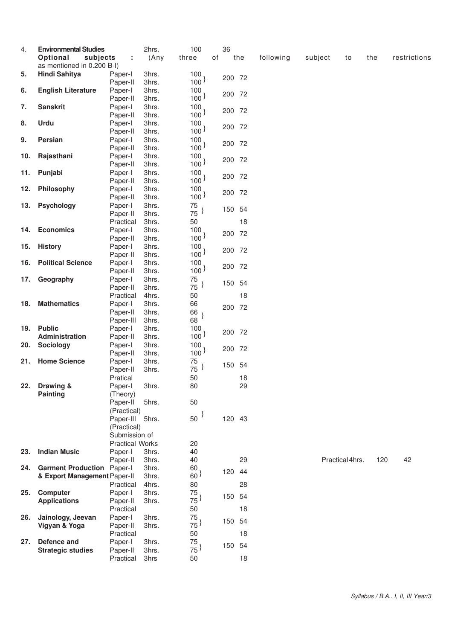| 4.  | <b>Environmental Studies</b><br>Optional<br>subjects | t                      | 2hrs.<br>(Any | 100<br>three             | οf | 36     | the | following | subject | to              | the | restrictions |
|-----|------------------------------------------------------|------------------------|---------------|--------------------------|----|--------|-----|-----------|---------|-----------------|-----|--------------|
|     | as mentioned in 0.200 B-I)                           |                        |               |                          |    |        |     |           |         |                 |     |              |
| 5.  | Hindi Sahitya                                        | Paper-I                | 3hrs.         | 100                      |    | 200 72 |     |           |         |                 |     |              |
|     |                                                      | Paper-II               | 3hrs.         | 100 <sup>1</sup>         |    |        |     |           |         |                 |     |              |
| 6.  | <b>English Literature</b>                            | Paper-I                | 3hrs.         | 100                      |    | 200 72 |     |           |         |                 |     |              |
|     |                                                      | Paper-II               | 3hrs.         | 100 <sup>3</sup>         |    |        |     |           |         |                 |     |              |
| 7.  | <b>Sanskrit</b>                                      | Paper-I                | 3hrs.         | 100                      |    |        |     |           |         |                 |     |              |
|     |                                                      | Paper-II               | 3hrs.         | 100 <sup>1</sup>         |    | 200 72 |     |           |         |                 |     |              |
| 8.  | Urdu                                                 | Paper-I                | 3hrs.         | 100                      |    |        |     |           |         |                 |     |              |
|     |                                                      | Paper-II               | 3hrs.         | 100 <sup>3</sup>         |    | 200 72 |     |           |         |                 |     |              |
| 9.  | Persian                                              | Paper-I                | 3hrs.         | 100                      |    |        |     |           |         |                 |     |              |
|     |                                                      | Paper-II               | 3hrs.         | 100 <sup>3</sup>         |    | 200 72 |     |           |         |                 |     |              |
| 10. | Rajasthani                                           | Paper-I                | 3hrs.         | 100                      |    |        |     |           |         |                 |     |              |
|     |                                                      |                        |               | 100 <sup>3</sup>         |    | 200 72 |     |           |         |                 |     |              |
|     |                                                      | Paper-II               | 3hrs.         |                          |    |        |     |           |         |                 |     |              |
| 11. | Punjabi                                              | Paper-I                | 3hrs.         | 100                      |    | 200 72 |     |           |         |                 |     |              |
|     |                                                      | Paper-II               | 3hrs.         | 100 <sup>3</sup>         |    |        |     |           |         |                 |     |              |
| 12. | Philosophy                                           | Paper-I                | 3hrs.         | 100                      |    | 200 72 |     |           |         |                 |     |              |
|     |                                                      | Paper-II               | 3hrs.         | 100 <sup>1</sup>         |    |        |     |           |         |                 |     |              |
| 13. | Psychology                                           | Paper-I                | 3hrs.         | 75                       |    | 150 54 |     |           |         |                 |     |              |
|     |                                                      | Paper-II               | 3hrs.         | $75^{\frac{1}{2}}$       |    |        |     |           |         |                 |     |              |
|     |                                                      | Practical              | 3hrs.         | 50                       |    |        | 18  |           |         |                 |     |              |
| 14. | <b>Economics</b>                                     | Paper-I                | 3hrs.         | 100                      |    |        |     |           |         |                 |     |              |
|     |                                                      | Paper-II               | 3hrs.         | 100 <sup>3</sup>         |    | 200 72 |     |           |         |                 |     |              |
| 15. | <b>History</b>                                       | Paper-I                | 3hrs.         | 100                      |    |        |     |           |         |                 |     |              |
|     |                                                      | Paper-II               | 3hrs.         | 100 <sup>3</sup>         |    | 200 72 |     |           |         |                 |     |              |
| 16. | <b>Political Science</b>                             | Paper-I                | 3hrs.         | 100                      |    |        |     |           |         |                 |     |              |
|     |                                                      | Paper-II               | 3hrs.         | 100 <sup>3</sup>         |    | 200 72 |     |           |         |                 |     |              |
|     |                                                      |                        |               |                          |    |        |     |           |         |                 |     |              |
| 17. | Geography                                            | Paper-I                | 3hrs.         | 75<br>$75^{\frac{1}{2}}$ |    | 150 54 |     |           |         |                 |     |              |
|     |                                                      | Paper-II               | 3hrs.         |                          |    |        |     |           |         |                 |     |              |
|     |                                                      | Practical              | 4hrs.         | 50                       |    |        | 18  |           |         |                 |     |              |
| 18. | <b>Mathematics</b>                                   | Paper-I                | 3hrs.         | 66                       |    | 200 72 |     |           |         |                 |     |              |
|     |                                                      | Paper-II               | 3hrs.         | 66                       |    |        |     |           |         |                 |     |              |
|     |                                                      | Paper-III              | 3hrs.         | 68                       |    |        |     |           |         |                 |     |              |
| 19. | <b>Public</b>                                        | Paper-I                | 3hrs.         | 100                      |    |        |     |           |         |                 |     |              |
|     | Administration                                       | Paper-II               | 3hrs.         | 100 <sup>3</sup>         |    | 200 72 |     |           |         |                 |     |              |
| 20. | Sociology                                            | Paper-I                | 3hrs.         | 100                      |    |        |     |           |         |                 |     |              |
|     |                                                      | Paper-II               | 3hrs.         | 100 <sup>3</sup>         |    | 200 72 |     |           |         |                 |     |              |
| 21. | <b>Home Science</b>                                  | Paper-I                | 3hrs.         | 75                       |    |        |     |           |         |                 |     |              |
|     |                                                      | Paper-II               | 3hrs.         | 75                       |    | 150 54 |     |           |         |                 |     |              |
|     |                                                      | Pratical               |               | 50                       |    |        | 18  |           |         |                 |     |              |
| 22. |                                                      |                        |               |                          |    |        |     |           |         |                 |     |              |
|     | Drawing &                                            | Paper-I                | 3hrs.         | 80                       |    |        | 29  |           |         |                 |     |              |
|     | <b>Painting</b>                                      | (Theory)               |               |                          |    |        |     |           |         |                 |     |              |
|     |                                                      | Paper-II               | 5hrs.         | 50                       |    |        |     |           |         |                 |     |              |
|     |                                                      | (Practical)            |               |                          |    |        |     |           |         |                 |     |              |
|     |                                                      | Paper-III              | 5hrs.         | $50^{\frac{1}{2}}$       |    | 120 43 |     |           |         |                 |     |              |
|     |                                                      | (Practical)            |               |                          |    |        |     |           |         |                 |     |              |
|     |                                                      | Submission of          |               |                          |    |        |     |           |         |                 |     |              |
|     |                                                      | <b>Practical Works</b> |               | 20                       |    |        |     |           |         |                 |     |              |
| 23. | <b>Indian Music</b>                                  | Paper-I                | 3hrs.         | 40                       |    |        |     |           |         |                 |     |              |
|     |                                                      | Paper-II               | 3hrs.         | 40                       |    |        | 29  |           |         | Practical 4hrs. | 120 | 42           |
| 24. | <b>Garment Production Paper-I</b>                    |                        | 3hrs.         | 60                       |    |        |     |           |         |                 |     |              |
|     | & Export Management Paper-II                         |                        | 3hrs.         | 60 <sup>1</sup>          |    | 120    | 44  |           |         |                 |     |              |
|     |                                                      | Practical              | 4hrs.         | 80                       |    |        | 28  |           |         |                 |     |              |
| 25. | Computer                                             | Paper-I                | 3hrs.         | 75                       |    |        |     |           |         |                 |     |              |
|     |                                                      |                        |               | $75^{\frac{1}{2}}$       |    | 150 54 |     |           |         |                 |     |              |
|     | <b>Applications</b>                                  | Paper-II               | 3hrs.         |                          |    |        |     |           |         |                 |     |              |
|     |                                                      | Practical              |               | 50                       |    |        | 18  |           |         |                 |     |              |
| 26. | Jainology, Jeevan                                    | Paper-I                | 3hrs.         | 75                       |    | 150 54 |     |           |         |                 |     |              |
|     | Vigyan & Yoga                                        | Paper-II               | 3hrs.         | $75^{\frac{1}{2}}$       |    |        |     |           |         |                 |     |              |
|     |                                                      | Practical              |               | 50                       |    |        | 18  |           |         |                 |     |              |
| 27. | Defence and                                          | Paper-I                | 3hrs.         | 75                       |    | 150 54 |     |           |         |                 |     |              |
|     | <b>Strategic studies</b>                             | Paper-II               | 3hrs.         | $75^{\frac{1}{2}}$       |    |        |     |           |         |                 |     |              |
|     |                                                      | Practical              | 3hrs          | 50                       |    |        | 18  |           |         |                 |     |              |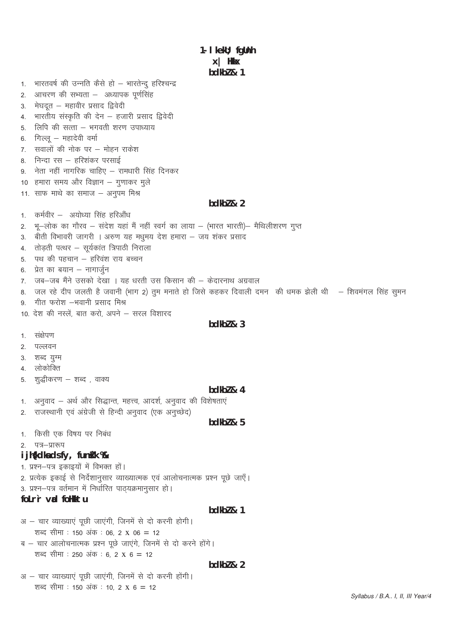1- I kekU; fgUnh  $x$  | Hkk $x$  $bdkb2 & 1$ 1. भारतवर्ष की उन्नति कैसे हो – भारतेन्द् हरिश्चन्द्र आचरण की सभ्यता – अध्यापक पूर्णसिंह  $2.$ मेघदत - महावीर प्रसाद द्विवेदी  $3<sub>l</sub>$ भारतीय संस्कृति की देन – हजारी प्रसाद द्विवेदी  $\mathbf{\Delta}$ लिपि की सत्ता – भगवती शरण उपाध्याय  $5^{\circ}$ गिल्लु – महादेवी वर्मा 6 सवालों की नोक पर – मोहन राकेश  $7.$ 8. निन्दा रस – हरिशंकर परसाई 9. नेता नहीं नागरिक चाहिए – रामधारी सिंह दिनकर 10 हमारा समय और विज्ञान – गुणाकर मुले 11. साफ माथे का समाज – अनुपम मिश्र bdkbl & 2 कर्मवीर – अयोध्या सिंह हरिऔंध  $1<sup>1</sup>$ भू-लोक का गौरव – संदेश यहां मैं नहीं स्वर्ग का लाया – (भारत भारती)– मैथिलीशरण गुप्त  $2.$ 3. बीती विभावरी जागरी । अरुण यह मधुमय देश हमारा – जय शंकर प्रसाद 4. तोड़ती पत्थर – सूर्यकांत त्रिपाठी निराला 5. पथ की पहचान – हरिवंश राय बच्चन 6. प्रेत का बयान – नागार्जुन 7. जब-जब मैंने उसको देखा । यह धरती उस किसान की – केदारनाथ अग्रवाल 8. जल रहे दीप जलती है जवानी (भाग 2) तुम मनाते हो जिसे कहकर दिवाली दमन) की धमक झेली थी क शिवमंगल सिंह सुमन गीत फरोश –भवानी प्रसाद मिश्र  $\mathbf{q}$ 10. देश की नस्लें. बात करो, अपने – सरल विशारद  $bdkb2 & 3$ 1. संक्षेपण 2. पल्लवन 3. शब्द यूग्म 4. लोकोक्ति शद्धीकरण – शब्द , वाक्य 5.  $bdkb2 & 4$ अनुवाद – अर्थ और सिद्धान्त, महत्त्व, आदर्श, अनुवाद की विशेषताएं  $1.$ राजस्थानी एवं अंग्रेजी से हिन्दी अनुवाद (एक अनुच्छेद)  $2.$  $bdkb2 & 5$ 1. किसी एक विषय पर निबंध पत्र–प्रारूप  $\mathcal{P}$ i jh{kdka ds fy, funkk % 1. प्रश्न-पत्र इकाइयों में विभक्त हों। 2. प्रत्येक इकाई से निर्देशानुसार व्याख्यात्मक एवं आलोचनात्मक प्रश्न पूछे जाएँ। 3. प्रश्न-पत्र वर्तमान में निर्धारित पाठयक्रमानसार हो। folr'r vad follktu  $bdkb2 & 1$ अ – चार व्याख्याएं पूछी जाएंगी, जिनमें से दो करनी होगी। शब्द सीमा : 150 अंक : 06, 2 x 06 = 12 ब – चार आलोचनात्मक प्रश्न पूछे जाएंगे, जिनमें से दो करने होंगे। शब्द सीमा : 250 अंक : 6, 2 x 6 = 12 bdkbl & 2 अ - चार व्याख्याएं पूछी जाएंगी, जिनमें से दो करनी होंगी। शब्द सीमा : 150 अंक : 10, 2 x 6 = 12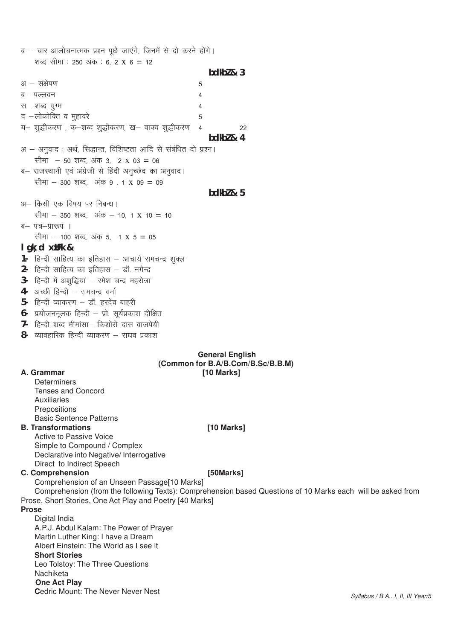| ब – चार आलोचनात्मक प्रश्न पूछे जाएंगे, जिनमें से दो करने होंगे।       |           |    |
|-----------------------------------------------------------------------|-----------|----|
| शब्द सीमा : 250 अंक : 6, 2 x 6 = 12                                   |           |    |
|                                                                       | bdkb2 & 3 |    |
| अ $-$ संक्षेपण<br>5                                                   |           |    |
| ब– पल्लवन<br>4                                                        |           |    |
| स– शब्द युग्म<br>4                                                    |           |    |
| द –लोकोक्ति व मुहावरे<br>5                                            |           |    |
| य— शुद्धीकरण , क—शब्द शुद्धीकरण, ख— वाक्य शुद्धीकरण<br>$\overline{4}$ |           | 22 |
|                                                                       | bdkb2 & 4 |    |
| अ – अनुवाद : अर्थ, सिद्धान्त, विशिष्टता आदि से संबंधित दो प्रश्न।     |           |    |
| सीमा – 50 शब्द, अंक 3, 2 x 03 = 06                                    |           |    |
| ब– राजस्थानी एवं अंग्रेजी से हिंदी अनुच्छेद का अनुवाद।                |           |    |
| सीमा – 300 शब्द, अंक 9 , 1 x 09 = 09                                  |           |    |
|                                                                       | bdkb2 & 5 |    |
| अ— किसी एक विषय पर निबन्ध।                                            |           |    |
| सीमा – 350 शब्द, अंक – 10, 1 x 10 = 10                                |           |    |
| ब– पत्र–प्रारूप ।                                                     |           |    |
| सीमा – 100 शब्द, अंक 5, 1 x 5 = 05                                    |           |    |
| $lgk$ ; d $x$ <i>JFk &amp;</i>                                        |           |    |
| हिन्दी साहित्य का इतिहास – आचार्य रामचन्द्र शुक्ल<br>1-               |           |    |
| हिन्दी साहित्य का इतिहास – डॉ. नगेन्द्र<br>2-                         |           |    |
| हिन्दी में अशुद्धियां - रमेश चन्द्र महरोत्रा<br>$3-$                  |           |    |
| अच्छी हिन्दी - रामचन्द्र वर्मा<br>4-                                  |           |    |
| हिन्दी व्याकरण – डॉ. हरदेव बाहरी<br>5-                                |           |    |
| प्रयोजनमूलक हिन्दी – प्रो. सूर्यप्रकाश दीक्षित<br>6-                  |           |    |
| हिन्दी शब्द मीमांसा– किशोरी दास वाजपेयी<br>7-                         |           |    |
| 8-<br>व्यावहारिक हिन्दी व्याकरण – राघव प्रकाश                         |           |    |

### **General English** (Common for B.A/B.Com/B.Sc/B.B.M) [10 Marks]

# A. Grammar

**Determiners** Tenses and Concord **Auxiliaries** Prepositions **Basic Sentence Patterns** 

# **B. Transformations**

Active to Passive Voice Simple to Compound / Complex Declarative into Negative/ Interrogative Direct to Indirect Speech

# **C. Comprehension**

# [50Marks]

[10 Marks]

Comprehension of an Unseen Passage[10 Marks] Comprehension (from the following Texts): Comprehension based Questions of 10 Marks each will be asked from Prose, Short Stories, One Act Play and Poetry [40 Marks]

### **Prose**

Digital India A.P.J. Abdul Kalam: The Power of Prayer Martin Luther King: I have a Dream Albert Einstein: The World as I see it **Short Stories** Leo Tolstoy: The Three Questions Nachiketa **One Act Play** Cedric Mount: The Never Never Nest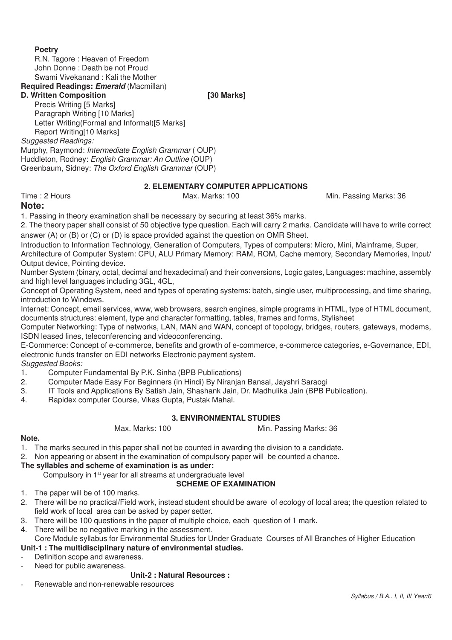# **Poetry**

R.N. Tagore : Heaven of Freedom John Donne : Death be not Proud Swami Vivekanand : Kali the Mother

# **Required Readings: Emerald** (Macmillan)

# **D. Written Composition [30 Marks]**

Precis Writing [5 Marks] Paragraph Writing [10 Marks] Letter Writing(Formal and Informal)[5 Marks] Report Writing[10 Marks]

*Suggested Readings:*

Murphy, Raymond: *Intermediate English Grammar* ( OUP) Huddleton, Rodney: *English Grammar: An Outline* (OUP) Greenbaum, Sidney: *The Oxford English Grammar* (OUP)

# **2. ELEMENTARY COMPUTER APPLICATIONS**

Time : 2 Hours **Max. Marks: 100** Max. Marks: 100 Min. Passing Marks: 36

# **Note:**

1. Passing in theory examination shall be necessary by securing at least 36% marks.

2. The theory paper shall consist of 50 objective type question. Each will carry 2 marks. Candidate will have to write correct answer (A) or (B) or (C) or (D) is space provided against the question on OMR Sheet.

Introduction to Information Technology, Generation of Computers, Types of computers: Micro, Mini, Mainframe, Super, Architecture of Computer System: CPU, ALU Primary Memory: RAM, ROM, Cache memory, Secondary Memories, Input/ Output device, Pointing device.

Number System (binary, octal, decimal and hexadecimal) and their conversions, Logic gates, Languages: machine, assembly and high level languages including 3GL, 4GL,

Concept of Operating System, need and types of operating systems: batch, single user, multiprocessing, and time sharing, introduction to Windows.

Internet: Concept, email services, www, web browsers, search engines, simple programs in HTML, type of HTML document, documents structures: element, type and character formatting, tables, frames and forms, Stylisheet

Computer Networking: Type of networks, LAN, MAN and WAN, concept of topology, bridges, routers, gateways, modems, ISDN leased lines, teleconferencing and videoconferencing.

E-Commerce: Concept of e-commerce, benefits and growth of e-commerce, e-commerce categories, e-Governance, EDI, electronic funds transfer on EDI networks Electronic payment system.

*Suggested Books:*

- 1. Computer Fundamental By P.K. Sinha (BPB Publications)
- 2. Computer Made Easy For Beginners (in Hindi) By Niranjan Bansal, Jayshri Saraogi
- 3. IT Tools and Applications By Satish Jain, Shashank Jain, Dr. Madhulika Jain (BPB Publication).
- 4. Rapidex computer Course, Vikas Gupta, Pustak Mahal.

### **3. ENVIRONMENTAL STUDIES** Max. Marks: 100 Min. Passing Marks: 36

#### **Note.**

1. The marks secured in this paper shall not be counted in awarding the division to a candidate.

2. Non appearing or absent in the examination of compulsory paper will be counted a chance.

# **The syllables and scheme of examination is as under:**

Compulsory in 1st year for all streams at undergraduate level

# **SCHEME OF EXAMINATION**

- 1. The paper will be of 100 marks.
- 2. There will be no practical/Field work, instead student should be aware of ecology of local area; the question related to field work of local area can be asked by paper setter.
- 3. There will be 100 questions in the paper of multiple choice, each question of 1 mark.
- 4. There will be no negative marking in the assessment.

Core Module syllabus for Environmental Studies for Under Graduate Courses of All Branches of Higher Education **Unit-1 : The multidisciplinary nature of environmental studies.**

# Definition scope and awareness.

Need for public awareness.

# **Unit-2 : Natural Resources :**

- Renewable and non-renewable resources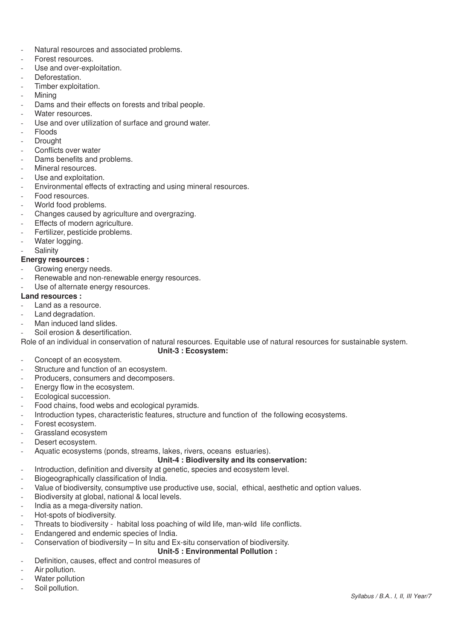- Natural resources and associated problems.
- Forest resources.
- Use and over-exploitation.
- Deforestation.
- Timber exploitation.
- **Mining**
- Dams and their effects on forests and tribal people.
- Water resources.
- Use and over utilization of surface and ground water.
- **Floods**
- **Drought**
- Conflicts over water
- Dams benefits and problems.
- Mineral resources.
- Use and exploitation.
- Environmental effects of extracting and using mineral resources.
- Food resources.
- World food problems.
- Changes caused by agriculture and overgrazing.
- Effects of modern agriculture.
- Fertilizer, pesticide problems.
- Water logging.
- **Salinity**

# **Energy resources :**

- Growing energy needs.
- Renewable and non-renewable energy resources.
- Use of alternate energy resources.

# **Land resources :**

- Land as a resource.
- Land degradation.
- Man induced land slides.
- Soil erosion & desertification.

Role of an individual in conservation of natural resources. Equitable use of natural resources for sustainable system.

# **Unit-3 : Ecosystem:**

- Concept of an ecosystem.
- Structure and function of an ecosystem.
- Producers, consumers and decomposers.
- Energy flow in the ecosystem.
- Ecological succession.
- Food chains, food webs and ecological pyramids.
- Introduction types, characteristic features, structure and function of the following ecosystems.
- Forest ecosystem.
- Grassland ecosystem
- Desert ecosystem.
- Aquatic ecosystems (ponds, streams, lakes, rivers, oceans estuaries).

# **Unit-4 : Biodiversity and its conservation:**

- Introduction, definition and diversity at genetic, species and ecosystem level.
- Biogeographically classification of India.
- Value of biodiversity, consumptive use productive use, social, ethical, aesthetic and option values.
- Biodiversity at global, national & local levels.
- India as a mega-diversity nation.
- Hot-spots of biodiversity.
- Threats to biodiversity habital loss poaching of wild life, man-wild life conflicts.
- Endangered and endemic species of India.
- Conservation of biodiversity In situ and Ex-situ conservation of biodiversity.

#### **Unit-5 : Environmental Pollution :**

- Definition, causes, effect and control measures of
- Air pollution.
- Water pollution
- Soil pollution.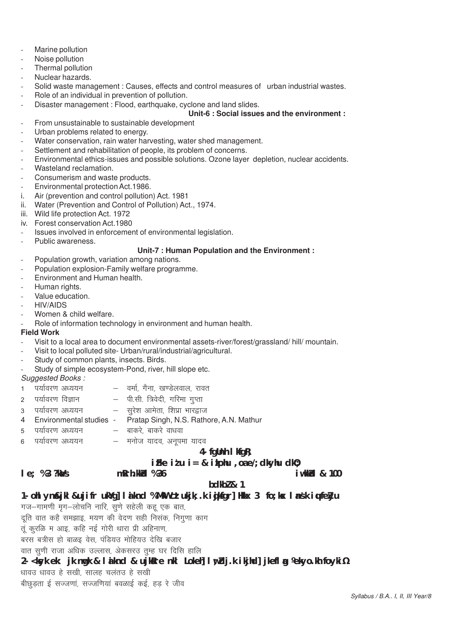- Marine pollution
- Noise pollution
- Thermal pollution
- Nuclear hazards.
- Solid waste management : Causes, effects and control measures of urban industrial wastes.
- Role of an individual in prevention of pollution.
- Disaster management : Flood, earthquake, cyclone and land slides.

# **Unit-6 : Social issues and the environment :**

- From unsustainable to sustainable development
- Urban problems related to energy.
- Water conservation, rain water harvesting, water shed management.
- Settlement and rehabilitation of people, its problem of concerns.
- Environmental ethics-issues and possible solutions. Ozone layer depletion, nuclear accidents.
- Wasteland reclamation.
- Consumerism and waste products.
- Environmental protection Act. 1986.
- i. Air (prevention and control pollution) Act. 1981
- ii. Water (Prevention and Control of Pollution) Act., 1974.
- iii. Wild life protection Act. 1972
- iv. Forest conservation Act.1980
- Issues involved in enforcement of environmental legislation.
- Public awareness.

# **Unit-7 : Human Population and the Environment :**

- Population growth, variation among nations.
- Population explosion-Family welfare programme.
- Environment and Human health.
- Human rights.
- Value education.
- HIV/AIDS
- Women & child welfare.
- Role of information technology in environment and human health.

#### **Field Work**

- Visit to a local area to document environmental assets-river/forest/grassland/ hill/ mountain.
- Visit to local polluted site- Urban/rural/industrial/agricultural.
- Study of common plants, insects. Birds.
- Study of simple ecosystem-Pond, river, hill slope etc.

- *Suggested Books :* 1 i;kZoj.k v/;;u & oekZ] xSuk] [k.Msyoky] jkor
- 2 पर्यावरण विज्ञान पी.सी. त्रिवेदी, गरिमा गुप्ता
- 3 i;kZoj.k v/;;u & lqjs'k vkesrk] f'kizk Hkkj}kt
- 4 Environmental studies Pratap Singh, N.S. Rathore, A.N. Mathur
- 5 i;kZoj.k v/;;u & ckdjs] ckdjs ok/kok
- 6 i;kZoj.k v/;;u & eukst ;kno] vuwiek ;kno

# **4- fgUnh lkfgR;**

# **izFke iz'u i= & izkphu ,oa e/;dkyhu dkO;**

# **le; % 3 ?kaVs mRrh.kkZad % 36 iw.kkZad & 100**

# **bdkbZ & 1**

- 1- ohl yn**s&jkl &ujifr ukYg] laiknd % MkW cztukjk**;.k igiksgr] Hkkx 3 fo;kx lansk iqufeZyu
- गज-गामणी मृग-लोचनि नारि, सूणे सहेली कह एक बात,
- दूति वात कहै समझाइ, मयण की वेदण सही निसंक, निगुणा काग
- तुं कुरळि म आइ, कहि नई गोरी थारा प्री अहिनाण,
- बरस बत्रीस हो बाळइ वेस, पंडियउ मोहियउ देखि बजार
- वात सूणी राजा अधिक उल्लास, अेकसरउ तुम्ह घर दिसि हालि

# **2- <ksyk ek: jk nwgk & laiknd & ujksRre nkl Lokeh] lw;Zdj.k ikjhd] jkeflag ¼ekyo.kh foyki½**

- धावउ धावउ हे सखी, सालह चलतउ हे सखी
- बीछडता ई सज्जणा, सज्जणियां बवळाई कई, हड रे जीव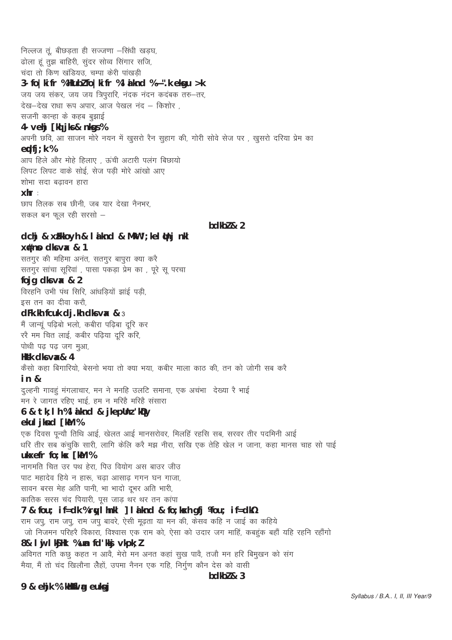निल्लज तूं, बीछड़ता ही सज्जणा -सिंधी खड़घ, ढोला हूं तूझ बाहिरी, सुंदर सोव्व सिंगार सजि, चंदा तो किण खंडियउ, चम्पा केरी पांखडी 3- fo | ki fr % Hkubl fo | ki fr % |  $\dot{a}$  knd %  $\tilde{N}$ ". k ekgu > k जय जय संकर, जय जय त्रिपुरारि, नंदक नंदन कदंबक तरु-तर, देख-देख राधा रूप अपार. आज पेखल नंद – किशोर सजनी कान्हा के कहब बझाई 4- vehj [kd] jks & nkgs % अपनी छवि, आ साजन मोरे नयन में खुसरो रैन सहाग की, गोरी सोवे सेज पर , खुसरो दरिया प्रेम का  $\text{ecl}$ fi; k % आप हिले और मोहे हिलाए, ऊंची अटारी पलंग बिछायो लिपट लिपट वाके सोई, सेज पड़ी मोरे आंखो आए शोभा सदा बढावन हारा  $x$ hr: छाप तिलक सब छीनी, जब यार देखा नैनभर, सकल बन फल रही सरसो  $bdkb2 & 2$ dchj & xfikkoyh & l a knd & MkW '; kel (tnj nkl x#np dks vax & 1 सतगुर की महिमा अनंत, सतगुर बापुरा क्या करे सतगुर सांचा सूरिवां, पासा पकड़ा प्रेम का, पूरे सू परचा foig dks vax & 2 विरहनि उभी पंथ सिरि, आंधड़ियों झाई पड़ी, इस तन का दीवा करौ,  $dFk.$ kh fcuk dj.kh dks v $x$  &  $3$ मैं जान्यूं पढ़िबो भलो, कबीरा पढ़िबा दूरि कर ररै मम चित लाई, कबीर पढ़िया दूरि करि, पोथी पढ पढ जग मूआ, Hksk clks  $\sqrt{2}$  4 कैसो कहा बिगारियो, बेसनो भया तो क्या भया, कबीर माला काठ की, तन को जोगी सब करै  $in$   $\&$ दुल्हनी गावहुं मंगलाचार, मन ने मनहि उलटि समाना, एक अचंभा देख्या रै भाई मन रे जागत रहिए भाई, हम न मरिहै मरिहै संसारा 6 & tk; I h % I a knd & i kepUnz 'kDy ekul iknd [kM % एक दिवस पुन्यौ तिथि आई, खेलत आई मानसरोवर, मिलहिं रहसि सब, सरवर तीर पदमिनी आई धरि तीर सब कंचुकि सारी, लागि केलि करै मझ नीरा, सखि एक तेहि खेल न जाना, कहा मानस चाह सो पाई ukxefr fo: kx [kM % नागमति चित उर पथ हेरा, पिउ वियोग अस बाउर जीउ पाट महादेव हिये न हारू, चढा आसाढ गगन घन गाजा, सावन बरस मेह अति पानी, भा भादो दभर अति भारी, कातिक सरस चंद पियारी, पूस जाड़ थर थर तन कांपा 7 & fou; if=dk % rwl hnkl ] I a knd & fo; kxh qfj Mou; if=dk½ राम जपु, राम जपु, राम जपु बावरे, ऐसी मूढ़ता या मन की, केसव कहि न जाई का कहिये जो निजमन परिहरै विकारा, विश्वास एक राम को, ऐसा को उदार जग माहिं, कबहुंक बहाँ यहि रहनि रहाँगो 8& I ij I k§Hk % un fd kkj vkpk; l अविगत गति कछू कहत न आवै, मेरो मन अनत कहां सुख पावै, तजौ मन हरि बिमुखन को संग मैया, मैं तो चंद खिलौना लैहों, उपमा नैनन एक गहि, निर्गुण कौन देस को वासी

#### $bdkb2 & 3$

9 & ehjk % 'kalkufl ag euksgj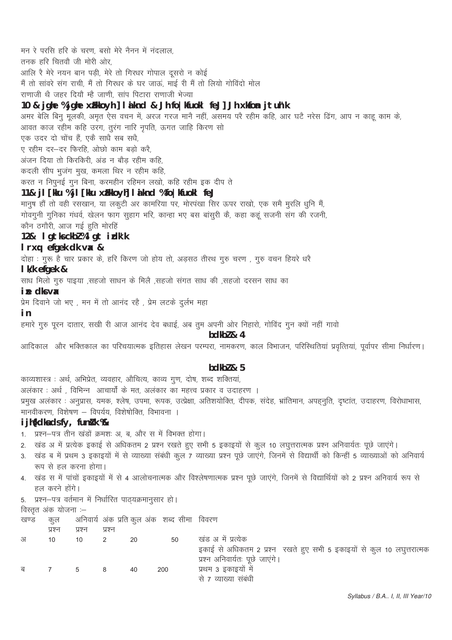मन रे परसि हरि के चरण, बसो मेरे नैनन में नंदलाल, तनक हरि चितवौ जी मोरी ओर. आलि रै मेरे नयन बान पड़ी, मेरे तो गिरधर गोपाल दूसरो न कोई मैं तो सांवरे संग राची, मैं तो गिरधर के घर जाऊं, माई री मैं तो लियो गोविंदो मोल राणाजी थै जहर दियौ म्है जाणी, सांप पिटारा राणाजी भेज्या 10 & jghe %jghe xfikkoyh] laknd & Jh fo | kfuokl feJ] Jh xkfon jtuh'k अमर बेलि बिनू मूलकी, अमृत ऐस वचन में, अरज गरज मानै नहीं, असमय परै रहीम कहि, आर घटै नरेस ढिंग, आप न काहु काम के, आवत काज रहीम कहि उरग, तुरंग नारि नृपति, ऊगत जाहि किरण सो .<br>एक उदर दो चोंच हैं, एकै साधै सब सधै, ए रहीम दर-दर फिरहि, ओछो काम बड़ो करै, अंजन दिया तो किरकिरी, अंड न बौड रहीम कहि, कदली सीप भूजंग मूख, कमला थिर न रहीम कहि, करत न निपुनई गुन बिना, करमहीन रहिमन लखो, कहि रहीम इक दीप ते 11& jl [kku %jl [kku xh[kkoyh] laknd %fo|kfuokl feJ मानुष हौं तो वही रसखान, या लकुटी अर कामरिया पर, मोरपंखा सिर ऊपर राखो, एक समै मुरलि धनि मैं, गोवगूनी गुनिका गंधर्व, खेलन फाग सूहाग भरि, कान्हा भए बस बांसुरी कें, कहा कहूं सजनी संग की रजनी, कौन ठगौरी, आज गई हुति मोरहिं 12& Igtksckbl%lgtidk'k I rxq efgek dk vx & दोहा : गुरू है चार प्रकार के, हरि किरण जो होय तो, अड़सठ तीरथ गुरु चरण , गुरु वचन हियरे धरै I k/k efaek & साध मिलो गुरु पाइया ,सहजो साधन के मिलै ,सहजो संगत साध की ,सहजो दरसन साध का ine dks vax प्रेम दिवाने जो भए, मन में तो आनंद रहै, प्रेम लटके दुर्लभ महा i n हमारे गुरु पूरन दातार, सखी री आज आनंद देव बधाई, अब तूम अपनी ओर निहारो, गोविंद गून क्यों नहीं गावो bdkbl & 4 आदिकाल और भक्तिकाल का परिचयात्मक इतिहास लेखन परम्परा, नामकरण, काल विभाजन, परिस्थितियां प्रवृत्तियां, पूर्वापर सीमा निर्धारण।  $bdkb2 & 5$ काव्यशास्त्र : अर्थ, अभिप्रेत, व्यवहार, औचित्य, काव्य गुण, दोष, शब्द शक्तियां, अलंकार : अर्थ, विभिन्न आचार्यों के मत, अलंकार का महत्त्व प्रकार व उदाहरण ।

प्रमुख अलंकार : अनुप्रास, यमक, श्लेष, उपमा, रूपक, उत्प्रेक्षा, अतिशयोक्ति, दीपक, संदेह, भ्रांतिमान, अपहनुति, दृष्टांत, उदाहरण, विरोधाभास, मानवीकरण, विशेषण – विपर्यय, विशेषोक्ति, विभावना ।

# i jh{kdka ds fy, funik %

- 1. प्रश्न-पत्र तीन खंडों क्रमशः अ, ब, और स में विभक्त होगा।
- 2. खंड अ में प्रत्येक इकाई से अधिकतम 2 प्रश्न रखते हुए सभी 5 इकाइयों से कुल 10 लघुत्तरात्मक प्रश्न अनिवार्यतः पूछे जाएंगे।
- 3. खंड ब में प्रथम 3 इकाइयों में से व्याख्या संबंधी कूल 7 व्याख्या प्रश्न पूछे जाएंगे, जिनमें से विद्यार्थी को किन्हीं 5 व्याख्याओं को अनिवार्य रूप से हल करना होगा।
- 4. खंड स में पांचों इकाइयों में से 4 आलोचनात्मक और विश्लेषणात्मक प्रश्न पूछे जाएंगे, जिनमें से विद्यार्थियों को 2 प्रश्न अनिवार्य रूप से हल करने होंगे।
- 5. प्रश्न-पत्र वर्तमान में निर्धारित पाठ्यक्रमानुसार हो।

विस्तृत अंक योजना :-

अनिवार्य अंक प्रति कुल अंक) शब्द सीमा विवरण खण्ड कुल

|   |        |        |        |    | in the first contract of the contract of the contract of the contract of the contract of the contract of the c |                                                                       |
|---|--------|--------|--------|----|----------------------------------------------------------------------------------------------------------------|-----------------------------------------------------------------------|
|   | प्रश्न | प्रश्न | प्रश्न |    |                                                                                                                |                                                                       |
| अ | 10     | 10     |        | 20 | 50                                                                                                             | खंड अ में प्रत्येक                                                    |
|   |        |        |        |    |                                                                                                                | इकाई से अधिकतम 2 प्रश्न रखते हुए सभी 5 इकाइयों से कुल 10 लघुत्तरात्मक |
|   |        |        |        |    |                                                                                                                | प्रश्न अनिवार्यतः पूछे जाएगे।                                         |
| ब |        | 5      |        | 40 | 200                                                                                                            | प्रथम 3 इकाइयों में                                                   |
|   |        |        |        |    |                                                                                                                | से 7 व्याख्या संबंधी                                                  |
|   |        |        |        |    |                                                                                                                |                                                                       |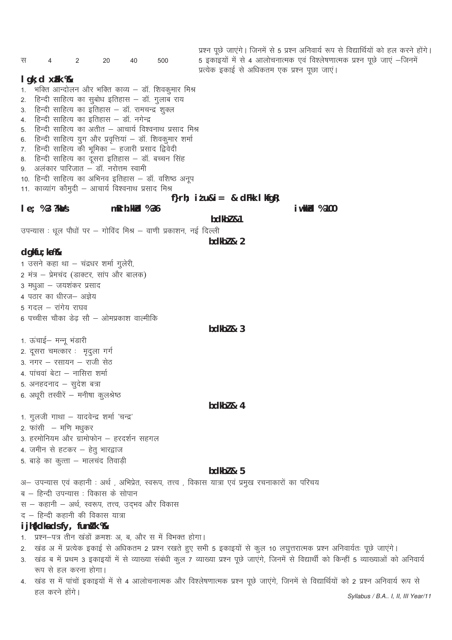प्रश्न पूछे जाएंगे। जिनमें से 5 प्रश्न अनिवार्य रूप से विद्यार्थियों को हल करने होंगे। 5 इकाइयों में से 4 आलोचनात्मक एवं विश्लेषणात्मक प्रश्न पूछे जाएं —जिनमें स 20 40 500  $\overline{4}$  $\overline{2}$ प्रत्येक इकाई से अधिकतम एक प्रश्न पूछा जाएं।  $I$  qk; d  $xFk$  % 1. भक्ति आन्दोलन और भक्ति काव्य – डॉ. शिवकूमार मिश्र हिन्दी साहित्य का सुबोध इतिहास – डॉ. गुलाब राय  $\mathcal{P}$ हिन्दी साहित्य का इतिहास – डॉ. रामचन्द्र शुक्ल 3 हिन्दी साहित्य का इतिहास – डॉ. नगेन्द्र  $\overline{4}$ 5. हिन्दी साहित्य का अतीत – आचार्य विश्वनाथ प्रसाद मिश्र 6. हिन्दी साहित्य युग और प्रवृत्तियां – डॉ. शिवकुमार शर्मा हिन्दी साहित्य की भूमिका – हजारी प्रसाद द्विवेदी 7. हिन्दी साहित्य का दूसरा इतिहास – डॉ. बच्चन सिंह 8 9. अलंकार पारिजात – डॉ. नरोत्तम स्वामी 10. हिन्दी साहित्य का अभिनव इतिहास – डॉ. वशिष्ठ अनूप 11. काव्यांग कौमुदी – आचार्य विश्वनाथ प्रसाद मिश्र f} $r h$ ; it u&i = & dFkk I kfqR;  $le; %3?kMs$ *i* wkk/cd % 100  $mRrh.kkld$  % 36 bdkbl &1 उपन्यास : धूल पौधों पर – गोविंद मिश्र – वाणी प्रकाशन, नई दिल्ली  $hdkh$ <sub>2</sub>  $\lambda$ <sub>2</sub>  $d$ qkfu; ka $%$ 1 उसने कहा था – चंद्रधर शर्मा गुलेरी, 2 मंत्र – प्रेमचंद (डाक्टर, सांप और बालक) 3 मधुआ – जयशंकर प्रसाद 4 पठार का धीरज- अज्ञेय 5 गदल – रांगेय राघव 6 पच्चीस चौका डेढ सौ – ओमप्रकाश वाल्मीकि  $bdkb2 & 3$ 1. ऊंचाई– मन्नू भंडारी 2. दूसरा चमत्कार : मृदुला गर्ग 3. नगर - रसायन - राजी सेठ 4. पांचवां बेटा – नासिरा शर्मा 5. अनहदनाद - सूदेश बत्रा 6. अधूरी तस्वीरें – मनीषा कुलश्रेष्ठ  $hdkh$ <sub>7</sub> $k<sub>4</sub>$ 1. गुलजी गाथा - यादवेन्द्र शर्मा 'चन्द्र' 2. फांसी – मणि मधुकर 3. हरमोनियम और ग्रामोफोन - हरदर्शन सहगल 4. जमीन से हटकर – हेतू भारद्वाज 5. बाड़े का कुत्ता – मालचंद तिवाड़ी  $h$ dkh $7$  & 5 अ– उपन्यास एवं कहानी : अर्थ, अभिप्रेत, स्वरूप, तत्त्व , विकास यात्रा एवं प्रमुख रचनाकारों का परिचय ब – हिन्दी उपन्यास : विकास के सोपान स – कहानी – अर्थ, स्वरूप, तत्त्व, उद्भव और विकास द – हिन्दी कहानी की विकास यात्रा i jh{kdka ds fy, funk % 1. प्रश्न-पत्र तीन खंडों क्रमशः अ, ब, और स में विभक्त होगा। 2. खंड अ में प्रत्येक इकाई से अधिकतम 2 प्रश्न रखते हुए सभी 5 इकाइयों से कूल 10 लघुत्तरात्मक प्रश्न अनिवार्यतः पूछे जाएंगे। 3. खंड ब में प्रथम 3 इकाइयों में से व्याख्या संबंधी कूल 7 व्याख्या प्रश्न पूछे जाएंगे, जिनमें से विद्यार्थी को किन्हीं 5 व्याख्याओं को अनिवार्य रूप से हल करना होगा। 4. खंड स में पांचों इकाइयों में से 4 आलोचनात्मक और विश्लेषणात्मक प्रश्न पूछे जाएंगे, जिनमें से विद्यार्थियों को 2 प्रश्न अनिवार्य रूप से हल करने होंगे।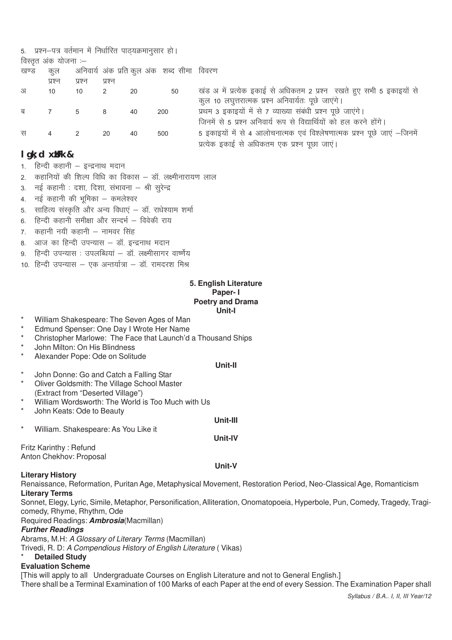|      |                      | 5. प्रश्न-पत्र वर्तमान में निर्धारित पाठ्यक्रमानुसार हो। |                |    |                                                |                                                                          |
|------|----------------------|----------------------------------------------------------|----------------|----|------------------------------------------------|--------------------------------------------------------------------------|
|      | विस्तृत अंक योजना :– |                                                          |                |    |                                                |                                                                          |
| खण्ड |                      |                                                          |                |    | कुल अनिवार्य अंक प्रति कुल अंक शब्द सीमा विवरण |                                                                          |
|      | प्रश्न               | प्रश्न                                                   | प्रश्न         |    |                                                |                                                                          |
| अ    | 10 <sup>°</sup>      | 10                                                       | $\overline{2}$ | 20 | 50                                             | खंड अ में प्रत्येक इकाई से अधिकतम 2 प्रश्न रखते हुए सभी 5 इकाइयों से     |
|      |                      |                                                          |                |    |                                                | कुल 10 लघुत्तरात्मक प्रश्न अनिवार्यतः पूछे जाएंगे।                       |
| ब    | $7\overline{ }$      | 5                                                        | 8              | 40 | 200                                            | प्रथम 3 इकाइयों में से 7 व्याख्या संबंधी प्रश्न पूछे जाएंगे।             |
|      |                      |                                                          |                |    |                                                | जिनमें से 5 प्रश्न अनिवार्य रूप से विद्यार्थियों को हल करने होंगे।       |
| स    | 4                    | 2                                                        | 20             | 40 | 500                                            | 5 इकाइयों में से 4 आलोचनात्मक एवं विश्लेषणात्मक प्रश्न पूछे जाएं -जिनमें |
|      |                      |                                                          |                |    |                                                | प्रत्येक इकाई से अधिकतम एक प्रश्न पूछा जाएं।                             |

# I gk; d xil Fk &

- 1. हिन्दी कहानी इन्द्रनाथ मदान
- कहानियों की शिल्प विधि का विकास डॉ. लक्ष्मीनारायण लाल  $\overline{2}$
- 3. नई कहानी : दशा, दिशा, संभावना श्री सूरेन्द्र
- 4. नई कहानी की भूमिका कमलेश्वर
- साहित्य संस्कृति और अन्य विधाएं डॉ. राधेश्याम शर्मा 5.
- 6. हिन्दी कहानी समीक्षा और सन्दर्भ विवेकी राय
- कहानी नयी कहानी नामवर सिंह  $7<sup>1</sup>$
- 8. आज का हिन्दी उपन्यास डॉ. इन्द्रनाथ मदान
- हिन्दी उपन्यास : उपलब्धियां डॉ. लक्ष्मीसागर वार्ष्णेय  $\mathbf{q}$
- 10. हिन्दी उपन्यास एक अन्तर्यात्रा डॉ. रामदरश मिश्र

# 5. English Literature Paper-1 **Poetry and Drama** Unit-I

- William Shakespeare: The Seven Ages of Man
- Edmund Spenser: One Day I Wrote Her Name
- Christopher Marlowe: The Face that Launch'd a Thousand Ships
- John Milton: On His Blindness
- Alexander Pope: Ode on Solitude

### Unit-II

- $\star$ John Donne: Go and Catch a Falling Star
- Oliver Goldsmith: The Village School Master
- (Extract from "Deserted Village")
- William Wordsworth: The World is Too Much with Us  $\star$
- John Keats: Ode to Beautv
- $\star$ William. Shakespeare: As You Like it

# Unit-III Unit-IV

Fritz Karinthy: Refund Anton Chekhov: Proposal

# Unit-V

# **Literary History**

Renaissance, Reformation, Puritan Age, Metaphysical Movement, Restoration Period, Neo-Classical Age, Romanticism **Literary Terms** 

Sonnet, Elegy, Lyric, Simile, Metaphor, Personification, Alliteration, Onomatopoeia, Hyperbole, Pun, Comedy, Tragedy, Tragicomedy, Rhyme, Rhythm, Ode

Required Readings: **Ambrosia**(Macmillan)

# **Further Readings**

Abrams, M.H: A Glossary of Literary Terms (Macmillan)

Trivedi, R. D: A Compendious History of English Literature (Vikas)

# **Detailed Study**

# **Evaluation Scheme**

[This will apply to all Undergraduate Courses on English Literature and not to General English.] There shall be a Terminal Examination of 100 Marks of each Paper at the end of every Session. The Examination Paper shall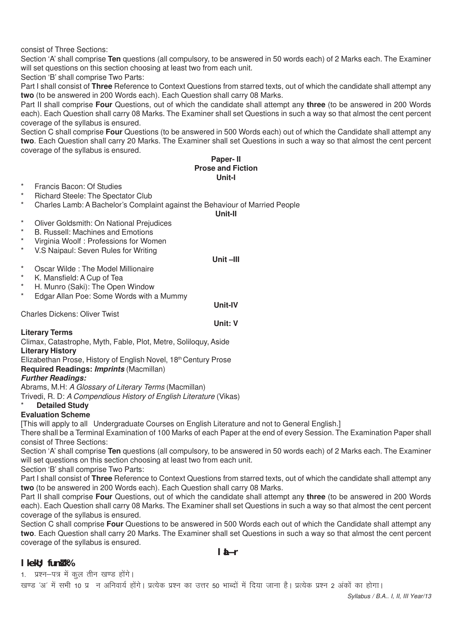consist of Three Sections:

Section 'A' shall comprise **Ten** questions (all compulsory, to be answered in 50 words each) of 2 Marks each. The Examiner will set questions on this section choosing at least two from each unit.

Section 'B' shall comprise Two Parts:

Part I shall consist of **Three** Reference to Context Questions from starred texts, out of which the candidate shall attempt any **two** (to be answered in 200 Words each). Each Question shall carry 08 Marks.

Part II shall comprise **Four** Questions, out of which the candidate shall attempt any **three** (to be answered in 200 Words each). Each Question shall carry 08 Marks. The Examiner shall set Questions in such a way so that almost the cent percent coverage of the syllabus is ensured.

Section C shall comprise **Four** Questions (to be answered in 500 Words each) out of which the Candidate shall attempt any **two**. Each Question shall carry 20 Marks. The Examiner shall set Questions in such a way so that almost the cent percent coverage of the syllabus is ensured.

#### **Paper- II Prose and Fiction Unit-I**

- Francis Bacon: Of Studies
- **Richard Steele: The Spectator Club**
- Charles Lamb: A Bachelor's Complaint against the Behaviour of Married People

**Unit-II**

- \* Oliver Goldsmith: On National Prejudices
- **B. Russell: Machines and Emotions**
- \* Virginia Woolf : Professions for Women
- V.S Naipaul: Seven Rules for Writing

# **Unit –III**

\* Oscar Wilde : The Model Millionaire

- K. Mansfield: A Cup of Tea
- H. Munro (Saki): The Open Window
- Edgar Allan Poe: Some Words with a Mummy

Charles Dickens: Oliver Twist

# **Unit-IV Unit: V**

# **Literary Terms**

Climax, Catastrophe, Myth, Fable, Plot, Metre, Soliloquy, Aside **Literary History**

Elizabethan Prose, History of English Novel, 18th Century Prose

**Required Readings: Imprints** (Macmillan)

# **Further Readings:**

Abrams, M.H: *A Glossary of Literary Terms* (Macmillan) Trivedi, R. D: *A Compendious History of English Literature* (Vikas)

**Detailed Study** 

# **Evaluation Scheme**

[This will apply to all Undergraduate Courses on English Literature and not to General English.]

There shall be a Terminal Examination of 100 Marks of each Paper at the end of every Session. The Examination Paper shall consist of Three Sections:

Section 'A' shall comprise **Ten** questions (all compulsory, to be answered in 50 words each) of 2 Marks each. The Examiner will set questions on this section choosing at least two from each unit.

Section 'B' shall comprise Two Parts:

Part I shall consist of **Three** Reference to Context Questions from starred texts, out of which the candidate shall attempt any **two** (to be answered in 200 Words each). Each Question shall carry 08 Marks.

Part II shall comprise **Four** Questions, out of which the candidate shall attempt any **three** (to be answered in 200 Words each). Each Question shall carry 08 Marks. The Examiner shall set Questions in such a way so that almost the cent percent coverage of the syllabus is ensured.

Section C shall comprise **Four** Questions to be answered in 500 Words each out of which the Candidate shall attempt any **two**. Each Question shall carry 20 Marks. The Examiner shall set Questions in such a way so that almost the cent percent coverage of the syllabus is ensured.

# **laLÑr**

# **l** kekU; fund k%

1. प्रश्न-पत्र में कुल तीन खण्ड होंगे।

खण्ड 'अ' में सभी 10 प्र) न अनिवार्य होंगे। प्रत्येक प्रश्न का उत्तर 50 भाब्दों में दिया जाना है। प्रत्येक प्रश्न 2 अंकों का होगा।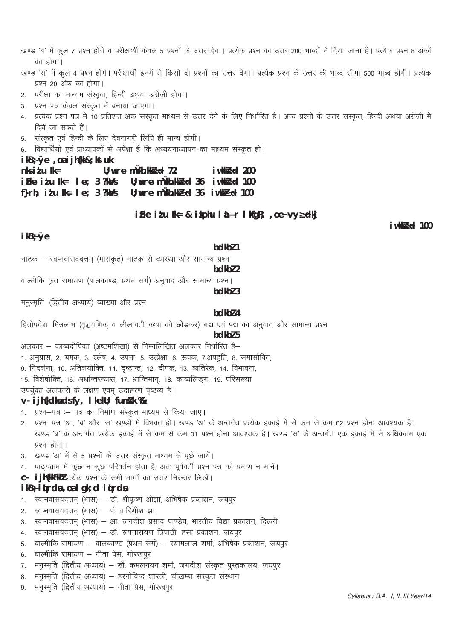खण्ड 'ब' में कूल 7 प्रश्न होंगे व परीक्षार्थी केवल 5 प्रश्नों के उत्तर देगा। प्रत्येक प्रश्न का उत्तर 200 भाब्दों में दिया जाना है। प्रत्येक प्रश्न 8 अंकों का होगा।

- खण्ड 'स' में कूल 4 प्रश्न होंगे। परीक्षार्थी इनमें से किसी दो प्रश्नों का उत्तर देगा। प्रत्येक प्रश्न के उत्तर की भाब्द सीमा 500 भाब्द होगी। प्रत्येक प्रश्न 20 अंक का होगा।
- 2. परीक्षा का माध्यम संस्कृत, हिन्दी अथवा अंग्रेजी होगा।
- 3. प्रश्न पत्र केवल संस्कृत में बनाया जाएगा।
- 4. प्रत्येक प्रश्न पत्र में 10 प्रतिशत अंक संस्कृत माध्यम से उत्तर देने के लिए निर्धारित हैं। अन्य प्रश्नों के उत्तर संस्कृत, हिन्दी अथवा अंग्रेजी में दिये जा सकते हैं।
- 5. संस्कृत एवं हिन्दी के लिए देवनागरी लिपि ही मान्य होगी।
- 6. विद्यार्थियों एवं प्राध्यापकों से अपेक्षा है कि अध्ययनाध्यापन का माध्यम संस्कृत हो।

### $i kB$ ;  $\emptyset$ e, oa i jh $\{kk&$ ; kst uk

| $n$ ks i t u $lk =$       |  | $U:$ wre mukh.kk $B$ d 72                                                                                                                 | iwk $P$ d 200 |
|---------------------------|--|-------------------------------------------------------------------------------------------------------------------------------------------|---------------|
|                           |  | $\mathbf{i}$ Fke it u Ik= $\mathbf{i}$ e; 3 ?k $\mathbf{i}$ /s U; wure m $\mathbf{i}$ lkh.kk $\mathbf{B}$ ed 36 i wkk $\mathbf{B}$ ed 100 |               |
| f}rh; itu lk= le; 3 ?ka/s |  | $U$ ;wre m $U$ kh.kk $B$ d 36 iwkk $B$ d 100                                                                                              |               |

# iFke itu lk= & ikphu l  $\angle$ Nr l kfgR; , oe~vy<sup>3</sup>dkj

# $ikB:Øe$

#### bdkb<sub>7</sub>1

नाटक – स्वप्नवासवदत्तम् (भासकृत) नाटक से व्याख्या और सामान्य प्रश्न

# bdkbl 2

वाल्मीकि कृत रामायण (बालकाण्ड, प्रथम सर्ग) अनुवाद और सामान्य प्रश्न।

bdkbl 3

मनुस्मृति-(द्वितीय अध्याय) व्याख्या और प्रश्न

# hdkh<sub>74</sub>

हितोपदेश–मित्रलाभ (वृद्धवणिक् व लीलावती कथा को छोड़कर) गद्य एवं पद्य का अनुवाद और सामान्य प्रश्न

# bdkbl 5

अलंकार – काव्यदीपिका (अष्टमशिखा) से निम्नलिखित अलंकार निर्धारित हैं–

- 1. अनुप्रास, 2. यमक, 3. श्लेष, 4. उपमा, 5. उत्प्रेक्षा, 6. रूपक, 7.अपह्नुति, 8. समासोक्ति,
- 9. निदर्शना, 10. अतिशयोक्ति, 11. दृष्टान्त, 12. दीपक, 13. व्यतिरेक, 14. विभावना,
- 15. विशेषोक्ति. 16. अर्थान्तरन्यास. 17. भ्रान्तिमान. 18. काव्यलिङग. 19. परिसंख्या

उपर्युक्त अंलकारों के लक्षण एवम् उदाहरण पृष्ठव्य है।

# v- i jh{kdka ds fy, I kekU; funik %

- 1. प्रश्न–पत्र :– पत्र का निर्माण संस्कृत माध्यम से किया जाए।
- 2. प्रश्न–पत्र 'अ', 'ब' और 'स' खण्डों में विभक्त हो। खण्ड 'अ' के अन्तर्गत प्रत्येक इकाई में से कम से कम 02 प्रश्न होना आवश्यक है। खण्ड 'ब' के अन्तर्गत प्रत्येक इकाई में से कम से कम 01 प्रश्न होना आवश्यक है। खण्ड 'स' के अन्तर्गत एक इकाई में से अधिकतम एक प्रश्न होगा।
- 3. खण्ड 'अ' में से 5 प्रश्नों के उत्तर संस्कृत माध्यम से पूछे जायें।
- 4. पाठ्यक्रम में कुछ न कुछ परिवर्तन होता है, अतः पूर्ववर्ती प्रश्न पत्र को प्रमाण न मानें।
- C- i jh{kkFkhl प्रत्येक प्रश्न के सभी भागों का उत्तर निरन्तर लिखें।

# ikB<sub>2</sub> itrda, oal qk; d itrda

- 1. स्वप्नवासवदत्तम् (भास) डॉ. श्रीकृष्ण ओझा, अभिषेक प्रकाशन, जयपुर
- 2. स्वप्नवासवदत्तम् (भास) पं. तारिणीश झा
- 3. स्वप्नवासवदत्तम (भास) आ. जगदीश प्रसाद पाण्डेय, भारतीय विद्या प्रकाशन, दिल्ली
- 4. स्वप्नवासवदत्तम् (भास) डॉ. रूपनारायण त्रिपाठी, हंसा प्रकाशन, जयपूर
- 5. वाल्मीकि रामायण बालकाण्ड (प्रथम सर्ग) श्यामलाल शर्मा, अभिषेक प्रकाशन, जयपुर
- 6. वाल्मीकि रामायण गीता प्रेस, गोरखपुर
- मनुस्मृति (द्वितीय अध्याय) डॉ. कमलनयन शर्मा, जगदीश संस्कृत पुस्तकालय, जयपुर  $7.$
- 8. मनुस्मृति (द्वितीय अध्याय) हरगोविन्द शास्त्री, चौखम्बा संस्कृत संस्थान
- मनुस्मृति (द्वितीय अध्याय) गीता प्रेस, गोरखपूर 9.

 $i$ wkk $B$ c $d$  100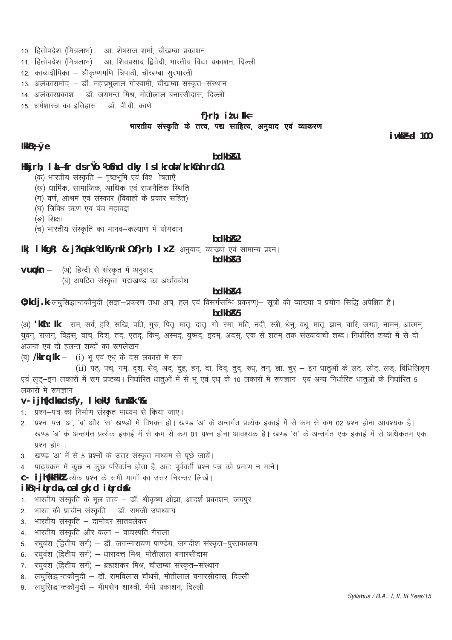- 10. हितोपदेश (मित्रलाभ) आ. शेषराज शर्मा, चौखम्बा प्रकाशन
- 11. हितोपदेश (मित्रलाभ) आ. शिवप्रसाद द्विवेदी, भारतीय विद्या प्रकाशन, दिल्ली
- 12. काव्यदीपिका श्रीकृष्णमणि त्रिपाठी, चौखम्बा सुरभारती
- 13. अलंकारामोद डॉ. महाप्रभुलाल गोस्वामी, चौखम्बा संस्कृत–संस्थान
- 14. अलंकारप्रकाश डॉ. जयमन्त मिश्र, मोतीलाल बनारसीदास, दिल्ली
- 15 धर्मशास्त्र का इतिहास डॉ. पी.वी. काणे

# f} $r h$ ; itu lk= भारतीय संस्कृति के तत्त्व, पद्य साहित्य, अनुवाद एवं व्याकरण

# $i$ wkk $B$ cd 100

# Ikk $B$ ; Øe

# bdkb<sub>R1</sub>

# Hkijrh; I LÑfr ds rùo %fnd dky I s I kroha 'krkînh rd%

- (क) भारतीय संस्कृति पृष्ठभूमि एवं विश्रोषताएँ
- (ख) धार्मिक, सामाजिक, आर्थिक एवं राजनैतिक स्थिति
- (ग) वर्ण, आश्रम एवं संस्कार (विवाहों के प्रकार सहित)
- (घ) त्रिविध ऋण एवं पंच महायज्ञ
- (ङ) शिक्षा
- (च) भारतीय संस्कृति का मानव–कल्याण में योगदान

# bdkb<sub>R2</sub>

Ik | I kfgR; & j?kpak %dkfynkl %f}rh; I xl- अनुवाद, व्याख्या एवं सामान्य प्रश्न ।

bdkb&3

- (अ) हिन्दी से संस्कृत में अनुवाद  $v$ u $\varphi$ kn  $-$ 
	- (ब) अपठित संस्कत-गद्यखण्ड का अर्थावबोध

# bdkb&4

0; kdj.k-लघुसिद्धान्तकौमुदी (संज्ञा-प्रकरण तथा अच्, हल एवं विसर्गसन्धि प्रकरण)- सूत्रों की व्याख्या व प्रयोग सिद्धि अपेक्षित है।

# bdkb<sub>R5</sub>

(अ) 'kûn: lk – राम, सर्व, हरि, सखि, पति, गुरु, पितृ, मातृ, दातृ, गो, रमा, मति, नदी, स्त्री, धेनु, वधू, मातृ, ज्ञान, वारि, जगत्, नामन्, आत्मन्, युवन्, राजन्, विद्वस्, वाच्, दिश्, तद्, एतद्, किम्, अस्मद्, युष्मद्, इदम्, अदस्, एक से शतम् तक संख्यावाची शब्द। निर्धारित शब्दों में से दो अजन्त एवं दो हलन्त शब्दों का रूपलेखन

(ब) /kkrq lk - (i) भू एवं एध् के दस लकारों में रूप

(ii) पठ, पच, गम, दृश, सेव, अद, दुह, हन, दा, दिव्, तुद्, रुध्, तन्, ज्ञा, चुर् – इन धातुओं के लट्, लोट्, लड्, विधिलिङ्ग एवं लट-इन लकारों में रूप प्रष्टव्य। निर्धारित धातओं में से भ एवं एध के 10 लकारों में रूपज्ञान) एवं अन्य निर्धारित धातओं के निर्धारित 5 लकारों में रूपज्ञान

# v- ijh{kdka dsfy, I kekU; funk k %

- 1. प्रश्न–पत्र का निर्माण संस्कृत माध्यम से किया जाए।
- 2. प्रश्न–पत्र 'अ', 'ब' और 'स' खण्डों में विभक्त हो। खण्ड 'अ' के अन्तर्गत प्रत्येक इकाई में से कम से कम 02 प्रश्न होना आवश्यक है। खण्ड 'ब' के अन्तर्गत प्रत्येक इकाई में से कम से कम 01 प्रश्न होना आवश्यक है। खण्ड 'स' के अन्तर्गत एक इकाई में से अधिकतम एक प्रश्न होगा।
- 3. खण्ड 'अ' में से 5 प्रश्नों के उत्तर संस्कृत माध्यम से पूछे जायें।
- 4. पाठ्यक्रम में कुछ न कुछ परिवर्तन होता है, अतः पूर्ववर्ती प्रश्न पत्र को प्रमाण न मानें।
- C- i jh{kkFkhl प्रत्येक प्रश्न के सभी भागों का उत्तर निरन्तर लिखें।

# ikB<sub>2</sub> itrds, oal qk; d itrdsk

- 1. भारतीय संस्कृति के मूल तत्त्व डॉ. श्रीकृष्ण ओझा, आदर्श प्रकाशन, जयपुर
- 2. भारत की प्राचीन संस्कृति डॉ. रामजी उपाध्याय
- 3. भारतीय संस्कृति दामोदर सातवलेकर
- 4. भारतीय संस्कृति और कला वाचस्पति गैराला
- 5. रघुवंश (द्वितीय सर्ग) डॉ. जगन्नारायण पाण्डेय, जगदीश संस्कृत-पुस्तकालय
- रघुवंश (द्वितीय सर्ग) धारादत्त मिश्र, मोतीलाल बनारसीदास 6.
- रघुवंश (द्वितीय सर्ग) ब्रह्मशंकर मिश्र, चौखम्बा संस्कृत–संस्थान  $7.$
- लघुसिद्धान्तकौमुदी डॉ. रामविलास चौधरी, मोतीलाल बनारसीदास, दिल्ली 8.
- लघुसिद्धान्तकौमुदी भीमसेन शास्त्री, भैमी प्रकाशन, दिल्ली 9.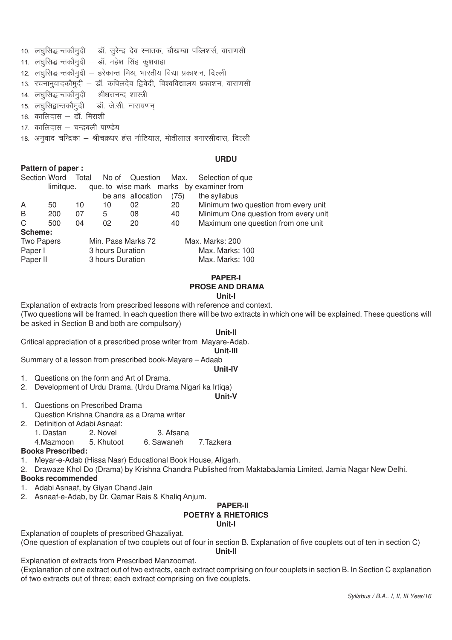- 10. लघूसिद्धान्तकौमुदी डॉ. सूरेन्द्र देव स्नातक, चौखम्बा पब्लिशर्स, वाराणसी
- 11. लघुसिद्धान्तकौमुदी डॉ. महेश सिंह कुशवाहा
- 12. लघुसिद्धान्तकौमुदी हरेकान्त मिश्र, भारतीय विद्या प्रकाशन, दिल्ली
- 13. रचनानुवादकौमुदी डॉ. कपिलदेव द्विवेदी, विश्वविद्यालय प्रकाशन, वाराणसी
- ा4. लघुसिद्धान्तकौमुदी श्रीधरानन्द शास्त्री
- 15. लघसिद्वान्तकौमदी डॉ. जे.सी. नारायणन
- $16$  कालिदास डॉ मिराशी
- 17. कालिदास चन्द्रबली पाण्डेय
- 18. अनुवाद चन्द्रिका श्रीचक्रधर हंस नौटियाल, मोतीलाल बनारसीदास, दिल्ली

#### **URDU**

#### **Pattern of paper :**

| Section Word Total |           |    |                    | No of Question Max. |      | Selection of que                         |
|--------------------|-----------|----|--------------------|---------------------|------|------------------------------------------|
|                    | limitque. |    |                    |                     |      | que. to wise mark marks by examiner from |
|                    |           |    |                    | be ans allocation   | (75) | the syllabus                             |
| A                  | 50        | 10 | 10                 | 02                  | 20   | Minimum two question from every unit     |
| B                  | 200       | 07 | 5                  | 08                  | 40   | Minimum One question from every unit     |
| C                  | 500       | 04 | 02                 | 20                  | 40   | Maximum one question from one unit       |
| Scheme:            |           |    |                    |                     |      |                                          |
| <b>Two Papers</b>  |           |    | Min. Pass Marks 72 |                     |      | Max. Marks: 200                          |
| Paper I            |           |    | 3 hours Duration   |                     |      | Max. Marks: 100                          |
| Paper II           |           |    | 3 hours Duration   |                     |      | Max. Marks: 100                          |

#### **PAPER-I PROSE AND DRAMA Unit-l**

Explanation of extracts from prescribed lessons with reference and context.

(Two questions will be framed. In each question there will be two extracts in which one will be explained. These questions will be asked in Section B and both are compulsory)

# **Unit-Il**

Critical appreciation of a prescribed prose writer from Mayare-Adab.

#### **Unit-III**

**Unit-IV**

Summary of a lesson from prescribed book-Mayare – Adaab

- 1. Questions on the form and Art of Drama.
- 2. Development of Urdu Drama. (Urdu Drama Nigari ka Irtiga)

#### **Unit-V**

- 1. Questions on Prescribed Drama Question Krishna Chandra as a Drama writer
- 2. Definition of Adabi Asnaaf:
	- 1. Dastan 2. Novel 3. Afsana
	- 4.Mazmoon 5. Khutoot 6. Sawaneh 7.Tazkera
- 

# **Books Prescribed:**

- 1. Meyar-e-Adab (Hissa Nasr) Educational Book House, Aligarh.
- 2. Drawaze Khol Do (Drama) by Krishna Chandra Published from MaktabaJamia Limited, Jamia Nagar New Delhi.

# **Books recommended**

- 1. Adabi Asnaaf, by Giyan Chand Jain
- 2. Asnaaf-e-Adab, by Dr. Qamar Rais & Khaliq Anjum.

#### **PAPER-II POETRY & RHETORICS Unit-l**

Explanation of couplets of prescribed Ghazaliyat.

(One question of explanation of two couplets out of four in section B. Explanation of five couplets out of ten in section C)

### **Unit-Il**

Explanation of extracts from Prescribed Manzoomat.

(Explanation of one extract out of two extracts, each extract comprising on four couplets in section B. In Section C explanation of two extracts out of three; each extract comprising on five couplets.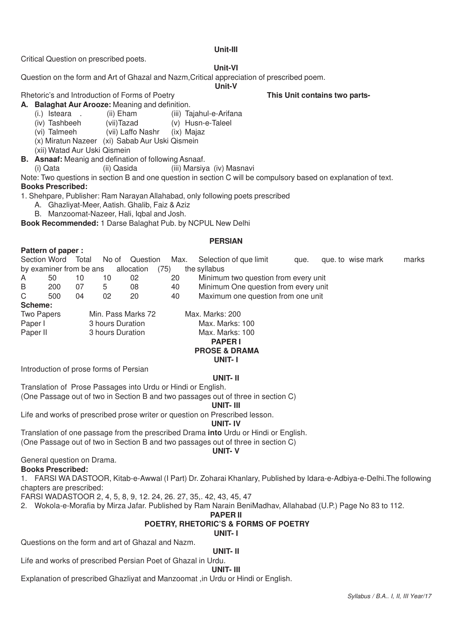# **Unit-III**

Critical Question on prescribed poets.

# **Unit-VI**

**Unit-V**

Question on the form and Art of Ghazal and Nazm,Critical appreciation of prescribed poem.

Rhetoric's and Introduction of Forms of Poetry **This Unit contains two parts-**

- **A. Balaghat Aur Arooze:** Meaning and definition.
	- (i.) Isteara . (ii) Eham (iii) Tajahul-e-Arifana<br>(iv) Tashbeeh (vii) Tazad (v) Husn-e-Taleel
	- (iv) Tashbeeh (vii)Tazad (v) Husn-e-Taleel<br>(vi) Talmeeh (vii) Laffo Nashr (ix) Maiaz
		- (vii) Laffo Nashr (ix) Majaz
	- (x) Miratun Nazeer (xi) Sabab Aur Uski Qismein

(xii) Watad Aur Uski Qismein

- **B. Asnaaf:** Meanig and defination of following Asnaaf.
	- (i) Qata (ii) Qasida (iii) Marsiya (iv) Masnavi

Note: Two questions in section B and one question in section C will be compulsory based on explanation of text. **Books Prescribed:**

1. Shehpare, Publisher: Ram Narayan Allahabad, only following poets prescribed

- A. Ghazliyat-Meer, Aatish. Ghalib, Faiz & Aziz
- B. Manzoomat-Nazeer, Hali, Iqbal and Josh.

**Book Recommended:** 1 Darse Balaghat Pub. by NCPUL New Delhi

# **PERSIAN**

|          | Pattern of paper:       |       |                  |                    |      |                                      |      |                   |       |
|----------|-------------------------|-------|------------------|--------------------|------|--------------------------------------|------|-------------------|-------|
|          | Section Word            | Total | No of            | Question           | Max. | Selection of que limit               | que. | que. to wise mark | marks |
|          | by examiner from be ans |       |                  | allocation         | (75) | the syllabus                         |      |                   |       |
| A        | 50                      | 10    | 10               | 02                 | 20   | Minimum two question from every unit |      |                   |       |
| B        | 200                     | 07    | 5                | 08                 | 40   | Minimum One question from every unit |      |                   |       |
| C        | 500                     | 04    | 02               | 20                 | 40   | Maximum one question from one unit   |      |                   |       |
| Scheme:  |                         |       |                  |                    |      |                                      |      |                   |       |
|          | Two Papers              |       |                  | Min. Pass Marks 72 |      | Max. Marks: 200                      |      |                   |       |
| Paper I  |                         |       | 3 hours Duration |                    |      | Max. Marks: 100                      |      |                   |       |
| Paper II |                         |       | 3 hours Duration |                    |      | Max. Marks: 100                      |      |                   |       |
|          |                         |       |                  |                    |      | <b>DADEDI</b>                        |      |                   |       |

#### **PAPER I PROSE & DRAMA UNIT- I**

Introduction of prose forms of Persian

# **UNIT- II**

Translation of Prose Passages into Urdu or Hindi or English. (One Passage out of two in Section B and two passages out of three in section C)

**UNIT- III**

Life and works of prescribed prose writer or question on Prescribed lesson.

#### **UNIT- IV**

Translation of one passage from the prescribed Drama **into** Urdu or Hindi or English.

(One Passage out of two in Section B and two passages out of three in section C)

### **UNIT- V**

General question on Drama.

# **Books Prescribed:**

**Pattern of participation** 

1. FARSI WA DASTOOR, Kitab-e-Awwal (I Part) Dr. Zoharai Khanlary, Published by Idara-e-Adbiya-e-Delhi.The following chapters are prescribed:

FARSI WADASTOOR 2, 4, 5, 8, 9, 12. 24, 26. 27, 35,. 42, 43, 45, 47

2. Wokola-e-Morafia by Mirza Jafar. Published by Ram Narain BeniMadhav, Allahabad (U.P.) Page No 83 to 112.

# **PAPER II**

# **POETRY, RHETORIC'S & FORMS OF POETRY**

**UNIT- I**

Questions on the form and art of Ghazal and Nazm.

# **UNIT- II**

Life and works of prescribed Persian Poet of Ghazal in Urdu.

#### **UNIT- III**

Explanation of prescribed Ghazliyat and Manzoomat ,in Urdu or Hindi or English.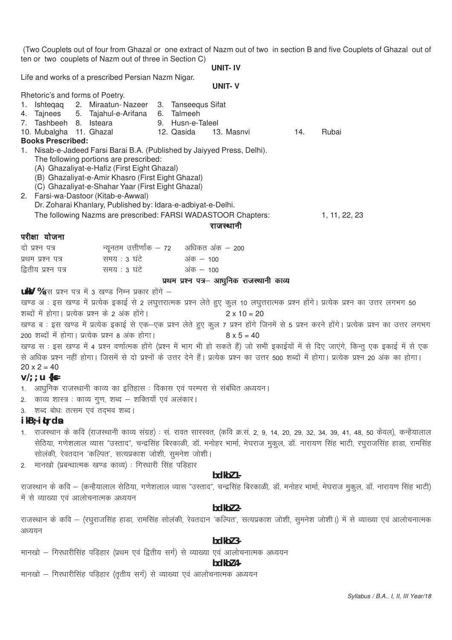(Two Couplets out of four from Ghazal or one extract of Nazm out of two in section B and five Couplets of Ghazal out of ten or two couplets of Nazm out of three in Section C)

**UNIT- IV**

Life and works of a prescribed Persian Nazm Nigar.

|                                 |                                                                                                        |                                            | <b>UNIT-V</b>      |     |                                                                                                                                                  |
|---------------------------------|--------------------------------------------------------------------------------------------------------|--------------------------------------------|--------------------|-----|--------------------------------------------------------------------------------------------------------------------------------------------------|
| Rhetoric's and forms of Poetry. |                                                                                                        |                                            |                    |     |                                                                                                                                                  |
|                                 | 1. Ishteqaq 2. Miraatun-Nazeer 3. Tanseequs Sifat                                                      |                                            |                    |     |                                                                                                                                                  |
| 7. Tashbeeh 8. Isteara          | 4. Tajnees 5. Tajahul-e-Arifana 6. Talmeeh                                                             | 9. Husn-e-Taleel                           |                    |     |                                                                                                                                                  |
| 10. Mubalgha 11. Ghazal         |                                                                                                        | 12. Qasida                                 | 13. Masnvi         | 14. | Rubai                                                                                                                                            |
| <b>Books Prescribed:</b>        |                                                                                                        |                                            |                    |     |                                                                                                                                                  |
|                                 | 1. Nisab-e-Jadeed Farsi Barai B.A. (Published by Jaiyyed Press, Delhi).                                |                                            |                    |     |                                                                                                                                                  |
|                                 | The following portions are prescribed:                                                                 |                                            |                    |     |                                                                                                                                                  |
|                                 | (A) Ghazaliyat-e-Hafiz (First Eight Ghazal)                                                            |                                            |                    |     |                                                                                                                                                  |
|                                 | (B) Ghazaliyat-e-Amir Khasro (First Eight Ghazal)<br>(C) Ghazaliyat-e-Shahar Yaar (First Eight Ghazal) |                                            |                    |     |                                                                                                                                                  |
|                                 | 2. Farsi-wa-Dastoor (Kitab-e-Awwal)                                                                    |                                            |                    |     |                                                                                                                                                  |
|                                 | Dr. Zoharai Khanlary, Published by: Idara-e-adbiyat-e-Delhi.                                           |                                            |                    |     |                                                                                                                                                  |
|                                 | The following Nazms are prescribed: FARSI WADASTOOR Chapters:                                          |                                            |                    |     | 1, 11, 22, 23                                                                                                                                    |
|                                 |                                                                                                        |                                            | राजस्थानी          |     |                                                                                                                                                  |
| परीक्षा योजना                   |                                                                                                        |                                            |                    |     |                                                                                                                                                  |
| दो प्रश्न पत्र                  |                                                                                                        | न्यूनतम उत्तीर्णाक – 72    अधिकत अंक – 200 |                    |     |                                                                                                                                                  |
| प्रथम प्रश्न पत्र               | समय : 3 घंटे                                                                                           | अंक – 100                                  |                    |     |                                                                                                                                                  |
| द्वितीय प्रश्न पत्र             | समय : 3 घंटे                                                                                           | अंक $-100$                                 |                    |     |                                                                                                                                                  |
|                                 |                                                                                                        | प्रथम प्रश्न पत्र– आधुनिक राजस्थानी काव्य  |                    |     |                                                                                                                                                  |
|                                 | uky %इस प्रश्न पत्र में 3 खण्ड निम्न प्रकार होंगे -                                                    |                                            |                    |     |                                                                                                                                                  |
|                                 |                                                                                                        |                                            |                    |     | खण्ड अ : इस खण्ड में प्रत्येक इकाई से 2 लघुत्तरात्मक प्रश्न लेते हुए कुल 10 लघुत्तरात्मक प्रश्न होंगे। प्रत्येक प्रश्न का उत्तर लगभग 50          |
|                                 | शब्दों में होगा। प्रत्येक प्रश्न के 2 अंक होंगे।                                                       |                                            | $2 \times 10 = 20$ |     |                                                                                                                                                  |
|                                 |                                                                                                        |                                            |                    |     | खण्ड ब : इस खण्ड में प्रत्येक इकाई से एक–एक प्रश्न लेते हुए कुल 7 प्रश्न होंगे जिनमें से 5 प्रश्न करने होंगे। प्रत्येक प्रश्न का उत्तर लगभग      |
|                                 | 200 शब्दों में होगा। प्रत्येक प्रश्न 8 अंक होगा।                                                       |                                            | $8 \times 5 = 40$  |     |                                                                                                                                                  |
|                                 |                                                                                                        |                                            |                    |     | खण्ड स : इस खण्ड में 4 प्रश्न वर्णात्मक होंगे (प्रश्न में भाग भी हो सकते हैं) जो सभी इकाईयों में से दिए जाएंगे, किन्तु एक इकाई में से एक         |
|                                 |                                                                                                        |                                            |                    |     | से अधिक प्रश्न नहीं होगा। जिसमें से दो प्रश्नों के उत्तर देने हैं। प्रत्येक प्रश्न का उत्तर 500 शब्दों में होगा। प्रत्येक प्रश्न 20 अंक का होगा। |
| $20 \times 2 = 40$              |                                                                                                        |                                            |                    |     |                                                                                                                                                  |
| $V$ ; ; u {k $\epsilon$         |                                                                                                        |                                            |                    |     |                                                                                                                                                  |
|                                 | 1. आधुनिक राजस्थानी काव्य का इतिहास : विकास एवं परम्परा से संबंधित अध्ययन।                             |                                            |                    |     |                                                                                                                                                  |
|                                 | 2. काव्य शास्त्र : काव्य गुण, शब्द – शक्तियाँ एवं अलंकार।                                              |                                            |                    |     |                                                                                                                                                  |
|                                 | 3. शब्द बोधः तत्सम एवं तद्भव शब्द।                                                                     |                                            |                    |     |                                                                                                                                                  |
| $ikB7$ i (rds                   |                                                                                                        |                                            |                    |     |                                                                                                                                                  |
|                                 |                                                                                                        |                                            |                    |     | 1. राजस्थान के कवि (राजस्थानी काव्य संग्रह) : सं. रावत सारस्वत, (कवि क्र.सं. 2, 9, 14, 20, 29, 32, 34, 39, 41, 48, 50 केवल), कन्हैयालाल          |
|                                 |                                                                                                        |                                            |                    |     | सेठिया, गणेशलाल व्यास "उस्ताद", चन्द्रसिंह बिरकाळी, डॉ. मनोहर भार्मा, मेघराज मुकुल, डॉ. नारायण सिंह भाटी, रघुराजसिंह हाडा, रामसिंह               |
|                                 | सोलंकी, रेवतदान 'कल्पित', सत्यप्रकाश जोशी, सुमनेश जोशी।                                                |                                            |                    |     |                                                                                                                                                  |
|                                 | 2. मानखो (प्रबन्धात्मक खण्ड काव्य) : गिरधारी सिंह पड़िहार                                              |                                            |                    |     |                                                                                                                                                  |
|                                 |                                                                                                        |                                            | bdkbl 1-           |     |                                                                                                                                                  |
|                                 |                                                                                                        |                                            |                    |     | राजस्थान के कवि – (कन्हैयालाल सेठिया, गणेशलाल व्यास "उस्ताद", चन्द्रसिंह बिरकाळी, डॉ. मनोहर भार्मा, मेघराज मुकुल, डॉ. नारायण सिंह भाटी)          |
|                                 | में से व्याख्या एवं आलोचनात्मक अध्ययन                                                                  |                                            |                    |     |                                                                                                                                                  |
|                                 |                                                                                                        |                                            | bdkbl 2-           |     |                                                                                                                                                  |
|                                 |                                                                                                        |                                            |                    |     | राजस्थान के कवि – (रघुराजसिंह हाडा, रामसिंह सोलंकी, रेवतदान 'कल्पित', सत्यप्रकाश जोशी, सुमनेश जोशी।) में से व्याख्या एवं आलोचनात्मक              |
| अध्ययन                          |                                                                                                        |                                            |                    |     |                                                                                                                                                  |
|                                 |                                                                                                        |                                            | bdkbl 3-           |     |                                                                                                                                                  |
|                                 | मानखो – गिरधारीसिंह पड़िहार (प्रथम एवं द्वितीय सर्ग) से व्याख्या एवं आलोचनात्मक अध्ययन                 |                                            |                    |     |                                                                                                                                                  |
|                                 |                                                                                                        |                                            |                    |     |                                                                                                                                                  |

**bdkbZ 4-**

मानखो – गिरधारीसिंह पड़िहार (तृतीय सर्ग) से व्याख्या एवं आलोचनात्मक अध्ययन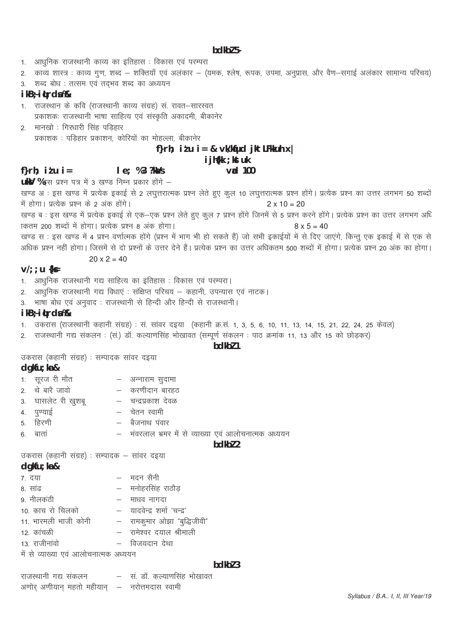### bdkbl 5-

- आधनिक राजस्थानी काव्य का इतिहास : विकास एवं परम्परा  $1.$
- 2. काव्य शास्त्र : काव्य गुण, शब्द शक्तियाँ एवं अलंकार (यमक, श्लेष, रूपक, उपमा, अनुप्रास, और वैण–सगाई अलंकार सामान्य परिचय)
- 3. शब्द बोध : तत्सम एवं तदभव शब्द का अध्ययन

#### ikB; itrda%

- 1. राजस्थान के कवि (राजस्थानी काव्य संग्रह) सं. रावत–सारस्वत प्रकाशकः राजस्थानी भाषा साहित्य एवं संस्कृति अकादमी, बीकानेर
- 2. मानखो : गिरधारी सिंह पडिहार प्रकाशक : पड़िहार प्रकाशन, कोरियों का मोहल्ला, बीकानेर

# f}rh; itu i = & vk/kfud jktLFkkuh x |

# i jh{kk ; kst uk

#### $v$ ad 100

- f} $r h$ :  $i l u$   $i =$  $le: %3?kMs$ uky %इस प्रश्न पत्र में 3 खण्ड निम्न प्रकार होंगे -
- खण्ड अः इस खण्ड में प्रत्येक इकाई से 2 लघुत्तरात्मक प्रश्न लेते हुए कुल 10 लघुत्तरात्मक प्रश्न होंगे। प्रत्येक प्रश्न का उत्तर लगभग 50 शब्दों में होगा। प्रत्येक प्रश्न के 2 अंक होंगे।  $2 \times 10 = 20$
- .<br>खण्ड ब : इस खण्ड में प्रत्येक इकाई से एक—एक प्रश्न लेते हुए कुल 7 प्रश्न होंगे जिनमें से 5 प्रश्न करने होंगे। प्रत्येक प्रश्न का उत्तर लगभग अधि कितम 200 शब्दों में होगा। प्रत्येक प्रश्न 8 अंक होगा।  $8 \times 5 = 40$
- खण्ड स : इस खण्ड में 4 प्रश्न वर्णात्मक होंगे (प्रश्न में भाग भी हो सकते हैं) जो सभी इकाईयों में से दिए जाएंगे, किन्तु एक इकाई में से एक से अधिक प्रश्न नहीं होगा। जिसमें से दो प्रश्नों के उत्तर देने हैं। प्रत्येक प्रश्न का उत्तर अधिकतम 500 शब्दों में होगा। प्रत्येक प्रश्न 20 अंक का होगा।

# $20 \times 2 = 40$

### $V': u$  { $kF$

- 1. आधुनिक राजस्थानी गद्य साहित्य का इतिहास : विकास एवं परम्परा।
- 2. आधुनिक राजस्थानी गद्य विधाएं : संक्षिप्त परिचय कहानी, उपन्यास एवं नाटक।
- 3. भाषा बोध एवं अनुवाद: राजस्थानी से हिन्दी और हिन्दी से राजस्थानी।

# ikB÷itrda%

- 1. उकरास (राजस्थानी कहानी संग्रह) : सं. सांवर दइया (कहानी क्र.सं. 1, 3, 5, 6, 10, 11, 13, 14, 15, 21, 22, 24, 25 केवल)
- 2. राजस्थानी गद्य संकलन : (सं.) डॉ. कल्याणसिंह भोखावत (सम्पूर्ण संकलन : पाठ क्रमांक 11, 13 और 15 को छोड़कर)

# bdkbl 1

उकरास (कहानी संग्रह) : सम्पादक सांवर दइया

#### $d$ qkfu; ka &

- 1. सूरज री मौत – अन्नाराम सदामा
- 2. थे बारै जावो – करणीदान बारहठ
- 3. घासलेट री खुशबू – चन्द्रप्रकाश देवळ
- चेतन स्वामी 4. पण्याई
- 5. हिरणी – बैजनाथ पंवार
- 
- 6 बातां

# – भंवरलाल भ्रमर में से व्याख्या एवं आलोचनात्मक अध्ययन

# bdkbl 2

 $hdkh$  3

उकरास (कहानी संग्रह) : सम्पादक – सांवर दइया

# $d$ qkfu; ka  $\&$

- 7. दया – मदन सैनी
- 8 सांढ
- मनोहरसिंह राठौड
- 9 नीलकंठी
- 
- माधव नागदा
- 
- 
- 
- 
- 10. काच रो चिलको - यादवेन्द्र शर्मा 'चन्द्र'
	-
	- -
	- - -
	-
- 11. भारमली भाजी कोनी
- 
- 
- 
- -

अणोर अणीयान महतो महीयान – नरोत्तमदास स्वामी

- 12. कांचळी 13 राजीनांवो
- 

– विजयदान देथा

- 
- 
- 
- 
- 

राजस्थानी गद्य संकलन

में से व्याख्या एवं आलोचनात्मक अध्ययन

- -
- 
- 
- 
- 
- 
- 
- 
- 
- 
- रामकुमार ओझा "बुद्धिजीवी"

– सं. डॉ. कल्याणसिंह भोखावत

- 
- 
- - रामेश्वर दयाल श्रीमाली
- 
- 
- 
- 
-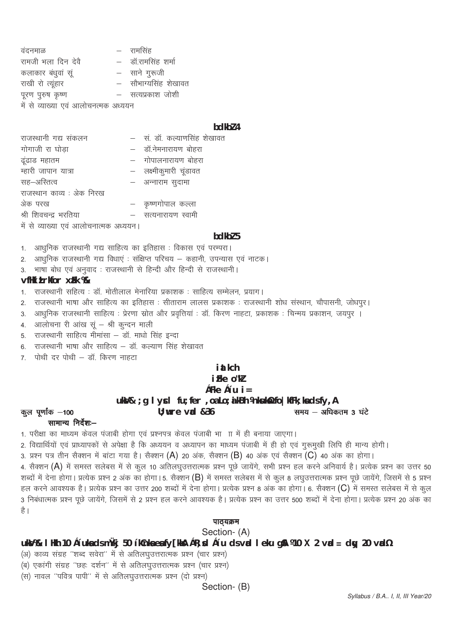वंदनमाळ – रामसिंह रामजी भला दिन देवै – डॉ.रामसिंह शर्मा कलाकार बंधुवां सू – साने गुरूजी राखी रो त्यूंहार - सौभाग्यसिंह शेखावत पूरण पुरुष कृष्ण – सत्यप्रकाश जोशी में से व्याख्या एवं आलोचनत्मक अध्ययन

#### bdkbl 4

| – सं. डॉ. कल्याणसिंह शेखावत            |
|----------------------------------------|
| - डॉ.नेमनारायण बोहरा                   |
| - गोपालनारायण बोहरा                    |
| – लक्ष्मीकुमारी चूंडावत                |
| – अन्नाराम सुदामा                      |
|                                        |
| – कृष्णगोपाल कल्ला                     |
| – सत्यनारायण स्वामी                    |
|                                        |
| में से व्याख्या एवं आलोचनात्मक अध्ययन। |

#### bdkbl 5

1. आधुनिक राजस्थानी गद्य साहित्य का इतिहास : विकास एवं परम्परा।

आधुनिक राजस्थानी गद्य विधाएं : संक्षिप्त परिचय – कहानी, उपन्यास एवं नाटक।  $2<sup>1</sup>$ 

भाषा बोध एवं अनुवाद : राजस्थानी से हिन्दी और हिन्दी से राजस्थानी।  $\overline{3}$ 

# vfHki Lrkfor xFk %

राजस्थानी सहित्य : डॉ. मोतीलाल मेनारिया प्रकाशक : साहित्य सम्मेलन, प्रयाग।  $1.$ 

राजस्थानी भाषा और साहित्य का इतिहास : सीताराम लालस प्रकाशक : राजस्थानी शोध संस्थान, चौपासनी, जोधपूर।  $\mathcal{P}$ 

्<br>आधुनिक राजस्थानी साहित्य : प्रेरणा स्रोत और प्रवृत्तियां : डॉ. किरण नाहटा, प्रकाशक : चिन्मय प्रकाशन, जयपुर ।  $3.$ 

्<br>आलोचना री आंख सूं – श्री कुन्दन माली  $4<sup>1</sup>$ 

5. राजस्थानी साहित्य मीमांसा – डॉ. माधो सिंह इन्दा

राजस्थानी भाषा और साहित्य – डॉ. कल्याण सिंह शेखावत 6

7. पोथी दर पोथी – डॉ. किरण नाहटा

# i at kch

# i Fke o"kl

çFke ç'u  $i =$ 

# कुल पूर्णांक –100

ukV& ; g I ycl fu; fer, oa Lo; a kBh Vnkuk¥ fo | kfFk; ka ds fy, A  $U:$  wre vad  $&36$ समय - अधिकतम 3 घंटे

# सामान्य निर्देश:--

1. परीक्षा का माध्यम केवल पंजाबी होगा एवं प्रश्नपत्र केवल पंजाबी भाग में ही बनाया जाएगा।

2. विद्यार्थियों एवं प्राध्यापकों से अपेक्षा है कि अध्ययन व अध्यापन का माध्यम पंजाबी में ही हो एवं गुरूमुखी लिपि ही मान्य होगी।

3. प्रश्न पत्र तीन सैक्शन में बांटा गया है। सैक्शन (A) 20 अंक, सैक्शन (B) 40 अंक एवं सैक्शन (C) 40 अंक का होगा।

4. सैक्शन (A) में समस्त सलेबस में से कुल 10 अतिलघुउत्तरात्मक प्रश्न पूछे जायेंगे, सभी प्रश्न हल करने अनिवार्य है। प्रत्येक प्रश्न का उत्तर 50

शब्दों में देना होगा। प्रत्येक प्रश्न 2 अंक का होगा। 5. सैक्शन (B) में समस्त सलेबस में से कूल 8 लघुउत्तरात्मक प्रश्न पूछे जायेंगे, जिसमें से 5 प्रश्न हल करने आवश्यक है। प्रत्येक प्रश्न का उत्तर 200 शब्दों में देना होगा। प्रत्येक प्रश्न 8 अंक का होगा। 6. सैक्शन (C) में समस्त सलेबस में से कूल .<br>3 निबंधात्मक प्रश्न पूछे जायेंगे, जिसमें से 2 प्रश्न हल करने आवश्यक है। प्रत्येक प्रश्न का उत्तर 500 शब्दों में देना होगा। प्रत्येक प्रश्न 20 अंक का

है ।

# पाठयक्रम

Section-(A)

uk $M\$  I Hkh 10 c'uka ds mùlkj 50 'kCnka ea fy [kka] cR; xd c'u ds vad I eku g\$1 ¼10 X 2 vad = day 20 vad½

(अ) काव्य संग्रह "शब्द सवेरा" में से अतिलघुउत्तरात्मक प्रश्न (चार प्रश्न)

(ब) एकांगी संग्रह "छहः दर्शन" में से अतिलघुउत्तरात्मक प्रश्न (चार प्रश्न)

(स) नावल "पवित्र पापी" में से अतिलघुउत्तरात्मक प्रश्न (दो प्रश्न)

Section- (B)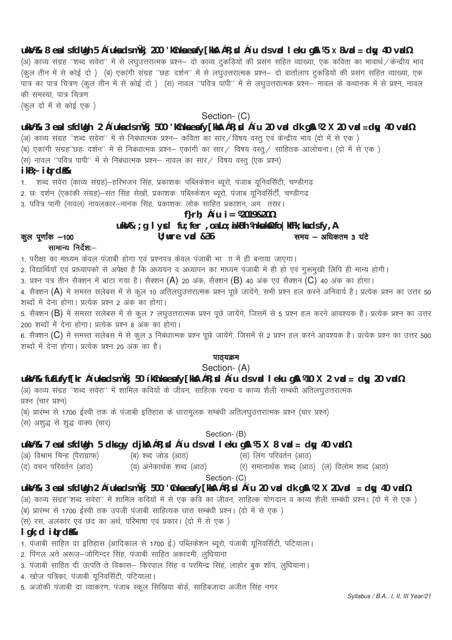**uksV%& 8 esa ls fdUgh 5 ç'uksa ds mÙkj 200 'kCnksa esa fy[kksA çR;sd ç'u ds vad leku gSA ¼5 X 8vad = dqy 40 vad½** (अ) काव्य संग्रह ''शब्द सवेरा'' में से लघुउत्तरात्मक प्रश्न– दो काव्य टुकडियों की प्रसंग सहित व्याख्या, एक कविता का भावार्थ / केन्द्रीय भाव ्<br>(कूल तीन में से कोई दो ) (ब) एकांगी संग्रह ''छहः दर्शन'' में से लघुउत्तरात्मक प्रश्न— दो वार्तालाप दुकड़ियों की प्रसंग सहित व्याख्या, एक ik= dk ik= fp=.k ¼dqy rhu esa ls dksbZ nks ½ ¼l½ ukoy ^^ifo= ikih\*\* esa ls y?kqmÙkjkRed ç'u& ukoy ds dFkkud esa ls ç'u] ukoy की समस्या, पात्र चित्रण (कल दो में से कोई एक)

# Section- (C)

# **uksV%& 3 esa ls fdUgh 2 ç'uksa ds mÙkj 500 'kCnksa esa fy[kksA çR;sd ç'u 20 vad dk gSA ¼2 X 20 vad =dqy 40 vad½**

(अ) काव्य संग्रह "शब्द सवेरा" में से निबंधात्मक प्रश्न– कविता का सार / विषय वस्तु एवं केन्द्रीय भाव (दो में से एक )

्<br>(ब) एकांगी संग्रह"छहः दर्शन" में से निबंधात्मक प्रश्न— एकांगी का सार⁄ विषय वस्त्⁄ साहितक आलोचना। (दो में से एक

 $\widetilde{r}(\vec{x})$  नावल ''पवित्र पापी'' में से निबंधात्मक प्रश्न— नावल का सार ⁄ विषय वस्तु (एक प्रश्न)

# **ikB~; iqLrdas%&**

1. शब्द सवेरा (काव्य संग्रह)—हरिभजन सिंह, प्रकाशकः पब्लिकेशन ब्यूरो, पंजाब यूनिवर्सिटी, चण्डीगढ़

2. छः दर्शन (एकांकी संग्रह)–संत सिंह सेखों, प्रकाशकः पब्लिकेशन ब्यूरो, पंजाब यूनिवर्सिटी, चण्डीगढ

3. पवित्र पानी (नावल) नावलकार–नानक सिंह, प्रकाशकः लोक साहित प्रकाशन, अमज्तसर।

# **f}rh; ç'u i= ¼2019&20½**

# uksV& ; g I ycl fu; fer , oa Lo; a kBh \nkukstx fo | kfFk; ka ds fy, A

कल पूर्णांक -100 **U; wre vid &36** less word with the set of the set of the 3 संदे

# $m$ मामान्य निर्देश $-$

1. परीक्षा का माध्यम केवल पंजाबी होगा एवं प्रश्नपत्र केवल पंजाबी भा ाा में ही बनाया जाएगा।

2. विद्यार्थियों एवं प्राध्यापकों से अपेक्षा है कि अध्ययन व अध्यापन का माध्यम पंजाबी में ही हो एवं गुरूमुखी लिपि ही मान्य होगी।

3. प्रश्न पत्र तीन सैक्शन में बांटा गया है। सैक्शन (A) 20 अंक, सैक्शन (B) 40 अंक एवं सैक्शन (C) 40 अंक का होगा।

4. सैक्शन (A) में समस्त सलेबस में से कूल 10 अतिलघुउत्तरात्मक प्रश्न पूछे जायेंगे, सभी प्रश्न हल करने अनिवार्य है। प्रत्येक प्रश्न का उत्तर 50 शब्दों में देना होगा। प्रत्येक प्रश्न 2 अंक का होगा।

5. सैक्शन (B) में समस्त सलेबस में से कुल 7 लघुउत्तरात्मक प्रश्न पूछे जायेंगे, जिसमें से 5 प्रश्न हल करने आवश्यक है। प्रत्येक प्रश्न का उत्तर 200 शब्दों में देना होगा। प्रत्येक प्रश्न 8 अंक का होगा।

6. सैक्शन (C) में समस्त सलेबस में से कूल 3 निबंधात्मक प्रश्न पूछे जायेंगे, जिसमें से 2 प्रश्न हल करने आवश्यक है। प्रत्येक प्रश्न का उत्तर 500 शब्दों में देना होगा। प्रत्येक प्रश्न 20 अंक का है।

# पाठ्यक्रम

Section- (A)

# **uksV%& fuEufyf[kr ç'uksa ds mÙkj 50 'kCnksa esa fy[kksA çR;sd ç'u ds vad leku gSA ¼10 X 2 vad = dqy 20 vad½**

(अ) काव्य संग्रह ''शब्द सवेरा'' में शामिल कवियों के जीवन, साहित्क रचना व काव्य शैली सम्बंधी अतिलघुउत्तरात्मक प्रश्न (चार प्रश्न)

(ब) प्रारम्भ से 1700 ईस्वी तक के पंजाबी इतिहास के धारामुलक सम्बंधी अतिलघुउत्तरात्मक प्रश्न (चार प्रश्न)

(स) अशुद्ध से शुद्ध वाक्य (चार)

Section- (B)

# **uksV%& 7 esa ls fdUgh 5 dks gy djksA çR;sd ç'u ds vad leku gSA ¼5 X 8 vad = dqy 40 vad½**

(अ) विश्राम चिन्ह (पैराग्राफ) (ब) श्ब्द जोड़ (आठ) (स) लिंग परिवर्तन (आठ)

(द) वचन परिवर्तन (आठ) (य) अनेकार्थक शब्द (आठ) (र) समानार्थक शब्द (आठ) (ल) विलोम शब्द (आठ)

# Section- (C)

# **uksV%& 3 esa ls fdUgh 2 ç'uksa ds mÙkj 500 'Cnksa esa fy[kksA çR;sd ç'u 20 vad dk gSA ¼2 X 20vad = dqy 40 vad½**

(अ) काव्य संग्रह"शब्द सवेरा" में शामिल कवियों में से एक कवि का जीवन, साहित्क योगदान व काव्य शैली सम्बंधी प्रश्न। (दो में से एक )

(ब) प्रारम्भ से 1700 ईस्वी तक उपजी पंजाबी साहित्यक धारा सम्बंधी प्रश्न। (दो में से एक)

,<br>(स) रस, अलंकार एवं छंद का अर्थ, परिभाषा एवं प्रकार। (दो में से एक )

# **lgk;d iqLrdsa%&**

- 1. पंजाबी साहित दा इतिहास (आदिकाल से 1700 ई.) पब्लिकेशन ब्यूरो, पंजाबी यूनिवर्सिटी, पटियाला।
- 2. पिंगल अते अरूज-जोगिन्दर सिंह, पंजाबी साहित अकादमी, लुधियांना
- 3. पंजाबी साहित दी उत्पति ते विकास— किरपाल सिंह व परमिन्द्र सिंह, लाहोर बुक शॉप, लुधियाना।
- 4. खोज पत्रिका, पंजाबी यूनिवर्सिटी, पटियाला।
- 5. अजोकी पंजाबी दा व्याकरण, पंजाब स्कूल सिखिया बोर्ड, साहिबजादा अजीत सिंह नगर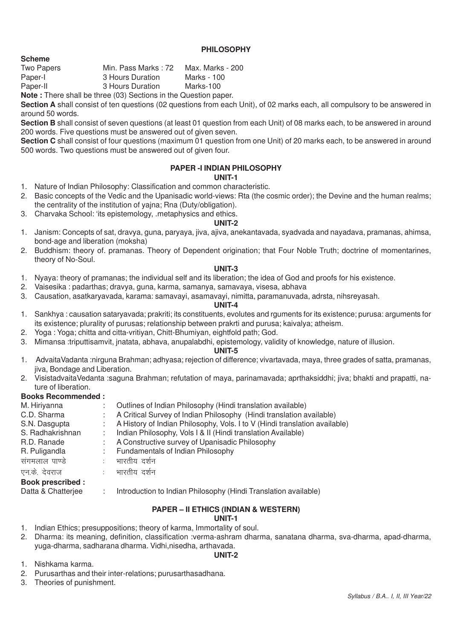### **PHILOSOPHY**

**Scheme**<br>Two Papers Min. Pass Marks : 72 Max. Marks - 200 Paper-I 3 Hours Duration Marks - 100 Paper-II 3 Hours Duration Marks-100

**Note :** There shall be three (03) Sections in the Question paper.

**Section A** shall consist of ten questions (02 questions from each Unit), of 02 marks each, all compulsory to be answered in around 50 words.

**Section B** shall consist of seven questions (at least 01 question from each Unit) of 08 marks each, to be answered in around 200 words. Five questions must be answered out of given seven.

**Section C** shall consist of four questions (maximum 01 question from one Unit) of 20 marks each, to be answered in around 500 words. Two questions must be answered out of given four.

# **PAPER -I INDIAN PHILOSOPHY**

# **UNIT-1**

- 1. Nature of Indian Philosophy: Classification and common characteristic.
- 2. Basic concepts of the Vedic and the Upanisadic world-views: Rta (the cosmic order); the Devine and the human realms; the centrality of the institution of yajna; Rna (Duty/obligation).
- 3. Charvaka School: 'its epistemology, .metaphysics and ethics.

# **UNIT-2**

- 1. Janism: Concepts of sat, dravya, guna, paryaya, jiva, ajiva, anekantavada, syadvada and nayadava, pramanas, ahimsa, bond-age and liberation (moksha)
- 2. Buddhism: theory of. pramanas. Theory of Dependent origination; that Four Noble Truth; doctrine of momentarines, theory of No-Soul.

# **UNIT-3**

- 1. Nyaya: theory of pramanas; the individual self and its liberation; the idea of God and proofs for his existence.
- 2. Vaisesika : padarthas; dravya, guna, karma, samanya, samavaya, visesa, abhava
- 3. Causation, asatkaryavada, karama: samavayi, asamavayi, nimitta, paramanuvada, adrsta, nihsreyasah.

#### **UNIT-4**

- 1. Sankhya : causation sataryavada; prakriti; its constituents, evolutes and rguments for its existence; purusa: arguments for its existence; plurality of purusas; relationship between prakrti and purusa; kaivalya; atheism.
- 2. Yoga : Yoga; chitta and citta-vritiyan, Chitt-Bhumiyan, eightfold path; God.
- 3. Mimansa :triputtisamvit, jnatata, abhava, anupalabdhi, epistemology, validity of knowledge, nature of illusion.

#### **UNIT-5**

- 1. AdvaitaVadanta :nirguna Brahman; adhyasa; rejection of difference; vivartavada, maya, three grades of satta, pramanas, jiva, Bondage and Liberation.
- 2. VisistadvaitaVedanta :saguna Brahman; refutation of maya, parinamavada; aprthaksiddhi; jiva; bhakti and prapatti, nature of liberation.

# **Books Recommended :**

| M. Hiriyanna            | Outlines of Indian Philosophy (Hindi translation available)                |
|-------------------------|----------------------------------------------------------------------------|
| C.D. Sharma             | A Critical Survey of Indian Philosophy (Hindi translation available)       |
| S.N. Dasgupta           | A History of Indian Philosophy, Vols. I to V (Hindi translation available) |
| S. Radhakrishnan        | Indian Philosophy, Vols I & II (Hindi translation Available)               |
| R.D. Ranade             | A Constructive survey of Upanisadic Philosophy                             |
| R. Puligandla           | Fundamentals of Indian Philosophy                                          |
| संगमलाल पाण्डे          | भारतीय दर्शन                                                               |
| एन.के. देवराज           | भारतीय दर्शन                                                               |
| <b>Book prescribed:</b> |                                                                            |
| Datta & Chatterjee      | Introduction to Indian Philosophy (Hindi Translation available)            |

# **PAPER – II ETHICS (INDIAN & WESTERN)**

# **UNIT-1**

- 1. Indian Ethics; presuppositions; theory of karma, Immortality of soul.
- 2. Dharma: its meaning, definition, classification :verma-ashram dharma, sanatana dharma, sva-dharma, apad-dharma, yuga-dharma, sadharana dharma. Vidhi,nisedha, arthavada.

#### **UNIT-2**

- 1. Nishkama karma.
- 2. Purusarthas and their inter-relations; purusarthasadhana.
- 3. Theories of punishment.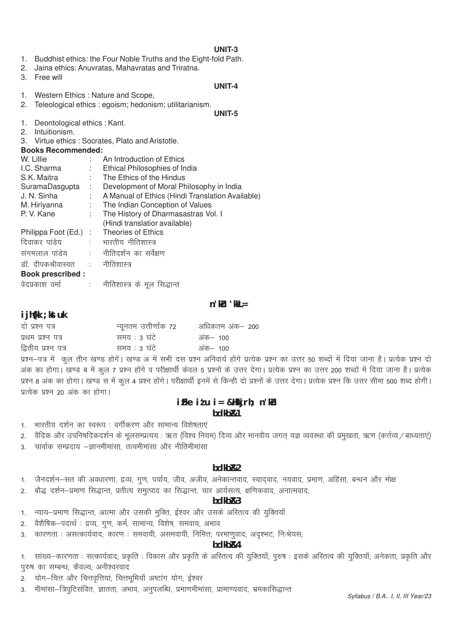# $UNIT-3$

- 1. Buddhist ethics: the Four Noble Truths and the Eight-fold Path.
- 2. Jaina ethics: Anuvratas, Mahavratas and Triratna.
- 3. Free will

#### UNIT-4

- 1. Western Ethics : Nature and Scope,
- 2. Teleological ethics : egoism; hedonism; utilitarianism. **UNIT-5**
- 1. Deontological ethics : Kant.
- 2. Intuitionism.
- Virtue ethics: Socrates, Plato and Aristotle.  $\mathcal{S}$
- **Books Recommended:**

| W. Lillie                        |      | An Introduction of Ethics                                                                                                                                                                                                                                                                                                                                                         |
|----------------------------------|------|-----------------------------------------------------------------------------------------------------------------------------------------------------------------------------------------------------------------------------------------------------------------------------------------------------------------------------------------------------------------------------------|
| I.C. Sharma                      |      | Ethical Philosophies of India                                                                                                                                                                                                                                                                                                                                                     |
| S.K. Maitra                      | t in | The Ethics of the Hindus                                                                                                                                                                                                                                                                                                                                                          |
| SuramaDasgupta                   | ÷.   | Development of Moral Philosophy in India                                                                                                                                                                                                                                                                                                                                          |
| J. N. Sinha                      | t.   | A Manual of Ethics (Hindi Translation Available)                                                                                                                                                                                                                                                                                                                                  |
| M. Hiriyanna                     | ÷.   | The Indian Conception of Values                                                                                                                                                                                                                                                                                                                                                   |
| P. V. Kane                       | ÷.   | The History of Dharmasastras Vol. I                                                                                                                                                                                                                                                                                                                                               |
|                                  |      | (Hindi translatior available)                                                                                                                                                                                                                                                                                                                                                     |
| Philippa Foot (Ed.)              |      | : Theories of Ethics                                                                                                                                                                                                                                                                                                                                                              |
| दिवाकर पांडेय                    |      | ः भारतीय नीतिशास्त्र                                                                                                                                                                                                                                                                                                                                                              |
| संगमलाल पांडेय                   |      | :    नीतिदर्शन का सर्वेक्षण                                                                                                                                                                                                                                                                                                                                                       |
| डॉ. दीपकश्रीवास्वत ः नीतिशास्त्र |      |                                                                                                                                                                                                                                                                                                                                                                                   |
| <b>Book prescribed:</b>          |      |                                                                                                                                                                                                                                                                                                                                                                                   |
| $\frac{1}{2}$                    |      | $\begin{picture}(150,10) \put(0,0){\dashbox{0.5}(10,0){ }} \put(150,0){\circle{10}} \put(150,0){\circle{10}} \put(150,0){\circle{10}} \put(150,0){\circle{10}} \put(150,0){\circle{10}} \put(150,0){\circle{10}} \put(150,0){\circle{10}} \put(150,0){\circle{10}} \put(150,0){\circle{10}} \put(150,0){\circle{10}} \put(150,0){\circle{10}} \put(150,0){\circle{10}} \put(150,$ |

वेदप्रकाश वर्मा नीतिशास्त्र के मूल सिद्धान्त

# $n'$ ku 'kk $L =$

# i jh{kk ; kst uk

| दो प्रश्न पत्र      | न्यूनतम उत्तीर्णांक 72 | अधिकतम अंक— 200      |
|---------------------|------------------------|----------------------|
| प्रथम प्रश्न पत्र   | समय : ३ घंटे           | अंक— 100             |
| द्वितीय प्रश्न पत्र | समय : 3 घंटे           | अंक– 100             |
|                     |                        | $\sim$ $\sim$ $\sim$ |

प्रश्न-पत्र में कुल तीन खण्ड होगे। खण्ड अ में सभी दस प्रश्न अनिवार्य होंगे प्रत्येक प्रश्न का उत्तर 50 शब्दों में दिया जाना है। प्रत्येक प्रश्न दो अंक का होगा। खण्ड ब में कुल 7 प्रश्न होंगे व परीक्षार्थी केवल 5 प्रश्नों के उत्तर देगा। प्रत्येक प्रश्न का उत्तर 200 शब्दों में दिया जाना है। प्रत्येक प्रश्न 8 अंक का होगा। खण्ड स में कुल 4 प्रश्न होंगे। परीक्षार्थी इनमें से किन्ही दो प्रश्नों के उत्तर देगा। प्रत्येक प्रश्न कि उत्तर सीमा 500 शब्द होगी। प्रत्येक प्रश्न 20 अंक का होगा।

# $iFke$   $i'u$   $i =$  & Hkkj rh; n'ku bdkb<sub>R1</sub>

- भारतीय दर्शन का स्वरूप : वर्गीकरण और सामान्य विशेषताएं  $\mathbf{1}$
- वैदिक और उपनिषदिकदर्शन के मूलसम्प्रत्यय : ऋत (विश्व नियम) दिव्य और मानवीय जगत् यज्ञ व्यवस्था की प्रमुखता, ऋण (कर्त्तव्य / बाध्यताएं)  $2.$
- चार्वाक सम्प्रदाय –ज्ञानमीमांसा, तत्वमीमांसा और नीतिमीमांसा  $\overline{3}$

# bdkb<sub>R2</sub>

- जैनदर्शन–सत की अवधारणा, द्रव्य, गुण, पर्याय, जीव, अजीव, अनेकान्तवाद, स्यादवाद, नयवाद, प्रमाण, अहिंसा, बन्धन और मोक्ष  $\mathbf{1}$
- बौद्ध दर्शन-प्रमाण सिद्धान्त, प्रतीत्य समुत्पाद का सिद्धान्त, चार आर्यसत्य, क्षणिकवाद, अनात्मवाद,  $\mathcal{P}$

#### bdkb<sub>R3</sub>

- न्याय-प्रमाण सिद्धान्त, आत्मा और उसकी मुक्ति, ईश्वर और उसके अस्तित्व की युक्तियाँ  $1<sub>1</sub>$
- वैशैषिक—पदार्थ: द्रव्य, गूण, कर्म, सामान्य, विशेष, समवाय, अभाव  $\mathcal{D}$
- कारणताः असत्कार्यवादः कारणः समवायी, असमवायी, निमित्तः परमाणुवादः अदृश्भटः निःश्रेयसः  $\mathcal{S}$

# bdkb<sub>R4</sub>

सांख्य-कारणता : सत्कार्यवाद; प्रकृति : विकास और प्रकृति के अस्तित्व की युक्तियाँ; पुरुष : इसके अस्तित्व की युक्तियाँ; अनेकता; प्रकृति और  $1<sub>1</sub>$ पुरुष का सम्बन्ध; कैवल्य; अनीश्वरवाद

- योग-चित्त और चित्तवृत्तियां; चित्तभूमियाँ अष्टांग योग; ईश्वर
- मीमांसा–त्रिपुटिसंवित, ज्ञातता, अभाव, अनुपलब्धि, प्रमाणमीमांसा, प्रामाण्यवाद, भ्रमकासिद्धान्त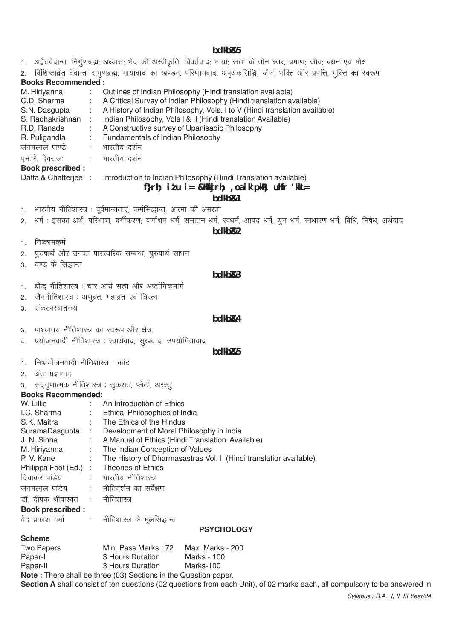**bdkbZ&5**

1. अद्वैतवेदान्त-निर्गुणब्रह्म; अध्यास; भेद की अस्वीकृति; विवर्तवाद; माया; सत्ता के तीन स्तर, प्रमाण; जीव; बंधन एवं मोक्ष

2. विशिष्टाद्वैत वेदान्त-सगुणब्रह्म; मायावाद का खण्डन; परिणामवाद; अपृथकसिद्धि; जीव; भक्ति और प्रपत्ति; मुक्ति का स्वरूप

# **Books Recommended :**

| M. Hiriyanna            | Outlines of Indian Philosophy (Hindi translation available)                |
|-------------------------|----------------------------------------------------------------------------|
| C.D. Sharma             | A Critical Survey of Indian Philosophy (Hindi translation available)       |
| S.N. Dasgupta           | A History of Indian Philosophy, Vols. I to V (Hindi translation available) |
| S. Radhakrishnan        | Indian Philosophy, Vols I & II (Hindi translation Available)               |
| R.D. Ranade             | A Constructive survey of Upanisadic Philosophy                             |
| R. Puligandla           | Fundamentals of Indian Philosophy                                          |
| संगमलाल पाण्डे          | भारतीय दर्शन                                                               |
| एन.के. देवराजः          | : भारतीय दर्शन                                                             |
| <b>Book prescribed:</b> |                                                                            |

Datta & Chatterjee : Introduction to Indian Philosophy (Hindi Translation available)

# **f}rh; iz'u i= &Hkkjrh; ,oa ik'pkR; uhfr 'kkL=**

# **bdkbZ&1**

- 1. भारतीय नीतिशास्त्र : पूर्वमान्यताएं, कर्मसिद्धान्त, आत्मा की अमरता
- 2. धर्म : इसका अर्थ, परिभाषा, वर्गीकरण; वर्णाश्रम धर्म, सनातन धर्म, स्वधर्म, आपद धर्म, युग धर्म, साधारण धर्म, विधि, निषेध, अर्थवाद

**bdkbZ&2**

- 1 निष्कामकर्म
- 2. पुरुषार्थ और उनका पारस्परिक सम्बन्ध, पुरुषार्थ साधन
- 3. दण्ड के सिद्धान्त

# **bdkbZ&3**

- 1. बौद्ध नीतिशास्त्र : चार आर्य सत्य और अष्टांगिकमार्ग
- 2. जैननीतिशास्त्र : अणूव्रत, महाव्रत एवं त्रिरत्न
- 3. संकल्पस्वातन्त्र्य

### **bdkbZ&4**

- 3. पाश्चातय नीतिशास्त्र का स्वरूप और क्षेत्र.
- 4. प्रयोजनवादी नीतिशास्त्र : स्वार्थवाद, सुखवाद, उपयोगितावाद

# **bdkbZ&5**

- 1 निष्प्रयोजनवादी नीतिशास्त्र : कांट
- 2. अंतः प्रज्ञावाद
- 3. सद्गुणात्मक नीतिशास्त्र : सुकरात, प्लेटो, अरस्तु

# **Books Recommended:**

| W. Lillie                                | ÷.             | An Introduction of Ethics                                           |
|------------------------------------------|----------------|---------------------------------------------------------------------|
| I.C. Sharma                              |                | : Ethical Philosophies of India                                     |
| S.K. Maitra                              | t in           | The Ethics of the Hindus                                            |
| SuramaDasgupta                           | $\sim 10^{-1}$ | Development of Moral Philosophy in India                            |
| J. N. Sinha                              | ÷.             | A Manual of Ethics (Hindi Translation Available)                    |
|                                          |                | M. Hiriyanna : The Indian Conception of Values                      |
| P. V. Kane                               |                | : The History of Dharmasastras Vol. I (Hindi translatior available) |
| Philippa Foot (Ed.) : Theories of Ethics |                |                                                                     |
| दिवाकर पांडेय विजय भारतीय नीतिशास्त्र    |                |                                                                     |
| संगमलाल पांडेय वितिदर्शन का सर्वेक्षण    |                |                                                                     |
| डॉ. दीपक श्रीवास्वत ः नीतिशास्त्र        |                |                                                                     |
| <b>Book prescribed:</b>                  |                |                                                                     |
|                                          |                | वेद प्रकाश वर्मा विशास्त्र के मूलसिद्धान्त                          |

# **PSYCHOLOGY**

# **Scheme**

| Two Papers | Min. Pass Marks: 72                                                | Max. Marks - 200 |
|------------|--------------------------------------------------------------------|------------------|
| Paper-I    | 3 Hours Duration                                                   | Marks - 100      |
| Paper-II   | 3 Hours Duration                                                   | Marks-100        |
|            | Note : There aboll be three $(0.9)$ Centiana in the Question paper |                  |

**Note :** There shall be three (03) Sections in the Question paper. **Section A** shall consist of ten questions (02 questions from each Unit), of 02 marks each, all compulsory to be answered in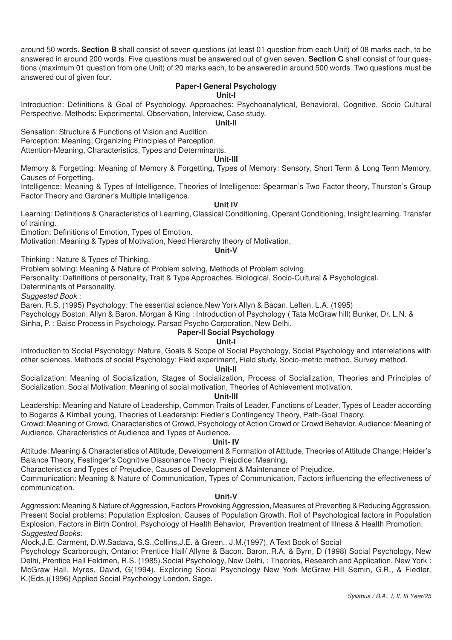around 50 words. **Section B** shall consist of seven questions (at least 01 question from each Unit) of 08 marks each, to be answered in around 200 words. Five questions must be answered out of given seven. **Section C** shall consist of four questions (maximum 01 question from one Unit) of 20 marks each, to be answered in around 500 words. Two questions must be answered out of given four.

# **Paper-I General Psychology**

# **Unit-I**

Introduction: Definitions & Goal of Psychology, Approaches: Psychoanalytical, Behavioral, Cognitive, Socio Cultural Perspective. Methods: Experimental, Observation, Interview, Case study.

#### **Unit-II**

Sensation: Structure & Functions of Vision and Audition. Perception: Meaning, Organizing Principles of Perception. Attention-Meaning, Characteristics, Types and Determinants.

# **Unit-III**

Memory & Forgetting: Meaning of Memory & Forgetting, Types of Memory: Sensory, Short Term & Long Term Memory, Causes of Forgetting.

Intelligence: Meaning & Types of Intelligence, Theories of Intelligence: Spearman's Two Factor theory, Thurston's Group Factor Theory and Gardner's Multiple Intelligence.

# **Unit IV**

Learning: Definitions & Characteristics of Learning, Classical Conditioning, Operant Conditioning, Insight learning. Transfer of training.

Emotion: Definitions of Emotion, Types of Emotion.

Motivation: Meaning & Types of Motivation, Need Hierarchy theory of Motivation.

# **Unit-V**

Thinking : Nature & Types of Thinking.

Problem solving: Meaning & Nature of Problem solving, Methods of Problem solving.

Personality: Definitions of personality, Trait & Type Approaches. Biological, Socio-Cultural & Psychological.

Determinants of Personality.

*Suggested Book :*

Baren. R.S. (1995) Psychology: The essential science.New York Allyn & Bacan. Leften. L.A. (1995)

Psychology Boston: Allyn & Baron. Morgan & King : Introduction of Psychology ( Tata McGraw hill) Bunker, Dr. L.N. &

Sinha, P. : Baisc Process in Psychology. Parsad Psycho Corporation, New Delhi.

# **Paper-II Social Psychology**

# **Unit-I**

Introduction to Social Psychology: Nature, Goals & Scope of Social Psychology, Social Psychology and interrelations with other sciences. Methods of social Psychology: Field experiment, Field study, Socio-metric method, Survey method.

#### **Unit-II**

Socialization: Meaning of Socialization, Stages of Socialization, Process of Socialization, Theories and Principles of Socialization. Social Motivation: Meaning of social motivation, Theories of Achievement motivation.

#### **Unit-III**

Leadership: Meaning and Nature of Leadership, Common Traits of Leader, Functions of Leader, Types of Leader according to Bogards & Kimball young, Theories of Leadership: Fiedler's Contingency Theory, Path-Goal Theory.

Crowd: Meaning of Crowd, Characteristics of Crowd, Psychology of Action Crowd or Crowd Behavior. Audience: Meaning of Audience, Characteristics of Audience and Types of Audience.

# **Unit- IV**

Attitude: Meaning & Characteristics of Attitude, Development & Formation of Attitude, Theories of Attitude Change: Heider's Balance Theory, Festinger's Cognitive Dissonance Theory. Prejudice: Meaning,

Characteristics and Types of Prejudice, Causes of Development & Maintenance of Prejudice.

Communication: Meaning & Nature of Communication, Types of Communication, Factors influencing the effectiveness of communication.

# **Unit-V**

Aggression: Meaning & Nature of Aggression, Factors Provoking Aggression, Measures of Preventing & Reducing Aggression. Present Social problems: Population Explosion, Causes of Population Growth, Roll of Psychological factors in Population Explosion, Factors in Birth Control, Psychology of Health Behavior, Prevention treatment of Illness & Health Promotion. *Suggested Books:*

Alock,J.E. Carment, D.W.Sadava, S.S.,Collins,J.E. & Green,. J.M.(1997). A Text Book of Social

Psychology Scarborough, Ontario: Prentice Hall/ Allyne & Bacon. Baron,.R.A. & Byrn, D (1998) Social Psychology, New Delhi, Prentice Hall Feldmen, R.S. (1985).Social Psychology, New Delhi, : Theories, Research and Application, New York : McGraw Hall. Myres, David, G(1994). Exploring Social Psychology New York McGraw Hill Semin, G.R., & Fiedler, K.(Eds.)(1996) Applied Social Psychology London, Sage.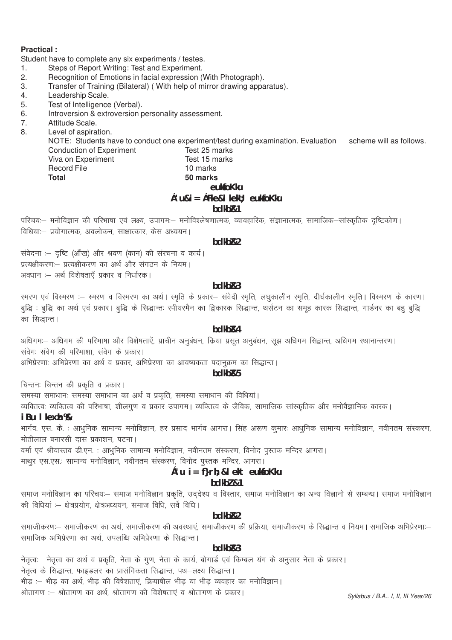### **Practical:**

Student have to complete any six experiments / testes.

- Steps of Report Writing: Test and Experiment.  $\mathbf{1}$ .
- Recognition of Emotions in facial expression (With Photograph).  $2.$
- Transfer of Training (Bilateral) (With help of mirror drawing apparatus). 3.
- Leadership Scale.  $4.$
- 5. Test of Intelligence (Verbal).
- Introversion & extroversion personality assessment. 6.
- $\overline{7}$ . Attitude Scale.
- $\mathsf{R}$ Level of aspiration.

NOTE: Students have to conduct one experiment/test during examination. Evaluation scheme will as follows. Test 25 marks **Conduction of Experiment** 

Viva on Experiment **Record File Total** 

# Test 15 marks 10 marks 50 marks eukfoKku  $c'$ u& $i = c$ Fke&l kek $i$ : eukfoKku bdkb<sub>R1</sub>

परिचयः– मनोविज्ञान की परिभाषा एवं लक्ष्य, उपागमः– मनोविश्लेषणात्मक, व्यावहारिक, संज्ञानात्मक, सामाजिक–सांस्कृतिक दृष्टिकोण। विधियाः- प्रयोगात्मक, अवलोकन, साक्षात्कार, केस अध्ययन।

# hdkh<sub>R2</sub>

संवेदना :- दृष्टि (आँख) और श्रवण (कान) की संरचना व कार्य। प्रत्यक्षीकरणः- प्रत्यक्षीकरण का अर्थ और संगठन के नियम। अवधान :- अर्थ विशेषताएँ प्रकार व निर्धारक।

# bdkb<sub>R3</sub>

रमरण एवं विरमरण :- स्मरण व विरमरण का अर्थ। स्मृति के प्रकार- संवेदी स्मृति, लघुकालीन स्मृति, दीर्घकालीन स्मृति। विस्मरण के कारण। बुद्धि : बुद्धि का अर्थ एवं प्रकार। बुद्धि के सिद्धान्तः स्पीयरमैन का द्विकारक सिद्धान्त, थर्सटन का समूह कारक सिद्धान्त, गार्डनर का बहु बुद्धि का सिद्धान्त।

# hdkh<sub>R4</sub>

अधिगमः– अधिगम की परिभाषा और विशेषताऐं, प्राचीन अनुबंधन, किया प्रसूत अनुबंधन, सूझ अधिगम सिद्वान्त, अधिगम स्थानान्तरण। संवेगः संवेग की परिभाशा, संवेग के प्रकार।

अभिप्रेरणाः अभिप्रेरणा का अर्थ व प्रकार, अभिप्रेरणा का आवष्यकता पदानुक्रम का सिद्धान्त।

bdkb<sub>R5</sub>

चिन्तनः चिन्तन की प्रकृति व प्रकार।

समस्या समाधानः समस्या समाधान का अर्थ व प्रकृति, समस्या समाधान की विधियां।

व्यक्तित्वः व्यक्तित्व की परिभाषा, शीलगुण व प्रकार उपागम। व्यक्तित्व के जैविक, सामाजिक सांस्कृतिक और मनोवैज्ञानिक कारक।

# iBu I kexh %

भार्गव. एस. के. : आधुनिक सामान्य मनोविज्ञान, हर प्रसाद भार्गव आगरा। सिंह अरूण कुमार: आधुनिक सामान्य मनोविज्ञान, नवीनतम संस्करण, मोतीलाल बनारसी दास प्रकाशन, पटना।

वर्मा एवं श्रीवास्तव डी.एन. : आधुनिक सामान्य मनोविज्ञान, नवीनतम संस्करण, विनोद पुस्तक मन्दिर आगरा। माथूर एस.एस.: सामान्य मनोविज्ञान, नवीनतम संस्करण, विनोद पुस्तक मन्दिर, आगरा।

# c'u i = f}rh; & l ekt eukfoKku

# bdkbl &1

समाज मनोविज्ञान का परिचयः— समाज मनोविज्ञान प्रकृति, उद्देश्य व विस्तार, समाज मनोविज्ञान का अन्य विज्ञानो से सम्बन्ध। समाज मनोविज्ञान की विधियां :- क्षेत्रप्रयोग, क्षेत्रअध्ययन, समाज विधि, सर्वे विधि।

# bdkb<sub>R2</sub>

समाजीकरणः— समाजीकरण का अर्थ, समाजीकरण की अवस्थाएं, समाजीकरण की प्रक्रिया, समाजीकरण के सिद्धान्त व नियम। समाजिक अभिप्रेरणाः— समाजिक अभिप्रेरणा का अर्थ, उपलब्धि अभिप्रेरणा के सिद्धान्त।

# $hdkhR3$

नेतृत्वः- नेतृत्व का अर्थ व प्रकृति, नेता के गुण, नेता के कार्य, बोगार्ड एवं किम्बल यंग के अनुसार नेता के प्रकार। .<br>नेतत्व के सिद्धान्त, फाइडलर का प्रासंगिकता सिद्धान्त, पथ–लक्ष्य सिद्धान्त। भीड़ :– भीड़ का अर्थ, भीड़ की विषेशताएं, क्रियाषील भीड़ या भीड़ व्यवहार का मनोविज्ञान। श्रोतागण :– श्रोतागण का अर्थ, श्रोतागण की विशेषताएं व श्रोतागण के प्रकार।

Syllabus / B.A.. I, II, III Year/26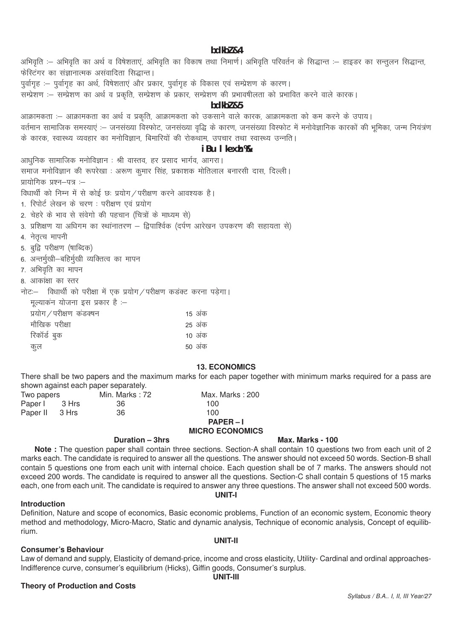bdkbl &4 अभिवृति :– अभिवृति का अर्थ व विषेशताएं, अभिवृति का विकाष तथा निमार्ण। अभिवृति परिवर्तन के सिद्धान्त :– हाइडर का सन्तूलन सिद्धान्त, फेस्टिंगर का संज्ञानात्मक असंवादिता सिद्धान्त। पूर्वागृह :- पूर्वागृह का अर्थ, विषेशताएं और प्रकार, पूर्वागृह के विकास एवं सम्प्रेशण के कारण। ्<br>सम्प्रेशण :– सम्प्रेशण का अर्थ व प्रकृति, सम्प्रेशण के प्रकार, सम्प्रेशण की प्रभावषीलता को प्रभावित करने वाले कारक।  $hdkh$ <sub>7</sub> $g<sub>5</sub>$ आक्रामकता :- आक्रामकता का अर्थ व प्रकृति, आक्रामकता को उकसाने वाले कारक, आक्रामकता को कम करने के उपाय। वर्तमान सामाजिक समस्याएं :– जनसंख्या विस्फोट, जनसंख्या वृद्धि के कारण, जनसंख्या विस्फोट में मनोवेज्ञानिक कारकों की भूमिका, जन्म नियंत्रण के कारक, स्वास्थ्य व्यवहार का मनोविज्ञान, बिमारियों की रोकथाम, उपचार तथा स्वास्थ्य उन्नति। iBu I kexh % आधुनिक सामाजिक मनोविज्ञान : श्री वास्तव, हर प्रसाद भार्गव, आगरा। समाज मनोविज्ञान की रूपरेखा : अरूण कमार सिंह, प्रकाशक मोतिलाल बनारसी दास, दिल्ली। प्रायोगिक प्रश्न—पत्र :— विधार्थी को निम्न में से कोई छः प्रयोग / परीक्षण करने आवश्यक है। 1. रिपोर्ट लेखन के चरण: परीक्षण एवं प्रयोग 2. चेहरे के भाव से संवेगो की पहचान (चित्रों के माध्यम से) 3. प्रशिक्षण या अधिगम का स्थांनातरण – द्विपाश्विक (दर्पण आरेखन उपकरण की सहायता से) 4. नेतृत्व मापनी 5. बुद्धि परीक्षण (षाब्दिक) 6. अन्तर्मुखी-बहिर्मुखी व्यक्तित्व का मापन 7. अभिवृति का मापन 8) आकांक्षा का स्तर नोटः- विधार्थी को परीक्षा में एक प्रयोग / परीक्षण कडक्ट करना पड़ेगा। मळगकन गोलना रुप्र गकार है।

| $\tau$ , o zive by by mole present |        |
|------------------------------------|--------|
| प्रयोग / परीक्षण कडक्षन            | 15 अक  |
| मौखिक परीक्षा                      | 25 अंक |
| रिकॉर्ड बुक                        | 10 अंक |
| कुल                                | 50 अंक |

#### **13. ECONOMICS**

There shall be two papers and the maximum marks for each paper together with minimum marks required for a pass are shown against each paper separately.

| Two papers     |       | Min. Marks : 72 | Max. Marks: 200   |
|----------------|-------|-----------------|-------------------|
| Paper I        | 3 Hrs | -36             | 100               |
| Paper II 3 Hrs |       | 36              | 100               |
|                |       |                 | $P\Delta PFR - I$ |

# **MICRO ECONOMICS**

#### Duration - 3hrs

Note: The question paper shall contain three sections. Section-A shall contain 10 questions two from each unit of 2 marks each. The candidate is required to answer all the questions. The answer should not exceed 50 words. Section-B shall contain 5 questions one from each unit with internal choice. Each question shall be of 7 marks. The answers should not exceed 200 words. The candidate is required to answer all the questions. Section-C shall contain 5 questions of 15 marks each, one from each unit. The candidate is required to answer any three questions. The answer shall not exceed 500 words. UNIT-I

#### **Introduction**

Definition, Nature and scope of economics, Basic economic problems, Function of an economic system, Economic theory method and methodology, Micro-Macro, Static and dynamic analysis, Technique of economic analysis, Concept of equilibrium.

#### **Consumer's Behaviour**

Law of demand and supply, Elasticity of demand-price, income and cross elasticity, Utility- Cardinal and ordinal approaches-Indifference curve, consumer's equilibrium (Hicks), Giffin goods, Consumer's surplus. **UNIT-III** 

# **Theory of Production and Costs**

# UNIT-II

# Syllabus / B.A., I, II, III Year/27

# Max. Marks - 100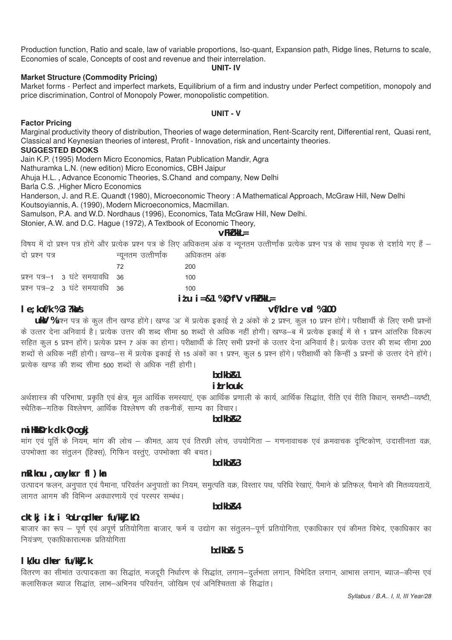Production function, Ratio and scale, law of variable proportions, Iso-quant, Expansion path, Ridge lines, Returns to scale, Economies of scale, Concepts of cost and revenue and their interrelation.

#### **UNIT- IV**

### **Market Structure (Commodity Pricing)**

Market forms - Perfect and imperfect markets, Equilibrium of a firm and industry under Perfect competition, monopoly and price discrimination, Control of Monopoly Power, monopolistic competition.

#### **UNIT - V**

# **Factor Pricing**

Marginal productivity theory of distribution, Theories of wage determination, Rent-Scarcity rent, Differential rent, Quasi rent, Classical and Keynesian theories of interest, Profit - Innovation, risk and uncertainty theories.

# **SUGGESTED BOOKS**

Jain K.P. (1995) Modern Micro Economics, Ratan Publication Mandir, Agra

Nathuramka L.N. (new edition) Micro Economics, CBH Jaipur

Ahuja H.L. , Advance Economic Theories, S.Chand and company, New Delhi

Barla C.S. ,Higher Micro Economics

Handerson, J. and R.E. Quandt (1980), Microeconomic Theory : A Mathematical Approach, McGraw Hill, New Delhi

Koutsoyiannis, A. (1990), Modern Microeconomics, Macmillan.

Samulson, P.A. and W.D. Nordhaus (1996), Economics, Tata McGraw Hill, New Delhi.

Stonier, A.W. and D.C. Hague (1972), A Textbook of Economic Theory,

**vFkZ'kkL=**

विषय में दो प्रश्न पत्र होंगे और प्रत्येक प्रश्न पत्र के लिए अधिकतम अंक व न्यूनतम उत्त्तीर्णांक प्रत्येक प्रश्न पत्र के साथ पृथक से दर्शाये गए हैं –<br>दो एश्न एन्ड न्गनतम उत्तीर्णाक अधिकतम अंक

| ५। प्रश्म पत्र |                                 | $\frac{1}{2}$ שופות שמוויווס אופס |                                         |
|----------------|---------------------------------|-----------------------------------|-----------------------------------------|
|                |                                 | -72                               | 200                                     |
|                | प्रश्न पत्र-1 3 घंटे समयावधि 36 |                                   | 100                                     |
|                | प्रश्न पत्र-2 3 घंटे समयावधि 36 |                                   | 100                                     |
|                |                                 |                                   | $\cdot$ $\cdot$ $\cdot$ $\cdot$ $\cdot$ |

# **iz'u i=&1 % O;f"V vFkZ'kkL=**

# **le;kof/k % 3 ?kaVs vf/kdre vad % 100**

**uky %** प्रश्न पत्र के कूल तीन खण्ड होंगे। खण्ड 'अ' में प्रत्येक इकाई से 2 अंकों के 2 प्रश्न, कूल 10 प्रश्न होंगे। परीक्षार्थी के लिए सभी प्रश्नों के उत्तर देना अनिवार्य है। प्रत्येक उत्तर की शब्द सीमा 50 शब्दों से अधिक नहीं होगी। खण्ड—ब में प्रत्येक इकाई में से 1 प्रश्न आंतरिक विकल्प ्<br>सहित कूल 5 प्रश्न होंगे। प्रत्येक प्रश्न 7 अंक का होगा। परीक्षार्थी के लिए सभी प्रश्नों के उत्तर देना अनिवार्य है। प्रत्येक उत्तर की शब्द सीमा 200 शब्दों से अधिक नहीं होगी। खण्ड—स में प्रत्येक इकाई से 15 अंकों का 1 प्रश्न, कूल 5 प्रश्न होंगे। परीक्षार्थी को किन्हीं 3 प्रश्नों के उत्तर देने होंगे। प्रत्येक खण्ड की शब्द सीमा 500 शब्दों से अधिक नहीं होगी।

# **bdkbZ&1 i i** *Lrkouk*

अर्थशास्त्र की परिभाषा, प्रकृति एवं क्षेत्र, मूल आर्थिक समस्याएं, एक आर्थिक प्रणाली के कार्य, आर्थिक सिद्धांत, रीति एवं रीति विधान, समष्टी–व्यष्टी, स्थैतिक–गतिक विश्लेषण, आर्थिक विश्लेषण की तकनीकें, साम्य का विचार।

# **bdkbR2**

# **miHkksDrk dk O;ogkj**

मांग एवं पूर्ति के नियम, मांग की लोच – कीमत, आय एवं तिरछी लोच, उपयोगिता – गणनावाचक एवं क्रमवाचक दृष्टिकोण, उदासीनता वक्र, उपभोक्ता का संतलन (हिक्स), गिफिन वस्तुए, उपभोक्ता की बचत। **bdkbZ&3**

# **mRiknu ,oa ykxr fl)kar**

उत्पादन फलन, अनुपात एवं पैमाना, परिवर्तन अनुपातों का नियम, समुत्पति वक्र, विस्तार पथ, परिधि रेखाएं, पैमाने के प्रतिफल, पैमाने की मितव्ययतायें, लागत आगम की विभिन्न अवधारणायें एवं परस्पर सम्बंध।

# **cktkj ik: i ½oLrq dher fu/kkj.k½**

aाजार का रूप – पूर्ण एवं अपूर्ण प्रतियोगिता बाजार, फर्म व उद्योग का संतूलन–पूर्ण प्रतियोगिता, एकाधिकार एवं कीमत विभेद, एकाधिकार का नियंत्रण, एकाधिकारात्मक प्रतियोगिता

**bdkbZ& 5**

# **lk/ku dher fu/kkZj.k**

वितरण का सीमांत उत्पादकता का सिद्धांत, मजदूरी निर्धारण के सिद्धांत, लगान–दुर्लभता लगान, विभेदित लगान, आभास लगान, ब्याज–कीन्स एवं :<br>कलासिकल ब्याज सिद्धांत, लाभ–अभिनव परिवर्तन, जोखिम एवं अनिश्चितता के सिद्धांत।

# **bdkbZ&4**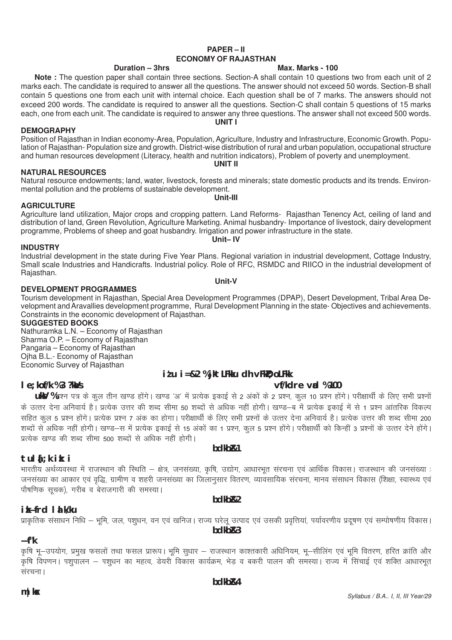# **PAPER – II ECONOMY OF RAJASTHAN**

**Note :** The question paper shall contain three sections. Section-A shall contain 10 questions two from each unit of 2 marks each. The candidate is required to answer all the questions. The answer should not exceed 50 words. Section-B shall contain 5 questions one from each unit with internal choice. Each question shall be of 7 marks. The answers should not exceed 200 words. The candidate is required to answer all the questions. Section-C shall contain 5 questions of 15 marks each, one from each unit. The candidate is required to answer any three questions. The answer shall not exceed 500 words. **UNIT I**

# **DEMOGRAPHY**

Position of Rajasthan in Indian economy-Area, Population, Agriculture, Industry and Infrastructure, Economic Growth. Population of Rajasthan- Population size and growth. District-wise distribution of rural and urban population, occupational structure and human resources development (Literacy, health and nutrition indicators), Problem of poverty and unemployment. **UNIT II**

# **NATURAL RESOURCES**

Natural resource endowments; land, water, livestock, forests and minerals; state domestic products and its trends. Environmental pollution and the problems of sustainable development. **Unit-III**

# **AGRICULTURE**

#### Agriculture land utilization, Major crops and cropping pattern. Land Reforms- Rajasthan Tenency Act, ceiling of land and distribution of land, Green Revolution, Agriculture Marketing. Animal husbandry- Importance of livestock, dairy development programme, Problems of sheep and goat husbandry. Irrigation and power infrastructure in the state. **Unit– IV**

**INDUSTRY** Industrial development in the state during Five Year Plans. Regional variation in industrial development, Cottage Industry, Small scale Industries and Handicrafts. Industrial policy. Role of RFC, RSMDC and RIICO in the industrial development of Rajasthan. **Unit-V**

# **DEVELOPMENT PROGRAMMES**

Tourism development in Rajasthan, Special Area Development Programmes (DPAP), Desert Development, Tribal Area Development and Aravallies development programme, Rural Development Planning in the state- Objectives and achievements. Constraints in the economic development of Rajasthan.

# **SUGGESTED BOOKS**

Nathuramka L.N. – Economy of Rajasthan Sharma O.P. – Economy of Rajasthan Pangaria – Economy of Rajasthan Ojha B.L.- Economy of Rajasthan Economic Survey of Rajasthan

# **iz'u i=&2 % jktLFkku dh vFkZO;oLFkk**

# **le;kof/k % 3 ?kaVs vf/kdre vad % 100**

**ukV** %प्रश्न पत्र के कूल तीन खण्ड होंगे। खण्ड 'अ' में प्रत्येक इकाई से 2 अंकों के 2 प्रश्न, कूल 10 प्रश्न होंगे। परीक्षार्थी के लिए सभी प्रश्नों के उत्तर देना अनिवार्य है। प्रत्येक उत्तर की शब्द सीमा 50 शब्दों से अधिक नहीं होगी। खण्ड—ब में प्रत्येक इकाई में से 1 प्रश्न आंतरिक विकल्प सहित कल 5 प्रश्न होंगे। प्रत्येक प्रश्न 7 अंक का होगा। परीक्षार्थी के लिए सभी प्रश्नों के उत्तर देना अनिवार्य है। प्रत्येक उत्तर की शब्द सीमा 200 'सब्दों से अधिक नहीं होगी। खण्ड—स में प्रत्येक इकाई से 15 अंकों का 1 प्रश्न, कूल 5 प्रश्न होंगे। परीक्षार्थी को किन्हीं 3 प्रश्नों के उत्तर देने होंगे।  $\frac{1}{\sqrt{2}}$  प्रत्येक खण्ड की शब्द सीमा 500 शब्दों से अधिक नहीं होगी।

**bdkbZ&1**

# **tula[;k izk:i**

भारतीय अर्थव्यवस्था में राजस्थान की स्थिति – क्षेत्र, जनसंख्या, कृषि, उद्योग, आधारभूत संरचना एवं आर्थिक विकास। राजस्थान की जनसंख्या : .<br>जनसंख्या का आकार एवं वृद्धि, ग्रामीण व शहरी जनसंख्या का जिलानुसार वितरण, व्यावसायिक संरचना, मानव संसाधन विकास (शिक्षा, स्वास्थ्य एवं <u>पौषणिक सचक). गरीब व बेराजगारी की समस्या।</u>

**bdkbZ&2**

# **izkÑfrd lalk/ku**

प्राकतिक संसाधन निधि – भमि, जल, पशधन, वन एवं खनिज। राज्य घरेल उत्पाद एवं उसकी प्रवत्तियां, पर्यावरणीय प्रदषण एवं सम्पोषणीय विकास। **bdkbZ&3**

# **Ñf"k**

कृषि भू–उपयोग, प्रमुख फसलों तथा फसल प्रारूप। भूमि सुधार – राजस्थान काश्तकारी अधिनियम, भू–सीलिंग एवं भूमि वितरण, हरित क्रांति और कषि विपणन। पशपालन – पशधन का महत्व, डेयरी विकास कार्यक्रम, भेड व बकरी पालन की समस्या। राज्य में सिंचाई एवं शक्ति आधारभत संरचना ।

*Syllabus / B.A.. I, II, III Year/29*

# **Duration – 3hrs Max. Marks - 100**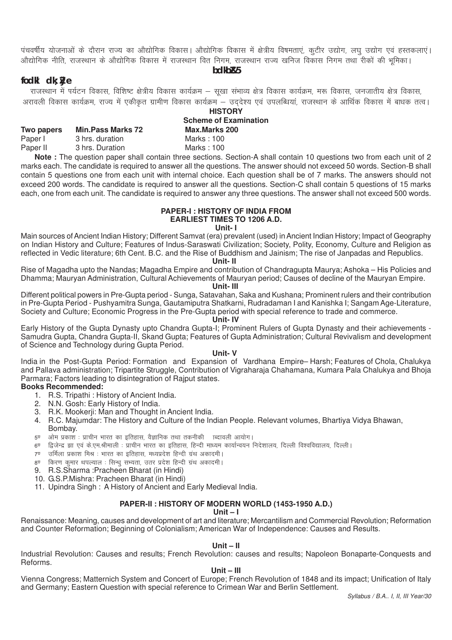पंचवर्षीय योजनाओं के दौरान राज्य का औद्योगिक विकास। औद्योगिक विकास में क्षेत्रीय विषमताएं, कटीर उद्योग, लघ उद्योग एवं हस्तकलाएं। ओद्योगिक नीति. राजस्थान के ओद्योगिक विकास में राजस्थान वित निगम. राजस्थान राज्य खनिज विकास निगम तथा रीकों की भमिका।

**bdkbZ&5**

# **fodkl dk;ZØe**

राजस्थान में पर्यटन विकास, विशिष्ट क्षेत्रीय विकास कार्यक्रम – सखा संभाव्य क्षेत्र विकास कार्यक्रम, मरू विकास, जनजातीय क्षेत्र विकास, अरावली विकास कार्यक्रम, राज्य में एकीकत ग्रामीण विकास कार्यक्रम – उददेश्य एवं उपलब्धिया, राजस्थान के आर्थिक विकास में बाधक तत्व। **HISTORY**

|                          |               | <b>Scheme of Examination</b> |  |  |
|--------------------------|---------------|------------------------------|--|--|
| <b>Min.Pass Marks 72</b> | Max.Marks 200 |                              |  |  |
| 3 hrs. duration          | Marks: 100    |                              |  |  |
| 3 hrs. Duration          | Marks: 100    |                              |  |  |
|                          |               |                              |  |  |

**Note :** The question paper shall contain three sections. Section-A shall contain 10 questions two from each unit of 2 marks each. The candidate is required to answer all the questions. The answer should not exceed 50 words. Section-B shall contain 5 questions one from each unit with internal choice. Each question shall be of 7 marks. The answers should not exceed 200 words. The candidate is required to answer all the questions. Section-C shall contain 5 questions of 15 marks each, one from each unit. The candidate is required to answer any three questions. The answer shall not exceed 500 words.

#### **PAPER-I : HISTORY OF INDIA FROM EARLIEST TIMES TO 1206 A.D.**

#### **Unit- I**

Main sources of Ancient Indian History; Different Samvat (era) prevalent (used) in Ancient Indian History; Impact of Geography on Indian History and Culture; Features of Indus-Saraswati Civilization; Society, Polity, Economy, Culture and Religion as reflected in Vedic literature; 6th Cent. B.C. and the Rise of Buddhism and Jainism; The rise of Janpadas and Republics.

**Unit- II**

Rise of Magadha upto the Nandas; Magadha Empire and contribution of Chandragupta Maurya; Ashoka – His Policies and Dhamma; Mauryan Administration, Cultural Achievements of Mauryan period; Causes of decline of the Mauryan Empire.

**Unit- III**

Different political powers in Pre-Gupta period - Sunga, Satavahan, Saka and Kushana; Prominent rulers and their contribution in Pre-Gupta Period - Pushyamitra Sunga, Gautamiputra Shatkarni, Rudradaman I and Kanishka I; Sangam Age-Literature, Society and Culture; Economic Progress in the Pre-Gupta period with special reference to trade and commerce.

#### **Unit- IV**

Early History of the Gupta Dynasty upto Chandra Gupta-I; Prominent Rulers of Gupta Dynasty and their achievements - Samudra Gupta, Chandra Gupta-II, Skand Gupta; Features of Gupta Administration; Cultural Revivalism and development of Science and Technology during Gupta Period.

#### **Unit- V**

India in the Post-Gupta Period: Formation and Expansion of Vardhana Empire– Harsh; Features of Chola, Chalukya and Pallava administration; Tripartite Struggle, Contribution of Vigraharaja Chahamana, Kumara Pala Chalukya and Bhoja Parmara; Factors leading to disintegration of Rajput states.

# **Books Recommended:**

- 1. R.S. Tripathi : History of Ancient India.
- 2. N.N. Gosh: Early History of India.
- 3. R.K. Mookerji: Man and Thought in Ancient India.
- 4. R.C. Majumdar: The History and Culture of the Indian People. Relevant volumes, Bhartiya Vidya Bhawan,
- Bombay.
- 5ण ओम प्रकाश : प्राचीन भारत का इतिहास, वैज्ञानिक तथा तकनीकी ाब्दावली आयोग।
- 6<sup>0</sup> द्विजेन्द्र झा एवं के.एम.श्रीमाली : प्राचीन भारत का इतिहास, हिन्दी माध्यम कार्यान्वयन निदेशालय, दिल्ली विश्वविद्यालय, दिल्ली |
- 7<sup>0</sup> उर्मिला प्रकाश मिश्र : भारत का इतिहास, मध्यप्रदेश हिन्दी ग्रंथ अकादमी ।
- e किरण कमार थपल्याल : सिन्ध सभ्यता, उतर प्रदेश हिन्दी ग्रंथ अकादमी ।
- 9. R.S. Sharma: Pracheen Bharat (in Hindi)
- 10. G.S.P.Mishra: Pracheen Bharat (in Hindi)
- 11. Upindra Singh : A History of Ancient and Early Medieval India.

### **PAPER-II : HISTORY OF MODERN WORLD (1453-1950 A.D.)**

#### **Unit – I**

Renaissance: Meaning, causes and development of art and literature; Mercantilism and Commercial Revolution; Reformation and Counter Reformation; Beginning of Colonialism; American War of Independence: Causes and Results.

#### **Unit – II**

Industrial Revolution: Causes and results; French Revolution: causes and results; Napoleon Bonaparte-Conquests and Reforms.

# **Unit – III**

Vienna Congress; Matternich System and Concert of Europe; French Revolution of 1848 and its impact; Unification of Italy and Germany; Eastern Question with special reference to Crimean War and Berlin Settlement.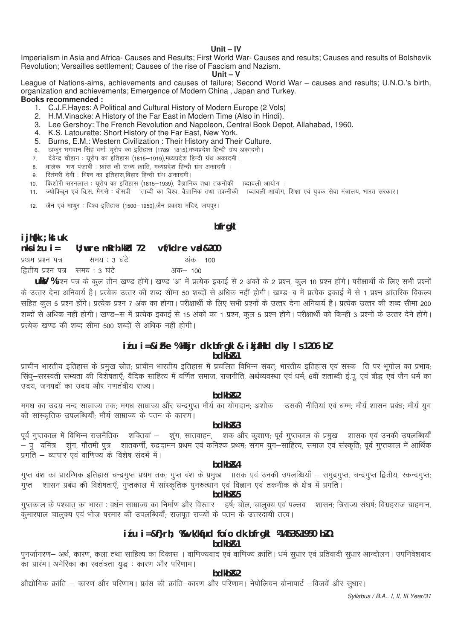#### **Unit – IV**

Imperialism in Asia and Africa- Causes and Results; First World War- Causes and results; Causes and results of Bolshevik Revolution; Versailles settlement; Causes of the rise of Fascism and Nazism.

#### **Unit – V**

League of Nations-aims, achievements and causes of failure; Second World War – causes and results; U.N.O.'s birth, organization and achievements; Emergence of Modern China , Japan and Turkey.

# **Books recommended :**

- 1. C.J.F.Hayes: A Political and Cultural History of Modern Europe (2 Vols)
- 2. H.M.Vinacke: A History of the Far East in Modern Time (Also in Hindi).
- 3. Lee Gershoy: The French Revolution and Napoleon, Central Book Depot, Allahabad, 1960.
- 4. K.S. Latourette: Short History of the Far East, New York.
- 5. Burns, E.M.: Western Civilization : Their History and Their Culture.
- 6. ठाकुर भगवान सिंह वर्माः यूरोप का इतिहास (1789–1815),मध्यप्रदेश हिन्दी ग्रंथ अकादमी ।
- 7. देवेन्द्र चौहान : यूरोप का इतिहास (1815–1919),मध्यप्रदेश हिन्दी ग्रंथ अकादमी ।
- 8. बालक भण पंजाबो : फ्रांस की राज्य क्रांति, मध्यप्रदेश हिन्दी ग्रंथ अकादमी ।
- 9. रितंभरी देवी : विश्व का इतिहास,बिहार हिन्दी ग्रंथ अकादमी ।
- 10. किशोरी सरनलाल : यूरोप का इतिहास (1815–1939), वैज्ञानिक तथा तकनीकी काद्यावली आयोग)।
- 11. ज्योफ्रिबून एवं वि.स. मैंगसे : बीसवीं ) ाताब्दी का विश्व, वैज्ञानिक तथा तकनीकी ) ाब्दावली आयोग, शिक्षा एवं यूवक सेवा मंत्रालय, भारत सरकार।

12. जैन एवं माथूर : विश्व इतिहास (1500–1950),जैन प्रकाश मंदिर, जयपूर।

# **bfrgkl**

# **ijh{kk ;kstuk**

# **nks iz'u i= U;wure mRrh.kkZd 72 vf/kdre vad&200** प्रथम प्रश्न पत्र । जस्मय : 3 घंटे । अंक- 100 द्वितीय प्रश्न पत्र समय : 3 घंटे अक– 100

**ukV** %प्रश्न पत्र के कूल तीन खण्ड होंगे। खण्ड 'अ' में प्रत्येक इकाई से 2 अंकों के 2 प्रश्न, कूल 10 प्रश्न होंगे। परीक्षार्थी के लिए सभी प्रश्नों के उत्तर देना अनिवार्य है। प्रत्येक उत्तर की शब्द सीमा 50 शब्दों से अधिक नहीं होगी। खण्ड—ब में प्रत्येक इकाई में से 1 प्रश्न आंतरिक विकल्प सहित कूल 5 प्रश्न होंगे। प्रत्येक प्रश्न 7 अंक का होगा। परीक्षार्थी के लिए सभी प्रश्नों के उत्तर देना अनिवार्य है। प्रत्येक उत्तर की शब्द सीमा 200 'शब्दों से अधिक नहीं होगी। खण्ड–स में प्रत्येक इकाई से 15 अंकों का 1 प्रश्न, कूल 5 प्रश्न होंगे। परीक्षार्थी को किन्हीं 3 प्रश्नों के उत्तर देने होंगे। प्रत्येक खण्ड की शब्द सीमा 500 शब्दों से अधिक नहीं होगी।

# **izu i=&iFke %Hkkjr dk bfrgkl & ikjaHkd dky ls 1206 bZ bdkbZ&1**

प्राचीन भारतीय इतिहास के प्रमुख स्रोत; प्राचीन भारतीय इतिहास में प्रचलित विभिन्न संवत; भारतीय इतिहास एवं संस्क ति पर भूगोल का प्रभाव; सिंधु—सरस्वती सभ्यता की विशेषताएँ, वैदिक साहित्य में वर्णित समाज, राजनीति, अर्थव्यवस्था एवं धर्म, 6वीं शताब्दी ई.पू. एवं बौद्ध एवं जैन धर्म का .<br>उदय, जनपदों का उदय और गणतंत्रीय राज्य।

# **bdkbZ&2**

मगध का उदय नन्द साम्राज्य तक; मगध साम्राज्य और चन्द्रगुप्त मौर्य का योगदान; अशोक – उसकी नीतियां एवं धम्म; मौर्य शासन प्रबंध; मौर्य युग की सांस्कतिक उपलब्धियाँ: मौर्य साम्राज्य के पतन के कारण।

#### **bdkbZ&3**

पूर्व गुप्तकाल में विभिन्न राजनैतिक शक्तियां – शुंग, सातवाहन, शक और कुशाण; पूर्व गुप्तकाल के प्रमुख शासक एवं उनकी उपलब्धियाँ \_<br>— प<sup>7</sup> यमित्र शंग, गौतमी पत्र शातकर्णी, रुद्रदामन प्रथम एवं कनिश्क प्रथम: संगम यग—साहित्य, समाज एवं संस्कति: पर्व गप्तकाल में आर्थिक प्रगति – व्यापार एवं वाणिज्य के विशेष संदर्भ में।

#### **bdkbZ&4**

गुप्त वंश का प्रारम्भिक इतिहास चन्द्रगुप्त प्रथम तक; गुप्त वंश के प्रमुख जासक एवं उनकी उपलब्धियाँ – समुद्रगुप्त, चन्द्रगुप्त द्वितीय, स्कन्दगुप्त; .<br>गुप्त शासन प्रबंध की विशेषताएँ; गुप्तकाल में सांस्कृतिक पुनरुत्थान एवं विज्ञान एवं तकनीक के क्षेत्र में प्रगति।

#### **bdkbZ&5**

गुप्तकाल के पश्चात का भारत : वर्धन साम्राज्य का निर्माण और विस्तार – हर्ष; चोल, चालुक्य एवं पल्लव शासन; त्रिराज्य संघर्ष; विग्रहराज चाहमान, कुमारपाल चालुक्य एवं भोज परमार की उपलब्धियाँ; राजपूत राज्यों के पतन के उत्तरदायी तत्त्व।

# **iz'u i=&f}rh; %&vk/kqfud fo'o dk bfrgkl ¼1453&1950 bZ-½**

# **bdkbZ&1**

पुनर्जागरण– अर्थ, कारण, कला तथा साहित्य का विकास । वाणिज्यवाद एवं वाणिज्य क्रांति। धर्म सुधार एवं प्रतिवादी सुधार आन्दोलन। उपनिवेशवाद का प्रारंभ। अमेरिका का स्वतंत्रता युद्ध : कारण और परिणाम।

#### **bdkbZ&2**

औद्योगिक क्रांति – कारण और परिणाम। फ्रांस की क्रांति–कारण और परिणाम। नेपोलियन बोनापार्ट –विजयें और सुधार।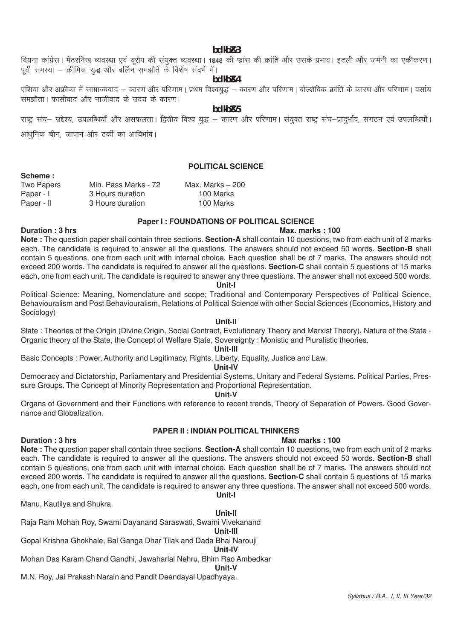**bdkbZ&3**

# वियना कांग्रेस। मेटरनिख व्यवस्था एवं यूरोप की संयुक्त व्यवस्था। 1848 की फ्रांस की क्रांति और उसके प्रभाव। इटली और जर्मनी का एकीकरण। पूर्वी समस्या – क्रीमिया युद्ध और बर्लिन समझौते के विशेष संदर्भ में।

**bdkbZ&4**

एशिया और अफ्रीका में साम्राज्यवाद – कारण और परिणाम। प्रथम विश्वयुद्ध – कारण और परिणाम। बोल्शेविक क्रांति के कारण और परिणाम। वर्साय समझौता। फासीवाद और नाजीवाद के उदय के कारण।

**bdkbZ&5**

राष्ट्र संघ– उद्देश्य, उपलब्धियाँ और असफलता। द्वितीय विश्व युद्ध – कारण और परिणाम। संयुक्त राष्ट्र संघ–प्रादुर्भाव, संगठन एवं उपलब्धियाँ।

आधुनिक चीन, जापान और टर्की का आविर्भाव।

**Scheme :**

# **POLITICAL SCIENCE**

| <b>Two Papers</b> | Min. Pass Marks - 72 | Max. Marks $-200$ |
|-------------------|----------------------|-------------------|
| Paper - I         | 3 Hours duration     | 100 Marks         |
| Paper - II        | 3 Hours duration     | 100 Marks         |

#### **Paper I : FOUNDATIONS OF POLITICAL SCIENCE**

### **Duration : 3 hrs** Max. marks : 100

**Note :** The question paper shall contain three sections. **Section-A** shall contain 10 questions, two from each unit of 2 marks each. The candidate is required to answer all the questions. The answers should not exceed 50 words. **Section-B** shall contain 5 questions, one from each unit with internal choice. Each question shall be of 7 marks. The answers should not exceed 200 words. The candidate is required to answer all the questions. **Section-C** shall contain 5 questions of 15 marks each, one from each unit. The candidate is required to answer any three questions. The answer shall not exceed 500 words.

#### **Unit-I**

Political Science: Meaning, Nomenclature and scope; Traditional and Contemporary Perspectives of Political Science, Behaviouralism and Post Behaviouralism, Relations of Political Science with other Social Sciences (Economics, History and Sociology)

#### **Unit-II**

State : Theories of the Origin (Divine Origin, Social Contract, Evolutionary Theory and Marxist Theory), Nature of the State - Organic theory of the State, the Concept of Welfare State, Sovereignty : Monistic and Pluralistic theories.

# **Unit-III**

Basic Concepts : Power, Authority and Legitimacy, Rights, Liberty, Equality, Justice and Law.

#### **Unit-IV**

Democracy and Dictatorship, Parliamentary and Presidential Systems, Unitary and Federal Systems. Political Parties, Pressure Groups. The Concept of Minority Representation and Proportional Representation.

# **Unit-V**

Organs of Government and their Functions with reference to recent trends, Theory of Separation of Powers. Good Governance and Globalization.

# **PAPER II : INDIAN POLITICAL THINKERS**

#### **Duration : 3 hrs** Max marks : 100

**Note :** The question paper shall contain three sections. **Section-A** shall contain 10 questions, two from each unit of 2 marks each. The candidate is required to answer all the questions. The answers should not exceed 50 words. **Section-B** shall contain 5 questions, one from each unit with internal choice. Each question shall be of 7 marks. The answers should not exceed 200 words. The candidate is required to answer all the questions. **Section-C** shall contain 5 questions of 15 marks each, one from each unit. The candidate is required to answer any three questions. The answer shall not exceed 500 words. **Unit-I**

Manu, Kautilya and Shukra.

#### **Unit-II**

Raja Ram Mohan Roy, Swami Dayanand Saraswati, Swami Vivekanand

**Unit-III** Gopal Krishna Ghokhale, Bal Ganga Dhar Tilak and Dada Bhai Narouji

#### **Unit-IV**

Mohan Das Karam Chand Gandhi, Jawaharlal Nehru, Bhim Rao Ambedkar

#### **Unit-V**

M.N. Roy, Jai Prakash Narain and Pandit Deendayal Upadhyaya.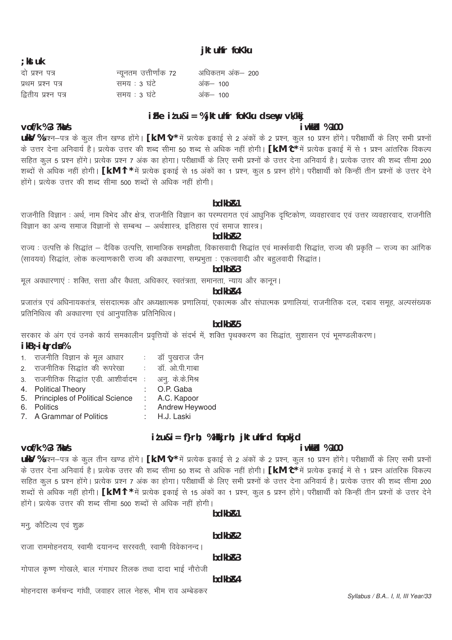Syllabus / B.A.. I, II, III Year/33

# bdkb<sub>R2</sub>

# $hdkhR3$

# hdkh<sub>R4</sub>

# मोहनदास कर्मचन्द गांधी, जवाहर लाल नेहरू, भीम राव अम्बेडकर

राजा राममोहनराय, स्वामी दयानन्द सरस्वती, स्वामी विवेकानन्द।

गोपाल कृष्ण गोखले, बाल गंगाधर तिलक तथा दादा भाई नौरोजी

#### दो प्रश्न पत्र न्यूनतम उत्तीर्णांक 72 अधिकतम अंक– 200 समय: 3 घंटे प्रथम प्रश्न पत्र अंक– 100 द्वितीय प्रश्न पत्र समय: 3 घंटे अंक– 100

# iFke itu&i = % jktuhfr foKku dsewy vk/kkj

jktuhfr foKku

# *i* wkkld %100

uky %प्रश्न-पत्र के कुल तीन खण्ड होंगे। [k.M ^v\* में प्रत्येक इकाई से 2 अंकों के 2 प्रश्न, कुल 10 प्रश्न होंगे। परीक्षार्थी के लिए सभी प्रश्नों के उत्तर देना अनिवार्य है। प्रत्येक उत्तर की शब्द सीमा 50 शब्द से अधिक नहीं होगी। [k.M ^c\* में प्रत्येक इकाई में से 1 प्रश्न आंतरिक विकल्प सहित कुल 5 प्रश्न होंगे। प्रत्येक प्रश्न 7 अंक का होगा। परीक्षार्थी के लिए सभी प्रश्नों के उत्तर देना अनिवार्य है। प्रत्येक उत्तर की शब्द सीमा 200 शब्दों से अधिक नहीं होगी। **[k.M ^|\*** में प्रत्येक इकाई से 15 अंकों का 1 प्रश्न, कूल 5 प्रश्न होंगे। परीक्षार्थी को किन्हीं तीन प्रश्नों के उत्तर देने होंगे। प्रत्येक उत्तर की शब्द सीमा 500 शब्दों से अधिक नहीं होगी।

# bdkb<sub>R1</sub>

राजनीति विज्ञान : अर्थ, नाम विभेद और क्षेत्र, राजनीति विज्ञान का परम्परागत एवं आधुनिक दृष्टिकोण, व्यवहारवाद एवं उत्तर व्यवहारवाद, राजनीति विज्ञान का अन्य समाज विज्ञानों से सम्बन्ध – अर्थशास्त्र, इतिहास एवं समाज शास्त्र।

# bdkb<sub>R2</sub>

राज्य : उत्पत्ति के सिद्धांत – दैविक उत्पत्ति, सामाजिक समझौता, विकासवादी सिद्धांत एवं मार्क्सवादी सिद्धांत, राज्य की प्रकृति – राज्य का आंगिक (सावयव) सिद्धांत, लोक कल्याणकारी राज्य की अवधारणा, सम्प्रभुता : एकत्ववादी और बहुलवादी सिद्धांत।

# bdkb<sub>R3</sub>

मूल अवधारणाएं : शक्ति, सत्ता और वैधता, अधिकार, स्वतंत्रता, समानता, न्याय और कानून।

# bdkb<sub>R4</sub>

प्रजातंत्र एवं अधिनायकतंत्र, संसदात्मक और अध्यक्षात्मक प्रणालियां, एकात्मक और संघात्मक प्रणालियां, राजनीतिक दल, दबाव समूह, अल्पसंख्यक प्रतिनिधित्व की अवधारणा एवं आनुपातिक प्रतिनिधित्व।

# hdkh<sub>R5</sub>

सरकार के अंग एवं उनके कार्य समकालीन प्रवृत्तियों के संदर्भ में, शक्ति पृथक्करण का सिद्धांत, सुशासन एवं भूमण्डलीकरण। ikB; itrda%

- 1. राजनीति विज्ञान के मूल आधार डॉ पुखराज जैन
- 2. राजनीतिक सिद्धांत की रूपरेखा डॉ. ओ.पी.गाबा
- 3. राजनीतिक सिद्धांत एडी आशीर्वादम : अन. के.के.मिश्र
- 4. Political Theory O.P. Gaba
- 5. Principles of Political Science A.C. Kapoor ÷.
- Andrew Heywood 6. Politics
- 7. A Grammar of Politics H.J. Laski

# itu&i= f}rh; %Hkkjrh; jktuhfrd fopkjd i wkkirl %100

# $v$ of/k %3 ?ka/s

uky %प्रश्न-पत्र के कुल तीन खण्ड होंगे। [k.M ^v\* में प्रत्येक इकाई से 2 अंकों के 2 प्रश्न, कुल 10 प्रश्न होंगे। परीक्षार्थी के लिए सभी प्रश्नों के उत्तर देना अनिवार्य है। प्रत्येक उत्तर की शब्द सीमा 50 शब्द से अधिक नहीं होगी। [k.M ^c\* में प्रत्येक इकाई में से 1 प्रश्न आंतरिक विकल्प सहित कूल 5 प्रश्न होंगे। प्रत्येक प्रश्न 7 अंक का होगा। परीक्षार्थी के लिए सभी प्रश्नों के उत्तर देना अनिवार्य है। प्रत्येक उत्तर की शब्द सीमा 200 शब्दों से अधिक नहीं होगी। [k.M ^l \* में प्रत्येक इकाई से 15 अंकों का 1 प्रश्न, कूल 5 प्रश्न होंगे। परीक्षार्थी को किन्हीं तीन प्रश्नों के उत्तर देने होंगे। प्रत्येक उत्तर की शब्द सीमा 500 शब्दों से अधिक नहीं होगी।

 $hdkhR1$ 

मन्, कौटिल्य एवं शुक्र

 $:$  kst uk

vof/k %3 ?ka/s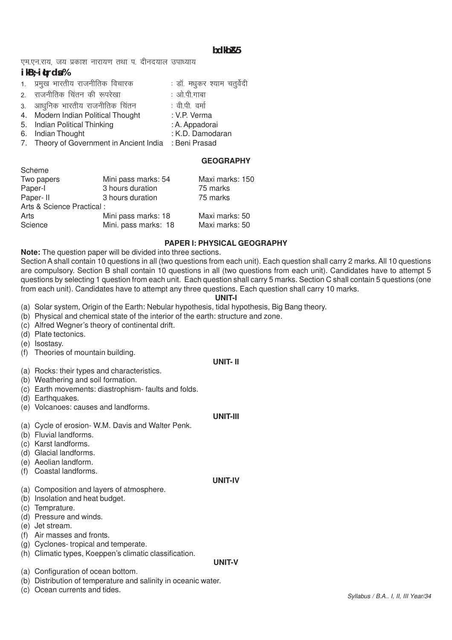# **bdkbZ&5**

एम.एन.राय. जय प्रकाश नारायण तथा प. दीनदयाल उपाध्याय

# **ikB~;iqLrdsa %**

| 1. प्रमुख भारतीय राजनीतिक विचारक                       | : डॉ. मधुकर श्याम चतुर्वेदी |
|--------------------------------------------------------|-----------------------------|
| 2. राजनीतिक चिंतन की रूपरेखा                           | : ओ.पी.गाबा                 |
| 3. आधुनिक भारतीय राजनीतिक चिंतन                        | : वी.पी. वर्मा              |
| 4. Modern Indian Political Thought                     | : V.P. Verma                |
| 5. Indian Political Thinking                           | : A. Appadorai              |
| 6. Indian Thought                                      | : K.D. Damodaran            |
| 7. Theory of Government in Ancient India : Beni Prasad |                             |
|                                                        |                             |

# **GEOGRAPHY**

| Scheme                    |                      |                 |  |  |
|---------------------------|----------------------|-----------------|--|--|
| Two papers                | Mini pass marks: 54  | Maxi marks: 150 |  |  |
| Paper-I                   | 3 hours duration     | 75 marks        |  |  |
| Paper-II                  | 3 hours duration     | 75 marks        |  |  |
| Arts & Science Practical: |                      |                 |  |  |
| Arts                      | Mini pass marks: 18  | Maxi marks: 50  |  |  |
| Science                   | Mini. pass marks: 18 | Maxi marks: 50  |  |  |

# **PAPER I: PHYSICAL GEOGRAPHY**

**Note:** The question paper will be divided into three sections.

Section A shall contain 10 questions in all (two questions from each unit). Each question shall carry 2 marks. All 10 questions are compulsory. Section B shall contain 10 questions in all (two questions from each unit). Candidates have to attempt 5 questions by selecting 1 question from each unit. Each question shall carry 5 marks. Section C shall contain 5 questions (one from each unit). Candidates have to attempt any three questions. Each question shall carry 10 marks.

# **UNIT-I**

(a) Solar system, Origin of the Earth: Nebular hypothesis, tidal hypothesis, Big Bang theory.

- (b) Physical and chemical state of the interior of the earth: structure and zone.
- (c) Alfred Wegner's theory of continental drift.
- (d) Plate tectonics.
- (e) Isostasy.
- (f) Theories of mountain building.

# **UNIT- II**

- (a) Rocks: their types and characteristics.
- (b) Weathering and soil formation.
- (c) Earth movements: diastrophism- faults and folds.
- (d) Earthquakes.
- (e) Volcanoes: causes and landforms.

# **UNIT-III**

**UNIT-IV**

**UNIT-V**

- (a) Cycle of erosion- W.M. Davis and Walter Penk.
- (b) Fluvial landforms.
- (c) Karst landforms.
- (d) Glacial landforms.
- (e) Aeolian landform.
- (f) Coastal landforms.

# (a) Composition and layers of atmosphere.

- (b) Insolation and heat budget.
- (c) Temprature.
- (d) Pressure and winds.
- (e) Jet stream.
- (f) Air masses and fronts.
- (g) Cyclones- tropical and temperate.
- (h) Climatic types, Koeppen's climatic classification.
- (a) Configuration of ocean bottom.
- (b) Distribution of temperature and salinity in oceanic water.
- (c) Ocean currents and tides.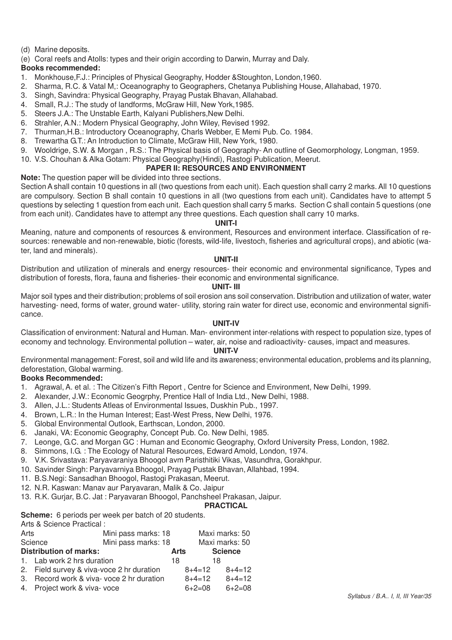- (d) Marine deposits.
- (e) Coral reefs and Atolls: types and their origin according to Darwin, Murray and Daly.

# **Books recommended:**

- 1. Monkhouse,F.J.: Principles of Physical Geography, Hodder &Stoughton, London,1960.
- 2. Sharma, R.C. & Vatal M,: Oceanography to Geographers, Chetanya Publishing House, Allahabad, 1970.
- 3. Singh, Savindra: Physical Geography, Prayag Pustak Bhavan, Allahabad.
- 4. Small, R.J.: The study of landforms, McGraw Hill, New York,1985.
- 5. Steers J.A.: The Unstable Earth, Kalyani Publishers,New Delhi.
- 6. Strahler, A.N.: Modern Physical Geography, John Wiley, Revised 1992.
- 7. Thurman,H.B.: Introductory Oceanography, Charls Webber, E Memi Pub. Co. 1984.
- 8. Trewartha G.T.: An Introduction to Climate, McGraw Hill, New York, 1980.
- 9. Wooldrige, S.W. & Morgan , R.S.: The Physical basis of Geography- An outline of Geomorphology, Longman, 1959.

# 10. V.S. Chouhan & Alka Gotam: Physical Geography(Hindi), Rastogi Publication, Meerut.

# **PAPER II: RESOURCES AND ENVIRONMENT**

**Note:** The question paper will be divided into three sections.

Section A shall contain 10 questions in all (two questions from each unit). Each question shall carry 2 marks. All 10 questions are compulsory. Section B shall contain 10 questions in all (two questions from each unit). Candidates have to attempt 5 questions by selecting 1 question from each unit. Each question shall carry 5 marks. Section C shall contain 5 questions (one from each unit). Candidates have to attempt any three questions. Each question shall carry 10 marks.

# **UNIT-I**

Meaning, nature and components of resources & environment, Resources and environment interface. Classification of resources: renewable and non-renewable, biotic (forests, wild-life, livestoch, fisheries and agricultural crops), and abiotic (water, land and minerals).

# **UNIT-II**

Distribution and utilization of minerals and energy resources- their economic and environmental significance, Types and distribution of forests, flora, fauna and fisheries- their economic and environmental significance.

# **UNIT- III**

Major soil types and their distribution; problems of soil erosion ans soil conservation. Distribution and utilization of water, water harvesting- need, forms of water, ground water- utility, storing rain water for direct use, economic and environmental significance.

# **UNIT-IV**

Classification of environment: Natural and Human. Man- environment inter-relations with respect to population size, types of economy and technology. Environmental pollution – water, air, noise and radioactivity- causes, impact and measures.

# **UNIT-V**

Environmental management: Forest, soil and wild life and its awareness; environmental education, problems and its planning, deforestation, Global warming.

# **Books Recommended:**

- 1. Agrawal, A. et al. : The Citizen's Fifth Report , Centre for Science and Environment, New Delhi, 1999.
- 2. Alexander, J.W.: Economic Geogrphy, Prentice Hall of India Ltd., New Delhi, 1988.
- 3. Allen, J.L.: Students Atleas of Environmental Issues, Duskhin Pub., 1997.
- 4. Brown, L.R.: In the Human Interest; East-West Press, New Delhi, 1976.
- 5. Global Environmental Outlook, Earthscan, London, 2000.
- 6. Janaki, VA: Economic Geography, Concept Pub. Co. New Delhi, 1985.
- 7. Leonge, G.C. and Morgan GC : Human and Economic Geography, Oxford University Press, London, 1982.
- 8. Simmons, I.G. : The Ecology of Natural Resources, Edward Amold, London, 1974.
- 9. V.K. Srivastava: Paryavaraniya Bhoogol avm Paristhitiki Vikas, Vasundhra, Gorakhpur.
- 10. Savinder Singh: Paryavarniya Bhoogol, Prayag Pustak Bhavan, Allahbad, 1994.
- 11. B.S.Negi: Sansadhan Bhoogol, Rastogi Prakasan, Meerut.
- 12. N.R. Kaswan: Manav aur Paryavaran, Malik & Co. Jaipur
- 13. R.K. Gurjar, B.C. Jat : Paryavaran Bhoogol, Panchsheel Prakasan, Jaipur.

# **PRACTICAL**

**Scheme:** 6 periods per week per batch of 20 students.

Arts & Science Practical :

| Mini pass marks: 18           |                                                                                                                                 | Maxi marks: 50                                      |                                  |
|-------------------------------|---------------------------------------------------------------------------------------------------------------------------------|-----------------------------------------------------|----------------------------------|
|                               |                                                                                                                                 |                                                     |                                  |
|                               |                                                                                                                                 |                                                     | Maxi marks: 50                   |
|                               | Arts                                                                                                                            |                                                     | <b>Science</b>                   |
|                               | 18                                                                                                                              | 18                                                  |                                  |
|                               |                                                                                                                                 |                                                     | $8+4=12$                         |
|                               |                                                                                                                                 |                                                     | $8+4=12$                         |
|                               |                                                                                                                                 |                                                     | $6+2=08$                         |
| <b>Distribution of marks:</b> | Science<br>1. Lab work 2 hrs duration<br>2. Field survey & viva-voce 2 hr duration<br>3. Record work & viva- voce 2 hr duration | Mini pass marks: 18<br>4. Project work & viva- voce | $8+4=12$<br>$8+4=12$<br>$6+2=08$ |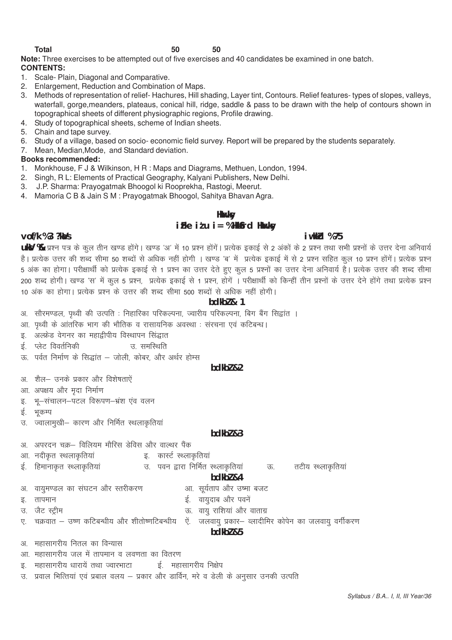**Note:** Three exercises to be attempted out of five exercises and 40 candidates be examined in one batch. **CONTENTS:**

- 1. Scale- Plain, Diagonal and Comparative.
- 2. Enlargement, Reduction and Combination of Maps.
- 3. Methods of representation of relief- Hachures, Hill shading, Layer tint, Contours. Relief features- types of slopes, valleys, waterfall, gorge, meanders, plateaus, conical hill, ridge, saddle & pass to be drawn with the help of contours shown in topographical sheets of different physiographic regions, Profile drawing.
- 4. Study of topographical sheets, scheme of Indian sheets.
- 5. Chain and tape survey.
- 6. Study of a village, based on socio- economic field survey. Report will be prepared by the students separately.
- 7. Mean, Median,Mode, and Standard deviation.

# **Books recommended:**

- 1. Monkhouse, F J & Wilkinson, H R : Maps and Diagrams, Methuen, London, 1994.
- 2. Singh, R L: Elements of Practical Geography, Kalyani Publishers, New Delhi.
- 3. J.P. Sharma: Prayogatmak Bhoogol ki Rooprekha, Rastogi, Meerut.
- 4. Mamoria C B & Jain S M : Prayogatmak Bhoogol, Sahitya Bhavan Agra.

# **Hkwxksy**

# **izFke iz'u i= % HkkSfrd Hkwxksy**

# **vof/k % 3 ?kaVs iw.kkZd % 75**

**ukV %** प्रश्न पत्र के कुल तीन खण्ड होंगे। खण्ड 'अ' में 10 प्रश्न होंगें। प्रत्येक इकाई से 2 अंकों के 2 प्रश्न तथा सभी प्रश्नों के उत्तर देना अनिवार्य है। प्रत्येक उत्तर की शब्द सीमा 50 शब्दों से अधिक नहीं होगी । खण्ड 'ब' में प्रत्येक इकाई में से 2 प्रश्न सहित कुल 10 प्रश्न होंगें। प्रत्येक प्रश्न 5 अंक का होगा। परीक्षार्थी को प्रत्येक इकाई से 1 प्रश्न का उत्तर देते हुए कुल 5 प्रश्नों का उत्तर देना अनिवार्य है। प्रत्येक उत्तर की शब्द सीमा 200 शब्द होगी। खण्ड 'स' में कल 5 प्रश्न. प्रत्येक इकाई से 1 प्रश्न. होगें । परीक्षार्थी को किन्हीं तीन प्रश्नों के उत्तर देने होंगे तथा प्रत्येक प्रश्न 10 अंक का होगा। प्रत्येक प्रश्न के उत्तर की शब्द सीमा 500 शब्दों से अधिक नहीं होगी।

# **bdkbZ & 1**

- अ. सौरमण्डल, पृथ्वी की उत्पति : निहारिका परिकल्पना, ज्वारीय परिकल्पना, बिग बैंग सिद्वांत ।
- आ. पृथ्वी के आंतरिक भाग की भौतिक व रासायनिक अवस्था : संरचना एवं कटिबन्ध।
- इ. अल्फ्रेड वेगनर का महाद्वीपीय विस्थापन सिद्धात
- $\ddot{\epsilon}$  क्लेट विवर्तनिकी चालका समस्थिति
- ऊ. पर्वत निर्माण के सिद्धांत जोली, कोबर, और अर्थर होम्स

### **bdkb***z* 82

- अ. शैल- उनके प्रकार और विशेषताऐं
- आ. अपक्षय और मृदा निर्माण
- इ. भू-संचालन-पटल विरूपण-भ्रंश एव वलन
- ई. भकम्प
- उ. ज्वालामुखी- कारण और निर्मित स्थलाकृतिया

# **bdkbZ &3**

- अ. अपरदन चक्र– विलियम मौरिस डेविस और वाल्थर पैंक
- आ. नदीकृत स्थलाकृतियां <u>पात्रा पार्कर</u> कार्स्ट स्थलाकृतियां
- ई. हिमानाकृत स्थ्लाकृतियां उ. पवन द्वारा निर्मित स्थ्लाकृतियां ऊ. तटीय स्थ्लाकृतियां

# **bdkbZ &4**

- अ. वायमण्डल का संघटन और स्तरीकरण ब्या. सर्यताप और उष्मा बजट
- b- rkieku bZ- ok;qnkc vkSj iousa
- 
- m- tSV LVªhe Å- ok;q jkf'k;ka vkSj okrkxz
- . चक्रवात उष्ण कटिबन्धीय और शीतोष्णटिबन्धीय) ऐं. जलवायु प्रकार– व्लादीमिर कोपेन का जलवायु वर्गीकरण

# **bdkb***z* &5

- अ महासागरीय नितल का विन्यास
- आ. महासागरीय जल में तापमान व लवणता का वितरण
- इ. महासागरीय धारायें तथा ज्वारभाटा बाई. महासागरीय निक्षेप
- उ. प्रवाल भित्तियां एवं प्रबाल वलय प्रकार और डार्विन, मरे व डेली के अनुसार उनकी उत्पति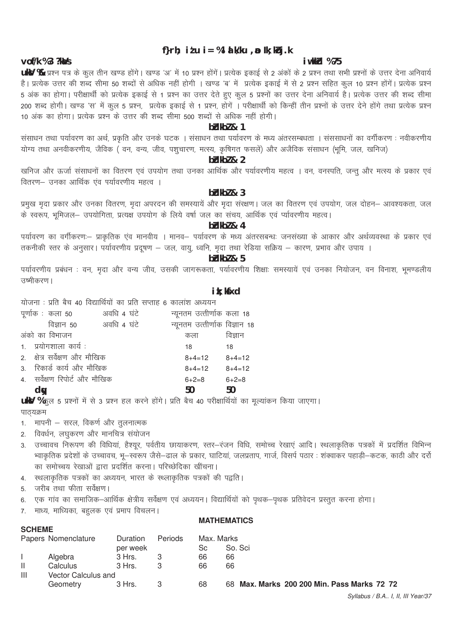# f}rh; itu i = % l a k/ku ,  $\boldsymbol{v}$  lk; kbj.k

#### iwkkh %75

UKY % प्रश्न पत्र के कुल तीन खण्ड होंगे। खण्ड 'अ' में 10 प्रश्न होंगें। प्रत्येक इकाई से 2 अंकों के 2 प्रश्न तथा सभी प्रश्नों के उत्तर देना अनिवार्य है। प्रत्येक उत्तर की शब्द सीमा 50 शब्दों से अधिक नहीं होगी । खण्ड 'ब' में प्रत्येक इकाई में से 2 प्रश्न सहित कुल 10 प्रश्न होंगें। प्रत्येक प्रश्न 5 अंक का होगा। परीक्षार्थी को प्रत्येक इकाई से 1 प्रश्न का उत्तर देते हुए कुल 5 प्रश्नों का उत्तर देना अनिवार्य है। प्रत्येक उत्तर की शब्द सीमा 200 शब्द होगी। खण्ड 'स' में कुल 5 प्रश्न, प्रत्येक इकाई से 1 प्रश्न, होगें । परीक्षार्थी को किन्हीं तीन प्रश्नों के उत्तर देने होंगे तथा प्रत्येक प्रश्न .<br>10 अंक का होगा। प्रत्येक प्रश्न के उत्तर की शब्द सीमा 500 शब्दों से अधिक नहीं होगी।

#### $b$ b $k$ b $l$  & 1

संसाधन तथा पर्यावरण का अर्थ, प्रकृति और उनके घटक । संसाधन तथा पर्यावरण के मध्य अंतरसम्बधता । संससाधनों का वर्गीकरण : नवीकरणीय योग्य तथा अनवीकरणीय, जैविक ( वन, वन्य, जीव, पशुचारण, मत्स्य, कृषिगत फसलें) और अजैविक संसाधन (भूमि, जल, खनिज)

# bidkbl & 2

खनिज और ऊर्जा संसाधनों का वितरण एवं उपयोग तथा उनका आर्थिक और पर्यावरणीय महत्व । वन, वनस्पति, जन्त और मत्स्य के प्रकार एवं वितरण- उनका आर्थिक एव पर्यावरणीय महत्व ।

# $h$  $H$ <sub>k</sub> $h$  $h$  $h$  $h$  $h$  $3$

प्रमुख मदा प्रकार और उनका वितरण, मदा अपरदन की समस्यायें और मदा संरक्षण। जल का वितरण एवं उपयोग, जल दोहन– आवश्यकता, जल के स्वरूप, भूमिजल- उपयोगिता, प्रत्यक्ष उपयोग के लिये वर्षा जल का संचय, आर्थिक एवं प्यावरणीय महत्व।

# $hHkh7$  & 4

पर्यावरण का वर्गीकरणः— प्राकृतिक एव मानवीय । मानव— पर्यावरण के मध्य अंतरसबन्धः जनसंख्या के आकार और अर्थव्यवस्था के प्रकार एवं तकनीकी स्तर के अनुसार। पर्यावरणीय प्रदूषण – जल, वायु, ध्वनि, मृदा तथा रेडिया सक्रिय – कारण, प्रभाव और उपाय ।

# 

पर्यावरणीय प्रबंधन : वन, मृदा और वन्य जीव, उसकी जागरूकता, पर्यावरणीय शिक्षाः समस्यायें एवं उनका नियोजन, वन विनाश, भूमण्डलीय उष्मीकरण ।

#### ik: kfxd

|    |                               | योजना: प्रति बैच 40 विद्यार्थियों का प्रति सप्ताह 6 कालांश अध्ययन |    |                           |                               |
|----|-------------------------------|-------------------------------------------------------------------|----|---------------------------|-------------------------------|
|    | पूर्णाक : कला 50              | अवधि ४ घंटे                                                       |    | न्यूनतम उत्तीर्णाक कला 18 |                               |
|    |                               | विज्ञान 50 अवधि 4 घंटे                                            |    |                           | न्यूनतम उत्तीर्णाक विज्ञान 18 |
|    | अंको का विभाजन                |                                                                   |    | कला                       | विज्ञान                       |
|    | 1. प्रयोगशाला कार्य:          |                                                                   | 18 |                           | 18                            |
|    | 2. क्षेत्र सर्वेक्षण और मौखिक |                                                                   |    | $8+4=12$                  | $8+4=12$                      |
|    | 3. रिकार्ड कार्य और मौखिक     |                                                                   |    | $8+4=12$                  | $8+4=12$                      |
|    | 4. सर्वेक्षण रिपोर्ट और मौखिक |                                                                   |    | $6 + 2 = 8$               | $6 + 2 = 8$                   |
| dw |                               |                                                                   | 50 |                           | 50                            |
|    |                               |                                                                   |    |                           |                               |

UKY %कुल 5 प्रश्नों में से 3 प्रश्न हल करने होंगे। प्रति बैच 40 परीक्षार्थियों का मूल्यांकन किया जाएगा। पाठयक्रम

- 1. मापनी सरल, विकर्ण और तुलनात्मक
- 2. विवर्धन, लघुकरण और मानचित्र संयोजन
- 3. उच्चावच निरूपण की विधियां, हैश्यूर, पर्वतीय छायाकरण, स्तर–रंजन विधि, समोच्च रेखाएं आदि। स्थलाकृतिक पत्रकों में प्रदर्शित विभिन्न भ्वाकृतिक प्रदेशों के उच्चावच, भू—स्वरूप जैसे—ढाल के प्रकार, घाटियां, जलप्रताप, गार्ज, विसर्प पठार : शंक्वाकर पहाड़ी—कटक, काठी और दर्रो ू<br>का समोच्चय रेखाओं द्वारा प्रदर्शित करना। परिच्छेदिका खींचना।
- स्थलाकृतिक पत्रकों का अध्ययन, भारत के स्थ्लाकृतिक पत्रकों की पद्वति ।  $\overline{4}$
- जरीब तथा फीता सर्वेक्षण।  $5<sup>1</sup>$

**SCHEME** 

- एक गांव का समाजिक–आर्थिक क्षेत्रीय सर्वेक्षण एवं अध्ययन। विद्यार्थियों को पृथक–पृथक प्रतिवेदन प्रस्तुत करना होगा। 6
- माध्य, माध्यिका, बहलक एवं प्रमाप विचलन।  $\overline{7}$ .

# **MATHEMATICS**

|   | Papers Nomenclature | Duration | Periods | Max. Marks |                                             |  |  |  |
|---|---------------------|----------|---------|------------|---------------------------------------------|--|--|--|
|   |                     | per week |         | Sc         | So. Sci                                     |  |  |  |
|   | Algebra             | 3 Hrs.   |         | 66         | 66                                          |  |  |  |
| Ш | Calculus            | 3 Hrs.   |         | 66         | 66                                          |  |  |  |
| Ш | Vector Calculus and |          |         |            |                                             |  |  |  |
|   | Geometry            | 3 Hrs.   |         | 68         | 68 Max. Marks 200 200 Min. Pass Marks 72 72 |  |  |  |

#### $V$ of/k %3 ?k $\lambda$ /s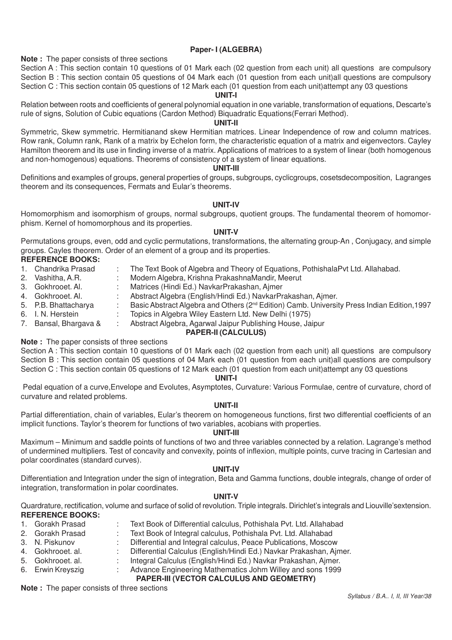### **Paper- I (ALGEBRA)**

#### **Note :** The paper consists of three sections

Section A : This section contain 10 questions of 01 Mark each (02 question from each unit) all questions are compulsory Section B : This section contain 05 questions of 04 Mark each (01 question from each unit)all questions are compulsory Section C : This section contain 05 questions of 12 Mark each (01 question from each unit)attempt any 03 questions

### **UNIT-I**

Relation between roots and coefficients of general polynomial equation in one variable, transformation of equations, Descarte's rule of signs, Solution of Cubic equations (Cardon Method) Biquadratic Equations(Ferrari Method).

#### **UNIT-II**

Symmetric, Skew symmetric. Hermitianand skew Hermitian matrices. Linear Independence of row and column matrices. Row rank, Column rank, Rank of a matrix by Echelon form, the characteristic equation of a matrix and eigenvectors. Cayley Hamilton theorem and its use in finding inverse of a matrix. Applications of matrices to a system of linear (both homogenous and non-homogenous) equations. Theorems of consistency of a system of linear equations.

#### **UNIT-III**

Definitions and examples of groups, general properties of groups, subgroups, cyclicgroups, cosetsdecomposition, Lagranges theorem and its consequences, Fermats and Eular's theorems.

#### **UNIT-IV**

Homomorphism and isomorphism of groups, normal subgroups, quotient groups. The fundamental theorem of homomorphism. Kernel of homomorphous and its properties.

#### **UNIT-V**

Permutations groups, even, odd and cyclic permutations, transformations, the alternating group-An , Conjugacy, and simple groups. Cayles theorem. Order of an element of a group and its properties.

# **REFERENCE BOOKS:**

- 1. Chandrika Prasad : The Text Book of Algebra and Theory of Equations, PothishalaPvt Ltd. Allahabad.<br>2. Vashitha, A.R. : Modern Algebra, Krishna PrakashnaMandir, Meerut
- 2. Vashitha, A.R. : Modern Algebra, Krishna PrakashnaMandir, Meerut<br>3. Gokhrooet. Al. : Matrices (Hindi Ed.) NavkarPrakashan. Aimer
- 3. Gokhrooet. Al. : Matrices (Hindi Ed.) NavkarPrakashan, Ajmer<br>4. Gokhrooet. Al. : Abstract Algebra (English/Hindi Ed.) NavkarPr
- : Abstract Algebra (English/Hindi Ed.) NavkarPrakashan, Ajmer.
- 5. P.B. Bhattacharya : Basic Abstract Algebra and Others (2<sup>nd</sup> Edition) Camb. University Press Indian Edition,1997<br>6. I. N. Herstein : Topics in Algebra Wiley Eastern Ltd. New Delhi (1975)
- 
- 6. I. N. Herstein : Topics in Algebra Wiley Eastern Ltd. New Delhi (1975)<br>7. Bansal, Bhargava & : Abstract Algebra, Agarwal Jaipur Publishing House, Ja 2. Abstract Algebra, Agarwal Jaipur Publishing House, Jaipur

#### **PAPER-II (CALCULUS)**

### **Note :** The paper consists of three sections

Section A : This section contain 10 questions of 01 Mark each (02 question from each unit) all questions are compulsory Section B : This section contain 05 questions of 04 Mark each (01 question from each unit)all questions are compulsory Section C : This section contain 05 questions of 12 Mark each (01 question from each unit)attempt any 03 questions

#### **UNIT-I**

 Pedal equation of a curve,Envelope and Evolutes, Asymptotes, Curvature: Various Formulae, centre of curvature, chord of curvature and related problems.

#### **UNIT-II**

Partial differentiation, chain of variables, Eular's theorem on homogeneous functions, first two differential coefficients of an implicit functions. Taylor's theorem for functions of two variables, acobians with properties.

#### **UNIT-III**

Maximum – Minimum and saddle points of functions of two and three variables connected by a relation. Lagrange's method of undermined multipliers. Test of concavity and convexity, points of inflexion, multiple points, curve tracing in Cartesian and polar coordinates (standard curves).

#### **UNIT-IV**

Differentiation and Integration under the sign of integration, Beta and Gamma functions, double integrals, change of order of integration, transformation in polar coordinates.

#### **UNIT-V**

Quardrature, rectification, volume and surface of solid of revolution. Triple integrals. Dirichlet's integrals and Liouville'sextension. **REFERENCE BOOKS:**<br>1 Gorakh Prasad

- 1. Gorakh Prasad : Text Book of Differential calculus, Pothishala Pvt. Ltd. Allahabad<br>2. Gorakh Prasad : Text Book of Integral calculus. Pothishala Pvt. Ltd. Allahabad
- 2. Text Book of Integral calculus, Pothishala Pvt. Ltd. Allahabad
- 
- 3. N. Piskunov : Differential and Integral calculus, Peace Publications, Moscow 4. Gokhrooet. al. : Differential Calculus (English/Hindi Ed.) Navkar Prakashan, Ajmer.
- - 5. Gokhrooet. al. : Integral Calculus (English/Hindi Ed.) Navkar Prakashan, Ajmer.
	- 6. Erwin Kreyszig : Advance Engineering Mathematics Johm Willey and sons 1999

# **PAPER-III (VECTOR CALCULUS AND GEOMETRY)**

**Note :** The paper consists of three sections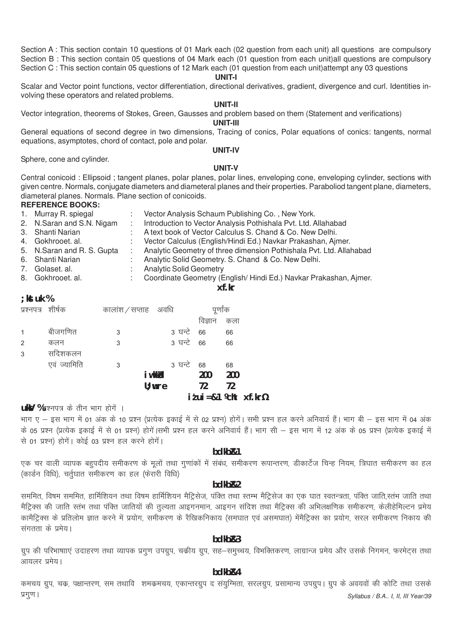Section A : This section contain 10 questions of 01 Mark each (02 question from each unit) all questions are compulsory Section B : This section contain 05 questions of 04 Mark each (01 question from each unit)all questions are compulsory Section C : This section contain 05 questions of 12 Mark each (01 question from each unit)attempt any 03 questions

#### **UNIT-I**

Scalar and Vector point functions, vector differentiation, directional derivatives, gradient, divergence and curl. Identities involving these operators and related problems.

#### **UNIT-II**

Vector integration, theorems of Stokes, Green, Gausses and problem based on them (Statement and verifications)

**UNIT-III**

General equations of second degree in two dimensions, Tracing of conics, Polar equations of conics: tangents, normal equations, asymptotes, chord of contact, pole and polar.

Sphere, cone and cylinder.

# **UNIT-IV UNIT-V**

Central conicoid : Ellipsoid ; tangent planes, polar planes, polar lines, enveloping cone, enveloping cylinder, sections with given centre. Normals, conjugate diameters and diameteral planes and their properties. Paraboliod tangent plane, diameters, diameteral planes. Normals. Plane section of conicoids.

#### **REFERENCE BOOKS:**

| 1. Murray R. spiegal       | Vector Analysis Schaum Publishing Co., New York.                    |
|----------------------------|---------------------------------------------------------------------|
| 2. N. Saran and S.N. Nigam | Introduction to Vector Analysis Pothishala Pvt. Ltd. Allahabad      |
| 3. Shanti Narian           | A text book of Vector Calculus S. Chand & Co. New Delhi.            |
| 4. Gokhrooet al.           | Vector Calculus (English/Hindi Ed.) Navkar Prakashan, Ajmer.        |
| 5. N.Saran and R. S. Gupta | Analytic Geometry of three dimension Pothishala Pvt. Ltd. Allahabad |
| 6. Shanti Narian           | Analytic Solid Geometry. S. Chand & Co. New Delhi.                  |
| 7. Golaset. al.            | <b>Analytic Solid Geometry</b>                                      |
| 8. Gokhrooet. al.          | Coordinate Geometry (English/Hindi Ed.) Navkar Prakashan, Ajmer.    |
|                            | xf.kr                                                               |

#### **;kstuk %**

|              |              |                    |            |         | $i$ <i>t</i> ui = $81$ <i>k</i> cht $xf$ .kr <sup><math>y</math></sup> |
|--------------|--------------|--------------------|------------|---------|------------------------------------------------------------------------|
|              |              |                    | $U$ ; wre  | 72      | 72                                                                     |
|              |              |                    | i w kkło   | 200     | 200                                                                    |
|              | एवं ज्यामिति | 3                  | 3 घन्टे    | 68      | 68                                                                     |
| 3            | सदिशकलन      |                    |            |         |                                                                        |
| 2            | कलन          | 3                  | 3 घन्टे 66 |         | 66                                                                     |
| $\mathbf{1}$ | बीजगणित      | 3                  | 3 घन्टे 66 |         | 66                                                                     |
|              |              |                    |            | विज्ञान | कला                                                                    |
| प्रश्नपत्र   | शीर्षक       | कालांश/सप्ताह अवधि |            | पूर्णाक |                                                                        |

#### **ukV** %प्रश्नपत्र के तीन भाग होगें ।

भाग ए – इस भाग में 01 अंक के 10 प्रश्न (प्रत्येक इकाई में से 02 प्रश्न) होगें। सभी प्रश्न हल करने अनिवार्य हैं। भाग बी – इस भाग में 04 अंक के 05 प्रश्न (प्रत्येक इकाई में से 01 प्रश्न) होगें।सभी प्रश्न हल करने अनिवार्य हैं। भाग सी – इस भाग में 12 अंक के 05 प्रश्न (प्रत्येक इकाई में से 01 प्रश्न) होगें। कोई 03 प्रश्न हल करने होगें।

# **bdkbZ&1**

एक चर वाली व्यापक बहुपदीय समीकरण के मूलों तथा गुणांकों में संबंध, समीकरण रूपान्तरण, डीकार्टेज चिन्ह नियम, त्रिघात समीकरण का हल (कार्डन विधि), चर्तुघात समीकरण का हल (फेरारी विधि)

#### **bdkbZ&2**

सममित, विषम सममित, हार्मिशियन तथा विषम हार्मिशियन मैट्रिसेज, पंक्ति तथा स्तम्भ मैट्रिसेज का एक घात स्वतन्त्रता, पंक्ति जाति,स्तंभ जाति तथा .<br>मैट्रिक्स की जाति स्तंभ तथा पंक्ति जातियों की तुल्यता आइगनमान, आइगन संदिश तथा मैट्रिक्स की अभिलक्षणिक समीकरण. केलीहेमिल्टन प्रमेय कामैट्रिक्स के प्रतिलोम ज्ञात करने में प्रयोग, समीकरण के रैखिकनिकाय (समघात एवं असमघात) मेंमैट्रिक्स का प्रयोग, सरल समीकरण निकाय की संगतता के प्रमेय।

#### **bdkbZ&3**

ग्रुप की परिभाषााएं उदाहरण तथा व्यापक प्रगुण उपग्रुप, चकीय ग्रुप, सह–समुच्चय, विभक्तिकरण, लाग्रान्ज प्रमेय और उसके निगमन, फरमेट्स तथा आयलर प्रमेय।

#### **bdkbZ&4**

*Syllabus / B.A.. I, II, III Year/39* कमचय ग्रुप, चक, पक्षान्तरण, सम तथावि शमकमचय, एकान्तरग्रुप द संयुग्मिता, सरलग्रुप, प्रसामान्य उपग्रुप। ग्रुप के अवयवों की कोटि तथा उसके प्रगूण ।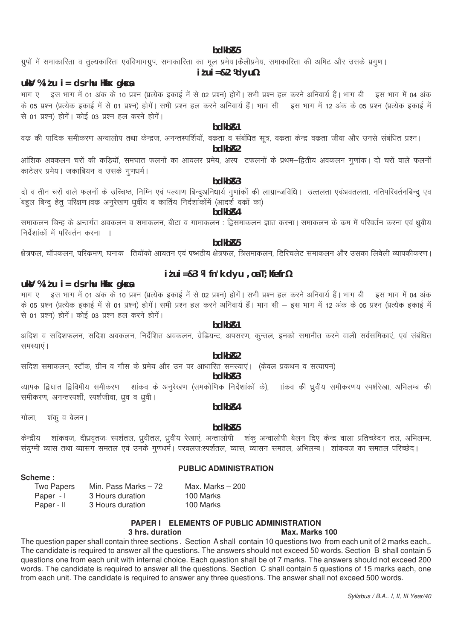#### bdkb<sub>R5</sub>

ग्रुपों में समाकारिता व तुल्यकारिता एवंविभागग्रुप, समाकारिता का मूल प्रमेय।कैलीप्रमेय, समाकारिता की अषिट और उसके प्रगुण।

#### $i$  t ui = & 2  $\%$  d yu $\%$

#### uk $\mathsf{V}$  % i  $t$  u i = ds rhu Hkkx gk $\mathsf{S}$ a

भाग ए – इस भाग में 01 अंक के 10 प्रश्न (प्रत्येक इकाई में से 02 प्रश्न) होगें। सभी प्रश्न हल करने अनिवार्य हैं। भाग बी – इस भाग में 04 अंक के 05 प्रश्न (प्रत्येक इकाई में से 01 प्रश्न) होगें। सभी प्रश्न हल करने अनिवार्य हैं। भाग सी – इस भाग में 12 अंक के 05 प्रश्न (प्रत्येक इकाई में से 01 प्रश्न) होगें। कोई 03 प्रश्न हल करने होगें।

# bdkb&1

वक की पादिक समीकरण अन्वालोप तथा केन्द्रज, अनन्तस्पर्शियों, वकता व संबंधित सूत्र, वकता केन्द्र वकता जीवा और उनसे संबंधित प्रश्न।

# bdkb<sub>R2</sub>

आंशिक अवकलन चरों की कडियॉ, समघात फलनों का आयलर प्रमेय, अस्प टफलनों के प्रथम–द्वितीय अवकलन गुणांक। दो चरों वाले फलनों काटेलर प्रमेय। जकाबियन व उसके गणधर्म।

#### $hdkhR3$

दो व तीन चरों वाले फलनों के उच्चिष्ठ, निम्नि एवं पल्याण बिन्दुअनिधार्य गुणांकों की लाग्रान्जविधि। उत्तलता एवंअवतलता, नतिपरिवर्तनबिन्दु एव .<br>बहुल बिन्दु हेतु परिक्षण ।वक अनुरेखण धुर्वीय व कार्तिय निर्दशांकोंमें (आदर्श वकों का)

## bdkb&4

समाकलन चिन्ह के अन्तर्गत अवकलन व समाकलन, बीटा व गामाकलन : द्विसमाकलन ज्ञात करना। समाकलन के कम में परिवर्तन करना एवं ध्रवीय निर्देशांकों में परिवर्तन करना ।

# bdkb<sub>R5</sub>

क्षेत्रफल, चॉपकलन, परिकमण, घनाक) तियोंको आयतन एवं पष्पठीय क्षेत्रफल, त्रिसमाकलन, डिरिचलेट समाकलन और उसका लिवेली व्यापकीकरण।

# uk $\mathsf{V}$  % i  $\mathsf{t}$  u i = ds rhu Hkkx qk $\mathsf{S}$ s

#### $i$  tui = & 3  $\%$  fn'k dyu, oa T; kfefr $\%$

भाग ए – इस भाग में 01 अंक के 10 प्रश्न (प्रत्येक इकाई में से 02 प्रश्न) होगें। सभी प्रश्न हल करने अनिवार्य हैं। भाग बी – इस भाग में 04 अंक के 05 प्रश्न (प्रत्येक इकाई में से 01 प्रश्न) होगें। सभी प्रश्न हल करने अनिवार्य हैं। भाग सी – इस भाग में 12 अंक के 05 प्रश्न (प्रत्येक इकाई में से 01 प्रश्न) होगें। कोई 03 प्रश्न हल करने होगें।

#### hdkh<sub>R1</sub>

अदिश व सदिशफलन, सदिश अवकलन, निर्देशित अवकलन, ग्रेडियन्ट, अपसरण, कुन्तल, इनको समानीत करने वाली सर्वसमिकाएं, एवं संबंधित समस्याएं ।

# bdkb<sub>R2</sub>

सदिश समाकलन, स्टॉक, ग्रीन व गौस के प्रमेय और उन पर आधारित समस्याएं। (केवल प्रकथन व सत्यापन)

#### bdkb<sub>R3</sub>

व्यापक द्विघात द्विविमीय समीकरण शांकव के अनुरेखण (समकोणिक निर्देशांकों के), लांकव की ध्रवीय समीकरणय स्पर्शरेखा, अभिलम्ब की समीकरण, अनन्तस्पर्शी, स्पर्शजीवा, ध्रुव व ध्रुवी ।

शंक व बेलन। गोला.

# hdkh<sub>R4</sub>

### bdkb<sub>R5</sub>

केन्द्रीय शांकवज, दीधवृतजः स्पर्शतल, ध्रुवीतल, ध्रुवीय रेखाएं, अन्तालोपी शंकु अन्वालोपी बेलन दिए केन्द्र वाला प्रतिच्छेदन तल, अभिलम्भ, संयुग्मी व्यास तथा व्यासग समतल एवं उनके गुणधर्मे। परवलजःस्पर्शतल, व्यास, व्यासग समतल, अभिलम्ब। शांकवज का समतल परिच्छेद।

# **PUBLIC ADMINISTRATION**

### Scheme:

| Two Papers | Min. Pass Marks $-72$ | Max. Marks $-200$ |
|------------|-----------------------|-------------------|
| Paper - I  | 3 Hours duration      | 100 Marks         |
| Paper - II | 3 Hours duration      | 100 Marks         |

#### PAPER I ELEMENTS OF PUBLIC ADMINISTRATION

#### 3 hrs. duration

#### Max. Marks 100

The question paper shall contain three sections. Section Ashall contain 10 questions two from each unit of 2 marks each,. The candidate is required to answer all the questions. The answers should not exceed 50 words. Section B shall contain 5 questions one from each unit with internal choice. Each question shall be of 7 marks. The answers should not exceed 200 words. The candidate is required to answer all the questions. Section C shall contain 5 questions of 15 marks each, one from each unit. The candidate is required to answer any three questions. The answer shall not exceed 500 words.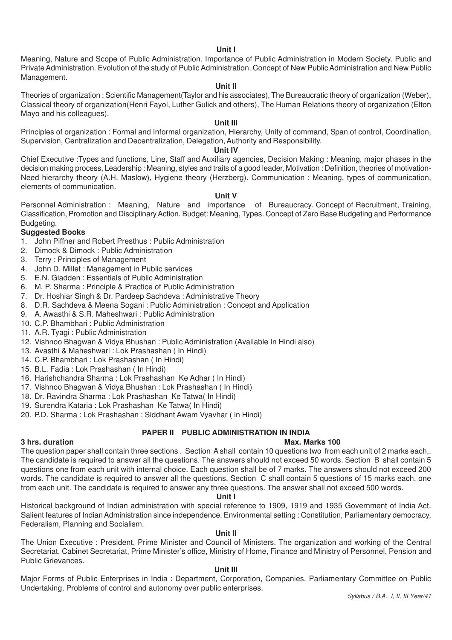#### **Unit I**

Meaning, Nature and Scope of Public Administration. Importance of Public Administration in Modern Society. Public and Private Administration. Evolution of the study of Public Administration. Concept of New Public Administration and New Public Management.

#### **Unit II**

Theories of organization : Scientific Management(Taylor and his associates), The Bureaucratic theory of organization (Weber), Classical theory of organization(Henri Fayol, Luther Gulick and others), The Human Relations theory of organization (Elton Mayo and his colleagues).

# **Unit III**

Principles of organization : Formal and Informal organization, Hierarchy, Unity of command, Span of control, Coordination, Supervision, Centralization and Decentralization, Delegation, Authority and Responsibility.

### **Unit IV**

Chief Executive :Types and functions, Line, Staff and Auxiliary agencies, Decision Making : Meaning, major phases in the decision making process, Leadership : Meaning, styles and traits of a good leader, Motivation : Definition, theories of motivation-Need hierarchy theory (A.H. Maslow), Hygiene theory (Herzberg). Communication : Meaning, types of communication, elements of communication.

#### **Unit V**

Personnel Administration : Meaning, Nature and importance of Bureaucracy. Concept of Recruitment, Training, Classification, Promotion and Disciplinary Action. Budget: Meaning, Types. Concept of Zero Base Budgeting and Performance Budgeting.

# **Suggested Books**

- 1. John Piffner and Robert Presthus : Public Administration
- 2. Dimock & Dimock : Public Administration
- 3. Terry : Principles of Management
- 4. John D. Millet : Management in Public services
- 5. E.N. Gladden : Essentials of Public Administration
- 6. M. P. Sharma : Principle & Practice of Public Administration
- 7. Dr. Hoshiar Singh & Dr. Pardeep Sachdeva : Administrative Theory
- 8. D.R. Sachdeva & Meena Sogani : Public Administration : Concept and Application
- 9. A. Awasthi & S.R. Maheshwari : Public Administration
- 10. C.P. Bhambhari : Public Administration
- 11. A.R. Tyagi : Public Administration
- 12. Vishnoo Bhagwan & Vidya Bhushan : Public Administration (Available In Hindi also)
- 13. Avasthi & Maheshwari : Lok Prashashan ( In Hindi)
- 14. C.P. Bhambhari : Lok Prashashan ( In Hindi)
- 15. B.L. Fadia : Lok Prashashan ( In Hindi)
- 16. Harishchandra Sharma : Lok Prashashan Ke Adhar ( In Hindi)
- 17. Vishnoo Bhagwan & Vidya Bhushan : Lok Prashashan ( In Hindi)
- 18. Dr. Ravindra Sharma : Lok Prashashan Ke Tatwa( In Hindi)
- 19. Surendra Kataria : Lok Prashashan Ke Tatwa( In Hindi)
- 20. P.D. Sharma : Lok Prashashan : Siddhant Awam Vyavhar ( in Hindi)

#### **PAPER II PUBLIC ADMINISTRATION IN INDIA**

#### **3 hrs. duration Max. Marks 100**

The question paper shall contain three sections . Section A shall contain 10 questions two from each unit of 2 marks each,. The candidate is required to answer all the questions. The answers should not exceed 50 words. Section B shall contain 5 questions one from each unit with internal choice. Each question shall be of 7 marks. The answers should not exceed 200 words. The candidate is required to answer all the questions. Section C shall contain 5 questions of 15 marks each, one from each unit. The candidate is required to answer any three questions. The answer shall not exceed 500 words.

#### **Unit I**

Historical background of Indian administration with special reference to 1909, 1919 and 1935 Government of India Act. Salient features of Indian Administration since independence. Environmental setting : Constitution, Parliamentary democracy, Federalism, Planning and Socialism.

#### **Unit II**

The Union Executive : President, Prime Minister and Council of Ministers. The organization and working of the Central Secretariat, Cabinet Secretariat, Prime Minister's office, Ministry of Home, Finance and Ministry of Personnel, Pension and Public Grievances.

#### **Unit III**

Major Forms of Public Enterprises in India : Department, Corporation, Companies. Parliamentary Committee on Public Undertaking, Problems of control and autonomy over public enterprises.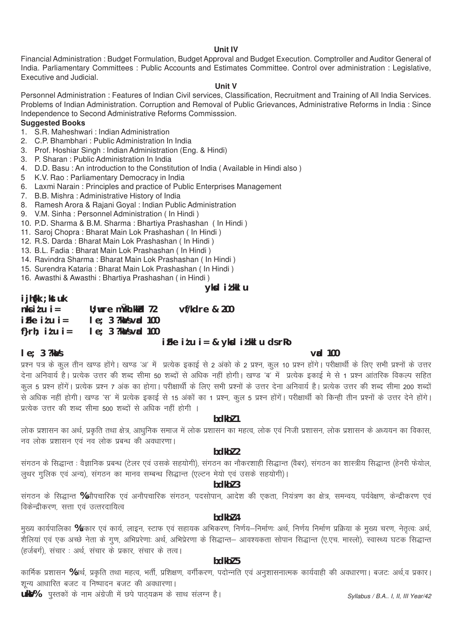#### **Unit IV**

Financial Administration : Budget Formulation, Budget Approval and Budget Execution. Comptroller and Auditor General of India. Parliamentary Committees : Public Accounts and Estimates Committee. Control over administration : Legislative, Executive and Judicial.

#### **Unit V**

Personnel Administration : Features of Indian Civil services, Classification, Recruitment and Training of All India Services. Problems of Indian Administration. Corruption and Removal of Public Grievances, Administrative Reforms in India : Since Independence to Second Administrative Reforms Commisssion.

# **Suggested Books**

- 1. S.R. Maheshwari : Indian Administration
- 2. C.P. Bhambhari : Public Administration In India
- 3. Prof. Hoshiar Singh : Indian Administration (Eng. & Hindi)
- 3. P. Sharan : Public Administration In India
- 4. D.D. Basu : An introduction to the Constitution of India ( Available in Hindi also )
- 5 K.V. Rao : Parliamentary Democracy in India
- 6. Laxmi Narain : Principles and practice of Public Enterprises Management
- 7. B.B. Mishra : Administrative History of India
- 8. Ramesh Arora & Rajani Goyal : Indian Public Administration
- 9. V.M. Sinha : Personnel Administration ( In Hindi )
- 10. P.D. Sharma & B.M. Sharma : Bhartiya Prashashan ( In Hindi )
- 11. Saroj Chopra : Bharat Main Lok Prashashan ( In Hindi )
- 12. R.S. Darda : Bharat Main Lok Prashashan ( In Hindi )
- 13. B.L. Fadia : Bharat Main Lok Prashashan ( In Hindi )
- 14. Ravindra Sharma : Bharat Main Lok Prashashan ( In Hindi )
- 15. Surendra Kataria : Bharat Main Lok Prashashan ( In Hindi )
- 16. Awasthi & Awasthi : Bhartiya Prashashan ( in Hindi )

# **yksd iz'kklu**

# **ijh{kk ;kstuk**

| $n$ ksidu i=          | $U$ ; wre mukh. kkkd $72$       |  | vf/kdre & 200 |  |  |
|-----------------------|---------------------------------|--|---------------|--|--|
| iFke idu i=           | $le; 3$ ?ka /s vad 100          |  |               |  |  |
| f} $r h$ ; it $u$ i = | $le; 3$ ?ka $\lambda$ s vad 100 |  |               |  |  |
|                       |                                 |  |               |  |  |

### **izFke iz'u i= & yksd iz'kklu ds rRo**

#### **le; 3 ?kaVs vad 100**

प्रश्न पत्र के कुल तीन खण्ड होंगे। खण्ड 'अ' में प्रत्येक इकाई से 2 अंको के 2 प्रश्न, कुल 10 प्रश्न होंगे। परीक्षार्थी के लिए सभी प्रश्नों के उत्तर देना अनिवार्य है। प्रत्येक उत्तर की शब्द सीमा 50 शब्दों से अधिक नहीं होगी। खण्ड 'ब' में प्रत्येक इकाई मे से 1 प्रश्न आंतरिक विकल्प सहित कूल 5 प्रश्न होंगें। प्रत्येक प्रश्न 7 अंक का होगा। परीक्षार्थी के लिए सभी प्रश्नों के उत्तर देना अनिवार्य है। प्रत्येक उत्तर की शब्द सीमा 200 शब्दों ्<br>से अधिक नहीं होगी। खण्ड 'स' में प्रत्येक इकाई से 15 अंकों का 1 प्रश्न, कुल 5 प्रश्न होंगें। परीक्षार्थी को किन्ही तीन प्रश्नों के उत्तर देने होंगे। प्रत्येक उत्तर की शब्द सीमा 500 शब्दों से अधिक नहीं होगी ।

#### **bdkbZ 1**

लोक प्रशासन का अर्थ, प्रकृति तथा क्षेत्र, आधुनिक समाज में लोक प्रशासन का महत्व, लोक एवं निजी प्रशासन, लोक प्रशासन के अध्ययन का विकास, नव लोक प्रशासन एवं नव लोक प्रबन्ध की अवधारणा।

# **bdkbZ 2**

संगठन के सिद्धान्त : वैज्ञानिक प्रबन्ध (टेलर एवं उसके सहयोगी), संगठन का नौकरशाही सिद्धान्त (वैबर), संगठन का शास्त्रीय सिद्धान्त (हेनरी फेयोल, .<br>लुथर गुलिक एवं अन्य), संगठन का मानव सम्बन्ध सिद्धान्त (एल्टन मेयो एवं उसके सहयोगी)।

#### **bdkbZ 3**

संगठन के सिद्धान्त %औपचारिक एवं अनौपचारिक संगठन, पदसोपान, आदेश की एकता, नियंत्रण का क्षेत्र, समन्वय, पर्यवेक्षण, केन्द्रीकरण एवं विकेन्द्रीकरण, सत्ता एवं उत्तरदायित्व

#### **bdkbZ 4**

.<br>मुख्य कार्यपालिका %प्रकार एवं कार्य, लाइन, स्टाफ एवं सहायक अभिकरण, निर्णय–निर्माणः अर्थ, निर्णय निर्माण प्रक्रिया के मुख्य चरण, नेतृत्वः अर्थ, 's<br>'शैलियां एवं एक अच्छे नेता के गूण, अभिप्ररेणाः अर्थ, अभिप्रेरणा के सिद्धान्त— आवश्यकता सोपान सिद्धान्त (ए.एच. मास्लो), स्वास्थ्य घटक सिद्धान्त (हर्जबर्ग), संचार : अर्थ, संचार के प्रकार, संचार के तत्व।

#### **bdkbZ 5**

कार्मिक प्रशासन %अर्थ, प्रकृति तथा महत्व, भर्ती, प्रशिक्षण, वर्गीकरण, पदोन्नति एवं अनुशासनात्मक कार्यवाही की अवधारणा। बजटः अर्थ,व प्रकार। 'शून्य आधारित बजट व निष्पादन बजट की अवधारणा।

**ukV%** पुस्तकों के नाम अंग्रेजी में छपे पाठ्यक्रम के साथ संलग्न है।

*Syllabus / B.A.. I, II, III Year/42*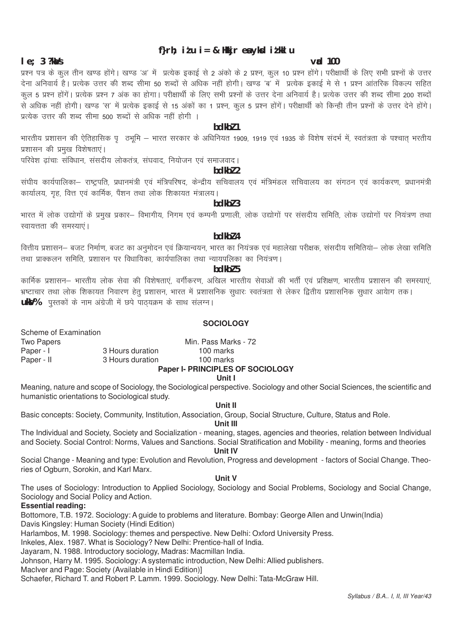# f}rh; itu i = & Hkkjr ea ykkd itkkl u

#### $\mathbf{v}$ ad 100

#### $le: 3$  ?ka/s

प्रश्न पत्र के कुल तीन खण्ड होंगे। खण्ड 'अ' में प्रत्येक इकाई से 2 अंको के 2 प्रश्न, कुल 10 प्रश्न होंगे। परीक्षार्थी के लिए सभी प्रश्नों के उत्तर .<br>देना अनिवार्य है। प्रत्येक उत्तर की शब्द सीमा 50 शब्दों से अधिक नहीं होगी। खण्ड 'ब' में प्रत्येक इकाई मे से 1 प्रश्न आंतरिक विकल्प सहित कूल 5 प्रश्न होंगें। प्रत्येक प्रश्न 7 अंक का होगा। परीक्षार्थी के लिए सभी प्रश्नों के उत्तर देना अनिवार्य है। प्रत्येक उत्तर की शब्द सीमा 200 शब्दों ्<br>से अधिक नहीं होगी। खण्ड 'स' में प्रत्येक इकाई से 15 अंकों का 1 प्रश्न, कुल 5 प्रश्न होंगें। परीक्षार्थी को किन्ही तीन प्रश्नों के उत्तर देने होंगे। प्रत्येक उत्तर की शब्द सीमा 500 शब्दों से अधिक नहीं होगी ।

#### bdkbl 1

भारतीय प्रशासन की ऐतिहासिक पुलिमी – भारत सरकार के अधिनियत 1909, 1919 एवं 1935 के विशेष संदर्भ में, स्वतंत्रता के पश्चात भरतीय प्रशासन की प्रमुख विशेषताएं।

परिवेश ढांचाः संविधान, संसदीय लोकतंत्र, संघवाद, नियोजन एवं समाजवाद।

# $hdkh$  $2$

संघीय कार्यपालिका– राष्ट्रपति, प्रधानमंत्री एवं मंत्रिपरिषद, केन्द्रीय सचिवालय एवं मंत्रिमंडल सचिवालय का संगठन एवं कार्यकरण, प्रधानमंत्री कार्यालय, गह, वित्त एवं कार्मिक, पैंशन तथा लोक शिकायत मंत्रालय।

# bdkbl 3

भारत में लोक उद्योगों के प्रमुख प्रकार– विभागीय, निगम एवं कम्पनी प्रणाली, लोक उद्योगों पर संसदीय समिति, लोक उद्योगों पर नियंत्रण तथा स्वायत्तता की समस्याएं।

#### bdkbl 4

वित्तीय प्रशासन– बजट निर्माण, बजट का अनुमोदन एवं क्रियान्वयन, भारत का नियंत्रक एवं महालेखा परीक्षक, संसदीय समितिया– लोक लेखा समिति तथा प्राक्कलन समिति, प्रशासन पर विधायिका, कार्यपालिका तथा न्यायपलिका का नियंत्रण।

#### $hdkh$ <sub>7</sub>

कार्मिक प्रशासन— भारतीय लोक सेवा की विशेषताएं. वर्गीकरण, अखिल भारतीय सेवाओं की भर्ती एवं प्रशिक्षण, भारतीय प्रशासन की समस्याएं, भ्रष्टाचार तथा लोक शिकायत निवारण हेतू प्रशासन, भारत में प्रशासनिक सुधारः स्वतंत्रता से लेकर द्वितीय प्रशासनिक सुधार आयेाग तक। **ukV%** पुस्तकों के नाम अंग्रेजी में छपे पाठयक्रम के साथ संलग्न।

#### **SOCIOLOGY**

Scheme of Examination **Two Papers** Min. Pass Marks - 72 Paper - I 3 Hours duration 100 marks Paper - II 3 Hours duration 100 marks

#### Paper I- PRINCIPLES OF SOCIOLOGY

### **Unit I**

Meaning, nature and scope of Sociology, the Sociological perspective. Sociology and other Social Sciences, the scientific and humanistic orientations to Sociological study.

#### Unit II

Basic concepts: Society, Community, Institution, Association, Group, Social Structure, Culture, Status and Role,

### Unit III

The Individual and Society, Society and Socialization - meaning, stages, agencies and theories, relation between Individual and Society, Social Control: Norms, Values and Sanctions, Social Stratification and Mobility - meaning, forms and theories **Unit IV** 

Social Change - Meaning and type: Evolution and Revolution, Progress and development - factors of Social Change. Theories of Ogburn, Sorokin, and Karl Marx.

#### Unit V

The uses of Sociology: Introduction to Applied Sociology, Sociology and Social Problems, Sociology and Social Change, Sociology and Social Policy and Action.

#### Essential reading:

Bottomore, T.B. 1972. Sociology: A guide to problems and literature. Bombay: George Allen and Unwin(India)

Davis Kingsley: Human Society (Hindi Edition)

Harlambos, M. 1998. Sociology: themes and perspective. New Delhi: Oxford University Press.

Inkeles, Alex. 1987. What is Sociology? New Delhi: Prentice-hall of India.

Jayaram, N. 1988. Introductory sociology, Madras: Macmillan India.

Johnson, Harry M. 1995. Sociology: A systematic introduction, New Delhi: Allied publishers.

MacIver and Page: Society (Available in Hindi Edition)]

Schaefer, Richard T. and Robert P. Lamm. 1999. Sociology, New Delhi: Tata-McGraw Hill.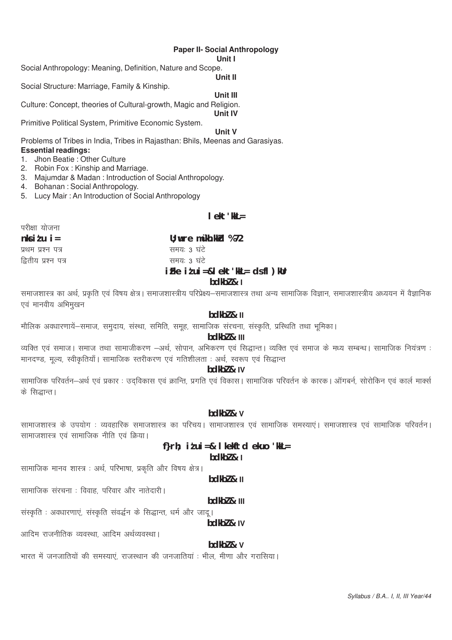#### **Paper II- Social Anthropology**

#### Unit I

Social Anthropology: Meaning, Definition, Nature and Scope.

**Unit II** 

Social Structure: Marriage, Family & Kinship.

Unit III

Culture: Concept, theories of Cultural-growth, Magic and Religion. Unit IV

Primitive Political System, Primitive Economic System.

**Unit V** 

Problems of Tribes in India, Tribes in Rajasthan: Bhils, Meenas and Garasiyas. **Essential readings:** 

- 1. Jhon Beatie: Other Culture
- 2. Robin Fox: Kinship and Marriage.
- 3. Majumdar & Madan: Introduction of Social Anthropology.
- 4. Bohanan: Social Anthropology.
- 5. Lucy Mair: An Introduction of Social Anthropology

## $I \triangle k + 'kk =$

| परीक्षा योजना       |                                                   |
|---------------------|---------------------------------------------------|
| $n$ ksidu i=        | $U$ ; wre m $\gamma$ kh.kkd %72                   |
| प्रथम प्रश्न पत्र   | समयः ३ घटे                                        |
| द्वितीय प्रश्न पत्र | समयः ३ घंटे                                       |
|                     | $i$ Fke $i$ t $ui = &$ l ekt 'kkL = ds fl $)$ kUr |

#### $bdkb2 & 1$

समाजशास्त्र का अर्थ, प्रकृति एवं विषय क्षेत्र। समाजशास्त्रीय परिप्रेक्ष्य–समाजशास्त्र तथा अन्य सामाजिक विज्ञान, समाजशास्त्रीय अध्ययन में वैज्ञानिक एवं मानवीय अभिमुखन

# $hdkh$   $\ell$   $\mu$

मौलिक अवधारणायें-समाज, समुदाय, संस्था, समिति, समूह, सामाजिक संरचना, संस्कृति, प्रस्थिति तथा भूमिका।

# bdkbl & III

व्यक्ति एवं समाज। समाज तथा सामाजीकरण –अर्थ, सोपान, अभिकरण एवं सिद्धान्त। व्यक्ति एवं समाज के मध्य सम्बन्ध। सामाजिक नियंत्रण : मानदण्ड, मूल्य, स्वीकृतियाँ। सामाजिक स्तरीकरण एवं गतिशीलता : अर्थ, स्वरूप एवं सिद्धान्त

# bdkbl & IV

सामाजिक परिवर्तन—अर्थ एवं प्रकार : उदविकास एवं क्रान्ति, प्रगति एवं विकास। सामाजिक परिवर्तन के कारक। ऑगबर्न, सोरोकिन एवं कार्ल मार्क्स के सिद्धान्त।

### bdkbl & v

सामाजशास्त्र के उपयोग : व्यवहारिक समाजशास्त्र का परिचय। सामाजशास्त्र एवं सामाजिक समस्याएं। समाजशास्त्र एवं सामाजिक परिवर्तन। सामाजशास्त्र एवं सामाजिक नीति एवं क्रिया।

# f}rh;  $i \nmid i = 8$  l kekftd ekuo 'kkL=

 $hdkh7$  &  $l$ 

सामाजिक मानव शास्त्र : अर्थ, परिभाषा, प्रकृति और विषय क्षेत्र।

 $hdkh$ <sub>7</sub> $k$ <sub>II</sub>

सामाजिक संरचना : विवाह, परिवार और नातेदारी ।

#### $bdkb2$  &  $111$

संस्कृति : अवधारणाएं, संस्कृति संवर्द्धन के सिद्धान्त, धर्म और जाद्।

bdkbl & IV

आदिम राजनीतिक व्यवस्था आदिम अर्थव्यवस्था।

#### bdkbl & v

भारत में जनजातियों की समस्याएं, राजस्थान की जनजातियां : भील, मीणा और गरासिया।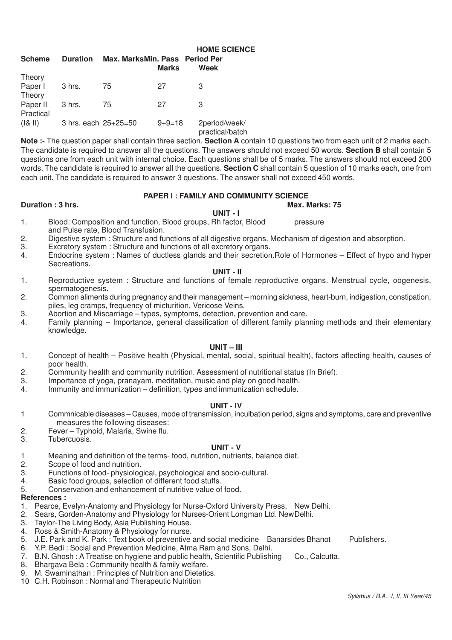| <b>Scheme</b>                   | <b>Duration</b>      | Max. MarksMin. Pass Period Per | <b>Marks</b> | <b>HOME SCIENCE</b><br>Week      |  |
|---------------------------------|----------------------|--------------------------------|--------------|----------------------------------|--|
| Theory<br>Paper I               | 3 hrs.               | 75                             | 27           | З                                |  |
| Theory<br>Paper II<br>Practical | 3 hrs.               | 75                             | 27           | З                                |  |
| ( & 8 )                         | 3 hrs. each 25+25=50 |                                | $9 + 9 = 18$ | 2period/week/<br>practical/batch |  |

**Note :-** The question paper shall contain three section. **Section A** contain 10 questions two from each unit of 2 marks each. The candidate is required to answer all the questions. The answers should not exceed 50 words. **Section B** shall contain 5 questions one from each unit with internal choice. Each questions shall be of 5 marks. The answers should not exceed 200 words. The candidate is required to answer all the questions. **Section C** shall contain 5 question of 10 marks each, one from each unit. The candidate is required to answer 3 questions. The answer shall not exceed 450 words.

#### **PAPER I : FAMILY AND COMMUNITY SCIENCE**

#### **Duration : 3 hrs.** Max. Marks: 75 **UNIT - I**

- 1. Blood: Composition and function, Blood groups, Rh factor, Blood pressure and Pulse rate, Blood Transfusion.
	- 2. Digestive system : Structure and functions of all digestive organs. Mechanism of digestion and absorption.<br>3. Excretory system : Structure and functions of all excretory organs.
	- Excretory system : Structure and functions of all excretory organs.
	- 4. Endocrine system : Names of ductless glands and their secretion.Role of Hormones Effect of hypo and hyper Secreations.

#### **UNIT - II**

- 1. Reproductive system : Structure and functions of female reproductive organs. Menstrual cycle, oogenesis, spermatogenesis.
- 2. Common aliments during pregnancy and their management morning sickness, heart-burn, indigestion, constipation, piles, leg cramps, frequency of micturition, Vericose Veins.
- 3. Abortion and Miscarriage types, symptoms, detection, prevention and care.
- 4. Family planning Importance, general classification of different family planning methods and their elementary knowledge.

#### **UNIT – III**

- 1. Concept of health Positive health (Physical, mental, social, spiritual health), factors affecting health, causes of poor health.
- 2. Community health and community nutrition. Assessment of nutritional status (In Brief).
- 3. Importance of yoga, pranayam, meditation, music and play on good health.
- Immunity and immunization definition, types and immunization schedule.

#### **UNIT - IV**

- 1 Commnicable diseases Causes, mode of transmission, inculbation period, signs and symptoms, care and preventive measures the following diseases:
- 2. Fever Typhoid, Malaria, Swine flu.
- Tubercuosis.

# **UNIT - V**

- 1 Meaning and definition of the terms- food, nutrition, nutrients, balance diet.<br>2. Scope of food and nutrition.
- 2. Scope of food and nutrition.<br>3. Functions of food-physiolog
- 3. Functions of food- physiological, psychological and socio-cultural.
- 4. Basic food groups, selection of different food stuffs.<br>5. Conservation and enhancement of nutritive value of
- 5. Conservation and enhancement of nutritive value of food.

#### **References :**

- 1. Pearce, Evelyn-Anatomy and Physiology for Nurse-Oxford University Press, New Delhi.
- 2. Sears, Gorden-Anatomy and Physiology for Nurses-Orient Longman Ltd. NewDelhi.
- 3. Taylor-The Living Body, Asia Publishing House.
- 4. Ross & Smith-Anatomy & Physiology for nurse.
- 5. J.E. Park and K. Park : Text book of preventive and social medicine Banarsides Bhanot Publishers.
- 6. Y.P. Bedi : Social and Prevention Medicine, Atma Ram and Sons, Delhi.
- 7. B.N. Ghosh : A Treatise on hygiene and public health, Scientific Publishing Co., Calcutta.
- 8. Bhargava Bela : Community health & family welfare.
- 9. M. Swaminathan : Principles of Nutrition and Dietetics.
- 10 C.H. Robinson : Normal and Therapeutic Nutrition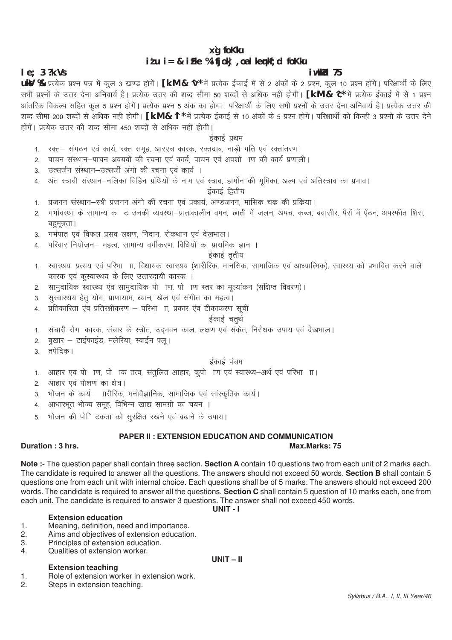# xg foKku  $itu = & ifke %ifjoki , oalkemk; d fokku$

# $le; 3$  ?k. Vs

### i wkkid 75

Max.Marks: 75

uky % प्रत्येक प्रश्न पत्र में कूल 3 खण्ड होगें। [k.M & ^v\* में प्रत्येक ईकाई में से 2 अंकों के 2 प्रश्न, कूल 10 प्रश्न होंगे। परिक्षार्थी के लिए सभी प्रश्नों के उत्तर देना अनिवार्य है। प्रत्येक उत्तर की शब्द सीमा 50 शब्दों से अधिक नही होगी। [k.M & 'C\* में प्रत्येक ईकाई में से 1 प्रश्न आंतरिक विकल्प सहित कुल 5 प्रश्न होगें। प्रत्येक प्रश्न 5 अंक का होगा। परिक्षार्थी के लिए सभी प्रश्नों के उत्तर देना अनिवार्य है। प्रत्येक उत्तर की शब्द सीमा 200 शब्दों से अधिक नही होगी। **[k.M & 'l** \* में प्रत्येक ईकाई से 10 अंकों के 5 प्रश्न होगें। परिक्षार्थी को किन्ही 3 प्रश्नों के उत्तर देने होगें। प्रत्येक उत्तर की शब्द सीमा 450 शब्दों से अधिक नहीं होगी।

### ईकाई प्रथम

- 1. रक्त- संगठन एवं कार्य, रक्त समूह, आरएच कारक, रक्तदाब, नाडी गति एवं रक्तांतरण।
- पाचन संस्थान–पाचन अवयवों की रचना एवं कार्य, पाचन एवं अवशो ाण की कार्य प्रणाली।  $2.$
- उत्सर्जन संस्थान–उत्सर्जी अंगो की रचना एवं कार्य ।  $\mathcal{S}$
- अंत स्त्रावी संस्थान–नलिका विहिन ग्रंथियों के नाम एवं स्त्राव, हार्मोन की भूमिका, अल्प एवं अतिस्त्राव का प्रभाव।  $\mathbf{A}$

#### ईकाई द्वितीय

- प्रजनन संस्थान–स्त्री प्रजनन अंगो की रचना एवं प्रकार्य, अण्डजनन, मासिक चक्र की प्रक्रिया।  $1$
- गर्भावस्था के सामान्य कबट उनकी व्यवस्था–प्रातःकालीन वमन, छाती में जलन, अपच, कब्ज, बवासीर, पैरों में ऐंठन, अपस्फीत शिरा,  $\mathcal{P}$ बहुमूत्रता ।
- 3. गर्भपात एवं विफल प्रसव लक्षण, निदान, रोकथान एवं देखभाल।
- परिवार नियोजन— महत्व सामान्य वर्गीकरण विधियों का प्राथमिक ज्ञान ।  $\overline{4}$

# ईकाई ततीय

- रवास्थय-प्रत्यय एवं परिभा) ाा, विधायक स्वास्थय (शारीरिक, मानसिक, सामाजिक एवं आध्यात्मिक), स्वास्थ्य को प्रभावित करने वाले  $1<sub>1</sub>$ कारक एवं कुस्वास्थय के लिए उत्तरदायी कारक ।
- सामदायिक स्वास्थ्य एवं सामदायिक पो ।ण, पो ।ण स्तर का मुल्यांकन (संक्षिप्त विवरण)।  $2.$
- सुस्वास्थय हेतू योग, प्राणायाम, ध्यान, खेल एवं संगीत का महत्व। 3.
- प्रतिकारिता एवं प्रतिरक्षीकरण परिभा ाा, प्रकार एवं टीकाकरण सूची  $\overline{4}$

#### ईकाई चतुर्थ

- संचारी रोग-कारक, संचार के स्त्रोत, उदभवन काल, लक्षण एवं संकेत, निरोधक उपाय एवं देखभाल।  $1<sub>1</sub>$ 
	- बुखार टाईफाईड, मलेरिया, स्वाईन फ्लु।
- तपेदिक ।  $3<sub>l</sub>$

 $\overline{2}$ .

#### ईकाई पंचम

- आहार एवं पो) ाण, पो) ाक तत्व, संतलित आहार, कपो) ाण एवं स्वास्थ्य—अर्थ एवं परिभा) ।।  $1<sup>1</sup>$
- आहार एवं पोशण का क्षेत्र।  $2<sub>1</sub>$
- भोजन के कार्य–ारीरिक, मनोवैज्ञानिक, सामाजिक एवं सांस्कृतिक कार्य।  $\mathbf{3}$
- आधारभत भोज्य समह, विभिन्न खाद्य सामग्री का चयन ।  $\overline{4}$
- भोजन की पोर्िटकता को सुरक्षित रखने एवं बढाने के उपाय। 5

# **PAPER II: EXTENSION EDUCATION AND COMMUNICATION**

### Duration: 3 hrs.

Note :- The question paper shall contain three section. Section A contain 10 questions two from each unit of 2 marks each. The candidate is required to answer all the questions. The answers should not exceed 50 words. Section B shall contain 5 questions one from each unit with internal choice. Each questions shall be of 5 marks. The answers should not exceed 200 words. The candidate is required to answer all the questions. Section C shall contain 5 question of 10 marks each, one from each unit. The candidate is required to answer 3 questions. The answer shall not exceed 450 words.

UNIT-I

#### **Extension education**

- Meaning, definition, need and importance.  $\mathbf 1$ .
- Aims and objectives of extension education.  $\mathcal{D}$
- 3. Principles of extension education.
- Qualities of extension worker. 4.

# **Extension teaching**

#### $UNIT - II$

- Role of extension worker in extension work.  $\mathbf 1$ .
- $\overline{2}$ . Steps in extension teaching.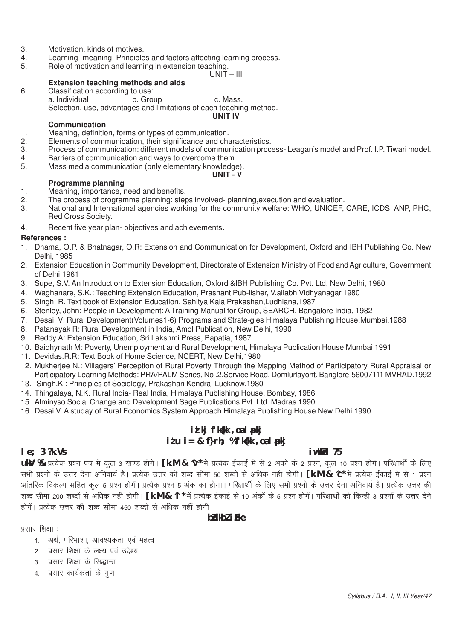- 3. Motivation, kinds of motives.<br>4. Learning-meaning. Principle
- Learning- meaning. Principles and factors affecting learning process.
- 5. Role of motivation and learning in extension teaching.

 $UNIT - III$ 

#### **Extension teaching methods and aids**

6. Classification according to use: a. Individual b. Group c. Mass. Selection, use, advantages and limitations of each teaching method. **UNIT IV**

#### **Communication**

- 1. Meaning, definition, forms or types of communication.
- 2. Elements of communication, their significance and characteristics.<br>3. Process of communication: different models of communication proc
- 3. Process of communication: different models of communication process- Leagan's model and Prof. I.P. Tiwari model.<br>4. Barriers of communication and ways to overcome them.
- Barriers of communication and ways to overcome them.
- 5. Mass media communication (only elementary knowledge).

#### **UNIT - V**

#### **Programme planning**

- 1. Meaning, importance, need and benefits.
- 2. The process of programme planning: steps involved- planning, execution and evaluation.<br>3. National and International agencies working for the community welfare: WHO. UNICEF.
- National and International agencies working for the community welfare: WHO, UNICEF, CARE, ICDS, ANP, PHC, Red Cross Society.
- 4. Recent five year plan- objectives and achievements.

#### **References :**

- 1. Dhama, O.P. & Bhatnagar, O.R: Extension and Communication for Development, Oxford and IBH Publishing Co. New Delhi, 1985
- 2. Extension Education in Community Development, Directorate of Extension Ministry of Food and Agriculture, Government of Delhi.1961
- 3. Supe, S.V. An Introduction to Extension Education, Oxford &IBH Publishing Co. Pvt. Ltd, New Delhi, 1980
- 4. Waghanare, S.K.: Teaching Extension Education, Prashant Pub-lisher, V.allabh Vidhyanagar.1980
- 5. Singh, R. Text book of Extension Education, Sahitya Kala Prakashan,Ludhiana,1987
- 6. Stenley, John: People in Development: A Training Manual for Group, SEARCH, Bangalore India, 1982
- 7. Desai, V: Rural Development(Volumes1-6) Programs and Strate-gies Himalaya Publishing House,Mumbai,1988
- 8. Patanayak R: Rural Development in India, Amol Publication, New Delhi, 1990
- 9. Reddy.A: Extension Education, Sri Lakshmi Press, Bapatia, 1987
- 10. Baidhynath M: Poverty, Unemployment and Rural Development, Himalaya Publication House Mumbai 1991
- 11. Devidas.R.R: Text Book of Home Science, NCERT, New Delhi,1980
- 12. Mukherjee N.: Villagers' Perception of Rural Poverty Through the Mapping Method of Participatory Rural Appraisal or Participatory Learning Methods: PRA/PALM Series, No .2.Service Road, Domlurlayont. Banglore-56007111 MVRAD.1992
- 13. Singh.K.: Principles of Sociology, Prakashan Kendra, Lucknow.1980
- 14. Thingalaya, N.K. Rural India- Real India, Himalaya Publishing House, Bombay, 1986
- 15. Alminyso Social Change and Development Sage Publications Pvt. Ltd. Madras 1990
- 16. Desai V. A studay of Rural Economics System Approach Himalaya Publishing House New Delhi 1990

# **izlkj f'k{kk ,oa lapkj**  $i \in \mathbb{Z}$  i  $j = 1$  i  $k = 1$  i  $k = 1$  i  $k = 1$  i  $k = 1$  i  $k = 1$  i  $k = 1$  i  $k = 1$  i  $k = 1$  i  $k = 1$  i  $k = 1$  i  $k = 1$  i  $k = 1$  i  $k = 1$  i  $k = 1$  i  $k = 1$  i  $k = 1$  i  $k = 1$  i  $k = 1$  i  $k = 1$  i  $k = 1$  i  $k = 1$  i  $k = 1$  i

#### **le; 3 ?k.Vs** iw.kk**Zd** 75

**ukV %** प्रत्येक प्रश्न पत्र में कुल 3 खण्ड होगें। **[k.M & ^v**\* में प्रत्येक ईकाई में से 2 अंकों के 2 प्रश्न, कुल 10 प्रश्न होंगे। परिक्षार्थी के लिए सभी प्रश्नों के उत्तर देना अनिवार्य है। प्रत्येक उत्तर की शब्द सीमा 50 शब्दों से अधिक नही होगी। **[k.M & ^c\*** में प्रत्येक ईकाई में से 1 प्रश्न आंतरिक विकल्प सहित कल 5 प्रश्न होगें। प्रत्येक प्रश्न 5 अंक का होगा। परिक्षार्थी के लिए सभी प्रश्नों के उत्तर देना अनिवार्य है। प्रत्येक उत्तर की शब्द सीमा 200 शब्दों से अधिक नही होगी। **[k.M & ^l \*** में प्रत्येक ईकाई से 10 अंकों के 5 प्रश्न होगें। परिक्षार्थी को किन्ही 3 प्रश्नों के उत्तर देने होगें। प्रत्येक उत्तर की शब्द सीमा 450 शब्दों से अधिक नहीं होगी।

### **bZdkbZ** i Fke

प्रसार शिक्षा :

- 1 अर्थ परिभाशा आवश्यकता एवं महत्व
- 2. प्रसार शिक्षा के लक्ष्य एवं उद्देश्य
- 3. प्रसार शिक्षा के सिद्धान्त
- 4. प्रसार कार्यकर्ता के गुण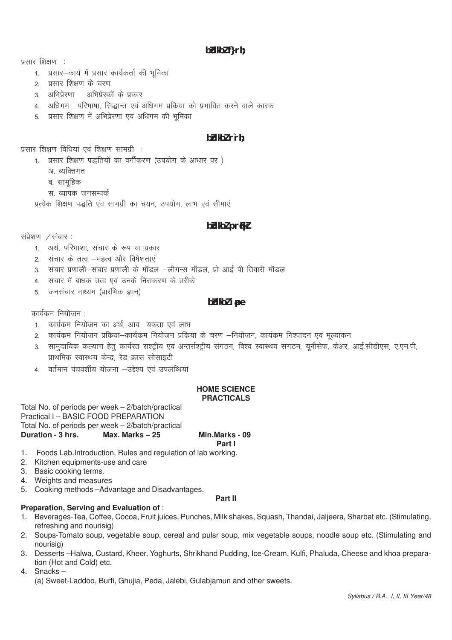# $b$ *dkbl*  $f$ } $rh$ ;

प्रसार शिक्षण :

- 1. प्रसार-कार्य में प्रसार कार्यकर्ता की भूमिका
- २ प्रसार शिक्षण के चरण
- 3. अभिप्रेरणा अभिप्रेरकों के प्रकार
- 4. अधिगम –परिभाषा, सिद्धान्त एवं अधिगम प्रक्रिया को प्रभावित करने वाले कारक
- 5. प्रसार शिक्षण में अभिप्रेरणा एवं अधिगम की भमिका

# bidkbl r`rh:

प्रसार शिक्षण विधियां एवं शिक्षण सामग्री:

- 1. प्रसार शिक्षण पद्धतियों का वर्गीकरण (उपयोग के आधार पर)
	- अ व्यक्तिगत
	- ब. सामूहिक
	- स. व्यापक जनसम्पर्क

प्रत्येक शिक्षण पद्धति एव सामग्री का चयन, उपयोग, लाभ एवं सीमाएं

# bidkbi prikl

संप्रेशण /संचार:

- 1. अर्थ. परिभाशा. संचार के रूप या प्रकार
- 2. संचार के तत्व –महत्व और विषेशताएं
- 3. संचार प्रणाली–संचार प्रणाली के मॉडल –लीगन्स मॉडल, प्रो आई पी तिवारी मॉडल
- 4. संचार में बाधक तत्व एवं उनके निराकरण के तरीके
- 5. जनसंचार माध्यम (प्रारंभिक ज्ञान)

## bblkbl ipe

कार्यक्रम नियोजन :

- 1. कार्यक्रम नियोजन का अर्थ. आव यकता एवं लाभ
- 2. कार्यक्रम नियोजन प्रकिया-कार्यक्रम नियोजन प्रकिया के चरण -नियोजन, कार्यक्रम निश्पादन एवं मूल्यांकन
- 3. सामुदायिक कल्याण हेतु कार्यरत राश्ट्रीय एवं अन्तर्राश्ट्रीय संगठन, विश्व स्वास्थय संगठन, यूनीसेफ, केअर, आई.सीडीएस, ए.एन.पी, प्राथमिक स्वास्थय केन्द्र, रेड क्रास सोसाइटी
- 4. वर्तमान पंचवर्शीय योजना –उद्देश्य एवं उपलब्धियां

#### HOME SCIENCE **PRACTICALS**

Total No. of periods per week - 2/batch/practical Practical I - BASIC FOOD PREPARATION Total No. of periods per week - 2/batch/practical Duration - 3 hrs. Max. Marks - 25

#### Min.Marks - 09 Part I

- 1. Foods Lab. Introduction, Rules and regulation of lab working.
- 2. Kitchen equipments-use and care
- 3. Basic cooking terms.
- 4. Weights and measures
- 5. Cooking methods Advantage and Disadvantages.

#### Part II

#### Preparation, Serving and Evaluation of:

- 1. Beverages-Tea, Coffee, Cocoa, Fruit juices, Punches, Milk shakes, Squash, Thandai, Jaljeera, Sharbat etc. (Stimulating, refreshing and nourisig)
- 2. Soups-Tomato soup, vegetable soup, cereal and pulsr soup, mix vegetable soups, noodle soup etc. (Stimulating and nourisig)
- 3. Desserts -Halwa, Custard, Kheer, Yoghurts, Shrikhand Pudding, Ice-Cream, Kulfi, Phaluda, Cheese and khoa preparation (Hot and Cold) etc.

4. Snacks-(a) Sweet-Laddoo, Burfi, Ghujia, Peda, Jalebi, Gulabjamun and other sweets.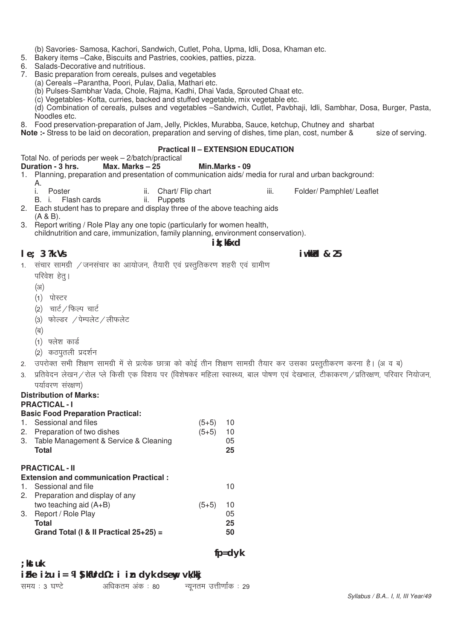- (b) Savories- Samosa, Kachori, Sandwich, Cutlet, Poha, Upma, Idli, Dosa, Khaman etc.
- 5. Bakery items –Cake, Biscuits and Pastries, cookies, patties, pizza.
- 6. Salads-Decorative and nutritious.
- 7. Basic preparation from cereals, pulses and vegetables
	- (a) Cereals –Parantha, Poori, Pulav, Dalia, Mathari etc.
	- (b) Pulses-Sambhar Vada, Chole, Rajma, Kadhi, Dhai Vada, Sprouted Chaat etc.

(c) Vegetables- Kofta, curries, backed and stuffed vegetable, mix vegetable etc.

(d) Combination of cereals, pulses and vegetables –Sandwich, Cutlet, Pavbhaji, Idli, Sambhar, Dosa, Burger, Pasta, Noodles etc.

8. Food preservation-preparation of Jam, Jelly, Pickles, Murabba, Sauce, ketchup, Chutney and sharbat<br>Note :- Stress to be laid on decoration, preparation and serving of dishes, time plan, cost, number & size of serving.

**Note :-** Stress to be laid on decoration, preparation and serving of dishes, time plan, cost, number &

#### **Practical II – EXTENSION EDUCATION**

|  | Total No. of periods per week - 2/batch/practical |  |
|--|---------------------------------------------------|--|
|  | <b>ARAGONAL APROXIMATION</b>                      |  |

#### **Duration - 3 hrs. Max. Marks – 25 Min.Marks - 09**

- 1. Planning, preparation and presentation of communication aids/ media for rural and urban background:
	- A.
	- i. Poster **in the state iii.** Chart/ Flip chart **iii.** Folder/ Pamphlet/ Leaflet
	- B. i. Flash cards ii. Puppets

2. Each student has to prepare and display three of the above teaching aids (A & B).

- 3. Report writing / Role Play any one topic (particularly for women health,
	- childnutrition and care, immunization, family planning, environment conservation).

### **ik**: kfxd

#### **le:** 3 ?k.Vs **iw.kkd & 25**

- 1. संचार सामग्री / जनसंचार का आयोजन, तैयारी एवं प्रस्तुतिकरण शहरी एवं ग्रामीण
	- परिवेश हेत्।
	- $(3)$
	- (1) पोस्टर
	- (2) चार्ट / फिल्प चार्ट
	- (3) फोल्डर /पेम्पलेट/लीफलेट
	- $(\overline{q})$
	- $(1)$  फ्लेश कार्ड
	- (2) कठपुतली प्रदर्शन
- 2. उपरोक्त सभी शिक्षण सामग्री में से प्रत्येक छात्रा को कोई तीन शिक्षण सामग्री तैयार कर उसका प्रस्तुतीकरण करना है। (अ व ब)
- 3. प्रतिवेदन लेखन ⁄ रोल प्ले किसी एक विशय पर (विशेषकर महिला स्वास्थ्य, बाल पोषण एवं देखभाल, टीकाकरण ⁄ प्रतिरक्षण. परिवार नियोजन. पर्यावरण संरक्षण)

 **fp=dyk**

# **Distribution of Marks:**

**PRACTICAL - I**

# **Basic Food Preparation Practical:**

1. Sessional and files  $(5+5)$  10 2. Preparation of two dishes  $(5+5)$  10 3. Table Management & Service & Cleaning 05 **Total 25**

# **PRACTICAL - II**

**;kstuk**

# **Extension and communication Practical :**

| 1. Sessional and file                     |         | 10  |
|-------------------------------------------|---------|-----|
| 2. Preparation and display of any         |         |     |
| two teaching aid $(A+B)$                  | $(5+5)$ | -10 |
| 3. Report / Role Play                     |         | 05  |
| Total                                     |         | 25  |
| Grand Total (I & II Practical $25+25$ ) = |         | 50  |

# **izFke iz'u i= ¼lS)kfUrd½ :i izn dyk ds ewy vk/kkj**

| समय : 3 घण्टे |  | अधिकतम अंक : 80 |  | न्यूनतम उत्तीर्णांक : 29 |
|---------------|--|-----------------|--|--------------------------|

*Syllabus / B.A.. I, II, III Year/49*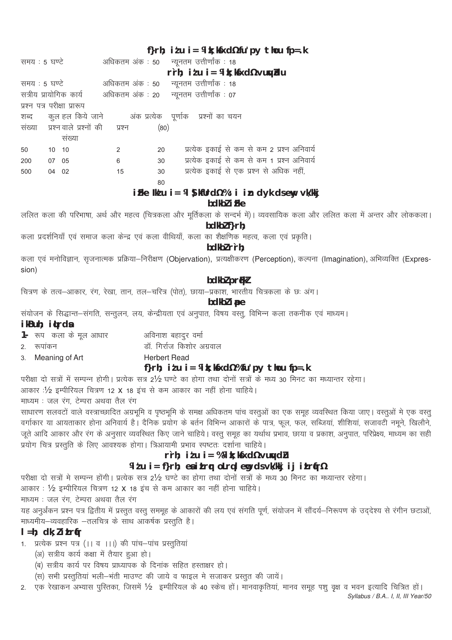# f}rh; itu i = ¼ k; kfxd½ fu'py thou fp=.k

| समय : 5 घण्टे               |       |                                       |    |      | अधिकतम अंक : 50 न्यूनतम उत्तीर्णांक : 18                        |
|-----------------------------|-------|---------------------------------------|----|------|-----------------------------------------------------------------|
|                             |       |                                       |    |      | rrh; itu i = ¼ k; kfxd½ vu $\psi$ idu                           |
| समय : 5 घण्टे               |       |                                       |    |      | अधिकतम अंक : 50 न्यूनतम उत्तीर्णांक : 18                        |
|                             |       |                                       |    |      | सत्रीय प्रायोगिक कार्य अधिकतम अंक : 20 न्यूनतम उत्तीर्णांक : 07 |
| प्रश्न पत्र परीक्षा प्रारूप |       |                                       |    |      |                                                                 |
|                             |       |                                       |    |      | शब्द कुल हल किये जाने     अंक प्रत्येक पूर्णाक प्रश्नों का चयन  |
|                             |       | संख्या प्रश्न वाले प्रश्नों की प्रश्न |    | (80) |                                                                 |
|                             |       | सख्या                                 |    |      |                                                                 |
| 50                          | 10 10 |                                       | 2  | 20   | प्रत्येक इकाई से कम से कम 2 प्रश्न अनिवार्य                     |
| 200                         | 07 05 |                                       | 6  | 30   | प्रत्येक इकाई से कम से कम 1 प्रश्न अनिवार्य                     |
| 500                         | 04 02 |                                       | 15 | 30   | प्रत्येक इकाई से एक प्रश्न से अधिक नहीं,                        |
|                             |       |                                       |    | 80   |                                                                 |

# iFke Ik'u i = 14 ) kfUrd1/2 % : i in dyk dsewy vk/kkj

bdkbl i Fke

ललित कला की परिभाषा, अर्थ और महत्व (चित्रकला और मूर्तिकला के सन्दर्भ में)। व्यवसायिक कला और ललित कला में अन्तर और लोककला। bdkbl f}rh:

कला प्रदर्शनियाँ एवं समाज कला केन्द्र एवं कला वीथियाँ, कला का शैक्षणिक महत्व, कला एवं प्रकृति।

### bdkbl r`rh;

कला एवं मनोविज्ञान, सृजनात्मक प्रक्रिया-निरीक्षण (Objervation), प्रत्यक्षीकरण (Perception), कल्पना (Imagination), अभिव्यक्ति (Expression)

# bdkbl prfkl

चित्रण के तत्व-आकार, रंग, रेखा, तान, तल-चरित्र (पोत), छाया-प्रकाश, भारतीय चित्रकला के छः अंग।

# bdkbl i pe

संयोजन के सिद्धान्त–संगति, सन्तुलन, लय, केन्द्रीयता एवं अनुपात, विषय वस्तु, विभिन्न कला तकनीक एवं माध्यम।

# ikBuh; i¢rda

 $\mathcal{P}$ 

1- रूप कला के मूल आधार अविनाश बहादुर वर्मा

डॉ. गिर्राज किशोर अग्रवाल रूपांकन

**Herbert Read** Meaning of Art  $\mathcal{S}$ 

# f}rh; itu i = ¼ k; kfxd½ % fu'py thou fp=.k

परीक्षा दो सत्रों में सम्पन्न होगी। प्रत्येक सत्र 2½ घण्टे का होगा तथा दोनों सत्रों के मध्य 30 मिनट का मध्यान्तर रहेगा।

आकार : 1/2 इम्पीरियल चित्रण 12 X 18 इंच से कम आकार का नहीं होना चाहिये।

माध्यम : जल रंग, टेम्परा अथवा तैल रंग

साधारण सलवटों वाले वस्त्राच्छादित अग्रभूमि व पृष्ठभूमि के समक्ष अधिकतम पांच वस्तुओं का एक समूह व्यवस्थित किया जाए। वस्तुओं मे एक वस्तु वर्गाकार या आयताकार होना अनिवार्य है। दैनिक प्रयोग के बर्तन विभिन्न आकारों के पात्र, फूल, फल, सब्जियां, शीशियां, सजावटों नमूने, खिलौने, ...<br>जूते आदि आकार और रंग के अनुसार व्यवस्थित किए जाने चाहिये। वस्तु समूह का यर्थाथ प्रभाव, छाया व प्रकाश, अनुपात, परिप्रेक्ष्य, माध्यम का सही प्रयोग चित्र प्रस्तुति के लिए आवश्यक होगा। त्रिआयामी प्रभाव स्पष्टतः दर्शाना चाहिये।

# rrh; itu i = % % it; kfxd % vuwd u

# Witu i= f}rh; enitrq olrqlemg dsvk/kkj ij itrqr1%

परीक्षा दो सत्रों मे सम्पन्न होंगी। प्रत्येक सत्र 2½ घण्टे का होगा तथा दोनों सत्रों के मध्य 30 मिनट का मध्यान्तर रहेगा।

आकार: ½ इम्पीरियल चित्रण 12 X 18 इंच से कम आकार का नहीं होना चाहिये।

माध्यम : जल रंग, टेम्परा अथवा तैल रंग

यह अनुर्अंकन प्रश्न पत्र द्वितीय में प्रस्तुत वस्तू सममूह के आकारों की लय एवं संगति पूर्ण, संयोजन में सौंदर्य–निरूपण के उददेश्य से रंगीन छटाओं, माध्यमीय–व्यवहारिक –तलचित्र के साथ आकर्षक प्रस्तुति है।

# $l = h$ ; dk; litrír

- 1. प्रत्येक प्रश्न पत्र (।। व ।।।) की पांच-पांच प्रस्तुतियां
	- (अ) सत्रीय कार्य कक्षा में तैयार हुआ हो।
	- (ब) सत्रीय कार्य पर विषय प्राध्यापक के दिनांक सहित हस्ताक्षर हो।
	- (स) सभी प्रस्तुतियां भली-भंती माउण्ट की जाये व फाइल मे सजाकर प्रस्तुत की जायें।
- 2. एक रेखाकन अभ्यास पुस्तिका, जिसमें ½ इम्पीरियल के 40 स्केच हों। मानवाकृतियां, मानव समूह पशु वृक्ष व भवन इत्यादि चित्रित हों।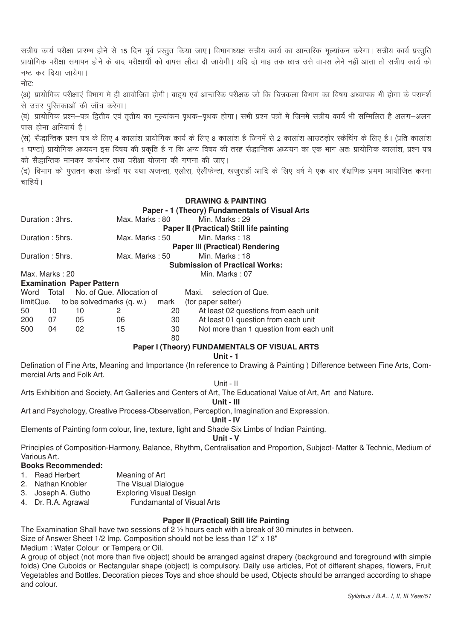सत्रीय कार्य परीक्षा प्रारम्भ होने से 15 दिन पूर्व प्रस्तुत किया जाए। विभागाध्यक्ष सत्रीय कार्य का आन्तरिक मूल्यांकन करेगा। सत्रीय कार्य प्रस्तुति प्रायोगिक परीक्षा समापन होने के बाद परीक्षार्थी को वापस लौटा दी जायेगी। यदि दो माह तक छात्र उसे वापस लेने नहीं आता तो सत्रीय कार्य को नष्ट कर दिया जायेगा।

सोटा

(अ) प्रायोगिक परीक्षाएं विभाग मे ही आयोजित होगी। बाहय एवं आन्तरिक परीक्षक जो कि चित्रकला विभाग का विषय अध्यापक भी होगा के परामर्श से उत्तर पुस्तिकाओं की जॉच करेगा।

(ब) प्रायोगिक प्रश्न—पत्र द्वितीय एवं ततीय का मल्यांकन पथक—पथक होगा। सभी प्रश्न पत्रों मे जिनमे सत्रीय कार्य भी सम्मिलित है अलग—अलग पास होना अनिवार्य है।

(स) सैद्धान्तिक प्रश्न पत्र के लिए 4 कालांश प्रायोगिक कार्य के लिए 8 कालांश है जिनमें से 2 कालांश आउटडोर स्केचिंग के लिए है। (प्रति कालांश 1 घण्टा) प्रायोगिक अध्ययन इस विषय की प्रकृति है न कि अन्य विषय की तरह सैद्धान्तिक अध्ययन का एक भाग अतः प्रायोगिक कालांश, प्रश्न पत्र को सैद्धान्तिक मानकर कार्यभार तथा परीक्षा योजना की गणना की जाए।

(द) विभाग को परातन कला केन्द्रों पर यथा अजन्ता. एलोरा. ऐलीफेन्टा. खजराहों आदि के लिए वर्ष मे एक बार शैक्षणिक भ्रमण आयोजित करना चाहियें।

# **DRAWING & PAINTING** Paner - 1 (Theory) Fundamentals of Visual Arts

|     | Duration: 3hrs. |                                  | Max. Marks : 80                          |    |                | Min. Marks: 29                           |  |
|-----|-----------------|----------------------------------|------------------------------------------|----|----------------|------------------------------------------|--|
|     |                 |                                  |                                          |    |                | Paper II (Practical) Still life painting |  |
|     | Duration: 5hrs. |                                  | Max. Marks : 50                          |    |                | Min. Marks: 18                           |  |
|     |                 |                                  |                                          |    |                | <b>Paper III (Practical) Rendering</b>   |  |
|     | Duration: 5hrs. |                                  | Max. Marks : 50                          |    | Min. Marks: 18 |                                          |  |
|     |                 |                                  |                                          |    |                | <b>Submission of Practical Works:</b>    |  |
|     | Max. Marks: 20  |                                  |                                          |    |                | Min. Marks: 07                           |  |
|     |                 | <b>Examination Paper Pattern</b> |                                          |    |                |                                          |  |
|     |                 |                                  | Word Total No. of Que. Allocation of     |    |                | Maxi. selection of Que.                  |  |
|     |                 |                                  | limitQue. to be solvedmarks (q. w.) mark |    |                | (for paper setter)                       |  |
| 50  | 10              | 10                               | 2                                        | 20 |                | At least 02 questions from each unit     |  |
| 200 | - 07            | 05                               | 06                                       | 30 |                | At least 01 question from each unit      |  |
| 500 | 04              | 02                               | 15                                       | 30 |                | Not more than 1 question from each unit  |  |
|     |                 |                                  |                                          | 80 |                |                                          |  |

**Paper I (Theory) FUNDAMENTALS OF VISUAL ARTS** 

Unit -  $1$ 

Defination of Fine Arts, Meaning and Importance (In reference to Drawing & Painting) Difference between Fine Arts, Commercial Arts and Folk Art.

Unit - II

Arts Exhibition and Society, Art Galleries and Centers of Art, The Educational Value of Art, Art and Nature.

Unit - III

Art and Psychology, Creative Process-Observation, Perception, Imagination and Expression.

Unit - IV

Elements of Painting form colour, line, texture, light and Shade Six Limbs of Indian Painting.

Unit - V

Principles of Composition-Harmony, Balance, Rhythm, Centralisation and Proportion, Subject-Matter & Technic, Medium of Various Art.

**Books Recommended:** 

- 1. Read Herbert
	- Meaning of Art The Visual Dialogue
- 2. Nathan Knobler **Exploring Visual Design**
- 3. Joseph A. Gutho 4. Dr. R.A. Agrawal
	- Fundamantal of Visual Arts

#### Paper II (Practical) Still life Painting

The Examination Shall have two sessions of  $2\frac{1}{2}$  hours each with a break of 30 minutes in between.

Size of Answer Sheet 1/2 Imp. Composition should not be less than 12" x 18"

Medium: Water Colour or Tempera or Oil.

A group of object (not more than five object) should be arranged against drapery (background and foreground with simple folds) One Cuboids or Rectangular shape (object) is compulsory. Daily use articles, Pot of different shapes, flowers, Fruit Vegetables and Bottles. Decoration pieces Toys and shoe should be used, Objects should be arranged according to shape and colour.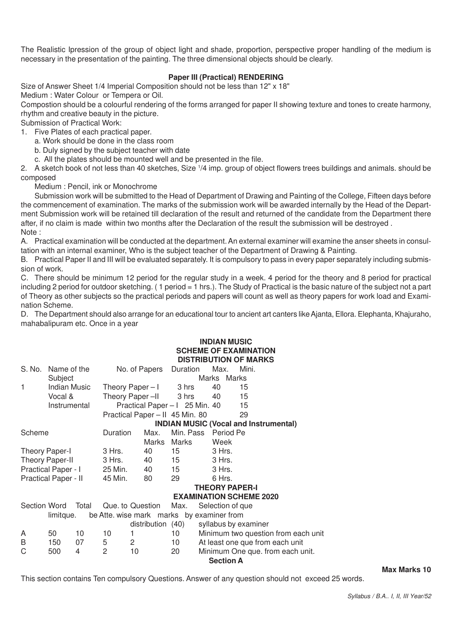The Realistic Ipression of the group of object light and shade, proportion, perspective proper handling of the medium is necessary in the presentation of the painting. The three dimensional objects should be clearly.

#### **Paper III (Practical) RENDERING**

Size of Answer Sheet 1/4 Imperial Composition should not be less than 12" x 18" Medium : Water Colour or Tempera or Oil.

Compostion should be a colourful rendering of the forms arranged for paper II showing texture and tones to create harmony, rhythm and creative beauty in the picture.

Submission of Practical Work:

1. Five Plates of each practical paper.

a. Work should be done in the class room

- b. Duly signed by the subject teacher with date
- c. All the plates should be mounted well and be presented in the file.

2. A sketch book of not less than 40 sketches, Size <sup>1</sup> /4 imp. group of object flowers trees buildings and animals. should be composed

Medium : Pencil, ink or Monochrome

Submission work will be submitted to the Head of Department of Drawing and Painting of the College, Fifteen days before the commencement of examination. The marks of the submission work will be awarded internally by the Head of the Department Submission work will be retained till declaration of the result and returned of the candidate from the Department there after, if no claim is made within two months after the Declaration of the result the submission will be destroyed . Note :

A. Practical examination will be conducted at the department. An external examiner will examine the anser sheets in consultation with an internal examiner, Who is the subject teacher of the Department of Drawing & Painting.

B. Practical Paper II and III will be evaluated separately. It is compulsory to pass in every paper separately including submission of work.

C. There should be minimum 12 period for the regular study in a week. 4 period for the theory and 8 period for practical including 2 period for outdoor sketching. ( 1 period = 1 hrs.). The Study of Practical is the basic nature of the subject not a part of Theory as other subjects so the practical periods and papers will count as well as theory papers for work load and Examination Scheme.

D. The Department should also arrange for an educational tour to ancient art canters like Ajanta, Ellora. Elephanta, Khajuraho, mahabalipuram etc. Once in a year

**INDIAN MUSIC**

|              |                      |                             |                  |                                           |                                                         |  |                  | <b>SCHEME OF EXAMINATION</b>                 |  |
|--------------|----------------------|-----------------------------|------------------|-------------------------------------------|---------------------------------------------------------|--|------------------|----------------------------------------------|--|
|              |                      |                             |                  |                                           |                                                         |  |                  | <b>DISTRIBUTION OF MARKS</b>                 |  |
| S. No.       | Name of the          |                             |                  | No. of Papers                             | Duration                                                |  | Max.             | Mini.                                        |  |
|              | Subject              |                             |                  |                                           |                                                         |  | Marks Marks      |                                              |  |
| 1            | Indian Music         |                             |                  | Theory Paper $-1$                         | 3 hrs                                                   |  | 40               | 15                                           |  |
|              | Vocal &              |                             |                  |                                           |                                                         |  | 40               |                                              |  |
|              |                      |                             |                  | Theory Paper-II                           | 3 hrs                                                   |  |                  | 15                                           |  |
|              | Instrumental         |                             |                  | Practical Paper - 1 25 Min. 40            |                                                         |  |                  | 15                                           |  |
|              |                      |                             |                  | Practical Paper - II 45 Min. 80           |                                                         |  |                  | 29                                           |  |
|              |                      |                             |                  |                                           |                                                         |  |                  | <b>INDIAN MUSIC (Vocal and Instrumental)</b> |  |
| Scheme       |                      |                             | Duration<br>Max. |                                           | Min. Pass Period Pe                                     |  |                  |                                              |  |
|              |                      |                             |                  |                                           | Marks Marks                                             |  | Week             |                                              |  |
|              | Theory Paper-I       |                             | 3 Hrs.           | 40                                        | 15                                                      |  | 3 Hrs.           |                                              |  |
|              | Theory Paper-II      |                             | 3 Hrs.           |                                           | 40 15                                                   |  | 3 Hrs.           |                                              |  |
|              |                      | Practical Paper - I 25 Min. |                  | 40                                        | 15                                                      |  | 3 Hrs.           |                                              |  |
|              | Practical Paper - II |                             | 45 Min.          | 80                                        | 29                                                      |  | 6 Hrs.           |                                              |  |
|              |                      |                             |                  |                                           |                                                         |  |                  |                                              |  |
|              |                      |                             |                  |                                           | <b>THEORY PAPER-I</b><br><b>EXAMINATION SCHEME 2020</b> |  |                  |                                              |  |
|              |                      |                             |                  |                                           |                                                         |  |                  |                                              |  |
| Section Word |                      | Total                       |                  | Que. to Question                          | Max.                                                    |  | Selection of que |                                              |  |
|              | limitque.            |                             |                  | be Atte. wise mark marks by examiner from |                                                         |  |                  |                                              |  |
|              |                      |                             |                  | distribution (40)                         |                                                         |  |                  | syllabus by examiner                         |  |
| A            | 50                   | 10 <sup>°</sup>             | 10 <sup>°</sup>  | 1                                         | 10                                                      |  |                  | Minimum two question from each unit          |  |
| B            | 150                  | 07                          | 5                | $\mathbf{2}^{\prime}$                     | 10                                                      |  |                  | At least one que from each unit              |  |
| С            | 500                  | 4                           | 2                | 10                                        | 20                                                      |  |                  | Minimum One que. from each unit.             |  |
|              |                      |                             |                  |                                           |                                                         |  | <b>Section A</b> |                                              |  |
|              |                      |                             |                  |                                           |                                                         |  |                  |                                              |  |

**Max Marks 10**

This section contains Ten compulsory Questions. Answer of any question should not exceed 25 words.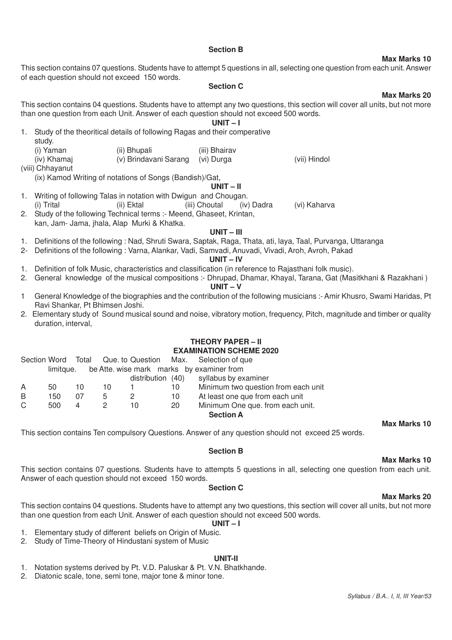#### **Section B**

This section contains 07 questions. Students have to attempt 5 questions in all, selecting one question from each unit. Answer of each question should not exceed 150 words.

#### **Section C**

This section contains 04 questions. Students have to attempt any two questions, this section will cover all units, but not more than one question from each Unit. Answer of each question should not exceed 500 words.

**UNIT – I**

- 1. Study of the theoritical details of following Ragas and their comperative
- study. (i) Yaman (ii) Bhupali (iii) Bhairav<br>(iv) Khamaj (iv) Brindavani Sarang (ii) Durga (v) Brindavani Sarang (vi) Durga (vii) Hindol (viii) Chhayanut

(ix) Kamod Writing of notations of Songs (Bandish)/Gat,

# **UNIT – II**

- 1. Writing of following Talas in notation with Dwigun and Chougan. (i) Trital (ii) Ektal (iii) Choutal (iv) Dadra (vi) Kaharva
- 2. Study of the following Technical terms :- Meend, Ghaseet, Krintan, kan, Jam- Jama, jhala, Alap Murki & Khatka.

#### **UNIT – III**

- 1. Definitions of the following : Nad, Shruti Swara, Saptak, Raga, Thata, ati, laya, Taal, Purvanga, Uttaranga
- 2- Definitions of the following : Varna, Alankar, Vadi, Samvadi, Anuvadi, Vivadi, Aroh, Avroh, Pakad

#### **UNIT – IV**

- 1. Definition of folk Music, characteristics and classification (in reference to Rajasthani folk music).
- 2. General knowledge of the musical compositions :- Dhrupad, Dhamar, Khayal, Tarana, Gat (Masitkhani & Razakhani )

# **UNIT – V**

- 1 General Knowledge of the biographies and the contribution of the following musicians :- Amir Khusro, Swami Haridas, Pt Ravi Shankar, Pt Bhimsen Joshi.
- 2. Elementary study of Sound musical sound and noise, vibratory motion, frequency, Pitch, magnitude and timber or quality duration, interval,

# **THEORY PAPER – II EXAMINATION SCHEME 2020**

|   |                                                        |    |    |                   |    | Section Word Total Que. to Question Max. Selection of que |  |  |  |  |
|---|--------------------------------------------------------|----|----|-------------------|----|-----------------------------------------------------------|--|--|--|--|
|   | be Atte. wise mark marks by examiner from<br>limitaue. |    |    |                   |    |                                                           |  |  |  |  |
|   |                                                        |    |    | distribution (40) |    | syllabus by examiner                                      |  |  |  |  |
| A | 50                                                     | 10 | 10 |                   | 10 | Minimum two question from each unit                       |  |  |  |  |
| B | 150                                                    | 07 | 5. | 2                 | 10 | At least one que from each unit                           |  |  |  |  |
| C | 500                                                    | 4  |    | 10                | 20 | Minimum One que. from each unit.                          |  |  |  |  |
|   |                                                        |    |    |                   |    | <b>Section A</b>                                          |  |  |  |  |

This section contains Ten compulsory Questions. Answer of any question should not exceed 25 words.

#### **Section B**

#### This section contains 07 questions. Students have to attempts 5 questions in all, selecting one question from each unit. Answer of each question should not exceed 150 words.

#### **Section C**

# **Max Marks 20**

**Max Marks 10**

**Max Marks 10**

This section contains 04 questions. Students have to attempt any two questions, this section will cover all units, but not more than one question from each Unit. Answer of each question should not exceed 500 words.

#### **UNIT – I**

- 1. Elementary study of different beliefs on Origin of Music.
- 2. Study of Time-Theory of Hindustani system of Music

# **UNIT-II**

- 1. Notation systems derived by Pt. V.D. Paluskar & Pt. V.N. Bhatkhande.
- 2. Diatonic scale, tone, semi tone, major tone & minor tone.

# **Max Marks 10**

**Max Marks 20**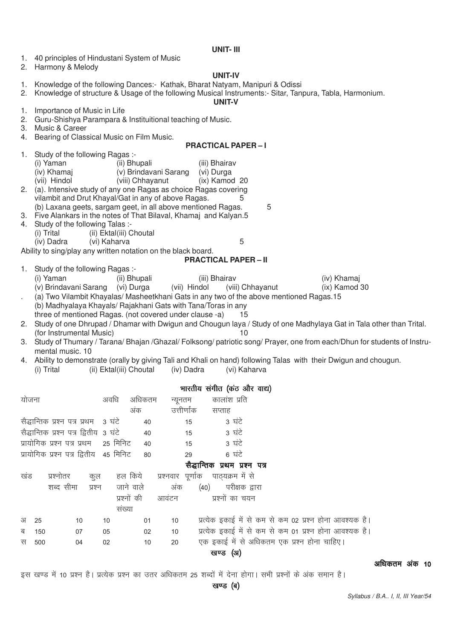#### **UNIT- III**

| 1. | 40 principles of Hindustani System of Music |  |
|----|---------------------------------------------|--|
|----|---------------------------------------------|--|

2. Harmony & Melody

#### **UNIT-IV**

- 1. Knowledge of the following Dances:- Kathak, Bharat Natyam, Manipuri & Odissi
- 2. Knowledge of structure & Usage of the following Musical Instruments:- Sitar, Tanpura, Tabla, Harmonium.

#### **UNIT-V**

- 1. Importance of Music in Life
- 2. Guru-Shishya Parampara & Instituitional teaching of Music.
- 3. Music & Career
- 4. Bearing of Classical Music on Film Music.

#### **PRACTICAL PAPER – I**

- 1. Study of the following Ragas :-<br>(i) Yaman (ii) Bhu
	- (i) Yaman (ii) Bhupali (iii) Bhairav<br>(iv) Khamai (iv) Brindavani Sarang (ii) Durga
	- (iv) Khamaj (v) Brindavani Sarang (vi) Durga
	- (viii) Chhayanut (ix) Kamod 20
- 2. (a). Intensive study of any one Ragas as choice Ragas covering vilambit and Drut Khayal/Gat in any of above Ragas.  $\overline{5}$ (b) Laxana geets, sargam geet, in all above mentioned Ragas.  $\qquad 5$
- 3. Five Alankars in the notes of That Bilaval, Khamaj and Kalyan.5
- 4. Study of the following Talas :-
- (i) Trital (ii) Ektal(iii) Choutal
	- (iv) Dadra (vi) Kaharva 5

Ability to sing/play any written notation on the black board.

#### **PRACTICAL PAPER – II**

- 1. Study of the following Ragas :-
	- (i) Yaman (ii) Bhupali (iii) Bhairav (iv) Khamaj
- (v) Brindavani Sarang (vi) Durga (vii) Hindol (viii) Chhayanut (ix) Kamod 30
- . (a) Two Vilambit Khayalas/ Masheetkhani Gats in any two of the above mentioned Ragas.15 (b) Madhyalaya Khayals/ Rajakhani Gats with Tana/Toras in any three of mentioned Ragas. (not covered under clause -a) 15
- 2. Study of one Dhrupad / Dhamar with Dwigun and Chougun laya / Study of one Madhylaya Gat in Tala other than Trital. (for Instrumental Music) 10
- 3. Study of Thumary / Tarana/ Bhajan /Ghazal/ Folksong/ patriotic song/ Prayer, one from each/Dhun for students of Instrumental music. 10
- 4. Ability to demonstrate (orally by giving Tali and Khali on hand) following Talas with their Dwigun and chougun.
	- (i) Trital (ii) Ektal(iii) Choutal (iv) Dadra (vi) Kaharva

|       |     |                                        |        |                |                   | भारतीय संगीत (कंठ और वाद्य)   |                  |                                                         |
|-------|-----|----------------------------------------|--------|----------------|-------------------|-------------------------------|------------------|---------------------------------------------------------|
| योजना |     |                                        |        | अवधि<br>अधिकतम |                   | न्यूनतम                       | कालांश प्रति     |                                                         |
|       |     |                                        |        | अंक            |                   | उत्तीर्णांक                   | सप्ताह           |                                                         |
|       |     | सैद्धान्तिक प्रश्न पत्र प्रथम - 3 घंटे |        | 40             |                   | 15                            | 3 घंटे           |                                                         |
|       |     | सैद्धान्तिक प्रश्न पत्र द्वितीय 3 घंटे |        | 40             |                   | 15                            | 3 घंटे           |                                                         |
|       |     | प्रायोगिक प्रश्न पत्र प्रथम            |        | 25 मिनिट<br>40 |                   | 15                            | 3 घंटे           |                                                         |
|       |     | प्रायोगिक प्रश्न पत्र द्वितीय 45 मिनिट |        | 80             |                   | 29                            | 6 घंटे           |                                                         |
|       |     |                                        |        |                |                   | सैद्धान्तिक प्रथम प्रश्न पत्र |                  |                                                         |
| खंड   |     | प्रश्नोतर                              | कूल    | हल किये        | प्रश्नवार पूर्णाक |                               | पाठ्यक्रम में से |                                                         |
|       |     | शब्द सीमा                              | प्रश्न | जाने वाले      | अंक               | (40)                          | परीक्षक द्वारा   |                                                         |
|       |     |                                        |        | प्रश्नों की    | आवंटन             |                               | प्रश्नों का चयन  |                                                         |
|       |     |                                        |        | संख्या         |                   |                               |                  |                                                         |
| अ     | 25  | 10                                     | 10     | 01             | 10                |                               |                  | प्रत्येक इकाई में से कम से कम 02 प्रश्न होना आवश्यक है। |
| ब     | 150 | 07                                     | 05     | 02             | 10                |                               |                  | प्रत्येक इकाई में से कम से कम 01 प्रश्न होना आवश्यक है। |
| स     | 500 | 04                                     | 02     | 10             | 20                |                               |                  | एक इकाई में से अधिकतम एक प्रश्न होना चाहिए।             |
|       |     |                                        |        |                |                   |                               | खण्ड (अ)         |                                                         |

#### $\overline{\text{w}}$ धिकतम $\overline{\text{w}}$  अकि $\overline{\text{w}}$  10

इस खण्ड में 10 प्रश्न है। प्रत्येक प्रश्न का उतर अधिकतम 25 शब्दों में देना होगा। सभी प्रश्नों के अंक समान है।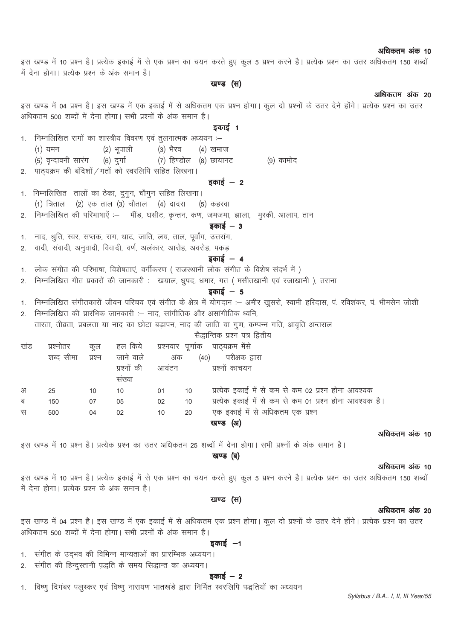#### अधिकतम अंक 10

इस खण्ड में 10 प्रश्न है। प्रत्येक इकाई में से एक प्रश्न का चयन करते हुए कूल 5 प्रश्न करने है। प्रत्येक प्रश्न का उतर अधिकतम 150 शब्दों में देना होगा। प्रत्येक प्रश्न के अंक समान है।

# खण्ड (स)

#### अधिकतम अंक 20

इस खण्ड में 04 प्रश्न है। इस खण्ड में एक इकाई में से अधिकतम एक प्रश्न होगा। कल दो प्रश्नों के उतर देने होंगे। प्रत्येक प्रश्न का उतर अधिकतम 500 शब्दों में देना होगा। सभी प्रश्नों के अंक समान है।

#### डकार्ड 1

- 1. निम्नलिखित रागों का शास्त्रीय विवरण एवं तुलनात्मक अध्ययन :-(2) भूपाली (3) भैरव  $(1)$  यमन (4) खमाज (5) वृन्दावनी सारंग (6) दुर्गा (7) हिण्डोल (8) छायानट (9) कामोद
- 2. पाठयक्रम की बंदिशों / गतों को स्वरलिपि सहित लिखना।

## डकाई  $-2$

- 1. निम्नलिखित तालों का ठेका, दुगुन, चौगुन सहित लिखना।  $(1)$  त्रिताल  $(2)$  एक ताल  $(3)$  चौताल  $(4)$  दादरा (5) कहरवा
- निम्नलिखित की परिभाषाऐं :- मींड, घसीट, कृन्तन, कण, जमजमा, झाला, मुरकी, आलाप, तान

#### इकाई  $-$  3

- नाद, श्रुति, स्वर, सप्तक, राग, थाट, जाति, लय, ताल, पूर्वांग, उत्तरांग,  $\mathbf{1}$ .
- वादी, संवादी, अनुवादी, विवादी, वर्ण, अलंकार, आरोह, अवरोह, पकड  $2.$

 $\mathfrak{D}$ 

# $\overline{s}$ कार्ड – 4

- लोक संगीत की परिभाषा, विशेषताएं, वर्गीकरण ( राजस्थानी लोक संगीत के विशेष संदर्भ में )  $\mathbf{1}$
- निम्नलिखित गीत प्रकारों की जानकारी :-- खयाल, ध्रपद, धमार, गत ( मसीतखानी एवं रजाखानी ), तराना  $\mathcal{L}$

# डकाई  $-5$

- 1. निम्नलिखित संगीतकारों जीवन परिचय एवं संगीत के क्षेत्र में योगदान :– अमीर खुसरो, स्वामी हरिदास, पं. रविशंकर, पं. भीमसेन जोशी
	- निम्नलिखित की प्रारंभिक जानकारी :-- नाद, सांगीतिक और असांगीतिक ध्वनि, तारता, तीव्रता, प्रबलता या नाद का छोटा बड़ापन, नाद की जाति या गूण, कम्पन्न गति, आवृति अन्तराल

सैद्धान्तिक प्रश्न पत्र द्वितीय

| खंड | प्रश्नातर | कूल    | हल किये - प्रश्नवार पूर्णाक |       |     | पाठ्यक्रम मेंसे                                         |
|-----|-----------|--------|-----------------------------|-------|-----|---------------------------------------------------------|
|     | शब्द सीमा | प्रश्न | जाने वाले                   |       | अंक | परीक्षक द्वारा<br>(40)                                  |
|     |           |        | प्रश्नों की                 | आवंटन |     | प्रश्नों काचयन                                          |
|     |           |        | सख्या                       |       |     |                                                         |
| अ   | 25        | 10     | 10                          | 01    | 10  | प्रत्येक इकाई में से कम से कम 02 प्रश्न होना आवश्यक     |
| ब   | 150       | 07     | 05                          | 02    | 10  | प्रत्येक इकाई में से कम से कम 01 प्रश्न होना आवश्यक है। |
| स   | 500       | 04     | 02                          | 10    | 20  | एक इकाई में से अधिकतम एक प्रश्न                         |
|     |           |        |                             |       |     | (अ)<br>खण्ड                                             |

#### अधिकतम अंक 10

इस खण्ड में 10 प्रश्न है। प्रत्येक प्रश्न का उतर अधिकतम 25 शब्दों में देना होगा। सभी प्रश्नों के अंक समान है।

#### खण्ड (ब)

#### अधिकतम अंक 10

इस खण्ड में 10 प्रश्न है। प्रत्येक इकाई में से एक प्रश्न का चयन करते हुए कूल 5 प्रश्न करने है। प्रत्येक प्रश्न का उतर अधिकतम 150 शब्दों में देना होगा। प्रत्येक प्रश्न के अंक समान है।

## खण्ड (स)

#### अधिकतम अंक 20

इस खण्ड में 04 प्रश्न है। इस खण्ड में एक इकाई में से अधिकतम एक प्रश्न होगा। कुल दो प्रश्नों के उतर देने होंगे। प्रत्येक प्रश्न का उतर अधिकतम 500 शब्दों में देना होगा। सभी प्रश्नों के अंक समान है।

#### इकाई  $-1$

- 1. संगीत के उदभव की विभिन्न मान्यताओं का प्रारम्भिक अध्ययन।
- संगीत की हिन्दुस्तानी पद्धति के समय सिद्धान्त का अध्ययन।  $2.$

#### डकाई  $-2$

विष्णू दिगंबर पलुस्कर एवं विष्णू नारायण भातखंडे द्वारा निर्मित स्वरलिपि पद्धतियों का अध्ययन  $1.$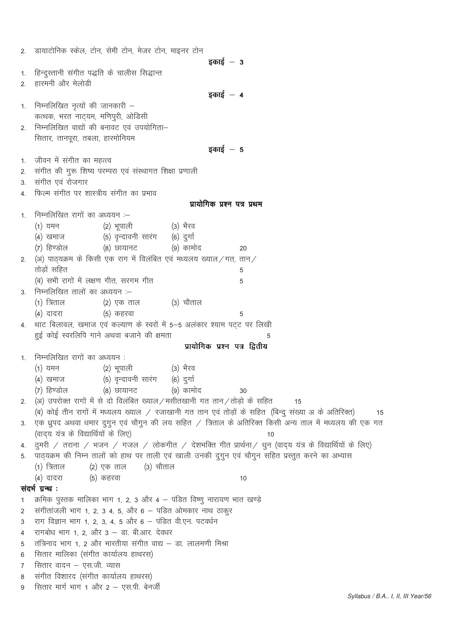|    | 2. डायाटोनिक स्केल, टोन, सेमी टोन, मेजर टोन, माइनर टोन                                                     |
|----|------------------------------------------------------------------------------------------------------------|
|    | इकाई $-$ 3                                                                                                 |
| 1. | हिन्दुस्तानी संगीत पद्धति के चालीस सिद्धान्त                                                               |
|    | 2. हारमनी और मेलोडी                                                                                        |
|    | इकाई $-4$                                                                                                  |
| 1. | निम्नलिखित नृत्यों की जानकारी –                                                                            |
|    | कत्थक, भरत नाट्यम, मणिपुरी, ओडिसी                                                                          |
| 2. | निम्नलिखित वाद्यों की बनावट एवं उपयोगिता-                                                                  |
|    | सितार, तानपूरा, तबला, हारमोनियम                                                                            |
|    | इकाई $-5$                                                                                                  |
|    | जीवन में संगीत का महत्त्व                                                                                  |
| 1. |                                                                                                            |
| 2. | संगीत की गुरू शिष्य परम्परा एवं संस्थागत शिक्षा प्रणाली                                                    |
| 3. | संगीत एवं रोजगार                                                                                           |
| 4. | फिल्म संगीत पर शास्त्रीय संगीत का प्रभाव                                                                   |
|    | प्रायोगिक प्रश्न पत्र प्रथम                                                                                |
| 1. | निम्नलिखित रागों का अध्ययन :-                                                                              |
|    | (2) भूपाली<br>(3) भैरव<br>(1) यमन                                                                          |
|    | (5) वृन्दावनी सारंग    (6) दुर्गा<br>(4) खमाज                                                              |
|    | (8) छायानट<br>(9) कामोद<br>(7) हिण्डोल<br>20                                                               |
| 2. | (अ) पाठ्यक्रम के किसी एक राग में विलंबित एवं मध्यलय ख्याल/गत, तान/                                         |
|    | तोडों सहित<br>5                                                                                            |
|    | (ब) सभी रागों में लक्षण गीत, सरगम गीत<br>5                                                                 |
|    | 3. निम्नलिखित तालों का अध्ययन :–                                                                           |
|    | (३) चौताल<br>(1) त्रिताल<br>(2) एक ताल                                                                     |
|    | (5) कहरवा<br>(4) दादरा<br>5                                                                                |
| 4. | थाट बिलावल, खमाज एवं कल्याण के स्वरों में 5–5 अलंकार श्याम पट्ट पर लिखी                                    |
|    | हुई कोई स्वरलिपि गाने अथवा बजाने की क्षमता<br>5                                                            |
|    | प्रायोगिक प्रश्न पत्र द्वितीय                                                                              |
| 1. | निम्नलिखित रागों का अध्ययन:                                                                                |
|    | (1) यमन<br>(2) भूपाली<br>(३) भैरव                                                                          |
|    | (4) खमाज (5) वृन्दावनी सारंग (6) दुर्गा                                                                    |
|    | (7) हिण्डोल (8) छायानट (9) कामोद<br>30                                                                     |
|    | 2. (अ) उपरोक्त रागों में से दो विलंबित ख्याल/मसीतखानी गत तान/तोड़ो के सहित<br>15                           |
|    | (ब) कोई तीन रागों में मध्यलय ख्याल / रजाखानी गत तान एवं तोड़ों के सहित (बिन्दु संख्या अ के अतिरिक्त)<br>15 |
| 3. | एक ध्रुपद अथवा धमार दुगुन एवं चौगुन की लय सहित / त्रिताल के अतिरिक्त किसी अन्य ताल में मध्यलय की एक गत     |
|    | (वाद्य यंत्र के विद्यार्थियों के लिए)<br>10                                                                |
|    | 4. दुमरी / तराना / भजन / गजल / लोकगीत / देशभक्ति गीत प्रार्थना/ धुन (वाद्य यंत्र के विद्यार्थियों के लिए)  |
| 5. | पाठ्यक्रम की निम्न तालों को हाथ पर ताली एवं खाली उनकी दुगुन एवं चौगुन सहित प्रस्तुत करने का अभ्यास         |
|    | (1) त्रिताल<br>(2) एक ताल<br>(३) चौताल                                                                     |
|    | (5) कहरवा<br>(4) दादरा<br>10                                                                               |
|    | संदर्भ ग्रन्थ :                                                                                            |
| 1  | क्रमिक पुस्तक मालिका भाग 1, 2, 3 और 4 – पंडित विष्णु नारायण भात खण्डे                                      |
| 2  | संगीतांजली भाग 1, 2, 3 4, 5, और 6 – पड़ित ओमकार नाथ ठाकुर                                                  |
| 3  | राग विज्ञान भाग 1, 2, 3, 4, 5 और 6 – पंडित वी.एन. पटवर्धन                                                  |
| 4  | रागबोध भाग 1, 2, और 3 - डा. बी.आर. देवधर                                                                   |
| 5  | तंत्रिनाद भाग 1, 2 और भारतीया संगीत वाद्य – डा. लालमणी मिश्रा                                              |
| 6  | सितार मालिका (संगीत कार्यालय हाथरस)                                                                        |
| 7  | सितार वादन - एस.जी. व्यास                                                                                  |
| 8  | संगीत विशारद (संगीत कार्यालय हाथरस)                                                                        |
| 9  | सितार मार्ग भाग 1 और 2 – एस.पी. बेनर्जी                                                                    |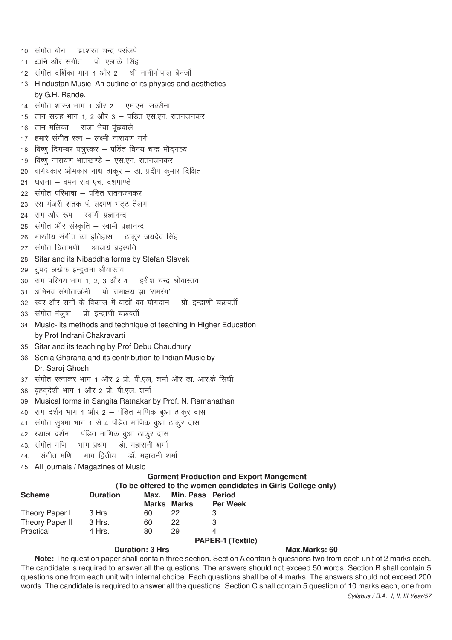|     | 10) संगीत बोध – डा.शरत चन्द्र परांजपे        |                                                                             |               |                                  |                                                |                                                               |
|-----|----------------------------------------------|-----------------------------------------------------------------------------|---------------|----------------------------------|------------------------------------------------|---------------------------------------------------------------|
|     | 11) ध्वनि और संगीत – प्रो. एल.के. सिंह       |                                                                             |               |                                  |                                                |                                                               |
|     |                                              | 12) संगीत दर्शिका भाग 1 और 2 – श्री नानीगोपाल बैनर्जी                       |               |                                  |                                                |                                                               |
|     |                                              | 13 Hindustan Music-An outline of its physics and aesthetics                 |               |                                  |                                                |                                                               |
|     | by G.H. Rande.                               |                                                                             |               |                                  |                                                |                                                               |
|     |                                              | 14 संगीत शास्त्र भाग 1 और 2 – एम.एन. सक्सैना                                |               |                                  |                                                |                                                               |
|     |                                              | 15 तान संग्रह भाग 1, 2 और 3 – पंडित एस.एन. रातनजनकर                         |               |                                  |                                                |                                                               |
|     | 16 तान मलिका – राजा भैया पूंछवाले            |                                                                             |               |                                  |                                                |                                                               |
|     |                                              | 17 हमारे संगीत रत्न – लक्ष्मी नारायण गर्ग                                   |               |                                  |                                                |                                                               |
|     |                                              | 18 विष्णु दिगम्बर पलुस्कर – पडित विनय चन्द्र मौद्गल्य                       |               |                                  |                                                |                                                               |
|     |                                              | 19 विष्णु नारायण भातखण्डे – एस.एन. रातनजनकर                                 |               |                                  |                                                |                                                               |
|     |                                              | 20 वागेयकार ओमकार नाथ ठाकुर – डा. प्रदीप कुमार दिक्षित                      |               |                                  |                                                |                                                               |
|     | 21 घराना – वमन राव एच. दशपाण्डे              |                                                                             |               |                                  |                                                |                                                               |
|     |                                              | 22 संगीत परिभाषा – पडित रातनजनकर                                            |               |                                  |                                                |                                                               |
|     |                                              | 23 रस मंजरी शतक पं. लक्ष्मण भट्ट तैलंग                                      |               |                                  |                                                |                                                               |
|     | 24 राग और रूप - स्वामी प्रज्ञानन्द           |                                                                             |               |                                  |                                                |                                                               |
|     |                                              | 25 संगीत और संस्कृति – स्वामी प्रज्ञानन्द                                   |               |                                  |                                                |                                                               |
| 26  |                                              | भारतीय संगीत का इतिहास – ठाकुर जयदेव सिंह                                   |               |                                  |                                                |                                                               |
|     | 27 संगीत चिंतामणी - आचार्य ब्रहस्पति         |                                                                             |               |                                  |                                                |                                                               |
| 28  |                                              | Sitar and its Nibaddha forms by Stefan Slavek                               |               |                                  |                                                |                                                               |
|     | 29  ध्रुपद लखेक इन्दुरामा श्रीवास्तव         |                                                                             |               |                                  |                                                |                                                               |
|     |                                              | 30 राग परिचय भाग 1, 2, 3 और 4 - हरीश चन्द्र श्रीवास्तव                      |               |                                  |                                                |                                                               |
|     |                                              | 31 अभिनव संगीताजली – प्रो. रामाक्षय झा 'रामरंग'                             |               |                                  |                                                |                                                               |
|     |                                              | 32 स्वर और रागों के विकास में वाद्यों का योगदान – प्रो. इन्द्राणी चक्रवर्ती |               |                                  |                                                |                                                               |
|     | 33) संगीत मंजुषा – प्रो. इन्द्राणी चक्रवर्ती |                                                                             |               |                                  |                                                |                                                               |
| 34  |                                              | Music- its methods and technique of teaching in Higher Education            |               |                                  |                                                |                                                               |
|     | by Prof Indrani Chakravarti                  |                                                                             |               |                                  |                                                |                                                               |
|     |                                              | 35 Sitar and its teaching by Prof Debu Chaudhury                            |               |                                  |                                                |                                                               |
|     |                                              | 36 Senia Gharana and its contribution to Indian Music by                    |               |                                  |                                                |                                                               |
|     | Dr. Saroj Ghosh                              |                                                                             |               |                                  |                                                |                                                               |
|     |                                              | 37) संगीत रत्नाकर भाग 1 और 2 प्रो. पी.एल, शर्मा और डा. आर.के सिंघी          |               |                                  |                                                |                                                               |
|     |                                              | 38 वृहद्देशी भाग 1 और 2 प्रो. पी.एल. शर्मा                                  |               |                                  |                                                |                                                               |
| 39  |                                              | Musical forms in Sangita Ratnakar by Prof. N. Ramanathan                    |               |                                  |                                                |                                                               |
|     |                                              | 40 राग दर्शन भाग 1 और 2 – पंडित माणिक बुआ ठाकुर दास                         |               |                                  |                                                |                                                               |
| 41  |                                              | संगीत सुषमा भाग 1 से 4 पंडित माणिक बुआ ठाकुर दास                            |               |                                  |                                                |                                                               |
|     |                                              | 42 ख्याल दर्शन – पंडित माणिक बुआ ठाकुर दास                                  |               |                                  |                                                |                                                               |
|     |                                              | 43. संगीत मणि – भाग प्रथम – डॉ. महारानी शर्मा                               |               |                                  |                                                |                                                               |
| 44. |                                              | संगीत मणि - भाग द्वितीय - डॉ. महारानी शर्मा                                 |               |                                  |                                                |                                                               |
| 45  |                                              | All journals / Magazines of Music                                           |               |                                  |                                                |                                                               |
|     |                                              |                                                                             |               |                                  | <b>Garment Production and Export Mangement</b> |                                                               |
|     |                                              |                                                                             |               |                                  |                                                | (To be offered to the women candidates in Girls College only) |
|     | <b>Scheme</b>                                | <b>Duration</b>                                                             | Max.<br>Marks | Min. Pass Period<br><b>Marks</b> |                                                |                                                               |
|     | Theory Paper I                               | 3 Hrs.                                                                      | 60            | 22                               | <b>Per Week</b><br>3                           |                                                               |
|     | Theory Paper II                              | 3 Hrs.                                                                      | 60            | 22                               | 3                                              |                                                               |
|     | Practical                                    | 4 Hrs.                                                                      | 80            | 29                               | 4                                              |                                                               |

#### **Duration: 3 Hrs Max.Marks: 60**

*Syllabus / B.A.. I, II, III Year/57* **Note:** The question paper shall contain three section. Section A contain 5 questions two from each unit of 2 marks each. The candidate is required to answer all the questions. The answers should not exceed 50 words. Section B shall contain 5 questions one from each unit with internal choice. Each questions shall be of 4 marks. The answers should not exceed 200 words. The candidate is required to answer all the questions. Section C shall contain 5 question of 10 marks each, one from

**PAPER-1 (Textile)**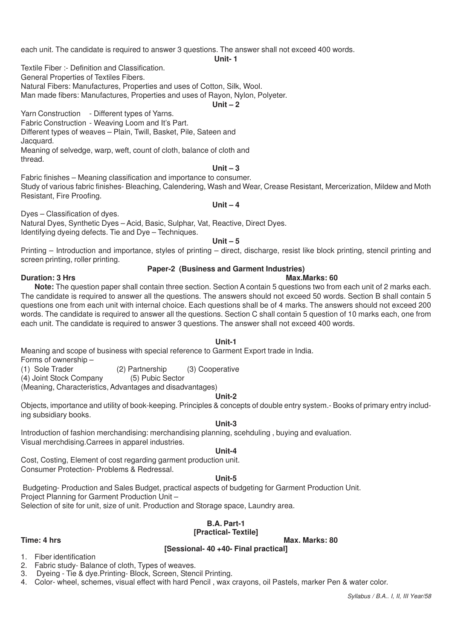each unit. The candidate is required to answer 3 questions. The answer shall not exceed 400 words.

**Unit- 1**

Textile Fiber :- Definition and Classification.

General Properties of Textiles Fibers.

Natural Fibers: Manufactures, Properties and uses of Cotton, Silk, Wool.

Man made fibers: Manufactures, Properties and uses of Rayon, Nylon, Polyeter.

#### **Unit – 2**

Yarn Construction - Different types of Yarns.

Fabric Construction - Weaving Loom and It's Part.

Different types of weaves – Plain, Twill, Basket, Pile, Sateen and

Jacquard.

Meaning of selvedge, warp, weft, count of cloth, balance of cloth and thread.

#### **Unit – 3**

Fabric finishes – Meaning classification and importance to consumer. Study of various fabric finishes- Bleaching, Calendering, Wash and Wear, Crease Resistant, Mercerization, Mildew and Moth Resistant, Fire Proofing.

### **Unit – 4**

Dyes – Classification of dyes.

Natural Dyes, Synthetic Dyes – Acid, Basic, Sulphar, Vat, Reactive, Direct Dyes. Identifying dyeing defects. Tie and Dye – Techniques.

#### **Unit – 5**

Printing – Introduction and importance, styles of printing – direct, discharge, resist like block printing, stencil printing and screen printing, roller printing.

#### **Paper-2 (Business and Garment Industries)**

#### **Duration: 3 Hrs** Max.Marks: 60

**Note:** The question paper shall contain three section. Section A contain 5 questions two from each unit of 2 marks each. The candidate is required to answer all the questions. The answers should not exceed 50 words. Section B shall contain 5 questions one from each unit with internal choice. Each questions shall be of 4 marks. The answers should not exceed 200 words. The candidate is required to answer all the questions. Section C shall contain 5 question of 10 marks each, one from each unit. The candidate is required to answer 3 questions. The answer shall not exceed 400 words.

#### **Unit-1**

Meaning and scope of business with special reference to Garment Export trade in India.

Forms of ownership –

(1) Sole Trader (2) Partnership (3) Cooperative

(4) Joint Stock Company

(Meaning, Characteristics, Advantages and disadvantages)

#### **Unit-2**

Objects, importance and utility of book-keeping. Principles & concepts of double entry system.- Books of primary entry including subsidiary books.

#### **Unit-3**

Introduction of fashion merchandising: merchandising planning, scehduling , buying and evaluation. Visual merchdising.Carrees in apparel industries.

#### **Unit-4**

Cost, Costing, Element of cost regarding garment production unit. Consumer Protection- Problems & Redressal.

### **Unit-5**

 Budgeting- Production and Sales Budget, practical aspects of budgeting for Garment Production Unit. Project Planning for Garment Production Unit – Selection of site for unit, size of unit. Production and Storage space, Laundry area.

# **B.A. Part-1**

# **[Practical- Textile]**

**Time: 4 hrs Max. Marks: 80** 

### **[Sessional- 40 +40- Final practical]**

1. Fiber identification

- 2. Fabric study- Balance of cloth, Types of weaves.
- 3. Dyeing Tie & dye.Printing- Block, Screen, Stencil Printing.
- 4. Color- wheel, schemes, visual effect with hard Pencil , wax crayons, oil Pastels, marker Pen & water color.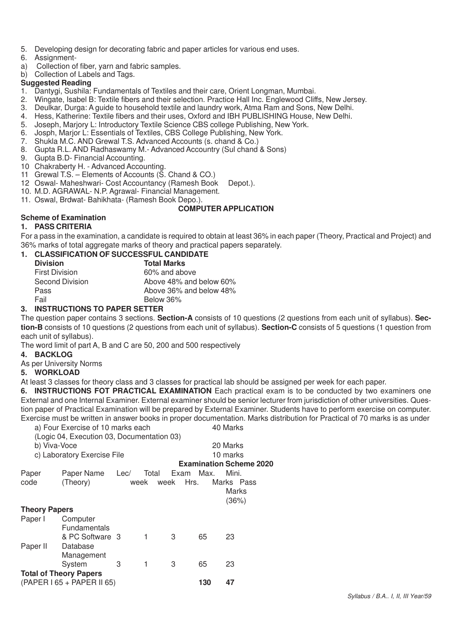- 5. Developing design for decorating fabric and paper articles for various end uses.
- 6. Assignment-
- a) Collection of fiber, yarn and fabric samples.
- b) Collection of Labels and Tags.

#### **Suggested Reading**

- 1. Dantygi, Sushila: Fundamentals of Textiles and their care, Orient Longman, Mumbai.
- 2. Wingate, Isabel B: Textile fibers and their selection. Practice Hall Inc. Englewood Cliffs, New Jersey.
- 3. Deulkar, Durga: A guide to household textile and laundry work, Atma Ram and Sons, New Delhi.
- 4. Hess, Katherine: Textile fibers and their uses, Oxford and IBH PUBLISHING House, New Delhi.<br>5. Joseph Mariory L: Introductory Textile Science CBS college Publishing New York
- 5. Joseph, Marjory L: Introductory Textile Science CBS college Publishing, New York.<br>6. Josph, Marior L: Essentials of Textiles, CBS College Publishing, New York.
- 6. Josph, Marjor L: Essentials of Textiles, CBS College Publishing, New York.<br>7. Shukla M.C. AND Grewal T.S. Advanced Accounts (s. chand & Co.)
- 7. Shukla M.C. AND Grewal T.S. Advanced Accounts (s. chand & Co.)<br>8. Gupta R.L. AND Radhaswamy M.- Advanced Accountry (Sul chand
- 8. Gupta R.L. AND Radhaswamy M.- Advanced Accountry (Sul chand & Sons)
- 9. Gupta B.D- Financial Accounting.
- 10 Chakraberty H. Advanced Accounting.
- 11 Grewal T.S. Elements of Accounts (S. Chand & CO.)
- 12 Oswal- Maheshwari- Cost Accountancy (Ramesh Book Depot.).
- 10. M.D. AGRAWAL- N.P. Agrawal- Financial Management.
- 11. Oswal, Brdwat- Bahikhata- (Ramesh Book Depo.).

## **COMPUTER APPLICATION**

#### **Scheme of Examination 1. PASS CRITERIA**

For a pass in the examination, a candidate is required to obtain at least 36% in each paper (Theory, Practical and Project) and 36% marks of total aggregate marks of theory and practical papers separately.

#### **1. CLASSIFICATION OF SUCCESSFUL CANDIDATE**

| <b>Division</b>       | <b>Total Marks</b>      |
|-----------------------|-------------------------|
| <b>First Division</b> | 60% and above           |
| Second Division       | Above 48% and below 60% |
| Pass                  | Above 36% and below 48% |
| Fail                  | Below 36%               |

## **3. INSTRUCTIONS TO PAPER SETTER**

The question paper contains 3 sections. **Section-A** consists of 10 questions (2 questions from each unit of syllabus). **Section-B** consists of 10 questions (2 questions from each unit of syllabus). **Section-C** consists of 5 questions (1 question from each unit of syllabus).

The word limit of part A, B and C are 50, 200 and 500 respectively

#### **4. BACKLOG**

As per University Norms

#### **5. WORKLOAD**

At least 3 classes for theory class and 3 classes for practical lab should be assigned per week for each paper.

**6. INSTRUCTIONS FOT PRACTICAL EXAMINATION** Each practical exam is to be conducted by two examiners one External and one Internal Examiner. External examiner should be senior lecturer from jurisdiction of other universities. Question paper of Practical Examination will be prepared by External Examiner. Students have to perform exercise on computer. Exercise must be written in answer books in proper documentation. Marks distribution for Practical of 70 marks is as under a) Four Exercise of 10 marks each 40 Marks

|                      | a) Todi Excluse of To mans cach<br>(Logic 04, Execution 03, Documentation 03) |            |          |           |    | טרווואו טד                     |  |  |  |
|----------------------|-------------------------------------------------------------------------------|------------|----------|-----------|----|--------------------------------|--|--|--|
| b) Viva-Voce         |                                                                               |            | 20 Marks |           |    |                                |  |  |  |
|                      | c) Laboratory Exercise File                                                   |            |          |           |    | 10 marks                       |  |  |  |
|                      |                                                                               |            |          |           |    | <b>Examination Scheme 2020</b> |  |  |  |
| Paper                | Paper Name                                                                    | Lec/ Total |          | Exam Max. |    | Mini.                          |  |  |  |
| code                 | (Theory)                                                                      | week       |          | week Hrs. |    | Marks Pass<br>Marks<br>(36%)   |  |  |  |
| <b>Theory Papers</b> |                                                                               |            |          |           |    |                                |  |  |  |
| Paper I              | Computer<br><b>Fundamentals</b>                                               |            |          |           |    |                                |  |  |  |
| Paper II             | & PC Software 3<br>Database<br>Management                                     |            | 1        | 3         | 65 | 23                             |  |  |  |
|                      | System                                                                        | 3          | 1        | 3         | 65 | 23                             |  |  |  |
|                      | <b>Total of Theory Papers</b><br>$(PAPER I 65 + PAPER II 65)$<br>130<br>47    |            |          |           |    |                                |  |  |  |
|                      |                                                                               |            |          |           |    |                                |  |  |  |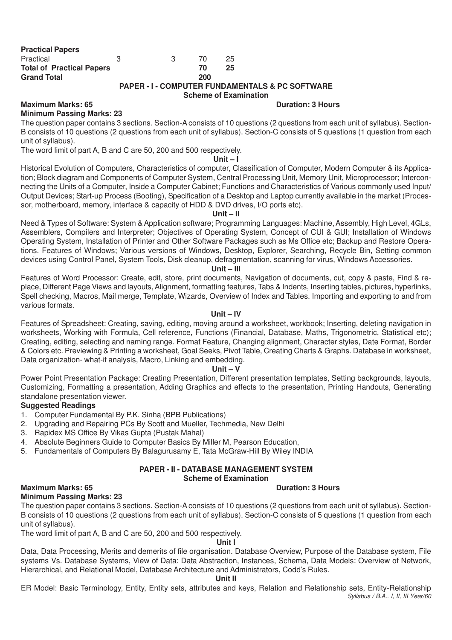| <b>Practical Papers</b>          |   |   |     |    |
|----------------------------------|---|---|-----|----|
| Practical                        | З | 3 | 70. | 25 |
| <b>Total of Practical Papers</b> |   |   | 70  | 25 |
| <b>Grand Total</b>               |   |   | 200 |    |
|                                  |   |   |     |    |

#### **PAPER - I - COMPUTER FUNDAMENTALS & PC SOFTWARE Scheme of Examination**

#### **Maximum Marks: 65 Duration: 3 Hours Duration: 3 Hours Minimum Passing Marks: 23**

The question paper contains 3 sections. Section-A consists of 10 questions (2 questions from each unit of syllabus). Section-B consists of 10 questions (2 questions from each unit of syllabus). Section-C consists of 5 questions (1 question from each unit of syllabus).

The word limit of part A, B and C are 50, 200 and 500 respectively.

#### **Unit – I**

Historical Evolution of Computers, Characteristics of computer, Classification of Computer, Modern Computer & its Application; Block diagram and Components of Computer System, Central Processing Unit, Memory Unit, Microprocessor; Interconnecting the Units of a Computer, Inside a Computer Cabinet; Functions and Characteristics of Various commonly used Input/ Output Devices; Start-up Process (Booting), Specification of a Desktop and Laptop currently available in the market (Processor, motherboard, memory, interface & capacity of HDD & DVD drives, I/O ports etc).

#### **Unit – II**

Need & Types of Software: System & Application software; Programming Languages: Machine, Assembly, High Level, 4GLs, Assemblers, Compilers and Interpreter; Objectives of Operating System, Concept of CUI & GUI; Installation of Windows Operating System, Installation of Printer and Other Software Packages such as Ms Office etc; Backup and Restore Operations. Features of Windows; Various versions of Windows, Desktop, Explorer, Searching, Recycle Bin, Setting common devices using Control Panel, System Tools, Disk cleanup, defragmentation, scanning for virus, Windows Accessories.

#### **Unit – III**

Features of Word Processor: Create, edit, store, print documents, Navigation of documents, cut, copy & paste, Find & replace, Different Page Views and layouts, Alignment, formatting features, Tabs & Indents, Inserting tables, pictures, hyperlinks, Spell checking, Macros, Mail merge, Template, Wizards, Overview of Index and Tables. Importing and exporting to and from various formats.

#### **Unit – IV**

Features of Spreadsheet: Creating, saving, editing, moving around a worksheet, workbook; Inserting, deleting navigation in worksheets, Working with Formula, Cell reference, Functions (Financial, Database, Maths, Trigonometric, Statistical etc); Creating, editing, selecting and naming range. Format Feature, Changing alignment, Character styles, Date Format, Border & Colors etc. Previewing & Printing a worksheet, Goal Seeks, Pivot Table, Creating Charts & Graphs. Database in worksheet, Data organization- what-if analysis, Macro, Linking and embedding.

#### **Unit – V**

Power Point Presentation Package: Creating Presentation, Different presentation templates, Setting backgrounds, layouts, Customizing, Formatting a presentation, Adding Graphics and effects to the presentation, Printing Handouts, Generating standalone presentation viewer.

#### **Suggested Readings**

- 1. Computer Fundamental By P.K. Sinha (BPB Publications)
- 2. Upgrading and Repairing PCs By Scott and Mueller, Techmedia, New Delhi
- 3. Rapidex MS Office By Vikas Gupta (Pustak Mahal)
- 4. Absolute Beginners Guide to Computer Basics By Miller M, Pearson Education,
- 5. Fundamentals of Computers By Balagurusamy E, Tata McGraw-Hill By Wiley INDIA

# **PAPER - II - DATABASE MANAGEMENT SYSTEM**

# **Scheme of Examination**

# **Maximum Marks: 65 Duration: 3 Hours**

**Minimum Passing Marks: 23**

The question paper contains 3 sections. Section-A consists of 10 questions (2 questions from each unit of syllabus). Section-B consists of 10 questions (2 questions from each unit of syllabus). Section-C consists of 5 questions (1 question from each unit of syllabus).

The word limit of part A, B and C are 50, 200 and 500 respectively.

#### **Unit I**

Data, Data Processing, Merits and demerits of file organisation. Database Overview, Purpose of the Database system, File systems Vs. Database Systems, View of Data: Data Abstraction, Instances, Schema, Data Models: Overview of Network, Hierarchical, and Relational Model, Database Architecture and Administrators, Codd's Rules.

### **Unit II**

*Syllabus / B.A.. I, II, III Year/60* ER Model: Basic Terminology, Entity, Entity sets, attributes and keys, Relation and Relationship sets, Entity-Relationship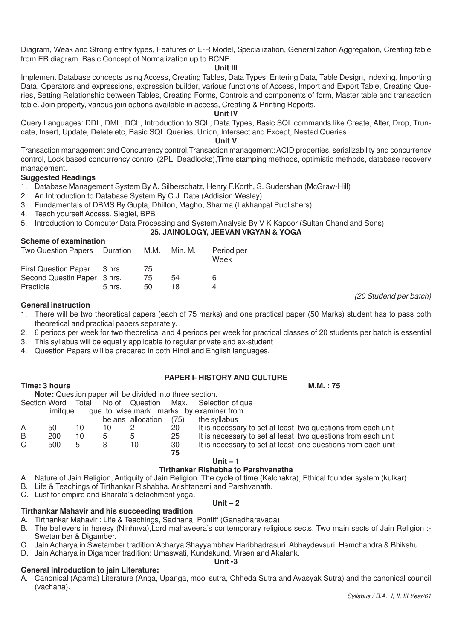Diagram, Weak and Strong entity types, Features of E-R Model, Specialization, Generalization Aggregation, Creating table from ER diagram. Basic Concept of Normalization up to BCNF.

#### **Unit III**

Implement Database concepts using Access, Creating Tables, Data Types, Entering Data, Table Design, Indexing, Importing Data, Operators and expressions, expression builder, various functions of Access, Import and Export Table, Creating Queries, Setting Relationship between Tables, Creating Forms, Controls and components of form, Master table and transaction table. Join property, various join options available in access, Creating & Printing Reports.

#### **Unit IV**

Query Languages: DDL, DML, DCL, Introduction to SQL, Data Types, Basic SQL commands like Create, Alter, Drop, Truncate, Insert, Update, Delete etc, Basic SQL Queries, Union, Intersect and Except, Nested Queries.

#### **Unit V**

Transaction management and Concurrency control,Transaction management: ACID properties, serializability and concurrency control, Lock based concurrency control (2PL, Deadlocks),Time stamping methods, optimistic methods, database recovery management.

#### **Suggested Readings**

**Scheme of examination**

- 1. Database Management System By A. Silberschatz, Henry F.Korth, S. Sudershan (McGraw-Hill)
- 2. An Introduction to Database System By C.J. Date (Addision Wesley)
- 3. Fundamentals of DBMS By Gupta, Dhillon, Magho, Sharma (Lakhanpal Publishers)
- 4. Teach yourself Access. Sieglel, BPB
- 5. Introduction to Computer Data Processing and System Analysis By V K Kapoor (Sultan Chand and Sons)

#### **25. JAINOLOGY, JEEVAN VIGYAN & YOGA**

| Two Question Papers Duration |          | M.M. | Min. M. | Period per<br>Week |
|------------------------------|----------|------|---------|--------------------|
| First Question Paper 3 hrs.  |          | 75   |         |                    |
| Second Questin Paper 3 hrs.  |          | 75   | 54      | 6                  |
| Practicle                    | $5$ hrs. | 50   | 18      |                    |

#### **General instruction**

- 1. There will be two theoretical papers (each of 75 marks) and one practical paper (50 Marks) student has to pass both theoretical and practical papers separately.
- 2. 6 periods per week for two theoretical and 4 periods per week for practical classes of 20 students per batch is essential
- 3. This syllabus will be equally applicable to regular private and ex-student
- 4. Question Papers will be prepared in both Hindi and English languages.

#### **PAPER I- HISTORY AND CULTURE**

**Time: 3 hours M.M. : 75** 

| ------------ |  |                                                                 |                                                         |
|--------------|--|-----------------------------------------------------------------|---------------------------------------------------------|
|              |  | <b>Note:</b> Question paper will be divided into three section. |                                                         |
|              |  |                                                                 | Section Word Total No of Question Max. Selection of que |

|    | limitaue. |    |   |                   |      | que to wise mark marks by examiner from                      |
|----|-----------|----|---|-------------------|------|--------------------------------------------------------------|
|    |           |    |   | be ans allocation | (75) | the syllabus                                                 |
| A  | 50        | 10 |   |                   | 20   | It is necessary to set at least two questions from each unit |
| B  | 200       | 10 | h | h                 | 25   | It is necessary to set at least two questions from each unit |
| C. | 500       | 5  |   | 10                | 30   | It is necessary to set at least one questions from each unit |
|    |           |    |   |                   | 75   |                                                              |

#### **Unit – 1**

#### **Tirthankar Rishabha to Parshvanatha**

- A. Nature of Jain Religion, Antiquity of Jain Religion. The cycle of time (Kalchakra), Ethical founder system (kulkar).
- B. Life & Teachings of Tirthankar Rishabha. Arishtanemi and Parshvanath.
- C. Lust for empire and Bharata's detachment yoga.

#### **Tirthankar Mahavir and his succeeding tradition**

- A. Tirthankar Mahavir : Life & Teachings, Sadhana, Pontiff (Ganadharavada)
- B. The believers in heresy (Ninhnva), Lord mahaveera's contemporary religious sects. Two main sects of Jain Religion :-Swetamber & Digamber.

**Unit – 2**

- C. Jain Acharya in Swetamber tradition:Acharya Shayyambhav Haribhadrasuri. Abhaydevsuri, Hemchandra & Bhikshu.
- D. Jain Acharya in Digamber tradition: Umaswati, Kundakund, Virsen and Akalank. **Unit -3**

#### **General introduction to jain Literature:**

A. Canonical (Agama) Literature (Anga, Upanga, mool sutra, Chheda Sutra and Avasyak Sutra) and the canonical council (vachana).

*(20 Studend per batch)*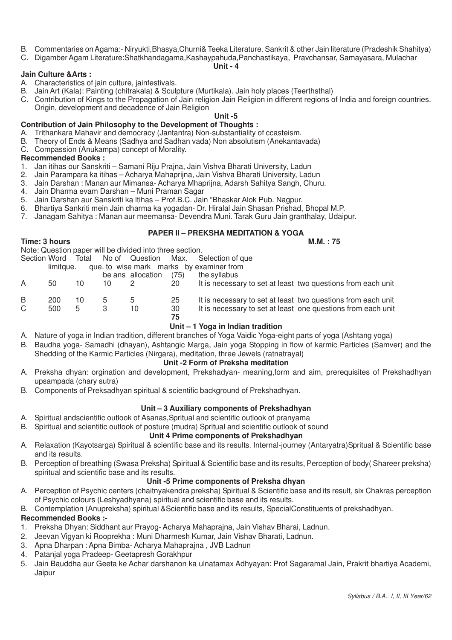- B. Commentaries on Agama:- Niryukti,Bhasya,Churni& Teeka Literature. Sankrit & other Jain literature (Pradeshik Shahitya)
- C. Digamber Agam Literature:Shatkhandagama,Kashaypahuda,Panchastikaya, Pravchansar, Samayasara, Mulachar

#### **Unit - 4**

#### **Jain Culture &Arts :**

- A. Characteristics of jain culture, jainfestivals.
- B. Jain Art (Kala): Painting (chitrakala) & Sculpture (Murtikala). Jain holy places (Teerthsthal)
- C. Contribution of Kings to the Propagation of Jain religion Jain Religion in different regions of India and foreign countries. Origin, development and decadence of Jain Religion

#### **Unit -5**

# **Contribution of Jain Philosophy to the Development of Thoughts :**

- A. Trithankara Mahavir and democracy (Jantantra) Non-substantiality of ccasteism.
- B. Theory of Ends & Means (Sadhya and Sadhan vada) Non absolutism (Anekantavada)
- C. Compassion (Anukampa) concept of Morality.

#### **Recommended Books :**

- 1. Jan itihas our Sanskriti Samani Riju Prajna, Jain Vishva Bharati University, Ladun
- 2. Jain Parampara ka itihas Acharya Mahaprijna, Jain Vishva Bharati University, Ladun
- 3. Jain Darshan : Manan aur Mimansa- Acharya Mhaprijna, Adarsh Sahitya Sangh, Churu.
- 4. Jain Dharma evam Darshan Muni Praman Sagar
- 5. Jain Darshan aur Sanskriti ka ltihas Prof.B.C. Jain "Bhaskar Alok Pub. Nagpur.
- 6. Bhartiya Sankriti mein Jain dharma ka yogadan- Dr. Hiralal Jain Shasan Prishad, Bhopal M.P.
- 7. Janagam Sahitya : Manan aur meemansa- Devendra Muni. Tarak Guru Jain granthalay, Udaipur.

### **PAPER II – PREKSHA MEDITATION & YOGA**

#### **Time: 3 hours M.M. : 75**

Note: Question paper will be divided into three section.

|  |  | Section Word Total No of Question Max. Selection of que |  |
|--|--|---------------------------------------------------------|--|
|  |  |                                                         |  |

|    | limitaue. |    |    |                   |          | que to wise mark marks by examiner from                      |
|----|-----------|----|----|-------------------|----------|--------------------------------------------------------------|
|    |           |    |    | be ans allocation | (75)     | the syllabus                                                 |
|    | 50        | 10 | 10 |                   | 20       | It is necessary to set at least two questions from each unit |
| B  | 200       | 10 |    | 5                 | 25       | It is necessary to set at least two questions from each unit |
| C. | 500       | 5  |    | 10                | 30<br>75 | It is necessary to set at least one questions from each unit |

#### **Unit – 1 Yoga in Indian tradition**

- A. Nature of yoga in Indian tradition, different branches of Yoga Vaidic Yoga-eight parts of yoga (Ashtang yoga)
- B. Baudha yoga- Samadhi (dhayan), Ashtangic Marga, Jain yoga Stopping in flow of karmic Particles (Samver) and the Shedding of the Karmic Particles (Nirgara), meditation, three Jewels (ratnatrayal)

#### **Unit -2 Form of Preksha meditation**

- A. Preksha dhyan: orgination and development, Prekshadyan- meaning,form and aim, prerequisites of Prekshadhyan upsampada (chary sutra)
- B. Components of Preksadhyan spiritual & scientific background of Prekshadhyan.

#### **Unit – 3 Auxiliary components of Prekshadhyan**

- A. Spiritual andscientific outlook of Asanas,Spritual and scientific outlook of pranyama
- B. Spiritual and scientitic outlook of posture (mudra) Spritual and scientific outlook of sound

# **Unit 4 Prime components of Prekshadhyan**

- A. Relaxation (Kayotsarga) Spiritual & scientific base and its results. Internal-journey (Antaryatra)Spritual & Scientific base and its results.
- B. Perception of breathing (Swasa Preksha) Spiritual & Scientific base and its results, Perception of body( Shareer preksha) spiritual and scientific base and its results.

#### **Unit -5 Prime components of Preksha dhyan**

- A. Perception of Psychic centers (chaitnyakendra preksha) Spiritual & Scientific base and its result, six Chakras perception of Psychic colours (Leshyadhyana) spiritual and scientific base and its results.
- B. Contemplation (Anupreksha) spiritual &Scientific base and its results, SpecialConstituents of prekshadhyan.

#### **Recommended Books :-**

- 1. Preksha Dhyan: Siddhant aur Prayog- Acharya Mahaprajna, Jain Vishav Bharai, Ladnun.
- 2. Jeevan Vigyan ki Rooprekha : Muni Dharmesh Kumar, Jain Vishav Bharati, Ladnun.
- 3. Apna Dharpan : Apna Bimba- Acharya Mahaprajna , JVB Ladnun
- 4. Patanjal yoga Pradeep- Geetapresh Gorakhpur
- 5. Jain Bauddha aur Geeta ke Achar darshanon ka ulnatamax Adhyayan: Prof Sagaramal Jain, Prakrit bhartiya Academi, Jaipur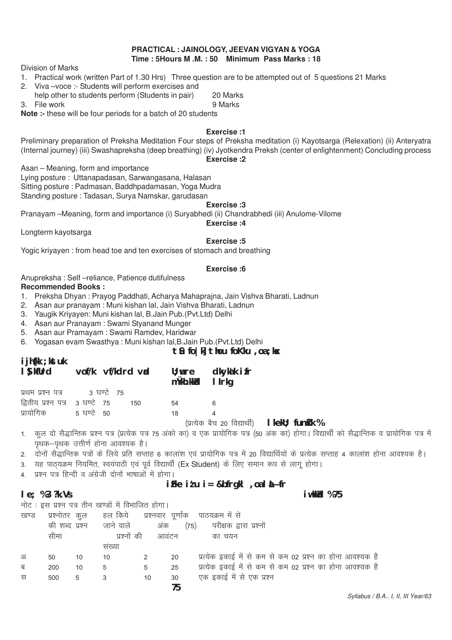#### **PRACTICAL : JAINOLOGY, JEEVAN VIGYAN & YOGA Time : 5Hours M .M. : 50 Minimum Pass Marks : 18**

Division of Marks

1. Practical work (written Part of 1.30 Hrs) Three question are to be attempted out of 5 questions 21 Marks

- 2. Viva –voce :- Students will perform exercises and
- help other to students perform (Students in pair) 20 Marks 3. File work 9 Marks

**Note :-** these will be four periods for a batch of 20 students

#### **Exercise :1**

Preliminary preparation of Preksha Meditation Four steps of Preksha meditation (i) Kayotsarga (Relexation) (ii) Anteryatra (Internal journey) (iii) Swashapreksha (deep breathing) (iv) Jyotkendra Preksh (center of enlightenment) Concluding process

#### **Exercise :2**

Asan – Meaning, form and importance

Lying posture : Uttanapadasan, Sarwangasana, Halasan Sitting posture : Padmasan, Baddhpadamasan, Yoga Mudra Standing posture : Tadasan, Surya Namskar, garudasan

#### **Exercise :3**

Pranayam –Meaning, form and importance (i) Suryabhedi (ii) Chandrabhedi (iii) Anulome-Vilome

#### **Exercise :4**

Longterm kayotsarga

**ijh{kk ;kstuk**

#### **Exercise :5**

Yogic kriyayen : from head toe and ten exercises of stomach and breathing

#### **Exercise :6**

Anupreksha : Self –reliance, Patience dutifulness **Recommended Books :**

- 1. Preksha Dhyan : Prayog Paddhati, Acharya Mahaprajna, Jain Vishva Bharati, Ladnun
- 2. Asan aur pranayam : Muni kishan lal, Jain Vishva Bharati, Ladnun
- 3. Yaugik Kriyayen: Muni kishan lal, B.Jain Pub.(Pvt.Ltd) Delhi
- 4. Asan aur Pranayam : Swami Styanand Munger
- 5. Asan aur Pramayam : Swami Ramdev, Haridwar
- 6. Yogasan evam Swasthya : Muni kishan lal,B.Jain Pub.(Pvt.Ltd) Delhi

# **tSu fo|k] thou foKku ,oa ;ksx**

| <b>I</b> JIILM, NUCUR<br>I Suit world vof/k vf/kdrd vad |  |     | mÙkh.kkid IIrkg | $\mathsf{U}$ ; wre dkykak if r                             |  |
|---------------------------------------------------------|--|-----|-----------------|------------------------------------------------------------|--|
| प्रथम प्रश्न पत्र विष्टे 75                             |  |     |                 |                                                            |  |
| द्वितीय प्रश्न पत्र - 3 घण्टे - 75                      |  | 150 | 54              |                                                            |  |
| प्रायोगिक 5 घण्टे 50                                    |  |     | 18              |                                                            |  |
|                                                         |  |     |                 | $\left(\begin{array}{ccc} -2 & -2 & -2 \end{array}\right)$ |  |

¼izR;sd cSp 20 fo|kFkhZ½ **lkekU; funsZ'k %**

- 1. कूल दो सैद्धान्तिक प्रश्न पत्र (प्रत्येक पत्र 75 अंको का) व एक प्रायोगिक पत्र (50 अंक का) होगा। विद्यार्थी को सैद्धान्तिक व प्रायोगिक पत्र में पृथक–पृथक उत्तीर्ण होना आवश्यक है।
- 2. ) दोनों सैद्धान्तिक पत्रों के लिये प्रति सप्ताह 6 कालांश एवं प्रायोगिक पत्र में 20 विद्यार्थियों के प्रत्येक सप्ताह 4 कालांश होना आवश्यक है।
- 3. यह पाठयक्रम नियमित, स्वयंपाठी एवं पर्व विद्यार्थी (Ex Student) के लिए समान रूप से लाग होगा।
- 4. प्रश्न पत्र हिन्दी व अंग्रेजी दोनों भाषाओं में होगा।

# **izFke iz'u i= &bfrgkl ,oa laLÑfr**

**le: %3 ?k.Vs** iw.kkJable % 75

नोट: इस प्रश्न पत्र तीन खण्डों में विभाजित होगा।

| खण्ड | प्रश्नोतर      | कूल | हल किये - प्रश्नवार पूर्णांक |       |      | पाठयक्रम में से                                           |
|------|----------------|-----|------------------------------|-------|------|-----------------------------------------------------------|
|      | की शब्द प्रश्न |     | जाने वाले                    | अंक   | (75) | परीक्षक द्वारा प्रश्नों                                   |
|      | सीमा           |     | प्रश्नों की                  | आवंटन |      | का चयन                                                    |
|      |                |     | सख्या                        |       |      |                                                           |
| अ    | 50             | 10  | 10                           |       | 20   | प्रत्येक इकाई में से कम से कम 02 प्रश्न का होना आवश्यक है |
| ब    | 200            | 10  | 5                            | 5     | 25   | प्रत्येक इकाई में से कम से कम 02 प्रश्न का होना आवश्यक है |
| स    | 500            | 5   |                              | 10    | 30   | एक इकाई में से एक प्रश्न                                  |
|      |                |     |                              |       | 75   |                                                           |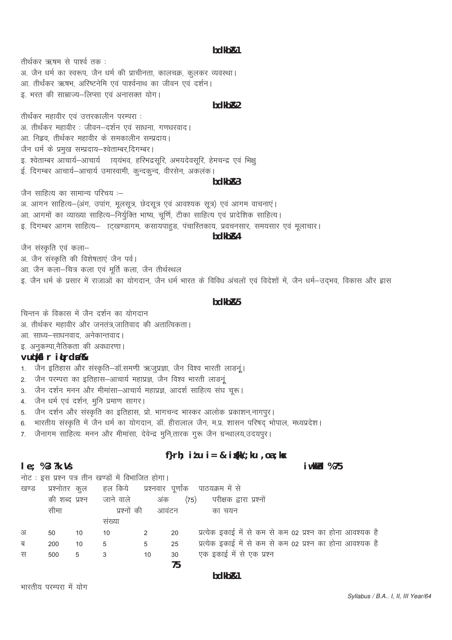#### bdkb<sub>R1</sub>

तीर्थकर ऋषम से पार्श्व तक: अ. जैन धर्म का स्वरूप, जैन धर्म की प्राचीनता, कालचक्र, कूलकर व्यवस्था। आ. तीर्थंकर ऋषभ, अरिष्टनेमि एवं पार्श्वनाथ का जीवन एवं दर्शन। इ. भरत की साम्राज्य-लिप्सा एवं अनासक्त योग।

#### hdkh<sub>R2</sub>

तीर्थंकर महावीर एवं उत्तरकालीन परम्परा : अ. तीर्थंकर महावीर : जीवन-दर्शन एवं साधना, गणधरवाद। आ. निइव. तीर्थकर महावीर के समकालीन सम्प्रदाय। जैन धर्म के प्रमुख सम्प्रदाय-श्वेताम्बर,दिगम्बर। इ. श्वेताम्बर आचार्य-आचार्य ।य्यमव, हरिभद्रसूरि, अभयदेवसूरि, हेमचन्द्र एवं भिक्षु ई. दिगम्बर आचार्य–आचार्य उमास्वामी, कन्दकन्द, वीरसेन, अकलंक।

#### $bdkbR3$

जैन साहित्य का सामान्य परिचय :—

अ. आगन साहित्य-(अंग, उपांग, मुलसूत्र, छेदसूत्र एवं आवश्यक सूत्र) एवं आगम वाचनाएं। आ. आगमों का व्याख्या साहित्य-निर्यूक्ति भाष्य, चूर्णि, टीका साहित्य एवं प्रादेशिक साहित्य। इ. दिगम्बर आगम साहित्य– ाटखण्डागम, कसायपाहुड, पंचास्तिकाय, प्रवचनसार, समयसार एवं मुलाचार।

#### bdkb<sub>R4</sub>

जैन संस्कृति एवं कला– अ. जैन संस्कृति की विशेषताएं जैन पर्व। आ. जैन कला-चित्र कला एवं मूर्ति कला, जैन तीर्थस्थल इ. जैन धर्म के प्रसार में राजाओं का योगदान, जैन धर्म भारत के विविध अंचलों एवं विदेशों में, जैन धर्म—उदभव, विकास और ह्रास

#### hdkh<sub>R5</sub>

चिन्तन के विकास में जैन दर्शन का योगदान अ. तीर्थकर महावीर और जनतंत्र जातिवाद की अतात्विकता। आ. साध्य-साधनवाद, अनेकान्तवाद। इ. अनुकम्पा,नैतिकता की अवधारणा।

#### vuokil ritrda %

 $le; %3?k.K$ 

1. जैन इतिहास और संस्कृति-डॉ.समणी ऋजूप्रज्ञा, जैन विश्व भारती लाडनूं।

- 2. जैन परम्परा का इतिहास-आचार्य महाप्रज्ञ, जैन विश्व भारती लाडनूं
- 3. जैन दर्शन मनन और मीमांसा-आचार्य महाप्रज्ञ, आदर्श साहित्य संघ चुरू।
- 4. जैन धर्म एवं दर्शन, मुनि प्रमाण सागर।
- 5. जैन दर्शन और संस्कृति का इतिहास, प्रो. भागचन्द भास्कर आलोक प्रकाशन,नागपुर।
- 6. भारतीय संस्कृति में जैन धर्म का योगदान, डॉ. हीरालाल जैन, म.प्र. शासन परिषद् भोपाल, मध्यप्रदेश।
- 7. जैनागम साहित्यः मनन और मीमांसा, देवेन्द्र मूनि,तारक गुरू जैन ग्रन्थालय,उदयपुर।

# f}rh;  $i \nmid u$  i = & igkk/; ku , oa; k $x$

नोट: इस प्रश्न पत्र तीन खण्डों में विभाजित होगा।

| खण्ड | प्रश्नोतर      | कल |             |       |      | हल किये प्रश्नवार पूर्णांक पाठयक्रम में से                |
|------|----------------|----|-------------|-------|------|-----------------------------------------------------------|
|      | की शब्द प्रश्न |    | जाने वाले   | अंक   | (75) | परीक्षक द्वारा प्रश्नो                                    |
|      | सीमा           |    | प्रश्नों की | आवंटन |      | का चयन                                                    |
|      |                |    | सख्या       |       |      |                                                           |
| अ    | 50             | 10 | 10          | 2     | 20   | प्रत्येक इकाई में से कम से कम 02 प्रश्न का होना आवश्यक है |
| ब    | 200            | 10 | 5           | 5     | 25   | प्रत्येक इकाई में से कम से कम 02 प्रश्न का होना आवश्यक है |
| स    | 500            | 5  |             | 10    | 30   | एक इकाई में से एक प्रश्न                                  |
|      |                |    |             |       | 75   |                                                           |
|      |                |    |             |       |      |                                                           |

#### bdkb<sub>R1</sub>

भारतीय परम्परा में योग

i wkkid %75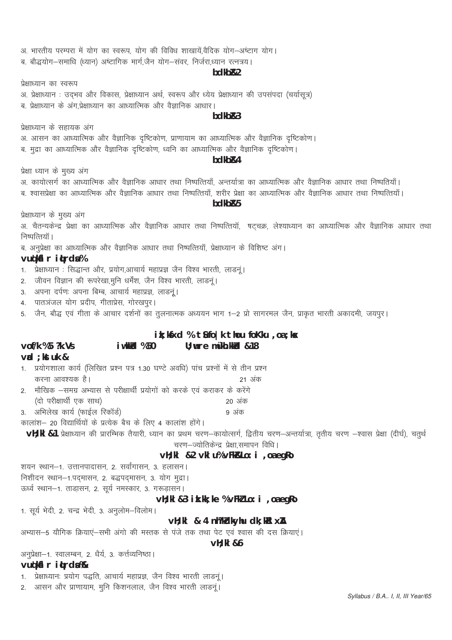#### Syllabus / B.A.. I, II, III Year/65

2. मौखिक –समग्र अभ्यास से परीक्षार्थी प्रयोगों को करके एवं कराकर के करेंगे (दो परीक्षार्थी एक साथ) 20 अंक 3. अभिलेख कार्य (फाईल रिकॉर्ड) ९ अंक कालांश- 20 विद्यार्थियों के प्रत्येक बैच के लिए 4 कालांश होंगे। VH; kl &1 प्रेक्षाध्यान की प्रारम्भिक तैयारी, ध्यान का प्रथम चरण-कायोत्सर्ग, द्वितीय चरण-अन्तर्यात्रा, तृतीय चरण -श्वास प्रेक्षा (दीर्घ), चतुर्थ चरण-ज्योतिकेन्द्र प्रेक्षा,समापन विधि। vH; kI &2 vkI u% vFkRkLo: i , oa egRo शयन स्थान-1. उत्तानपादासन, 2. सर्वांगासन, 3. हलासन। निशीदन स्थान-1.पदमासन, 2. बद्धपदमासन, 3. योग मुद्रा। ऊर्ध्व स्थान-1. ताडासन. 2. सर्य नमस्कार. 3. गरूडासन। vH; kI &3 ik.kk; ke % vFkZ Lo: i, oa egRo 1. सूर्य भेदी, 2. चन्द्र भेदी, 3. अनुलोम-विलोम।

vH; kI & 4 nh?kdkyhu dk; kRI xA

**vH**: kl &6

 $\mathsf{val} : \mathsf{kstuk} \&$ 1. प्रयोगशाला कार्य (लिखित प्रश्न पत्र 1.30 घण्टे अवधि) पांच प्रश्नों में से तीन प्रश्न करना आवश्यक है। 21 अंक

अभ्यास-5 यौगिक क्रियाएं-सभी अंगो की मस्तक से पंजे तक तथा पेट एवं श्वास की दस क्रियाएं।

4. पातञंजल योग प्रदीप, गीताप्रेस, गोरखपूर। 5. जैन, बौद्ध एवं गीता के आचार दर्शनों का तुलनात्मक अध्ययन भाग 1–2 प्रो सागरमल जैन, प्राकृत भारती अकादमी, जयपुर।

i wkkid %50

2. जीवन विज्ञान की रूपरेखा,मुनि धर्मेंश, जैन विश्व भारती, लाडनूं।

3. अपना दर्पणः अपना बिम्ब, आचार्य महाप्रज्ञ, लाडनूं।

अनुप्रेक्षा-1. स्वालम्बन, 2. धैर्य, 3. कर्त्तव्यनिष्ठा।

1. प्रेक्षाध्यानः प्रयोग पद्धति, आचार्य महाप्रज्ञ, जैन विश्व भारती लाडनूं। 2. आसन और प्राणायाम, मूनि किशनलाल, जैन विश्व भारती लाडनूं।

vudkil r itrda%

 $\text{vol}/k$  %5  $?k$ . Vs

vudkil r itrda% 1. प्रेक्षाध्यान : सिद्धान्त और, प्रयोग,आचार्य महाप्रज्ञ जैन विश्व भारती, लाडनूं।

ब. अनुप्रेक्षा का आध्यात्मिक और वैज्ञानिक आधार तथा निष्पत्तियाँ, प्रेक्षाध्यान के विशिष्ट अंग।

प्रेक्षाध्यान के मुख्य अंग अ. चैतन्यकेन्द्र प्रेक्षा का आध्यात्मिक और वैज्ञानिक आधार तथा निष्पत्तियाँ, षट्चक्र, लेश्याध्यान का आध्यात्मिक और वैज्ञानिक आधार तथा निष्पत्तियाँ ।

> $ik; kK < d$  % tio | k thou fokku , oa ; k $x$  $U:$  wre mykh. kkid  $\&$  18

bdkb<sub>R4</sub> प्रेक्षा ध्यान के मुख्य अंग अ. कायोत्सर्ग का आध्यात्मिक और वैज्ञानिक आधार तथा निष्पत्तियाँ, अन्तर्यात्रा का आध्यात्मिक और वैज्ञानिक आधार तथा निष्पतियाँ। ब. श्वासप्रेक्षा का आध्यात्मिक और वैज्ञानिक आधार तथा निष्पत्तियाँ, शरीर प्रेक्षा का आध्यात्मिक और वैज्ञानिक आधार तथा निष्पत्तियाँ।

प्रेक्षाध्यान के सहायक अंग अ. आसन का आध्यात्मिक और वैज्ञानिक दृष्टिकोण, प्राणायाम का आध्यात्मिक और वैज्ञानिक दृष्टिकोण। ब. मुद्रा का आध्यात्मिक और वैज्ञानिक दृष्टिकोण, ध्वनि का आध्यात्मिक और वैज्ञानिक दृष्टिकोण।

 $hdkhR3$ 

# प्रेक्षाध्यान का स्वरूप अ. प्रेक्षाध्यान : उद्भव और विकास, प्रेक्षाध्यान अर्थ, स्वरूप और ध्येय प्रेक्षाध्यान की उपसंपदा (चर्यासूत्र) ब, प्रेक्षाध्यान के अंग,प्रेक्षाध्यान का आध्यात्मिक और वैज्ञानिक आधार।

# bdkb<sub>R2</sub>

अ. भारतीय परम्परा में योग का स्वरूप, योग की विविध शाखायें,वैदिक योग-अष्टाग योग। ब. बौद्धयोग-समाधि (ध्यान) अष्टागिक मार्ग.जैन योग-संवर. निर्जरा.ध्यान रत्नत्रय।

# bdkb<sub>R5</sub>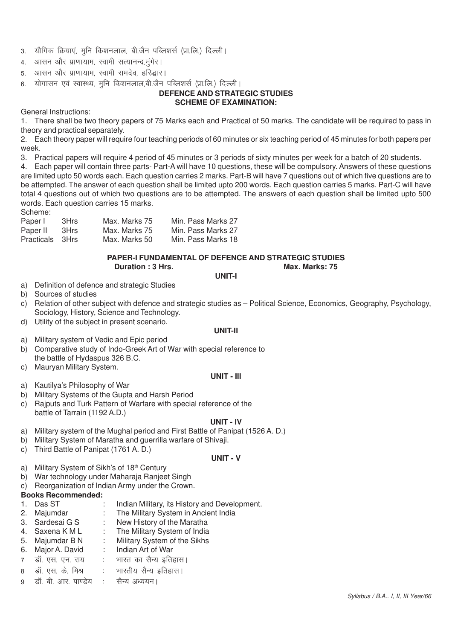- 3. यौगिक क्रियाएं, मुनि किशनलाल, बी.जैन पब्लिशर्स (प्रा.लि.) दिल्ली।
- 4. आसन और प्राणायाम, स्वामी सत्यानन्द मंगेर।
- 5. आसन और प्राणायाम, स्वामी रामदेव, हरिद्धार।
- 6. योगासन एवं स्वास्थ्य, मुनि किशनलाल,बी.जैन पब्लिशर्स (प्रा.लि.) दिल्ली।

#### **DEFENCE AND STRATEGIC STUDIES SCHEME OF EXAMINATION:**

General Instructions:

1. There shall be two theory papers of 75 Marks each and Practical of 50 marks. The candidate will be required to pass in theory and practical separately.

2. Each theory paper will require four teaching periods of 60 minutes or six teaching period of 45 minutes for both papers per week.

3. Practical papers will require 4 period of 45 minutes or 3 periods of sixty minutes per week for a batch of 20 students.

4. Each paper will contain three parts- Part-A will have 10 questions, these will be compulsory. Answers of these questions are limited upto 50 words each. Each question carries 2 marks. Part-B will have 7 questions out of which five questions are to be attempted. The answer of each question shall be limited upto 200 words. Each question carries 5 marks. Part-C will have total 4 questions out of which two questions are to be attempted. The answers of each question shall be limited upto 500 words. Each question carries 15 marks.

| Paper I         | 3Hrs | Max. Marks 75 | Min. Pass Marks 27 |
|-----------------|------|---------------|--------------------|
| Paper II        | 3Hrs | Max. Marks 75 | Min. Pass Marks 27 |
| Practicals 3Hrs |      | Max. Marks 50 | Min. Pass Marks 18 |

# **PAPER-I FUNDAMENTAL OF DEFENCE AND STRATEGIC STUDIES Duration : 3 Hrs.** Max. Marks: 75

- **UNIT-I**
- a) Definition of defence and strategic Studies
- b) Sources of studies
- c) Relation of other subject with defence and strategic studies as Political Science, Economics, Geography, Psychology, Sociology, History, Science and Technology.
- d) Utility of the subject in present scenario.

#### **UNIT-II**

- a) Military system of Vedic and Epic period
- b) Comparative study of Indo-Greek Art of War with special reference to the battle of Hydaspus 326 B.C.
- c) Mauryan Military System.

#### **UNIT - III**

- a) Kautilya's Philosophy of War
- b) Military Systems of the Gupta and Harsh Period
- c) Rajputs and Turk Pattern of Warfare with special reference of the battle of Tarrain (1192 A.D.)

#### **UNIT - IV**

- a) Military system of the Mughal period and First Battle of Panipat (1526 A. D.)
- b) Military System of Maratha and guerrilla warfare of Shivaji.
- c) Third Battle of Panipat (1761 A. D.)

#### **UNIT - V**

a) Military System of Sikh's of 18th Century

- b) War technology under Maharaja Ranjeet Singh
- c) Reorganization of Indian Army under the Crown.

# **Books Recommended:**

- 1. Das ST : Indian Military, its History and Development.<br>2. Majumdar : The Military System in Ancient India
- 2. The Military System in Ancient India<br>2. New History of the Maratha
- 3. Sardesai G S<br>4. Saxena K M L
- 
- : The Military System of India<br>: Military System of the Sikhs 5. Majumdar B N : Military System of the Sikhs
- 6. Major A. David : Indian Art of War
- 7 डॉ. एस. एन. राय : भारत का सैन्य इतिहास।
- 8 डॉ एस के मिश्र : भारतीय सैन्य इतिहास ।
- 9 डॉ. बी. आर. पाण्डेय : सैन्य अध्ययन।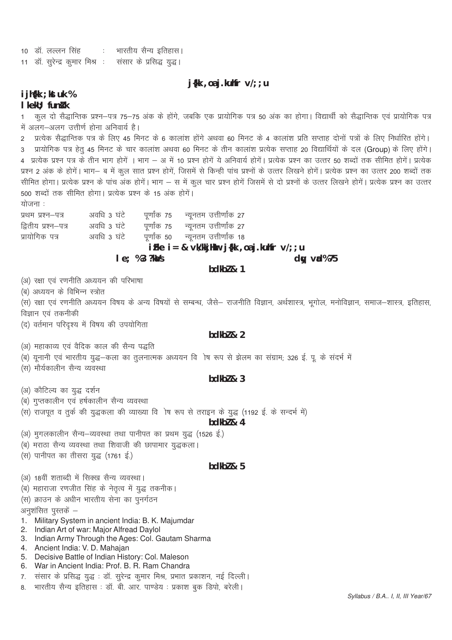10 डॉ. लल्लन सिंह कि: भारतीय सैन्य इतिहास। 11 डॉ. सुरेन्द्र कुमार मिश्र : संसार के प्रसिद्ध युद्ध।

 $j$ {kk, oaj.kuhfr  $v$ /;; u

#### i jh{kk ; kst uk % I kekU: funk k

कूल दो सैद्धान्तिक प्रश्न–पत्र 75–75 अंक के होंगे, जबकि एक प्रायोगिक पत्र 50 अंक का होगा। विद्यार्थी को सैद्धान्तिक एवं प्रायोगिक पत्र  $1<sup>1</sup>$ में अलग-अलग उत्तीर्ण होना अनिवार्य है।

2 प्रत्येक सैद्धान्तिक पत्र के लिए 45 मिनट के 6 कालांश होंगे अथवा 60 मिनट के 4 कालांश प्रति सप्ताह दोनों पत्रों के लिए निर्धारित होंगे। 3 प्रायोगिक पत्र हेतू 45 मिनट के चार कालांश अथवा 60 मिनट के तीन कालांश प्रत्येक सप्ताह 20 विद्यार्थियों के दल (Group) के लिए होंगे। 4 प्रत्येक प्रश्न पत्र के तीन भाग होगें । भाग – अ में 10 प्रश्न होगें ये अनिवार्य होगें। प्रत्येक प्रश्न का उत्तर 50 शब्दों तक सीमित होगें। प्रत्येक प्रश्न 2 अंक के होगें। भाग– ब में कूल सात प्रश्न होगें, जिसमें से किन्ही पांच प्रश्नों के उत्तर लिखने होगें। प्रत्येक प्रश्न का उत्तर 200 शब्दों तक सीमित होगा। प्रत्येक प्रश्न के पांच अंक होगें। भाग – स में कुल चार प्रश्न होगें जिसमें से दो प्रश्नों के उत्तर लिखने होगें। प्रत्येक प्रश्न का उत्तर 500 शब्दों तक सीमित होगा। प्रत्येक प्रश्न के 15 अंक होगें।

योजना :

अवधि 3 घंटे प्रथम प्रश्न-पत्र पर्णांक 75 न्यूनतम उत्तीर्णांक 27 अवधि 3 घंटे द्वितीय प्रश्न–पत्र पूर्णांक 75 न्यूनतम उत्तीर्णांक 27 प्रायोगिक पत्र अवधि 3 घंटे पूर्णांक 50 न्यूनतम उत्तीर्णांक 18 iFke  $i = 8$  vk/kkjHkur j{kk, oaj.kuhfr v/;; u  $le; %3?kMs$  $dw$  val $%75$ 

 $hdkh$  & 1

(अ) रक्षा एवं रणनीति अध्ययन की परिभाषा

(ब) अध्ययन के विभिन्न स्त्रोत

(स) रक्षा एवं रणनीति अध्ययन विषय के अन्य विषयों से सम्बन्ध, जैसे– राजनीति विज्ञान, अर्थशास्त्र, भूगोल, मनोविज्ञान, समाज–शास्त्र, इतिहास, विज्ञान एवं तकनीकी

(द) वर्तमान परिदृश्य में विषय की उपयोगिता

#### $bdkb2 & 2$

(अ) महाकाव्य एवं वैदिक काल की सैन्य पद्धति

(ब) यूनानी एवं भारतीय युद्ध–कला का तूलनात्मक अध्ययन वि ोष रूप से झेलम का संग्राम; 326 ई. पू. के संदर्भ में

(स) मौर्यकालीन सैन्य व्यवस्था

# $bdkb2 & 3$

(अ) कौटिल्य का युद्ध दर्शन

(ब) गुप्तकालीन एवं हर्षकालीन सैन्य व्यवस्था

(स) राजपूत व तुर्क की युद्धकला की व्याख्या वि ोष रूप से तराइन के युद्ध (1192 ई. के सन्दर्भ में)

#### $hdkh$  & 4

(अ) मुगलकालीन सैन्य-व्यवस्था तथा पानीपत का प्रथम युद्ध (1526 ई.)

- (ब) मराठा सैन्य व्यवस्था तथा शिवाजी की छापामार युद्धकला।
- (स) पानीपत का तीसरा युद्ध (1761 ई.)

# bdkb $l$  &  $5$

- (अ) 18वीं शताब्दी में सिक्ख सैन्य व्यवस्था।
- (ब) महाराजा रणजीत सिंह के नेतृत्व में युद्ध तकनीक।

(स) क्राउन के अधीन भारतीय सेना का पुनर्गठन

अनुशंसित पुस्तकें –

- 1. Military System in ancient India: B. K. Majumdar
- 2. Indian Art of war: Major Alfread Daylol
- 3. Indian Army Through the Ages: Col. Gautam Sharma
- 4. Ancient India: V. D. Mahajan
- 5. Decisive Battle of Indian History: Col. Maleson
- 6. War in Ancient India: Prof. B. R. Ram Chandra
- 7. संसार के प्रसिद्ध युद्ध : डॉ. सुरेन्द्र कुमार मिश्र, प्रभात प्रकाशन, नई दिल्ली।
- 8. भारतीय सैन्य इतिहास : डॉ. बी. आर. पाण्डेय : प्रकाश बुक डिपो, बरेली।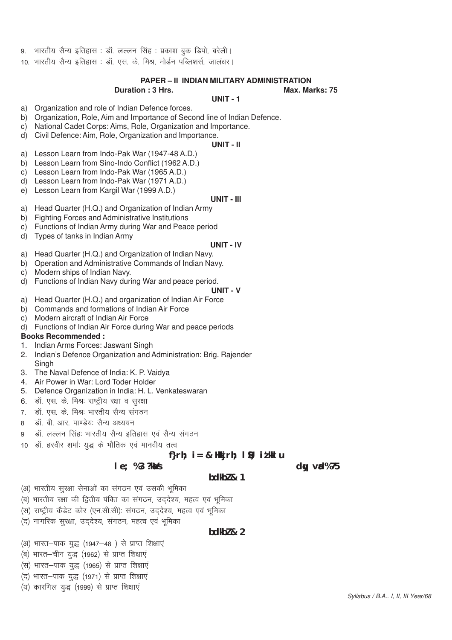- भारतीय सैन्य इतिहास : डॉ. लल्लन सिंह : प्रकाश बुक डिपो, बरेली।
- 10. भारतीय सैन्य इतिहास : डॉ. एस. के. मिश्र, मोर्डन पब्लिशर्स, जालंधर।

### **PAPER – II INDIAN MILITARY ADMINISTRATION**

#### **Duration : 3 Hrs.** Max. Marks: 75

#### **UNIT - 1**

- a) Organization and role of Indian Defence forces.
- b) Organization, Role, Aim and Importance of Second line of Indian Defence.
- c) National Cadet Corps: Aims, Role, Organization and Importance.
- d) Civil Defence: Aim, Role, Organization and Importance.

#### **UNIT - II**

- a) Lesson Learn from Indo-Pak War (1947-48 A.D.)
- b) Lesson Learn from Sino-Indo Conflict (1962 A.D.)
- c) Lesson Learn from Indo-Pak War (1965 A.D.)
- d) Lesson Learn from Indo-Pak War (1971 A.D.)
- e) Lesson Learn from Kargil War (1999 A.D.)

#### **UNIT - III**

- a) Head Quarter (H.Q.) and Organization of Indian Army
- b) Fighting Forces and Administrative Institutions
- c) Functions of Indian Army during War and Peace period
- d) Types of tanks in Indian Army

#### **UNIT - IV**

- a) Head Quarter (H.Q.) and Organization of Indian Navy.
- b) Operation and Administrative Commands of Indian Navy.
- c) Modern ships of Indian Navy.
- d) Functions of Indian Navy during War and peace period.

# **UNIT - V**

- a) Head Quarter (H.Q.) and organization of Indian Air Force
- b) Commands and formations of Indian Air Force
- c) Modern aircraft of Indian Air Force
- d) Functions of Indian Air Force during War and peace periods

#### **Books Recommended :**

- 1. Indian Arms Forces: Jaswant Singh
- 2. Indian's Defence Organization and Administration: Brig. Rajender **Singh**
- 3. The Naval Defence of India: K. P. Vaidya
- 4. Air Power in War: Lord Toder Holder
- 5. Defence Organization in India: H. L. Venkateswaran
- 6. डॉ. एस. के. मिश्रः राष्ट्रीय रक्षा व सुरक्षा
- 7. डॉ. एस. के. मिश्र: भारतीय सैन्य संगठन
- 8 लंबी आर पाण्डेय: सैन्य अध्ययन
- 9 बॉ. लल्लन सिंहः भारतीय सैन्य इतिहास एवं सैन्य संगठन
- 10 डॉ. हरवीर शर्माः युद्ध के भौतिक एवं मानवीय तत्व

### $f$ **rh;**  $i = 8$  Hkkjrh;  $\vert 9$ ; it kkl u

**bdkbZ & 1**

#### **le**; %3 ?ka/s

- (अ) भारतीय सुरक्षा सेनाओं का संगठन एवं उसकी भूमिका
- (ब) भारतीय रक्षा की द्वितीय पंक्ति का संगठन, उद्देश्य, महत्व एवं भूमिका
- (स) राष्ट्रीय केंडेट कोर (एन.सी.सी) संगठन, उद्देश्य, महत्व एवं भूमिका
- (द) नागरिक सुरक्षा, उददेश्य, संगठन, महत्व एवं भूमिका

## **bdkbZ & 2**

- (अ) भारत-पाक युद्ध (1947-48) से प्राप्त शिक्षाएं
- (ब) भारत-चीन युद्ध (1962) से प्राप्त शिक्षाएं
- (स) भारत-पाक युद्ध (1965) से प्राप्त शिक्षाएं
- (द) भारत-पाक युद्ध (1971) से प्राप्त शिक्षाएं
- (य) कारगिल युद्ध (1999) से प्राप्त शिक्षाएं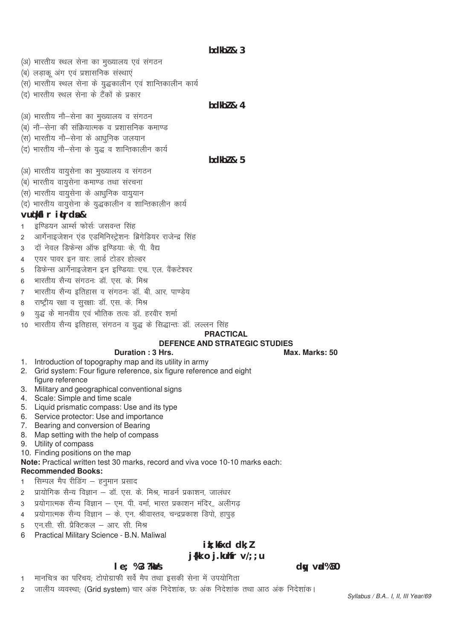**bdkbZ & 3**

- (अ) भारतीय स्थल सेना का मुख्यालय एवं संगठन
- (ब) लड़ाकू अंग एवं प्रशासनिक संस्थाएं
- (स) भारतीय स्थल सेना के युद्धकालीन एवं शान्तिकालीन कार्य
- (द) भारतीय स्थल सेना के टैंकों के प्रकार

## **bdkbZ & 4**

- (अ) भारतीय नौ-सेना का मुख्यालय व संगठन
- (ब) नौ–सेना की संक्रियात्मक व प्रशासनिक कमाण्ड
- (स) भारतीय नौ–सेना के आधनिक जलयान
- (द) भारतीय नौ-सेना के युद्ध व शान्तिकालीन कार्य

#### **bdkbZ & 5**

- (अ) भारतीय वायुसेना का मुख्यालय व संगठन
- (ब) भारतीय वायुसेना कमाण्ड तथा संरचना
- (स) भारतीय वायुसेना के आधुनिक वायुयान
- (द) भारतीय वायुसेना के युद्धकालीन व शान्तिकालीन कार्य

#### **vuq'kaflr iqLrdsa &**

- 1 डण्डियन आर्म्स फोर्सः जसवन्त सिंह
- 2 आर्गेनाइजेशन एंड एडमिनिस्ट्रेशनः ब्रिगेडियर राजेन्द्र सिंह
- 3 दॉ नेवल डिफेन्स ऑफ इण्डियाः के. पी. वैद्य
- 4 एयर पावर इन वारः लार्ड टोडर होल्डर
- 5 हिफेन्स आर्गेनाइजेशन इन इण्डियाः एच. एल. वैंकटेश्वर
- 6 भारतीय सैन्य सगठन डॉ. एस. के. मिश्र
- 7 भारतीय सैन्य इतिहास व संगठनः डॉ. बी. आर. पाण्डेय
- 8 राष्ट्रीय रक्षा व सुरक्षाः डॉ. एस. के. मिश्र
- 9 युद्ध के मानवीय एवं भौतिक तत्वः डॉ. हरवीर शर्मा
- 10 भारतीय सैन्य इतिहास, संगठन व युद्ध के सिद्धान्तः डॉ. लल्लन सिंह

#### **PRACTICAL**

# **DEFENCE AND STRATEGIC STUDIES**

#### **Duration : 3 Hrs.** Max. Marks: 50

- 1. Introduction of topography map and its utility in army
- 2. Grid system: Four figure reference, six figure reference and eight figure reference
- 3. Military and geographical conventional signs
- 4. Scale: Simple and time scale
- 5. Liquid prismatic compass: Use and its type
- 6. Service protector: Use and importance
- 7. Bearing and conversion of Bearing
- 8. Map setting with the help of compass
- 9. Utility of compass

10. Finding positions on the map

**Note:** Practical written test 30 marks, record and viva voce 10-10 marks each:

#### **Recommended Books:**

- 1 सिम्पल मैप रीडिंग हनुमान प्रसाद
- 2 प्रायोगिक सैन्य विज्ञान डॉ. एस. के. मिश्र, माडर्न प्रकाशन, जालंधर
- 3 प्रयोगात्मक सैन्य विज्ञान एम. पी. वर्मा, भारत प्रकाशन मंदिर,, अलीगढ
- 4 प्रयोगात्मक सैन्य विज्ञान के. एन. श्रीवास्तव, चन्द्रप्रकाश डिपो, हापुड
- 5 एन.सी. सी. प्रैक्टिकल आर. सी. मिश्र
- 6 Practical Military Science B.N. Maliwal

# **ik; ksxd dk; Z**

# **j{kk o j.kuhfr v/;;u**

# **le**; %3 ?kaVs due to the second state of the second state of the second state of the second state of the second state of the second state of the second state of the second state of the second state of the second state of

- 1 मानचित्र का परिचय; टोपोग्राफी सर्वे मैप तथा इसकी सेना में उपयोगिता
- 2 जालीय व्यवस्था; (Grid system) चार अंक निदेशांक, छः अंक निदेशांक तथा आठ अंक निदेशांक।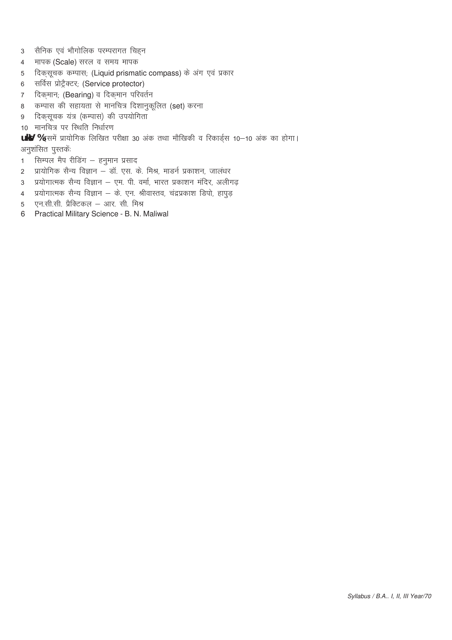- 3 सैनिक एवं भौगोलिक परम्परागत चिहन
- 4 मापक (Scale) सरल व समय मापक
- 5 दिकसूचक कम्पास; (Liquid prismatic compass) के अंग एवं प्रकार
- 6 सर्विस प्रोट्रैक्टर; (Service protector)
- 7 दिक्मान; (Bearing) व दिक्**मान परिवर्तन**
- 8 कम्पास की सहायता से मानचित्र दिशानुकूलित (set) करना
- 9 दिकसूचक यंत्र (कम्पास) की उपयोगिता
- 10 मानचित्र पर स्थिति निर्धारण

**uky %** इसमें प्रायोगिक लिखित परीक्षा 30 अंक तथा मौखिकी व रिकार्डस 10–10 अंक का होगा। अनुशंसित पुस्तकें:

- 1 सिम्पल मैप रीडिंग हनुमान प्रसाद
- 2 प्रायोगिक सैन्य विज्ञान डॉ. एस. के. मिश्र, मार्ड्न प्रकाशन, जालंधर
- 3 प्रयोगात्मक सैन्य विज्ञान एम. पी. वर्मा, भारत प्रकाशन मंदिर, अलीगढ़
- 4 प्रयोगात्मक सैन्य विज्ञान के. एन. श्रीवास्तव, चंद्रप्रकाश डिपो, हापुड़
- 5 एन.सी.सी. प्रैक्टिकल आर. सी. मिश्र
- 6 Practical Military Science B. N. Maliwal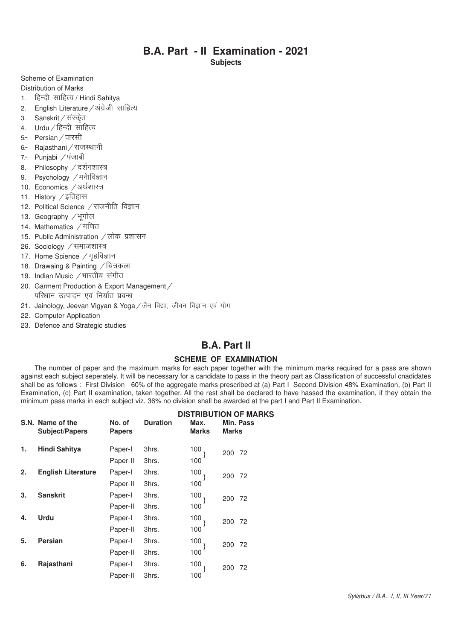# **B.A. Part - II Examination - 2021**

**Subjects**

Scheme of Examination

Distribution of Marks

- 1. हिन्दी साहित्य / Hindi Sahitva
- 2. English Literature / अंग्रेजी साहित्य
- 3. Sanskrit / संस्केत
- 4.  $Urdu / \sqrt{3}$ न्दी साहित्य
- 5- Persian / पारसी
- 6- Rajasthani / राजस्थानी
- 7- Punjabi / पंजाबी
- 8. Philosophy / दर्शनशास्त्र
- 9. Psychology / मनेाविज्ञान
- 10. Economics /अर्थशास्त्र
- 11. History  $\angle$  इतिहास
- 12. Political Science / राजनीति विज्ञान
- 13. Geography /भूगोल
- 14. Mathematics / गणित
- 15. Public Administration / लोक प्रशासन
- 26. Sociology / समाजशास्त्र
- 17. Home Science / गहविज्ञान
- 18. Drawaing & Painting / चित्रकला
- 19. Indian Music / भारतीय संगीत
- 20. Garment Production & Export Management / परिधान उत्पादन एवं निर्यात प्रबन्ध
- 21. Jainology, Jeevan Vigyan & Yoga / जैन विद्या, जीवन विज्ञान एवं योग
- 22. Computer Application
- 23. Defence and Strategic studies

# **B.A. Part II**

#### **SCHEME OF EXAMINATION**

The number of paper and the maximum marks for each paper together with the minimum marks required for a pass are shown against each subject seperately. It will be necessary for a candidate to pass in the theory part as Classification of successful cnadidates shall be as follows : First Division 60% of the aggregate marks prescribed at (a) Part I Second Division 48% Examination, (b) Part II Examination, (c) Part II examination, taken together. All the rest shall be declared to have hassed the examination, if they obtain the minimum pass marks in each subject viz. 36% no division shall be awarded at the part I and Part II Examination.

|    | S.N. Name of the<br><b>Subject/Papers</b> | No. of<br><b>Papers</b> | <b>Duration</b> | Max.<br><b>Marks</b> | <b>DISTRIBUTION OF MARKS</b><br>Min. Pass<br><b>Marks</b> |
|----|-------------------------------------------|-------------------------|-----------------|----------------------|-----------------------------------------------------------|
| 1. | <b>Hindi Sahitya</b>                      | Paper-I                 | 3hrs.           | 100                  | 200<br>72                                                 |
|    |                                           | Paper-II                | 3hrs.           | 100                  |                                                           |
| 2. | <b>English Literature</b>                 | Paper-I                 | 3hrs.           | 100                  | 200<br>72                                                 |
|    |                                           | Paper-II                | 3hrs.           | 100                  |                                                           |
| 3. | <b>Sanskrit</b>                           | Paper-I                 | 3hrs.           | 100                  | 200<br>72                                                 |
|    |                                           | Paper-II                | 3hrs.           | 100                  |                                                           |
| 4. | <b>Urdu</b>                               | Paper-I                 | 3hrs.           | 100                  | 200<br>72                                                 |
|    |                                           | Paper-II                | 3hrs.           | 100                  |                                                           |
| 5. | <b>Persian</b>                            | Paper-I                 | 3hrs.           | 100                  | 200<br>72                                                 |
|    |                                           | Paper-II                | 3hrs.           | 100                  |                                                           |
| 6. | Rajasthani                                | Paper-I                 | 3hrs.           | 100                  | 72<br>200                                                 |
|    |                                           | Paper-II                | 3hrs.           | 100                  |                                                           |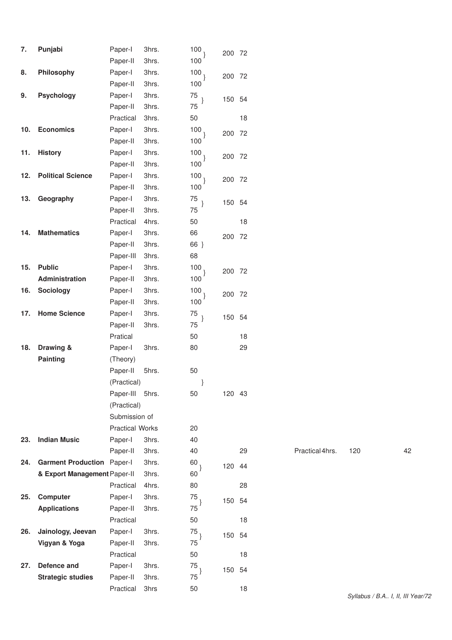| 7.  | Punjabi                      | Paper-I                | 3hrs. | 100             | 200 72 |    |                 |                 |    |
|-----|------------------------------|------------------------|-------|-----------------|--------|----|-----------------|-----------------|----|
|     |                              | Paper-II               | 3hrs. | 100             |        |    |                 |                 |    |
| 8.  | Philosophy                   | Paper-I                | 3hrs. | 100             | 200 72 |    |                 |                 |    |
|     |                              | Paper-II               | 3hrs. | 100             |        |    |                 |                 |    |
| 9.  | <b>Psychology</b>            | Paper-I                | 3hrs. | 75              | 150 54 |    |                 |                 |    |
|     |                              | Paper-II               | 3hrs. | 75              |        |    |                 |                 |    |
|     |                              | Practical              | 3hrs. | 50              |        | 18 |                 |                 |    |
| 10. | <b>Economics</b>             | Paper-I                | 3hrs. | 100.            | 200 72 |    |                 |                 |    |
|     |                              | Paper-II               | 3hrs. | 100             |        |    |                 |                 |    |
| 11. | <b>History</b>               | Paper-I                | 3hrs. | 100             | 200 72 |    |                 |                 |    |
|     |                              | Paper-II               | 3hrs. | 100             |        |    |                 |                 |    |
| 12. | <b>Political Science</b>     | Paper-I                | 3hrs. | 100<br>$\}$     | 200 72 |    |                 |                 |    |
|     |                              | Paper-II               | 3hrs. | 100             |        |    |                 |                 |    |
| 13. | Geography                    | Paper-I                | 3hrs. | 75              | 150 54 |    |                 |                 |    |
|     |                              | Paper-II               | 3hrs. | 75              |        |    |                 |                 |    |
|     |                              | Practical              | 4hrs. | 50              |        | 18 |                 |                 |    |
| 14. | <b>Mathematics</b>           | Paper-I                | 3hrs. | 66              | 200 72 |    |                 |                 |    |
|     |                              | Paper-II               | 3hrs. | 66 }            |        |    |                 |                 |    |
|     |                              | Paper-III              | 3hrs. | 68              |        |    |                 |                 |    |
| 15. | <b>Public</b>                | Paper-I                | 3hrs. | 100             | 200 72 |    |                 |                 |    |
|     | Administration               | Paper-II               | 3hrs. | 100             |        |    |                 |                 |    |
| 16. | Sociology                    | Paper-I                | 3hrs. | 100             | 200 72 |    |                 |                 |    |
|     |                              | Paper-II               | 3hrs. | 100             |        |    |                 |                 |    |
| 17. | <b>Home Science</b>          | Paper-I                | 3hrs. | 75              | 150 54 |    |                 |                 |    |
|     |                              | Paper-II               | 3hrs. | 75              |        |    |                 |                 |    |
|     |                              | Pratical               |       | 50              |        | 18 |                 |                 |    |
| 18. | Drawing &                    | Paper-I                | 3hrs. | 80              |        | 29 |                 |                 |    |
|     | <b>Painting</b>              | (Theory)               |       |                 |        |    |                 |                 |    |
|     |                              | Paper-II               | 5hrs. | 50              |        |    |                 |                 |    |
|     |                              | (Practical)            |       |                 |        |    |                 |                 |    |
|     |                              | Paper-III              | 5hrs. | 50              | 120 43 |    |                 |                 |    |
|     |                              | (Practical)            |       |                 |        |    |                 |                 |    |
|     |                              | Submission of          |       |                 |        |    |                 |                 |    |
|     |                              | <b>Practical Works</b> |       | 20              |        |    |                 |                 |    |
| 23. | <b>Indian Music</b>          | Paper-I                | 3hrs. | 40              |        |    |                 |                 |    |
|     |                              | Paper-II               | 3hrs. | 40              |        | 29 | Practical 4hrs. | 120             | 42 |
| 24. | <b>Garment Production</b>    | Paper-I                | 3hrs. | 60              | 120 44 |    |                 |                 |    |
|     | & Export Management Paper-II |                        | 3hrs. | 60              |        |    |                 |                 |    |
|     |                              | Practical              | 4hrs. | 80              |        | 28 |                 |                 |    |
| 25. | <b>Computer</b>              | Paper-I                | 3hrs. | 75 <sub>1</sub> | 150 54 |    |                 |                 |    |
|     | <b>Applications</b>          | Paper-II               | 3hrs. | 75              |        |    |                 |                 |    |
|     |                              | Practical              |       | 50              |        | 18 |                 |                 |    |
| 26. | Jainology, Jeevan            | Paper-I                | 3hrs. | 75              | 150 54 |    |                 |                 |    |
|     | Vigyan & Yoga                | Paper-II               | 3hrs. | 75              |        |    |                 |                 |    |
|     |                              | Practical              |       | 50              |        | 18 |                 |                 |    |
| 27. | Defence and                  | Paper-I                | 3hrs. | 75              | 150 54 |    |                 |                 |    |
|     | <b>Strategic studies</b>     | Paper-II               | 3hrs. | 75              |        |    |                 |                 |    |
|     |                              | Practical              | 3hrs  | 50              |        | 18 |                 | $Cvllahue / RA$ |    |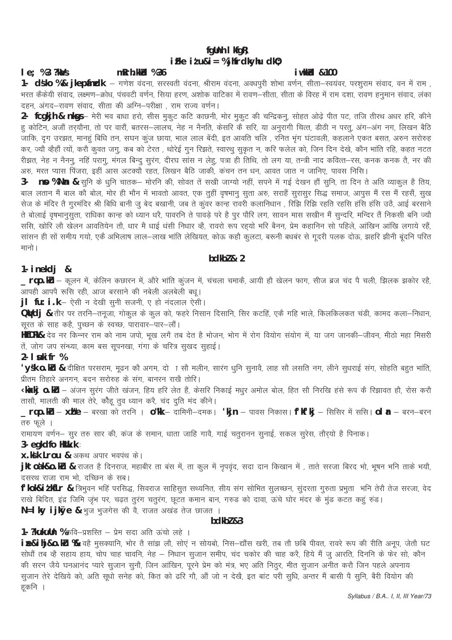# fgUnh I kfgR; iFke  $i$ *t* u& $i$  = % jhfrdkyhu dk0;

#### $le; %3?kMs$ mRrh.kkid %36

*i* wkkld & 100

1- dsko %& jkepfindk – गणेश वंदना, सरस्वती वंदना, श्रीराम वंदना, अवधपुरी शोभा वर्णन, सीता–स्वयंवर, परशुराम संवाद, वन में राम , , भरत कैकेयी संवाद, लक्ष्मण—क्रोध, पंचवटी वर्णन, सिया हरण, अशोक वाटिका में रावण—सीता, सीता के विरह में राम दशा, रावण हनुमान संवाद, लंका दहन, अंगद-रावण संवाद, सीता की अग्नि-परीक्षा , राम राज्य वर्णन।

हु कोटिन, अजौं तर्**यौना, तो पर वारौं, बतरस—लालच, नेह** न नैनति, केसरि कै सरि, या अनुरागी चित्त, डीठी न परतु, अंग—अंग नग, लिखन बैठि ँ<br>जाकि, दुग उरझत, मानहूं बिधि तन, सघन कूंज छाया, भाल लाल बेंदी, इत आवति चलि , रनित भूंग घंटावली, कहलाने एकत बसत, अरुन सरोरुह कर, ज्यौ व्हैहौं त्यों, करो कुवत जगु, कब को टेरत , थोरेई गुन रिझते, स्वारथु सुकृत न, करि फलेल को, जिन दिन देखे, कौन भांति रहि, कहत नटत रीझत, नेह न नैननु, नहिं परागु, मंगल बिन्दु सुरंग, दीरघ सांस न लेहु, पत्रा ही तिथि, तो लग या, तन्त्री नाद कवित्त—रस, कनक कनक तै, नर की .<br>अरु, मरत प्यास पिंजरा, इहीं आस अटक्यौ रहत, लिखन बैठि जाकी, कंचन तन धन, आवत जात न जानिए, पावस निसि।

3- no %Nn & सुनि के धुनि चातक— मोरनि की, सोवत तें सखी जाग्यो नहीं, सपने में गई देखन हौं सुनि, ता दिन ते अति व्याकुल है तिय, बाल लतान मैं बाल को बोल, मोर ही भौन में भावतो आवत, एक तुहीं वृषभानु सुता अरु, सराहैं सुरासुर सिद्ध समाज, आपुस मैं रस मैं रहसैं, सुख .<br>सेज के मंदिर तै गुरमंदिर श्री बिधि बानी जु बेद बखानी, जब ते कुवर कान्ह रावरी कलानिधान , रिझि रिझि रहति रहसि हसि हरि उठै, आई बरसाने ते बोलाई वृषभानूसुता, राधिका कान्ह को ध्यान धरै, पावरनि ते पावड़े परे है पूर पौरि लग, सावन मास सखीन मैं सुन्दरि, मन्दिर तैं निकसी बनि ज्यौ .<br>ससि, खोरि लौ खेलन आवतियेन तौ, धार मै धाई धंसी निधार व्है, रावरो रूप रहयो भरि बैनन, प्रेम कहानिन सो पहिले, आखिन आखि लगाये रहैं, .<br>सांसन ही सों समीय गयो, एकै अभिलाष लाल—लाख भांति लेखियत, कोऊ कहौ कुलटा, बरूनी बधबंर से गुदरी पलक दोऊ, झहरि झीनी बुंदनि परित मानो।

# $hdkh$ <sub>2</sub>  $\lambda$ <sub>2</sub>

#### 1-  $i$  nekd $j$  &

\_\_rqo.ku – कूलन में, केलिन कछारन में, औरे भांति कूंजन में, चंचला चमाकें, आयी हौ खेलन फाग, सीज ब्रज चंद पै चली, झिलक झकोर रहै, —— .<br>आपही आपपै रूसि रही, आज बरसाने की नबेली अलबेली बधू।

**jl fu: i .k** – ऐसी न देखी सुनी सजनी, ए हो नंदलाल ऐसी।

-<br>**QVdj &** तीर पर तरनि—तनूजा, गोकुल के कुल को, फहरे निसान दिसानि, सिर कटहिं, एकै गहि भाले, किलकिलकत चंडी, कामद कला—निधान, सूरत के साह कहे, पुच्छन के स्वच्छ, पारावार–पार–लौं।

**HkfDRk&** देव नर किन्नर राम को नाम जपो, भूख लगै तब देत है भोजन, भोग में रोग वियोग संयोग में, या जग जानकी—जीवन, मीठो महा मिसरी तें, जोग जप संन्ध्या, काम बस सूपनखा, गंगा के चरित्र सुखद सुहाई।

2-  $\vert$  suki fr %

'ysk o.ku & दीक्षित परसराम, मूढन को अगम, दो ा सौ मलीन, सारंग धुनि सुनावै, लाह सौ लसति नग, लीने सुधराई संग, सोहति बहुत भांति, ,<br>प्रीतम तिहारे अनगन, बदन सरोरुह के संग, बानरन राखे तोरि।

**Ükakj 0.kLı** – अंजन सुरंग जीते खंजन, हिय हरि लेत हैं, केसरि निकाई मधुर अमोल बोल, हित सौ निरखि हंसे रूप कै रिझावत हौ, रोस करौ तासौ, मालती की माल तेरे, कौहू तुव ध्यान करै, चंद दुति मंद कीने।

**rqo.ku – xh"e –** बरखा को तरनि । **o"k**k – दामिनी–दमक। 'kjn – पावस निकास। f'kf'kj – सिसिर में ससि। ol **a** – बरन–बरन तरु फुले ।

रामायण वर्णन– सुर तरु सार की, कंज के समान, धाता जाहि गावै, गाई चतुरानन सुनाई, सकल सुरेस, तौऱ्यो है पिनाक।

3- egkdfo Hkilk.k:

x.kk Lrou & अकथ अपार भवपंथ के।

jktodk&o.ku & राजत है दिनराज, महाबीर ता बंस में, ता कुल में नृपवृंद, सदा दान किखान में , ताते सरजा बिरद भो, भूषन भनि ताके भयौ, दसरथ राजा राम भो, दच्छिन के सब।

f'kok&i*t* kfLr & त्रिभुवन भहिं परसिद्ध, सिवराज साहिसुत सथ्यनित, सीय संग सोमित सुलच्छन, सुंदरता गुरुता प्रभुता भनि तेरौ तेज सरजा, वेद राखे बिदित, इंद्र जिमि जृभ पर, चढ़त तुरंग चतुरंग, छूटत कमान बान, गरुड को दावा, ऊंचे घोर मंदर के मुंड कटत कहुं रुंड। N=I ky ijkØe & भुज भुजगेस की वै, राजत अखंड तेज छाजत ।

#### $hdkh$ <sub>7</sub> $g_3$

1- ? kukuun % कवि-प्रशस्ति - प्रेम सदा अति ऊंचो लहे ।

i B&ihj&o.ku % वहै मुसक्यानि, भोर तै सांझ लौ, सोएं न सोयबो, निस-द्यौंस खरी, तब तौ छबि पीवत, रावरे रूप की रीति अनूप, जेतौ घट सोधों तब व्हे सहाय हाय, चोप चाह चावनि, नेह – निधान सुजान समीप, चंद चकोर की चाह करै, हिये मैं जु आरति, दिननि के फेर सो, कौन की सरन जैये घनआनंद प्यारे सुजान सुनौ, जिन आखिन, पूरने प्रेम को मंत्र, भए अति निठुर, मीत सुजान अनीत करौ जिन पहले अपनाय सुजान तेरे देखिये को, अति सूधो सनेह को, कित को ढरि गौ, औं जो न देखै, इत बांट परी सूधि, अन्तर मैं बासी पै सूनि, बैरी वियोग की हकनि ।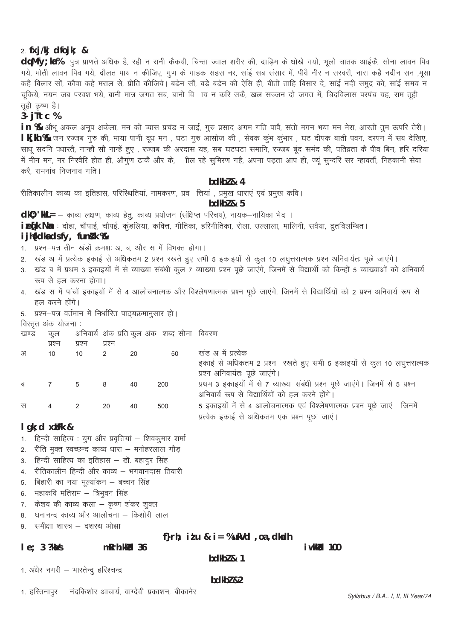# $2.$  fxj/kj dfojk; &

daMfy; ka% – पुत्र प्राणते अधिक है, रही न रानी कैकयी, चिन्ता ज्वाल शरीर की, दाडिम के धोखे गयो, भूलो चातक आईकें, सोना लावन पिव गये, मोती लावन पिव गये, दौलत पाय न कीजिए, गुण के गाहक सहस नर, साई सब संसार में, पीवे नीर न सरवरौ, नारा कहै नदीन सन ,मुसा कहै बिलार सों, कौवा कहे मराल से, प्रीति कीजिये। बडेन सौं, बड़े बडेन की ऐसि ही, बीती ताहि बिसार दे, साई नदी समुद्र को, साई समय न चूकिये, नयन जब परवश भये, बानी मात्र जगत सब, बानी विजय न करि सकें, खल सज्जन दो जगत में, चिदविलास परपंच यह, राम तूही तही कृष्ण है।

 $3 - i$ Ttc %

in % औधू अकल अनूप अकेला, मन की प्यास प्रचंड न जाई, गुरु प्रसाद अगम गति पावै, संतो मगन भया मन मेरा, आरती तुम ऊपरि तेरी। l k[kh % जन रज्जब गुरु की, माया पानी दूध मन , घटा गुरु आसोज की , सेवक कूभ कूंभार , घट दीपक बाती पवन, दरपन में सब देखिए, साधू सदनि पधारतै, नान्हौ सौ नान्हें हुए , रज्जब की अरदास यह, सब घटघटा समानि, रज्जब बूंद समंद की, पतिव्रता कै पीव बिन, हरि दरिया में मीन मन, नर निरवैरि होत ही, औगुण ढाकें और के, जील रहे सुमिरण गहै, अपना पड़ता आप ही, ज्यू सुन्दरि सर न्हावतौं, निहकामी सेवा करै रामनांव निजनाव गति।

### $bdkb2$  & 4

रीतिकालीन काव्य का इतिहास, परिस्थितियां, नामकरण, प्रव त्तियां , प्रमुख धाराएं एवं प्रमुख कवि।

bdkb $l$  & 5

dl0; 'kll = - काव्य लक्षण, काव्य हेत्, काव्य प्रयोजन (संक्षिप्त परिचय), नायक-नायिका भेद ।

ietk Na : दोहा, चौपाई, चौपई, कुंडलिया, कवित्त, गीतिका, हरिगीतिका, रोला, उल्लाला, मालिनी, सवैया, द्रुतविलम्बित।

# i jh{kdka ds fy, funkk %

- 1. प्रश्न-पत्र तीन खंडों क्रमशः अ, ब, और स में विभक्त होगा।
- 2. खंड अ में प्रत्येक इकाई से अधिकतम 2 प्रश्न रखते हुए सभी 5 इकाइयों से कुल 10 लघुत्तरात्मक प्रश्न अनिवार्यतः पूछे जाएंगे।
- 3. खंड ब में प्रथम 3 इकाइयों में से व्याख्या संबंधी कूल 7 व्याख्या प्रश्न पूछे जाएंगे, जिनमें से विद्यार्थी को किन्हीं 5 व्याख्याओं को अनिवार्य रूप से हल करना होगा।
- 4. खंड स में पांचों इकाइयों में से 4 आलोचनात्मक और विश्लेषणात्मक प्रश्न पूछे जाएंगे, जिनमें से विद्यार्थियों को 2 प्रश्न अनिवार्य रूप से हल करने होंगे।
- 5. प्रश्न-पत्र वर्तमान में निर्धारित पाठयक्रमानुसार हो।

विस्तृत अंक योजना :-

खण्ड कल अनिवार्य अंक प्रति कूल अंक) शब्द सीमा विवरण

|   |                |        | प्रश्न |    |     |                                                                                 |
|---|----------------|--------|--------|----|-----|---------------------------------------------------------------------------------|
|   | प्रश्न         | प्रश्न |        |    |     |                                                                                 |
| अ | 10             | 10     |        | 20 | 50  | खंड अ में प्रत्येक                                                              |
|   |                |        |        |    |     | इकाई से अधिकतम 2 प्रश्न रखते हुए सभी 5 इकाइयों से कुल 10 लघुत्तरात्मक           |
|   |                |        |        |    |     | प्रश्न अनिवार्यतः पूछे जाएंगे।                                                  |
| ब | $\overline{7}$ | 5      | - 8    | 40 | 200 | प्रथम 3 इकाइयों में से 7 व्याख्या संबंधी प्रश्न पूछे जाएंगे। जिनमें से 5 प्रश्न |
|   |                |        |        |    |     | अनिवार्य रूप से विद्यार्थियों को हल करने होंगे।                                 |
| स | $\overline{4}$ |        | 20     | 40 | 500 | 5 इकाइयों में से 4 आलोचनात्मक एवं विश्लेषणात्मक प्रश्न पूछे जाएं –जिनमें        |
|   |                |        |        |    |     | प्रत्येक इकाई से अधिकतम एक प्रश्न पूछा जाएं।                                    |

# $lgk$ ; d x $ilFk$  &

- 1. हिन्दी साहित्य : युग और प्रवृत्तियां शिवकुमार शर्मा
- 2. रीति मुक्त स्वच्छन्द काव्य धारा मनोहरलाल गौड
- 3. हिन्दी साहित्य का इतिहास डॉ. बहादूर सिंह
- 4. रीतिकालीन हिन्दी और काव्य भगवानदास तिवारी
- 5. बिहारी का नया मूल्यांकन बच्चन सिंह
- 6. महाकवि मतिराम त्रिभुवन सिंह
- 7. केशव की काव्य कला कृष्ण शंकर शुक्ल
- 8. घनानन्द काव्य और आलोचना किशोरी लाल
- समीक्षा शास्त्र दशरथ ओझा  $\mathsf{Q}$

# f}rh; itu & i = %ukVd .oa , dkadh

#### $le: 3$  ? $k\Delta/s$ mRrh.kkld 36

bdkbl  $\& 1$ 

i wkkid 100

1. अधेर नगरी - भारतेन्द हरिश्चन्द्र

#### $hdkh$  $2$

1. हस्तिनापूर – नंदकिशोर आचार्य, वाग्देवी प्रकाशन, बीकानेर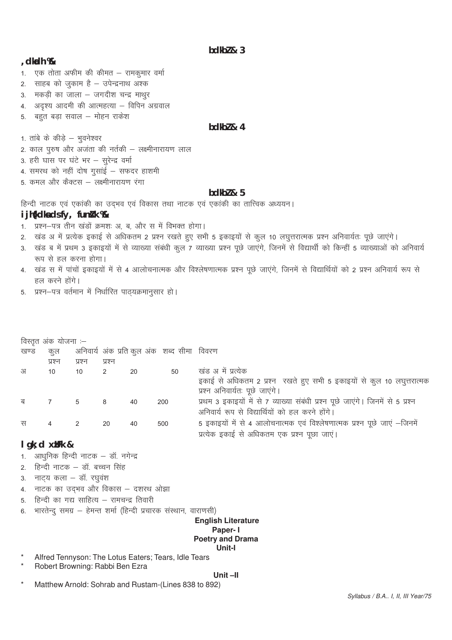$bdkb2 & 3$ 

#### , dkadh %

- 1. एक तोता अफीम की कीमत रामकुमार वर्मा
- 2. साहब को जुकाम है उपेन्द्रनाथ अश्क
- 3. मकड़ी का जाला जगदीश चन्द्र माथुर
- 4. अदृश्य आदमी की आत्महत्या विपिन अग्रवाल
- बहुत बडा सवाल मोहन राकेश 5.

# bdkbl & 4

1. ताबे के कीडे – भवनेश्वर

- 2. काल पुरुष और अजंता की नर्तकी लक्ष्मीनारायण लाल
- 3. हरी घास पर घंटे भर सुरेन्द्र वर्मा
- 4. समरथ को नहीं दोष गुसाई सफदर हाशमी
- 5. कमल और कैक्टस लक्ष्मीनारायण रंगा

#### $bdkb2 & 5$

हिन्दी नाटक एवं एकांकी का उदभव एवं विकास तथा नाटक एवं एकांकी का तात्त्विक अध्ययन।

### i ih{kdka ds fy, funk %

- 1. प्रश्न-पत्र तीन खंडों क्रमशः अ. ब. और स में विभक्त होगा।
- 2. खंड अ में प्रत्येक इकाई से अधिकतम 2 प्रश्न रखते हुए सभी 5 इकाइयों से कुल 10 लघुत्तरात्मक प्रश्न अनिवार्यतः पूछे जाएंगे।
- 3. खंड ब में प्रथम 3 इकाइयों में से व्याख्या संबंधी कुल 7 व्याख्या प्रश्न पूछे जाएंगे, जिनमें से विद्यार्थी को किन्हीं 5 व्याख्याओं को अनिवार्य रूप से हल करना होगा।
- 4. खंड स में पांचों इकाइयों में से 4 आलोचनात्मक और विश्लेषणात्मक प्रश्न पूछे जाएंगे, जिनमें से विद्यार्थियों को 2 प्रश्न अनिवार्य रूप से हल करने होंगे।
- 5. प्रश्न-पत्र वर्तमान में निर्धारित पाठ्यक्रमानुसार हो।

|      | विस्तृत अंक योजना :-             |                                 |        |    |                                             |                                                                                 |
|------|----------------------------------|---------------------------------|--------|----|---------------------------------------------|---------------------------------------------------------------------------------|
| खण्ड | कुल                              |                                 |        |    | अनिवार्य अंक प्रति कुल अंक) शब्द सीमा विवरण |                                                                                 |
|      | प्रश्न                           | प्रश्न                          | प्रश्न |    |                                             |                                                                                 |
| अ    | 10                               | 10                              | 2      | 20 | 50                                          | खंड अ में प्रत्येक                                                              |
|      |                                  |                                 |        |    |                                             | इकाई से अधिकतम 2 प्रश्न रखते हुए सभी 5 इकाइयों से कुल 10 लघुत्तरात्मक           |
|      |                                  |                                 |        |    |                                             | प्रश्न अनिवार्यतः पूछे जाएगे।                                                   |
| ब    | $7\overline{ }$                  | 5<br>$\overline{\phantom{1}}$ 8 |        | 40 | 200                                         | प्रथम 3 इकाइयों में से 7 व्याख्या संबंधी प्रश्न पूछे जाएंगे। जिनमें से 5 प्रश्न |
|      |                                  |                                 |        |    |                                             | अनिवार्य रूप से विद्यार्थियों को हल करने होंगे।                                 |
| स    | $\overline{4}$                   | 2                               | -20    | 40 | 500                                         | 5 इकाइयों में से 4 आलोचनात्मक एवं विश्लेषणात्मक प्रश्न पूछे जाएं -जिनमें        |
|      |                                  |                                 |        |    |                                             | प्रत्येक इकाई से अधिकतम एक प्रश्न पूछा जाएं।                                    |
|      | المستقاط المستقط المستقط المستقط |                                 |        |    |                                             |                                                                                 |

# $l$  gk; d  $x$ *i* Fk &

- 1. आधनिक हिन्दी नाटक डॉ. नगेन्द्र
- 2. हिन्दी नाटक डॉ. बच्चन सिंह
- 3. नाट्य कला डॉ. रघुवंश
- 4. नाटक का उदभव और विकास दशरथ ओझा
- 5. हिन्दी का गद्य साहित्य रामचन्द्र तिवारी
- 6. भारतेन्द् समग्र हेमन्त शर्मा (हिन्दी प्रचारक संस्थान, वाराणसी)

#### **English Literature** Paper-1 **Poetry and Drama** Unit-I

- Alfred Tennyson: The Lotus Eaters; Tears, Idle Tears
- Robert Browning: Rabbi Ben Ezra

#### Unit-II

Matthew Arnold: Sohrab and Rustam-(Lines 838 to 892)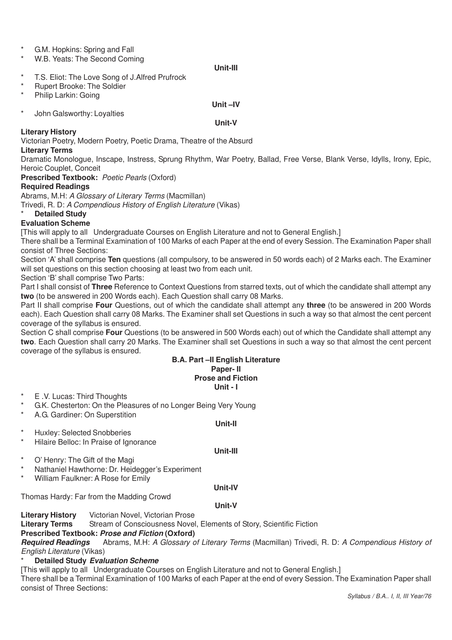- \* G.M. Hopkins: Spring and Fall
- W.B. Yeats: The Second Coming

#### **Unit-III**

- T.S. Eliot: The Love Song of J.Alfred Prufrock
- \* Rupert Brooke: The Soldier<br>\* Philip Larkin: Geing
- Philip Larkin: Going

# \* John Galsworthy: Loyalties

# **Unit –IV Unit-V**

### **Literary History**

Victorian Poetry, Modern Poetry, Poetic Drama, Theatre of the Absurd

#### **Literary Terms**

Dramatic Monologue, Inscape, Instress, Sprung Rhythm, War Poetry, Ballad, Free Verse, Blank Verse, Idylls, Irony, Epic, Heroic Couplet, Conceit

**Prescribed Textbook:** *Poetic Pearls* (Oxford)

# **Required Readings**

Abrams, M.H: *A Glossary of Literary Terms* (Macmillan)

Trivedi, R. D: *A Compendious History of English Literature* (Vikas)

# **Detailed Study**

# **Evaluation Scheme**

[This will apply to all Undergraduate Courses on English Literature and not to General English.]

There shall be a Terminal Examination of 100 Marks of each Paper at the end of every Session. The Examination Paper shall consist of Three Sections:

Section 'A' shall comprise **Ten** questions (all compulsory, to be answered in 50 words each) of 2 Marks each. The Examiner will set questions on this section choosing at least two from each unit.

Section 'B' shall comprise Two Parts:

Part I shall consist of **Three** Reference to Context Questions from starred texts, out of which the candidate shall attempt any **two** (to be answered in 200 Words each). Each Question shall carry 08 Marks.

Part II shall comprise **Four** Questions, out of which the candidate shall attempt any **three** (to be answered in 200 Words each). Each Question shall carry 08 Marks. The Examiner shall set Questions in such a way so that almost the cent percent coverage of the syllabus is ensured.

Section C shall comprise **Four** Questions (to be answered in 500 Words each) out of which the Candidate shall attempt any **two**. Each Question shall carry 20 Marks. The Examiner shall set Questions in such a way so that almost the cent percent coverage of the syllabus is ensured.

# **B.A. Part –II English Literature Paper- II Prose and Fiction**

# **Unit - I**

- E .V. Lucas: Third Thoughts
- \* G.K. Chesterton: On the Pleasures of no Longer Being Very Young
- A.G. Gardiner: On Superstition

# **Unit-II**

**Unit-III**

- Huxley: Selected Snobberies
- Hilaire Belloc: In Praise of Ignorance
- \* O' Henry: The Gift of the Magi
- \* Nathaniel Hawthorne: Dr. Heidegger's Experiment
- William Faulkner: A Rose for Emily

#### **Unit-IV**

Thomas Hardy: Far from the Madding Crowd

**Unit-V**

**Literary History** Victorian Novel, Victorian Prose

**Stream of Consciousness Novel, Elements of Story, Scientific Fiction** 

# **Prescribed Textbook: Prose and Fiction (Oxford)**

**Required Readings** Abrams, M.H: *A Glossary of Literary Terms* (Macmillan) Trivedi, R. D: *A Compendious History of English Literature* (Vikas)

## **Detailed Study Evaluation Scheme**

[This will apply to all Undergraduate Courses on English Literature and not to General English.]

There shall be a Terminal Examination of 100 Marks of each Paper at the end of every Session. The Examination Paper shall consist of Three Sections: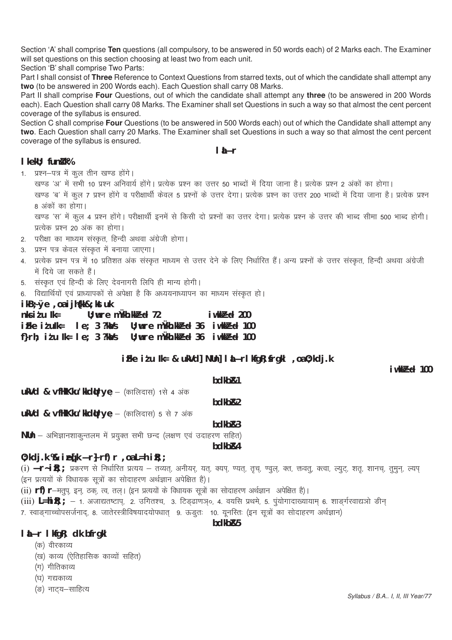Section 'A' shall comprise **Ten** questions (all compulsory, to be answered in 50 words each) of 2 Marks each. The Examiner will set questions on this section choosing at least two from each unit.

Section 'B' shall comprise Two Parts:

Part I shall consist of **Three** Reference to Context Questions from starred texts, out of which the candidate shall attempt any **two** (to be answered in 200 Words each). Each Question shall carry 08 Marks.

Part II shall comprise **Four** Questions, out of which the candidate shall attempt any **three** (to be answered in 200 Words each). Each Question shall carry 08 Marks. The Examiner shall set Questions in such a way so that almost the cent percent coverage of the syllabus is ensured.

Section C shall comprise **Four** Questions (to be answered in 500 Words each) out of which the Candidate shall attempt any **two**. Each Question shall carry 20 Marks. The Examiner shall set Questions in such a way so that almost the cent percent coverage of the syllabus is ensured.

# **laLÑr**

# **l** kekU; fun**t** k%

- 1. प्रश्न-पत्र में कूल तीन खण्ड होंगे।
	- खण्ड 'अ' में सभी 10 प्रश्न अनिवार्य होंगे। प्रत्येक प्रश्न का उत्तर 50 भाब्दों में दिया जाना है। प्रत्येक प्रश्न 2 अंकों का होगा।

खण्ड 'ब' में कूल 7 प्रश्न होंगे व परीक्षार्थी केवल 5 प्रश्नों के उत्तर देगा। प्रत्येक प्रश्न का उत्तर 200 भाब्दों में दिया जाना है। प्रत्येक प्रश्न 8 अंकों का होगा।

खण्ड 'स' में कूल 4 प्रश्न होंगे। परीक्षार्थी इनमें से किसी दो प्रश्नों का उत्तर देगा। प्रत्येक प्रश्न के उत्तर की भाब्द सीमा 500 भाब्द होगी। प्रत्येक प्रश्न 20 अंक का होगा।

- 2. परीक्षा का माध्यम संस्कत. हिन्दी अथवा अंग्रेजी होगा।
- 3. प्रश्न पत्र केवल संस्कृत में बनाया जाएगा।
- 4. प्रत्येक प्रश्न पत्र में 10 प्रतिशत अंक संस्कृत माध्यम से उत्तर देने के लिए निर्धारित हैं। अन्य प्रश्नों के उत्तर संस्कृत, हिन्दी अथवा अंग्रेजी में दिये जा सकते हैं।
- 5. संस्कृत एवं हिन्दी के लिए देवनागरी लिपि ही मान्य होगी।
- 6. विद्यार्थियों एवं प्राध्यापकों से अपेक्षा है कि अध्ययनाध्यापन का माध्यम संस्कृत हो।

# **ikB~;Øe ,oa ijh{kk&;kstuk**

| $U:$ wre mukh. $kk^3$ d 72<br>$n$ ks i $t$ u $lk =$                                                                                                            |  |  |  |  | iwk $P$ d 200                              |  |
|----------------------------------------------------------------------------------------------------------------------------------------------------------------|--|--|--|--|--------------------------------------------|--|
| $\mathbf{i}$ Fke $\mathbf{i}$ tulk= $\mathbf{i}$ e; 3 ?k $\mathbf{i}$ /s U; wre m $\mathbf{i}$ kh.kk $\mathbf{i}$ 8 d 36 $\mathbf{i}$ wkk $\mathbf{i}$ 8 d 100 |  |  |  |  |                                            |  |
| f} $r h$ ; i $t u$ lk= le; 3 ?k $\lambda$ /s                                                                                                                   |  |  |  |  | $U$ ; wre mukh.kk $B$ d 36 i wkk $B$ d 100 |  |

# **iFke itu Ik= & ukVd] NUn] linner kfgR; frgkl** , oa 0; kdj.k

 $i$ wk $B$ c $d$  100

# **bdkbZ&1**

ukVd & vfHkKku'kkdirye - (कालिदास) 1से 4 अंक

**bdkbZ&2**

ukVd & vfHkKku'kkdUrye - (कालिदास) 5 से 7 अंक

# **bdkbZ&3**

**NUn** – अभिज्ञानशाकुन्तलम में प्रयुक्त सभी छन्द (लक्षण एवं उदाहरण सहित)

**bdkbZ&4**

# $0; k$ dj.k  $%$  **i**  $E[k \times r]$  rf)  $r$  ,  $o$ a L=h i $R$ ;;

(i) **Ñr~i R**;; प्रकरण से निर्धारित प्रत्यय – तव्यत्, अनीयर्, यत्, क्यप्, ण्यत्, तृच्, ण्वूल, क्त, क्तवत्, क्त्वा, ल्यूट्, शत्, शानच्, तूमून, ल्यप् (इन प्रत्ययों के विधायक सूत्रों का सोदाहरण अर्थज्ञान अपेक्षित है)।

(ii) **rf) r**-मतुप, इन, ठक, त्व, तल। (इन प्रत्ययों के विधायक सूत्रों का सोदाहरण अर्थज्ञान अपेक्षित है)।

- (iii) L=hi R; ; 1. अजाद्यतष्टाप, 2. उगितश्च, 3. टिड़ढाणञ्**, 4. वयसि प्रथमे, 5. पूंयोगादाख्यायाम्** 6. शाड़र्गरवाद्यजो डीन्
- 7. स्वाङ्गाच्चोपसर्जनाद, 8. जातेरस्त्रीविषयादयोपधात 9. ऊड्तः 10. यूनस्तिः (इन सूत्रों का सोदाहरण अर्थज्ञान)

# **laLÑr lkfgR; dk bfrgkl**

- (क) वीरकाव्य
- (ख) काव्य (ऐतिहासिक काव्यों सहित)
- (ग) गीतिकाव्य
- (घ) गद्यकाव्य
- (ङ) नाटय–साहित्य

# **bdkbZ&5**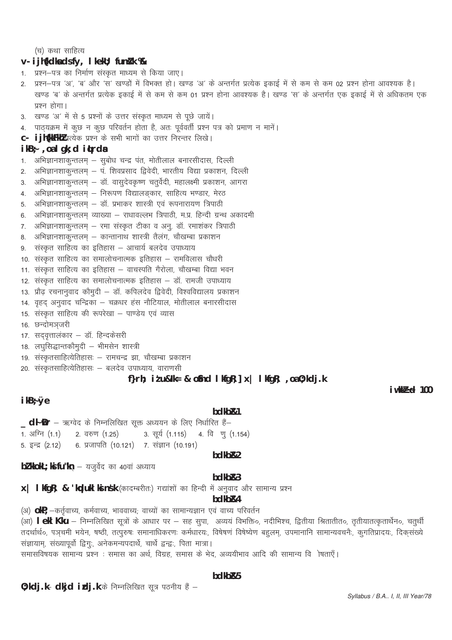(च) कथा साहित्य

#### $V - i j h(k)$  and  $SfV$ , I keku; fund k  $%$

- 1. प्रश्न–पत्र का निर्माण संस्कृत माध्यम से किया जाए।
- 2. प्रश्न–पत्र 'अ', 'ब' और 'स' खण्डों में विभक्त हो। खण्ड 'अ' के अन्तर्गत प्रत्येक इकाई में से कम से कम 02 प्रश्न होना आवश्यक है। खण्ड 'ब' के अन्तर्गत प्रत्येक इकाई में से कम से कम 01 प्रश्न होना आवश्यक है। खण्ड 'स' के अन्तर्गत एक इकाई में से अधिकतम एक प्रश्न होगा।
- 3. खण्ड 'अ' में से 5 प्रश्नों के उत्तर संस्कृत माध्यम से पूछे जायें।
- पाठ्यक्रम में कुछ न कुछ परिवर्तन होता है, अतः पूर्ववर्ती प्रश्न पत्र को प्रमाण न मानें। 4.
- C- i jh{kkFkhl प्रत्येक प्रश्न के सभी भागों का उत्तर निरन्तर लिखे।

#### $ikB<sub>7</sub>$ , oalgk; ditrda

- अभिज्ञानशाकुन्तलम् सुबोध चन्द्र पंत, मोतीलाल बनारसीदास, दिल्ली  $\mathbf{1}$
- अभिज्ञानशाकुन्तलम् प. शिवप्रसाद द्विवेदी, भारतीय विद्या प्रकाशन, दिल्ली  $2.$
- अभिज्ञानशाकुन्तलम् डॉ. वासुदेवकृष्ण चतुर्वेदी, महालक्ष्मी प्रकाशन, आगरा  $\mathbf{3}$
- 4. अभिज्ञानशाकुन्तलम् निरूपण विद्यालङ्कार, साहित्य भण्डार, मेरठ
- 5. अभिज्ञानशाकुन्तलम् डॉ. प्रभाकर शास्त्री एवं रूपनारायण त्रिपाठी
- 6. अभिज्ञानशाकुन्तलम् व्याख्या राधावल्लभ त्रिपाठी, म.प्र. हिन्दी ग्रन्थ अकादमी
- 7. अभिज्ञानशाकुन्तलम् रमा संस्कृत टीका व अनु. डॉ. रमाशंकर त्रिपाठी
- 8. अभिज्ञानशाकुन्तलम् कान्तानाथ शास्त्री तैलंग, चौखम्बा प्रकाशन
- संस्कृत साहित्य का इतिहास आचार्य बलदेव उपाध्याय 9.
- 10. संस्कृत साहित्य का समालोचनात्मक इतिहास रामविलास चौधरी
- 11. संस्कृत साहित्य का इतिहास वाचस्पति गैरोला, चौखम्बा विद्या भवन
- 12. संस्कृत साहित्य का समालोचनात्मक इतिहास डॉ. रामजी उपाध्याय
- 13. प्रौढ़ रचनानुवाद कौमुदी डॉ. कपिलदेव द्विवेदी, विश्वविद्यालय प्रकाशन
- 14. वृहद् अनुवाद चन्द्रिका चक्रधर हंस नौटियाल, मोतीलाल बनारसीदास
- 15. संस्कृत साहित्य की रूपरेखा पाण्डेय एवं व्यास
- 16. छन्दोमञ्जरी
- 17. सद्वृत्तालकार डॉ. हिन्दकेसरी

# 18. लघुसिद्धान्तकौमुदी - भीमसेन शास्त्री

- 19. संस्कृतसाहित्येतिहासः रामचन्द्र झा, चौखम्बा प्रकाशन
- 20. संस्कृतसाहित्येतिहासः बलदेव उपाध्याय, वाराणसी

# f}rh; it u&lk= & o\$nd I kfqR;  $x$  | I kfqR;  $, oa$ 0; kdj.k

#### ikB֯e

#### bdkb<sub>R1</sub>

\_dł Dr – ऋग्वेद के निम्नलिखित सूक्त अध्ययन के लिए निर्धारित हैं– 1. अग्नि (1.1) 2. वरुण (1.25) 3. सूर्य (1.115) 4. विणू (1.154) 5. इन्द्र  $(2.12)$ 6. प्रजापति (10.121) 7. संज्ञान (10.191)

#### bdkb<sub>R2</sub>

bl kkokL; ks fu kn - यजुर्वेद का 40वां अध्याय

# bdkb<sub>R3</sub>

# bdkb<sub>R4</sub>

(अ) OkP; -कर्तृवाच्य, कर्मवाच्य, भाववाच्य; वाच्यों का सामान्यज्ञान एवं वाच्य परिवर्तन (आ) I ekl Kku – निम्नलिखित सूत्रों के आधार पर – सह सुपा, अव्ययं विभक्ति०, नदीभिश्च, द्वितीया श्रितातीत०, तृतीयातत्कृतार्थेन०, चतुर्थी तदर्थार्थ०, पञ्चमी भयेन, षष्ठी, तत्पूरुषः समानाधिकरणः कर्मधारयः, विषेषणं विषेष्येण बहूलम्, उपमानानि सामान्यवचनैः, कुगतिप्रादयः, दिकसंख्ये सज्ञायाम्, संख्यापूर्वो द्विगुः, अनेकमन्यपदार्थे, चार्थे द्वन्द्वः, पिता मात्रा।

समासविषयक सामान्य प्रश्न : समास का अर्थ, विग्रह, समास के भेद, अव्ययीभाव आदि की सामान्य वि ोषताएँ।

#### bdkb<sub>R5</sub>

0; kdj.k- dkjd idj.k के निम्नलिखित सूत्र पठनीय हैं -

 $i$ wkk $B$ cd 100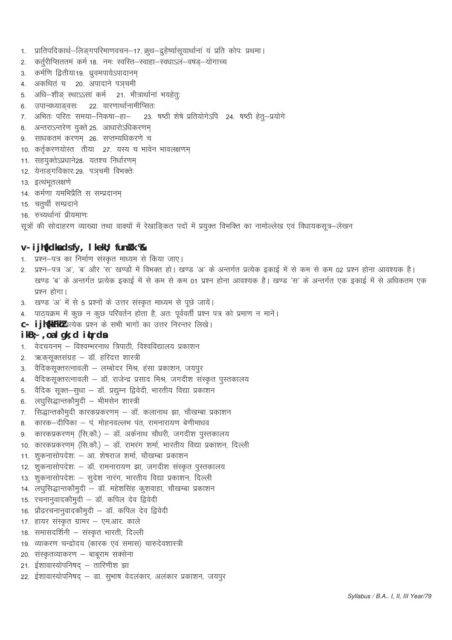- प्रातिपदिकार्थ-लिङ्गपरिमाणवचन-17. क्रूध-द्रुहेर्ष्यासूयार्थानां यं प्रति कोपः प्रथमा।  $1.$
- कर्तुरीप्सिततमं कर्म 18. नमः स्वस्ति–स्वाहा–स्वधाऽल–वषड्–योगाच्च  $2.$
- 3. कर्मणि द्वितीया19. ध्रुवमपायेऽपादानम्
- 4. अकथितं च 20. अपादाने पञ्चमी
- 5. अधि-शीङ् स्थाऽऽसां कर्म 21. भीत्रार्थानां भयहेतुः
- 6. उपान्वध्याङवसः 22. वारणार्थानामीप्सितः
- 7. अभितः परितः समया–निकषा–हा– 23. षष्ठी शेषे प्रतियोगेऽपि 24. षष्ठी हेतू-प्रयोगे
- अन्तराऽन्तरेण युक्ते २५. आधारोऽधिकरणम् 8
- साधकतमं करणम 26. सप्तम्यधिकरणे च  $\mathbf{Q}$
- 10. कर्तृकरणयोस्त तीया 27. यस्य च भावेन भावलक्षणम्
- 11. सहयुक्तेऽप्रधाने28. यतश्च निर्धारणम्
- 12. येनाङ्गविकारः 29. पञचमी विभक्तेः
- 13. इत्थंभूतलक्षणे
- 14. कर्मणा यमभिप्रैति स सम्प्रदानम्
- 15. चतुर्थी सम्प्रदाने
- 16. रुच्यर्थानां प्रीयमाणः

सूत्रों की सोदाहरण व्याख्या तथा वाक्यों में रेखाङ्कित पदों में प्रयुक्त विभक्ति का नामोल्लेख एवं विधायकसूत्र–लेखन

# v- i jh{kdka ds fy, I kekU; funik %

- 1. प्रश्न-पत्र का निर्माण संस्कृत माध्यम से किया जाए।
- 2. प्रश्न–पत्र 'अ', 'ब' और 'स' खण्डों में विभक्त हो। खण्ड 'अ' के अन्तर्गत प्रत्येक इकाई में से कम से कम 02 प्रश्न होना आवश्यक है। खण्ड 'ब' के अन्तर्गत प्रत्येक इकाई में से कम से कम 01 प्रश्न होना आवश्यक है। खण्ड 'स' के अन्तर्गत एक इकाई में से अधिकतम एक प्रश्न होगा।
- खण्ड 'अ' में से 5 प्रश्नों के उत्तर संस्कृत माध्यम से पूछे जायें।  $3.$
- 4. पाठ्यक्रम में कुछ न कुछ परिवर्तन होता है, अतः पूर्ववर्ती प्रश्न पत्र को प्रमाण न मानें।
- C- ijh{kkFkhl प्रत्येक प्रश्न के सभी भागों का उत्तर निरन्तर लिखे।

### $ikB$ ; , oa l gk; d it rds

- 1. वेदचयनम् विश्वम्भरनाथ त्रिपाठी, विश्वविद्यालय प्रकाशन
- ऋकसूक्तसंग्रह डॉ. हरिदत्त शास्त्री  $\mathcal{P}$
- वैदिकसूक्तरत्नावली लम्बोदर मिश्र, हंसा प्रकाशन, जयपुर  $3.$
- 4. वैदिकसूक्तरत्नावली डॉ. राजेन्द्र प्रसाद मिश्र, जगदीश संस्कृत पुस्तकालय
- 5. वैदिक सूक्त-सुधा डॉ. प्रद्युम्न द्विवेदी, भारतीय विद्या प्रकाशन
- 6. लघुसिद्धान्तकौमुदी भीमसेन शास्त्री
- 7. सिद्धान्तकौमुदी कारकप्रकरणम् डॉ. कलानाथ झा, चौखम्बा प्रकाशन
- 8. कारक-दीपिका प. मोहनवल्लभ पंत, रामनारायण बेणीमाधव
- कारकप्रकरणम् (सि.कौ.) डॉ. अर्कनाथ चौधरी, जगदीश पुस्तकालय 9
- 10. कारकप्रकरणम् (सि.कौ.) डॉ. रामरंग शर्मा, भारतीय विद्या प्रकाशन, दिल्ली
- 11. शुकनासोपदेशः आ. शेषराज शर्मा, चौखम्बा प्रकाशन
- 12. शुकनासोपदेशः डॉ. रामनारायण झा, जगदीश संस्कृत पुस्तकालय
- 13. शुकनासोपदेशः सुदेश नारंग, भारतीय विद्या प्रकाशन, दिल्ली
- 14. लघुसिद्धान्तकौमुदी डॉ. महेशसिंह कूशवाहा, चौखम्बा प्रकाशन
- 15. रचनानुवादकौमुदी डॉ. कपिल देव द्विवेदी
- 16. प्रौढरचनानुवादकौमुदी डॉ. कपिल देव द्विवेदी
- 17. हायर संस्कृत ग्रामर एम.आर. काले
- 18. समासदर्शिनी संस्कृत भारती, दिल्ली
- 19. व्याकरण चन्द्रोदय (कारक एवं समास) चारुदेवशास्त्री
- 20. संस्कृतव्याकरण बाबूराम सक्सेना
- 21. ईशावास्योपनिषद् तारिणीश झा
- 22. ईशावास्योपनिषद् डा. सूभाष वेदलकार, अलंकार प्रकाशन, जयपूर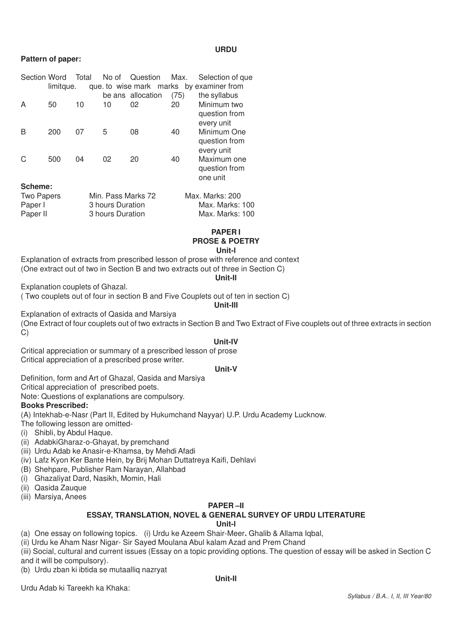#### **URDU**

#### **Pattern of paper:**

| <b>Section Word</b> |           | Total | No of              | Question          | Max. | Selection of que                        |
|---------------------|-----------|-------|--------------------|-------------------|------|-----------------------------------------|
|                     | limitque. |       |                    |                   |      | que to wise mark marks by examiner from |
|                     |           |       |                    | be ans allocation | (75) | the syllabus                            |
| A                   | 50        | 10    | 10                 | 02                | 20   | Minimum two                             |
|                     |           |       |                    |                   |      | question from                           |
|                     |           |       |                    |                   |      | every unit                              |
| B                   | 200       | 07    | 5                  | 08                | 40   | Minimum One                             |
|                     |           |       |                    |                   |      | question from                           |
|                     |           |       |                    |                   |      | every unit                              |
| C                   | 500       | 04    | 02                 | 20                | 40   | Maximum one                             |
|                     |           |       |                    |                   |      | question from                           |
|                     |           |       |                    |                   |      | one unit                                |
| Scheme:             |           |       |                    |                   |      |                                         |
| <b>Two Papers</b>   |           |       | Min. Pass Marks 72 |                   |      | Max. Marks: 200                         |
| Paper I             |           |       | 3 hours Duration   |                   |      | Max. Marks: 100                         |
| Paper II            |           |       | 3 hours Duration   |                   |      | Max. Marks: 100                         |

#### **PAPER I PROSE & POETRY Unit-l**

Explanation of extracts from prescribed lesson of prose with reference and context (One extract out of two in Section B and two extracts out of three in Section C)

#### **Unit-Il**

Explanation couplets of Ghazal.

( Two couplets out of four in section B and Five Couplets out of ten in section C) **Unit-IlI**

Explanation of extracts of Qasida and Marsiya

(One Extract of four couplets out of two extracts in Section B and Two Extract of Five couplets out of three extracts in section C)

#### **Unit-IV**

Critical appreciation or summary of a prescribed lesson of prose Critical appreciation of a prescribed prose writer.

#### **Unit-V**

Definition, form and Art of Ghazal, Qasida and Marsiya

Critical appreciation of prescribed poets.

Note: Questions of explanations are compulsory.

#### **Books Prescribed:**

(A) Intekhab-e-Nasr (Part II, Edited by Hukumchand Nayyar) U.P. Urdu Academy Lucknow.

- The following lesson are omitted-
- (i) Shibli, by Abdul Haque.
- (ii) AdabkiGharaz-o-Ghayat, by premchand
- (iii) Urdu Adab ke Anasir-e-Khamsa, by Mehdi Afadi
- (iv) Lafz Kyon Ker Bante Hein, by Brij Mohan Duttatreya Kaifi, Dehlavi
- (B) Shehpare, Publisher Ram Narayan, Allahbad
- (i) Ghazaliyat Dard, Nasikh, Momin, Hali
- (ii) Qasida Zauque
- (iii) Marsiya, Anees

### **PAPER –II**

# **ESSAY, TRANSLATION, NOVEL & GENERAL SURVEY OF URDU LITERATURE**

#### **Unit-l**

(a) One essay on following topics. (i) Urdu ke Azeem Shair-Meer**.** Ghalib & Allama Iqbal,

(ii) Urdu ke Aham Nasr Nigar- Sir Sayed Moulana Abul kalam Azad and Prem Chand

(iii) Social, cultural and current issues (Essay on a topic providing options. The question of essay will be asked in Section C and it will be compulsory).

(b) Urdu zban ki ibtida se mutaalliq nazryat

**Unit-Il**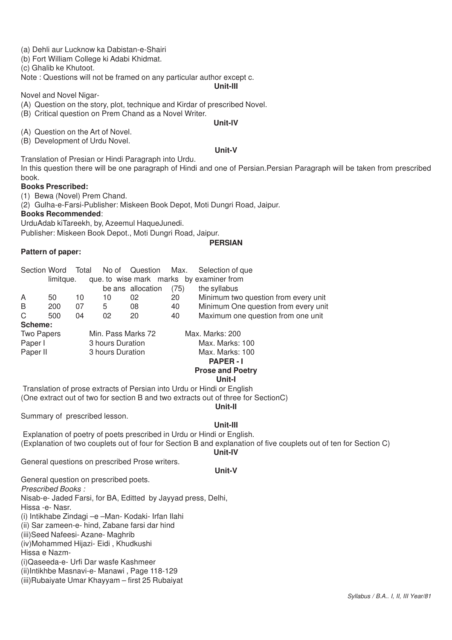- (a) Dehli aur Lucknow ka Dabistan-e-Shairi
- (b) Fort William College ki Adabi Khidmat.

(c) Ghalib ke Khutoot.

Note : Questions will not be framed on any particular author except c.

#### **Unit-lII**

Novel and Novel Nigar-

- (A) Question on the story, plot, technique and Kirdar of prescribed Novel.
- (B) Critical question on Prem Chand as a Novel Writer.

#### **Unit-lV**

(A) Question on the Art of Novel.

(B) Development of Urdu Novel.

#### **Unit-V**

Translation of Presian or Hindi Paragraph into Urdu.

In this question there will be one paragraph of Hindi and one of Persian.Persian Paragraph will be taken from prescribed book.

#### **Books Prescribed:**

(1) Bewa (Novel) Prem Chand.

(2) Gulha-e-Farsi-Publisher: Miskeen Book Depot, Moti Dungri Road, Jaipur.

#### **Books Recommended**:

UrduAdab kiTareekh, by, Azeemul HaqueJunedi.

Publisher: Miskeen Book Depot., Moti Dungri Road, Jaipur.

#### **PERSIAN**

# **Pattern of paper:**

| Section Word      |           | Total            | No of              | Question          | Max.            | Selection of que                        |
|-------------------|-----------|------------------|--------------------|-------------------|-----------------|-----------------------------------------|
|                   | limitque. |                  |                    |                   |                 | que to wise mark marks by examiner from |
|                   |           |                  |                    | be ans allocation | (75)            | the syllabus                            |
| A                 | 50        | 10               | 10                 | 02                | 20              | Minimum two question from every unit    |
| B                 | 200       | 07               | 5                  | 08                | 40              | Minimum One question from every unit    |
| C                 | 500       | 04               | 02                 | 20                | 40              | Maximum one question from one unit      |
| Scheme:           |           |                  |                    |                   |                 |                                         |
| <b>Two Papers</b> |           |                  | Min. Pass Marks 72 |                   |                 | Max. Marks: 200                         |
| Paper I           |           | 3 hours Duration |                    |                   | Max. Marks: 100 |                                         |
| Paper II          |           | 3 hours Duration |                    | Max. Marks: 100   |                 |                                         |
|                   |           |                  |                    |                   |                 | <b>PAPER-I</b>                          |
|                   |           |                  |                    |                   |                 | <b>Prose and Poetry</b>                 |
|                   |           |                  |                    |                   |                 | Unit-I                                  |

 Translation of prose extracts of Persian into Urdu or Hindi or English (One extract out of two for section B and two extracts out of three for SectionC)

**Unit-II**

Summary of prescribed lesson.

### **Unit-III**

 Explanation of poetry of poets prescribed in Urdu or Hindi or English. (Explanation of two couplets out of four for Section B and explanation of five couplets out of ten for Section C) **Unit-IV**

General questions on prescribed Prose writers.

#### **Unit-V**

General question on prescribed poets. *Prescribed Books :* Nisab-e- Jaded Farsi, for BA, Editted by Jayyad press, Delhi, Hissa -e- Nasr. (i) Intikhabe Zindagi –e –Man- Kodaki- Irfan Ilahi (ii) Sar zameen-e- hind, Zabane farsi dar hind (iii)Seed Nafeesi- Azane- Maghrib (iv)Mohammed Hijazi- Eidi , Khudkushi Hissa e Nazm- (i)Qaseeda-e- Urfi Dar wasfe Kashmeer (ii)Intikhbe Masnavi-e- Manawi , Page 118-129 (iii)Rubaiyate Umar Khayyam – first 25 Rubaiyat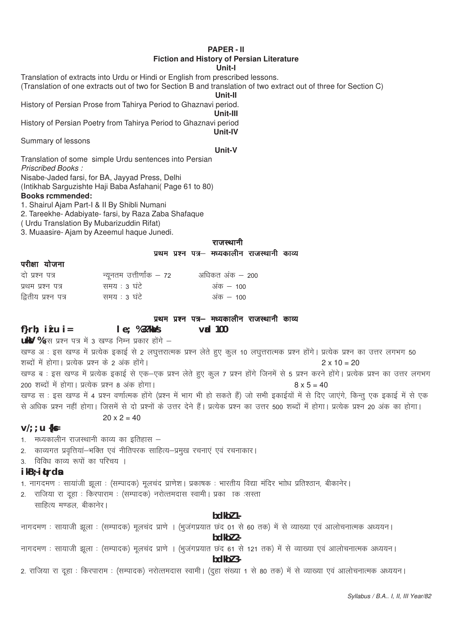#### **PAPER - II Fiction and History of Persian Literature Unit-I**

Translation of extracts into Urdu or Hindi or English from prescribed lessons.

(Translation of one extracts out of two for Section B and translation of two extract out of three for Section C)

**Unit-II**

History of Persian Prose from Tahirya Period to Ghaznavi period. **Unit-III**

History of Persian Poetry from Tahirya Period to Ghaznavi period **Unit-IV**

Summary of lessons

**Unit-V**

Translation of some simple Urdu sentences into Persian *Priscribed Books :*

Nisabe-Jaded farsi, for BA, Jayyad Press, Delhi

(Intikhab Sarguzishte Haji Baba Asfahani( Page 61 to 80)

# **Books rcmmended:**

1. Shairul Ajam Part-I & II By Shibli Numani

2. Tareekhe- Adabiyate- farsi, by Raza Zaba Shafaque

( Urdu Translation By Mubarizuddin Rifat)

3. Muaasire- Ajam by Azeemul haque Junedi.

#### राजस्थानी प्रथम प्रश्न पत्र– मध्यकालीन राजस्थानी काव्य

## परीक्षा योजना

| दो प्रश्न पत्र      | न्यूनतम उत्तीर्णांक — 72 | अधिकत अंक — 200 |
|---------------------|--------------------------|-----------------|
| प्रथम प्रश्न पत्र   | समय : ३ घंटे             | अंक $-100$      |
| द्वितीय प्रश्न पत्र | समय : 3 घंटे             | अक – 100        |

#### प्रथम प्रश्न पत्र– मध्यकालीन राजस्थानी काव्य

### **f}rh; iz"u i= le; % 3?kaVs vad 100**

uky % इस प्रश्न पत्र में 3 खण्ड निम्न प्रकार होंगे -

खण्ड अ : इस खण्ड में प्रत्येक इकाई से 2 लघुत्तरात्मक प्रश्न लेते हुए कूल 10 लघुत्तरात्मक प्रश्न होंगे। प्रत्येक प्रश्न का उत्तर लगभग 50 शब्दों में होगा। प्रत्येक प्रश्न के 2 अंक होंगे। स्वाद्य कार्यक्रम करने के 2 x 10 = 20

खण्ड ब : इस खण्ड में प्रत्येक इकाई से एक–एक प्रश्न लेते हुए कुल 7 प्रश्न होंगे जिनमें से 5 प्रश्न करने होंगे। प्रत्येक प्रश्न का उत्तर लगभग  $200$  शब्दों में होगा। प्रत्येक प्रश्न 8 अंक होगा। सामान कर से सामान कर से 18 x 5 = 40

खण्ड स : इस खण्ड में 4 प्रश्न वर्णात्मक होंगे (प्रश्न में भाग भी हो सकते हैं) जो सभी इकाईयों में से दिए जाएंगे, किन्तु एक इकाई में से एक से अधिक प्रश्न नहीं होगा। जिसमें से दो प्रश्नों के उत्तर देने हैं। प्रत्येक प्रश्न का उत्तर 500 शब्दों में होगा। प्रत्येक प्रश्न 20 अंक का होगा।

 $20 \times 2 = 40$ 

**v/;;u {ks=**

1. मध्यकालीन राजस्थानी काव्य का इतिहास  $-$ 

2. काव्यगत प्रवृत्तियां—भक्ति एवं नीतिपरक साहित्य—प्रमुख रचनाएं एवं रचनाकार।

3 - विविध काव्य रूपों का परिचय ।

# **ikB~;iqLrdsa**

1. नागदमण : सायांजी झूला : (सम्पादक) मूलचंद प्राणेश | प्रकाषक : भारतीय विद्या मंदिर भाोध प्रतिश्ठान, बीकानेर |

2. राजिया रा दूहा : किरपाराम : (सम्पादक) नरोत्तमदास स्वामी | प्रका ाक :सस्ता साहित्य मण्डल बीकानेर।

### **bdkbZ 1-**

नागदमण: सायाजी झूला: (सम्पादक) मूलचंद प्राणे । (भुजंगप्रयात छंद 01 से 60 तक) में से व्याख्या एवं आलोचनात्मक अध्ययन।

**bdkbZ 2-**

नागदमण: सायाजी झूला: (सम्पादक) मूलचंद प्राणे । (भूजंगप्रयात छंद 61 से 121 तक) में से व्याख्या एवं आलोचनात्मक अध्ययन।

**bdkbZ 3-**

2. राजिया रा दहा : किरपाराम : (सम्पादक) नरोत्तमदास स्वामी। (दहा संख्या 1 से 80 तक) में से व्याख्या एवं आलोचनात्मक अध्ययन।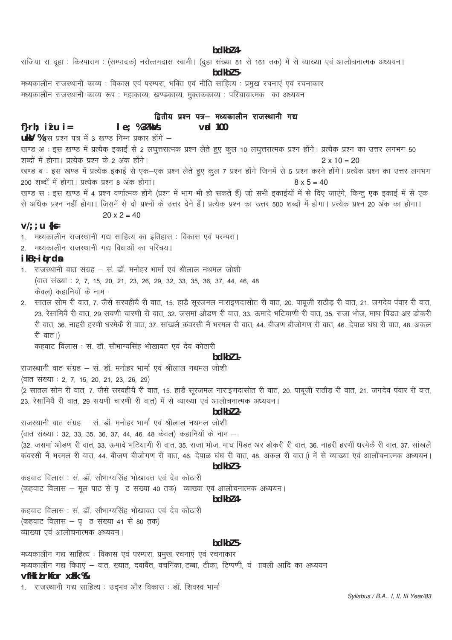#### bdkbl 4-

राजिया रा दूहा : किरपाराम : (सम्पादक) नरोत्तमदास स्वामी। (दूहा संख्या 81 से 161 तक) में से व्याख्या एवं आलोचनात्मक अध्ययन।

#### bdkbl 5-

मध्यकालीन राजस्थानी काव्य : विकास एवं परम्परा, भक्ति एवं नीति साहित्य : प्रमुख रचनाएं एवं रचनाकार मध्यकालीन राजस्थानी काव्य रूप : महाकाव्य, खण्डकाव्य, मुक्तककाव्य : परिचायात्मक) का अध्ययन

## द्वितीय प्रश्न पत्र– मध्यकालीन राजस्थानी गद्य

#### $le; %3?kds$ f}rh;  $i'$ u i=  $\mathsf{val}$  100

**ukV** %इस प्रश्न पत्र में 3 खण्ड निम्न प्रकार होंगे -

खण्ड अः इस खण्ड में प्रत्येक इकाई से 2 लघुत्तरात्मक प्रश्न लेते हुए कूल 10 लघुत्तरात्मक प्रश्न होंगे। प्रत्येक प्रश्न का उत्तर लगभग 50 शब्दों में होगा। प्रत्येक प्रश्न के 2 अंक होंगे।  $2 \times 10 = 20$ खण्ड ब : इस खण्ड में प्रत्येक इकाई से एक–एक प्रश्न लेते हुए कूल 7 प्रश्न होंगे जिनमें से 5 प्रश्न करने होंगे। प्रत्येक प्रश्न का उत्तर लगभग 200 शब्दों में होगा। प्रत्येक प्रश्न 8 अंक होगा।  $8 \times 5 = 40$ खण्ड स : इस खण्ड में 4 प्रश्न वर्णात्मक होंगे (प्रश्न में भाग भी हो सकते हैं) जो सभी इकाईयों में से दिए जाएंगे, किन्तु एक इकाई में से एक से अधिक प्रश्न नहीं होगा। जिसमें से दो प्रश्नों के उत्तर देने हैं। प्रत्येक प्रश्न का उत्तर 500 शब्दों में होगा। प्रत्येक प्रश्न 20 अंक का होगा।

$$
20 \times 2 = 4
$$

#### $V$ ; ; u { $k$ =

1. मध्यकालीन राजस्थानी गद्य साहित्य का इतिहास : विकास एवं परम्परा।

2. मध्यकालीन राजस्थानी गद्य विधाओं का परिचय।

# ikB<sub>7</sub> itrda

1. राजस्थानी वात संग्रह – सं. डॉ. मनोहर भार्मा एवं श्रीलाल नथमल जोशी (वात संख्या : 2, 7, 15, 20, 21, 23, 26, 29, 32, 33, 35, 36, 37, 44, 46, 48 केवल) कहानियों के नाम –

2. सातल सोम री वात, 7. जैसे सरवहीयै री वात, 15. हाडै सूरजमल नाराइणदासोत री वात, 20. पाबूजी राठौड़ री वात, 21. जगदेव पंवार री वात, 23. रेसांमियै री वात, 29 सयणी चारणी री वात, 32. जसमां ओडण री वात, 33. ऊमादे भटियाणी री वात, 35. राजा भोज, माघ पिंडत अर डोकरी री वात, 36, नाहरी हरणी धरमेकें री वात, 37, सांखलें कवरसी ने भरमल री वात, 44, बीजण बीजोगण री वात, 46, देपाळ घंघ री वात, 48, अकल री वात।)

कहवाट विलास : सं. डॉ. सौभाग्यसिंह भोखावत एवं देव कोठारी

### $hdkh$ <sup>7</sup> 1.

राजस्थानी वात संग्रह - सं. डॉ. मनोहर भार्मा एवं श्रीलाल नथमल जोशी

(वात संख्या : 2, 7, 15, 20, 21, 23, 26, 29)

(2 सातल सोम री वात, 7. जैसे सरवहीयै री वात, 15. हाडै सूरजमल नाराइणदासोत री वात, 20. पाबूजी राठौड़ री वात, 21. जगदेव पंवार री वात, 23. रेसांमियै री वात, 29 सयणी चारणी री वात) में से व्याख्या एवं आलोचनात्मक अध्ययन।

# $hdkh$  $2$ -

राजस्थानी वात संग्रह – सं. डॉ. मनोहर भार्मा एवं श्रीलाल नथमल जोशी

(वात संख्या : 32, 33, 35, 36, 37, 44, 46, 48 केवल) कहानियों के नाम –

(32. जसमा ओडण री वात, 33. ऊमादे भटियाणी री वात, 35. राजा भोज, माघ पिंडत अर डोकरी री वात, 36. नाहरी हरणी धरमेकै री वात, 37. सांखलै कवरसी नै भरमल री वात, 44. बीजण बीजोगण री वात, 46. देपाळ घंघ री वात, 48. अकल री वात।) में से व्याख्या एवं आलोचनात्मक अध्ययन।

# $hdkh/3$

कहवाट विलास : सं. डॉ. सौभाग्यसिंह भोखावत एवं देव कोठारी (कहवाट विलास – मल पाठ से पकि संख्या 40 तक) व्याख्या एवं आलोचनात्मक अध्ययन।

#### bdkbl 4-

कहवाट विलास : सं. डॉ. सौभाग्यसिंह भोखावत एवं देव कोठारी (कहवाट विलास - पृ ठ संख्या 41 से 80 तक) व्याख्या एवं आलोचनात्मक अध्ययन।

#### $bdkb2$  5-

मध्यकालीन गद्य साहित्य : विकास एवं परम्परा, प्रमुख रचनाएं एवं रचनाकार मध्यकालीन गद्य विधाएं – वात, ख्यात, दवावैत, वचनिका, टब्बा, टीका, टिप्पणी, वं ाावली आदि का अध्ययन vfHki Lrkfor xFk %

1. राजस्थानी गद्य साहित्य : उद्भव और विकास : डॉ. शिवस्व भार्मा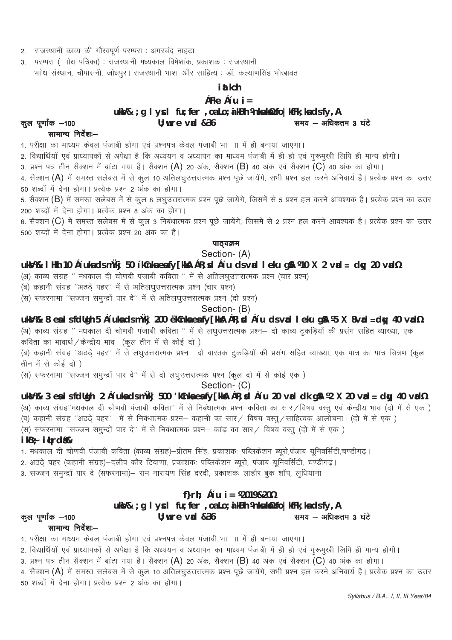- 2. राजस्थानी काव्य की गौरवपूर्ण परम्परा : अगरचंद नाहटा
- 3. परम्परा (ाोध पत्रिका) : राजस्थानी मध्यकाल विषेशांक, प्रकाशक : राजस्थानी .<br>भाोध संस्थान, चौपासनी, जोधपुर। राजस्थानी भाशा और साहित्य : डॉ. कल्याणसिंह भोखावत

# i at kch

# çFke ç'u  $i =$

ukV& ; g I ycl fu; fer , oa Lo; a kBh Vnkuk¥ fo | kfFk; ka ds fy, A

#### $U:$  wre vad  $&36$ समय - अधिकतम 3 घंटे

#### सामान्य निर्देश:-

कूल पूर्णांक -100

1. परीक्षा का माध्यम केवल पंजाबी होगा एवं प्रश्नपत्र केवल पंजाबी भागा में ही बनाया जाएगा।

2. विद्यार्थियों एवं प्राध्यापकों से अपेक्षा है कि अध्ययन व अध्यापन का माध्यम पंजाबी में ही हो एवं गुरूमुखी लिपि ही मान्य होगी।

3. प्रश्न पत्र तीन सैक्शन में बांटा गया है। सैक्शन (A) 20 अंक, सैक्शन (B) 40 अंक एवं सैक्शन (C) 40 अंक का होगा।

4. सैक्शन (A) में समस्त सलेबस में से कूल 10 अतिलघुउत्तरात्मक प्रश्न पूछे जायेंगे, सभी प्रश्न हल करने अनिवार्य है। प्रत्येक प्रश्न का उत्तर 

5. सैक्शन (B) में समस्त सलेबस में से कूल 8 लघुउत्तरात्मक प्रश्न पूछे जायेंगे, जिसमें से 5 प्रश्न हल करने आवश्यक है। प्रत्येक प्रश्न का उत्तर 200 शब्दों में देना होगा। प्रत्येक प्रश्न 8 अंक का होगा।

6. सैक्शन (C) में समस्त सलेबस में से कूल 3 निबंधात्मक प्रश्न पूछे जायेंगे, जिसमें से 2 प्रश्न हल करने आवश्यक है। प्रत्येक प्रश्न का उत्तर 500 शब्दों में देना होगा। प्रत्येक प्रश्न 20 अंक का है।

# पाठ्यक्रम

# Section-(A)

# ukšV% I Hkh 10 ç'uksidsmükj 50 'kCnksiesify[kks] çR; sd ç'u dsvad I eku g\$1 ¼10 X 2 vad = dsy 20 vad½

(अ) काव्य संग्रह '' मधकाल दी चोणवी पंजाबी कविता '' में से अतिलघुउत्तरात्मक प्रश्न (चार प्रश्न)

(ब) कहानी संग्रह "अठठे पहर" में से अतिलघुउत्तरात्मक प्रश्न (चार प्रश्न)

(स) सफरनामा "सज्जन समुन्द्रों पार दे" में से अतिलघुउत्तरात्मक प्रश्न (दो प्रश्न)

Section- (B)

ukW% 8 eslsfdUgh 5 c'uksdsmÙkj 200 'kCnksesfy[kkA cR; cd c'u dsvad I eku gA ¼5 X 8vad = day 40 vad½

(अ) काव्य संग्रह '' मधकाल दी चोणवी पंजाबी कविता '' में से लघुउत्तरात्मक प्रश्न— दो काव्य टुकड़ियों की प्रसंग सहित व्याख्या, एक .<br>कविता का भावार्थ / केन्द्रीय भाव (कुल तीन में से कोई दो )

(ब) कहानी संग्रह "अठठे पहर" में से लघुउत्तरात्मक प्रश्न– दो वारतक टुकड़ियों की प्रसंग सहित व्याख्या, एक पात्र का पात्र चित्रण (कुल तीन में से कोई दो )

(स) सफरनामा "सज्जन समुन्द्रों पार दे" में से दो लघुउत्तरात्मक प्रश्न (कुल दो में से कोई एक)

Section- (C)

# ukW% 3 eslsfdligh 2 ç'uksdsmükj 500 'kCnksesfy[kkA çR; xi ç'u 20 vad dk gA ¼2 X 20 vad = day 40 vad½

(अ) काव्य संग्रह''मधकाल दी चोणवी पंजाबी कविता'' में से निबंधात्मक प्रश्न—कविता का सार ⁄ विषय वस्तु एवं केन्द्रीय भाव (दो में से एक ) .<br>(ब) कहानी संग्रह ''अठठे् पहर'' में से निबंधात्मक प्रश्न— कहानी का सार ⁄ विषय वस्तु ⁄ साहित्यक आलोचना। (दो में से एक )

(स) सफरनामा ''सज्जन समुन्द्रों पार दे'' में से निबंधात्मक प्रश्न– कांड का सार / विषय वस्तु (दो में से एक )

# ikB÷ i**trd** &

1. मधकाल दी चोणवी पंजाबी कविता (काव्य संग्रह)—प्रीतम सिंह, प्रकाशकः पब्लिकेशन ब्यूरो,पंजाब यूनिवर्सिटी,चण्डीगढ़।

.<br>2. अठठे पहर (कहानी संग्रह)—दलीप कौर टिवाणा, प्रकाशकः पब्लिकेशन ब्यूरो, पंजाब युनिवर्सिटी, चण्डीगढ।

 $U:$  wre vad  $&36$ 

.<br>3. सज्जन समुन्द्रों पार दे (सफरनामा)— राम नारायण सिंह दरदी, प्रकाशकः लाहौर बुक शॉप, लुधियाना

# f}rh;  $c'u$  i =  $\frac{1}{2019820\%}$

# uks/& ; g I ycl fu; fer, oa Lo; a kBh Vnksukst/2 fo | kfFk; ka ds fy, A

#### कुल पूर्णांक -100

# सामान्य निर्देश:-

1. परीक्षा का माध्यम केवल पंजाबी होगा एवं प्रश्नपत्र केवल पंजाबी भा ाा में ही बनाया जाएगा।

2. विद्यार्थियों एवं प्राध्यापकों से अपेक्षा है कि अध्ययन व अध्यापन का माध्यम पंजाबी में ही हो एवं गुरूमुखी लिपि ही मान्य होगी।

3. प्रश्न पत्र तीन सैक्शन में बांटा गया है। सैक्शन (A) 20 अंक, सैक्शन (B) 40 अंक एवं सैक्शन (C) 40 अंक का होगा।

4. सैक्शन (A) में समस्त सलेबस में से कूल 10 अतिलघुउत्तरात्मक प्रश्न पूछे जायेंगे, सभी प्रश्न हल करने अनिवार्य है। प्रत्येक प्रश्न का उत्तर 50 शब्दों में देना होगा। प्रत्येक प्रश्न 2 अंक का होगा।

समय - अधिकतम 3 घंटे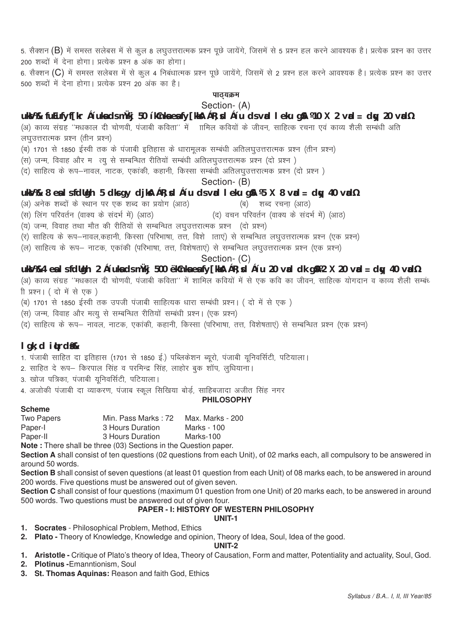5. सैक्शन (B) में समस्त सलेबस में से कूल 8 लघूउत्तरात्मक प्रश्न पूछे जायेंगे, जिसमें से 5 प्रश्न हल करने आवश्यक है। प्रत्येक प्रश्न का उत्तर 200 शब्दों में देना होगा। प्रत्येक प्रश्न 8 अंक का होगा।

6. सैक्शन (C) में समस्त सलेबस में से कूल 4 निबंधात्मक प्रश्न पूछे जायेंगे, जिसमें से 2 प्रश्न हल करने आवश्यक है। प्रत्येक प्रश्न का उत्तर ,<br>500 शब्दों में देना होगा। प्रत्येक प्रश्न 20 अंक का है।

# पाठ्यक्रम

# Section- (A)

# **uksV%& fuEufyf[kr ç'uksa ds mÙkj 50 'kCnksa esa fy[kksA çR;sd ç'u ds vad leku gSA ¼10 X 2 vad = dqy 20 vad½**

(अ) काव्य संग्रह ''मधकाल दी चोणवी, पंजाबी कविता'' में जामिल कवियों के जीवन, साहित्क रचना एवं काव्य शैली सम्बंधी अति लघउत्तरात्मक प्रश्न (तीन प्रश्न)

- (ब) 1701 से 1850 ईस्वी तक के पंजाबी इतिहास के धारामूलक सम्बंधी अतिलघुउत्तरात्मक प्रश्न (तीन प्रश्न)
- (स) जन्म, विवाह और म त्यु से सम्बन्धित रीतियों सम्बंधी अतिलघुउत्तरात्मक प्रश्न (दो प्रश्न )
- (द) साहित्य के रूप—नावल, नाटक, एकांकी, कहानी, किस्सा सम्बंधी अतिलघउत्तरात्मक प्रश्न (दो प्रश्न)

Section- (B)

# **uksV%& 8 esa ls fdUgh 5 dks gy djksA çR;sd ç'u ds vad leku gSA ¼5 X 8 vad = dqy 40 vad½**

- (अ) अनेक शब्दों के स्थान पर एक शब्द का प्रयोग (आठ) (ब) शब्द रचना (आठ)
- (स) लिंग परिवर्तन (वाक्य के संदर्भ में) (आठ) (द) वचन परिवर्तन (वाक्य के संदर्भ में) (आठ)
- (य) जन्म, विवाह तथा मौत की रीतियों से सम्बन्धित लघुउत्तरात्मक प्रश्न (दो प्रश्न)
- (र) साहित्य के रूप-नावल,कहानी, किस्सा (परिभाषा, तत्त, विशे) ताएं) से सम्बन्धित लघुउत्तरात्मक प्रश्न (एक प्रश्न)
- (ल) साहित्य के रूप— नाटक, एकांकी (परिभाषा, तत्त, विशेषताएं) से सम्बन्धित लघुउत्तरात्मक प्रश्न (एक प्रश्न)

Section- (C)

# **uksV%&4 esa ls fdUgh 2 ç'uksa ds mÙkj 500 'kCnksa esa fy[kksA çR;sd ç'u 20 vad dk gSA¼2 X 20 vad = dqy 40 vad½**

w; divided and the comparation of the cost of the cost is considered in personalistic modern paragram in perso<br>koha though the divided in the distribution of the divided in the divided in the distribution of the care in t ी प्रश्न। ( दो में से एक )

- (ब) 1701 से 1850 ईस्वी तक उपजी पंजाबी साहित्यक धारा सम्बंधी प्रश्न। ( दो में से एक)
- ,<br>(स) जन्म, विवाह और मत्यु से सम्बन्धित रीतियों सम्बंधी प्रश्न। (एक प्रश्न)
- (द) साहित्य के रूप— नावल, नाटक, एकांकी, कहानी, किस्सा (परिभाषा, तत्त, विशेषताएं) से सम्बन्धित प्रश्न (एक प्रश्न)

# **lgk;d iqLrdsa%&**

- 1. पंजाबी साहित दा इतिहास (1701 से 1850 ई.) पब्लिकेशन ब्यूरो, पंजाबी यूनिवर्सिटी, पटियाला।
- 2. साहित दे रूप— किरपाल सिंह व परमिन्द्र सिंह, लाहोर बुक शॉप, लुधियाना।

3. खोज पत्रिका, पंजाबी यनिवर्सिटी, पटियाला।

4. अजोकी पंजाबी दा व्याकरण, पंजाब स्कूल सिखिया बोर्ड, साहिबजादा अजीत सिंह नगर

#### **PHILOSOPHY**

#### **Scheme**

| Two Papers | Min. Pass Marks: 72 | Max. Marks - 200 |
|------------|---------------------|------------------|
| Paper-I    | 3 Hours Duration    | Marks - 100      |
| Paper-II   | 3 Hours Duration    | Marks-100        |
|            |                     |                  |

**Note :** There shall be three (03) Sections in the Question paper.

**Section A** shall consist of ten questions (02 questions from each Unit), of 02 marks each, all compulsory to be answered in around 50 words.

**Section B** shall consist of seven questions (at least 01 question from each Unit) of 08 marks each, to be answered in around 200 words. Five questions must be answered out of given seven.

**Section C** shall consist of four questions (maximum 01 question from one Unit) of 20 marks each, to be answered in around 500 words. Two questions must be answered out of given four.

# **PAPER - I: HISTORY OF WESTERN PHILOSOPHY**

# **UNIT-1**

- **1. Socrates** Philosophical Problem, Method, Ethics
- **2. Plato -** Theory of Knowledge, Knowledge and opinion, Theory of Idea, Soul, Idea of the good.

#### **UNIT-2**

- **1. Aristotle -** Critique of Plato's theory of Idea, Theory of Causation, Form and matter, Potentiality and actuality, Soul, God.
- **2. Plotinus -**Emanntionism, Soul
- **3. St. Thomas Aquinas:** Reason and faith God, Ethics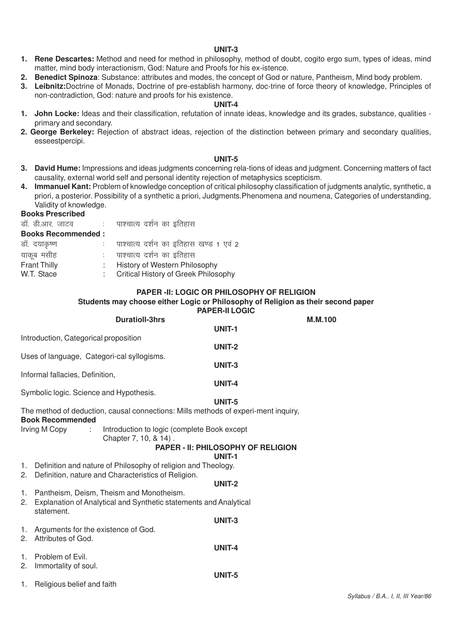#### **UNIT-3**

- **1. Rene Descartes:** Method and need for method in philosophy, method of doubt, cogito ergo sum, types of ideas, mind matter, mind body interactionism, God: Nature and Proofs for his ex-istence.
- **2. Benedict Spinoza**: Substance: attributes and modes, the concept of God or nature, Pantheism, Mind body problem.
- **3. Leibnitz:**Doctrine of Monads, Doctrine of pre-establish harmony, doc-trine of force theory of knowledge, Principles of non-contradiction, God: nature and proofs for his existence.

#### **UNIT-4**

- **1. John Locke:** Ideas and their classification, refutation of innate ideas, knowledge and its grades, substance, qualities primary and secondary.
- **2. George Berkeley:** Rejection of abstract ideas, rejection of the distinction between primary and secondary qualities, esseestpercipi.

# **UNIT-5**

- **3. David Hume:** Impressions and ideas judgments concerning rela-tions of ideas and judgment. Concerning matters of fact causality, external world self and personal identity rejection of metaphysics scepticism.
- **4. Immanuel Kant:** Problem of knowledge conception of critical philosophy classification of judgments analytic, synthetic, a priori, a posterior. Possibility of a synthetic a priori, Judgments. Phenomena and noumena, Categories of understanding, Validity of knowledge.

| डॉ. डी.आर. जाटव           | :     पाश्चात्य दर्शन का इतिहास          |
|---------------------------|------------------------------------------|
| <b>Books Recommended:</b> |                                          |
| डॉ. दयाकृष्ण              | : पाश्चात्य दर्शन का इतिहास खण्ड 1 एवं 2 |
| याकूब मसीह                | : पाश्चात्य दर्शन का इतिहास              |
| <b>Frant Thilly</b>       | History of Western Philosophy            |
| W.T. Stace                | : Critical History of Greek Philosophy   |
|                           |                                          |

#### **PAPER -II: LOGIC OR PHILOSOPHY OF RELIGION**

### **Students may choose either Logic or Philosophy of Religion as their second paper**

#### **PAPER-II LOGIC**

|    | <b>Duratioll-3hrs</b>                                                                                         |                                                     | <b>M.M.100</b> |
|----|---------------------------------------------------------------------------------------------------------------|-----------------------------------------------------|----------------|
|    |                                                                                                               | UNIT-1                                              |                |
|    | Introduction, Categorical proposition                                                                         | <b>UNIT-2</b>                                       |                |
|    | Uses of language, Categori-cal syllogisms.                                                                    |                                                     |                |
|    |                                                                                                               | UNIT-3                                              |                |
|    | Informal fallacies, Definition,                                                                               | <b>UNIT-4</b>                                       |                |
|    | Symbolic logic. Science and Hypothesis.                                                                       |                                                     |                |
|    |                                                                                                               | UNIT-5                                              |                |
|    | The method of deduction, causal connections: Mills methods of experi-ment inquiry,<br><b>Book Recommended</b> |                                                     |                |
|    | Introduction to logic (complete Book except<br>Irving M Copy :                                                |                                                     |                |
|    | Chapter 7, 10, & 14).                                                                                         |                                                     |                |
|    |                                                                                                               | <b>PAPER - II: PHILOSOPHY OF RELIGION</b><br>UNIT-1 |                |
| 1. | Definition and nature of Philosophy of religion and Theology.                                                 |                                                     |                |
|    | 2. Definition, nature and Characteristics of Religion.                                                        |                                                     |                |
|    |                                                                                                               | UNIT-2                                              |                |
|    | 1. Pantheism, Deism, Theism and Monotheism.                                                                   |                                                     |                |

2. Explanation of Analytical and Synthetic statements and Analytical statement.

|                                                                 | UNIT-3 |
|-----------------------------------------------------------------|--------|
| 1. Arguments for the existence of God.<br>2. Attributes of God. |        |
| 1. Problem of Evil.                                             | UNIT-4 |
| 2. Immortality of soul.                                         | UNIT-5 |

1. Religious belief and faith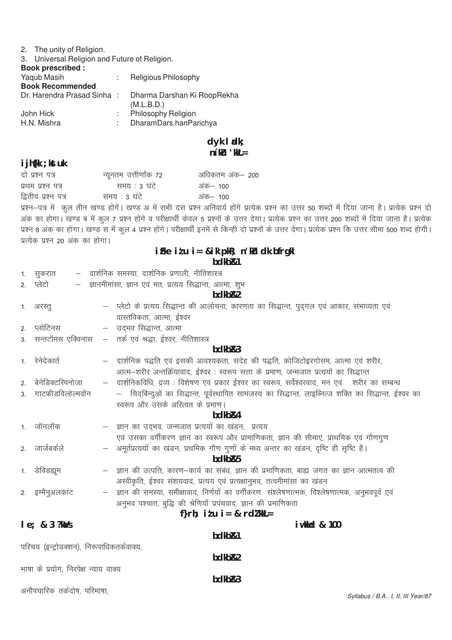# 2. The unity of Religion.

| 3. Universal Religion and Future of Religion. |  |
|-----------------------------------------------|--|
| <b>Dook procoribod:</b>                       |  |

| Religious Philosophy                      |
|-------------------------------------------|
|                                           |
| Dharma Darshan Ki RoopRekha<br>(M.L.B.D.) |
| Philosophy Religion                       |
| DharamDars.hanParichya                    |
| Dr. Harendra Prasad Sinha :               |

# dyk ladk;<br>n'ku 'kkL=

# $\mathbf{H}$ :  $\mathbf{H}$

| I J h{kk ; kst uk               |                                                            |                                                                                                                                                          |  |  |
|---------------------------------|------------------------------------------------------------|----------------------------------------------------------------------------------------------------------------------------------------------------------|--|--|
| दो प्रश्न पत्र                  | न्यूनतम उत्तीर्णांक 72                                     | अधिकतम अंक— 200                                                                                                                                          |  |  |
| प्रथम प्रश्न पत्र               | समय : 3 घंटे                                               | अंक– 100                                                                                                                                                 |  |  |
| द्वितीय प्रश्न पत्र             | समय : 3 घंटे                                               | अंक– 100                                                                                                                                                 |  |  |
|                                 |                                                            | प्रश्न–पत्र में कुल तीन खण्ड होगें। खण्ड अ में सभी दस प्रश्न अनिवार्य होंगे प्रत्येक प्रश्न का उत्तर 50 शब्दों में दिया जाना है। प्रत्येक प्रश्न दो      |  |  |
|                                 |                                                            | अंक का होगा। खण्ड ब में कुल 7 प्रश्न होंगे व परीक्षार्थी केवल 5 प्रश्नों के उत्तर देगा। प्रत्येक प्रश्न का उत्तर 200 शब्दों में दिया जाना है। प्रत्येक   |  |  |
|                                 |                                                            | प्रश्न 8 अंक का होगा। खण्ड स में कुल 4 प्रश्न होंगे। परीक्षार्थी इनमें से किन्ही दो प्रश्नों के उत्तर देगा। प्रत्येक प्रश्न कि उत्तर सीमा 500 शब्द होगी। |  |  |
| प्रत्येक प्रश्न 20 अंक का होगा। |                                                            |                                                                                                                                                          |  |  |
|                                 |                                                            | iFke itu i= &ik'pkR; n'ku dk bfrgkl                                                                                                                      |  |  |
|                                 |                                                            | bdkb <sub>R1</sub>                                                                                                                                       |  |  |
| 1. सुकरात                       | – दार्शनिक समस्या, दार्शनिक प्रणाली, नीतिशास्त्र           |                                                                                                                                                          |  |  |
| 2. प्लेटो<br>$-$                | ज्ञानमीमांसा, ज्ञान एवं मत, प्रत्यय सिद्धान्त, आत्मा, शुभ  |                                                                                                                                                          |  |  |
|                                 |                                                            | bdkb <sub>R2</sub>                                                                                                                                       |  |  |
| 1. अरस्तू                       |                                                            | - प्लेटो के प्रत्यय सिद्धान्त की आलोचना, कारणता का सिद्धान्त, पुद्गल एवं आकार, संभाव्यता एवं                                                             |  |  |
|                                 | वास्तविकता, आत्मा, ईश्वर                                   |                                                                                                                                                          |  |  |
| 2. प्लोटिनस                     | – उद्भव सिद्धान्त, आत्मा                                   |                                                                                                                                                          |  |  |
| 3.                              | सन्तटॉमस एक्विनास  —  तर्क एवं श्रद्धा, ईश्वर, नीतिशास्त्र |                                                                                                                                                          |  |  |
| bdkb <sub>R3</sub>              |                                                            |                                                                                                                                                          |  |  |
| 1. रेनेदेकार्त                  |                                                            | – दार्शनिक पद्धति एवं इसकी आवश्यकता, संदेह की पद्धति, कोजिटोइरगोसम, आत्मा एवं शरीर,                                                                      |  |  |
|                                 |                                                            | आत्म—शरीर अन्तर्क्रियावाद, ईश्वर : स्वरूप सत्ता के प्रमाण, जन्मजात प्रत्ययों का सिद्धान्त                                                                |  |  |
| बेनेडिक्टस्पिनोजा<br>2.         | $\overline{\phantom{m}}$                                   | दार्शनिकविधि, द्रव्य : विशेषण एवं प्रकार ईश्वर का स्वरूप, सर्वेश्वरवाद, मन एवं    शरीर का सम्बन्ध                                                        |  |  |
| गाटफ्रीडविल्हेल्मवॉन<br>3.      |                                                            | –   चिद्बिन्दुओं का सिद्धान्त, पूर्वस्थापित सामंजस्य का सिद्धान्त, लाइब्नित्ज शक्ति का सिद्धान्त, ईश्वर का                                               |  |  |
|                                 | स्वरूप और उसके अस्त्वित के प्रमाण।                         |                                                                                                                                                          |  |  |
|                                 |                                                            | bdkb <sub>R4</sub>                                                                                                                                       |  |  |
| 1. जॉनलॉक                       | – ज्ञान का उद्भव, जन्मजात प्रत्ययों का खंडन, प्रत्यय       |                                                                                                                                                          |  |  |
|                                 |                                                            | एवं उसका वर्गीकरण ज्ञान का स्वरूप और प्रामाणिकता, ज्ञान की सीमाएं, प्राथमिक एवं गौणगुण                                                                   |  |  |
| 2. जार्जबर्कले                  | $\overline{\phantom{m}}$                                   | अमूर्तप्रत्ययों का खंडन, प्रथमिक गौण गुणों के मध्य अन्तर का खंडन, दृष्टि ही सृष्टि है।                                                                   |  |  |

# गाण गुणा<br>bdkb&5

| 1. डेविडह्यूम    | — ) ज्ञान की उत्पत्ति, कारण—कार्य का संबंध, ज्ञान की प्रमाणिकता, बाह्य जगत का ज्ञान आत्मतत्व की   |
|------------------|---------------------------------------------------------------------------------------------------|
|                  | अस्वीकृति, ईश्वर संशयवाद, प्रत्यय एवं प्रत्यक्षानुभव, तत्वमीमांसा का खंडन                         |
| 2. इम्मैनुअलकांट | — ज्ञान की समस्या, समीक्षावाद, निर्णयों का वर्गीकरण) संश्लेषणात्मक, विश्लेषणात्मक, अनुभवपूर्व एवं |

# अनुभव पश्चात, बुद्धि की श्रेणियाँ प्रपंचवाद, ज्ञान की प्रमाणिकता f}rh:  $i \nmid u$  i = & rdl kkL =

| $le; 83$ ?ka/s                            |                    | <b>i</b> wkked & 100 |
|-------------------------------------------|--------------------|----------------------|
|                                           | bdkb&1             |                      |
| परिचय (इन्ट्रोडक्शन), निरूपाधिकतर्कवाक्य, |                    |                      |
|                                           | bdkb <sub>R2</sub> |                      |
| भाषा के प्रयोग, निरपेक्ष न्याय वाक्य      |                    |                      |
|                                           | bdkb <sub>R3</sub> |                      |
| अनौपचारिक तर्कदोष, परिभाषा,               |                    |                      |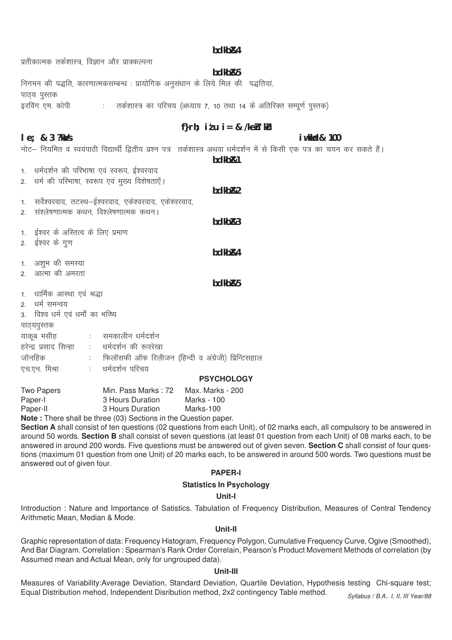#### hdkh<sub>R4</sub>

प्रतीकात्मक तर्कशास्त्र विज्ञान और प्राक्कल्पना

 $le: 83$  ?ka/s

# bdkb&5

निगमन की पद्धति, कारणात्मकसम्बन्ध : प्रायोगिक अनुसंधान के लिये मिल की पद्धतियां, पाठ्य पुस्तक इरविंग एम. कोपी तर्कशास्त्र का परिचय (अध्याय 7, 10 तथा 14 के अतिरिक्त सम्पूर्ण पुस्तक)  $\frac{1}{2}$  .

# f}rh; itu i = & /keh ku

iwkkel& 100

नोट– नियमित व स्वयंपाठी विद्यार्थी द्वितीय प्रश्न पत्र) तर्कशास्त्र अथवा धर्मदर्शन में से किसी एक पत्र का चयन कर सकते हैं।

bdkb<sub>R1</sub>

1. धर्मदर्शन की परिभाषा एवं स्वरूप, ईश्वरवाद धर्म की परिभाषा, स्वरूप एवं मख्य विशेषताएँ।  $\mathcal{P}$ bdkb<sub>R2</sub> सर्वेश्वरवाद, तटस्थ—ईश्वरवाद, एकेश्वरवाद, एकेश्वरवाद,  $1$ संश्लेषणात्मक कथन, विश्लेषणात्मक कथन।  $\mathcal{D}$  $hdkhR3$ 1. ईश्वर के अस्तित्व के लिए प्रमाण ईश्वर के गुण  $2.$ bdkb<sub>R4</sub> 1. अशभ की समस्या २ आत्मा की अमरता bdkb<sub>R5</sub> 1. धार्मिक आस्था एवं श्रद्धा 2. धर्म समन्वय 3 विश्व धर्म एवं धर्मों का भव्यि पाठ्यपुस्तक याकूब मसीह ः समकालीन धर्मदर्शन हरेन्द्र प्रसाद सिन्हा : धर्मदर्शन की रूपरेखा जॉनहिक फिलॉसफी ऑफ रिलीजन (हिन्दी व अंग्रेजी) प्रिन्टिसहाल धर्मदर्शन परिचय एच.एन. मिश्रा  $\Delta \sim 10$ 

#### **PSYCHOLOGY**

| Two Papers | Min. Pass Marks: 72 | Max. Marks - 200 |
|------------|---------------------|------------------|
| Paper-I    | 3 Hours Duration    | Marks - 100      |
| Paper-II   | 3 Hours Duration    | Marks-100        |
|            |                     |                  |

**Note:** There shall be three (03) Sections in the Question paper.

Section A shall consist of ten questions (02 questions from each Unit), of 02 marks each, all compulsory to be answered in around 50 words. Section B shall consist of seven questions (at least 01 question from each Unit) of 08 marks each, to be answered in around 200 words. Five questions must be answered out of given seven. Section C shall consist of four questions (maximum 01 question from one Unit) of 20 marks each, to be answered in around 500 words. Two questions must be answered out of given four.

# **PAPER-I**

#### **Statistics In Psychology**

#### Unit-I

Introduction: Nature and Importance of Satistics. Tabulation of Frequency Distribution, Measures of Central Tendency Arithmetic Mean, Median & Mode.

#### Unit-II

Graphic representation of data: Frequency Histogram, Frequency Polygon, Cumulative Frequency Curve, Ogive (Smoothed), And Bar Diagram, Correlation: Spearman's Rank Order Correlain, Pearson's Product Movement Methods of correlation (by Assumed mean and Actual Mean, only for ungrouped data).

#### Unit-III

Measures of Variability:Average Deviation, Standard Deviation, Quartile Deviation, Hypothesis testing Chi-square test; Equal Distribution mehod, Independent Disribution method, 2x2 contingency Table method. Syllabus / B.A., I, II, III Year/88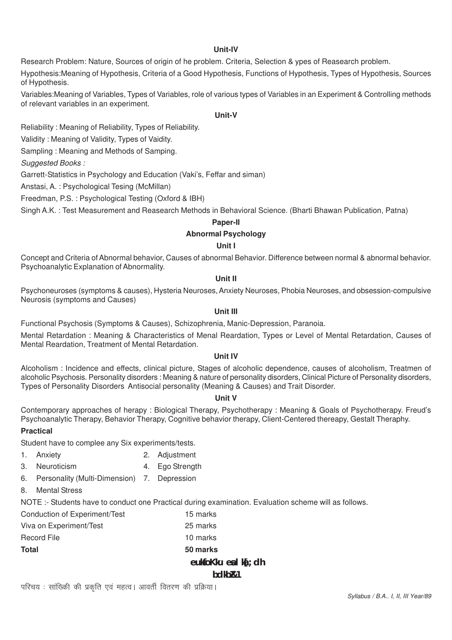# **Unit-IV**

Research Problem: Nature, Sources of origin of he problem. Criteria, Selection & ypes of Reasearch problem.

Hypothesis:Meaning of Hypothesis, Criteria of a Good Hypothesis, Functions of Hypothesis, Types of Hypothesis, Sources of Hypothesis.

Variables:Meaning of Variables, Types of Variables, role of various types of Variables in an Experiment & Controlling methods of relevant variables in an experiment.

# **Unit-V**

Reliability : Meaning of Reliability, Types of Reliability.

Validity : Meaning of Validity, Types of Vaidity.

Sampling : Meaning and Methods of Samping.

*Suggested Books :*

Garrett-Statistics in Psychology and Education (Vaki's, Feffar and siman)

Anstasi, A. : Psychological Tesing (McMillan)

Freedman, P.S. : Psychological Testing (Oxford & IBH)

Singh A.K. : Test Measurement and Reasearch Methods in Behavioral Science. (Bharti Bhawan Publication, Patna)

### **Paper-II**

# **Abnormal Psychology**

## **Unit I**

Concept and Criteria of Abnormal behavior, Causes of abnormal Behavior. Difference between normal & abnormal behavior. Psychoanalytic Explanation of Abnormality.

### **Unit II**

Psychoneuroses (symptoms & causes), Hysteria Neuroses, Anxiety Neuroses, Phobia Neuroses, and obsession-compulsive Neurosis (symptoms and Causes)

# **Unit III**

Functional Psychosis (Symptoms & Causes), Schizophrenia, Manic-Depression, Paranoia.

Mental Retardation : Meaning & Characteristics of Menal Reardation, Types or Level of Mental Retardation, Causes of Mental Reardation, Treatment of Mental Retardation.

### **Unit IV**

Alcoholism : Incidence and effects, clinical picture, Stages of alcoholic dependence, causes of alcoholism, Treatmen of alcoholic Psychosis. Personality disorders : Meaning & nature of personality disorders, Clinical Picture of Personality disorders, Types of Personality Disorders Antisocial personality (Meaning & Causes) and Trait Disorder.

### **Unit V**

Contemporary approaches of herapy : Biological Therapy, Psychotherapy : Meaning & Goals of Psychotherapy. Freud's Psychoanalytic Therapy, Behavior Therapy, Cognitive behavior therapy, Client-Centered thereapy, Gestalt Theraphy.

ka<sup>r</sup>: dh

### **Practical**

Student have to complee any Six experiments/tests.

- 1. Anxiety 2. Adjustment
- 3. Neuroticism 4. Ego Strength
- 6. Personality (Multi-Dimension) 7. Depression
- 8. Mental Stress

NOTE :- Students have to conduct one Practical during examination. Evaluation scheme will as follows.

|                               | bdkb&1         |  |
|-------------------------------|----------------|--|
|                               | eukfo Kku en l |  |
| <b>Total</b>                  | 50 marks       |  |
| <b>Record File</b>            | 10 marks       |  |
| Viva on Experiment/Test       | 25 marks       |  |
| Conduction of Experiment/Test | 15 marks       |  |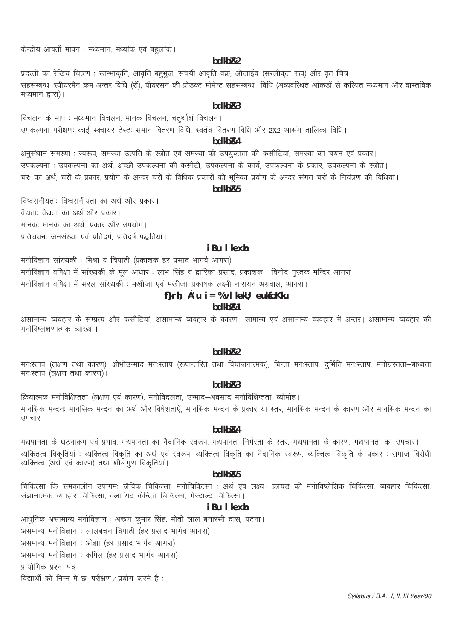केन्द्रीय आवर्ती मापन : मध्यमान, मध्यांक एवं बहलांक।

#### hdkh<sub>R2</sub>

प्रदत्तों का रेखिय चित्रण: स्तम्भाकृति, आवृति बहुभुज, संचयी आवृति वक्र, ओजाईव (सरलीकृत रूप) और वृत चित्र। सहसम्बन्ध :स्पीयरमैन क्रम अन्तर विधि (रॉ), पीयरसन की प्रोडक्ट मोमेन्ट सहसम्बन्ध) विधि (अव्यवस्थित आंकड़ों से कल्पित मध्यमान और वास्तविक मध्यमान द्वारा)।

# $hdkhR3$

विचलन के माप: मध्यमान विचलन, मानक विचलन, चतुर्थाशं विचलन। उपकल्पना परीक्षणः काई स्क्वायर टेस्टः समान वितरण विधि, स्वतंत्र वितरण विधि और 2x2 आसंग तालिका विधि।

#### hdkh<sub>R4</sub>

अनुसंधान समस्या : स्वरूप, समस्या उत्पति के स्त्रोत एवं समस्या की उपयुक्तता की कसौटियां, समस्या का चयन एवं प्रकार। उपकल्पना : उपकल्पना का अर्थ, अच्छी उपकल्पना की कसौटी, उपकल्पना के कार्य, उपकल्पना के प्रकार, उपकल्पना के स्त्रोत। चरः का अर्थ, चरों के प्रकार, प्रयोग के अन्दर चरों के विधिक प्रकारों की भूमिका प्रयोग के अन्दर संगत चरों के नियंत्रण की विधियां।

# hdkh<sub>R5</sub>

विष्वसनीयताः विष्वसनीयता का अर्थ और प्रकार। वैद्यताः वैद्यता का अर्थ और प्रकार। मानक: मानक का अर्थ प्रकार और उपयोग। प्रतिचयनः जनसंख्या एवं प्रतिदर्ष, प्रतिदर्ष पद्धतियां।

#### iBu I kexh

मनोविज्ञान सांख्यकी : मिश्रा व त्रिपाठी (प्रकाशक हर प्रसाद भागर्व आगरा) मनोविज्ञान वषिक्षा में सांख्यकी के मूल आधार : लाभ सिंह व द्वारिका प्रसाद, प्रकाशक : विनोद पुस्तक मन्दिर आगरा मनोविज्ञान वर्षिक्षा में सरल सांख्यकी : मखीजा एवं मखीजा प्रकाषक लक्ष्मी नारायन अग्रवाल, आगरा।

# f}rh;  $c'u$  i = % $v$ l kekll; euksfoKku

# hdkh<sub>R1</sub>

असामान्य व्यवहार के सम्प्रत्य और कसौटियां, असामान्य व्यवहार के कारण। सामान्य एवं असामान्य व्यवहार में अन्तर। असामान्य व्यवहार की मनोविष्लेशणात्मक व्याख्या ।

#### bdkb<sub>R2</sub>

मनःस्ताप (लक्षण तथा कारण), क्षोभोउन्माद मनःस्ताप (रूपान्तरित तथा वियोजनात्मक), चिन्ता मनःस्ताप, दुर्भिति मनःस्ताप, मनोग्रस्तता–बाध्यता मनःस्ताप (लक्षण तथा कारण)।

#### $hdkhR3$

क्रियात्मक मनोविक्षिप्तता (लक्षण एवं कारण), मनोविदलता, उन्मांद–अवसाद मनोविक्षिप्तता, व्योमोह। मानसिक मन्दनः मानसिक मन्दन का अर्थ और विषेशताऐं, मानसिक मन्दन के प्रकार या स्तर, मानसिक मन्दन के कारण और मानसिक मन्दन का उपचार।

#### hdkh<sub>R4</sub>

मद्यपानता के घटनाक्रम एवं प्रभाव, मद्यपानता का नैदानिक स्वरूप, मद्यपानता निर्भरता के स्तर, मद्यपानता के कारण, मद्यपानता का उपचार। व्यकितत्व विकृतियां : व्यक्तित्व विकृति का अर्थ एवं स्वरूप, व्यक्तित्व विकृति का नैदानिक स्वरूप, व्यक्तित्व विकृति के प्रकार : समाज विरोधी व्यक्तित्व (अर्थ एवं कारण) तथा शीलगण विकृतियां।

#### bdkb<sub>R5</sub>

चिकित्सा कि समकालीन उपागमः जैविक चिकित्सा, मनोचिकित्सा : अर्थ एवं लक्ष्य। फ्रायड की मनोविष्लेशिक चिकित्सा, व्यवहार चिकित्सा, संज्ञानात्मक व्यवहार चिकित्सा, क्ला यट केन्द्रित चिकित्सा, गेस्टाल्ट चिकित्सा।

# i Bu I kexh

आधुनिक असामान्य मनोविज्ञान : अरूण कुमार सिंह, मोती लाल बनारसी दास, पटना। असमान्य मनोविज्ञान : लालबचन त्रिपाठी (हर प्रसाद भार्गव आगरा) असमान्य मनोविज्ञान : ओझा (हर प्रसाद भार्गव आगरा) असमान्य मनोविज्ञान : कपिल (हर प्रसाद भार्गव आगरा) प्रायोगिक प्रश्न–पत्र विद्यार्थी को निम्न मे छ: परीक्षण / प्रयोग करने है :-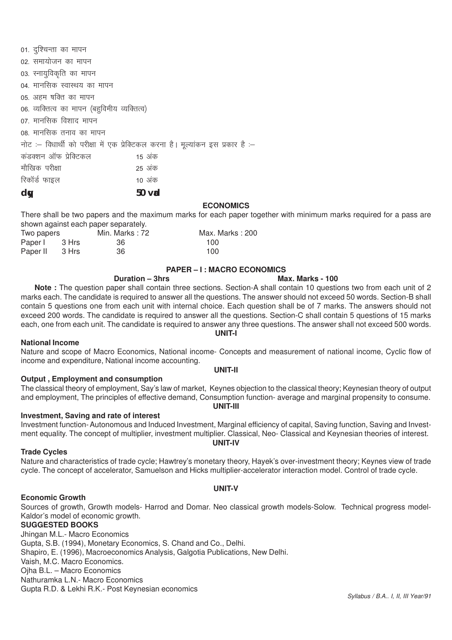01. दुश्चिन्ता का मापन 02. समायोजन का मापन 03. स्नायुविकृति का मापन 04. मानसिक स्वास्थय का मापन 05. अहम षक्ति का मापन 06. व्यक्तित्व का मापन (बहुविमीय व्यक्तित्व) 07. मानसिक विशाद मापन 08. मानसिक तनाव का मापन नोट :- विधार्थी को परीक्षा में एक प्रेक्टिकल करना है। मूल्यांकन इस प्रकार है :-कडक्शन ऑफ पेक्टिकल $\,$  15 अंक ekSf[kd ijh{kk 25 vad रिकॉर्ड फाइल $\sim$  10 अंक

**dqy 50 vad**

#### **ECONOMICS**

There shall be two papers and the maximum marks for each paper together with minimum marks required for a pass are shown against each paper separately.

| Two papers     |       | Min. Marks : 72 | Max. Marks: 200 |
|----------------|-------|-----------------|-----------------|
| Paper I        | 3 Hrs | - 36            | 100.            |
| Paper II 3 Hrs |       | -36             | 100             |

#### **PAPER – I : MACRO ECONOMICS**

# **Duration – 3hrs Max. Marks - 100**

**Note :** The question paper shall contain three sections. Section-A shall contain 10 questions two from each unit of 2 marks each. The candidate is required to answer all the questions. The answer should not exceed 50 words. Section-B shall contain 5 questions one from each unit with internal choice. Each question shall be of 7 marks. The answers should not exceed 200 words. The candidate is required to answer all the questions. Section-C shall contain 5 questions of 15 marks each, one from each unit. The candidate is required to answer any three questions. The answer shall not exceed 500 words. **UNIT-I**

#### **National Income**

Nature and scope of Macro Economics, National income- Concepts and measurement of national income, Cyclic flow of income and expenditure, National income accounting.

#### **UNIT-II**

#### **Output , Employment and consumption**

The classical theory of employment, Say's law of market, Keynes objection to the classical theory; Keynesian theory of output and employment, The principles of effective demand, Consumption function- average and marginal propensity to consume. **UNIT-III**

#### **Investment, Saving and rate of interest**

Investment function- Autonomous and Induced Investment, Marginal efficiency of capital, Saving function, Saving and Investment equality. The concept of multiplier, investment multiplier. Classical, Neo- Classical and Keynesian theories of interest. **UNIT-IV**

#### **Trade Cycles**

Nature and characteristics of trade cycle; Hawtrey's monetary theory, Hayek's over-investment theory; Keynes view of trade cycle. The concept of accelerator, Samuelson and Hicks multiplier-accelerator interaction model. Control of trade cycle.

#### **UNIT-V**

#### **Economic Growth**

Sources of growth, Growth models- Harrod and Domar. Neo classical growth models-Solow. Technical progress model-Kaldor's model of economic growth.

#### **SUGGESTED BOOKS**

Jhingan M.L.- Macro Economics Gupta, S.B. (1994), Monetary Economics, S. Chand and Co., Delhi. Shapiro, E. (1996), Macroeconomics Analysis, Galgotia Publications, New Delhi. Vaish, M.C. Macro Economics. Ojha B.L. – Macro Economics Nathuramka L.N.- Macro Economics Gupta R.D. & Lekhi R.K.- Post Keynesian economics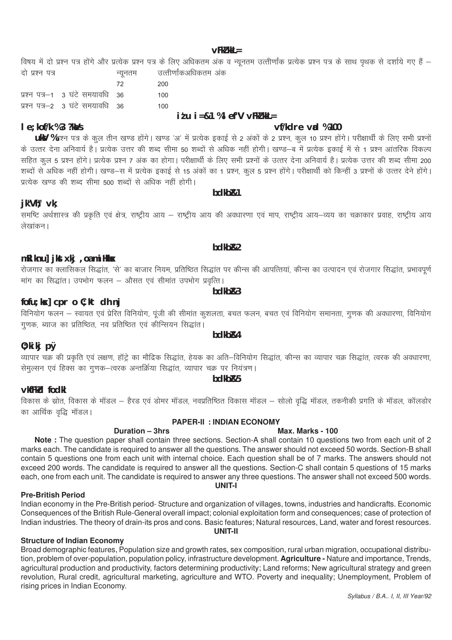# $VFKZ$  kkL $=$

#### विषय में दो प्रश्न पत्र होंगे और प्रत्येक प्रश्न पत्र के लिए अधिकतम अंक व न्यूनतम उत्तीर्णांक प्रत्येक प्रश्न पत्र के साथ पृथक से दर्शाये गए हैं – उत्तीर्णांकअधिकतम अंक दो प्रश्न पत्र न्यूनतम

|                                     | - 72 | 200 |
|-------------------------------------|------|-----|
| प्रश्न पत्र–1 - 3 घंटे समयावधि - 36 |      | 100 |
| प्रश्न पत्र-2 3 घंटे समयावधि 36     |      | 100 |
|                                     |      |     |

### $i$  tu  $i = 81$  % ef "V vFkt kkL=

# vf/kdre val %100

Max. Marks - 100

ukV %प्रश्न पत्र के कुल तीन खण्ड होंगे। खण्ड 'अ' में प्रत्येक इकाई से 2 अंकों के 2 प्रश्न, कुल 10 प्रश्न होंगे। परीक्षार्थी के लिए सभी प्रश्नों<br>के उत्तर देना अनिवार्य है। प्रत्येक उत्तर की शब्द सीमा 50 शब्दों से अधिक नहीं .<br>शब्दों से अधिक नहीं होगी। खण्ड—स में प्रत्येक इकाई से 15 अंकों का 1 प्रश्न, कल 5 प्रश्न होंगे। परीक्षार्थी को किन्हीं 3 प्रश्नों के उत्तर देने होंगे। प्रत्येक खण्ड की शब्द सीमा 500 शब्दों से अधिक नहीं होगी।

# jk"Vt: vk:

 $I e$ ; kof/k %3 ?k $\Delta$ /s

-<br>'समष्टि अर्थशास्त्र की प्रकृति एवं क्षेत्र, राष्ट्रीय आय – राष्ट्रीय आय की अवधारणा एवं माप, राष्ट्रीय आय–व्यय का चक्राकार प्रवाह, राष्ट्रीय आय लेखांकन।

hdkh<sub>R1</sub>

# mRiknu] jkst xkj , oa mi Hkksx

रोजगार का क्लासिकल सिद्धांत, 'से' का बाजार नियम, प्रतिष्ठित सिद्धांत पर कीन्स की आपत्तियां, कीन्स का उत्पादन एवं रोजगार सिद्धांत, प्रभावपूर्ण <u>मांग का सिद्धांत। उपभोग फलन – औसत एवं सीमांत उपभोग प्रवत्ति।</u>

# fofu; kx] cpr o C; kt dh nj

.<br>विनियोग फलन – स्वायत एवं प्रेरित विनियोग, पूंजी की सीमांत कुशलता, बचत फलन, बचत एवं विनियोग समानता, गुणक की अवधारणा, विनियोग .<br>गणक, ब्याज का प्रतिष्ठित, नव प्रतिष्ठित एवं कीन्सियन सिद्धांत।

# $0;$  ki kj p $\emptyset$

व्यापार चक्र की प्रकृति एवं लक्षण, हॉट्रे का मौद्रिक सिद्धांत, हेयक का अति–विनियोग सिद्धांत, कीन्स का व्यापार चक्र सिद्धांत, त्वरक की अवधारणा, सेमुल्सन एवं हिक्स का गुणक–त्वरक अन्तर्क्रिया सिद्धांत, व्यापार चक्र पर नियंत्रण।

# vkfFkd fodkl

विकास के स्रोत, विकास के मॉडल – हैरड एवं डोमर मॉडल, नवप्रतिष्ठित विकास मॉडल – सोलो वृद्धि मॉडल, तकनीकी प्रगति के मॉडल, कॉलडोर का आर्थिक वृद्धि मॉडल।

# **PAPER-II : INDIAN ECONOMY**

# Duration - 3hrs

Note: The question paper shall contain three sections. Section-A shall contain 10 questions two from each unit of 2 marks each. The candidate is required to answer all the questions. The answer should not exceed 50 words. Section-B shall contain 5 questions one from each unit with internal choice. Each question shall be of 7 marks. The answers should not exceed 200 words. The candidate is required to answer all the questions. Section-C shall contain 5 questions of 15 marks each, one from each unit. The candidate is required to answer any three questions. The answer shall not exceed 500 words. UNIT-I

### **Pre-British Period**

Indian economy in the Pre-British period-Structure and organization of villages, towns, industries and handicrafts. Economic Consequences of the British Rule-General overall impact, colonial exploitation form and consequences; case of protection of Indian industries. The theory of drain-its pros and cons. Basic features; Natural resources, Land, water and forest resources. **UNIT-II** 

### **Structure of Indian Economy**

Broad demographic features, Population size and growth rates, sex composition, rural urban migration, occupational distribution, problem of over-population, population policy, infrastructure development. Agriculture - Nature and importance, Trends, agricultural production and productivity, factors determining productivity; Land reforms; New agricultural strategy and green revolution, Rural credit, agricultural marketing, agriculture and WTO. Poverty and inequality; Unemployment, Problem of rising prices in Indian Economy.

# bdkbR3

# bdkb<sub>R4</sub>

# hdkh<sub>R5</sub>

# hdkh<sub>R2</sub>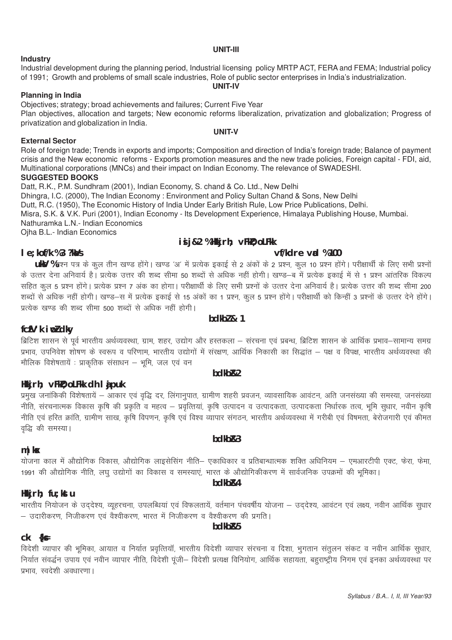#### UNIT-III

#### **Industry**

#### Industrial development during the planning period, Industrial licensing policy MRTP ACT, FERA and FEMA; Industrial policy of 1991; Growth and problems of small scale industries, Role of public sector enterprises in India's industrialization. **UNIT-IV**

# **Planning in India**

Objectives; strategy; broad achievements and failures; Current Five Year Plan objectives, allocation and targets; New economic reforms liberalization, privatization and globalization; Progress of privatization and globalization in India.

**External Sector** 

Role of foreign trade; Trends in exports and imports; Composition and direction of India's foreign trade; Balance of payment crisis and the New economic reforms - Exports promotion measures and the new trade policies, Foreign capital - FDI, aid, Multinational corporations (MNCs) and their impact on Indian Economy. The relevance of SWADESHI.

**UNIT-V** 

# **SUGGESTED BOOKS**

Datt, R.K., P.M. Sundhram (2001), Indian Economy, S. chand & Co. Ltd., New Delhi Dhingra, I.C. (2000), The Indian Economy: Environment and Policy Sultan Chand & Sons, New Delhi Dutt, R.C. (1950), The Economic History of India Under Early British Rule, Low Price Publications, Delhi. Misra, S.K. & V.K. Puri (2001), Indian Economy - Its Development Experience, Himalaya Publishing House, Mumbai. Nathuramka L.N.- Indian Economics Ojha B.L.- Indian Economics

# is j&2 %Hkkjrh; vFkD; oLFkk

# vf/kdre vad %100

### $I e$ : kof/k %3 ?k $\lambda$ /s

UKY %प्रश्न पत्र के कुल तीन खण्ड होंगे। खण्ड 'अ' में प्रत्येक इकाई से 2 अंकों के 2 प्रश्न, कुल 10 प्रश्न होंगे। परीक्षार्थी के लिए सभी प्रश्नों के उत्तर देना अनिवार्य है। प्रत्येक उत्तर की शब्द सीमा 50 शब्दों से अधिक नहीं होगी। खण्ड—ब में प्रत्येक इकाई में से 1 प्रश्न आंतरिक विकल्प सहित कल 5 प्रश्न होंगे। प्रत्येक प्रश्न 7 अंक का होगा। परीक्षार्थी के लिए सभी प्रश्नों के उत्तर देना अनिवार्य है। प्रत्येक उत्तर की शब्द सीमा 200 .<br>शब्दों से अधिक नहीं होगी। खण्ड—स में प्रत्येक इकाई से 15 अंकों का 1 प्रश्न कल 5 प्रश्न होंगे। परीक्षार्थी को किन्हीं 3 प्रश्नों के उत्तर देने होंगे। पत्येक खण्ड की शब्द सीमा 500 शब्दों से अधिक नहीं होगी।

# fcfV'k iwldky

ब्रिटिश शासन से पूर्व भारतीय अर्थव्यवस्था, ग्राम, शहर, उद्योग और हस्तकला – संरचना एवं प्रबन्ध, ब्रिटिश शासन के आर्थिक प्रभाव–सामान्य समग्र प्रभाव, उपनिवेश शोषण के स्वरूप व परिणाम, भारतीय उद्योगों में संरक्षण, आर्थिक निकासी का सिद्धांत – पक्ष व विपक्ष, भारतीय अर्थव्यवस्था की मौलिक विशेषतायें : प्राकृतिक संसाधन – भूमि, जल एवं वन

### Hkkj $rh$ ;  $vFkD$ ; oLFkk dh I  $jpuk$

प्रमुख जनांकिकी विशेषतायें – आकार एवं वृद्धि दर, लिंगानुपात, ग्रामीण शहरी प्रवजन, व्यावसायिक आवंटन, अति जनसंख्या की समस्या, जनसंख्या ्जु<br>नीति, संरचनात्मक विकास कृषि की प्रकृति व महत्व — प्रवृत्तियां, कृषि उत्पादन व उत्पादकता, उत्पादकता निर्धारक तत्व, भूमि सुधार, नवीन कृषि नीति एवं हरित क्रांति, ग्रामीण साख, कृषि विपणन, कृषि एवं विश्व व्यापार संगठन, भारतीय अर्थव्यवस्था में गरीबी एवं विषमता, बेरोजगारी एवं कोमत वद्धि की समस्या।  $hdkhR3$ 

### $m$  | k $\mathbf x$

# योजना काल में औद्योगिक विकास, औद्योगिक लाइसेसिंग नीति– एकाधिकार व प्रतिबान्धात्मक शक्ति अधिनियम – एमआरटीपी एक्ट, फेरा, फेमा, 1991 की औद्योगिक नीति, लघु उद्योगों का विकास व समस्याएं, भारत के औद्योगिकीकरण में सार्वजनिक उपक्रमों की भूमिका।

bdkb<sub>R4</sub>

### Hkkj $rh$ ; fu; kstu

भारतीय नियोजन के उद्देश्य, व्यूहरचना, उपलब्धियां एवं विफलतायें, वर्तमान पंचवर्षीय योजना — उद्देश्य, आवंटन एवं लक्ष्य, नवीन आर्थिक सुधार – उदारीकरण, निजीकरण एवं वैश्वीकरण, भारत में निजीकरण व वैश्वीकरण की प्रगति।

# bdkb<sub>R5</sub>

# cká {k€

विदेशी व्यापार की भूमिका, आयात व निर्यात प्रवृत्तियॉ, भारतीय विदेशी व्यापार सरचना व दिशा, भूगतान संतूलन संकट व नवीन आर्थिक सूधार, निर्यात संवर्द्धन उपाय एवं नवीन व्यापार नीति, विदेशी पुंजी– विदेशी प्रत्यक्ष विनियोग, आर्थिक सहायता, बहराष्ट्रीय निगम एवं इनका अर्थव्यवस्था पर प्रभाव स्वदेशी अवधारणा ।

# $bdkb2$  & 1

# bdkb<sub>R2</sub>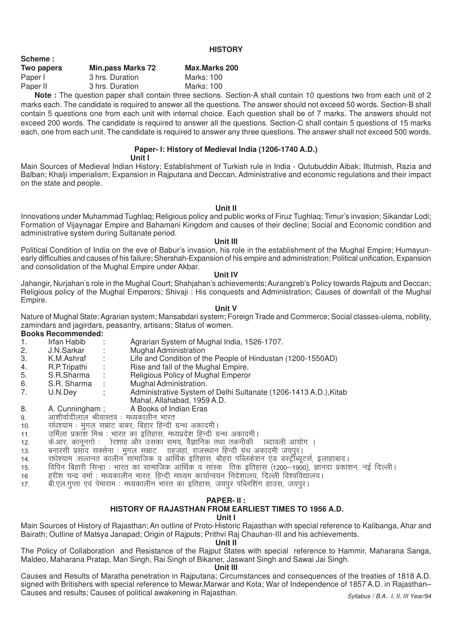| Scheme :   |                          |                      |
|------------|--------------------------|----------------------|
| Two papers | <b>Min.pass Marks 72</b> | <b>Max.Marks 200</b> |
| Paper I    | 3 hrs. Duration          | Marks: 100           |
| Paper II   | 3 hrs. Duration          | Marks: 100           |
|            |                          |                      |

**Note :** The question paper shall contain three sections. Section-A shall contain 10 questions two from each unit of 2 marks each. The candidate is required to answer all the questions. The answer should not exceed 50 words. Section-B shall contain 5 questions one from each unit with internal choice. Each question shall be of 7 marks. The answers should not exceed 200 words. The candidate is required to answer all the questions. Section-C shall contain 5 questions of 15 marks each, one from each unit. The candidate is required to answer any three questions. The answer shall not exceed 500 words.

# **Paper- I: History of Medieval India (1206-1740 A.D.)**

#### **Unit I**

Main Sources of Medieval Indian History; Establishment of Turkish rule in India - Qutubuddin Aibak; Iltutmish, Razia and Balban; Khalji imperialism; Expansion in Rajputana and Deccan, Administrative and economic regulations and their impact on the state and people.

**Unit II**

Innovations under Muhammad Tughlaq; Religious policy and public works of Firuz Tughlaq; Timur's invasion; Sikandar Lodi; Formation of Vijaynagar Empire and Bahamani Kingdom and causes of their decline; Social and Economic condition and administrative system during Sultanate period.

#### **Unit III**

Political Condition of India on the eve of Babur's invasion, his role in the establishment of the Mughal Empire; Humayunearly difficulties and causes of his failure; Shershah-Expansion of his empire and administration; Political unification, Expansion and consolidation of the Mughal Empire under Akbar.

#### **Unit IV**

Jahangir, Nurjahan's role in the Mughal Court; Shahjahan's achievements; Aurangzeb's Policy towards Rajputs and Deccan; Religious policy of the Mughal Emperors; Shivaji : His conquests and Administration; Causes of downfall of the Mughal Empire.

### **Unit V**

Nature of Mughal State; Agrarian system; Mansabdari system; Foreign Trade and Commerce; Social classes-ulema, nobility, zamindars and jagirdars, peasantry, artisans; Status of women.

# **Books Recommended:**

**Scheme :**

- 1. Irfan Habib : Agrarian System of Mughal India, 1526-1707.
- 2. J.N.Sarkar : Mughal Administration
- 3. K.M.Ashraf : Life and Condition of the People of Hindustan (1200-1550AD)<br>4. R.P.Tripathi : Rise and fall of the Mughal Empire.
- R.P.Tripathi : Rise and fall of the Mughal Empire.<br>S.R.Sharma : Religious Policy of Mughal Emperor
- 5. S.R.Sharma : Religious Policy of Mughal Emperor
- 6. S.R. Sharma : Mughal Administration.
- 7. U.N.Dey ; Administrative System of Delhi Sultanate (1206-1413 A.D.),Kitab
- Mahal, Allahabad, 1959 A.D.
- 8. A. Cunningham ; A Books of Indian Eras
- 9. अाशीर्वादीलाल श्रीवास्तव : मध्यकालीन भारत
- 10. गोथश्याम: मुगल सम्राट बाबर, बिहार हिन्दी ग्रन्थ अकादमी।
- 11. जर्मिला प्रकाश मिश्र : भारत का इतिहास, मध्यप्रदेश हिन्दी ग्रन्थ अकादमी।
- 12. केआर. कानुनगो : ोरशाह और उसका समय, वैज्ञानिक तथा तकनीकी ।ब्दावली आयोग ।
- 13. बनारसी प्रसाद सक्सेना : मुगल सम्राट ।ाहजहां, राजस्थान हिन्दी ग्रथ अकादमी जयपुर।<br>14. राधेश्याम :सल्तनत कालीन सामाजिक व आर्थिक इतिहास ,बौहरा पब्लिकेशन एंड डस्टीब्यत
- राधेश्याम :सल्तनत कालीन सामाजिक व आर्थिक इतिहास, बौहरा पब्लिकेशन एंड डर्स्ट्रीब्यूटर्स, इलाहाबाद।
- 15. विपिन बिहारी सिन्हा : भारत का सामाजिक आर्थिक व सांस्क) तिक इतिहास (1200—1900), ज्ञानदा प्रकाशन, नई दिल्ली।
- 16 हरीश चन्द्र वर्मा : मध्यकालीन भारत. हिन्दी माध्यम कार्यान्वयन निदेशालय. दिल्ली विश्वविद्यालय ।
- 17. बी.एल.गुप्ता एवं पेमाराम : मध्यकालीन भारत का इतिहास, जयपुर पब्लिशिंग हाउस, जयपुर।

### **PAPER- II :**

# **HISTORY OF RAJASTHAN FROM EARLIEST TIMES TO 1956 A.D.**

#### **Unit I**

Main Sources of History of Rajasthan; An outline of Proto-Historic Rajasthan with special reference to Kalibanga, Ahar and Bairath; Outline of Matsya Janapad; Origin of Rajputs; Prithvi Raj Chauhan-III and his achievements.

#### **Unit II**

The Policy of Collaboration and Resistance of the Rajput States with special reference to Hammir, Maharana Sanga, Maldeo, Maharana Pratap, Man Singh, Rai Singh of Bikaner, Jaswant Singh and Sawai Jai Singh.

#### **Unit III**

Causes and Results of Maratha penetration in Rajputana; Circumstances and consequences of the treaties of 1818 A.D. signed with Britishers with special reference to Mewar,Marwar and Kota; War of Independence of 1857 A.D. in Rajasthan– Causes and results; Causes of political awakening in Rajasthan.

#### **HISTORY**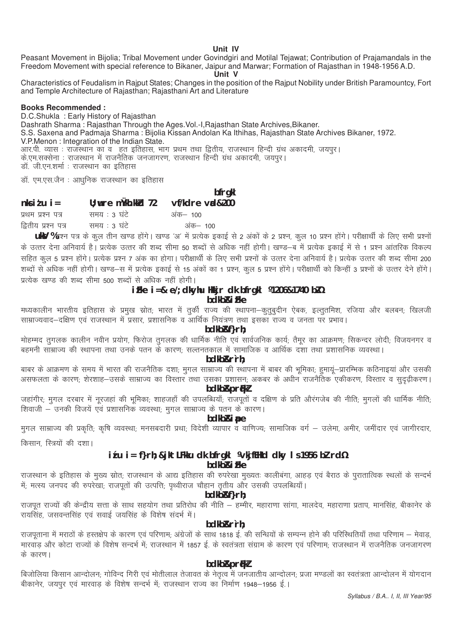Unit IV

Peasant Movement in Bijolia; Tribal Movement under Govindgiri and Motilal Tejawat; Contribution of Prajamandals in the Freedom Movement with special reference to Bikaner, Jaipur and Marwar; Formation of Rajasthan in 1948-1956 A.D.

Unit V

Characteristics of Feudalism in Raiput States; Changes in the position of the Raiput Nobility under British Paramountcy, Fort and Temple Architecture of Rajasthan; Rajasthani Art and Literature

#### **Books Recommended:**

D.C.Shukla: Early History of Rajasthan Dashrath Sharma: Rajasthan Through the Ages. Vol.-I, Rajasthan State Archives, Bikaner. S.S. Saxena and Padmaja Sharma : Bijolia Kissan Andolan Ka Ithihas, Rajasthan State Archives Bikaner, 1972. V.P.Menon: Integration of the Indian State. 

डॉ. एम.एस.जैन : आधुनिक राजस्थान का इतिहास

bfrgkl

| $n$ ksi $t$ u i =   | $U$ ; wre mukh. kkd $72$ | vf/kdre vrd&200 |
|---------------------|--------------------------|-----------------|
| प्रथम प्रश्न पत्र   | समय : ३ घंटे             | अंक— 100        |
| द्वितीय प्रश्न पत्र | समय : ३ घंटे             | अंक– 100        |

UkV %प्रश्न पत्र के कूल तीन खण्ड होंगे। खण्ड 'अ' में प्रत्येक इकाई से 2 अंकों के 2 प्रश्न, कुल 10 प्रश्न होंगे। परीक्षार्थी के लिए सभी प्रश्नों के उत्तर देना अनिवार्य है। प्रत्येक उत्तर की शब्द सीमा 50 शब्दों से अधिक नहीं होगी। खण्ड—ब में प्रत्येक इकाई में से 1 प्रश्न आंतरिक विकल्प सहित कूल 5 प्रश्न होंगे। प्रत्येक प्रश्न 7 अंक का होगा। परीक्षार्थी के लिए सभी प्रश्नों के उत्तर देना अनिवार्य है। प्रत्येक उत्तर की शब्द सीमा 200 शब्दों से अधिक नहीं होगी। खण्ड—स में प्रत्येक इकाई से 15 अंकों का 1 प्रश्न, कूल 5 प्रश्न होंगे। परीक्षार्थी को किन्हीं 3 प्रश्नों के उत्तर देने होंगे। प्रत्येक खण्ड की शब्द सीमा 500 शब्दों से अधिक नहीं होगी।

#### iFke  $i = 8$  e/; dkyhu Hkkjr dk bfrgkl ¼206&1740 bZ½ bdkb<sub>Ri</sub> Fke

मध्यकालीन भारतीय इतिहास के प्रमुख स्रोत; भारत में तुर्की राज्य की स्थापना–कुतुबुदीन ऐबक, इल्तुतमिश, रजिया और बलबन; खिलजी साम्राज्यवाद–दक्षिण एवं राजस्थान में प्रसार, प्रशासनिक व आर्थिक नियंत्रण तथा इसका राज्य व जनता पर प्रभाव।

# bdkb&f}rh:

मोहम्मद तुगलक कालीन नवीन प्रयोग, फिरोज तुगलक की धार्मिक नीति एवं सार्वजनिक कार्य; तैमूर का आक्रमण; सिकन्दर लोदी; विजयनगर व बहमनी साम्राज्य की स्थापना तथा उनके पतन के कारण; सल्तनतकाल में सामाजिक व आर्थिक दशा तथा प्रशासनिक व्यवस्था।

#### bdkb&r`rh:

बाबर के आक्रमण के समय में भारत की राजनैतिक दशा; मुगल साम्राज्य की स्थापना में बाबर की भूमिका; हुमायूं—प्रारम्भिक कठिनाइयां और उसकी असफलता के कारण; शेरशाह—उसके साम्राज्य का विस्तार तथा उसका प्रशासन; अकबर के अधीन राजनैतिक एकीकरण, विस्तार व सुदृढ़ीकरण। **bdkb&prfkl** 

जहांगीर: मगल दरबार में नूरजहां की भूमिका; शाहजहाँ की उपलब्धियाँ; राजपूतों व दक्षिण के प्रति औरंगजेब की नीति; मुगलों की धार्मिक नीति; शिवाजी – उनकी विजयें एवं प्रशासनिक व्यवस्था; मुगल साम्राज्य के पतन के कारण।

### bdkb*R*ipe

मुगल साम्राज्य की प्रकृति; कृषि व्यवस्था; मनसबदारी प्रथा; विदेशी व्यापार व वाणिज्य; सामाजिक वर्ग — उलेमा, अमीर, जमींदार एवं जागीरदार,

किसान, स्त्रियों की दशा।

### itu i = f}rh; &jktLFkku dk bfrgkl ¼kjfEHkd dky ls 1956 bl rd½ bdkb<sub>Ri</sub> Fke

राजस्थान के इतिहास के मुख्य स्रोत; राजस्थान के आद्य इतिहास की रुपरेखा मुख्यतः कालीबंगा, आहड़ एवं बैराठ के पुरातात्विक स्थलों के सन्दर्भ में, मत्स्य जनपद की रुपरेखा, राजपूतों की उत्पत्ति, पृथ्वीराज चौहान तृतीय और उसकी उपलब्धियाँ।

# bdkb&f}rh;

राजपूत राज्यों की केन्द्रीय सत्ता के साथ सहयोग तथा प्रतिरोध की नीति – हम्मीर, महाराणा सांगा, मालदेव, महाराणा प्रताप, मानसिंह, बीकानेर के रायसिंह, जसवन्तसिंह एवं सवाई जयसिंह के विशेष सदर्भ में।

### bdkb&r`rh:

राजपूताना में मराठों के हस्तक्षेप के कारण एवं परिणाम; अंग्रेजों के साथ 1818 ई. की सन्धियों के सम्पन्न होने की परिस्थितियाँ तथा परिणाम – मेवाड़, मारवाड और कोटा राज्यों के विशेष सन्दर्भ में; राजस्थान में 1857 ई. के स्वतंत्रता संग्राम के कारण एवं परिणाम; राजस्थान में राजनैतिक जनजागरण के कारण।

## **bdkb&prfkl**

बिजोलिया किसान आन्दोलन; गोविन्द गिरी एवं मोतीलाल तेजावत के नेतृत्व में जनजातीय आन्दोलन; प्रजा मण्डलों का स्वतंत्रता आन्दोलन में योगदान .<br>बीकानेर, जयपुर एवं मारवाड़ के विशेष सन्दर्भ में; राजस्थान राज्य का निर्माण 1948–1956 ई.।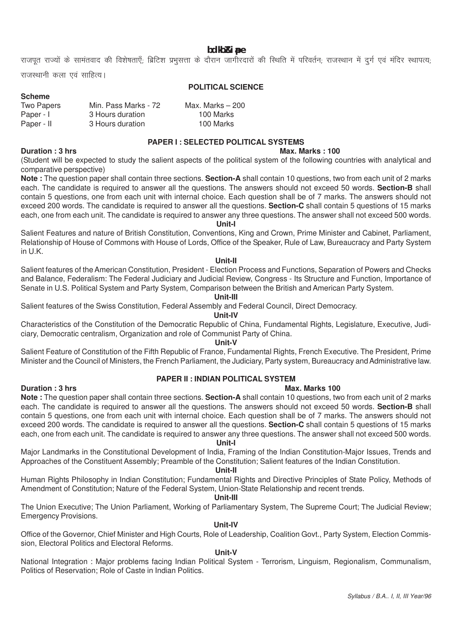**bdkbZ&iape**

राजपूत राज्यों के सामंतवाद की विशेषताएँ; ब्रिटिश प्रभुसत्ता के दौरान जागीरदारों की स्थिति में परिवर्तन; राजस्थान में दुर्ग एवं मंदिर स्थापत्य;

राजस्थानी कला एवं साहित्य।

**Scheme**

#### **POLITICAL SCIENCE**

| Min. Pass Marks - 72 | Max. Marks $-200$ |
|----------------------|-------------------|
| 3 Hours duration     | 100 Marks         |
| 3 Hours duration     | 100 Marks         |
|                      |                   |

#### **PAPER I : SELECTED POLITICAL SYSTEMS**

#### **Duration : 3 hrs Max. Marks : 100 Max. Marks : 100**

(Student will be expected to study the salient aspects of the political system of the following countries with analytical and comparative perspective)

**Note :** The question paper shall contain three sections. **Section-A** shall contain 10 questions, two from each unit of 2 marks each. The candidate is required to answer all the questions. The answers should not exceed 50 words. **Section-B** shall contain 5 questions, one from each unit with internal choice. Each question shall be of 7 marks. The answers should not exceed 200 words. The candidate is required to answer all the questions. **Section-C** shall contain 5 questions of 15 marks each, one from each unit. The candidate is required to answer any three questions. The answer shall not exceed 500 words.

#### **Unit-I**

Salient Features and nature of British Constitution, Conventions, King and Crown, Prime Minister and Cabinet, Parliament, Relationship of House of Commons with House of Lords, Office of the Speaker, Rule of Law, Bureaucracy and Party System in U.K.

#### **Unit-II**

Salient features of the American Constitution, President - Election Process and Functions, Separation of Powers and Checks and Balance, Federalism: The Federal Judiciary and Judicial Review, Congress - Its Structure and Function, Importance of Senate in U.S. Political System and Party System, Comparison between the British and American Party System.

**Unit-III**

Salient features of the Swiss Constitution, Federal Assembly and Federal Council, Direct Democracy.

#### **Unit-IV**

Characteristics of the Constitution of the Democratic Republic of China, Fundamental Rights, Legislature, Executive, Judiciary, Democratic centralism, Organization and role of Communist Party of China.

#### **Unit-V**

Salient Feature of Constitution of the Fifth Republic of France, Fundamental Rights, French Executive. The President, Prime Minister and the Council of Ministers, the French Parliament, the Judiciary, Party system, Bureaucracy and Administrative law.

### **PAPER II : INDIAN POLITICAL SYSTEM**

#### **Duration : 3 hrs** Max. Marks 100

**Note :** The question paper shall contain three sections. **Section-A** shall contain 10 questions, two from each unit of 2 marks each. The candidate is required to answer all the questions. The answers should not exceed 50 words. **Section-B** shall contain 5 questions, one from each unit with internal choice. Each question shall be of 7 marks. The answers should not exceed 200 words. The candidate is required to answer all the questions. **Section-C** shall contain 5 questions of 15 marks each, one from each unit. The candidate is required to answer any three questions. The answer shall not exceed 500 words.

# **Unit-I**

Major Landmarks in the Constitutional Development of India, Framing of the Indian Constitution-Major Issues, Trends and Approaches of the Constituent Assembly; Preamble of the Constitution; Salient features of the Indian Constitution.

#### **Unit-II**

Human Rights Philosophy in Indian Constitution; Fundamental Rights and Directive Principles of State Policy, Methods of Amendment of Constitution; Nature of the Federal System, Union-State Relationship and recent trends.

#### **Unit-III**

The Union Executive; The Union Parliament, Working of Parliamentary System, The Supreme Court; The Judicial Review; Emergency Provisions.

#### **Unit-IV**

Office of the Governor, Chief Minister and High Courts, Role of Leadership, Coalition Govt., Party System, Election Commission, Electoral Politics and Electoral Reforms.

# **Unit-V**

National Integration : Major problems facing Indian Political System - Terrorism, Linguism, Regionalism, Communalism, Politics of Reservation; Role of Caste in Indian Politics.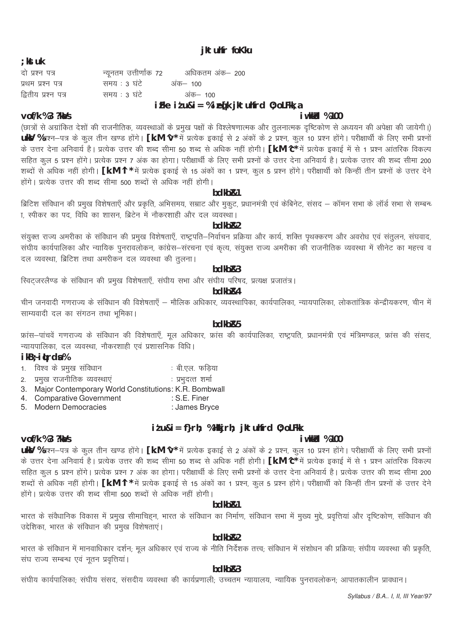# jktuhfr foKku

# $:$  kst uk

| दो प्रश्न पत्र      |              | न्यूनतम उत्तीर्णांक 72     अधिकतम अंक– 200 |  |
|---------------------|--------------|--------------------------------------------|--|
| प्रथम प्रश्न पत्र   | समय : ३ घंटे | अक— १००                                    |  |
| द्वितीय प्रश्न पत्र | समय : 3 घंटे | अंक– 100                                   |  |
|                     |              | the things of the search than the search   |  |

# iFke  $i$  t u&i = % i eq[k jkt uhfrd 0; oLFkk, a

# i wkkid %100

# $\text{vol}/k$  % 3 ?ka/s

(छात्रों से अग्रांकित देशों की राजनीतिक, व्यवस्थाओं के प्रमुख पक्षों के विश्लेषणात्मक और तुलनात्मक दृष्टिकोण से अध्ययन की अपेक्षा की जायेगी।) UkV %प्रश्न–पत्र के कूल तीन खण्ड होंगे। [k.M ∿\* में प्रत्येक इकाई से 2 अंकों के 2 प्रश्न, कूल 10 प्रश्न होंगे। परीक्षार्थी के लिए सभी प्रश्नों के उत्तर देना अनिवार्य है। प्रत्येक उत्तर की शब्द सीमा 50 शब्द से अधिक नहीं होगी। [k.M ^c\* में प्रत्येक इकाई में से 1 प्रश्न आंतरिक विकल्प सहित कुल 5 प्रश्न होंगे। प्रत्येक प्रश्न 7 अंक का होगा। परीक्षार्थी के लिए सभी प्रश्नों के उत्तर देना अनिवार्य है। प्रत्येक उत्तर की शब्द सीमा 200 शब्दों से अधिक नहीं होगी। **[k.M ^|\*** में प्रत्येक इकाई से 15 अंकों का 1 प्रश्न, कूल 5 प्रश्न होंगे। परीक्षार्थी को किन्हीं तीन प्रश्नों के उत्तर देने होंगे। प्रत्येक उत्तर की शब्द सीमा 500 शब्दों से अधिक नहीं होगी।

# $hdkhR1$

ब्रिटिश संविधान की प्रमुख विशेषताएँ और प्रकृति, अभिसमय, सम्राट और मुकुट, प्रधानमंत्री एवं केबिनेट, संसद – कॉमन सभा के लॉर्ड सभा से सम्बन्ध ा, स्पीकर का पद, विधि का शासन, ब्रिटेन में नौकरशाही और दल व्यवस्था।

# hdkh<sub>R2</sub>

संयुक्त राज्य अमरीका के संविधान की प्रमुख विशेषताएँ, राष्ट्रपति–निर्वाचन प्रक्रिया और कार्य, शक्ति पृथक्करण और अवरोध एवं संतुलन, संघवाद, संघीय कार्यपालिका और न्यायिक पुनरावलोकन, कांग्रेस-सरचना एवं कृत्य, संयुक्त राज्य अमरीका की राजनीतिक व्यवस्था में सीनेट का महत्त्व व दल व्यवस्था, ब्रिटिश तथा अमरीकन दल व्यवस्था की तुलना।

# bdkb<sub>R3</sub>

स्विट्जरलैण्ड के संविधान की प्रमुख विशेषताएँ, संघीय सभा और संघीय परिषद, प्रत्यक्ष प्रजातंत्र।

# bdkb<sub>R4</sub>

चीन जनवादी गणराज्य के संविधान की विशेषताएँ – मौलिक अधिकार, व्यवस्थापिका, कार्यपालिका, न्यायपालिका, लोकतांत्रिक केन्द्रीयकरण, चीन में साम्यवादी दल का संगठन तथा भूमिका।

# hdkh<sub>R5</sub>

फ्रांस-पांचवें गणराज्य के संविधान की विशेषताएँ, मूल अधिकार, फ्रांस की कार्यपालिका, राष्ट्रपति, प्रधानमंत्री एवं मंत्रिमण्डल, फ्रांस की संसद, न्यायपालिका, दल व्यवस्था, नौकरशाही एवं प्रशासनिक विधि।

# ikB<sub>2</sub> itrda%

vof/k %3 ?ka/s

- 1. विश्व के प्रमुख संविधान : बी.एल. फडिया
- 2. प्रमख राजनीतिक व्यवस्थाएं : प्रभदत्त शर्मा
- 3. Major Contemporary World Constitutions: K.R. Bombwall
- 4. Comparative Government : S.E. Finer
- 5. Modern Democracies : James Bryce

# itu&i= f}rh; %Hkkjrh; jktuhfrd 0; oLFkk

# *i* wkkld %100

ukV %प्रश्न-पत्र के कुल तीन खण्ड होंगे। [k.M ^v\* में प्रत्येक इकाई से 2 अंकों के 2 प्रश्न, कुल 10 प्रश्न होंगे। परीक्षार्थी के लिए सभी प्रश्नों के उत्तर देना अनिवार्य है। प्रत्येक उत्तर की शब्द सीमा 50 शब्द से अधिक नहीं होगी। **[k.M ^c**\* में प्रत्येक इकाई में से 1 प्रश्न आंतरिक विकल्प सहित कुल 5 प्रश्न होंगे। प्रत्येक प्रश्न 7 अंक का होगा। परीक्षार्थी के लिए सभी प्रश्नों के उत्तर देना अनिवार्य है। प्रत्येक उत्तर की शब्द सीमा 200 शब्दों से अधिक नहीं होगी। [k.M ^l \* में प्रत्येक इकाई से 15 अंकों का 1 प्रश्न, कुल 5 प्रश्न होंगे। परीक्षार्थी को किन्हीं तीन प्रश्नों के उत्तर देने होंगे। प्रत्येक उत्तर की शब्द सीमा 500 शब्दों से अधिक नहीं होगी।

# bdkb<sub>R1</sub>

भारत के संवैधानिक विकास में प्रमुख सीमाचिहन, भारत के संविधान का निर्माण, संविधान सभा में मुख्य मुद्दे, प्रवृत्तियां और दृष्टिकोण, संविधान की उद्देशिका, भारत के संविधान की प्रमुख विशेषताएं।

# hdkh<sub>R2</sub>

भारत के संविधान में मानवाधिकार दर्शन; मूल अधिकार एवं राज्य के नीति निर्देशक तत्त्व; संविधान में संशोधन की प्रक्रिया; संघीय व्यवस्था की प्रकृति, संघ राज्य सम्बन्ध एवं नृतन प्रवृत्तियां।

# bdkb<sub>R3</sub>

संघीय कार्यपालिकाः संघीय संसद, संसदीय व्यवस्था की कार्यप्रणालीः उच्चतम न्यायालय, न्यायिक पनरावलोकनः आपातकालीन प्रावधान।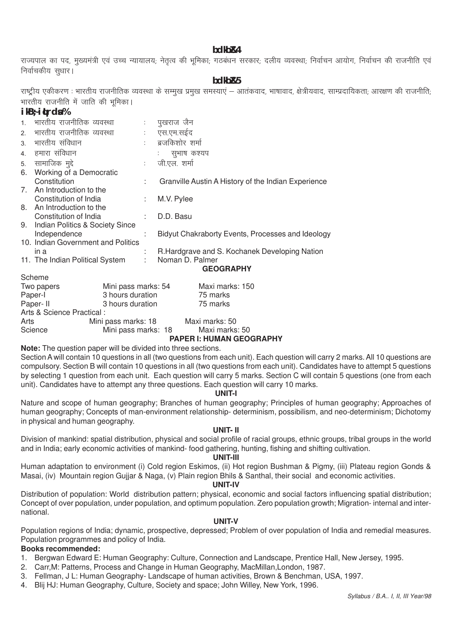# **bdkbZ&4**

राज्यपाल का पद. मख्यमंत्री एवं उच्च न्यायालय: नेतत्व की भमिका: गठबंधन सरकार: दलीय व्यवस्था: निर्वाचन आयोग, निर्वाचन की राजनीति एवं निर्वाचकीय सुधार।

**bdkbZ&5**

राष्ट्रीय एकीकरण : भारतीय राजनीतिक व्यवस्था के सम्मख प्रमख समस्याएं — आतंकवाद, भाषावाद, क्षेत्रीयवाद, साम्प्रदायिकता: आरक्षण की राजनीति: भारतीय राजनीति में जाति की भमिका।

# **ikB~;iqLrdsa %**

|                | $1 N D$ , $1 N I$ $2 N I$          |       |                                                     |
|----------------|------------------------------------|-------|-----------------------------------------------------|
|                | 1.   भारतीय राजनीतिक व्यवस्था      | ÷     | पुखराज जैन                                          |
| 2 <sup>1</sup> | भारतीय राजनीतिक व्यवस्था           |       | एस.एम.सईद                                           |
| 3 <sub>l</sub> | भारतीय संविधान                     | tion. | ब्रजकिशोर शर्मा                                     |
|                | 4. हमारा संविधान                   |       | सुभाष कश्यप                                         |
|                | 5. सामाजिक मुद्दे                  | ÷.    | जी.एल. शर्मा                                        |
|                | 6. Working of a Democratic         |       |                                                     |
|                | Constitution                       | ÷     | Granville Austin A History of the Indian Experience |
|                | 7. An Introduction to the          |       |                                                     |
|                | Constitution of India              | ÷     | M.V. Pylee                                          |
|                | 8. An Introduction to the          |       |                                                     |
|                | Constitution of India              |       | D.D. Basu                                           |
|                | 9. Indian Politics & Society Since |       |                                                     |
|                | Independence                       |       | Bidyut Chakraborty Events, Processes and Ideology   |
|                | 10. Indian Government and Politics |       |                                                     |
|                | in a                               |       | R. Hardgrave and S. Kochanek Developing Nation      |
|                | 11. The Indian Political System    | ÷     | Noman D. Palmer                                     |
|                |                                    |       | <b>GEOGRAPHY</b>                                    |
|                | Scheme                             |       |                                                     |
|                | Mini pass marks: 54<br>Two papers  |       | Maxi marks: 150                                     |

| Two papers                | Mini pass marks: 54 | Maxi marks: 150 |
|---------------------------|---------------------|-----------------|
| Paper-I                   | 3 hours duration    | 75 marks        |
| Paper-II                  | 3 hours duration    | 75 marks        |
| Arts & Science Practical: |                     |                 |
| Arts                      | Mini pass marks: 18 | Maxi marks: 50  |
| Science                   | Mini pass marks: 18 | Maxi marks: 50  |
|                           |                     |                 |

**PAPER I: HUMAN GEOGRAPHY**

**Note:** The question paper will be divided into three sections.

Section A will contain 10 questions in all (two questions from each unit). Each question will carry 2 marks. All 10 questions are compulsory. Section B will contain 10 questions in all (two questions from each unit). Candidates have to attempt 5 questions by selecting 1 question from each unit. Each question will carry 5 marks. Section C will contain 5 questions (one from each unit). Candidates have to attempt any three questions. Each question will carry 10 marks.

#### **UNIT-I**

Nature and scope of human geography; Branches of human geography; Principles of human geography; Approaches of human geography; Concepts of man-environment relationship- determinism, possibilism, and neo-determinism; Dichotomy in physical and human geography.

#### **UNIT- II**

Division of mankind: spatial distribution, physical and social profile of racial groups, ethnic groups, tribal groups in the world and in India; early economic activities of mankind- food gathering, hunting, fishing and shifting cultivation.

#### **UNIT-III**

Human adaptation to environment (i) Cold region Eskimos, (ii) Hot region Bushman & Pigmy, (iii) Plateau region Gonds & Masai, (iv) Mountain region Gujjar & Naga, (v) Plain region Bhils & Santhal, their social and economic activities.

#### **UNIT-IV**

Distribution of population: World distribution pattern; physical, economic and social factors influencing spatial distribution; Concept of over population, under population, and optimum population. Zero population growth; Migration- internal and international.

#### **UNIT-V**

Population regions of India; dynamic, prospective, depressed; Problem of over population of India and remedial measures. Population programmes and policy of India.

# **Books recommended:**

- 1. Bergwan Edward E: Human Geography: Culture, Connection and Landscape, Prentice Hall, New Jersey, 1995.
- 2. Carr,M: Patterns, Process and Change in Human Geography, MacMillan,London, 1987.
- 3. Fellman, J L: Human Geography- Landscape of human activities, Brown & Benchman, USA, 1997.
- 4. Blij HJ: Human Geography, Culture, Society and space; John Willey, New York, 1996.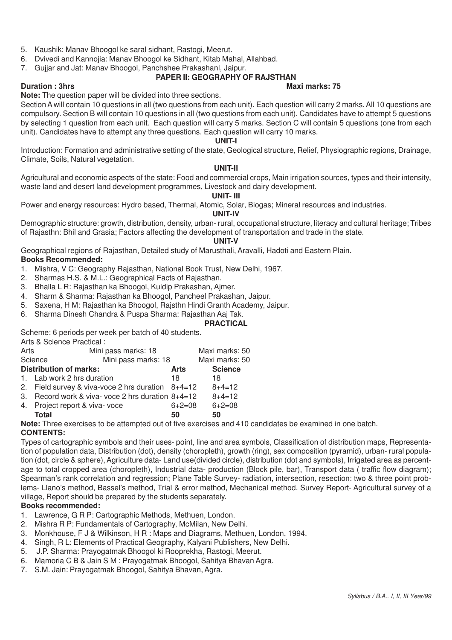- 5. Kaushik: Manav Bhoogol ke saral sidhant, Rastogi, Meerut.
- 6. Dvivedi and Kannojia: Manav Bhoogol ke Sidhant, Kitab Mahal, Allahbad.
- 7. Gujjar and Jat: Manav Bhoogol, Panchshee Prakashanl, Jaipur.

# **PAPER II: GEOGRAPHY OF RAJSTHAN**

#### **Duration : 3hrs Maximus Maximus Maximus Maximus Maximus Maximus Maximus Maximus Maximus Maximus Maximus Maximus Maximus Maximus Maximus Maximus Maximus Maximus Maximus Maximus Maximus Maximus Maximus Maximus Maximus Maxim**

**Note:** The question paper will be divided into three sections.

Section A will contain 10 questions in all (two questions from each unit). Each question will carry 2 marks. All 10 questions are compulsory. Section B will contain 10 questions in all (two questions from each unit). Candidates have to attempt 5 questions by selecting 1 question from each unit. Each question will carry 5 marks. Section C will contain 5 questions (one from each unit). Candidates have to attempt any three questions. Each question will carry 10 marks.

#### **UNIT-I**

Introduction: Formation and administrative setting of the state, Geological structure, Relief, Physiographic regions, Drainage, Climate, Soils, Natural vegetation.

#### **UNIT-II**

Agricultural and economic aspects of the state: Food and commercial crops, Main irrigation sources, types and their intensity, waste land and desert land development programmes, Livestock and dairy development.

#### **UNIT- III**

Power and energy resources: Hydro based, Thermal, Atomic, Solar, Biogas; Mineral resources and industries.

#### **UNIT-IV**

Demographic structure: growth, distribution, density, urban- rural, occupational structure, literacy and cultural heritage; Tribes of Rajasthn: Bhil and Grasia; Factors affecting the development of transportation and trade in the state.

# **UNIT-V**

Geographical regions of Rajasthan, Detailed study of Marusthali, Aravalli, Hadoti and Eastern Plain. **Books Recommended:**

1. Mishra, V C: Geography Rajasthan, National Book Trust, New Delhi, 1967.

- 2. Sharmas H.S. & M.L.: Geographical Facts of Rajasthan.
- 3. Bhalla L R: Rajasthan ka Bhoogol, Kuldip Prakashan, Ajmer.
- 4. Sharm & Sharma: Rajasthan ka Bhoogol, Pancheel Prakashan, Jaipur.
- 5. Saxena, H M: Rajasthan ka Bhoogol, Rajsthn Hindi Granth Academy, Jaipur.
- 6. Sharma Dinesh Chandra & Puspa Sharma: Rajasthan Aaj Tak.

# **PRACTICAL**

Scheme: 6 periods per week per batch of 40 students.

| Arts & Science Practical: |  |
|---------------------------|--|
|---------------------------|--|

| Arts | Mini pass marks: 18                                 |          | Maxi marks: 50 |
|------|-----------------------------------------------------|----------|----------------|
|      | Mini pass marks: 18<br>Science                      |          | Maxi marks: 50 |
|      | <b>Distribution of marks:</b>                       | Arts     | <b>Science</b> |
|      | 1. Lab work 2 hrs duration                          | 18       | 18             |
|      | 2. Field survey & viva-voce 2 hrs duration $8+4=12$ |          | $8+4=12$       |
|      | 3. Record work & viva- voce 2 hrs duration 8+4=12   |          | $8+4=12$       |
|      | 4. Project report & viva-voce                       | $6+2=08$ | $6+2=08$       |
|      | Total                                               | 50       | 50             |

**Note:** Three exercises to be attempted out of five exercises and 410 candidates be examined in one batch.

# **CONTENTS:**

Types of cartographic symbols and their uses- point, line and area symbols, Classification of distribution maps, Representation of population data, Distribution (dot), density (choropleth), growth (ring), sex composition (pyramid), urban- rural population (dot, circle & sphere), Agriculture data- Land use(divided circle), distribution (dot and symbols), Irrigated area as percentage to total cropped area (choropleth), Industrial data- production (Block pile, bar), Transport data ( traffic flow diagram); Spearman's rank correlation and regression; Plane Table Survey- radiation, intersection, resection: two & three point problems- Llano's method, Bassel's method, Trial & error method, Mechanical method. Survey Report- Agricultural survey of a village, Report should be prepared by the students separately.

### **Books recommended:**

- 1. Lawrence, G R P: Cartographic Methods, Methuen, London.
- 2. Mishra R P: Fundamentals of Cartography, McMilan, New Delhi.
- 3. Monkhouse, F J & Wilkinson, H R : Maps and Diagrams, Methuen, London, 1994.
- 4. Singh, R L: Elements of Practical Geography, Kalyani Publishers, New Delhi.
- 5. J.P. Sharma: Prayogatmak Bhoogol ki Rooprekha, Rastogi, Meerut.
- 6. Mamoria C B & Jain S M : Prayogatmak Bhoogol, Sahitya Bhavan Agra.
- 7. S.M. Jain: Prayogatmak Bhoogol, Sahitya Bhavan, Agra.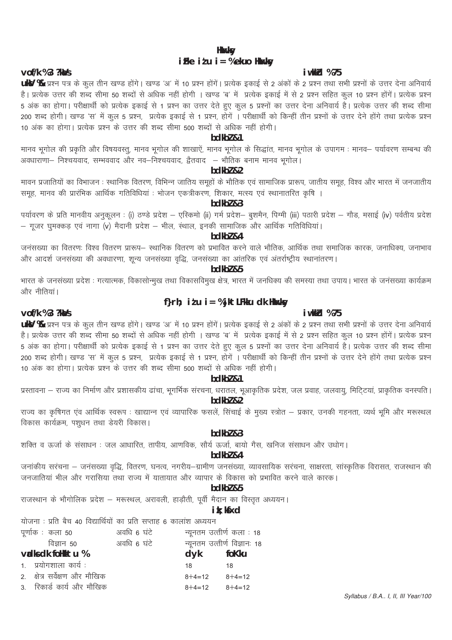# **Hkukksv** iFke  $i$  t  $u$  i = % ekuo Hkuxksy

### i wkkid %75

UKY % प्रश्न पत्र के कूल तीन खण्ड होंगे। खण्ड 'अ' में 10 प्रश्न होंगें। प्रत्येक इकाई से 2 अंकों के 2 प्रश्न तथा सभी प्रश्नों के उत्तर देना अनिवार्य .<br>है। प्रत्येक उत्तर की शब्द सीमा 50 शब्दों से अधिक नहीं होगी । खण्ड 'ब' में प्रत्येक इकाई में से 2 प्रश्न सहित कुल 10 प्रश्न होंगें। प्रत्येक प्रश्न 5 अंक का होगा। परीक्षार्थी को प्रत्येक इकाई से 1 प्रश्न का उत्तर देते हुए कुल 5 प्रश्नों का उत्तर देना अनिवार्य है। प्रत्येक उत्तर की शब्द सीमा 200 शब्द होगी। खण्ड 'स' में कूल 5 प्रश्न, प्रत्येक इकाई से 1 प्रश्न, होगें । परीक्षार्थी को किन्हीं तीन प्रश्नों के उत्तर देने होंगे तथा प्रत्येक प्रश्न 10 अंक का होगा। प्रत्येक प्रश्न के उत्तर की शब्द सीमा 500 शब्दों से अधिक नहीं होगी।

# $hdkh$ <sub>7</sub> $k1$

मानव भूगोल की प्रकृति और विषयवस्तू, मानव भूगोल की शाखाऐं, मानव भूगोल के सिद्धांत, मानव भूगोल के उपागम : मानव– पर्यावरण सम्बन्ध की ...<br>अवधाराणा— निश्चयवाद, सम्भववाद और नव—निश्चयवाद, द्वैतवाद — भौतिक बनाम मानव भूगोल।

# bdkbl &2

मावन प्रजातियों का विभाजन : स्थानिक वितरण, विभिन्न जातिय समूहों के भौतिक एवं सामाजिक प्रारूप, जातीय समूह, विश्व और भारत में जनजातीय समूह, मानव की प्रारंभिक आर्थिक गतिविधियां : भोजन एकत्रीकरण, शिकार, मत्स्य एवं स्थानातरित कृषि ।

bdkbl &3

पर्यावरण के प्रति मानवीय अनुकूलन : (i) ठण्डे प्रदेश – एस्किमो (ii) गर्म प्रदेश– बूशमैन, पिग्मी (iii) पठारी प्रदेश – गौड, मसाई (iv) पर्वतीय प्रदेश – गूजर घुमक्कड़ एवं नागा (v) मैदानी प्रदेश – भील, स्थाल, इनकी सामाजिक और आर्थिक गतिविधियां।

#### bdkbl &4

जनसंख्या का वितरणः विश्व वितरण प्रारूप– स्थानिक वितरण को प्रभावित करने वाले भौतिक, आर्थिक तथा समाजिक कारक, जनाधिक्य, जनाभाव और आदर्श जनसंख्या की अवधारणा, शून्य जनसंख्या वृद्धि, जनसंख्या का आंतरिक एवं अंतर्राष्ट्रीय स्थानांतरण।

# bdkbl &5

भारत के जनसंख्या प्रदेश : गत्यात्मक, विकासोन्मख तथा विकासविमख क्षेत्र, भारत में जनधिक्य की समस्या तथा उपाय। भारत के जनसंख्या कार्यक्रम और नीतियां।

# f}rh; itu i = %jktLFkku dk Hkmxky

# i wkkid %75

# $v$ of/k %3 ?ka/s

vof/k %3 ?ka/s

UkV % प्रश्न पत्र के कूल तीन खण्ड होंगे। खण्ड 'अ' में 10 प्रश्न होंगें। प्रत्येक इकाई से 2 अंकों के 2 प्रश्न तथा सभी प्रश्नों के उत्तर देना अनिवार्य है। प्रत्येक उत्तर की शब्द सीमा 50 शब्दों से अधिक नहीं होगी । खण्ड 'ब' में प्रत्येक इकाई में से 2 प्रश्न सहित कुल 10 प्रश्न होंगें। प्रत्येक प्रश्न 5 अंक का होगा। परीक्षार्थी को प्रत्येक इकाई से 1 प्रश्न का उत्तर देते हुए कुल 5 प्रश्नों का उत्तर देना अनिवार्य है। प्रत्येक उत्तर की शब्द सीमा 200 शब्द होगी। खण्ड 'स' में कूल 5 प्रश्न, प्रत्येक इकाई से 1 प्रश्न, होगें । परीक्षार्थी को किन्हीं तीन प्रश्नों के उत्तर देने होंगे तथा प्रत्येक प्रश्न 10 अंक का होगा। प्रत्येक प्रश्न के उत्तर की शब्द सीमा 500 शब्दों से अधिक नहीं होगी।

# $hdkh$ <sub>7</sub> $k1$

प्रस्तावना – राज्य का निर्माण और प्रशासकीय ढांचा, भूगर्भिक संरचना, धरातल, भूआकृतिक प्रदेश, जल प्रवाह, जलवायु, मिटि्टयां, प्राकृतिक वनस्पति । bdkbl &2

राज्य का कृषिगत एव आर्थिक स्वरूप : खाद्यान्न एवं व्यापारिक फसलें, सिंचाई के मुख्य स्त्रोत – प्रकार, उनकी गहनता, व्यर्थ भूमि और मरूस्थल विकास कार्यक्रम, पशुधन तथा डेयरी विकास।

# $hdkh$  $l$   $R$  $3$

शक्ति व ऊर्जा के संसाधन : जल आधारित, तापीय, आणविक, सौर्य ऊर्जा, बायो गैस, खनिज संसाधन और उधोग।

# bdkbl &4

जनांकीय सरंचना – जनसंख्या वृद्धि, वितरण, घनत्व, नगरीय–ग्रामीण जनसंख्या, व्यावसायिक सरंचना, साक्षरता, सांस्कृतिक विरासत, राजस्थान की जनजातियां भील और गरासिया तथा राज्य में यातायात और व्यापार के विकास को प्रभावित करने वाले कारक।

# $hdkh$  $2.5$

राजस्थान के भौगोलिक प्रदेश – मरूस्थल, अरावली, हाड़ौती, पूर्वी मैदान का विस्तृत अध्ययन।

# ik; kfxd

योजना: प्रति बैच 40 विद्यार्थियों का प्रति सप्ताह 6 कालांश अध्ययन

| पूर्णाक : कला 50              | अवधि 6 घंटे | न्यूनतम उत्तीर्ण कला : 18 |                              |
|-------------------------------|-------------|---------------------------|------------------------------|
| विज्ञान ५०                    | अवधि 6 घंटे |                           | न्यूनतम उत्तीर्ण विज्ञानः 18 |
| vadks dk folkktu %            |             | dyk foKku                 |                              |
| 1. प्रयोगशाला कार्य :         |             | 18                        | 18                           |
| 2. क्षेत्र सर्वेक्षण और मौखिक |             | $8+4=12$ $8+4=12$         |                              |
| 3. रिकार्ड कार्य और मौखिक     |             | $8+4=12$ $8+4=12$         |                              |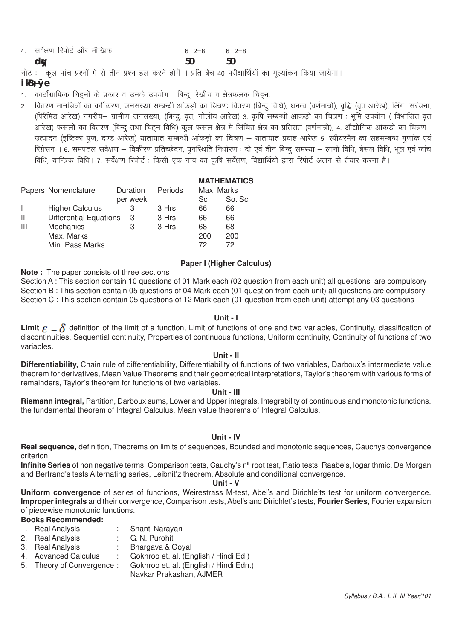| $d_{\mathbf{W}}$              | 50    | 50      |  |
|-------------------------------|-------|---------|--|
| 4. सर्वेक्षण रिपोर्ट और मौखिक | 6+2=8 | $6+2=8$ |  |

नोट :- कुल पांच प्रश्नों में से तीन प्रश्न हल करने होगें । प्रति बैच 40 परीक्षार्थियों का मूल्यांकन किया जायेगा।

# $ikB:Øe$

- 1. कार्टोग्राफिक चिह्नों के प्रकार व उनके उपयोग– बिन्दु, रेखीय व क्षेत्रफलक चिह्न,
- 2. वितरण मानचित्रों का वर्गीकरण, जनसंख्या सम्बन्धी आंकड़ो का चित्रण: वितरण (बिन्द विधि), घनत्व (वर्णमात्री), वद्धि (वत आरेख), लिंग–सरचना, ्षिरैमिड आरेख) नगरीय– ग्रामीण जनसंख्या, (बिन्दू, वृत, गोलीय आरेख) 3. कृषि सम्बन्धी आंकडों का चित्रण : भूमि उपयोग ( विभाजित वृत) आरेख) फसलों का वितरण (बिन्दू तथा चिहन विधि) कूल फसल क्षेत्र में सिचित क्षेत्र का प्रतिशत (वर्णमात्री), 4. औद्योगिक आंकडो का चित्रण– .<br>उत्पादन (इष्टिका पुज, दण्ड आरेख) यातायात सम्बन्धी आंकडो का चित्रण – यातायात प्रवाह आरेख 5. स्पीयरमैन का सहसम्बन्ध गुणांक एवं .<br>रिग्रेसन । 6. समपटल सर्वेक्षण – विकीरण प्रतिच्छेदन, पुनस्थिति निर्धारण : दो एवं तीन बिन्दू समस्या – लानो विधि, बेसल विधि, भूल एवं जांच विधि, यान्त्रिक विधि। 7. सर्वेक्षण रिपोर्ट : किसी एक गांव का कृषि सर्वेक्षण, विद्यार्थियों द्वारा रिपोर्ट अलग से तैयार करना है।

|                        |   |                                                       |            | <b>MATHEMATICS</b> |
|------------------------|---|-------------------------------------------------------|------------|--------------------|
| Papers Nomenclature    |   | Periods                                               | Max. Marks |                    |
|                        |   |                                                       | Sc         | So. Sci            |
| <b>Higher Calculus</b> | 3 | 3 Hrs.                                                | 66         | 66                 |
|                        | 3 | 3 Hrs.                                                | 66         | 66                 |
| <b>Mechanics</b>       | 3 | 3 Hrs.                                                | 68         | 68                 |
| Max. Marks             |   |                                                       | 200        | 200                |
| Min. Pass Marks        |   |                                                       | 72         | 72                 |
|                        |   | Duration<br>per week<br><b>Differential Equations</b> |            |                    |

#### **Paper I (Higher Calculus)**

**Note:** The paper consists of three sections

Section A: This section contain 10 questions of 01 Mark each (02 question from each unit) all questions are compulsory Section B : This section contain 05 questions of 04 Mark each (01 question from each unit) all questions are compulsory Section C : This section contain 05 questions of 12 Mark each (01 question from each unit) attempt any 03 questions

#### Unit - I

Limit  $\varepsilon - \delta$  definition of the limit of a function, Limit of functions of one and two variables, Continuity, classification of discontinuities, Sequential continuity, Properties of continuous functions, Uniform continuity, Continuity of functions of two variables.

#### Unit - II

Differentiability, Chain rule of differentiability, Differentiability of functions of two variables, Darboux's intermediate value theorem for derivatives, Mean Value Theorems and their geometrical interpretations, Taylor's theorem with various forms of remainders, Taylor's theorem for functions of two variables.

#### Unit - III

Riemann integral, Partition, Darboux sums, Lower and Upper integrals, Integrability of continuous and monotonic functions. the fundamental theorem of Integral Calculus, Mean value theorems of Integral Calculus.

# Unit - IV

Real sequence, definition, Theorems on limits of sequences, Bounded and monotonic sequences, Cauchys convergence criterion.

Infinite Series of non negative terms, Comparison tests, Cauchy's n<sup>th</sup> root test, Ratio tests, Raabe's, logarithmic, De Morgan and Bertrand's tests Alternating series, Leibnit'z theorem, Absolute and conditional convergence.

#### Unit - V

Uniform convergence of series of functions, Weirestrass M-test, Abel's and Dirichle'ts test for uniform convergence. Improper integrals and their convergence, Comparison tests, Abel's and Dirichlet's tests, Fourier Series, Fourier expansion of piecewise monotonic functions.

# **Books Recommended:**

- 1. Real Analysis Shanti Naravan
- 2. Real Analysis : G. N. Purohit
- 3. Real Analysis : Bhargava & Goyal
- 4. Advanced Calculus Gokhroo et. al. (English / Hindi Ed.)  $\sim 100$
- Gokhroo et. al. (English / Hindi Edn.) 5. Theory of Convergence:
	- Navkar Prakashan, AJMER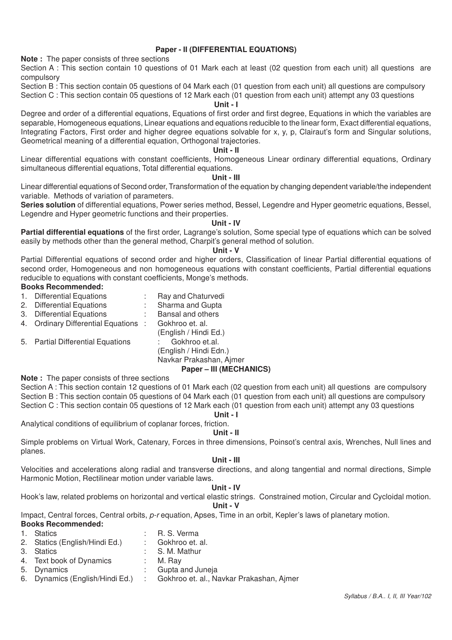# **Paper - II (DIFFERENTIAL EQUATIONS)**

**Note :** The paper consists of three sections

Section A : This section contain 10 questions of 01 Mark each at least (02 question from each unit) all questions are compulsory

Section B : This section contain 05 questions of 04 Mark each (01 question from each unit) all questions are compulsory

Section C : This section contain 05 questions of 12 Mark each (01 question from each unit) attempt any 03 questions **Unit - I**

Degree and order of a differential equations, Equations of first order and first degree, Equations in which the variables are separable, Homogeneous equations, Linear equations and equations reducible to the linear form, Exact differential equations, Integrating Factors, First order and higher degree equations solvable for x, y, p, Clairaut's form and Singular solutions, Geometrical meaning of a differential equation, Orthogonal trajectories.

#### **Unit - II**

Linear differential equations with constant coefficients, Homogeneous Linear ordinary differential equations, Ordinary simultaneous differential equations, Total differential equations.

#### **Unit - III**

Linear differential equations of Second order, Transformation of the equation by changing dependent variable/the independent variable. Methods of variation of parameters.

**Series solution** of differential equations, Power series method, Bessel, Legendre and Hyper geometric equations, Bessel, Legendre and Hyper geometric functions and their properties.

#### **Unit - IV**

**Partial differential equations** of the first order, Lagrange's solution, Some special type of equations which can be solved easily by methods other than the general method, Charpit's general method of solution.

#### **Unit - V**

Partial Differential equations of second order and higher orders, Classification of linear Partial differential equations of second order, Homogeneous and non homogeneous equations with constant coefficients, Partial differential equations reducible to equations with constant coefficients, Monge's methods.

#### **Books Recommended:**

- 1. Differential Equations : Ray and Chaturvedi
- 2. Differential Equations : Sharma and Gupta<br>3. Differential Equations : Bansal and others
- 3. Differential Equations : Bansal and oth<br>4. Ordinary Differential Equations : Gokhroo et. al.
- 4. Ordinary Differential Equations :
- 5. Partial Differential Equations : Gokhroo et.al.

(English / Hindi Ed.) (English / Hindi Edn.)

#### Navkar Prakashan, Ajmer **Paper – III (MECHANICS)**

### **Note :** The paper consists of three sections

Section A : This section contain 12 questions of 01 Mark each (02 question from each unit) all questions are compulsory Section B : This section contain 05 questions of 04 Mark each (01 question from each unit) all questions are compulsory Section C : This section contain 05 questions of 12 Mark each (01 question from each unit) attempt any 03 questions

#### **Unit - I**

Analytical conditions of equilibrium of coplanar forces, friction.

**Unit - II**

Simple problems on Virtual Work, Catenary, Forces in three dimensions, Poinsot's central axis, Wrenches, Null lines and planes.

#### **Unit - III**

Velocities and accelerations along radial and transverse directions, and along tangential and normal directions, Simple Harmonic Motion, Rectilinear motion under variable laws.

#### **Unit - IV**

Hook's law, related problems on horizontal and vertical elastic strings. Constrained motion, Circular and Cycloidal motion. **Unit - V**

Impact, Central forces, Central orbits, *p-r* equation, Apses, Time in an orbit, Kepler's laws of planetary motion.

### **Books Recommended:**

| 1. Statics                     | : R. S. Verma       |
|--------------------------------|---------------------|
| 2. Statics (English/Hindi Ed.) | : Gokhroo et. al.   |
| 3. Statics                     | : S. M. Mathur      |
| 4. Text book of Dynamics       | $\therefore$ M. Ray |

- 
- 5. Dynamics : Gupta and Juneja
- 6. Dynamics (English/Hindi Ed.) : Gokhroo et. al., Navkar Prakashan, Ajmer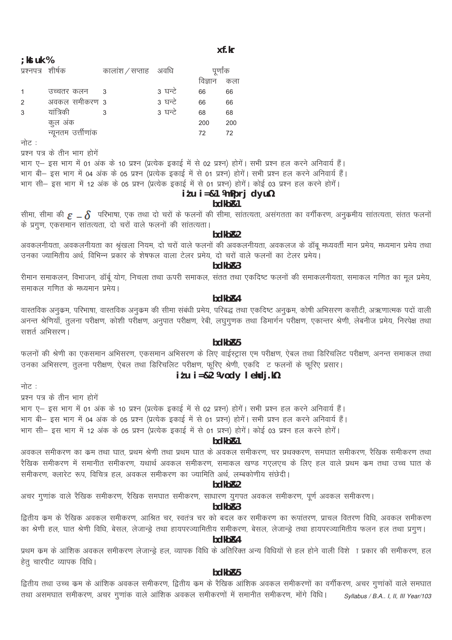#### xf.kr

|     |      | 07 |  |
|-----|------|----|--|
| KSI | r uk |    |  |

प्रश्नपत्र शीर्षक कालांश / सप्ताह अवधि पूर्णांक विज्ञान कला उच्चतर कलन - 3 3 घन्टे 66 66  $\overline{1}$ अवकल समीकरण 3 3 घन्टे  $\mathcal{D}$ 66 66 यांत्रिकी 3 घन्टे  $\overline{3}$ 68 68  $\mathbf{\hat{z}}$ कुल अंक 200 200

नोट :

प्रश्न पत्र के तीन भाग होगें

न्यूनतम उर्त्तीणांक

भाग ए– इस भाग में 01 अंक के 10 प्रश्न (प्रत्येक इकाई में से 02 प्रश्न) होगें। सभी प्रश्न हल करने अनिवार्य हैं। .<br>भाग बी– इस भाग में 04 अंक के 05 प्रश्न (प्रत्येक इकाई में से 01 प्रश्न) होगें। सभी प्रश्न हल करने अनिवार्य हैं। भाग सी- इस भाग में 12 अंक के 05 प्रश्न (प्रत्येक इकाई में से 01 प्रश्न) होगें। कोई 03 प्रश्न हल करने होगें।

72

#### $itu$  i=&1 \mpprj dyu\%

 $72$ 

#### bdkb<sub>R1</sub>

सीमा, सीमा की  $\epsilon = \delta$  परिभाषा, एक तथा दो चरों के फलनों की सीमा, सांतत्यता, असंगतता का वर्गीकरण, अनुकमीय सांतत्यता, संतत फलनों के प्रगुण, एकसमान सांतत्यता, दो चरों वाले फलनों की सांतत्यता।

#### bdkb<sub>R2</sub>

अवकलनीयता, अवकलनीयता का श्रृंखला नियम, दो चरों वाले फलनों की अवकलनीयता, अवकलज के डॉबू मध्यवर्ती मान प्रमेय, मध्यमान प्रमेय तथा उनका ज्यामितीय अर्थ, विभिन्न प्रकार के शेषफल वाला टेलर प्रमेय, दो चरों वाले फलनों का टेलर प्रमेय।

#### $bdkbR3$

रीमान समाकलन, विभाजन, डॉर्बू योग, निचला तथा ऊपरी समाकल, संतत तथा एकदिष्ट फलनों की समाकलनीयता, समाकल गणित का मूल प्रमेय, समाकल गणित के मध्यमान प्रमेय।

### hdkh<sub>R4</sub>

वास्तविक अनुकम, परिभाषा, वास्तविक अनुकम की सीमा संबंधी प्रमेय, परिबद्ध तथा एकदिष्ट अनुकम, कोषी अभिसरण कसौटी, अऋणात्मक पदों वाली .<br>अनन्त श्रेणियाँ, तुलना परीक्षण, कोशी परीक्षण, अनुपात परीक्षण, रेबी, लघुगुणक तथा डिमार्गन परीक्षण, एकान्तर श्रेणी, लेबनीज प्रमेय, निरपेक्ष तथा सृशर्त अभिसरण।

# bdkb<sub>R5</sub>

फलनों की श्रेणी का एकसमान अभिसरण, एकसमान अभिसरण के लिए वाईस्ट्रास एम परीक्षण, ऐबल तथा डिरिचलिट परीक्षण, अनन्त समाकल तथा उनका अभिसरण, तुलना परीक्षण, ऐबल तथा डिरिचलिट परीक्षण, फूरिए श्रेणी, एकदि ट फलनों के फूरिए प्रसार।

# $i$  tu  $i = 82$  Wody lehdj.

नोट :

प्रश्न पत्र के तीन भाग होगें

भाग ए– इस भाग में 01 अंक के 10 प्रश्न (प्रत्येक इकाई में से 02 प्रश्न) होगें। सभी प्रश्न हल करने अनिवार्य हैं। भाग बी- इस भाग में 04 अंक के 05 प्रश्न (प्रत्येक इकाई में से 01 प्रश्न) होगें। सभी प्रश्न हल करने अनिवार्य हैं।

भाग सी– इस भाग में 12 अंक के 05 प्रश्न (प्रत्येक इकाई में से 01 प्रश्न) होगें। कोई 03 प्रश्न हल करने होगें।

# hdkh<sub>R1</sub>

अवकल समीकरण का कम तथा घात, प्रथम श्रेणी तथा प्रथम घात के अवकल समीकरण, चर प्रथक्करण, समघात समीकरण, रैखिक समीकरण तथा रैखिक समीकरण में समानीत समीकरण, यथार्थ अवकल समीकरण, समाकल खण्ड गएलएच के लिए हल वाले प्रथम कम तथा उच्च घात के समीकरण, क्लारेट रूप, विचित्र हल, अवकल समीकरण का ज्यामिति अर्थ, लम्बकोणीय संछेदी।

#### hdkh<sub>R2</sub>

अचर गुणांक वाले रैखिक समीकरण, रैखिक समघात समीकरण, साधारण युगपत अवकल समीकरण, पूर्ण अवकल समीकरण।

#### bdkb<sub>R3</sub>

द्वितीय कम के रैखिक अवकल समीकरण, आश्रित चर, स्वतंत्र चर को बदल कर समीकरण का रूपांतरण, प्राचल वितरण विधि, अवकल समीकरण का श्रेणी हल, घात श्रेणी विधि, बेसल, लेजान्ड्रे तथा हायपरज्यामितीय समीकरण, बेसल, लेजान्ड्रे तथा हायपरज्यामितीय फलन हल तथा प्रगुण।

# bdkb<sub>R4</sub>

प्रथम कम के आंशिक अवकल समीकरण लेजान्ड्रे हल, व्यापक विधि के अतिरिक्त अन्य विधियों से हल होने वाली विशे ा प्रकार की समीकरण, हल हेतु चारपीट व्यापक विधि।

#### bdkb<sub>R5</sub>

द्वितीय तथा उच्च कम के आंशिक अवकल समीकरण, द्वितीय कम के रैखिक आंशिक अवकल समीकरणों का वर्गीकरण, अचर गुणांकों वाले समघात तथा असमघात समीकरण, अचर गुणांक वाले आंशिक अवकल समीकरणों में समानीत समीकरण, मोंगे विधि। Syllabus / B.A., I, II, III Year/103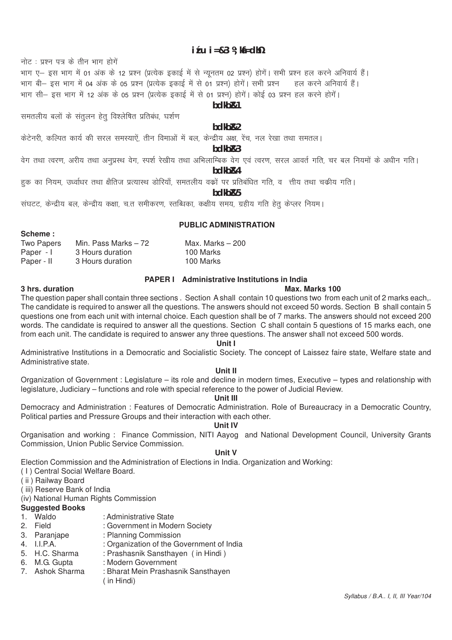## $i$  t u  $i = 83$  k ki  $=$  dh $\frac{1}{2}$

नोट : प्रश्न पत्र के तीन भाग होगें

भाग ए– इस भाग में 01 अंक के 12 प्रश्न (प्रत्येक इकाई में से न्यूनतम 02 प्रश्न) होगें। सभी प्रश्न हल करने अनिवार्य हैं। भाग बी– इस भाग में 04 अंक के 05 प्रश्न (प्रत्येक इकाई में से 01 प्रश्न) होगें। सभी प्रश्न कहल करने अनिवार्य हैं। भाग सी– इस भाग में 12 अंक के 05 प्रश्न (प्रत्येक इकाई में से 01 प्रश्न) होगें। कोई 03 प्रश्न हल करने होगें।

# hdkh<sub>R1</sub>

समतलीय बलों के संतलन हेत विश्लेषित प्रतिबंध, घर्शण

#### bdkb<sub>R2</sub>

केटेनरी, कल्पित कार्य की सरल समस्याऐं, तीन विमाओं में बल, केन्द्रीय अक्ष, रेंच, नल रेखा तथा समतल।

# bdkb<sub>R3</sub>

वेग तथा त्वरण, अरीय तथा अनुप्रस्थ वेग, स्पर्श रेखीय तथा अभिलाम्बिक वेग एवं त्वरण, सरल आवर्त गति, चर बल नियमों के अधीन गति। bdkb<sub>R4</sub>

हक का नियम, उर्ध्वाधर तथा क्षैतिज प्रत्यास्थ डोरियाँ, समतलीय वकों पर प्रतिबंधित गति, व) त्तीय तथा चकीय गति।

bdkb<sub>R5</sub>

संघटट, केन्द्रीय बल, केन्द्रीय कक्षा, च.त समीकरण, स्तब्धिका, कक्षीय समय, ग्रहीय गति हेतु केप्लर नियम।

#### PUBLIC ADMINISTRATION

| Two Papers | Min. Pass Marks $-72$ | Max. Marks $-200$ |
|------------|-----------------------|-------------------|
| Paper - I  | 3 Hours duration      | 100 Marks         |
| Paper - II | 3 Hours duration      | 100 Marks         |

# **PAPER I** Administrative Institutions in India

#### Max Marks 100

3 hrs. duration

Scheme ·

The question paper shall contain three sections. Section A shall contain 10 questions two from each unit of 2 marks each.. The candidate is required to answer all the questions. The answers should not exceed 50 words. Section B shall contain 5 questions one from each unit with internal choice. Each question shall be of 7 marks. The answers should not exceed 200 words. The candidate is required to answer all the questions. Section C shall contain 5 questions of 15 marks each, one from each unit. The candidate is required to answer any three questions. The answer shall not exceed 500 words.

#### Unit I

Administrative Institutions in a Democratic and Socialistic Society. The concept of Laissez faire state, Welfare state and Administrative state

#### Unit II

Organization of Government: Legislature – its role and decline in modern times, Executive – types and relationship with legislature, Judiciary – functions and role with special reference to the power of Judicial Review.

# Unit III

Democracy and Administration: Features of Democratic Administration. Role of Bureaucracy in a Democratic Country. Political parties and Pressure Groups and their interaction with each other.

#### **Unit IV**

Organisation and working: Finance Commission, NITI Aayog and National Development Council, University Grants Commission, Union Public Service Commission.

# Unit V

Election Commission and the Administration of Elections in India. Organization and Working:

- (1) Central Social Welfare Board.
- (ii) Railway Board

(iii) Reserve Bank of India

(iv) National Human Rights Commission

#### **Suggested Books**

- 1. Waldo
- 2. Field
- 3. Paranjape : Planning Commission
- 4. I.I.P.A.
- : Organization of the Government of India : Prashasnik Sansthayen (in Hindi) 5. H.C. Sharma

: Administrative State

- : Modern Government
- 6. M.G. Gupta 7. Ashok Sharma
- : Bharat Mein Prashasnik Sansthaven

: Government in Modern Society

 $($  in Hindi $)$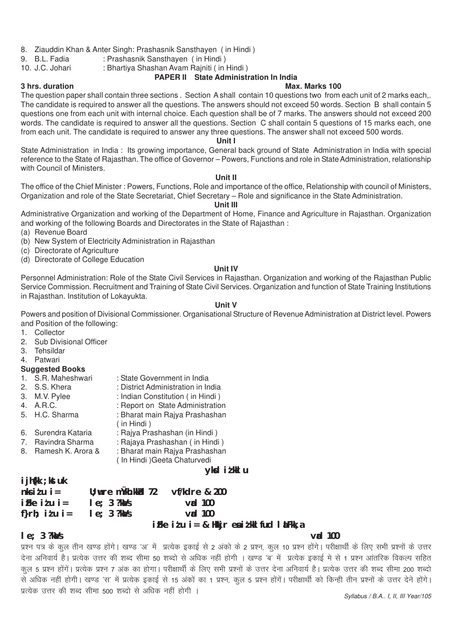- 8. Ziauddin Khan & Anter Singh: Prashasnik Sansthayen (in Hindi)<br>9. B.L. Fadia : Prashasnik Sansthayen (in Hindi)
- 9. B.L. Fadia : Prashasnik Sansthayen (in Hindi)<br>10. J.C. Johari : Bhartiva Shashan Avam Rainiti (in I

# : Bhartiya Shashan Avam Rajniti ( in Hindi )

# **PAPER II State Administration In India**

#### **3 hrs. duration Max. Marks 100**

The question paper shall contain three sections . Section A shall contain 10 questions two from each unit of 2 marks each,. The candidate is required to answer all the questions. The answers should not exceed 50 words. Section B shall contain 5 questions one from each unit with internal choice. Each question shall be of 7 marks. The answers should not exceed 200 words. The candidate is required to answer all the questions. Section C shall contain 5 questions of 15 marks each, one from each unit. The candidate is required to answer any three questions. The answer shall not exceed 500 words.

# **Unit I**

State Administration in India : Its growing importance, General back ground of State Administration in India with special reference to the State of Rajasthan. The office of Governor – Powers, Functions and role in State Administration, relationship with Council of Ministers.

#### **Unit II**

The office of the Chief Minister : Powers, Functions, Role and importance of the office, Relationship with council of Ministers, Organization and role of the State Secretariat, Chief Secretary – Role and significance in the State Administration.

#### **Unit III**

Administrative Organization and working of the Department of Home, Finance and Agriculture in Rajasthan. Organization and working of the following Boards and Directorates in the State of Rajasthan :

- (a) Revenue Board
- (b) New System of Electricity Administration in Rajasthan
- (c) Directorate of Agriculture
- (d) Directorate of College Education

# **Unit IV**

Personnel Administration: Role of the State Civil Services in Rajasthan. Organization and working of the Rajasthan Public Service Commission. Recruitment and Training of State Civil Services. Organization and function of State Training Institutions in Rajasthan. Institution of Lokayukta.

#### **Unit V**

Powers and position of Divisional Commissioner. Organisational Structure of Revenue Administration at District level. Powers and Position of the following:

- 1. Collector
- 2. Sub Divisional Officer
- 3. Tehsildar
- 4. Patwari

# **Suggested Books**<br>1. S.R. Maheshwari

- 1. S.R. Maheshwari : State Government in India<br>2. S.S. Khera : District Administration in In
- 2. S.S. Khera : District Administration in India<br>3. M.V. Pylee : Indian Constitution (in Hindi)
- 3. M.V. Pylee : Indian Constitution ( in Hindi )<br>4. A.R.C. : Report on State Administration
- 4. A.R.C. : Report on State Administration<br>5. H.C. Sharma : Bharat main Baiya Prashashan
- - ( in Hindi )
- 6. Surendra Kataria : Rajya Prashashan (in Hindi )
- 7. Ravindra Sharma : Rajaya Prashashan ( in Hindi )
- 8. Ramesh K. Arora & : Bharat main Rajya Prashashan
	- ( In Hindi )Geeta Chaturvedi

: Bharat main Raiva Prashashan

# **yksd iz'kklu**

# **ijh{kk ;kstuk**

| $n$ ks i $t$ u i = | $U$ ; wre mukh.kkkd $72$ | vf/kdre & 200                                                                                                                                                                                                                                                                                                                      |
|--------------------|--------------------------|------------------------------------------------------------------------------------------------------------------------------------------------------------------------------------------------------------------------------------------------------------------------------------------------------------------------------------|
| iFke idu i=        | $le; 3$ ?ka/s            | $\mathsf{val}$ 100                                                                                                                                                                                                                                                                                                                 |
| f}rh; idu i=       | $le; 3$ ?ka/s            | $\mathsf{val}$ 100                                                                                                                                                                                                                                                                                                                 |
|                    |                          | $\mathbf{F}$ $\mathbf{F}$ $\mathbf{F}$ $\mathbf{F}$ $\mathbf{F}$ $\mathbf{F}$ $\mathbf{F}$ $\mathbf{F}$ $\mathbf{F}$ $\mathbf{F}$ $\mathbf{F}$ $\mathbf{F}$ $\mathbf{F}$ $\mathbf{F}$ $\mathbf{F}$ $\mathbf{F}$ $\mathbf{F}$ $\mathbf{F}$ $\mathbf{F}$ $\mathbf{F}$ $\mathbf{F}$ $\mathbf{F}$ $\mathbf{F}$ $\mathbf{F}$ $\mathbf{$ |

# **izFke iz'u i= & Hkkjr esa iz'kklfud laLFkk,a**

# **le; 3 ?kaVs vad 100**

*Syllabus / B.A.. I, II, III Year/105* प्रश्न पत्र के कुल तीन खण्ड होंगे। खण्ड 'अ' में प्रत्येक इकाई से 2 अंको के 2 प्रश्न, कुल 10 प्रश्न होंगे। परीक्षार्थी के लिए सभी प्रश्नों के उत्तर देना अनिवार्य है। प्रत्येक उत्तर की शब्द सीमा 50 शब्दो से अधिक नहीं होगी । खण्ड 'ब' में प्रत्येक इकाई मे से 1 प्रश्न आंतरिक विकल्प सहित कूल 5 प्रश्न होंगें। प्रत्येक प्रश्न 7 अंक का होगा। परीक्षार्थी के लिए सभी प्रश्नों के उत्तर देना अनिवार्य है। प्रत्येक उत्तर की शब्द सीमा 200 शब्दो .<br>से अधिक नहीं होगी। खण्ड 'स' में प्रत्येक इकाई से 15 अंकों का 1 प्रश्न, कल 5 प्रश्न होंगें। परीक्षार्थी को किन्ही तीन प्रश्नों के उत्तर देने होंगे। प्रत्येक उत्तर की शब्द सीमा 500 शब्दो से अधिक नहीं होगी ।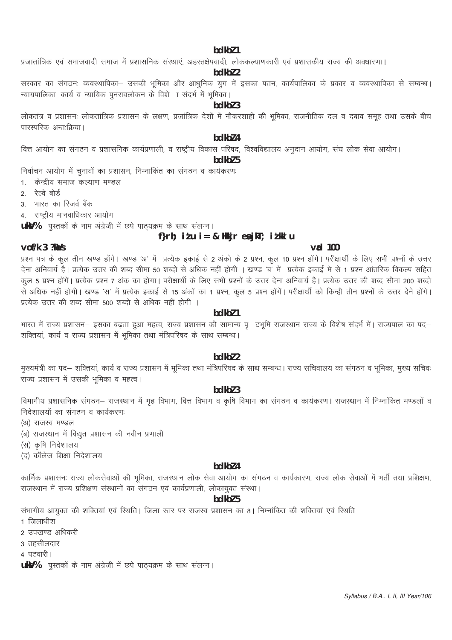#### bdkbl 1

प्रजातांत्रिक एवं समाजवादी समाज में प्रशासनिक संस्थाएं, अहस्तक्षेपवादी, लोककल्याणकारी एवं प्रशासकीय राज्य की अवधारणा।

# bdkbl 2

सरकार का संगठनः व्यवस्थापिका– उसकी भूमिका और आधुनिक युग में इसका पतन, कार्यपालिका के प्रकार व व्यवस्थापिका से सम्बन्ध। -<br>न्यायपालिका–कार्य व न्यायिक पुनरावलोकन के विशे ा संदर्भ में भूमिका।

# $hdkh$  3

लोकतंत्र व प्रशासनः लोकतांत्रिक प्रशासन के लक्षण, प्रजांत्रिक देशों में नौकरशाही की भूमिका, राजनीतिक दल व दबाव समूह तथा उसके बीच पारस्परिक अन्तःक्रिया।

# hdkh<sub>74</sub>

वित्त आयोग का संगठन व प्रशासनिक कार्यप्रणाली, व राष्ट्रीय विकास परिषद, विश्वविद्यालय अनुदान आयोग, संघ लोक सेवा आयोग।

#### bdkbl 5

निर्वाचन आयोग में चुनावों का प्रशासन, निम्नाकित का संगठन व कार्यकरणः

- 1. केन्द्रीय समाज कल्याण मण्डल
- रेल्वे बोर्ड  $\mathcal{P}$
- 3. भारत का रिजर्व बैंक
- 4. राष्ट्रीय मानवाधिकार आयोग

ukV% पुस्तकों के नाम अंग्रेजी में छपे पाठ्यक्रम के साथ सलग्न।

# f}rh; itu i = & Hkir ea jkT; itklu

 $v$ ad 100

# $v$ of/k  $3$  ?ka/s

प्रश्न पत्र के कुल तीन खण्ड होंगे। खण्ड 'अ' में प्रत्येक इकाई से 2 अंको के 2 प्रश्न, कुल 10 प्रश्न होंगे। परीक्षार्थी के लिए सभी प्रश्नों के उत्तर .<br>देना अनिवार्य है। प्रत्येक उत्तर की शब्द सीमा 50 शब्दो से अधिक नहीं होगी । खण्ड 'ब' में प्रत्येक इकाई मे से 1 प्रश्न आंतरिक विकल्प सहित |<br>|कूल 5 प्रश्न होंगें। प्रत्येक प्रश्न 7 अंक का होगा। परीक्षार्थी के लिए सभी प्रश्नों के उत्तर देना अनिवार्य है। प्रत्येक उत्तर की शब्द सीमा 200 शब्दो से अधिक नहीं होगी। खण्ड 'स' में प्रत्येक इकाई से 15 अंकों का 1 प्रश्न, कुल 5 प्रश्न होंगें। परीक्षार्थी को किन्ही तीन प्रश्नों के उत्तर देने होंगे। प्रत्येक उत्तर की शब्द सीमा 500 शब्दो से अधिक नहीं होगी ।

# hdkh<sub>71</sub>

भारत में राज्य प्रशासन– इसका बढ़ता हुआ महत्व, राज्य प्रशासन की सामान्य पृक्मि राजस्थान राज्य के विशेष संदर्भ में। राज्यपाल का पद– शक्तियां, कार्य व राज्य प्रशासन में भूमिका तथा मंत्रिपरिषद के साथ सम्बन्ध।

#### bdkbl 2

मुख्यमंत्री का पद– शक्तियां, कार्य व राज्य प्रशासन में भूमिका तथा मंत्रिपरिषद के साथ सम्बन्ध। राज्य सचिवालय का संगठन व भूमिका, मुख्य सचिवः ्<br>राज्य प्रशासन में उसकी भमिका व महत्व।

# bdkbl 3

विभागीय प्रशासनिक संगठन– राजस्थान में गृह विभाग, वित्त विभाग व कृषि विभाग का संगठन व कार्यकरण। राजस्थान में निम्नांकित मण्डलों व निदेशालयों का संगठन व कार्यकरणः

- (अ) राजस्व मण्डल
- (ब) राजस्थान में विद्युत प्रशासन की नवीन प्रणाली
- (स) कृषि निदेशालय
- (द) कॉलेज शिक्षा निदेशालय

# bdkbl 4

कार्मिक प्रशासनः राज्य लोकसेवाओं की भूमिका, राजस्थान लोक सेवा आयोग का संगठन व कार्यकारण, राज्य लोक सेवाओं में भर्ती तथा प्रशिक्षण, राजस्थान में राज्य प्रशिक्षण संस्थानों का संगठन एवं कार्यप्रणाली, लोकायुक्त संस्था।

## bdkbl 5

संभागीय आयुक्त की शक्तियां एवं स्थिति। जिला स्तर पर राजस्व प्रशासन का 8। निम्नांकित की शक्तियां एवं स्थिति

- 1 जिलाधीश
- 2 उपखण्ड अधिकरी
- 3 तहसीलदार
- 4 पटवारी।
- **ukV%** पुस्तकों के नाम अंग्रेजी में छपे पाठ्यक्रम के साथ संलग्न।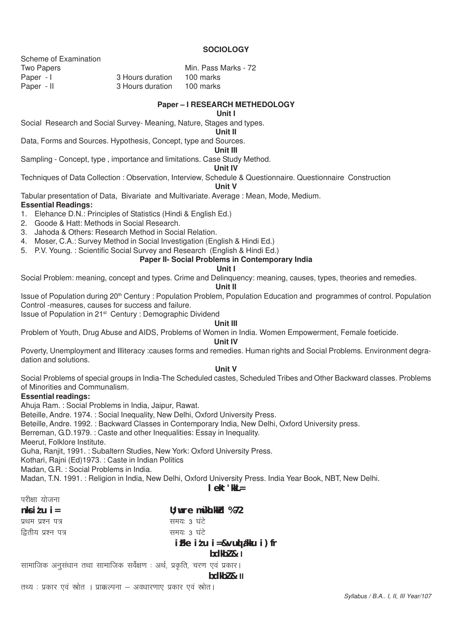## **SOCIOLOGY**

Scheme of Examination Two Papers **Min. Pass Marks** - 72 Paper - II 3 Hours duration 100 marks

Paper - I 3 Hours duration 100 marks

#### **Paper – I RESEARCH METHEDOLOGY**

#### **Unit I**

Social Research and Social Survey- Meaning, Nature, Stages and types.

# **Unit II**

Data, Forms and Sources. Hypothesis, Concept, type and Sources.

#### **Unit III**

Sampling - Concept, type , importance and limitations. Case Study Method.

#### **Unit IV**

Techniques of Data Collection : Observation, Interview, Schedule & Questionnaire. Questionnaire Construction

# **Unit V**

Tabular presentation of Data, Bivariate and Multivariate. Average : Mean, Mode, Medium. **Essential Readings:**

1. Elehance D.N.: Principles of Statistics (Hindi & English Ed.)

- 2. Goode & Hatt: Methods in Social Research.
- 3. Jahoda & Others: Research Method in Social Relation.
- 4. Moser, C.A.: Survey Method in Social Investigation (English & Hindi Ed.)
- 5. P.V. Young. : Scientific Social Survey and Research (English & Hindi Ed.)

# **Paper II- Social Problems in Contemporary India**

#### **Unit I**

Social Problem: meaning, concept and types. Crime and Delinquency: meaning, causes, types, theories and remedies.

**Unit II**

Issue of Population during 20th Century : Population Problem, Population Education and programmes of control. Population Control -measures, causes for success and failure.

Issue of Population in 21st Century : Demographic Dividend

#### **Unit III**

Problem of Youth, Drug Abuse and AIDS, Problems of Women in India. Women Empowerment, Female foeticide.

# **Unit IV**

Poverty, Unemployment and Illiteracy :causes forms and remedies. Human rights and Social Problems. Environment degradation and solutions.

#### **Unit V**

Social Problems of special groups in India-The Scheduled castes, Scheduled Tribes and Other Backward classes. Problems of Minorities and Communalism.

# **Essential readings:**

Ahuja Ram. : Social Problems in India, Jaipur, Rawat.

Beteille, Andre. 1974. : Social Inequality, New Delhi, Oxford University Press.

Beteille, Andre. 1992. : Backward Classes in Contemporary India, New Delhi, Oxford University press.

Berreman, G.D.1979. : Caste and other Inequalities: Essay in Inequality.

Meerut, Folklore Institute.

Guha, Ranjit, 1991. : Subaltern Studies, New York: Oxford University Press.

Kothari, Rajni (Ed)1973. : Caste in Indian Politics

Madan, G.R. : Social Problems in India.

Madan, T.N. 1991. : Religion in India, New Delhi, Oxford University Press. India Year Book, NBT, New Delhi. **lekt'kkL=**

|                                                                         | ICK LKKL≡                       |
|-------------------------------------------------------------------------|---------------------------------|
| परीक्षा योजना                                                           |                                 |
| nksi $t$ ui=                                                            | $U$ ; wre m $\gamma$ kh.kkd %72 |
| प्रथम प्रश्न पत्र                                                       | समयः 3 घंटे                     |
| द्वितीय प्रश्न पत्र                                                     | समयः 3 घंटे                     |
|                                                                         | $iFke$ itu i=&vuq dkku i) fr    |
|                                                                         | bdkb2 & 1                       |
| सामाजिक अनुसंधान तथा सामाजिक सर्वेक्षण : अर्थ, प्रकृति, चरण एवं प्रकार। |                                 |
|                                                                         | bdkb2 & l                       |

तथ्य : प्रकार एवं स्रोत । प्राक्कल्पना – अवधारणाएं प्रकार एवं स्रोत।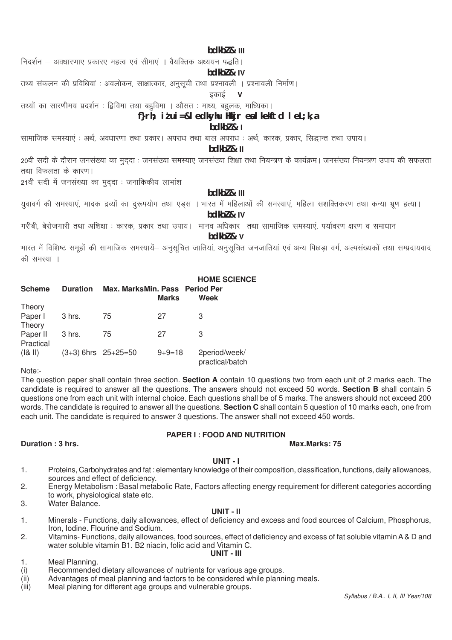#### bdkbl & III

निदर्शन – अवधारणाए प्रकारए महत्व एवं सीमाएं । वैयक्तिक अध्ययन पद्धति।

#### bdkbl & IV

तथ्य संकलन की प्रविधियां : अवलोकन, साक्षात्कार, अनुसूची तथा प्रश्नावली । प्रश्नावली निर्माण।

#### डकाई  $V$

तथ्यों का सारणीमय प्रदर्शन : द्विविमा तथा बहविमा । औसत : माध्य, बहलक, माध्यिका।

## f}rh: itui=&ledkvhu Hkir ealkekftd leL;k.a

#### $bdkb2 & l$

सामाजिक समस्याएं : अर्थ. अवधारणा तथा प्रकार | अपराध तथा बाल अपराध : अर्थ. कारक. प्रकार. सिद्धान्त तथा उपाय |

#### $bdkb2 & l1$

20वी सदी के दौरान जनसंख्या का मुददा : जनसंख्या समस्याए जनसंख्या शिक्षा तथा नियन्त्रण के कार्यक्रम। जनसंख्या नियन्त्रण उपाय की सफलता तथा विफलता के कारण।

21वी सदी में जनसंख्या का मुददा: जनाकिकीय लाभांश

# $hdkh$ <sub>7</sub> $k$  III

युवावर्ग की समस्याएं, मादक द्रव्यों का दुरूपयोग तथा एडस । भारत में महिलाओं की समस्याएं, महिला सशक्तिकरण तथा कन्या भ्रण हत्या। bdkbl & IV

गरीबी, बेरोजगारी तथा अशिक्षा : कारक, प्रकार तथा उपाय। मानव अधिकार) तथा सामाजिक समस्याएं, पर्यावरण क्षरण व समाधान

#### bdkbl & v

भारत में विशिष्ट समूहों की सामाजिक समस्यायें– अनुसूचित जातियां, अनुसूचित जनजातियां एवं अन्य पिछड़ा वर्ग, अल्पसंख्यकों तथा सम्प्रदायवाद की समस्या ।

| <b>Scheme</b> | <b>Duration</b> | Max. MarksMin. Pass Period Per | <b>Marks</b> | <b>HOME SCIENCE</b><br>Week      |
|---------------|-----------------|--------------------------------|--------------|----------------------------------|
| Theory        |                 |                                |              |                                  |
| Paper I       | 3 hrs.          | 75                             | 27           | З                                |
| Theory        |                 |                                |              |                                  |
| Paper II      | 3 hrs.          | 75                             | 27           | З                                |
| Practical     |                 |                                |              |                                  |
| ( & 8 )       |                 | $(3+3)$ 6hrs $25+25=50$        | $9 + 9 = 18$ | 2period/week/<br>practical/batch |

Note:-

The question paper shall contain three section. Section A contain 10 questions two from each unit of 2 marks each. The candidate is required to answer all the questions. The answers should not exceed 50 words. Section B shall contain 5 questions one from each unit with internal choice. Each questions shall be of 5 marks. The answers should not exceed 200 words. The candidate is required to answer all the questions. Section C shall contain 5 question of 10 marks each, one from each unit. The candidate is required to answer 3 questions. The answer shall not exceed 450 words.

# **PAPER I: FOOD AND NUTRITION**

#### Max.Marks: 75

#### UNIT-I

- Proteins, Carbohydrates and fat : elementary knowledge of their composition, classification, functions, daily allowances,  $1<sub>1</sub>$ sources and effect of deficiency.
- $2.$ Energy Metabolism: Basal metabolic Rate, Factors affecting energy requirement for different categories according to work, physiological state etc.
- $3.$ Water Balance.

Duration: 3 hrs.

#### UNIT - II

- $\mathbf{1}$ . Minerals - Functions, daily allowances, effect of deficiency and excess and food sources of Calcium, Phosphorus, Iron, Iodine. Flourine and Sodium.
- $2.$ Vitamins- Functions, daily allowances, food sources, effect of deficiency and excess of fat soluble vitamin A & D and water soluble vitamin B1, B2 niacin, folic acid and Vitamin C. UNIT - III

 $1.$ Meal Planning.

- $(i)$ Recommended dietary allowances of nutrients for various age groups.
- $(iii)$ Advantages of meal planning and factors to be considered while planning meals.
- $(iii)$ Meal planing for different age groups and vulnerable groups.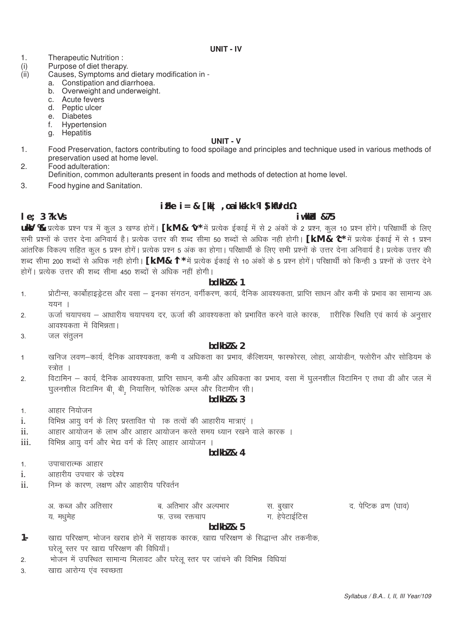- Therapeutic Nutrition:  $\mathbf{1}$ .
- $(i)$ <br> $(ii)$ Purpose of diet therapy.
	- Causes, Symptoms and dietary modification in
		- a. Constipation and diarrhoea.
		- b. Overweight and underweight.
		- c. Acute fevers
		- d. Peptic ulcer
		- e. Diabetes
		- Hypertension  $f_{\rm{r}}$
		- g. Hepatitis

#### **UNIT - V**

 $1.$ Food Preservation, factors contributing to food spoilage and principles and technique used in various methods of preservation used at home level.

 $2.$ Food adulteration:

- Definition, common adulterants present in foods and methods of detection at home level.
- 3. Food hygine and Sanitation.

# $iFke$   $i = 8$   $[kk]$  , oa iksk.k  $M \Omega$  kfurd  $V_2$

i wkkid &75

# $le: 3$  ?k. Vs

uky % प्रत्येक प्रश्न पत्र में कुल 3 खण्ड होगें। [k.M & ^v\* में प्रत्येक ईकाई में से 2 अंकों के 2 प्रश्न, कुल 10 प्रश्न होंगे। परिक्षार्थी के लिए सभी प्रश्नों के उत्तर देना अनिवार्य है। प्रत्येक उत्तर की शब्द सीमा 50 शब्दों से अधिक नही होगी। **[k.M & ^c\*** में प्रत्येक ईकाई में से 1 प्रश्न आंतरिक विकल्प सहित कूल 5 प्रश्न होगें। प्रत्येक प्रश्न 5 अंक का होगा। परिक्षार्थी के लिए सभी प्रश्नों के उत्तर देना अनिवार्य है। प्रत्येक उत्तर की शब्द सीमा 200 शब्दों से अधिक नही होगी। [k.M & ^l \* में प्रत्येक ईकाई से 10 अंकों के 5 प्रश्न होगें। परिक्षार्थी को किन्ही 3 प्रश्नों के उत्तर देने होगें। प्रत्येक उत्तर की शब्द सीमा 450 शब्दों से अधिक नहीं होगी।

# $bdkb2 & 1$

- प्रोटीन्स, कार्बोहाइड्रेटस और वसा इनका संगठन, वर्गीकरण, कार्य, दैनिक आवश्यकता, प्राप्ति साधन और कमी के प्रभाव का सामान्य अध  $1.$  $\overline{u}$ यान ।
- ऊर्जा चयापचय आधारीय चयापचय दर, ऊर्जा की आवश्यकता को प्रभावित करने वाले कारक, ाारीरिक स्थिति एवं कार्य के अनुसार  $\mathcal{L}$ आवश्यकता में विभिन्नता।
- $\mathcal{R}$ जल संतुलन

#### $hdkh$ <sub>2</sub>  $\lambda$ <sub>2</sub>

- खनिज लवण—कार्य, दैनिक आवश्यकता, कमी व अधिकता का प्रभाव, कैल्शियम, फास्फोरस, लोहा, आयोडीन, फ्लोरीन और सोडियम के  $\overline{1}$ स्त्रोत ।
- विटामिन कार्य, दैनिक आवश्यकता, प्राप्ति साधन, कमी और अधिकता का प्रभाव, वसा में घूलनशील विटामिन ए तथा डी और जल में  $\overline{2}$ . घुलनशील विटामिन बी. बी. नियासिन, फोलिक अम्ल और विटामीन सी।

#### $bdkb2 & 3$

- आहार नियोजन  $1.$
- विभिन्न आयु वर्ग के लिए प्रस्तावित पो ।क तत्वों की आहारीय मात्राएं ।  $\mathbf{i}$
- आहार आयोजन के लाभ और आहार आयोजन करते समय ध्यान रखने वाले कारक ।  $\mathbf{ii}$
- iii. विभिन्न आयु वर्ग और भेद्य वर्ग के लिए आहार आयोजन ।

# $hdkh$ <sub>7</sub> $k<sub>4</sub>$

- उपाचारात्म्क आहार  $\overline{1}$
- आहारीय उपचार के उद्देश्य  $\mathbf{i}$
- निम्न के कारण, लक्षण और आहारीय परिवर्तन  $ii$

| अ. कब्ज और अतिसार | ब. अतिभार और अल्पभार |
|-------------------|----------------------|
| य. मधुमेह         | फ उच्च रक्तचाप       |

द, पेप्टिक व्रण (घाव)

#### $hdkh$ <sub>7</sub> $k<sub>5</sub>$

स. बुखार ग. हेपेटाईटिस

- खाद्य परिरक्षण, भोजन खराब होने में सहायक कारक, खाद्य परिरक्षण के सिद्धान्त और तकनीक,  $1 -$ घरेल स्तर पर खाद्य परिरक्षण की विधियाँ।
- भोजन में उपस्थित सामान्य मिलावट और घरेलू स्तर पर जांचने की विभिन्न विधियां  $\mathcal{P}$
- खाद्य आरोग्य एवं स्वच्छता  $\overline{3}$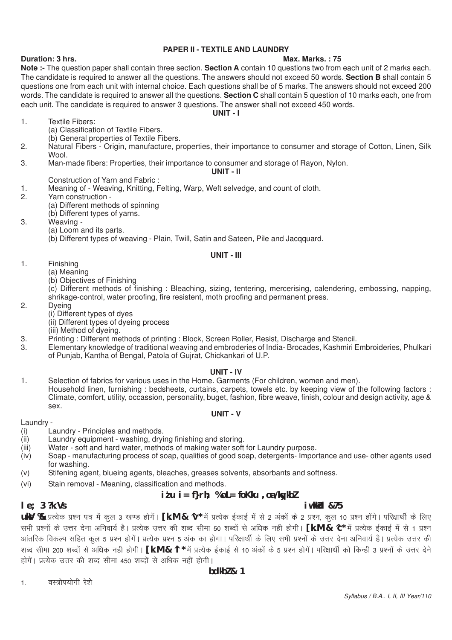# **PAPER II - TEXTILE AND LAUNDRY**

# **Duration: 3 hrs.** Max. Marks. : 75

## **Note :-** The question paper shall contain three section. **Section A** contain 10 questions two from each unit of 2 marks each. The candidate is required to answer all the questions. The answers should not exceed 50 words. **Section B** shall contain 5 questions one from each unit with internal choice. Each questions shall be of 5 marks. The answers should not exceed 200 words. The candidate is required to answer all the questions. **Section C** shall contain 5 question of 10 marks each, one from each unit. The candidate is required to answer 3 questions. The answer shall not exceed 450 words.

**UNIT - I**

- 1. Textile Fibers:
	- (a) Classification of Textile Fibers. (b) General properties of Textile Fibers.
- 2. Natural Fibers Origin, manufacture, properties, their importance to consumer and storage of Cotton, Linen, Silk Wool.
- 3. Man-made fibers: Properties, their importance to consumer and storage of Rayon, Nylon.

# **UNIT - II**

- Construction of Yarn and Fabric :
- 1. Meaning of Weaving, Knitting, Felting, Warp, Weft selvedge, and count of cloth.<br>2. Yarn construction -
- Yarn construction -
	- (a) Different methods of spinning

(b) Different types of yarns.

- 3. Weaving
	- (a) Loom and its parts.

(b) Different types of weaving - Plain, Twill, Satin and Sateen, Pile and Jacqquard.

#### **UNIT - III**

- 1. Finishing
	- (a) Meaning
		- (b) Objectives of Finishing

(c) Different methods of finishing : Bleaching, sizing, tentering, mercerising, calendering, embossing, napping, shrikage-control, water proofing, fire resistent, moth proofing and permanent press.

2. Dyeing

- (i) Different types of dyes
- (ii) Different types of dyeing process
- (iii) Method of dyeing.
- 3. Printing : Different methods of printing : Block, Screen Roller, Resist, Discharge and Stencil.
- 3. Elementary knowledge of traditional weaving and embroderies of India- Brocades, Kashmiri Embroideries, Phulkari of Punjab, Kantha of Bengal, Patola of Gujrat, Chickankari of U.P.

#### **UNIT - IV**

1. Selection of fabrics for various uses in the Home. Garments (For children, women and men). Household linen, furnishing : bedsheets, curtains, carpets, towels etc. by keeping view of the following factors : Climate, comfort, utility, occassion, personality, buget, fashion, fibre weave, finish, colour and design activity, age & sex.

#### **UNIT - V**

Laundry -

- (i) Laundry Principles and methods.
- (ii) Laundry equipment washing, drying finishing and storing.
- (iii) Water soft and hard water, methods of making water soft for Laundry purpose.
- (iv) Soap manufacturing process of soap, qualities of good soap, detergents- Importance and use- other agents used for washing.
- (v) Stifening agent, blueing agents, bleaches, greases solvents, absorbants and softness.
- (vi) Stain removal Meaning, classification and methods.

# **iz'u i= f}rh; % oL= foKku ,oa /kqykbZ**

# **le:** 3 ?k.Vs **iw.kkdd &75**

uky % प्रत्येक प्रश्न पत्र में कूल 3 खण्ड होगें। [k.M & ^v\* में प्रत्येक ईकाई में से 2 अंकों के 2 प्रश्न, कूल 10 प्रश्न होंगे। परिक्षार्थी के लिए सभी प्रश्नों के उत्तर देना अनिवार्य है। प्रत्येक उत्तर की शब्द सीमा 50 शब्दों से अधिक नही होगी। **[k.M & ^c\*** में प्रत्येक ईकाई में से 1 प्रश्न आंतरिक विकल्प सहित कूल 5 प्रश्न होगें। प्रत्येक प्रश्न 5 अंक का होगा। परिक्षार्थी के लिए सभी प्रश्नों के उत्तर देना अनिवार्य है। प्रत्येक उत्तर की शब्द सीमा 200 शब्दों से अधिक नही होगी। **[k.M & ^l \*** में प्रत्येक ईकाई से 10 अंकों के 5 प्रश्न होगें। परिक्षार्थी को किन्ही 3 प्रश्नों के उत्तर देने होगें। प्रत्येक उत्तर की शब्द सीमा 450 शब्दों से अधिक नहीं होगी।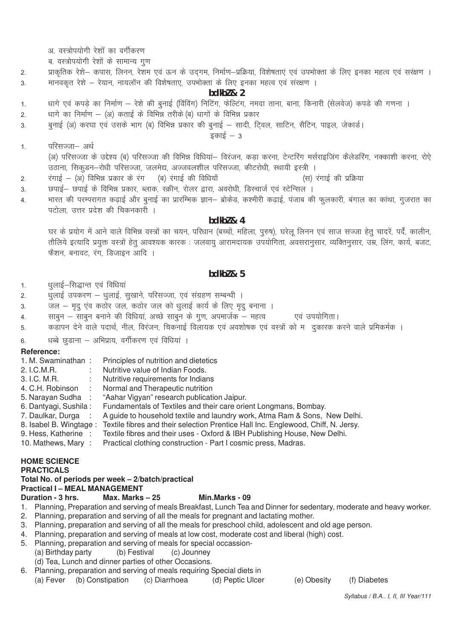- अ. वस्त्रोपयोगी रेशों का वर्गीकरण
- ब. वस्त्रोपयोगी रेशों के सामान्य गुण
- प्राकृतिक रेशे– कपास, लिनन, रेशम एवं ऊन के उदगम, निर्माण–प्रक्रिया, विशेषताएं एवं उपभोक्ता के लिए इनका महत्व एवं सरक्षण ।  $2.$ मानवकत रेशे – रेयान, नायलॉन की विशेषताए, उपभोक्ता के लिए इनका महत्व एवं संरक्षण ।  $\overline{3}$ .

#### $bdkb2 & 2$

- धागे एवं कपड़े का निर्माण रेशे की बुनाई (विविंग) निटिंग, फेल्टिंग, नमदा ताना, बाना, किनारी (सेलवेज) कपड़े की गणना ।  $1.$
- धागे का निर्माण (अ) कताई के विभिन्न तरीके (ब) धागों के विभिन्न प्रकार  $\overline{2}$ .
- बुनाई (अ) करघा एवं उसके भाग (ब) विभिन्न प्रकार की बुनाई सादी, टि्वल, साटिन, सैटिन, पाइल, जेकार्ड। 3

 $\overline{s}$ काई – 3

परिसज्जा- अर्थ  $\mathbf{1}$ .

> (अ) परिसज्जा के उद्देश्य (ब) परिसज्जा की विभिन्न विधियां– विरंजन, कड़ा करना, टेन्टरिंग मर्सराइजिंग कैलेडरिंग, नक्काशी करना, रोऐ उठाना, सिकूडन–रोधी परिसज्जा, जलमेद्य, अज्जवलशील परिसज्जा, कीटरोधी, स्थायी इस्त्री ।

- रंगाई (अ) विभिन्न प्रकार के रंग (ब) रंगाई की विधियाँ (स) रंगाई की प्रक्रिया  $\overline{2}$ .
- छपाई– छपाई के विभिन्न प्रकार, ब्लाक, स्क्रीन, रोलर द्वारा, अवरोधी, डिस्चार्ज एवं स्टेन्सिल । 3.
- भारत की परम्परागत कढ़ाई और बुनाई का प्रारम्भिक ज्ञान– ब्रोकेड, कश्मीरी कढ़ाई, पंजाब की फुलकारी, बंगाल का कांथा, गुजरात का  $\overline{4}$ पटोला, उत्तर प्रदेश की चिकनकारी ।

#### $bdkb2 & 4$

घर के प्रयोग में आने वाले विभिन्न वस्त्रों का चयन, परिधान (बच्चों, महिला, पुरुष), घरेलू लिनन एवं साज सज्जा हेतु चादरें, पर्दें, कालीन, तौलिये इत्यादि प्रयुक्त वस्त्रों हेतू आवश्यक कारक : जलवायु आरामदायक उपयोगिता, अवसरानुसार, व्यक्तिनुसार, उम्र, लिंग, कार्य, बजट, फैशन, बनावट, रंग, डिजाइन आदि ।

# $hdkh$ <sub>7</sub> $k<sub>5</sub>$

धुलाई-सिद्धान्त एवं विधियां  $1.$ 

- धूलाई उपकरण धूलाई, सूखाने, परिसज्जा, एवं संग्रहण सम्बन्धी ।  $\mathfrak{D}$
- जल मृद् एंव कठोर जल, कठोर जल को धुलाई कार्य के लिए मृद् बनाना ।  $\overline{3}$ .
- साबुन साबुन बनाने की विधियां, अच्छे साबुन के गुण, अपमार्जक महत्व एवं उपयोगिता। 4.
- कड़ापन देने वाले पदार्थ, नील, विरंजन, चिकनाई विलायक एवं अवशोषक एवं वस्त्रों को म) दुकारक करने वाले प्रमिकर्मक 5

धब्बे छुडाना – अभिप्राय, वर्गीकरण एवं विधियां । 6

#### Reference:

| 1. M. Swaminathan:     | Principles of nutrition and dietetics                                             |
|------------------------|-----------------------------------------------------------------------------------|
| 2. I.C.M.R.            | Nutritive value of Indian Foods.                                                  |
| 3. I.C. M.R.           | Nutritive requirements for Indians                                                |
| 4. C.H. Robinson       | Normal and Therapeutic nutrition                                                  |
| 5. Narayan Sudha :     | "Aahar Vigyan" research publication Jaipur.                                       |
| 6. Dantyagi, Sushila:  | Fundamentals of Textiles and their care orient Longmans, Bombay.                  |
| 7. Daulkar, Durga :    | A guide to household textile and laundry work, Atma Ram & Sons, New Delhi.        |
| 8. Isabel B. Wingtage: | Textile fibres and their selection Prentice Hall Inc. Englewood, Chiff, N. Jersy. |
| 9. Hess, Katherine :   | Textile fibres and their uses - Oxford & IBH Publishing House, New Delhi.         |
| 10. Mathews, Mary:     | Practical clothing construction - Part I cosmic press, Madras.                    |

#### **HOME SCIENCE**

#### **PRACTICALS**

# Total No. of periods per week - 2/batch/practical

#### **Practical I - MEAL MANAGEMENT**

#### Duration - 3 hrs. Max. Marks  $-25$ Min.Marks - 09

- 1. Planning, Preparation and serving of meals Breakfast, Lunch Tea and Dinner for sedentary, moderate and heavy worker.
- 2. Planning, preparation and serving of all the meals for pregnant and lactating mother.
- 3. Planning, preparation and serving of all the meals for preschool child, adolescent and old age person.
- 4. Planning, preparation and serving of meals at low cost, moderate cost and liberal (high) cost.
- 5. Planning, preparation and serving of meals for special occassion-
- (a) Birthday party (b) Festival (c) Jounney

(d) Tea, Lunch and dinner parties of other Occasions.

6. Planning, preparation and serving of meals requiring Special diets in

(a) Fever (b) Constipation (c) Diarrhoea (d) Peptic Ulcer

(e) Obesity (f) Diabetes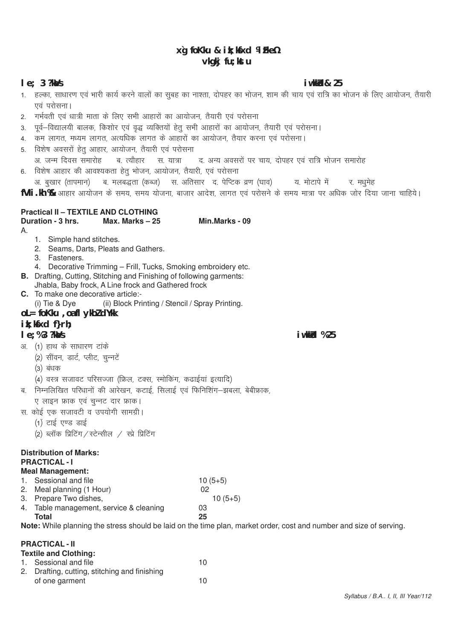# xg foKku & ik; kfxd ¼ Fke½ vkqkj fu; kstu

## $le: 3$  ?ka/s

- 1. हल्का, साधारण एवं भारी कार्य करने वालों का सुबह का नाश्ता, दोपहर का भोजन, शाम की चाय एवं रात्रि का भोजन के लिए आयोजन, तैयारी एवं परोसना ।
- 2. गर्भवती एवं धात्री माता के लिए सभी आहारों का आयोजन, तैयारी एवं परोसना
- 3. पूर्व–विद्यालयी बालक, किशोर एवं वृद्ध व्यक्तियों हेतू सभी आहारों का आयोजन, तैयारी एवं परोसना।
- 4. कम लागत, मध्यम लागत, अत्यधिक लागत के आहारों का आयोजन, तैयार करना एवं परोसना।
- 5. विशेष अवसरों हेतु आहार, आयोजन, तैयारी एवं परोसना
- अ. जन्म दिवस समारोह ब. त्यौहार स. यात्रा द. अन्य अवसरों पर चाय, दोपहर एवं रात्रि भोजन समारोह 6. विशेष आहार की आवश्यकता हेत भोजन, आयोजन, तैयारी, एवं परोसना
- अ. बृखार (तापमान) व. मलबद्धता (कब्ज) स. अतिसार द. पेप्टिक व्रण (घाव) य. मोटापे में र. मधमेह
- fVII.kh % आहार आयोजन के समय, समय योजना, बाजार आदेश, लागत एवं परोसने के समय मात्रा पर अधिक जोर दिया जाना चाहिये।

Min.Marks - 09

# **Practical II - TEXTILE AND CLOTHING**

# Duration - 3 hrs. Max. Marks - 25

 $\mathsf{A}$ 

- 1. Simple hand stitches.
- 2. Seams, Darts, Pleats and Gathers.
- 3. Fasteners.
- 4. Decorative Trimming Frill, Tucks, Smoking embroidery etc.
- **B.** Drafting, Cutting, Stitching and Finishing of following garments:
- Jhabla, Baby frock, A Line frock and Gathered frock C. To make one decorative article:-
	- (i) Tie & Dye (ii) Block Printing / Stencil / Spray Printing.
- $ol = f o Kku$ , oa fl ykbl d $Y$ kk

# $ik:$  ksxd f $}rh:$

# $le: %3$  ?ka/s

- अ. (1) हाथ के साधारण टाके
	- (2) सीवन, डार्ट, प्लीट, चुन्नटें
		- (3) बंधक
	- (4) वस्त्र सजावट परिसज्जा (फ़िल, टक्स, स्मोकिंग, कढाईयां इत्यादि)
- ब. निम्नलिखित परिधानों की आरेखन, कटाई, सिलाई एवं फिनिशिंग–झबला, बेबीफ्राक,
	- ए लाइन फ्राक एवं चुन्नट दार फ्राक।
- स. कोई एक सजावटी व उपयोगी सामग्री।
	- (1) टाई एण्ड डाई
	- (2) ब्लॉक प्रिटिंग / स्टेन्सील / स्प्रे प्रिटिंग

# **Distribution of Marks:**

# **PRACTICAL-I**

- **Meal Management:**
- $10(5+5)$ 1. Sessional and file 2. Meal planning (1 Hour) 02 3. Prepare Two dishes,  $10(5+5)$  $0<sub>3</sub>$
- Table management, service & cleaning  $\overline{4}$ **Total**

Note: While planning the stress should be laid on the time plan, market order, cost and number and size of serving.

25

#### **PRACTICAL - II**

# **Textile and Clothing:**

1. Sessional and file  $10$ 2. Drafting, cutting, stitching and finishing of one garment  $10$ 

# iwkkid& 25

i wkkid %25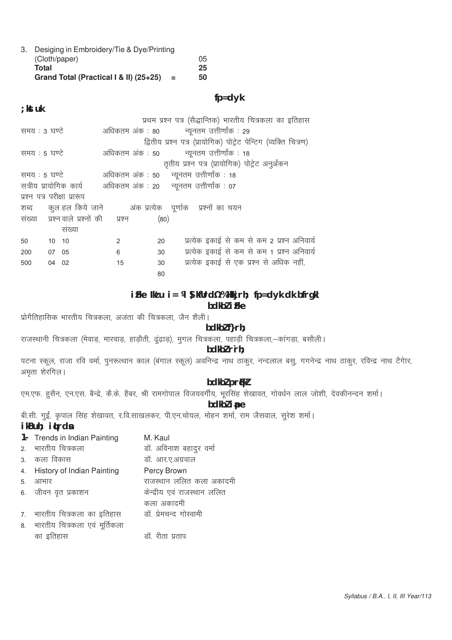3. Desiging in Embroidery/Tie & Dye/Printing (Cloth/paper) 05 25 **Total** Grand Total (Practical I & II) (25+25) = 50

# $fp = dyk$

#### ; kst uk

|                             |       |                                      |    |      | प्रथम प्रश्न पत्र (सैद्धान्तिक) भारतीय चित्रकला का इतिहास        |
|-----------------------------|-------|--------------------------------------|----|------|------------------------------------------------------------------|
| समय : 3 घण्टे               |       |                                      |    |      | अधिकतम अंक : 80         न्यूनतम उत्तीर्णांक : 29                 |
|                             |       |                                      |    |      | द्वितीय प्रश्न पत्र (प्रायोगिक) पोट्रेट पेन्टिग (व्यक्ति चित्रण) |
| समय : 5 घण्टे               |       |                                      |    |      | अधिकतम अंक : 50 व्युनतम उत्तीर्णांक : 18                         |
|                             |       |                                      |    |      | तृतीय प्रश्न पत्र (प्रायोगिक) पोट्रेट अनुर्अंकन                  |
| समय : 5 घण्टे               |       |                                      |    |      | अधिकतम अंक : 50 न्यूनतम उत्तीर्णांक : 18                         |
|                             |       |                                      |    |      | सत्रीय प्रायोगिक कार्य अधिकतम अंक : 20 न्यूनतम उत्तीर्णांक : 07  |
| प्रश्न पत्र परीक्षा प्रारूप |       |                                      |    |      |                                                                  |
|                             |       |                                      |    |      | शब्द कुल हल किये जाने अंक प्रत्येक पूर्णाक प्रश्नों का चयन       |
|                             |       | संख्या प्रश्नवाले प्रश्नों की प्रश्न |    | (80) |                                                                  |
|                             |       | संख्या                               |    |      |                                                                  |
| 50                          | 10 10 |                                      | 2  | 20   | प्रत्येक इकाई से कम से कम 2 प्रश्न अनिवार्य                      |
| 200                         | 07 05 |                                      | 6  | 30   | प्रत्येक इकाई से कम से कम 1 प्रश्न अनिवार्य                      |
| 500                         | 04 02 |                                      | 15 | 30   | प्रत्येक इकाई से एक प्रश्न से अधिक नहीं,                         |
|                             |       |                                      |    | 80   |                                                                  |

# $i$  Fke Ik' u  $i = M$  S kfUrd % SHkkj rh; fp=d yk dk bfrgkl bdkbl i Fke

प्रोगैतिहासिक भारतीय चित्रकला, अजंता की चित्रकला, जैन शैली।

#### bdkbl f}rh;

राजस्थानी चित्रकला (मेवाड़, मारवाड़, हाड़ौती, ढुढ़ाड़), मुगल चित्रकला, पहाड़ी चित्रकला,-कांगड़ा, बसौली।

# bdkbl r`rh;

पटना स्कूल, राजा रवि वर्मा, पुनरूत्थान काल (बंगाल स्कूल) अवनिन्द्र नाथ ठाकुर, नन्दलाल बसु, गगनेन्द्र नाथ ठाकुर, रविन्द्र नाथ टैगार, अमृता शेरगिल।

# bdkbl prfkl

एम.एफ. हुसैन, एन.एस. बैन्द्रे, कै.के. हैबर, श्री रामगोपाल विजयवर्गीय, भूरसिंह शेखावत, गोवर्धन लाल जोशी, देवकीनन्दन शर्मा।

bdkbl ipe

बी.सी. गुईं, कृपाल सिंह शेखावत, र.वि.साखलकर, पी.एन.चोयल, मोहन शर्मा, राम जैसवाल, सुरेश शर्मा।

# ikBuh; i¢rda

|    | 1- Trends in Indian Painting  | M. Kaul                     |
|----|-------------------------------|-----------------------------|
|    | 2. भारतीय चित्रकला            | डॉ. अविनाश बहादुर वर्मा     |
|    | 3. कला विकास                  | डॉ. आर.ए.अग्रवाल            |
|    | 4. History of Indian Painting | Percy Brown                 |
| 5. | आभार                          | राजस्थान ललित कला अकादमी    |
|    | 6. जीवन वृत प्रकाशन           | केन्द्रीय एवं राजस्थान ललित |
|    |                               | कला अकादमी                  |
|    | 7. भारतीय चित्रकला का इतिहास  | डॉ. प्रेमचन्द गोस्वामी      |
| 8. | भारतीय चित्रकला एवं मूर्तिकला |                             |
|    | का इतिहास                     | डॉ. रीता प्रताप             |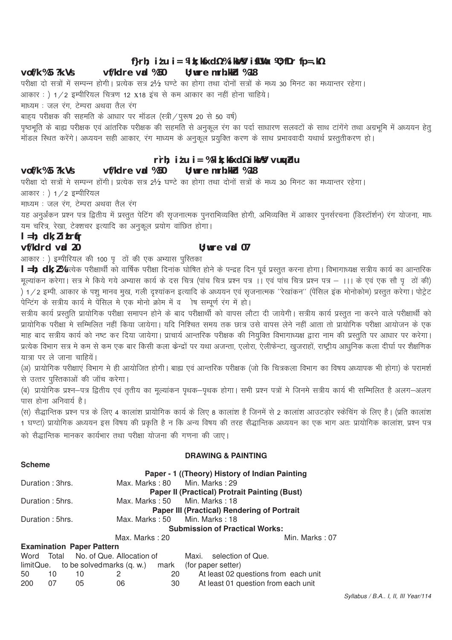# f}rh; itu i = ¼ k; k $x$ d½ % ik $y$  i  $x$ l $y$  i  $y$ ; fDr fp=.k½

#### vf/kdre vad %50  $U:$  wre mrh. kkd  $%18$  $\text{vol}/k$  %5  $?k$ . Vs

परीक्षा दो सत्रों में सम्पन्न होगी। प्रत्येक सत्र 2½ घण्टे का होगा तथा दोनों सत्रों के मध्य 30 मिनट का मध्यान्तर रहेगा।

आकार: ) 1/2 इम्पीरियल चित्रण 12 X18 इंच से कम आकार का नहीं होना चाहिये।

माध्यम : जल रंग, टेम्परा अथवा तैल रंग

बाहय परीक्षक की सहमति के आधार पर मॉडल (स्त्री / पुरूष 20 से 50 वर्ष)

.<br>पृष्ठभूति के बाह्य परीक्षक एवं आंतरिक परीक्षक की सहमति से अनुकूल रंग का पर्दा साधारण सलवटों के साथ टांगेंगे तथा अग्रभूमि में अध्ययन हेतु -<br>मॉडल स्थित करेंगे। अध्ययन सही आकार, रंग माध्यम के अनुकूल प्रयुक्ति करण के साथ प्रभाववादी यथार्थ प्रस्तुतीकरण हो।

# rrh; itu i = %¼k; kfxd½ ikVV vuyblu

#### $U:$  wre mrh. kkd %18  $v$ of/k %5 ?k.Vs vf/kdre vad %50

परीक्षा दो सत्रों मे सम्पन्न होंगी। प्रत्येक सत्र 2½ घण्टे का होगा तथा दोनों सत्रों के मध्य 30 मिनट का मध्यान्तर रहेगा।

आकार: ) 1/2 इम्पीरियल

माध्यम : जल रंग, टेम्परा अथवा तैल रंग

यह अनुर्अंकन प्रश्न पत्र द्वितीय में प्रस्तुत पेटिंग की सृजनात्मक पुनराभिव्यक्ति होगी, अभिव्यक्ति में आकार पुनर्सरचना (डिस्टॉर्शन) रंग योजना, माध यम चरित्र, रेखा, टेक्शचर इत्यादि का अनुकूल प्रयोग वांछित होगा।

# $l = h$ ; dk; litrír

**Scheme** 

## vf/kdrd vrd 20

# $II:$  wire  $val$  07

आकार : ) इम्पीरियल की 100 पृ वों की एक अभ्यास पुस्तिका

| =h; dk; l%प्रत्येक परीक्षार्थी को वार्षिक परीक्षा दिनाक घोषित होने के पन्द्रह दिन पूर्व प्रस्तुत करना होगा। विभागाध्यक्ष सत्रीय कार्य का आन्तरिक मल्यांकन करेगा। सत्र मे किये गये अभ्यास कार्य के दस चित्र (पांच चित्र प्रश्न पत्र ।। एवं पांच चित्र प्रश्न पत्र – ।।। के एवं एक सौ पर्ला की) ैं।<br>संसदन से अपने पशु भानव मुख, गली दृश्यांकन इत्यादि के अध्ययन एवं सृजनात्मक ''रेखांकन'' (पेंसिल इक मोनोकोम) प्रस्तुत करेगा। पोट्रेट 

,<br>प्रायोगिक परीक्षा मे सम्मिलित नहीं किया जायेगा। यदि निश्चित समय तक छात्र उसे वापस लेने नहीं आता तो प्रायोगिक परीक्षा आयोजन के एक माह बाद सत्रीय कार्य को नष्ट कर दिया जायेगा। प्राचार्य आन्तरिक परीक्षक की नियुक्ति विभागाध्यक्ष द्वारा नाम की प्रस्तुति पर आधार पर करेगा। ,<br>प्रत्येक विभाग सत्र मे कम से कम एक बार किसी कला केन्द्रों पर यथा अजन्ता, एलोरा, ऐलीफेन्टा, खुजराहों, राष्ट्रीय आधुनिक कला दीर्घा पर शैक्षणिक यात्रा पर ले जाना चाहियें।

(अ) प्रायोगिक परीक्षाएं विभाग मे ही आयोजित होगी। बाह्य एवं आन्तरिक परीक्षक (जो कि चित्रकला विभाग का विषय अध्यापक भी होगा) के परामर्श से उत्तर परितकाओं की जॉच करेगा।

(ब) प्रायोगिक प्रश्न—पत्र द्वितीय एवं तृतीय का मूल्यांकन पृथक—पृथक होगा। सभी प्रश्न पत्रों मे जिनमे सत्रीय कार्य भी सम्मिलित है अलग—अलग पास होना अनिवार्य है।

(स) सैद्धान्तिक प्रश्न पत्र के लिए 4 कालांश प्रायोगिक कार्य के लिए 8 कालांश है जिनमें से 2 कालांश आउटड़ोर स्केचिंग के लिए है। (प्रति कालांश .<br>1 घण्टा) प्रायोगिक अध्ययन इस विषय की प्रकृति है न कि अन्य विषय की तरह सैद्धान्तिक अध्ययन का एक भाग अतः प्रायोगिक कालांश, प्रश्न पत्र को सैद्धान्तिक मानकर कार्यभार तथा परीक्षा योजना की गणना की जाए।

# **DRAWING & PAINTING**

|                 |    |                                  |                                      |                               | Paper - 1 ((Theory) History of Indian Painting                   |
|-----------------|----|----------------------------------|--------------------------------------|-------------------------------|------------------------------------------------------------------|
| Duration: 3hrs. |    |                                  |                                      |                               | Max. Marks: 80 Min. Marks: 29                                    |
|                 |    |                                  |                                      |                               | <b>Paper II (Practical) Protrait Painting (Bust)</b>             |
| Duration: 5hrs. |    |                                  |                                      |                               | Max. Marks: 50 Min. Marks: 18                                    |
|                 |    |                                  |                                      |                               | <b>Paper III (Practical) Rendering of Portrait</b>               |
| Duration: 5hrs. |    |                                  |                                      | Max. Marks: 50 Min. Marks: 18 |                                                                  |
|                 |    |                                  |                                      |                               | <b>Submission of Practical Works:</b>                            |
|                 |    |                                  | Max. Marks: 20                       |                               | Min. Marks: 07                                                   |
|                 |    | <b>Examination Paper Pattern</b> |                                      |                               |                                                                  |
|                 |    |                                  | Word Total No. of Que. Allocation of |                               | Maxi. selection of Que.                                          |
|                 |    |                                  |                                      |                               | $limitQue.$ to be solved marks $(q. w.)$ mark (for paper setter) |
| 50 10           |    | 10                               | 2                                    | 20                            | At least 02 questions from each unit                             |
| 200             | 07 | 05.                              | NG.                                  | 30.                           | At least 01 question from each unit                              |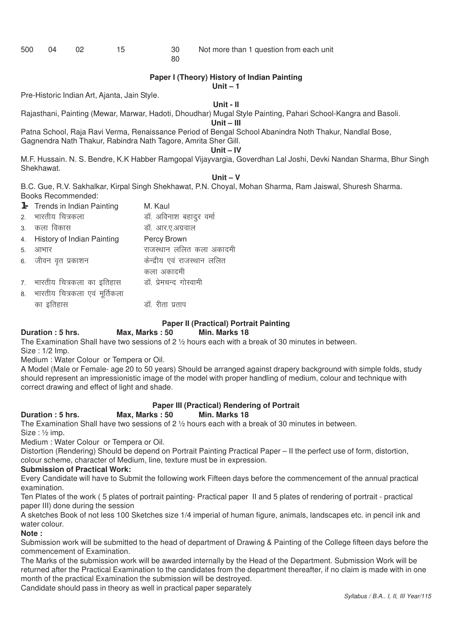| 500 | 04 | 02 |  |
|-----|----|----|--|
|-----|----|----|--|

#### 80

#### **Paper I (Theory) History of Indian Painting**

**Unit – 1**

Pre-Historic Indian Art, Ajanta, Jain Style.

#### **Unit - II**

Rajasthani, Painting (Mewar, Marwar, Hadoti, Dhoudhar) Mugal Style Painting, Pahari School-Kangra and Basoli.

**Unit – III**

Patna School, Raja Ravi Verma, Renaissance Period of Bengal School Abanindra Noth Thakur, Nandlal Bose, Gagnendra Nath Thakur, Rabindra Nath Tagore, Amrita Sher Gill.

#### **Unit – IV**

M.F. Hussain. N. S. Bendre, K.K Habber Ramgopal Vijayvargia, Goverdhan Lal Joshi, Devki Nandan Sharma, Bhur Singh Shekhawat.

#### **Unit – V**

B.C. Gue, R.V. Sakhalkar, Kirpal Singh Shekhawat, P.N. Choyal, Mohan Sharma, Ram Jaiswal, Shuresh Sharma. Books Recommended:

|               | 1- Trends in Indian Painting  | M. Kaul                     |
|---------------|-------------------------------|-----------------------------|
| $\mathcal{P}$ | भारतीय चित्रकला               | डॉ. अविनाश बहादुर वर्मा     |
| $\mathbf{3}$  | कला विकास                     | डॉ. आर.ए.अग्रवाल            |
| 4.            | History of Indian Painting    | Percy Brown                 |
| 5.            | आभार                          | राजस्थान ललित कला अकादमी    |
|               | 6. जीवन वृत प्रकाशन           | केन्द्रीय एवं राजस्थान ललित |
|               |                               | कला अकादमी                  |
|               | 7. भारतीय चित्रकला का इतिहास  | डॉ. प्रेमचन्द गोस्वामी      |
| 8.            | भारतीय चित्रकला एवं मूर्तिकला |                             |
|               | का डतिहास                     | डाँ. रीता प्रताप            |

# **Paper II (Practical) Portrait Painting**

#### **Duration : 5 hrs.** Max, Marks : 50

The Examination Shall have two sessions of 2 ½ hours each with a break of 30 minutes in between.

Size : 1/2 Imp.

Medium : Water Colour or Tempera or Oil.

A Model (Male or Female- age 20 to 50 years) Should be arranged against drapery background with simple folds, study should represent an impressionistic image of the model with proper handling of medium, colour and technique with correct drawing and effect of light and shade.

# **Paper III (Practical) Rendering of Portrait**

#### **Duration : 5 hrs. Max, Marks : 50 Min. Marks 18**

The Examination Shall have two sessions of 2 ½ hours each with a break of 30 minutes in between. Size : ½ imp.

Medium : Water Colour or Tempera or Oil.

Distortion (Rendering) Should be depend on Portrait Painting Practical Paper – II the perfect use of form, distortion, colour scheme, character of Medium, line, texture must be in expression.

#### **Submission of Practical Work:**

Every Candidate will have to Submit the following work Fifteen days before the commencement of the annual practical examination.

Ten Plates of the work ( 5 plates of portrait painting- Practical paper II and 5 plates of rendering of portrait - practical paper III) done during the session

A sketches Book of not less 100 Sketches size 1/4 imperial of human figure, animals, landscapes etc. in pencil ink and water colour.

#### **Note :**

Submission work will be submitted to the head of department of Drawing & Painting of the College fifteen days before the commencement of Examination.

The Marks of the submission work will be awarded internally by the Head of the Department. Submission Work will be returned after the Practical Examination to the candidates from the department thereafter, if no claim is made with in one month of the practical Examination the submission will be destroyed.

Candidate should pass in theory as well in practical paper separately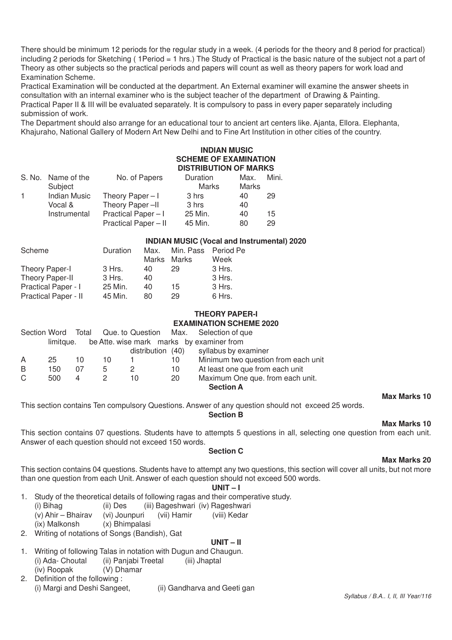There should be minimum 12 periods for the regular study in a week. (4 periods for the theory and 8 period for practical) including 2 periods for Sketching ( 1Period = 1 hrs.) The Study of Practical is the basic nature of the subject not a part of Theory as other subjects so the practical periods and papers will count as well as theory papers for work load and Examination Scheme.

Practical Examination will be conducted at the department. An External examiner will examine the answer sheets in consultation with an internal examiner who is the subject teacher of the department of Drawing & Painting. Practical Paper II & III will be evaluated separately. It is compulsory to pass in every paper separately including submission of work.

The Department should also arrange for an educational tour to ancient art centers like. Ajanta, Ellora. Elephanta, Khajuraho, National Gallery of Modern Art New Delhi and to Fine Art Institution in other cities of the country.

# **INDIAN MUSIC SCHEME OF EXAMINATION DISTRIBUTION OF MARKS**

|    | S. No. Name of the<br>Subject  | No. of Papers                             | Duration<br>Marks  | Max.<br>Marks | Mini.    |
|----|--------------------------------|-------------------------------------------|--------------------|---------------|----------|
| 1. | <b>Indian Music</b><br>Vocal & | Theory Paper $-1$<br>Theory Paper-II      | 3 hrs<br>3 hrs     | 40<br>40      | 29       |
|    | Instrumental                   | Practical Paper-I<br>Practical Paper - II | 25 Min.<br>45 Min. | 40<br>80      | 15<br>29 |

#### **INDIAN MUSIC (Vocal and Instrumental) 2020**

| Scheme                     | Duration | Max. | Min. Pass Period Pe |        |
|----------------------------|----------|------|---------------------|--------|
|                            |          |      | Marks Marks         | Week   |
| Theory Paper-I             | 3 Hrs.   | 40   | 29                  | 3 Hrs. |
| Theory Paper-II            | 3 Hrs.   | 40   |                     | 3 Hrs. |
| <b>Practical Paper - I</b> | 25 Min.  | 40   | 15                  | 3 Hrs. |
| Practical Paper - II       | 45 Min.  | 80   | 29                  | 6 Hrs. |

#### **THEORY PAPER-I EXAMINATION SCHEME 2020**

| Section Word |           |    |    |                   |    | Total Que to Question Max. Selection of que |
|--------------|-----------|----|----|-------------------|----|---------------------------------------------|
|              | limitque. |    |    |                   |    | be Atte. wise mark marks by examiner from   |
|              |           |    |    | distribution (40) |    | syllabus by examiner                        |
| A            | 25        | 10 | 10 |                   | 10 | Minimum two question from each unit         |
| B            | 150       | 07 | 5  |                   | 10 | At least one que from each unit             |
| C            | 500       | 4  |    | 10                | 20 | Maximum One que. from each unit.            |
|              |           |    |    |                   |    | <b>Section A</b>                            |

# **Max Marks 10**

This section contains Ten compulsory Questions. Answer of any question should not exceed 25 words.

#### **Section B**

# **Max Marks 10**

This section contains 07 questions. Students have to attempts 5 questions in all, selecting one question from each unit. Answer of each question should not exceed 150 words.

#### **Section C**

# This section contains 04 questions. Students have to attempt any two questions, this section will cover all units, but not more than one question from each Unit. Answer of each question should not exceed 500 words.

#### **UNIT – I**

- 1. Study of the theoretical details of following ragas and their comperative study.
	- (i) Bihag (ii) Des (iii) Bageshwari (iv) Rageshwari<br>(v) Ahir Bhairay (vi) Jounpuri (vii) Hamir (viii) Kedar
	- (v) Ahir Bhairav (vi) Jounpuri (vii) Hamir (viii) Kedar
	- (ix) Malkonsh (x) Bhimpalasi
- 2. Writing of notations of Songs (Bandish), Gat

# **UNIT – II**

- 1. Writing of following Talas in notation with Dugun and Chaugun. (i) Ada- Choutal (ii) Panjabi Treetal (iii) Jhaptal
- (iv) Roopak (V) Dhamar
- 2. Definition of the following :<br>(i) Margi and Deshi Sangeet. (ii) Gandharva and Geeti gan

# **Max Marks 20**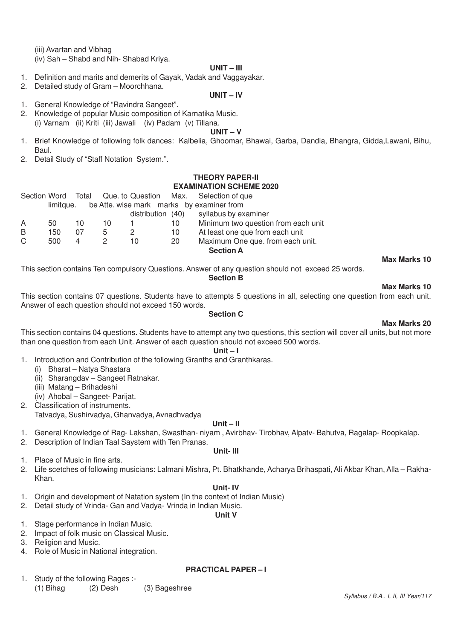(iii) Avartan and Vibhag

(iv) Sah – Shabd and Nih- Shabad Kriya.

#### **UNIT – III**

- 1. Definition and marits and demerits of Gayak, Vadak and Vaggayakar.
- 2. Detailed study of Gram Moorchhana.

#### **UNIT – IV**

- 1. General Knowledge of "Ravindra Sangeet".
- 2. Knowledge of popular Music composition of Karnatika Music. (i) Varnam (ii) Kriti (iii) Jawali (iv) Padam (v) Tillana.

#### **UNIT – V**

- 1. Brief Knowledge of following folk dances: Kalbelia, Ghoomar, Bhawai, Garba, Dandia, Bhangra, Gidda,Lawani, Bihu, Baul.
- 2. Detail Study of "Staff Notation System.".

#### **THEORY PAPER-II EXAMINATION SCHEME 2020**

|    |      |     |    |  |    | Section Word Total Que. to Question Max. Selection of que |
|----|------|-----|----|--|----|-----------------------------------------------------------|
|    |      |     |    |  |    | limitque. be Atte. wise mark marks by examiner from       |
|    |      |     |    |  |    | distribution (40) syllabus by examiner                    |
| A  | 50.  | 10. | 10 |  | 10 | Minimum two question from each unit                       |
| B. | 150. | 07  | 5  |  | 10 | At least one que from each unit                           |
|    |      |     |    |  |    |                                                           |

C 500 4 2 10 20 Maximum One que. from each unit. **Section A**

#### **Max Marks 10**

This section contains Ten compulsory Questions. Answer of any question should not exceed 25 words.

#### **Section B**

#### **Max Marks 10**

This section contains 07 questions. Students have to attempts 5 questions in all, selecting one question from each unit. Answer of each question should not exceed 150 words.

#### **Section C**

#### **Max Marks 20**

This section contains 04 questions. Students have to attempt any two questions, this section will cover all units, but not more than one question from each Unit. Answer of each question should not exceed 500 words.

#### **Unit – I**

1. Introduction and Contribution of the following Granths and Granthkaras.

- (i) Bharat Natya Shastara
	- (ii) Sharangdav Sangeet Ratnakar.
	- (iii) Matang Brihadeshi
	- (iv) Ahobal Sangeet- Parijat.
- 2. Classification of instruments. Tatvadya, Sushirvadya, Ghanvadya, Avnadhvadya

#### **Unit – II**

- 1. General Knowledge of Rag- Lakshan, Swasthan- niyam , Avirbhav- Tirobhav, Alpatv- Bahutva, Ragalap- Roopkalap.
- 2. Description of Indian Taal Saystem with Ten Pranas.

#### **Unit- III**

- 1. Place of Music in fine arts.
- 2. Life scetches of following musicians: Lalmani Mishra, Pt. Bhatkhande, Acharya Brihaspati, Ali Akbar Khan, Alla Rakha-Khan.

#### **Unit- IV**

**Unit V**

- 1. Origin and development of Natation system (In the context of Indian Music)
- 2. Detail study of Vrinda- Gan and Vadya- Vrinda in Indian Music.

#### 1. Stage performance in Indian Music.

- 2. Impact of folk music on Classical Music.
- 3. Religion and Music.
- 4. Role of Music in National integration.

#### **PRACTICAL PAPER – I**

1. Study of the following Rages :- (1) Bihag (2) Desh (3) Bageshree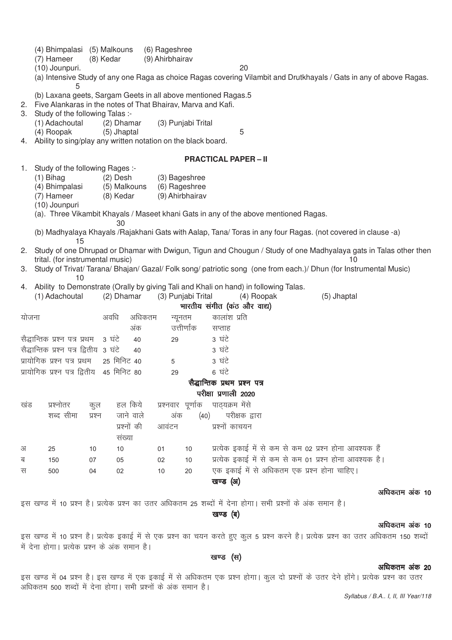|          | (4) Bhimpalasi (5) Malkouns<br>(7) Hameer<br>(10) Jounpuri.<br>5                                                                                                                      | (8) Kedar                               | (6) Rageshree<br>(9) Ahirbhairav                  | 20<br>(a) Intensive Study of any one Raga as choice Ragas covering Vilambit and Drutkhayals / Gats in any of above Ragas.                                                                                                                   |
|----------|---------------------------------------------------------------------------------------------------------------------------------------------------------------------------------------|-----------------------------------------|---------------------------------------------------|---------------------------------------------------------------------------------------------------------------------------------------------------------------------------------------------------------------------------------------------|
| 3.       | (b) Laxana geets, Sargam Geets in all above mentioned Ragas.5<br>2. Five Alankaras in the notes of That Bhairav, Marva and Kafi.<br>Study of the following Talas :-<br>(1) Adachoutal | (2) Dhamar                              | (3) Punjabi Trital                                |                                                                                                                                                                                                                                             |
|          | (4) Roopak<br>4. Ability to sing/play any written notation on the black board.                                                                                                        | (5) Jhaptal                             |                                                   | 5                                                                                                                                                                                                                                           |
|          |                                                                                                                                                                                       |                                         |                                                   | <b>PRACTICAL PAPER - II</b>                                                                                                                                                                                                                 |
| 1.       | Study of the following Rages :-<br>$(1)$ Bihag<br>(4) Bhimpalasi<br>(7) Hameer<br>(10) Jounpuri                                                                                       | $(2)$ Desh<br>(5) Malkouns<br>(8) Kedar | (3) Bageshree<br>(6) Rageshree<br>(9) Ahirbhairav | (a). Three Vikambit Khayals / Maseet khani Gats in any of the above mentioned Ragas.                                                                                                                                                        |
|          |                                                                                                                                                                                       | 30                                      |                                                   | (b) Madhyalaya Khayals / Rajakhani Gats with Aalap, Tana/ Toras in any four Ragas. (not covered in clause -a)                                                                                                                               |
| 2.<br>3. | 15<br>trital. (for instrumental music)<br>10                                                                                                                                          |                                         |                                                   | Study of one Dhrupad or Dhamar with Dwigun, Tigun and Chougun / Study of one Madhyalaya gats in Talas other then<br>10<br>Study of Trivat/ Tarana/ Bhajan/ Gazal/ Folk song/ patriotic song (one from each.)/ Dhun (for Instrumental Music) |
| 4.       | (1) Adachoutal                                                                                                                                                                        | (2) Dhamar                              | (3) Punjabi Trital                                | Ability to Demonstrate (Orally by giving Tali and Khali on hand) in following Talas.<br>(4) Roopak<br>(5) Jhaptal<br>भारतीय संगीत (कंठ और वाद्य)                                                                                            |
| योजना    |                                                                                                                                                                                       | अवधि<br>अधिकतम                          | न्यूनतम                                           | कालांश प्रति                                                                                                                                                                                                                                |
|          |                                                                                                                                                                                       | अंक                                     | उत्तीर्णांक                                       | सप्ताह                                                                                                                                                                                                                                      |
|          | सैद्धान्तिक प्रश्न पत्र प्रथम                                                                                                                                                         | 3 घंटे<br>40                            | 29                                                | 3 घंटे                                                                                                                                                                                                                                      |
|          | सैद्धान्तिक प्रश्न पत्र द्वितीय 3 घंटे                                                                                                                                                | 40                                      |                                                   | 3 घंटे                                                                                                                                                                                                                                      |
|          | प्रायोगिक प्रश्न पत्र प्रथम                                                                                                                                                           | 25 मिनिट 40                             | 5                                                 | 3 घंटे                                                                                                                                                                                                                                      |
|          | प्रायोगिक प्रश्न पत्र द्वितीय                                                                                                                                                         | 45 मिनिट 80                             | 29                                                | 6 ਬਂਟੇ                                                                                                                                                                                                                                      |
|          |                                                                                                                                                                                       |                                         |                                                   | सैद्धान्तिक प्रथम प्रश्न पत्र                                                                                                                                                                                                               |
|          |                                                                                                                                                                                       |                                         |                                                   | परीक्षा प्रणाली 2020                                                                                                                                                                                                                        |
| खंड      | प्रश्नोतर<br>कुल                                                                                                                                                                      | हल किये                                 | प्रश्नवार पूर्णाक पाठ्यक्रम मेंसे                 |                                                                                                                                                                                                                                             |
|          | शब्द सीमा<br>प्रश्न                                                                                                                                                                   | जाने वाले                               | अंक                                               | (40) परीक्षक द्वारा                                                                                                                                                                                                                         |
|          |                                                                                                                                                                                       | प्रश्नों की                             | आवंटन                                             | प्रश्नों काचयन                                                                                                                                                                                                                              |
|          |                                                                                                                                                                                       | संख्या                                  |                                                   |                                                                                                                                                                                                                                             |
| अ        | 25<br>10                                                                                                                                                                              | 10                                      | 01<br>10                                          | प्रत्येक इकाई में से कम से कम 02 प्रश्न होना आवश्यक हैं                                                                                                                                                                                     |
| ब        | 150<br>07                                                                                                                                                                             | 05                                      | 10<br>02                                          | प्रत्येक इकाई में से कम से कम 01 प्रश्न होना आवश्यक है।                                                                                                                                                                                     |
| स        | 500<br>04                                                                                                                                                                             | 02                                      | 20<br>10                                          | एक इकाई में से अधिकतम एक प्रश्न होना चाहिए।                                                                                                                                                                                                 |
|          |                                                                                                                                                                                       |                                         |                                                   | खण्ड (अ)                                                                                                                                                                                                                                    |
|          |                                                                                                                                                                                       |                                         |                                                   | अधिकतम अंक 10                                                                                                                                                                                                                               |
|          |                                                                                                                                                                                       |                                         |                                                   | इस खण्ड में 10 प्रश्न है। प्रत्येक प्रश्न का उतर अधिकतम 25 शब्दों में देना होगा। सभी प्रश्नों के अंक समान है।                                                                                                                               |
|          |                                                                                                                                                                                       |                                         |                                                   | खण्ड (ब)                                                                                                                                                                                                                                    |
|          |                                                                                                                                                                                       |                                         |                                                   | अधिकतम अंक 10                                                                                                                                                                                                                               |

इस खण्ड में 10 प्रश्न है। प्रत्येक इकाई में से एक प्रश्न का चयन करते हुए कुल 5 प्रश्न करने है। प्रत्येक प्रश्न का उतर अधिकतम 150 शब्दों ्<br>में देना होगा। प्रत्येक प्रश्न के अंक समान है।

खण्ड (स)

#### अधिकतम अंक 20

इस खण्ड में 04 प्रश्न है। इस खण्ड में एक इकाई में से अधिकतम एक प्रश्न होगा। कुल दो प्रश्नों के उतर देने होंगे। प्रत्येक प्रश्न का उतर valled start start start start valled in the same start of the same start of valled start in the same start of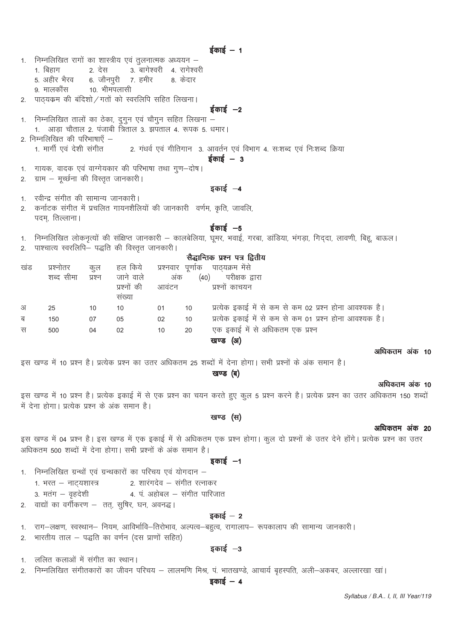| 1.  | निम्नलिखित रागों का शास्त्रीय एवं तुलनात्मक अध्ययन –                  |        |                               |       |    |                                                                                                                           |      |
|-----|-----------------------------------------------------------------------|--------|-------------------------------|-------|----|---------------------------------------------------------------------------------------------------------------------------|------|
|     | 1. बिहाग                                                              |        | 2. देस वागेश्वरी 4. रागेश्वरी |       |    |                                                                                                                           |      |
|     | 5. अहीर भैरव 6. जौनपुरी 7. हमीर 8. केदार                              |        |                               |       |    |                                                                                                                           |      |
|     | 9. मालकौंस 10. भीमपलासी                                               |        |                               |       |    |                                                                                                                           |      |
|     | 2. पाठ्यक्रम की बंदिशो / गतों को स्वरलिपि सहित लिखना।                 |        |                               |       |    |                                                                                                                           |      |
|     |                                                                       |        |                               |       |    | $\frac{1}{5}$ काई $-2$                                                                                                    |      |
|     | 1. निम्नलिखित तालों का ठेका, दुगुन एवं चौगुन सहित लिखना –             |        |                               |       |    |                                                                                                                           |      |
|     | 1. आड़ा चौताल 2. पंजाबी त्रिताल 3. झपताल 4. रूपक 5. धमार।             |        |                               |       |    |                                                                                                                           |      |
|     | 2. निम्नलिखित की परिभाषाएँ –                                          |        |                               |       |    |                                                                                                                           |      |
|     | 1. मार्गी एवं देशी संगीत                                              |        |                               |       |    | 2. गंधर्व एवं गीतिगान  3. आवर्तन एवं विभाग 4. सःशब्द एवं निःशब्द क्रिया                                                   |      |
|     |                                                                       |        |                               |       |    | $\frac{1}{5}$ काई $-$ 3                                                                                                   |      |
|     | 1. गायक, वादक एवं वाग्गेयकार की परिभाषा तथा गुण-दोष।                  |        |                               |       |    |                                                                                                                           |      |
|     | 2. ग्राम – मूर्च्छना की विस्तृत जानकारी।                              |        |                               |       |    |                                                                                                                           |      |
|     |                                                                       |        |                               |       |    | इकाई –4                                                                                                                   |      |
|     | 1. रवीन्द्र संगीत की सामान्य जानकारी।                                 |        |                               |       |    |                                                                                                                           |      |
| 2.  | कर्नाटक संगीत में प्रचलित गायनशैलियों की जानकारी  वर्णम, कृति, जावलि, |        |                               |       |    |                                                                                                                           |      |
|     | पदम्, तिल्लाना।                                                       |        |                               |       |    |                                                                                                                           |      |
|     |                                                                       |        |                               |       |    | ईकाई –5                                                                                                                   |      |
|     |                                                                       |        |                               |       |    | 1.  निम्नलिखित लोकनृत्यों की संक्षिप्त जानकारी – कालबेलिया, घूमर, भवाई, गरबा, डांडिया, भंगड़ा, गिद्दा, लावणी, बिहू, बाऊल। |      |
|     | 2. पाश्चात्य स्वरलिपि– पद्धति की विस्तृत जानकारी।                     |        |                               |       |    |                                                                                                                           |      |
|     |                                                                       |        |                               |       |    | सैद्धान्तिक प्रश्न पत्र द्वितीय                                                                                           |      |
| खंड | प्रश्नोतर                                                             | कुल    | हल किये                       |       |    | प्रश्नवार पूर्णाक पाठ्यक्रम मेंसे                                                                                         |      |
|     | शब्द सीमा                                                             | प्रश्न | जाने वाले                     | अंक   |    | (40) - परीक्षक द्वारा                                                                                                     |      |
|     |                                                                       |        | प्रश्नों की                   | आवंटन |    | प्रश्नों काचयन                                                                                                            |      |
|     |                                                                       |        | संख्या                        |       |    |                                                                                                                           |      |
|     |                                                                       |        |                               |       |    |                                                                                                                           |      |
| अ   | 25                                                                    | 10     | 10                            | 01    | 10 | प्रत्येक इकाई में से कम से कम 02 प्रश्न होना आवश्यक है।                                                                   |      |
| ब   | 150                                                                   | 07     | 05                            | 02    | 10 | प्रत्येक इकाई में से कम से कम 01 प्रश्न होना आवश्यक है।                                                                   |      |
| स   | 500                                                                   | 04     | 02                            | 10    | 20 | एक इकाई में से अधिकतम एक प्रश्न                                                                                           |      |
|     |                                                                       |        |                               |       |    | खण्ड (अ)                                                                                                                  |      |
|     |                                                                       |        |                               |       |    |                                                                                                                           | आधकत |
|     |                                                                       |        |                               |       |    | $\mathcal{L}$ , and the contract of $\mathcal{L}$ and $\mathcal{L}$ are contracted to $\mathcal{L}$                       |      |

 $\frac{1}{5}$ कार्ड – 1

#### ाधिकतम अंक 10

इस खण्ड में 10 प्रश्न है। प्रत्येक प्रश्न का उतर अधिकतम 25 शब्दों में देना होगा। सभी प्रश्नों के अंक समान है।

# खण्ड (ब)

#### अधिकतम अंक 10

इस खण्ड में 10 प्रश्न है। प्रत्येक इकाई में से एक प्रश्न का चयन करते हुए कुल 5 प्रश्न करने है। प्रत्येक प्रश्न का उतर अधिकतम 150 शब्दों में देना होगा। प्रत्येक प्रश्न के अंक समान है।

#### खण्ड (स)

# अधिकतम अंक 20

इस खण्ड में 04 प्रश्न है। इस खण्ड में एक इकाई में से अधिकतम एक प्रश्न होगा। कूल दो प्रश्नों के उतर देने होंगे। प्रत्येक प्रश्न का उतर अधिकतम 500 शब्दों में देना होगा। सभी प्रश्नों के अंक समान है।

# इकाई –1

- 1. निम्नलिखित ग्रन्थों एवं ग्रन्थकारों का परिचय एवं योगदान
	- 2. शारंगदेव संगीत रत्नाकर 1. भरत – नाट्यशास्त्र
	- 3. मतंग वृहदेशी 4. पं. अहोबल – संगीत पारिजात
- वाद्यों का वर्गीकरण तत्, सुषिर, घन, अवनद्ध।  $2.$

# इकाई  $-2$

- राग-लक्षण, स्वस्थान- नियम, आविर्भावि-तिरोभाव, अल्पत्व-बहुत्व, रागालाप- रूपकालाप की सामान्य जानकारी।  $1.$
- भारतीय ताल पद्धति का वर्णन (दस प्राणों सहित)  $\mathcal{P}$

# इकाई –3

ललित कलाओं में संगीत का स्थान।  $\mathbf{1}$ 

निम्नलिखित संगीतकारों का जीवन परिचय – लालमणि मिश्र, पं. भातखण्डे, आचार्य बृहस्पति, अली–अकबर, अल्लारखा खां।  $\overline{2}$ .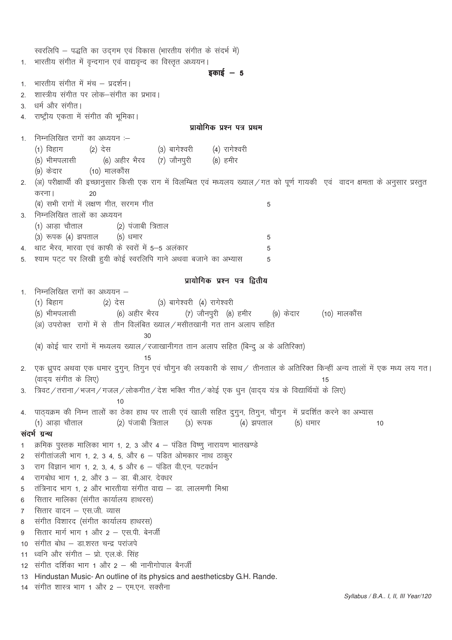स्वरलिपि – पद्धति का उदगम एवं विकास (भारतीय संगीत के संदर्भ में) भारतीय संगीत में वृन्दगान एवं वाद्यवृन्द का विस्तृत अध्ययन।  $1<sub>1</sub>$ डकाई  $-5$ भारतीय संगीत में मंच - प्रदर्शन।  $1<sub>1</sub>$ शास्त्रीय संगीत पर लोक-संगीत का प्रभाव।  $\mathfrak{D}$ धर्म और संगीत।  $\mathcal{S}$ राष्ट्रीय एकता में संगीत की भूमिका।  $\overline{A}$ प्रायोगिक प्रश्न पत्र प्रथम निम्नलिखित रागों का अध्ययन :–  $\mathbf{1}$ (3) बागेश्वरी  $(1)$  विहाग  $(2)$  देस (4) रागेश्वरी (5) भीमपलासी (6) अहीर भैरव (7) जौनपुरी (8) हमीर (9) केदार (10) मालकौंस 2. (अ) परीक्षार्थी की इच्छानुसार किसी एक राग में विलम्बित एवं मध्यलय ख्याल/गत को पूर्ण गायकी एवं वादन क्षमता के अनुसार प्रस्तुत करना। 20 (ब) सभी रागों में लक्षण गीत, सरगम गीत 5 3. निम्नलिखित तालों का अध्ययन (1) आड़ा चौताल (2) पंजाबी त्रिताल (3) रूपक (4) झपताल (5) धमार 5 थाट भैरव, मारवा एवं काफी के स्वरों में 5-5 अलंकार  $\overline{5}$  $\overline{4}$ श्याम पट्ट पर लिखी हुयी कोई स्वरलिपि गाने अथवा बजाने का अभ्यास  $5^{\circ}$ 5 प्रायोगिक प्रश्न पत्र द्वितीय निम्नलिखित रागों का अध्ययन –  $\mathbf{1}$ (3) बागेश्वरी (4) रागेश्वरी (1) बिहाग  $(2)$  देस (7) जौनपुरी (8) हमीर (5) भीमपलासी (6) अहीर भैरव (9) केदार (10) मालकौंस (अ) उपरोक्त रागों में से तीन विलंबित ख्याल / मसीतखानी गत तान अलाप सहित (ब) कोई चार रागों में मध्यलय ख्याल/रजाखानीगत तान अलाप सहित (बिन्दु अ के अतिरिक्त)  $15$ 2. एक ध्रूपद अथवा एक धमार दुगुन, तिगुन एवं चौगुन की लयकारी के साथ/ तीनताल के अतिरिक्त किन्हीं अन्य तालों में एक मध्य लय गत। (वादय संगीत के लिए)  $15$ त्रिवट / तराना / भजन / गजल / लोकगीत / देश भक्ति गीत / कोई एक धुन (वादय यंत्र के विद्यार्थियों के लिए)  $3.$  $10$ पाठ्यक्रम की निम्न तालों का ठेका हाथ पर ताली एवं खाली सहित दुगुन, तिगुन, चौगुन में प्रदर्शित करने का अभ्यास  $\overline{4}$ (1) आड़ा चौताल (2) पंजाबी त्रिताल (३) रूपक (4) झपताल (5) धमार  $10$ संदर्भ ग्रन्थ क्रमिक पुस्तक मालिका भाग 1, 2, 3 और 4 – पंडित विष्णू नारायण भातखण्डे  $\mathbf{1}$ संगीतांजली भाग 1, 2, 3 4, 5, और 6 - पडित ओमकार नाथ ठाकूर  $\overline{2}$ राग विज्ञान भाग 1, 2, 3, 4, 5 और 6 - पंडित वी.एन. पटवर्धन  $\mathcal{R}$ रागबोध भाग 1, 2, और 3 - डा. बी.आर. देवधर  $\overline{4}$ तंत्रिनाद भाग 1 2 और भारतीया संगीत वाद्य – डा लालमणी मिश्रा 5 सितार मालिका (संगीत कार्यालय हाथरस) 6 सितार वादन – एस.जी. व्यास  $\overline{7}$ संगीत विशारद (संगीत कार्यालय हाथरस)  $\mathsf{R}$ सितार मार्ग भाग 1 और 2 - एस.पी. बेनर्जी  $\mathbf{Q}$ संगीत बोध – डा.शरत चन्द्र परांजपे  $10<sup>-1</sup>$ ध्वनि और संगीत – प्रो. एल.के. सिंह  $11$ संगीत दर्शिका भाग 1 और 2 – श्री नानीगोपाल बैनर्जी  $12<sup>1</sup>$ Hindustan Music-An outline of its physics and aestheticsby G.H. Rande.  $13<sup>13</sup>$ संगीत शास्त्र भाग 1 और 2 – एम.एन. सक्सैना  $14$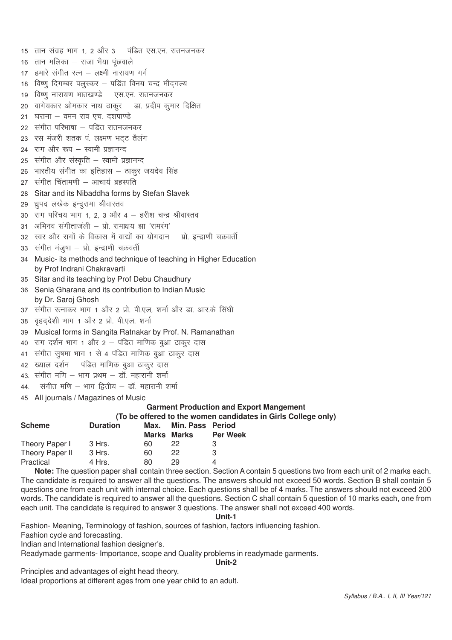15 तान संग्रह भाग 1, 2 और 3 – पंडित एस.एन. रातनजनकर 16 तान मलिका – राजा भैया पंछवाले हमारे संगीत रत्न - लक्ष्मी नारायण गर्ग  $17<sup>17</sup>$ 18 विष्णू दिगम्बर पलुस्कर – पडित विनय चन्द्र मौदगल्य विष्णु नारायण भातखण्डे – एस.एन. रातनजनकर  $19$ वागेयकार ओमकार नाथ ठाकुर – डा. प्रदीप कुमार दिक्षित  $20$ घराना – वमन राव एच) दशपाण्डे  $21$ 22 संगीत परिभाषा – पडित रातनजनकर 23 रस मंजरी शतक पं लक्ष्मण भटट तैलंग 24 राग और रूप - स्वामी प्रज्ञानन्द 25 संगीत और संस्कृति – स्वामी प्रज्ञानन्द भारतीय संगीत का इतिहास – ठाकर जयदेव सिंह 26 27 संगीत चिंतामणी - आचार्य ब्रहस्पति Sitar and its Nibaddha forms by Stefan Slavek 28 29 ध्रुपद लखेक इन्दुरामा श्रीवास्तव 30 राग परिचय भाग 1, 2, 3 और 4 - हरीश चन्द्र श्रीवास्तव 31 अभिनव संगीताजली – प्रो रामाक्षय झा 'रामरंग' 32 स्वर और रागों के विकास में वाद्यों का योगदान – प्रो. इन्द्राणी चक्रवर्ती 33 संगीत मंजुषा – प्रो. इन्द्राणी चक्रवर्ती Music- its methods and technique of teaching in Higher Education  $34$ by Prof Indrani Chakravarti 35 Sitar and its teaching by Prof Debu Chaudhury 36 Senia Gharana and its contribution to Indian Music by Dr. Saroj Ghosh 37 संगीत रत्नाकर भाग 1 और 2 प्रो. पी.एल, शर्मा और डा. आर.के सिंघी वहददेशी भाग 1 और 2 प्रो. पी.एल. शर्मा 38 39 Musical forms in Sangita Ratnakar by Prof. N. Ramanathan 40 राग दर्शन भाग 1 और 2 – पंडित माणिक बुआ ठाकूर दास 41 संगीत सुषमा भाग 1 से 4 पंडित माणिक बुआ ठाकूर दास ख्याल दर्शन – पंडित माणिक बुआ ठाकूर दास 42 43. संगीत मणि – भाग प्रथम – डॉ. महारानी शर्मा संगीत मणि – भाग द्वितीय – डॉ. महारानी शर्मा 44. 45 All iournals / Magazines of Music **Garment Production and Export Mangement** (To be offered to the women candidates in Girls College only) **Scheme Duration**  $Max$ Min. Pass Period **Marks Marks Per Week** Theory Paper I 3 Hrs. 60 22 3 Theory Paper II  $22$ 3 Hrs. 60 3

Note: The question paper shall contain three section. Section A contain 5 questions two from each unit of 2 marks each. The candidate is required to answer all the questions. The answers should not exceed 50 words. Section B shall contain 5 questions one from each unit with internal choice. Each questions shall be of 4 marks. The answers should not exceed 200 words. The candidate is required to answer all the questions. Section C shall contain 5 question of 10 marks each, one from each unit. The candidate is required to answer 3 questions. The answer shall not exceed 400 words.

 $\overline{\mathbf{A}}$ 

Unit-1

Fashion- Meaning, Terminology of fashion, sources of fashion, factors influencing fashion.

29

80

Fashion cycle and forecasting.

Practical

Indian and International fashion designer's.

4 Hrs.

Readymade garments- Importance, scope and Quality problems in readymade garments.

Unit-2

Principles and advantages of eight head theory.

Ideal proportions at different ages from one year child to an adult.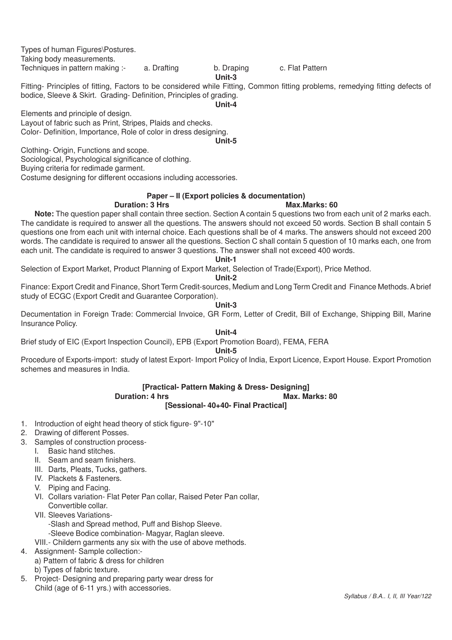Types of human Figures\Postures.

Taking body measurements.

Techniques in pattern making :- a. Drafting b. Draping c. Flat Pattern

# **Unit-3**

Fitting- Principles of fitting, Factors to be considered while Fitting, Common fitting problems, remedying fitting defects of bodice, Sleeve & Skirt. Grading- Definition, Principles of grading.

**Unit-4**

Elements and principle of design.

Layout of fabric such as Print, Stripes, Plaids and checks. Color- Definition, Importance, Role of color in dress designing. **Unit-5**

Clothing- Origin, Functions and scope.

Sociological, Psychological significance of clothing.

Buying criteria for redimade garment.

Costume designing for different occasions including accessories.

# **Paper – II (Export policies & documentation)**

# **Duration: 3 Hrs Max.Marks: 60**

**Note:** The question paper shall contain three section. Section A contain 5 questions two from each unit of 2 marks each. The candidate is required to answer all the questions. The answers should not exceed 50 words. Section B shall contain 5 questions one from each unit with internal choice. Each questions shall be of 4 marks. The answers should not exceed 200 words. The candidate is required to answer all the questions. Section C shall contain 5 question of 10 marks each, one from each unit. The candidate is required to answer 3 questions. The answer shall not exceed 400 words.

**Unit-1**

Selection of Export Market, Product Planning of Export Market, Selection of Trade(Export), Price Method.

#### **Unit-2**

Finance: Export Credit and Finance, Short Term Credit-sources, Medium and Long Term Credit and Finance Methods. A brief study of ECGC (Export Credit and Guarantee Corporation).

#### **Unit-3**

Decumentation in Foreign Trade: Commercial Invoice, GR Form, Letter of Credit, Bill of Exchange, Shipping Bill, Marine Insurance Policy.

#### **Unit-4**

Brief study of EIC (Export Inspection Council), EPB (Export Promotion Board), FEMA, FERA

#### **Unit-5**

Procedure of Exports-import: study of latest Export- Import Policy of India, Export Licence, Export House. Export Promotion schemes and measures in India.

#### **[Practical- Pattern Making & Dress- Designing] Duration: 4 hrs**

**[Sessional- 40+40- Final Practical]**

- 1. Introduction of eight head theory of stick figure- 9"-10"
- 2. Drawing of different Posses.
- 3. Samples of construction process-
	- I. Basic hand stitches.
	- II. Seam and seam finishers.
	- III. Darts, Pleats, Tucks, gathers.
	- IV. Plackets & Fasteners.
	- V. Piping and Facing.
	- VI. Collars variation- Flat Peter Pan collar, Raised Peter Pan collar, Convertible collar.
	- VII. Sleeves Variations-
		- -Slash and Spread method, Puff and Bishop Sleeve.
		- -Sleeve Bodice combination- Magyar, Raglan sleeve.
	- VIII.- Childern garments any six with the use of above methods.
- 4. Assignment- Sample collection:
	- a) Pattern of fabric & dress for children
	- b) Types of fabric texture.
- 5. Project- Designing and preparing party wear dress for Child (age of 6-11 yrs.) with accessories.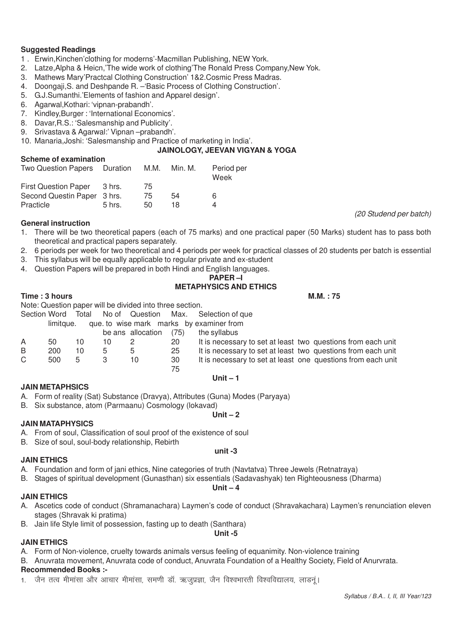#### **Suggested Readings**

- 1 . Erwin,Kinchen'clothing for moderns'-Macmillan Publishing, NEW York.
- 2. Latze,Alpha & Heicn,'The wide work of clothing'The Ronald Press Company,New Yok.
- 3. Mathews Mary'Practcal Clothing Construction' 1&2.Cosmic Press Madras.
- 4. Doongaji,S. and Deshpande R. –'Basic Process of Clothing Construction'.
- 5. G.J.Sumanthi.'Elements of fashion and Apparel design'.
- 6. Agarwal,Kothari: 'vipnan-prabandh'.
- 7. Kindley,Burger : 'International Economics'.
- 8. Davar,R.S.: 'Salesmanship and Publicity'.
- 9. Srivastava & Agarwal:' Vipnan –prabandh'.
- 10. Manaria,Joshi: 'Salesmanship and Practice of marketing in India'.

#### **JAINOLOGY, JEEVAN VIGYAN & YOGA**

#### **Scheme of examination**

| Two Question Papers Duration |          | M.M. | Min. M. | Period per<br>Week |
|------------------------------|----------|------|---------|--------------------|
| <b>First Question Paper</b>  | 3 hrs.   | 75   |         |                    |
| Second Questin Paper 3 hrs.  |          | 75   | 54      | 6                  |
| Practicle                    | $5$ hrs. | 50   | 18      | Δ                  |

#### **General instruction**

- 1. There will be two theoretical papers (each of 75 marks) and one practical paper (50 Marks) student has to pass both theoretical and practical papers separately.
- 2. 6 periods per week for two theoretical and 4 periods per week for practical classes of 20 students per batch is essential
- 3. This syllabus will be equally applicable to regular private and ex-student
- 4. Question Papers will be prepared in both Hindi and English languages.

# **PAPER –I**

# **METAPHYSICS AND ETHICS**

#### **Time : 3 hours M.M. : 75**

|    |                    |    |    | Note: Question paper will be divided into three section. |    |                                                              |
|----|--------------------|----|----|----------------------------------------------------------|----|--------------------------------------------------------------|
|    | Section Word Total |    |    |                                                          |    | No of Question Max. Selection of que                         |
|    | limitaue.          |    |    |                                                          |    | que to wise mark marks by examiner from                      |
|    |                    |    |    | be ans allocation $(75)$                                 |    | the syllabus                                                 |
| Α  | 50                 | 10 | 10 |                                                          | 20 | It is necessary to set at least two questions from each unit |
| B  | 200                | 10 | 5  | 5                                                        | 25 | It is necessary to set at least two questions from each unit |
| C. | 500                | 5  | 3  | 10                                                       | 30 | It is necessary to set at least one questions from each unit |
|    |                    |    |    |                                                          | 75 |                                                              |
|    |                    |    |    |                                                          |    | Unit $-1$                                                    |

#### **JAIN METAPHSICS**

- A. Form of reality (Sat) Substance (Dravya), Attributes (Guna) Modes (Paryaya)
- B. Six substance, atom (Parmaanu) Cosmology (lokavad)

#### **JAIN MATAPHYSICS**

- A. From of soul, Classification of soul proof of the existence of soul
- B. Size of soul, soul-body relationship, Rebirth

#### **JAIN ETHICS**

- A. Foundation and form of jani ethics, Nine categories of truth (Navtatva) Three Jewels (Retnatraya)
- B. Stages of spiritual development (Gunasthan) six essentials (Sadavashyak) ten Righteousness (Dharma)

#### **Unit – 4**

#### **JAIN ETHICS**

A. Ascetics code of conduct (Shramanachara) Laymen's code of conduct (Shravakachara) Laymen's renunciation eleven stages (Shravak ki pratima)

**Unit -5**

B. Jain life Style limit of possession, fasting up to death (Santhara)

#### **JAIN ETHICS**

- A. Form of Non-violence, cruelty towards animals versus feeling of equanimity. Non-violence training
- B. Anuvrata movement, Anuvrata code of conduct, Anuvrata Foundation of a Healthy Society, Field of Anurvrata.

# **Recommended Books :-**

1. जैन तत्व मीमांसा और आचार मीमांसा. समणी डॉ. ऋजप्रज्ञा. जैन विश्वभारती विश्वविद्यालय. लाडनं।

#### **Unit – 2**

**unit -3**

*(20 Studend per batch)*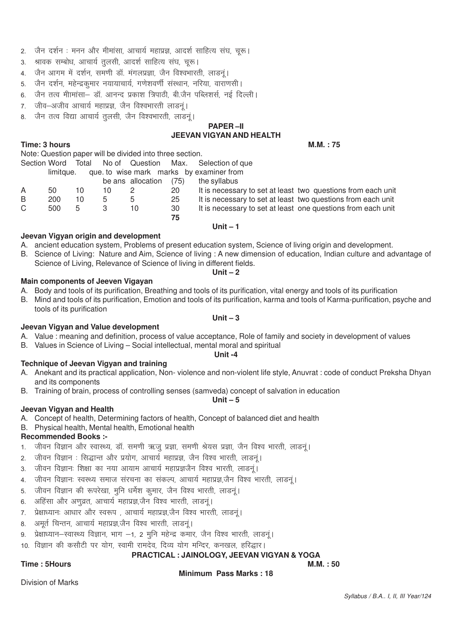- 2. जैन दर्शन: मनन और मीमांसा, आचार्य महाप्रज्ञ, आदर्श साहित्य संघ, चुरू।
- 3. श्रावक सम्बोध, आचार्य तुलसी, आदर्श साहित्य संघ, चुरू।
- 4. जैन आगम में दर्शन, समणी डॉ. मंगलप्रज्ञा, जैन विश्वभारती, लाडन्।
- 5. जेन दर्शन, महेन्द्रकुमार नयायाचार्य, गणेशवर्णी संस्थान, नरिया, वाराणसी ।
- 6. जैन तत्व मीामांसा- डॉ. आनन्द प्रकाश त्रिपाठी, बी.जैन पब्लिशर्स, नई दिल्ली।
- 7. जीव-अजीव आचार्य महाप्रज्ञ, जैन विश्वभारती लाडन्।
- 8. जैन तत्व विद्या आचार्य तूलसी, जैन विश्वभारती, लाडन्।

# **PAPER –II JEEVAN VIGYAN AND HEALTH**

**Time: 3 hours M.M. : 75** 

|   |           |    |    | Note: Question paper will be divided into three section. |      |                                                              |
|---|-----------|----|----|----------------------------------------------------------|------|--------------------------------------------------------------|
|   |           |    |    |                                                          |      | Section Word Total No of Question Max. Selection of que      |
|   | limitaue. |    |    |                                                          |      | que to wise mark marks by examiner from                      |
|   |           |    |    | be ans allocation                                        | (75) | the syllabus                                                 |
| A | 50        | 10 | 10 |                                                          | 20   | It is necessary to set at least two questions from each unit |
| B | 200       | 10 | 5  | 5                                                        | 25   | It is necessary to set at least two questions from each unit |
| C | 500       | 5  |    | 10                                                       | 30   | It is necessary to set at least one questions from each unit |
|   |           |    |    |                                                          | 75   |                                                              |

# **Jeevan Vigyan origin and development**

- A. ancient education system, Problems of present education system, Science of living origin and development.
- B. Science of Living: Nature and Aim, Science of living : A new dimension of education, Indian culture and advantage of Science of Living, Relevance of Science of living in different fields. **Unit – 2**

**Unit – 1**

#### **Main components of Jeeven Vigayan**

- A. Body and tools of its purification, Breathing and tools of its purification, vital energy and tools of its purification
- B. Mind and tools of its purification, Emotion and tools of its purification, karma and tools of Karma-purification, psyche and tools of its purification

#### **Jeevan Vigyan and Value development**

- A. Value : meaning and definition, process of value acceptance, Role of family and society in development of values
- B. Values in Science of Living Social intellectual, mental moral and spiritual **Unit -4**

#### **Technique of Jeevan Vigyan and training**

A. Anekant and its practical application, Non- violence and non-violent life style, Anuvrat : code of conduct Preksha Dhyan and its components

**Unit – 5**

B. Training of brain, process of controlling senses (samveda) concept of salvation in education

#### **Jeevan Vigyan and Health**

- A. Concept of health, Determining factors of health, Concept of balanced diet and health
- B. Physical health, Mental health, Emotional health

# **Recommended Books :-**

- 1. जीवन विज्ञान और स्वास्थ्य, डॉ. समणी ऋजु प्रज्ञा, समणी श्रेयस प्रज्ञा, जैन विश्व भारती, लाडनुं।
- 2. जीवन विज्ञान : सिद्धान्त और प्रयोग, आचार्य महाप्रज्ञ, जैन विश्व भारती, लाडनूं।
- 3. जीवन विज्ञानः शिक्षा का नया आयाम आचार्य महाप्रज्ञजैन विश्व भारती, लाडनूं।
- 4. जीवन विज्ञान: स्वस्थ्य समाज संरचना का संकल्प, आचार्य महाप्रज्ञ,जैन विश्व भारती, लाडन्।
- 5. जीवन विज्ञान की रूपरेखा, मुनि धर्मेश कुमार, जैन विश्व भारती, लाडनूं।
- 6. अहिंसा और अणुव्रत, आचार्य महाप्रज्ञ,जैन विश्व भारती, लाडनुं।
- 7. प्रेक्षाध्यानः आधारं और स्वरूप , आचार्य महाप्रज्ञ,जैन विश्व भारती, लाडन्।
- 8. अमर्त चिन्तन, आचार्य महाप्रज्ञ,जैन विश्व भारती, लाडनुं।
- 9. प्रेक्षाध्यान-स्वास्थ्य विज्ञान, भाग -1, 2 मुनि महेन्द्र कमार, जैन विश्व भारती, लाडनूं।
- 10. विज्ञान की कसौटी पर योग, स्वामी रामदेव, दिव्य योग मन्दिर, कनखल, हरिद्धार।

# **PRACTICAL : JAINOLOGY, JEEVAN VIGYAN & YOGA**

# **Time : 5Hours M.M. : 50**

# **Minimum Pass Marks : 18**

Division of Marks

# **Unit – 3**

- 
-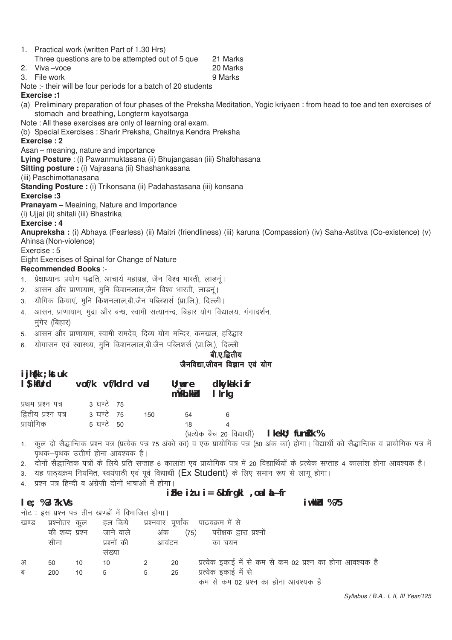|                | 1. Practical work (written Part of 1.30 Hrs)<br>Three questions are to be attempted out of 5 que | 21 Marks                                                                                                                     |
|----------------|--------------------------------------------------------------------------------------------------|------------------------------------------------------------------------------------------------------------------------------|
| 2.             | Viva-voce                                                                                        | 20 Marks                                                                                                                     |
|                | 3. File work                                                                                     | 9 Marks                                                                                                                      |
|                | Note :- their will be four periods for a batch of 20 students                                    |                                                                                                                              |
|                | Exercise: 1                                                                                      |                                                                                                                              |
|                | stomach and breathing, Longterm kayotsarga                                                       | (a) Preliminary preparation of four phases of the Preksha Meditation, Yogic kriyaen: from head to toe and ten exercises of   |
|                | Note: All these exercises are only of learning oral exam.                                        |                                                                                                                              |
|                | (b) Special Exercises: Sharir Preksha, Chaitnya Kendra Preksha                                   |                                                                                                                              |
|                | Exercise: 2                                                                                      |                                                                                                                              |
|                | Asan – meaning, nature and importance                                                            |                                                                                                                              |
|                | Lying Posture : (i) Pawanmuktasana (ii) Bhujangasan (iii) Shalbhasana                            |                                                                                                                              |
|                | Sitting posture : (i) Vajrasana (ii) Shashankasana                                               |                                                                                                                              |
|                | (iii) Paschimottanasana                                                                          |                                                                                                                              |
|                | Standing Posture : (i) Trikonsana (ii) Padahastasana (iii) konsana                               |                                                                                                                              |
|                | Exercise: 3                                                                                      |                                                                                                                              |
|                | <b>Pranayam</b> - Meaining, Nature and Importance<br>(i) Ujjai (ii) shitali (iii) Bhastrika      |                                                                                                                              |
|                | Exercise: 4                                                                                      |                                                                                                                              |
|                | Ahinsa (Non-violence)                                                                            | Anupreksha : (i) Abhaya (Fearless) (ii) Maitri (friendliness) (iii) karuna (Compassion) (iv) Saha-Astitva (Co-existence) (v) |
|                | Exercise: 5                                                                                      |                                                                                                                              |
|                | Eight Exercises of Spinal for Change of Nature                                                   |                                                                                                                              |
|                | <b>Recommended Books:-</b>                                                                       |                                                                                                                              |
| 1 <sup>1</sup> | प्रेक्षाध्यानः प्रयोग पद्धति, आचार्य महाप्रज्ञ, जैन विश्व भारती, लाडनूं।                         |                                                                                                                              |
| 2.             | आसन और प्राणायाम, मुनि किशनलाल,जैन विश्व भारती, लाडनूं।                                          |                                                                                                                              |

- 3. यौगिक क्रियाएं, मुनि किशनलाल,बी.जैन पब्लिशर्स (प्रा.लि.), दिल्ली।
- 4. आसन, प्राणायाम, मुद्रा और बन्ध, स्वामी सत्यानन्द, बिहार योग विद्यालय, गंगादर्शन, मुंगेर (बिहार)
- 5. आसन और प्राणायाम, स्वामी रामदेव, दिव्य योग मन्दिर, कनखल, हरिद्धार
- 6. योगासन एवं स्वास्थ्य, मुनि किशनलाल,बी.जैन पब्लिशर्स (प्रा.लि.), दिल्ली

# बी.ए.द्वितीय जैनविद्या.जीवन विज्ञान एवं योग

| I Sykfurd vof/k vf/kdrd vad |            |     | mùkh.kkid I Irkq | $\mathsf{U}$ ; were dkykak if r             |  |
|-----------------------------|------------|-----|------------------|---------------------------------------------|--|
| प्रथम प्रश्न पत्र           | 3 ਬਾਾਟੇ 75 |     |                  |                                             |  |
| द्वितीय प्रश्न पत्र         | 3 ਬਾਟੇ 75  | 150 | 54               |                                             |  |
| प्रायोगिक                   | 5 ਬਾਟੇ 50  |     | 18               |                                             |  |
|                             |            |     |                  | (प्रत्येक बैच 20 विद्यार्थी)   kekU; funk । |  |

1. )कुल दो सैद्धान्तिक प्रश्न पत्र (प्रत्येक पत्र 75 अंको का) व एक प्रायोगिक पत्र (50 अंक का) होगा। विद्यार्थी को सैद्धान्तिक व प्रायोगिक पत्र में .<br>पथक–पथक उत्तीर्ण होना आवश्यक है।

- 2. दोनों सैद्धान्तिक पत्रों के लिये प्रति सप्ताह 6 कालांश एवं प्रायोगिक पत्र में 20 विद्यार्थियों के प्रत्येक सप्ताह 4 कालांश होना आवश्यक है।
- 3. यह पाठ्यक्रम नियमित, स्वयंपाठी एवं पूर्व विद्यार्थी (Ex Student) के लिए समान रूप से लागू होगा।
- 4. प्रश्न पत्र हिन्दी व अंग्रेजी दोनों भाषाओं में होगा।

**ijh{kk ;kstuk**

# **iFke itu i= &bfrgkl**, oa l**i**Nfr

#### **le**; %3 ?k. Vs **iw.kkZad** % 75

नोट: इस प्रश्न पत्र तीन खण्डों में विभाजित होगा।

| खण्ड | प्रश्नोतर<br>की शब्द प्रश्न | कूल | हल किये<br>जाने वाले | प्रश्नवार पूर्णाक<br>अंक | (75) | पाठयक्रम में से<br>परीक्षक द्वारा प्रश्नों                |
|------|-----------------------------|-----|----------------------|--------------------------|------|-----------------------------------------------------------|
|      | सीमा                        |     | प्रश्नों की          | आवंटन                    |      | का चयन                                                    |
|      |                             |     | सख्या                |                          |      |                                                           |
| अ    | 50                          | 10  | 10                   |                          | 20   | प्रत्येक इकाई में से कम से कम 02 प्रश्न का होना आवश्यक है |
| ब    | 200                         | 10  | b                    | 5                        | 25   | प्रत्येक इकाई में से                                      |
|      |                             |     |                      |                          |      | कम से कम 02 प्रश्न का होना आवश्यक है                      |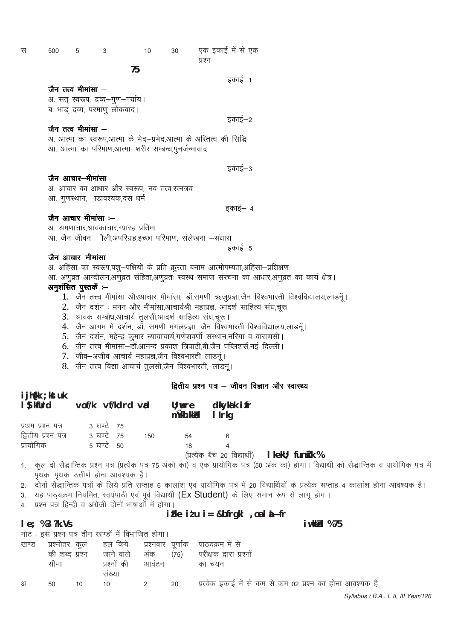| स | 500 | 5                    | 3                                                     | 10 | 30 | एक इकाई में से एक                                                  |
|---|-----|----------------------|-------------------------------------------------------|----|----|--------------------------------------------------------------------|
|   |     |                      |                                                       |    |    | प्रश्न                                                             |
|   |     |                      | 75                                                    |    |    |                                                                    |
|   |     |                      |                                                       |    |    | इकाई—1                                                             |
|   |     | जैन तत्व मीमांसा –   |                                                       |    |    |                                                                    |
|   |     |                      | अ. सत् स्वरूप, द्रव्य-गुण-पर्याय।                     |    |    |                                                                    |
|   |     |                      | ब. भाड़ द्रव्य, परमाणू लोकवाद।                        |    |    |                                                                    |
|   |     |                      |                                                       |    |    | इकाई—2                                                             |
|   |     | जैन तत्व मीमांसा $-$ |                                                       |    |    |                                                                    |
|   |     |                      |                                                       |    |    | अ. आत्मा का स्वरूप,आत्मा के भेद–प्रभेद,आत्मा के अस्तित्व की सिद्धि |
|   |     |                      | आ. आत्मा का परिमाण,आत्मा–शरीर सम्बन्ध,पुनर्जन्मावाद   |    |    |                                                                    |
|   |     |                      |                                                       |    |    |                                                                    |
|   |     |                      |                                                       |    |    | इकाई–3                                                             |
|   |     | जैन आचार–मीमांसा     |                                                       |    |    |                                                                    |
|   |     |                      | अ. आचार का आधार और स्वरूप, नव तत्व,रत्नत्रय           |    |    |                                                                    |
|   |     |                      | आ. गुणस्थान,  ाडावश्यक,दस धर्म                        |    |    |                                                                    |
|   |     |                      |                                                       |    |    | इकाई— 4                                                            |
|   |     | जैन आचार मीमांसा :-- |                                                       |    |    |                                                                    |
|   |     |                      | अ. श्रमणाचार,श्रावकाचार,ग्यारह प्रतिमा                |    |    |                                                                    |
|   |     |                      | आ. जैन जीवन ौली,अपरिग्रह,इच्छा परिमाण, सलेखना –संधारा |    |    |                                                                    |
|   |     |                      |                                                       |    |    | इकाई–5                                                             |

#### $\mathbb{R}$ न आचार-मीमांसा  $-$

अ. अहिंसा का स्वरूप,पशु-पक्षियों के प्रति क्रूरता बनाम आत्मोपम्यता,अहिंसा-प्रशिक्षण

आ. अणुव्रत आन्दोलन,अणुव्रत संहिता,अणुव्रतः स्वस्थ समाज संरचना का आधार,अणुव्रत का कार्य क्षेत्र।

# अनुशंसित पुस्तके  $-$

- 1. जैन तत्त्व मीमांसा औरआचार मीमांसा, डॉ.समणी ऋजूप्रज्ञा,जैन विश्वभारती विश्वविद्यालय,लाडन्ं।
- $2.$  जैन दर्शन : मनन और मीमांसा.आचार्यश्री महाप्रज्ञ, आदर्श साहित्य संघ,चरू
- 3. श्रावक सम्बोध,आचार्य तुलसी,आदर्श साहित्य संघ,चूरू।
- 4. जैन आगम में दर्शन, डॉ. समणी मंगलप्रज्ञा, जैन विश्वभारती विश्वविद्यालय,लाडनूँ।
- 5. जैन दर्शन, महेन्द्र कुमार न्यायाचार्य,गणेशवर्णी संस्थान,नरिया व वाराणसी।
- 6. जैन तत्त्व मीमांसा–डॉ.आनन्द प्रकाश त्रिपाठी,बी.जैन पब्लिशर्स,नई दिल्ली।
- 7. जीव-अजीव आचार्य महाप्रज्ञ,जैन विश्वभारती लाडनं।
- 8. जैन तत्त्व विद्या आचार्य तूलसी,जैन विश्वभारती, लाडन्।

#### द्वितीय प्रश्न पत्र – जीवन विज्ञान और स्वास्थ्य

| $\blacksquare$ $\blacksquare$ $\blacksquare$ $\blacksquare$ $\blacksquare$ $\blacksquare$<br>I \$ kfUrd | vof/k vf/kdrdvrd |     | $\mathsf{U}$ ; wre<br>mùkh.kkid IIrkq | dkykak ifr                                   |  |
|---------------------------------------------------------------------------------------------------------|------------------|-----|---------------------------------------|----------------------------------------------|--|
| प्रथम प्रश्न पत्र                                                                                       | 3 ਬਾਾਟੇ 75       |     |                                       |                                              |  |
| द्वितीय प्रश्न पत्र                                                                                     | 3 ਬਾਟੇ 75        | 150 | 54                                    |                                              |  |
| प्रायोगिक                                                                                               | 5 ਬਾਟੇ 50        |     | 18                                    |                                              |  |
|                                                                                                         |                  |     |                                       | (प्रत्येक बैच 20 विद्यार्थी)   kekU; funtk % |  |

1. कुल दो सैद्धान्तिक प्रश्न पत्र (प्रत्येक पत्र 75 अंको का) व एक प्रायोगिक पत्र (50 अंक का) होगा। विद्यार्थी को सैद्धान्तिक व प्रायोगिक पत्र में ज्बळ-पथक उत्तीर्ण होना आवश्यक है।

- 2. दोनों सैद्धान्तिक पत्रों के लिये प्रति सप्ताह 6 कालांश एवं प्रायोगिक पत्र में 20 विद्यार्थियों के प्रत्येक सप्ताह 4 कालांश होना आवश्यक है।
- 3. यह पाठ्यक्रम नियमित, स्वयंपाठी एवं पूर्व विद्यार्थी (Ex Student) के लिए समान रूप से लागू होगा।
- 4. प्रश्न पत्र हिन्दी व अंग्रेजी दोनों भाषाओं में होगा।

#### **izFke iz'u i= &bfrgkl ,oa laLÑfr**

**l**e; %3 ?k.Vs **iwkkId** %75

**ijh{kk ;kstuk**

|      | नोट : इस प्रश्न पत्र तीन खण्डों में विभाजित होगा। |    |                                          |       |      |                                                           |  |  |  |  |
|------|---------------------------------------------------|----|------------------------------------------|-------|------|-----------------------------------------------------------|--|--|--|--|
| खण्ड |                                                   |    | प्रश्नोतर कुल हलककिये प्रश्नवार पूर्णांक |       |      | पाठयक्रम में से                                           |  |  |  |  |
|      | की शब्द प्रश्न                                    |    | जाने वाले                                | अंक   | (75) | परीक्षक द्वारा प्रश्नों                                   |  |  |  |  |
|      | सीमा                                              |    | प्रश्नों की                              | आवंटन |      | का चयन                                                    |  |  |  |  |
|      |                                                   |    | सख्या                                    |       |      |                                                           |  |  |  |  |
| अ    | 50                                                | 10 | 10                                       | 2     | 20   | प्रत्येक इकाई में से कम से कम 02 प्रश्न का होना आवश्यक है |  |  |  |  |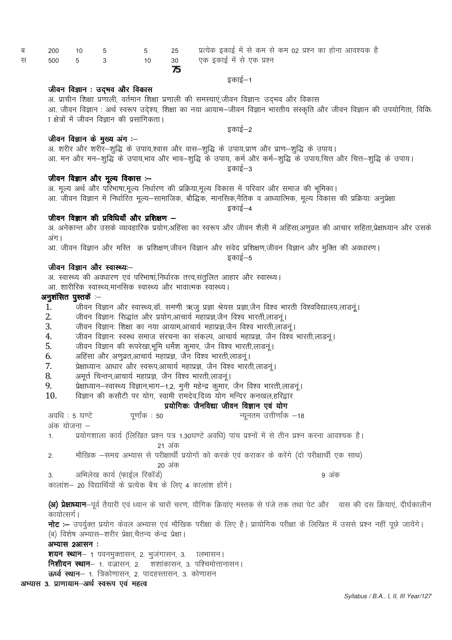|             | ס. אויאו ולומו איוועון, יאוידו ולומו איוועון יאן מדערון, טעידו ועדי שול וישארמ<br>आ. जीवन विज्ञान : अर्थ स्वरूप उदेश्य, शिक्षा का नया आयाम—जीवन विज्ञान भारतीय संस्कृति और जीवन विज्ञान की उपयोगिता, विविध |
|-------------|------------------------------------------------------------------------------------------------------------------------------------------------------------------------------------------------------------|
|             | ा क्षेत्रों में जीवन विज्ञान की प्रसांगिकता।                                                                                                                                                               |
|             |                                                                                                                                                                                                            |
|             | इकाई–2                                                                                                                                                                                                     |
|             | जीवन विज्ञान के मुख्य अंग :–                                                                                                                                                                               |
|             | अ. शरीर और शरीर–शुद्धि के उपाय,श्वास और वास–शुद्धि के उपाय,प्राण और प्राण–शुद्धि के उपाय।                                                                                                                  |
|             | आ. मन और मन–शुद्धि के उपाय,भाव और भाव–शुद्धि के उपाय, कर्म और कर्म–शुद्धि के उपाय,चित्त और चित्त–शुद्धि के उपाय।                                                                                           |
|             | इकाई—3                                                                                                                                                                                                     |
|             | जीवन विज्ञान और मूल्य विकास :–                                                                                                                                                                             |
|             | अ. मूल्य अर्थ और परिभाषा,मूल्य निर्धारण की प्रक्रिया,मूल्य विकास में परिवार और समाज की भूमिका।                                                                                                             |
|             | आ. जीवन विज्ञान में निर्धारित मूल्य—सामाजिक, बौद्धिक, मानसिक,नैतिक व आध्यात्मिक, मूल्य विकास की प्रक्रियाः अनुप्रेक्षा                                                                                     |
|             | इकाई–4                                                                                                                                                                                                     |
|             | जीवन विज्ञान की प्रविधियाँ और प्रशिक्षण —                                                                                                                                                                  |
|             | अ. अनेकान्त और उसके व्यावहारिक प्रयोग,अहिंसा का स्वरूप और जीवन शैली में अहिंसा,अणुव्रत की आचार सहिता,प्रेक्षाध्यान और उसके                                                                                 |
| अग।         |                                                                                                                                                                                                            |
|             | आ. जीवन विज्ञान और मस्ति क प्रशिक्षण,जीवन विज्ञान और संवेद प्रशिक्षण,जीवन विज्ञान और मुक्ति की अवधारण।                                                                                                     |
|             | इकाई—5                                                                                                                                                                                                     |
|             | जीवन विज्ञान और स्वास्थ्यः—                                                                                                                                                                                |
|             | अ. स्वास्थ्य की अवधारण एवं परिभाषां,निर्धारक तत्त्व,संतुलित आहार और स्वास्थ्य।                                                                                                                             |
|             | आ. शारीरिक स्वास्थ्य,मानसिक स्वास्थ्य और भावात्मक स्वास्थ्य।                                                                                                                                               |
|             | अनुशंसित पुस्तकें :--                                                                                                                                                                                      |
| 1.          | जीवन विज्ञान और स्वास्थ्य,डॉ. समणी ऋजु प्रज्ञा श्रेयस प्रज्ञा,जैन विश्व भारती विश्वविद्यालय,लाडन्।                                                                                                         |
| 2.          | जीवन विज्ञानः सिद्धांत और प्रयोग,आचार्य महाप्रज्ञ,जैन विश्व भारती,लाडनू ।                                                                                                                                  |
|             |                                                                                                                                                                                                            |
| 3.          | जीवन विज्ञानः शिक्षा का नया आयाम,आचार्य महाप्रज्ञ,जैन विश्व भारती,लाडनूं।                                                                                                                                  |
| 4.          | जीवन विज्ञानः स्वस्थ समाज संरचना का संकल्प, आचार्य महाप्रज्ञ, जैन विश्व भारती,लाडनूं।                                                                                                                      |
| 5.          | जीवन विज्ञान की रूपरेखा,भूमि धर्मेश कुमार, जैन विश्व भारती,लाडनूं।                                                                                                                                         |
| 6.          | अहिंसा और अणुव्रत,आचार्य महाप्रज्ञ, जैन विश्व भारती,लाडनू ।                                                                                                                                                |
| 7.          | प्रेक्षाध्यानः आधार और स्वरूप,आचार्य महाप्रज्ञ, जैन विश्व भारती,लाडनूं।                                                                                                                                    |
| 8.          | अमूर्त्त चिन्तन,आचार्य महाप्रज्ञ, जैन विश्व भारती,लाडनूं।                                                                                                                                                  |
| 9.          | प्रेक्षाध्यान-स्वास्थ्य विज्ञान,भाग-1,2, मुनी महेन्द्र कुमार, जैन विश्व भारती,लाडनूं।                                                                                                                      |
| 10.         | विज्ञान की कसौटी पर योग, स्वामी रामदेव,दिव्य योग मन्दिर कनखल,हरिद्वार                                                                                                                                      |
|             | प्रयोगिकः जैनविद्या जीवन विज्ञान एवं योग                                                                                                                                                                   |
|             | अवधि : 5 घण्टे<br>न्यूनतम उत्तीर्णांक –18<br>पूर्णांक : 50                                                                                                                                                 |
|             | अंक योजना –                                                                                                                                                                                                |
| 1.          | प्रयोगशाला कार्य (लिखित प्रश्न पत्र 1.30घण्टे अवधि) पांच प्रश्नों में से तीन प्रश्न करना आवश्यक है।                                                                                                        |
|             | 21 अक                                                                                                                                                                                                      |
| 2.          | मौखिक –समग्र अभ्यास से परीक्षार्थी प्रयोगों को करके एवं कराकर के करेंगे (दो परीक्षार्थी एक साथ)                                                                                                            |
|             | 20 अंक                                                                                                                                                                                                     |
| 3.          | अभिलेख कार्य (फाईल रिकॉर्ड)<br>9 अंक                                                                                                                                                                       |
|             | कालांश– 20 विद्यार्थियों के प्रत्येक बैच के लिए 4 कालांश होंगे।                                                                                                                                            |
|             |                                                                                                                                                                                                            |
|             | <b>(अ) प्रेक्षाध्यान</b> —पूर्व तैयारी एवं ध्यान के चारों चरण, यौगिक क्रियांए मस्तक से पंजे तक तथा पेट और जवास की दस क्रियाएं, दीर्घकालीन                                                                  |
| कायोत्सर्ग। |                                                                                                                                                                                                            |
|             |                                                                                                                                                                                                            |
|             | <b>नोट</b> :– उपर्युक्त प्रयोग केवल अभ्यास एवं मौखिक परीक्षा के लिए है। प्रायोगिक परीक्षा के लिखित में उससे प्रश्न नहीं पूछे जायेंगे।                                                                      |
|             | (ब) विशेष अभ्यास–शरीर प्रेक्षा,चैतन्य केन्द्र प्रेक्षा।                                                                                                                                                    |
|             | अभ्यास 2आसन:                                                                                                                                                                                               |
|             | <b>शयन स्थान</b> — १ पवनमुक्तासन, २. भुजंगासन, ३. ) त्नभासन                                                                                                                                                |
|             | <b>निशीदन स्थान</b> — 1. वज्रासन, 2.    शशांकासन, 3. पश्चिमोत्तानासन                                                                                                                                       |
|             | <b>ऊर्ध्व स्थान–</b> १. त्रिकोणासन, २. पादहस्तासन, ३. कोणासन                                                                                                                                               |
|             | अभ्यास 3. प्राणायाम-अर्थ स्वरूप एवं महत्व                                                                                                                                                                  |

# .<br>आज्ञान शिक्षा प्रणाली, वर्तमान शिक्षा प्रणाली की समस्याएं,जीवन विज्ञानः उद्भव और विकास<br>आज्ञीवन विज्ञान : अर्श स्वरूप उद्देश्या शिक्षा का नगा आगाम-जीवन विज्ञान भारतीय संस्कृति और

जीवन विज्ञान : उद्भव और विकास

 $\begin{array}{ccc} 5 & & 5 \\ 3 & & 10 \end{array}$ 200  $10$ 500  $5\overline{)}$ 

 $30<sup>°</sup>$ 75

25

10

इकाई–1

एक इकाई में से एक प्रश्न

प्रत्येक इकाई में से कम से कम 02 प्रश्न का होना आवश्यक है

ब स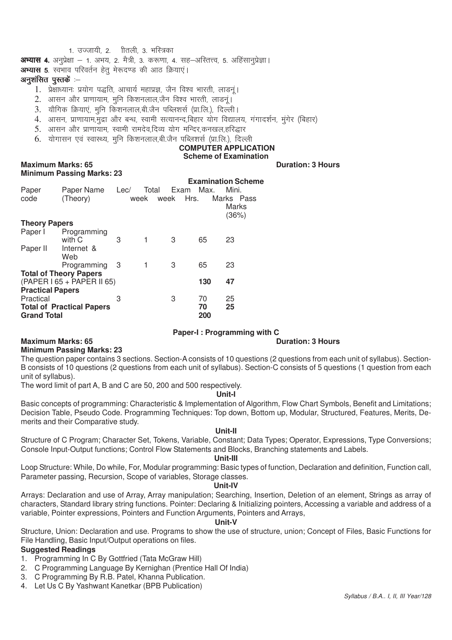# 1. उज्जायी, 2. मितली, 3. भस्त्रिका

**अभ्यास 4.** अनुप्रेक्षा – 1. अभय, 2. मैत्री, 3. करूणा, 4. सह–अस्तित्त्व, 5. अहिंसानुप्रेज्ञा |

**अभ्यास 5**. स्वभाव परिवर्तन हेतू मेरूदण्ड की आठ क्रियाएं।

#### अनुशंसित पुस्तकें $i$  –

- 1. प्रेक्षाध्यान: प्रयोग पद्धति आचार्य महाप्रज्ञ, जैन विश्व भारती, लाडनं।
- 2. आसन और प्राणायाम, मूनि किशनलाल,जैन विश्व भारती, लाडनूं।
- 3. यौगिक क्रियाएं, मुनि किशनलाल,बी.जैन पब्लिशर्स (प्रा.लि.), दिल्ली।
- 4. आसन, प्राणायाम,मुद्रा और बन्ध, स्वामी सत्यानन्द,बिहार योग विद्यालय, गंगादर्शन, मंगेर (बिहार)
- 5. आसन और प्राणायाम, स्वामी रामदेव,दिव्य योग मन्दिर,कनखल,हरिद्धार
- $6.$  योगासन एवं स्वास्थ्य, मनि किशनलाल,बी.जैन पब्लिशर्स (प्रा.लि.), दिल्ली

#### **COMPUTER APPLICATION Scheme of Examination**

#### **Maximum Marks: 65 Duration: 3 Hours Minimum Passing Marks: 23**

| Marks Pass<br>Marks |
|---------------------|
|                     |
|                     |
|                     |
| (36%)               |
|                     |
|                     |
|                     |
|                     |
|                     |
|                     |
|                     |
|                     |
|                     |
|                     |
|                     |
|                     |
|                     |

#### **Paper-I : Programming with C**

#### **Maximum Marks: 65 Duration: 3 Hours**

#### **Minimum Passing Marks: 23**

The question paper contains 3 sections. Section-A consists of 10 questions (2 questions from each unit of syllabus). Section-B consists of 10 questions (2 questions from each unit of syllabus). Section-C consists of 5 questions (1 question from each unit of syllabus).

The word limit of part A, B and C are 50, 200 and 500 respectively.

#### **Unit-I**

Basic concepts of programming: Characteristic & Implementation of Algorithm, Flow Chart Symbols, Benefit and Limitations; Decision Table, Pseudo Code. Programming Techniques: Top down, Bottom up, Modular, Structured, Features, Merits, Demerits and their Comparative study.

#### **Unit-II**

Structure of C Program; Character Set, Tokens, Variable, Constant; Data Types; Operator, Expressions, Type Conversions; Console Input-Output functions; Control Flow Statements and Blocks, Branching statements and Labels.

#### **Unit-III**

Loop Structure: While, Do while, For, Modular programming: Basic types of function, Declaration and definition, Function call, Parameter passing, Recursion, Scope of variables, Storage classes.

#### **Unit-IV**

Arrays: Declaration and use of Array, Array manipulation; Searching, Insertion, Deletion of an element, Strings as array of characters, Standard library string functions. Pointer: Declaring & Initializing pointers, Accessing a variable and address of a variable, Pointer expressions, Pointers and Function Arguments, Pointers and Arrays,

#### **Unit-V**

Structure, Union: Declaration and use. Programs to show the use of structure, union; Concept of Files, Basic Functions for File Handling, Basic Input/Output operations on files.

# **Suggested Readings**

- 1. Programming In C By Gottfried (Tata McGraw Hill)
- 2. C Programming Language By Kernighan (Prentice Hall Of India)
- 3. C Programming By R.B. Patel, Khanna Publication.
- 4. Let Us C By Yashwant Kanetkar (BPB Publication)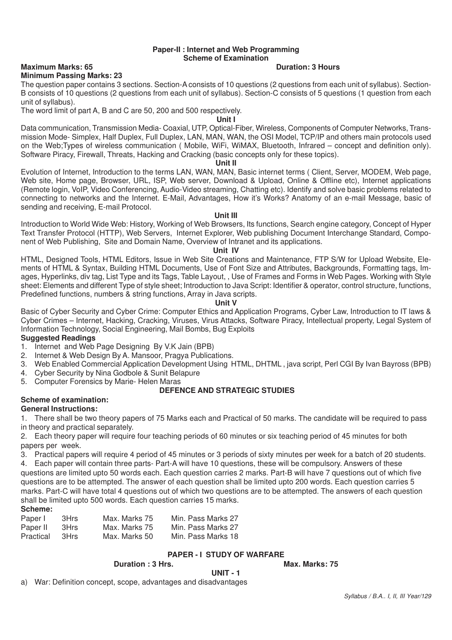#### **Paper-II : Internet and Web Programming Scheme of Examination**

#### **Maximum Marks: 65 Duration: 3 Hours**

#### **Minimum Passing Marks: 23**

The question paper contains 3 sections. Section-A consists of 10 questions (2 questions from each unit of syllabus). Section-B consists of 10 questions (2 questions from each unit of syllabus). Section-C consists of 5 questions (1 question from each unit of syllabus).

The word limit of part A, B and C are 50, 200 and 500 respectively.

#### **Unit I**

Data communication, Transmission Media- Coaxial, UTP, Optical-Fiber, Wireless, Components of Computer Networks, Transmission Mode- Simplex, Half Duplex, Full Duplex, LAN, MAN, WAN, the OSI Model, TCP/IP and others main protocols used on the Web;Types of wireless communication ( Mobile, WiFi, WiMAX, Bluetooth, Infrared – concept and definition only). Software Piracy, Firewall, Threats, Hacking and Cracking (basic concepts only for these topics).

#### **Unit II**

Evolution of Internet, Introduction to the terms LAN, WAN, MAN, Basic internet terms ( Client, Server, MODEM, Web page, Web site, Home page, Browser, URL, ISP, Web server, Download & Upload, Online & Offline etc), Internet applications (Remote login, VoIP, Video Conferencing, Audio-Video streaming, Chatting etc). Identify and solve basic problems related to connecting to networks and the Internet. E-Mail, Advantages, How it's Works? Anatomy of an e-mail Message, basic of sending and receiving, E-mail Protocol.

#### **Unit III**

Introduction to World Wide Web: History, Working of Web Browsers, Its functions, Search engine category, Concept of Hyper Text Transfer Protocol (HTTP), Web Servers, Internet Explorer, Web publishing Document Interchange Standard, Component of Web Publishing, Site and Domain Name, Overview of Intranet and its applications.

#### **Unit IV**

HTML, Designed Tools, HTML Editors, Issue in Web Site Creations and Maintenance, FTP S/W for Upload Website, Elements of HTML & Syntax, Building HTML Documents, Use of Font Size and Attributes, Backgrounds, Formatting tags, Images, Hyperlinks, div tag, List Type and its Tags, Table Layout, , Use of Frames and Forms in Web Pages. Working with Style sheet: Elements and different Type of style sheet; Introduction to Java Script: Identifier & operator, control structure, functions, Predefined functions, numbers & string functions, Array in Java scripts.

#### **Unit V**

Basic of Cyber Security and Cyber Crime: Computer Ethics and Application Programs, Cyber Law, Introduction to IT laws & Cyber Crimes – Internet, Hacking, Cracking, Viruses, Virus Attacks, Software Piracy, Intellectual property, Legal System of Information Technology, Social Engineering, Mail Bombs, Bug Exploits

#### **Suggested Readings**

- 1. Internet and Web Page Designing By V.K Jain (BPB)
- 2. Internet & Web Design By A. Mansoor, Pragya Publications.
- 3. Web Enabled Commercial Application Development Using HTML, DHTML , java script, Perl CGI By Ivan Bayross (BPB)
- 4. Cyber Security by Nina Godbole & Sunit Belapure
- 5. Computer Forensics by Marie- Helen Maras

# **DEFENCE AND STRATEGIC STUDIES**

#### **Scheme of examination: General Instructions:**

1. There shall be two theory papers of 75 Marks each and Practical of 50 marks. The candidate will be required to pass in theory and practical separately.

2. Each theory paper will require four teaching periods of 60 minutes or six teaching period of 45 minutes for both papers per week.

3. Practical papers will require 4 period of 45 minutes or 3 periods of sixty minutes per week for a batch of 20 students.

4. Each paper will contain three parts- Part-A will have 10 questions, these will be compulsory. Answers of these questions are limited upto 50 words each. Each question carries 2 marks. Part-B will have 7 questions out of which five questions are to be attempted. The answer of each question shall be limited upto 200 words. Each question carries 5 marks. Part-C will have total 4 questions out of which two questions are to be attempted. The answers of each question shall be limited upto 500 words. Each question carries 15 marks.

# **Scheme:**

| Paper I   | 3Hrs | Max. Marks 75 | Min. Pass Marks 27 |
|-----------|------|---------------|--------------------|
| Paper II  | 3Hrs | Max. Marks 75 | Min. Pass Marks 27 |
| Practical | 3Hrs | Max. Marks 50 | Min. Pass Marks 18 |

# **PAPER - I STUDY OF WARFARE**

#### **Duration : 3 Hrs.**

**UNIT - 1**

a) War: Definition concept, scope, advantages and disadvantages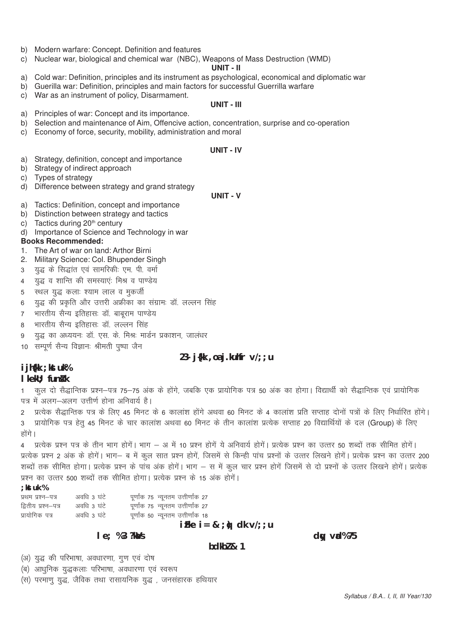- b) Modern warfare: Concept. Definition and features
- c) Nuclear war, biological and chemical war (NBC), Weapons of Mass Destruction (WMD)

#### UNIT - II

- a) Cold war: Definition, principles and its instrument as psychological, economical and diplomatic war
- b) Guerilla war: Definition, principles and main factors for successful Guerrilla warfare
- c) War as an instrument of policy, Disarmament.

#### UNIT - III

- a) Principles of war: Concept and its importance.
- b) Selection and maintenance of Aim, Offencive action, concentration, surprise and co-operation
- c) Economy of force, security, mobility, administration and moral

#### **UNIT - IV**

- a) Strategy, definition, concept and importance
- b) Strategy of indirect approach
- c) Types of strategy
- d) Difference between strategy and grand strategy

#### **UNIT - V**

- a) Tactics: Definition, concept and importance
- b) Distinction between strategy and tactics
- c) Tactics during 20<sup>th</sup> century
- d) Importance of Science and Technology in war

#### **Books Recommended:**

- 1. The Art of war on land: Arthor Birni
- 2. Military Science: Col. Bhupender Singh
- युद्ध के सिद्धांत एवं सामरिकी एम. पी. वर्मा  $\mathbf{R}$
- यद्ध व शान्ति की समस्याएंः मिश्र व पाण्डेय  $\overline{\mathbf{A}}$
- स्थल युद्ध कलाः श्याम लाल व मुकर्जी 5
- युद्ध की प्रकृति और उत्तरी अफ्रीका का संग्रामः डॉ. लल्लन सिंह 6
- भारतीय सैन्य इतिहासः डॉ. बाबराम पाण्डेय  $7<sup>7</sup>$
- भारतीय सैन्य इतिहासः डॉ. लल्लन सिंह  $\mathsf{R}$
- युद्ध का अध्ययनः डॉ. एस. के. मिश्रः मार्डन प्रकाशन, जालंधर 9
- 10 सम्पूर्ण सैन्य विज्ञानः श्रीमती पुष्पा जैन

# 23-  $j$ {kk, oa j.kuhfr  $\sqrt{2}$ ; u

# i jh{kk ; kst uk%

# I kekU: funk k

कुल दो सैद्धान्तिक प्रश्न-पत्र 75-75 अंक के होंगे, जबकि एक प्रायोगिक पत्र 50 अंक का होगा। विद्यार्थी को सैद्धान्तिक एवं प्रायोगिक  $\mathbf{1}$ पत्र में अलग-अलग उत्तीर्ण होना अनिवार्य है।

2 प्रत्येक सैद्धान्तिक पत्र के लिए 45 मिनट के 6 कालांश होंगे अथवा 60 मिनट के 4 कालांश प्रति सप्ताह दोनों पत्रों के लिए निर्धारित होंगे।

प्रायोगिक पत्र हेतु 45 मिनट के चार कालांश अथवा 60 मिनट के तीन कालांश प्रत्येक सप्ताह 20 विद्यार्थियों के दल (Group) के लिए  $\overline{3}$ होंगे।

प्रत्येक प्रश्न पत्र के तीन भाग होगें। भाग – अ में 10 प्रश्न होगें ये अनिवार्य होगें। प्रत्येक प्रश्न का उत्तर 50 शब्दों तक सीमित होगें।  $\overline{4}$ प्रत्येक प्रश्न 2 अंक के होगें। भाग– ब में कल सात प्रश्न होगें, जिसमें से किन्ही पांच प्रश्नों के उत्तर लिखने होगें। प्रत्येक प्रश्न का उत्तर 200 शब्दों तक सीमित होगा। प्रत्येक प्रश्न के पांच अंक होगें। भाग – स में कूल चार प्रश्न होगें जिसमें से दो प्रश्नों के उत्तर लिखने होगें। प्रत्येक प्रश्न का उत्तर 500 शब्दों तक सीमित होगा। प्रत्येक प्रश्न के 15 अंक होगें।

#### ·ktuk%

| प्रथम प्रश्न–पत्र   | अवधि ३ घंटे | पूर्णांक 75 न्यूनतम उत्तीर्णांक 27  |  |
|---------------------|-------------|-------------------------------------|--|
| द्वितीय प्रश्न–पत्र | अवधि ३ घंटे | पूर्णांक 75 न्यूनतम उत्तीर्णांक 27  |  |
| प्रायोगिक पत्र      | अवधि 3 घंटे | पूर्णांक 50  न्यूनतम उत्तीर्णांक 18 |  |
|                     |             |                                     |  |

#### $iFke$   $i = 8$ ;  $i \phi$  dk v/; ; u

I e; %3 ?ka/s

#### $hdkh$ <sub>2</sub> $k<sub>1</sub>$

 $dy$  val $%75$ 

(अ) युद्ध की परिभाषा, अवधारणा, गुण एवं दोष

(ब) आधुनिक युद्धकलाः परिभाषा, अवधारणा एवं स्वरूप

(स) परमाणु युद्ध, जैविक तथा रासायनिक युद्ध , जनसंहारक हथियार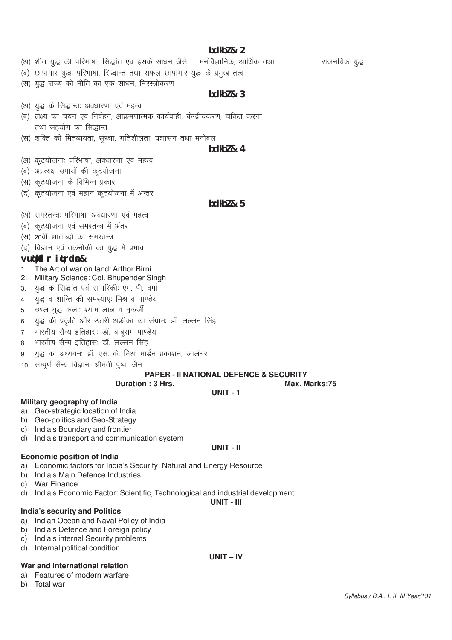# **bdkbZ & 2**

- (अ) शीत युद्ध की परिभाषा, सिद्धांत एवं इसके साधन जैसे मनोवैज्ञानिक, आर्थिक तथा राजनयिक युद्ध
- (ब) छापामार युद्धः परिभाषा, सिद्धान्त तथा सफल छापामार युद्ध के प्रमुख तत्व
- (स) युद्ध राज्य की नीति का एक साधन, निरस्त्रीकरण

#### **bdkbZ & 3**

- (अ) युद्ध के सिद्धान्तः अवधारणा एवं महत्व
- (ब) लक्ष्य का चयन एवं निर्वहन, आक्रमणात्मक कार्यवाही, केन्द्रीयकरण, चकित करना तथा सहयोग का सिद्धान्त
- (स) शक्ति की मितव्ययता, सुरक्षा, गतिशीलता, प्रशासन तथा मनोबल

#### **bdkbZ & 4**

- (अ) कूटयोजनाः परिभाषा, अवधारणा एवं महत्व
- (ब) अप्रत्यक्ष उपायों की कटयोजना
- (स) कूटयोजना के विभिन्न प्रकार
- (द) कूटयोजना एवं महान कूटयोजना में अन्तर

#### **bdkbZ & 5**

- (अ) समरतन्त्रः परिभाषा, अवधारणा एवं महत्व
- (ब) कूटयोजना एवं समरतन्त्र में अंतर
- (स) 20वीं शाताब्दी का समरतन्त्र
- (द) विज्ञान एवं तकनीकी का युद्ध में प्रभाव

# **vuq'kaflr iqLrdsa &**

- 1. The Art of war on land: Arthor Birni
- 2. Military Science: Col. Bhupender Singh
- 3. युद्ध के सिद्धांत एवं सामरिकी: एम. पी. वर्मा
- 4 युद्ध व शान्ति की समस्याएं: मिश्र व पाण्डेय
- 5 स्थल युद्ध कलाः श्याम लाल व मुकर्जी
- 6 युद्ध की प्रकृति और उत्तरी अफ्रीका का संग्रामः डॉ. लल्लन सिंह
- 7 भारतीय सैन्य इतिहासः डॉ. बाबराम पाण्डेय
- 8 भारतीय सैन्य इतिहासः डॉ. लल्लन सिंह
- 9 युद्ध का अध्ययनः डॉ. एस. के. मिश्रः मार्डन प्रकाशन, जालंधर
- 10 सम्पूर्ण सैन्य विज्ञानः श्रीमती पूष्पा जैन

#### **PAPER - II NATIONAL DEFENCE & SECURITY**

**UNIT - 1**

**UNIT - II**

#### **Duration : 3 Hrs.** Max. Marks:75

**Military geography of India**

- a) Geo-strategic location of India
- b) Geo-politics and Geo-Strategy
- c) India's Boundary and frontier
- d) India's transport and communication system

#### **Economic position of India**

- a) Economic factors for India's Security: Natural and Energy Resource
- b) India's Main Defence Industries.
- c) War Finance
- d) India's Economic Factor: Scientific, Technological and industrial development

#### **UNIT - III**

**UNIT – IV**

#### **India's security and Politics**

- a) Indian Ocean and Naval Policy of India
- b) India's Defence and Foreign policy
- c) India's internal Security problems
- d) Internal political condition

#### **War and international relation**

- a) Features of modern warfare
- b) Total war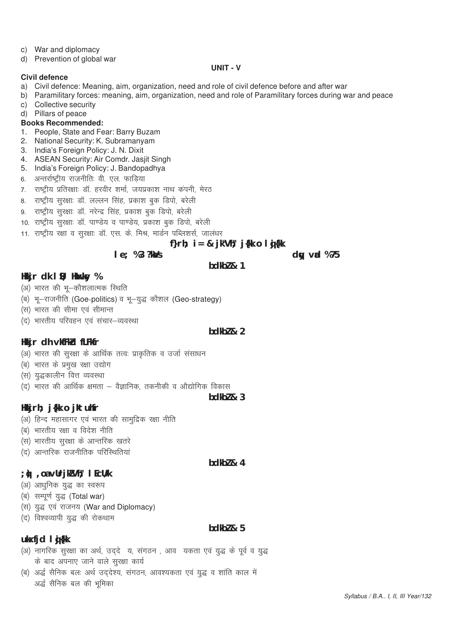- c) War and diplomacy
- d) Prevention of global war

#### **UNIT - V**

#### **Civil defence**

- a) Civil defence: Meaning, aim, organization, need and role of civil defence before and after war
- b) Paramilitary forces: meaning, aim, organization, need and role of Paramilitary forces during war and peace c) Collective security
- d) Pillars of peace

#### **Books Recommended:**

- 1. People, State and Fear: Barry Buzam
- 2. National Security: K. Subramanyam
- 3. India's Foreign Policy: J. N. Dixit
- 4. ASEAN Security: Air Comdr. Jasjit Singh
- 5. India's Foreign Policy: J. Bandopadhya
- 6. अन्तर्राष्ट्रीय राजनीतिः वी. एल. फाड़िया
- 7. राष्ट्रीय प्रतिरक्षाः डॉ. हरवीर शर्मा, जयप्रकाश नाथ कंपनी, मेरठ
- 8. राष्ट्रीय सुरक्षाः डॉ. लल्लन सिंह, प्रकाश बुक डिपो, बरेली
- 9. राष्ट्रीय सुरक्षाः डॉ. नरेन्द्र सिंह, प्रकाश बुक डिपो, बरेली
- 10. राष्ट्रीय सूरक्षाः डॉ. पाण्डेय व पाण्डेय, प्रकाश बूक डिपो, बरेली
- 11. राष्ट्रीय रक्षा व सुरक्षाः डॉ. एस. के. मिश्र, मार्डन पब्लिशर्स, जालधर

# f}rh;  $i = 8$  jk"V $\hbar$ ; j{kk o l g}{kk

**bdkbZ & 1**

#### **le**; %3 ?ka/s

# **Hkkjr dk I S**; Hkuxksy %

- (अ) भारत की भू-कौशलात्मक स्थिति
- (ब) भू-राजनीति (Goe-politics) व भू-युद्ध कौशल (Geo-strategy)
- (स) भारत की सीमा एवं सीमान्त
- (द) भारतीय परिवहन एवं संचार-व्यवस्था

# **bdkb** $\frac{1}{2}$

- **Hkkjr dh vkfFkZd fLFkfr** (अ) भारत की सुरक्षा के आर्थिक तत्वः प्राकृतिक व उर्जा संसाधन
- (ब) भारत के प्रमुख रक्षा उद्योग
- (स) युद्धकालीन वित्त व्यवस्था
- $(q)$  भारत की आर्थिक क्षमता वैज्ञानिक, तकनीकी व औद्योगिक विकास

#### **bdkbZ & 3**

# **Hkkjrh; j{kk o jktuhfr**

- (अ) हिन्द महासागर एवं भारत की सामुद्रिक रक्षा नीति
- (ब) भारतीय रक्षा व विदेश नीति
- (स) भारतीय सूरक्षा के आन्तरिक खतरे
- (द) आन्तरिक राजनीतिक परिस्थितियां

# **bdkbZ & 4**

# **;q) ,oa vUrjkZ"Vªh; lEcU/k**

- (अ) आधुनिक युद्ध का स्वरूप
- (ब) सम्पूर्ण युद्ध (Total war)
- (स) युद्ध एवं राजनय (War and Diplomacy)
- (द) विश्वव्यापी युद्ध की रोकथाम

# **bdkbZ & 5**

# **ukxfid li**

- (अ) नागरिक सुरक्षा का अर्थ, उद्दे य, संगठन , आव यकता एवं युद्ध के पूर्व व युद्ध के बाद अपनाए जाने वाले सरक्षा कार्य
- (ब) अर्द्ध सैनिक बलः अर्थ उद्देश्य, संगठन, आवश्यकता एवं युद्ध व शांति काल में अर्द्ध सैनिक बल की भूमिका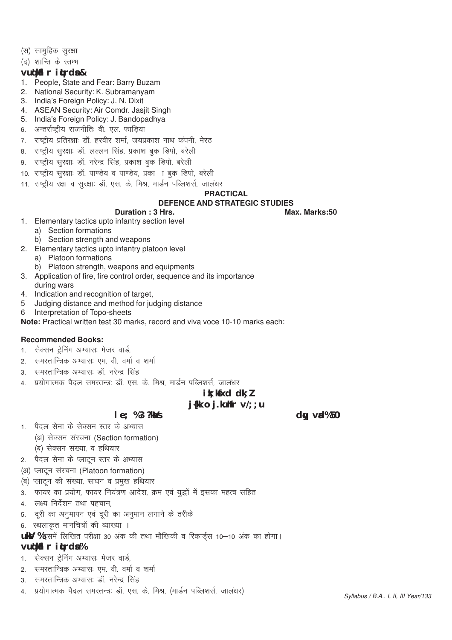- (स) सामूहिक सूरक्षा
- (द) शान्ति के स्तम्भ

# **vuq'kaflr iqLrdsa &**

- 1. People, State and Fear: Barry Buzam
- 2. National Security: K. Subramanyam
- 3. India's Foreign Policy: J. N. Dixit
- 4. ASEAN Security: Air Comdr. Jasjit Singh
- 5. India's Foreign Policy: J. Bandopadhya
- 6. अन्तर्राष्ट्रीय राजनीतिः वी. एल. फाडिया
- 7. राष्ट्रीय प्रतिरक्षाः डॉ. हरवीर शर्मा, जयप्रकाश नाथ कंपनी, मेरठ
- 8. राष्ट्रीय सुरक्षाः डॉ. लल्लन सिंह, प्रकाश बुक डिपो, बरेली
- 9. राष्ट्रीय सुरक्षाः डॉ. नरेन्द्र सिंह, प्रकाश बुक डिपो, बरेली
- 10. राष्ट्रीय सूरक्षाः डॉ. पाण्डेय व पाण्डेय, प्रका ा बुक डिपो, बरेली
- 11. राष्ट्रीय रक्षा व सुरक्षाः डॉ. एस. के. मिश्र, मार्डन पब्लिशर्स, जालधर

#### **PRACTICAL**

#### **DEFENCE AND STRATEGIC STUDIES**

**Duration : 3 Hrs.** Max. Marks:50

- 1. Elementary tactics upto infantry section level
	- a) Section formations
- b) Section strength and weapons
- 2. Elementary tactics upto infantry platoon level
	- a) Platoon formations
	- b) Platoon strength, weapons and equipments
- 3. Application of fire, fire control order, sequence and its importance during wars
- 4. Indication and recognition of target,
- 5 Judging distance and method for judging distance
- 6 Interpretation of Topo-sheets

**Note:** Practical written test 30 marks, record and viva voce 10-10 marks each:

#### **Recommended Books:**

- 1. सेक्सन टेनिंग अभ्यास: मेजर वार्ड
- 2. समरतान्त्रिक अभ्यासः एम. वी. वर्मा व शर्मा
- 3. समरतान्त्रिक अभ्यासः डॉ. नरेन्द्र सिंह
- 4. प्रयोगात्मक पैदल समरतन्त्रः डॉ. एस. के. मिश्र, मार्डन पब्लिशर्स, जालंधर

#### **ik; kfxd dk; Z**

# **j{kk o j.kuhfr v/;;u**

# **le**: %3 ?kaVs **du** vad% 50

- 1. पैदल सेना के सेक्सन स्तर के अभ्यास
	- (अ) सेक्सन संरचना (Section formation)
	- (ब) सेक्सन संख्या, व हथियार
- 2. पैदल सेना के प्लाटून स्तर के अभ्यास
- (अ) प्लाटून संरचना (Platoon formation)
- (ब) प्लाटून की संख्या, साधन व प्रमुख हथियार
- 3. फायर का प्रयोग, फायर नियंत्रण आदेश, क्रम एवं युद्धों में इसका महत्व सहित
- 4. लक्ष्य निर्देशन तथा पहचान,
- 5. दूरी का अनुमापन एवं दूरी का अनुमान लगाने के तरीके
- 6. स्थलाकत मानचित्रों की व्याख्या ।
- **ukV** % इसमें लिखित परीक्षा 30 अंक की तथा मौखिकी व रिकार्ड्स 10-10 अंक का होगा।

#### **vuq'kaflr iqLrdsa %**

- 1. सेक्सन ट्रेनिंग अभ्यासः मेजर वार्ड,
- 2. समरतान्त्रिक अभ्यासः एम. वी. वर्मा व शर्मा
- 3. समरतान्त्रिक अभ्यासः डॉ. नरेन्द्र सिंह
- 4. प्रयोगात्मक पैदल समरतन्त्रः डॉ. एस. के. मिश्र, (मार्डन पब्लिशर्स, जालंधर)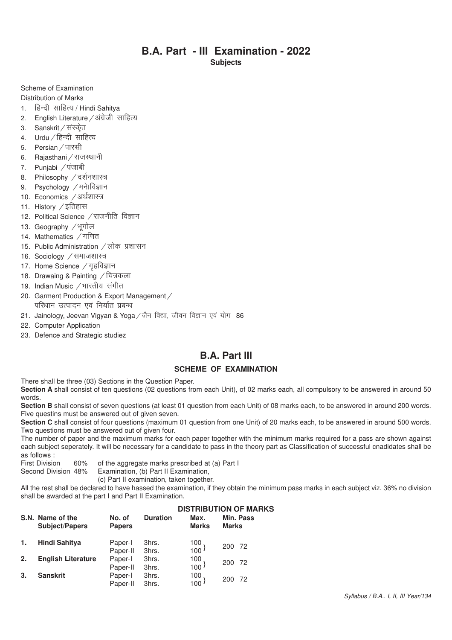# **B.A. Part - III Examination - 2022**

**Subjects**

Scheme of Examination

Distribution of Marks

- 1. हिन्दी साहित्य / Hindi Sahitya
- 2. English Literature / अंग्रेजी साहित्य
- 3. Sanskrit / संस्कृत
- 4.  $U$ rdu / हिन्दी साहित्य
- 5. Persian / पारसी
- 6. Rajasthani / राजस्थानी
- 7. Punjabi / पंजाबी
- 8. Philosophy / दर्शनशास्त्र
- 9. Psychology  $/$  मनेाविज्ञान
- 10. Economics /अर्थशास्त्र
- 11. History  $\angle$ इतिहास
- 12. Political Science / राजनीति विज्ञान
- 13. Geography /भूगोल
- 14. Mathematics  $\n \n 7^{\circ}$ गणित
- 15. Public Administration / लोक प्रशासन
- 16. Sociology / समाजशास्त्र
- 17. Home Science / गृहविज्ञान
- 18. Drawaing & Painting / चित्रकला
- 19. Indian Music / भारतीय संगीत
- 20. Garment Production & Export Management / परिधान उत्पादन एवं निर्यात प्रबन्ध
- 21. Jainology, Jeevan Vigyan & Yoga / जैन विद्या, जीवन विज्ञान एवं योग 86
- 22. Computer Application
- 23. Defence and Strategic studiez

# **B.A. Part III**

#### **SCHEME OF EXAMINATION**

There shall be three (03) Sections in the Question Paper.

Section A shall consist of ten questions (02 questions from each Unit), of 02 marks each, all compulsory to be answered in around 50 words.

Section B shall consist of seven questions (at least 01 question from each Unit) of 08 marks each, to be answered in around 200 words. Five questins must be answered out of given seven.

**Section C** shall consist of four questions (maximum 01 question from one Unit) of 20 marks each, to be answered in around 500 words. Two questions must be answered out of given four.

The number of paper and the maximum marks for each paper together with the minimum marks required for a pass are shown against each subject seperately. It will be necessary for a candidate to pass in the theory part as Classification of successful cnadidates shall be as follows :<br>First Division

60% of the aggregate marks prescribed at (a) Part I

Second Division 48% Examination, (b) Part II Examination,

(c) Part II examination, taken together.

All the rest shall be declared to have hassed the examination, if they obtain the minimum pass marks in each subject viz. 36% no division shall be awarded at the part I and Part II Examination.

# **DISTRIBUTION OF MARKS S.N. Name of the No. of Duration Max. Min. Pass**

|    | <b>Subject/Papers</b>     | <b>Papers</b>       |                | <b>Marks</b>                             | <b>Marks</b> |
|----|---------------------------|---------------------|----------------|------------------------------------------|--------------|
| 1. | <b>Hindi Sahitya</b>      | Paper-I<br>Paper-II | 3hrs.<br>3hrs. | $\begin{matrix} 100 \\ 100 \end{matrix}$ | 200<br>- 72  |
| 2. | <b>English Literature</b> | Paper-I<br>Paper-II | 3hrs.<br>3hrs. | $\begin{matrix} 100 \\ 100 \end{matrix}$ | 200<br>-72   |
| 3. | <b>Sanskrit</b>           | Paper-I<br>Paper-II | 3hrs.<br>3hrs. | $\begin{matrix} 100 \\ 100 \end{matrix}$ | 200 72       |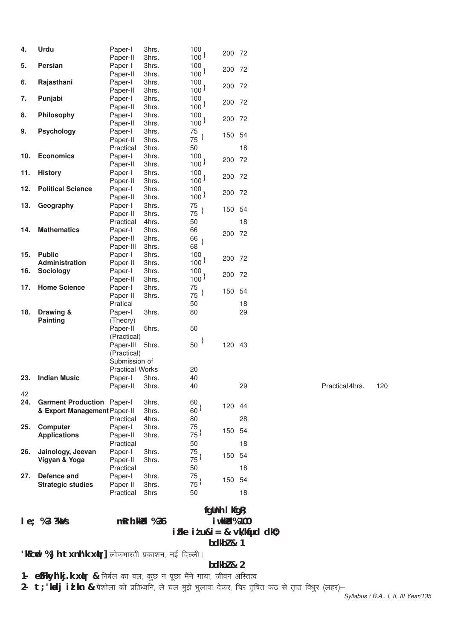|     | le; %3?kMs                        | mRrh.kkid %36            |                |                          | fgUnh I kfgR;<br>i wkkid% 100 |    |                 |     |
|-----|-----------------------------------|--------------------------|----------------|--------------------------|-------------------------------|----|-----------------|-----|
|     |                                   |                          |                |                          |                               |    |                 |     |
|     |                                   | Practical                | 3hrs           | 50                       |                               | 18 |                 |     |
|     | <b>Strategic studies</b>          | Paper-II                 | 3hrs.          | $75^{\frac{1}{2}}$       |                               |    |                 |     |
| 27. | Defence and                       | Paper-I                  | 3hrs.          | 75                       | 150 54                        |    |                 |     |
|     |                                   | Practical                |                | 50                       |                               | 18 |                 |     |
|     | Vigyan & Yoga                     | Paper-II                 | 3hrs.          | $75^{\frac{1}{2}}$       | 150 54                        |    |                 |     |
| 26. | Jainology, Jeevan                 | Paper-I                  | 3hrs.          | 75                       |                               |    |                 |     |
|     | <b>Applications</b>               | Paper-II<br>Practical    | 3hrs.          | $75^{\frac{1}{2}}$<br>50 |                               | 18 |                 |     |
| 25. | <b>Computer</b>                   | Paper-I                  | 3hrs.          | 75                       | 150 54                        |    |                 |     |
|     |                                   | Practical                | 4hrs.          | 80                       |                               | 28 |                 |     |
|     | & Export Management Paper-II      |                          | 3hrs.          | 60 <sup>3</sup>          |                               |    |                 |     |
| 24. | <b>Garment Production Paper-I</b> |                          | 3hrs.          | 60                       | 120 44                        |    |                 |     |
| 42  |                                   |                          |                |                          |                               |    |                 |     |
|     |                                   | Paper-II                 | 3hrs.          | 40                       |                               | 29 | Practical 4hrs. | 120 |
| 23. | <b>Indian Music</b>               | Paper-I                  | 3hrs.          | 40                       |                               |    |                 |     |
|     |                                   | <b>Practical Works</b>   |                | 20                       |                               |    |                 |     |
|     |                                   | Submission of            |                |                          |                               |    |                 |     |
|     |                                   | (Practical)              |                |                          |                               |    |                 |     |
|     |                                   | (Practical)<br>Paper-III | 5hrs.          | $50^{\frac{1}{2}}$       | 120 43                        |    |                 |     |
|     |                                   | Paper-II                 | 5hrs.          | 50                       |                               |    |                 |     |
|     | Painting                          | (Theory)                 |                |                          |                               |    |                 |     |
| 18. | Drawing &                         | Paper-I                  | 3hrs.          | 80                       |                               | 29 |                 |     |
|     |                                   | Pratical                 |                | 50                       |                               | 18 |                 |     |
|     |                                   | Paper-II                 | 3hrs.          | $75^{\frac{1}{2}}$       |                               |    |                 |     |
| 17. | <b>Home Science</b>               | Paper-I                  | 3hrs.          | 75                       | 150 54                        |    |                 |     |
|     |                                   | Paper-II                 | 3hrs.          | 100 <sup>1</sup>         |                               |    |                 |     |
| 16. | <b>Sociology</b>                  | Paper-I                  | 3hrs.          | 100                      | 200 72                        |    |                 |     |
|     | Administration                    | Paper-II                 | 3hrs.          | 100 <sup>1</sup>         | 200 72                        |    |                 |     |
| 15. | <b>Public</b>                     | Paper-I                  | 3hrs.          | 100 <sub>1</sub>         |                               |    |                 |     |
|     |                                   | Paper-III                | 3hrs.          | 68                       |                               |    |                 |     |
|     |                                   | Paper-II                 | 3hrs.          | 66                       | 200 72                        |    |                 |     |
| 14. | <b>Mathematics</b>                | Paper-I                  | 3hrs.          | 66                       |                               |    |                 |     |
|     |                                   | Practical                | 4hrs.          | 50                       |                               | 18 |                 |     |
|     |                                   | Paper-II                 | 3hrs.          | $75^{\frac{1}{2}}$       | 150 54                        |    |                 |     |
| 13. | Geography                         | Paper-II<br>Paper-I      | 3hrs.<br>3hrs. | 75                       |                               |    |                 |     |
| 12. | <b>Political Science</b>          | Paper-I                  | 3hrs.          | 100<br>100 <sup>3</sup>  | 200 72                        |    |                 |     |
|     |                                   | Paper-II                 | 3hrs.          | 100 <sup>1</sup>         |                               |    |                 |     |
| 11. | <b>History</b>                    | Paper-I                  | 3hrs.          | 100                      | 200 72                        |    |                 |     |
|     |                                   | Paper-II                 | 3hrs.          | 100 <sup>1</sup>         |                               |    |                 |     |
| 10. | <b>Economics</b>                  | Paper-I                  | 3hrs.          | 100                      | 200 72                        |    |                 |     |
|     |                                   | Practical                | 3hrs.          | 50                       |                               | 18 |                 |     |
|     |                                   | Paper-II                 | 3hrs.          | $75^{\frac{1}{2}}$       | 150 54                        |    |                 |     |
| 9.  | <b>Psychology</b>                 | Paper-I                  | 3hrs.          | 75                       |                               |    |                 |     |
|     |                                   | Paper-II                 | 3hrs.          | 100 <sup>3</sup>         | 200 72                        |    |                 |     |
| 8.  | Philosophy                        | Paper-I                  | 3hrs.          | 100                      |                               |    |                 |     |
| 7.  | Punjabi                           | Paper-I<br>Paper-II      | 3hrs.<br>3hrs. | 100<br>100 <sup>3</sup>  | 200 72                        |    |                 |     |
|     |                                   | Paper-II                 | 3hrs.          | $100^{\frac{1}{2}}$      |                               |    |                 |     |
| 6.  | Rajasthani                        | Paper-I                  | 3hrs.          | 100 <sub>1</sub>         | 200 72                        |    |                 |     |
|     |                                   | Paper-II                 | 3hrs.          | 100 <sup>1</sup>         |                               |    |                 |     |
| 5.  | Persian                           | Paper-I                  | 3hrs.          | 100.                     | 200 72                        |    |                 |     |
|     |                                   | Paper-II                 | 3hrs.          | 100 <sup>3</sup>         | 200 72                        |    |                 |     |
| 4.  | <b>Urdu</b>                       | Paper-I                  | 3hrs.          | 100                      |                               |    |                 |     |

# iFke it u&i = & vk/kqfud dk0; **bdkbZ & 1**

'kEcwd % Jh txnh'k x(r] लोकभारती प्रकाशन, नई दिल्ली।

#### **bdkbZ & 2**

1- **e**SFkyh'kj.k xtr & निर्बल का बल, कुछ न पूछा मैंने गाया, जीवन अस्तित्व

2- **t; 'kdj id kn &** पेशोला की प्रतिध्वनि, ले चल मुझे भुलावा देकर, चिर तृषित कंठ से तृप्त विधुर (लहर)-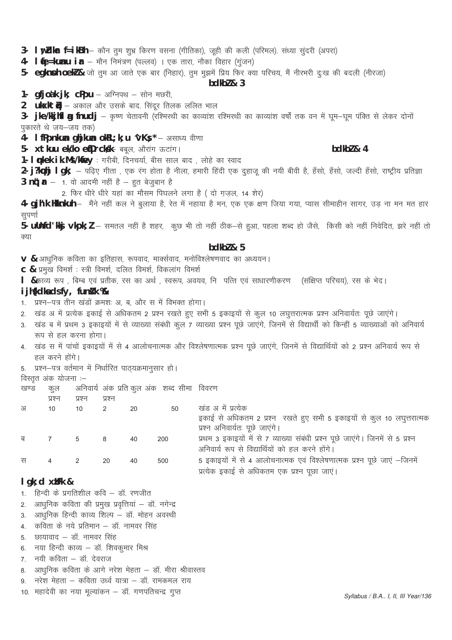#### 3- Iw Zkar f=ikBh - कौन तुम शुभ्र किरण वसना (गीतिका), जूही की कली (परिमल). संध्या सुंदरी (अपरा)

4.  $\int_{0}^{\infty}$   $\int_{0}^{\infty}$   $\int_{0}^{\infty}$   $\int_{0}^{\infty}$   $\int_{0}^{\infty}$   $\int_{0}^{\infty}$   $\int_{0}^{\infty}$   $\int_{0}^{\infty}$   $\int_{0}^{\infty}$   $\int_{0}^{\infty}$   $\int_{0}^{\infty}$   $\int_{0}^{\infty}$   $\int_{0}^{\infty}$   $\int_{0}^{\infty}$   $\int_{0}^{\infty}$   $\int_{0}^{\infty}$   $\int_{0}^{\infty$ 

5- egknnh oekl & जो तुम आ जाते एक बार (निहार), तुम मुझमें प्रिय फिर क्या परिचय, मैं नीरभरी दुःख की बदली (नीरजा)

#### $hdkh$ <sub>7</sub> $k<sub>3</sub>$

1.  $gfjodk jk$ ;  $cPpu - 34u$  - सोन मछरी,

2  $ukxktu -$  अकाल और उसके बाद. सिंदुर तिलक ललित भाल

3- jke/kkjhfl a fnudj – कृष्ण चेतावनी (रश्मिरथी का काव्यांश रश्मिरथी का काव्यांश वर्षों तक वन में घुम-घुम पंक्ति से लेकर दोनों पुकारते थे जय-जय तक)

4. I fPpnkun qhikun okRL; k; u 'vKs \* - असाध्य वीणा

5- xtkuu ek/ko enDrcks/k- बबूल, औरांग ऊटांग।

1- Inkek ik.Ms/kiey : गरीबी, दिनचर्या, बीस साल बाद, लोहे का स्वाद

2- j?kphj l gk; — पढ़िए गीता , एक रंग होता है नीला, हमारी हिंदी एक दुहाजू की नयी बीवी है, हँसो, हँसो, जल्दी हँसो, राष्ट्रीय प्रतिज्ञा 3  $\ln t$ ;  $r - 1$  वो आदमी नहीं है - हुत बेजुबान है

2. फिर धीरे धीरे यहां का मौसम पिघलने लगा है ( दो गज़ल, 14 शेर)

4- gjh'k Hkhkuh – मैंने नहीं कल ने बुलाया है, रेत में नहाया है मन, एक एक क्षण जिया गया, प्यास सीमाहीन सागर, उड ना मन मत हार सुपर्णा

5- ullnfd'kkj vkpk; l – समतल नहीं है शहर, कूछ भी तो नहीं ठीक–से हुआ, पहला शब्द हो जैसे, किसी को नहीं निवेदित, झरे नहीं तो क्या

#### $hdkh$ <sub>7</sub> $k<sub>5</sub>$

V & आधुनिक कविता का इतिहास, रूपवाद, मार्क्सवाद, मनोविश्लेषणवाद का अध्ययन।

C & प्रमुख विमर्श : स्त्री विमर्श, दलित विमर्श, विकलांग विमर्श

1 &काव्य रूप , बिम्ब एवं प्रतीक, रस का अर्थ , स्वरूप, अवयव, नि पत्ति एवं साधारणीकरण (संक्षिप्त परिचय), रस के भेद।

# i jh{kdka dsfy, funik %

- 1. प्रश्न-पत्र तीन खंडों क्रमशः अ, ब, और स में विभक्त होगा।
- 2. खंड अ में प्रत्येक इकाई से अधिकतम 2 प्रश्न रखते हुए सभी 5 इकाइयों से कुल 10 लघुत्तरात्मक प्रश्न अनिवार्यतः पूछे जाएंगे।
- 3. खंड ब में प्रथम 3 इकाइयों में से व्याख्या संबंधी कूल 7 व्याख्या प्रश्न पूछे जाएंगे, जिनमें से विद्यार्थी को किन्हीं 5 व्याख्याओं को अनिवार्य रूप से हल करना होगा।
- 4. खंड स में पांचों इकाइयों में से 4 आलोचनात्मक और विश्लेषणात्मक प्रश्न पूछे जाएंगे, जिनमें से विद्यार्थियों को 2 प्रश्न अनिवार्य रूप से हल करने होंगे।

5. प्रश्न-पत्र वर्तमान में निर्धारित पाठ्यक्रमानुसार हो।

विस्तृत अंक योजना :-

| खण्ड | कल |  |  | अनिवार्य अंक प्रति कुल अंक) शब्द सीमा विवरण |  |
|------|----|--|--|---------------------------------------------|--|
|      |    |  |  |                                             |  |

| प्रश्न         | प्रश्न | प्रश्न |    |     |                                                                                 |
|----------------|--------|--------|----|-----|---------------------------------------------------------------------------------|
| 10             | 10     |        | 20 | 50  | खंड अ में प्रत्येक                                                              |
|                |        |        |    |     | इकाई से अधिकतम 2 प्रश्न रखते हुए सभी 5 इकाइयों से कुल 10 लघुत्तरात्मक           |
|                |        |        |    |     | प्रश्न अनिवार्यतः पूछे जाएंगे।                                                  |
| $\overline{7}$ | 5      | - 8    | 40 | 200 | प्रथम 3 इकाइयों में से 7 व्याख्या संबंधी प्रश्न पूछे जाएंगे। जिनमें से 5 प्रश्न |
|                |        |        |    |     | अनिवार्य रूप से विद्यार्थियों को हल करने होंगे।                                 |
| 4              |        | 20     | 40 | 500 | 5 इकाइयों में से 4 आलोचनात्मक एवं विश्लेषणात्मक प्रश्न पूछे जाएं –जिनमें        |
|                |        |        |    |     | प्रत्येक इकाई से अधिकतम एक प्रश्न पूछा जाएं।                                    |
|                |        |        |    |     |                                                                                 |

## $l$  qk; d  $x$ *u*Fk &

- 1. हिन्दी के प्रगतिशील कवि डॉ. रणजीत
- आधुनिक कविता की प्रमुख प्रवृत्तियां डॉ. नगेन्द्र  $\overline{2}$
- आधुनिक हिन्दी काव्य शिल्प डॉ. मोहन अवस्थी  $3<sub>l</sub>$
- 4. कविता के नये प्रतिमान डॉ. नामवर सिंह
- 5. छायावाद डॉ. नामवर सिंह
- 6. नया हिन्दी काव्य डॉ. शिवकुमार मिश्र
- 7. नयी कविता डॉ. देवराज
- 8. आधुनिक कविता के आगे नरेश मेहता डॉ. मीरा श्रीवास्तव
- नरेश मेहता कविता उर्ध्व यात्रा डॉ. रामकमल राय  $\mathsf{Q}$
- 10. महादेवी का नया मूल्यांकन डॉ. गणपतिचन्द्र गुप्त

#### bdkbl & 4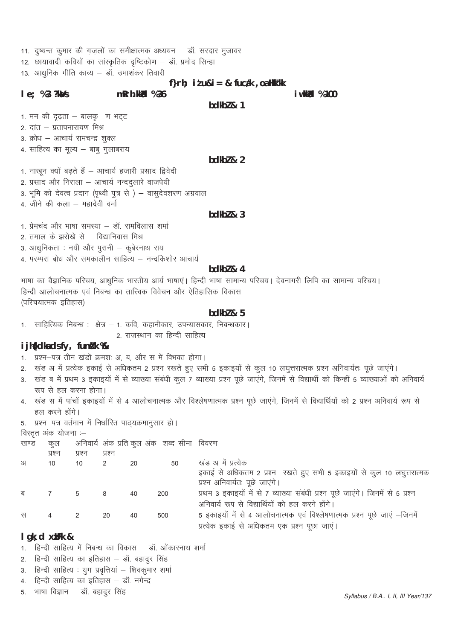11. दृष्यन्त कूमार की गज़लों का समीक्षात्मक अध्ययन – डॉ. सरदार मुजावर

 $mRrh.kkld$  % 36

12. छायावादी कवियों का सांस्कृतिक दृष्टिकोण – डॉ. प्रमोद सिन्हा

13. आधुनिक गीति काव्य – डॉ. उमाशंकर तिवारी

#### f} $r h$ ; it  $u & = 8$  fucak, oa Hkk"kk

#### $le; %3?kMs$

#### $hdkh$ <sub>7</sub> $k<sub>1</sub>$

*i* wkkid % 100

1. मन की दृढता - बालकु ण भट्ट

- 2. दांत प्रतापनारायण मिश्र
- 3. क्रोध आचार्य रामचन्द्र शुक्ल
- 4. साहित्य का मूल्य बाबू गुलाबराय

#### $bdkb2 & 2$

1. नाखून क्यों बढ़ते हैं - आचार्य हजारी प्रसाद द्विवेदी

- 2. प्रसाद और निराला आचार्य नन्दद्तलारे वाजपेयी
- 3. भूमि को देवत्व प्रदान (पृथ्वी पुत्र से) वासुदेवशरण अग्रवाल
- 4. जीने की कला महादेवी वर्मा

#### bdkb $l$  &  $3$

- 1. प्रेमचंद और भाषा समस्या डॉ. रामविलास शर्मा
- 2. तमाल के झरोखे से विद्यानिवास मिश्र
- 3. आधुनिकता : नयी और पुरानी कुबेरनाथ राय
- 4. परम्परा बोध और समकालीन साहित्य नन्दकिशोर आचार्य

# $bdkb2 & 4$

भाषा का वैज्ञानिक परिचय, आधनिक भारतीय आर्य भाषाएं। हिन्दी भाषा सामान्य परिचय। देवनागरी लिपि का सामान्य परिचय। हिन्दी आलोचनात्मक एवं निबन्ध का तात्त्विक विवेचन और ऐतिहासिक विकास (परिचयात्मक इतिहास)

# $hdkh$ <sub>7</sub> $k<sub>5</sub>$

1. साहित्यिक निबन्ध : क्षेत्र – 1. कवि. कहानीकार. उपन्यासकार. निबन्धकार। 2. राजस्थान का हिन्दी साहित्य

#### i jh{kdka dsfy, funkk %&

- 1. प्रश्न-पत्र तीन खंडों क्रमशः अ, ब, और स में विभक्त होगा।
- 2. खंड अ में प्रत्येक इकाई से अधिकतम 2 प्रश्न रखते हुए सभी 5 इकाइयों से कूल 10 लघुत्तरात्मक प्रश्न अनिवार्यतः पूछे जाएंगे।
- 3. खंड ब में प्रथम 3 इकाइयों में से व्याख्या संबंधी कल 7 व्याख्या प्रश्न पछे जाएंगे. जिनमें से विद्यार्थी को किन्हीं 5 व्याख्याओं को अनिवार्य रूप से हल करना होगा।
- खंड स में पांचों इकाइयों में से 4 आलोचनात्मक और विश्लेषणात्मक प्रश्न पूछे जाएंगे, जिनमें से विद्यार्थियों को 2 प्रश्न अनिवार्य रूप से  $\mathbf{\Delta}$ हल करने होंगे।
- 5. प्रश्न-पत्र वर्तमान में निर्धारित पाठ्यक्रमानुसार हो।

विस्तृत अंक योजना :-

 $10$ 

अ

| खण्ड | कल |  |  | अनिवार्य अंक प्रति कुल अंक  शब्द सीमा  विवरण |  |
|------|----|--|--|----------------------------------------------|--|
|      |    |  |  |                                              |  |

प्रश्न प्रश्न ਧਭਜ

 $10$ 

| 20 |  |  | खंड अ में प्रत्येक |
|----|--|--|--------------------|
|    |  |  |                    |

- इकाई से अधिकतम 2 प्रश्न रखते हुए सभी 5 इकाइयों से कूल 10 लघुत्तरात्मक
- 
- प्रश्न अनिवार्यतः पूछे जाएंगे। प्रथम 3 इकाइयों में से 7 व्याख्या संबंधी प्रश्न पूछे जाएंगे। जिनमें से 5 प्रश्न ब  $\overline{7}$  $\overline{5}$ 8  $40$ 200
	- अनिवार्य रूप से विद्यार्थियों को हल करने होंगे।
- 5 इकाइयों में से 4 आलोचनात्मक एवं विश्लेषणात्मक प्रश्न पूछे जाएं –जिनमें स्र  $\overline{4}$  $\overline{2}$ 20  $40$ 500 प्रत्येक इकाई से अधिकतम एक प्रश्न पूछा जाएं।

# $I$  gk; d  $x$ *u***Fk** &

- हिन्दी साहित्य में निबन्ध का विकास डॉ. ओंकारनाथ शर्मा
- हिन्दी साहित्य का इतिहास डॉ. बहादुर सिंह  $2.$
- 3. हिन्दी साहित्य : युग प्रवृत्तियां शिवकुमार शर्मा
- हिन्दी साहित्य का इतिहास डॉ. नगेन्द्र  $\mathbf{\Delta}$
- भाषा विज्ञान डॉ. बहादुर सिंह 5.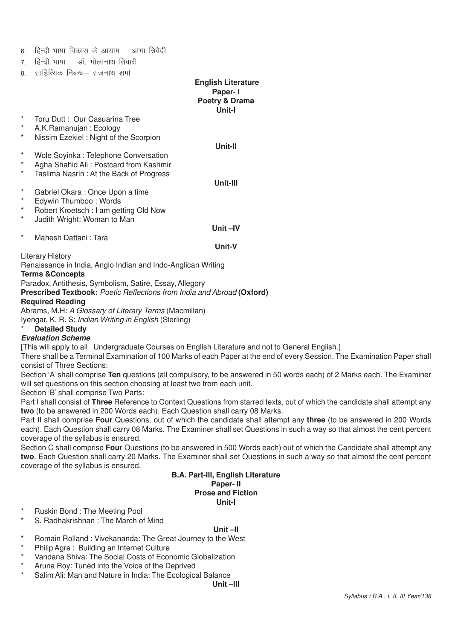|  |  |  | 6. हिन्दी भाषा विकास के आयाम – आभा त्रिवेदी |  |  |  |  |  |
|--|--|--|---------------------------------------------|--|--|--|--|--|
|--|--|--|---------------------------------------------|--|--|--|--|--|

- $7 \overline{\mathsf{B}}$ न्दी भाषा डॉ भोलानाथ तिवारी
- 8. साहित्यिक निबन्ध– राजनाथ शर्मा

 **English Literature Paper- I Poetry & Drama Unit-I** Toru Dutt : Our Casuarina Tree \* A.K.Ramanujan : Ecology Nissim Ezekiel : Night of the Scorpion **Unit-II** Wole Sovinka : Telephone Conversation \* Agha Shahid Ali : Postcard from Kashmir Taslima Nasrin : At the Back of Progress **Unit-III** \* Gabriel Okara : Once Upon a time Edywin Thumboo : Words Robert Kroetsch : I am getting Old Now Judith Wright: Woman to Man **Unit –IV** \* Mahesh Dattani : Tara **Unit-V** Literary History Renaissance in India, Anglo Indian and Indo-Anglican Writing **Terms &Concepts** Paradox, Antithesis, Symbolism, Satire, Essay, Allegory **Prescribed Textbook:** *Poetic Reflections from India and Abroad* **(Oxford) Required Reading** Abrams, M.H: *A Glossary of Literary Terms* (Macmillan) Iyengar, K. R. S: *Indian Writing in English* (Sterling) **Detailed Study Evaluation Scheme** [This will apply to all Undergraduate Courses on English Literature and not to General English.] There shall be a Terminal Examination of 100 Marks of each Paper at the end of every Session. The Examination Paper shall consist of Three Sections: Section 'A' shall comprise **Ten** questions (all compulsory, to be answered in 50 words each) of 2 Marks each. The Examiner will set questions on this section choosing at least two from each unit.

Section 'B' shall comprise Two Parts:

Part I shall consist of **Three** Reference to Context Questions from starred texts, out of which the candidate shall attempt any **two** (to be answered in 200 Words each). Each Question shall carry 08 Marks.

Part II shall comprise **Four** Questions, out of which the candidate shall attempt any **three** (to be answered in 200 Words each). Each Question shall carry 08 Marks. The Examiner shall set Questions in such a way so that almost the cent percent coverage of the syllabus is ensured.

Section C shall comprise **Four** Questions (to be answered in 500 Words each) out of which the Candidate shall attempt any **two**. Each Question shall carry 20 Marks. The Examiner shall set Questions in such a way so that almost the cent percent coverage of the syllabus is ensured.

#### **B.A. Part-III, English Literature Paper- II Prose and Fiction Unit-I**

- Ruskin Bond: The Meeting Pool
- S. Radhakrishnan : The March of Mind

#### **Unit –II**

- Romain Rolland : Vivekananda: The Great Journey to the West
- \* Philip Agre : Building an Internet Culture
- \* Vandana Shiva: The Social Costs of Economic Globalization
- Aruna Roy: Tuned into the Voice of the Deprived
- Salim Ali: Man and Nature in India: The Ecological Balance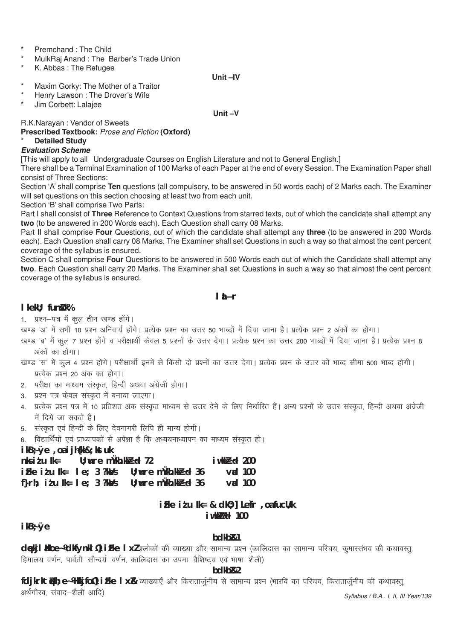Premchand · The Child

- MulkRaj Anand: The Barber's Trade Union
- K. Abbas: The Refugee

#### Unit-IV

- Maxim Gorky: The Mother of a Traitor
- Henry Lawson : The Drover's Wife
- Jim Corbett: Lalajee

Unit-V

R.K.Narayan: Vendor of Sweets

Prescribed Textbook: Prose and Fiction (Oxford)

# **Detailed Study**

# **Evaluation Scheme**

[This will apply to all Undergraduate Courses on English Literature and not to General English.]

There shall be a Terminal Examination of 100 Marks of each Paper at the end of every Session. The Examination Paper shall consist of Three Sections:

Section 'A' shall comprise Ten questions (all compulsory, to be answered in 50 words each) of 2 Marks each. The Examiner will set questions on this section choosing at least two from each unit.

Section 'B' shall comprise Two Parts:

Part I shall consist of Three Reference to Context Questions from starred texts, out of which the candidate shall attempt any two (to be answered in 200 Words each). Each Question shall carry 08 Marks.

Part II shall comprise Four Questions, out of which the candidate shall attempt any three (to be answered in 200 Words each). Each Question shall carry 08 Marks. The Examiner shall set Questions in such a way so that almost the cent percent coverage of the syllabus is ensured.

Section C shall comprise Four Questions to be answered in 500 Words each out of which the Candidate shall attempt any two. Each Question shall carry 20 Marks. The Examiner shall set Questions in such a way so that almost the cent percent coverage of the syllabus is ensured.

# **I** iÑr

# I kekU: funk k%

1. प्रश्न-पत्र में कुल तीन खण्ड होंगे।

- खण्ड 'अ' में सभी 10 प्रश्न अनिवार्य होंगे। प्रत्येक प्रश्न का उत्तर 50 भाब्दों में दिया जाना है। प्रत्येक प्रश्न 2 अंकों का होगा।
- खण्ड 'ब' में कुल 7 प्रश्न होंगे व परीक्षार्थी केवल 5 प्रश्नों के उत्तर देगा। प्रत्येक प्रश्न का उत्तर 200 भाब्दों में दिया जाना है। प्रत्येक प्रश्न 8 अंकों का होगा।

# खण्ड 'स' में कूल 4 प्रश्न होंगे। परीक्षार्थी इनमें से किसी दो प्रश्नों का उत्तर देगा। प्रत्येक प्रश्न के उत्तर की भाब्द सीमा 500 भाब्द होगी। प्रत्येक प्रश्न 20 अंक का होगा।

- 2. परीक्षा का माध्यम संस्कृत, हिन्दी अथवा अंग्रेजी होगा।
- 3. प्रश्न पत्र केवल संस्कृत में बनाया जाएगा।
- 4. प्रत्येक प्रश्न पत्र में 10 प्रतिशत अंक संस्कृत माध्यम से उत्तर देने के लिए निर्धारित हैं। अन्य प्रश्नों के उत्तर संस्कृत, हिन्दी अथवा अंग्रेजी में दिये जा सकते हैं।
- 5. संस्कृत एवं हिन्दी के लिए देवनागरी लिपि ही मान्य होगी।

6. विद्यार्थियों एवं प्राध्यापकों से अपेक्षा है कि अध्ययनाध्यापन का माध्यम संस्कृत हो।

 $ikB \div \emptyset e$ , oa i j $h f k k B \div k f k$ 

| nksidulk=                                   |  | $U$ ; wre mukh.kk $B$ d 72                                                     | $i$ wkk $P$ cd 200 |
|---------------------------------------------|--|--------------------------------------------------------------------------------|--------------------|
|                                             |  | $i$ Fke it u Ik= le; 3 ?k $\lambda$ /s U; wure m $\lambda$ kh.kk $\beta$ ed 36 | $\mathsf{val}$ 100 |
| f} $r$ h; i $t$ u lk= le; 3 ?k $\lambda$ /s |  | $U$ ; wre mukh.kk $B$ d 36                                                     | $\mathsf{val}$ 100 |

# iFke itu lk= & dk0; l Lefr, oafucU/k iwkkMel 100

 $ikB:Øe$ 

#### hdkh<sub>R1</sub>

dekj l lkoe~ Ydkfynkl 14 i Fke l xl-श्लोकों की व्याख्या और सामान्य प्रश्न (कालिदास का सामान्य परिचय, कुमारसंभव की कथावस्त्, हिमालय वर्णन, पार्वती–सौन्दर्य–वर्णन, कालिदास का उपमा–वैशिष्टय एवं भाषा–शैली)

# bdkb<sub>R2</sub>

fdjkrktüh; e~ Wikijfol iFke I xR व्याख्याएँ और किरातार्जुनीय से सामान्य प्रश्न (भारवि का परिचय, किरातार्जुनीय की कथावस्तु, अर्थगौरव संवाद-शैली आदि) Syllabus / B.A., I, II, III Year/139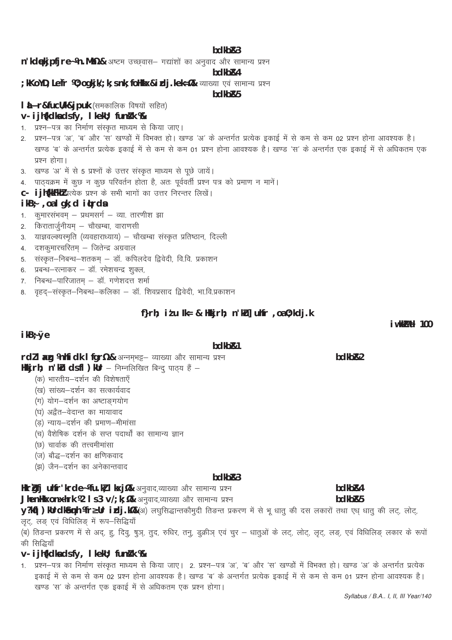#### bdkb&3

n'kdekipfire~ /n. Mh/2 & अष्टम उच्छवास- गद्यांशों का अनुवाद और सामान्य प्रश्न

bdkb<sub>R4</sub>

; kKoYD; Lefr 10; ogkjk/; k; s nk; follkkx&i xlj.kek=1% व्याख्या एवं सामान्य प्रश्न

#### hdkh<sub>R5</sub>

I LÑr&fucll/k&jpuk (समकालिक विषयों सहित)

# v- i jh{kdka ds fy, I kekU; funik %

- 1. प्रश्न–पत्र का निर्माण संस्कृत माध्यम से किया जाए।
- 2. प्रश्न–पत्र 'अ', 'ब' और 'स' खण्डों में विभक्त हो। खण्ड 'अ' के अन्तर्गत प्रत्येक इकाई में से कम से कम 02 प्रश्न होना आवश्यक है। खण्ड 'ब' के अन्तर्गत प्रत्येक इकाई में से कम से कम 01 प्रश्न होना आवश्यक है। खण्ड 'स' के अन्तर्गत एक इकाई में से अधिकतम एक प्रश्न होगा।
- 3. खण्ड 'अ' में से 5 प्रश्नों के उत्तर संस्कृत माध्यम से पूछे जायें।
- 4. पाठ्यक्रम में कुछ न कुछ परिवर्तन होता है, अतः पूर्ववर्ती प्रश्न पत्र को प्रमाण न मानें।
- C- ijhKkkFkhZ प्रत्येक प्रश्न के सभी भागों का उत्तर निरन्तर लिखें।

# $ikB$ ;  $\partial a \cdot b$  at  $d$  it rds

- 1. कुमारसभवम् प्रथमसर्ग व्या. तारणीश झा
- 2. किरातार्जुनीयम् चौखम्बा, वाराणसी
- 3. याज्ञवल्क्यस्मृति (व्यवहाराध्याय) चौखम्बा संस्कृत प्रतिष्ठान, दिल्ली
- 4. दशकुमारचरितम् जितेन्द्र अग्रवाल
- 5. संस्कृत–निबन्ध–शतकम् डॉ. कपिलदेव द्विवेदी, वि.वि. प्रकाशन
- 6. प्रबन्ध-रत्नाकर डॉ. रमेशचन्द्र शुक्ल,
- 7. निबन्ध-पारिजातम डॉ. गणेशदत्त शर्मा
- 8. वृहद्-संस्कृत–निबन्ध–कलिका डॉ. शिवप्रसाद द्विवेदी, भा.वि.प्रकाशन

# f}rh; itu lk= & Hkkjrh; n'ku] uhfr , oa 0; kdj.k

#### $ikB; \emptyset e$

# bdkb<sub>R1</sub>

# rdl I x g Vnhfi dk I fgr1/2 & अन्नमुभट्ट- व्याख्या और सामान्य प्रश्न **Hkiirh; n'ku dsfl ) kUr** – निम्नलिखित बिन्दु पाठ्य हैं –

- (क) भारतीय-दर्शन की विशेषताएँ
- (ख) सांख्य-दर्शन का सत्कार्यवाद
- (ग) योग-दर्शन का अष्टाङ्गयोग
- (घ) अद्वैत-वेदान्त का मायावाद
- (ड) न्याय-दर्शन की प्रमाण-मीमांसा
- (च) वैशेषिक दर्शन के सप्त पदार्थों का सामान्य ज्ञान
- (छ) चार्वाक की तत्त्वमीमांसा
- (ज) बौद्ध-दर्शन का क्षणिकवाद
- (झ) जैन-दर्शन का अनेकान्तवाद

#### bdkb<sub>R3</sub>

# Hkrigfj uhfr'krde~ Yu.kt I kxj Y& अनुवाद,व्याख्या और सामान्य प्रश्न

# JhenHkxonxhrk 12 Is3 v/; k; 18 अनुवाद,व्याख्या और सामान्य प्रश्न

y?kil) kurdkenh Vir<sup>3</sup>ur idj.kV&(अ) लघुसिद्धान्तकौमूदी तिड़न्त प्रकरण में से भू धातू की दस लकारों तथा एध धातू की लट, लोट, लट, लड एवं विधिलिड में रूप-सिद्धियाँ

(ब) तिडन्त प्रकरण में से अद्, हु, दिवु, षुञ्, तुद, रुधिर, तनु, डुक्रीञ् एवं चुर – धातुओं के लट्, लोट्, लट्, लड्, एवं विधिलिङ् लकार के रूपों की सिद्धियाँ

#### v- i jh{kdka ds fy, I kekU; funk %

1. प्रश्न–पत्र का निर्माण संस्कृत माध्यम से किया जाए। 2. प्रश्न–पत्र 'अ', 'ब' और 'स' खण्डों में विभक्त हो। खण्ड 'अ' के अन्तर्गत प्रत्येक इकाई में से कम से कम 02 प्रश्न होना आवश्यक है। खण्ड 'ब' के अन्तर्गत प्रत्येक इकाई में से कम से कम 01 प्रश्न होना आवश्यक है। खण्ड 'स' के अन्तर्गत एक इकाई में से अधिकतम एक प्रश्न होगा।

hdkh<sub>R2</sub>

i wkkMel 100

bdkb<sub>R5</sub>

hdkh<sub>R4</sub>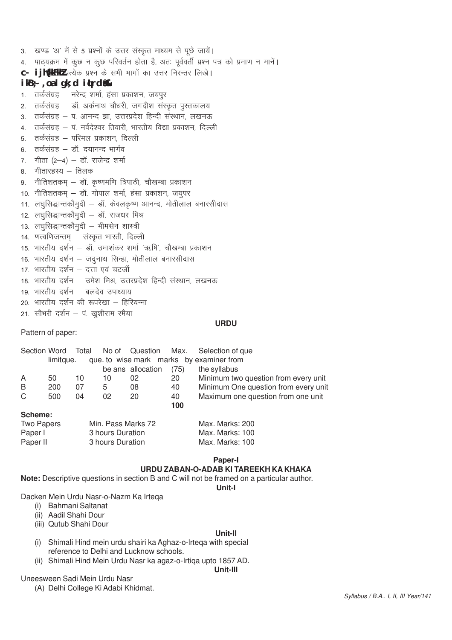- 3. खण्ड 'अ' में से 5 प्रश्नों के उत्तर संस्कृत माध्यम से पूछे जायें।
- 4. पाठ्यक्रम में कूछ न कूछ परिवर्तन होता है, अतः पूर्ववर्ती प्रश्न पत्र को प्रमाण न मानें।
- C- ijh</a>KkFkhl प्रत्येक प्रश्न के सभी भागों का उत्तर निरन्तर लिखे।

# $ikB$ ; , oa I gk; d  $i$ 4rd\$&

- 1. तर्कसंग्रह नरेन्द्र शर्मा, हंसा प्रकाशन, जयपुर
- 2. तर्कसंग्रह डॉ. अर्कनाथ चौधरी, जगदीश संस्कृत पुस्तकालय
- 3. तर्कसंग्रह प. आनन्द झा. उत्तरप्रदेश हिन्दी संस्थान. लखनऊ
- 4. तर्कसंग्रह प. नर्वदेश्वर तिवारी. भारतीय विद्या प्रकाशन. दिल्ली
- 5. तर्कसंग्रह परिमल प्रकाशन, दिल्ली
- 6. तर्कसंग्रह डॉ. दयानन्द भार्गव
- 7. गीता  $(2-4)$  डॉ. राजेन्द्र शर्मा
- 8 गीतारहस्य तिलक
- 9. नीतिशतकम् डॉ. कृष्णमणि त्रिपाठी, चौखम्बा प्रकाशन
- 10. नीतिशतकम् डॉ. गोपाल शर्मा, हंसा प्रकाशन, जयुपर
- 11. लघसिद्धान्तकौमुदी डॉ. केवलकृष्ण आनन्द, मोतीलाल बनारसीदास
- 12. लघसिद्धान्तकौमुदी डॉ. राजधर मिश्र
- 13. लघुसिद्धान्तकौमुदी भीमसेन शास्त्री
- 14. णत्वणिजन्तम् संस्कृत भारती, दिल्ली
- 15. भारतीय दर्शन डॉ. उमाशंकर शर्मा 'ऋषि', चौखम्बा प्रकाशन
- 16. भारतीय दर्शन जदुनाथ सिन्हा, मोतीलाल बनारसीदास
- 17. भारतीय दर्शन दत्ता एवं चटर्जी
- 18. भारतीय दर्शन उमेश मिश्र, उत्तरप्रदेश हिन्दी संस्थान, लखनऊ
- 19. भारतीय दर्शन बलदेव उपाध्याय
- 20. भारतीय दर्शन की रूपरेखा हिरियन्ना
- 21. सौभरी दर्शन प. खुशीराम रमैया

#### URDU

Pattern of paper:

| Section Word            |           | Total |                                          | No of Question    |      | Max. Selection of que                                 |
|-------------------------|-----------|-------|------------------------------------------|-------------------|------|-------------------------------------------------------|
|                         | limitaue. |       |                                          |                   |      | que to wise mark marks by examiner from               |
|                         |           |       |                                          | be ans allocation | (75) | the syllabus                                          |
| A                       | 50        | 10    | 10                                       | 02                | 20   | Minimum two question from every unit                  |
| B                       | 200       | 07    | 5                                        | 08                | 40   | Minimum One question from every unit                  |
| C                       | 500       | 04    | 02                                       | 20                | 40   | Maximum one question from one unit                    |
|                         |           |       |                                          |                   | 100  |                                                       |
| Scheme:                 |           |       |                                          |                   |      |                                                       |
| $T_{\text{max}}$ Densey |           |       | $M_{\text{in}}$ Desa $M_{\text{out}}$ 70 |                   |      | $M_{\odot}$ $M_{\odot}$ $M_{\odot}$ $\ddot{\sim}$ 000 |

| Two Papers | Min. Pass Marks 72 | Max. Marks: 200 |
|------------|--------------------|-----------------|
| Paper I    | 3 hours Duration   | Max. Marks: 100 |
| Paper II   | 3 hours Duration   | Max. Marks: 100 |

**Paper-I** 

# URDU ZABAN-O-ADAB KI TAREEKH KA KHAKA

Note: Descriptive questions in section B and C will not be framed on a particular author.

Unit-I

Dacken Mein Urdu Nasr-o-Nazm Ka Irtega

- (i) Bahmani Saltanat
- (ii) Aadil Shahi Dour
- (iii) Qutub Shahi Dour

#### Unit-II

- (i) Shimali Hind mein urdu shairi ka Aghaz-o-Irtega with special reference to Delhi and Lucknow schools.
- (ii) Shimali Hind Mein Urdu Nasr ka agaz-o-Irtiqa upto 1857 AD.

#### Unit-III

Uneesween Sadi Mein Urdu Nasr

(A) Delhi College Ki Adabi Khidmat.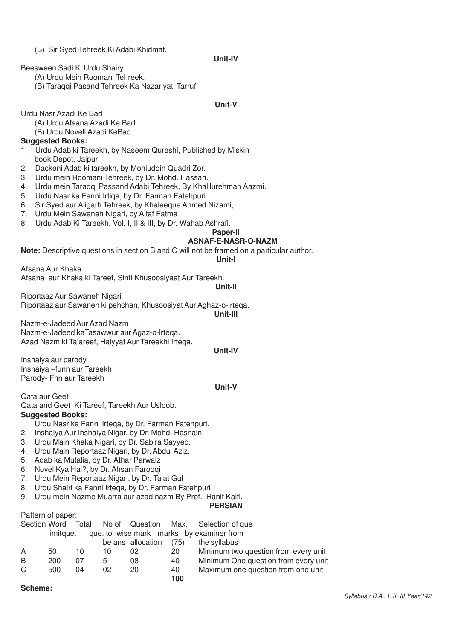#### (B) Sir Syed Tehreek Ki Adabi Khidmat.

#### **Unit-IV**

Beesween Sadi Ki Urdu Shairy

- (A) Urdu Mein Roomani Tehreek.
- (B) Taraqqi Pasand Tehreek Ka Nazariyati Tarruf

#### **Unit-V**

Urdu Nasr Azadi Ke Bad

- (A) Urdu Afsana Azadi Ke Bad
- (B) Urdu Novell Azadi KeBad

#### **Suggested Books:**

- 1. Urdu Adab ki Tareekh, by Naseem Qureshi, Published by Miskin book Depot. Jaipur
- 2. Dackeni Adab ki tareekh, by Mohiuddin Quadri Zor.
- 3. Urdu mein Roomani Tehreek, by Dr. Mohd. Hassan.
- 4. Urdu mein Taraqqi Passand Adabi Tehreek, By Khalilurehman Aazmi.
- 5. Urdu Nasr ka Fanni Irtiqa, by Dr. Farman Fatehpuri.
- 6. Sir Syed aur Aligarh Tehreek, by Khaleeque Ahmed Nizami,
- 7. Urdu Mein Sawaneh Nigari, by Altaf Fatma
- 8. Urdu Adab Ki Tareekh, Vol. I, II & III, by Dr. Wahab Ashrafi.

#### **Paper-II**

#### **ASNAF-E-NASR-O-NAZM**

**Note:** Descriptive questions in section B and C will not be framed on a particular author.

#### **Unit-I**

Afsana Aur Khaka Afsana aur Khaka ki Tareef, Sinfi Khusoosiyaat Aur Tareekh.

**Unit-II**

Riportaaz Aur Sawaneh Nigari Riportaaz aur Sawaneh ki pehchan, Khusoosiyat Aur Aghaz-o-lrteqa.

**Unit-III**

Nazm-e-Jadeed Aur Azad Nazm Nazm-e-Jadeed kaTasawwur aur Agaz-o-lrteqa. Azad Nazm ki Ta'areef, Haiyyat Aur Tareekhi Irteqa.

#### **Unit-IV**

Inshaiya aur parody Inshaiya –funn aur Tareekh Parody- Fnn aur Tareekh

#### **Unit-V**

Qata aur Geet

Qata and Geet Ki Tareef, Tareekh Aur Usloob. **Suggested Books:**

- 1. Urdu Nasr ka Fanni Irteqa, by Dr. Farman Fatehpuri.
- 2. Inshaiya Aur Inshaiya Nigar, by Dr. Mohd. Hasnain.
- 3. Urdu Main Khaka Nigari, by Dr. Sabira Sayyed.
- 4. Urdu Main Reportaaz Nigari, by Dr. Abdul Aziz.
- 5. Adab ka Mutalia, by Dr. Athar Parwaiz
- 6. Novel Kya Hai?, by Dr. Ahsan Farooqi
- 7. Urdu Mein Reportaaz Nigari, by Dr. Talat Gul
- 8. Urdu Shairi ka Fanni Irtega, by Dr. Farman Fatehpuri
- 9. Urdu mein Nazme Muarra aur azad nazm By Prof. Hanif Kaifi.

#### **PERSIAN**

Pattern of paper:

|   |           |    |    |                   |      | Section Word Total No of Question Max. Selection of que |
|---|-----------|----|----|-------------------|------|---------------------------------------------------------|
|   | limitque. |    |    |                   |      | que to wise mark marks by examiner from                 |
|   |           |    |    | be ans allocation | (75) | the syllabus                                            |
| A | 50        | 10 | 10 | 02                | 20   | Minimum two question from every unit                    |
| B | 200       | 07 | 5  | 08                | 40   | Minimum One question from every unit                    |
| C | 500       | 04 | በ2 | 20                | 40   | Maximum one question from one unit                      |
|   |           |    |    |                   | 100  |                                                         |
|   |           |    |    |                   |      |                                                         |

**Scheme:**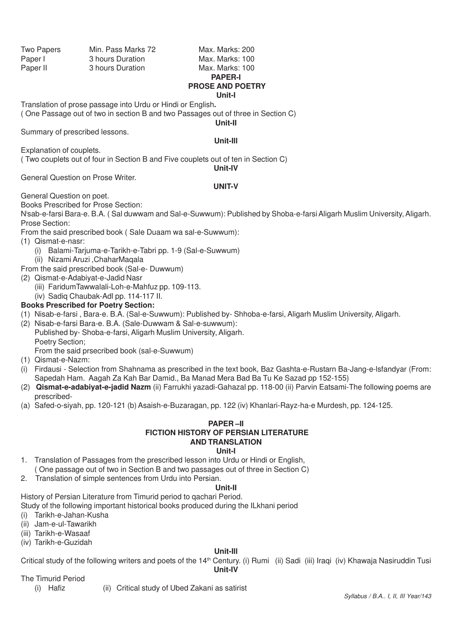Two Papers Min. Pass Marks 72 Max. Marks: 200 Paper I 3 hours Duration Max. Marks: 100 Paper II 3 hours Duration Max. Marks: 100

# **PAPER-I PROSE AND POETRY Unit-I**

Translation of prose passage into Urdu or Hindi or English**.**

( One Passage out of two in section B and two Passages out of three in Section C) **Unit-II**

Summary of prescribed lessons.

**Unit-Ill**

( Two couplets out of four in Section B and Five couplets out of ten in Section C)

**Unit-IV**

General Question on Prose Writer.

#### **UNIT-V**

General Question on poet.

Explanation of couplets.

Books Prescribed for Prose Section:

N<sup>i</sup>sab-e-farsi Bara-e. B.A. ( Sal duwwam and Sal-e-Suwwum): Published by Shoba-e-farsi Aligarh Muslim University, Aligarh. Prose Section:

From the said prescribed book ( Sale Duaam wa sal-e-Suwwum):

- (1) Qismat-e-nasr:
	- (i) Balami-Tarjuma-e-Tarikh-e-Tabri pp. 1-9 (Sal-e-Suwwum)
	- (ii) Nizami Aruzi ,ChaharMaqala
- From the said prescribed book (Sal-e- Duwwum)
- (2) Qismat-e-Adabiyat-e-Jadid Nasr
	- (iii) FaridumTawwalali-Loh-e-Mahfuz pp. 109-113.
	- (iv) Sadiq Chaubak-Adl pp. 114-117 II.

#### **Books Prescribed for Poetry Section:**

- (1) Nisab-e-farsi , Bara-e. B.A. (Sal-e-Suwwum): Published by- Shhoba-e-farsi, Aligarh Muslim University, Aligarh.
- (2) Nisab-e-farsi Bara-e. B.A. (Sale-Duwwam & Sal-e-suwwum): Published by- Shoba-e-farsi, Aligarh Muslim University, Aligarh. Poetry Section; From the said prsecribed book (sal-e-Suwwum)
- (1) Qismat-e-Nazm:
- (i) Firdausi Selection from Shahnama as prescribed in the text book, Baz Gashta-e-Rustarn Ba-Jang-e-lsfandyar (From: Sapedah Ham. Aagah Za Kah Bar Damid., Ba Manad Mera Bad Ba Tu Ke Sazad pp 152-155)
- (2) **Qismat-e-adabiyat-e-jadid Nazm** (ii) Farrukhi yazadi-Gahazal pp. 118-00 (ii) Parvin Eatsami-The following poems are prescribed-
- (a) Safed-o-siyah, pp. 120-121 (b) Asaish-e-Buzaragan, pp. 122 (iv) Khanlari-Rayz-ha-e Murdesh, pp. 124-125.

# **PAPER –II FICTION HISTORY OF PERSIAN LITERATURE AND TRANSLATION**

#### **Unit-I**

- 1. Translation of Passages from the prescribed lesson into Urdu or Hindi or English, ( One passage out of two in Section B and two passages out of three in Section C)
- 2. Translation of simple sentences from Urdu into Persian.

#### **Unit-II**

History of Persian Literature from Timurid period to qachari Period.

Study of the following important historical books produced during the ILkhani period

- (i) Tarikh-e-Jahan-Kusha
- (ii) Jam-e-ul-Tawarikh
- (iii) Tarikh-e-Wasaaf
- (iv) Tarikh-e-Guzidah

#### **Unit-Ill**

Critical study of the following writers and poets of the 14<sup>th</sup> Century. (i) Rumi (ii) Sadi (iii) Iraqi (iv) Khawaja Nasiruddin Tusi

#### **Unit-IV**

#### The Timurid Period

- 
- (i) Hafiz (ii) Critical study of Ubed Zakani as satirist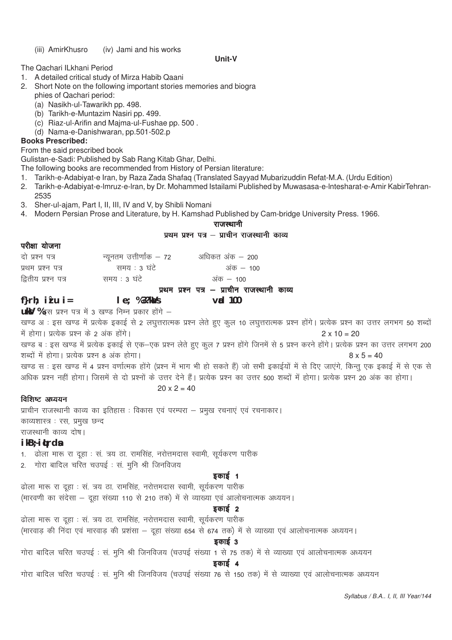#### (iii) AmirKhusro (iv) Jami and his works

#### **Unit-V**

The Qachari ILkhani Period

- 1. A detailed critical study of Mirza Habib Qaani
- 2. Short Note on the following important stories memories and biogra phies of Qachari period:
	- (a) Nasikh-ul-Tawarikh pp. 498.
	- (b) Tarikh-e-Muntazim Nasiri pp. 499.
	- (c) Riaz-ul-Arifin and Majma-ul-Fushae pp. 500 .
	- (d) Nama-e-Danishwaran, pp.501-502.p

#### **Books Prescribed:**

From the said prescribed book

Gulistan-e-Sadi: Published by Sab Rang Kitab Ghar, Delhi.

The following books are recommended from History of Persian literature:

- 1. Tarikh-e-Adabiyat-e Iran, by Raza Zada Shafaq (Translated Sayyad Mubarizuddin Refat-M.A. (Urdu Edition)
- 2. Tarikh-e-Adabiyat-e-lmruz-e-lran, by Dr. Mohammed Istailami Published by Muwasasa-e-lntesharat-e-Amir KabirTehran-2535
- 3. Sher-ul-ajam, Part I, II, III, IV and V, by Shibli Nomani
- 4. Modern Persian Prose and Literature, by H. Kamshad Published by Cam-bridge University Press. 1966.

#### राजस्थानी

# प्रथम प्रश्न पत्र – प्राचीन राजस्थानी काव्य

#### परीक्षा योजना

| दो प्रश्न पत्र      | न्यूनतम उत्तीर्णांक — 72 | अधिकत अंक — 200                             |
|---------------------|--------------------------|---------------------------------------------|
| प्रथम प्रश्न पत्र   | समय : ३ घंटे             | अक — 100                                    |
| द्वितीय प्रश्न पत्र | समय : ३ घंटे             | अंक — 100                                   |
|                     |                          | प्रथम प्रश्न पत्र – प्राचीन राजस्थानी काव्य |

**f}rh; iz"u i= le; % 3?kaVs vad 100**

uky % इस प्रश्न पत्र में 3 खण्ड निम्न प्रकार होंगे -

खण्ड अ : इस खण्ड में प्रत्येक इकाई से 2 लघुत्तरात्मक प्रश्न लेते हुए कुल 10 लघुत्तरात्मक प्रश्न होंगे। प्रत्येक प्रश्न का उत्तर लगभग 50 शब्दों में होगा। प्रत्येक प्रश्न के 2 अंक होंगे। संस्कृतिक संस्कृतिक संस्कृतिक 2 x 10 = 20

खण्ड ब : इस खण्ड में प्रत्येक इकाई से एक–एक प्रश्न लेते हुए कुल 7 प्रश्न होंगे जिनमें से 5 प्रश्न करने होंगे। प्रत्येक प्रश्न का उत्तर लगभग 200 शब्दों में होगा। प्रत्येक प्रश्न 8 अंक होगा। संस्था के साथ से साथ से साथ से साथ से बाद से 8 x 5 = 40

खण्ड स : इस खण्ड में 4 प्रश्न वर्णात्मक होंगे (प्रश्न में भाग भी हो सकते हैं) जो सभी इकाईयों में से दिए जाएंगे, किन्तु एक इकाई में से एक से अधिक प्रश्न नहीं होगा। जिसमें से दो प्रश्नों के उत्तर देने हैं। प्रत्येक प्रश्न का उत्तर 500 शब्दों में होगा। प्रत्येक प्रश्न 20 अंक का होगा।

# $20 \times 2 = 40$

#### $f$ विशिष्ट अध्ययन

प्राचीन राजस्थानी काव्य का इतिहास : विकास एवं परम्परा – प्रमुख रचनाएं एवं रचनाकार। काव्यशास्त्र : रस, प्रमुख छन्द राजस्थानी काव्य दोष।

#### **ikB~;iqLrdsa**

1. बोला मारू रा दुहा : सं. त्रय ठा. रामसिंह, नरोत्तमदास स्वामी, सूर्यकरण पारीक

2. गोरा बादिल चरित चउपई : सं. मुनि श्री जिनविजय

#### डकाई 1

ढोला मारू रा दूहा : सं. त्रय ठा. रामसिंह, नरोत्तमदास स्वामी, सूर्यकरण पारीक (मारवणी का संदेसा – दहा संख्या 110 से 210 तक) में से व्याख्या एवं आलोचनात्मक अध्ययन।

# डकाई 2

ढोला मारू रा दहा : सं. त्रय ठा. रामसिंह, नरोत्तमदास स्वामी, सुर्यकरण पारीक (मारवाड की निंदा एवं मारवाड की प्रशंसा – दहा संख्या 654 से 674 तक) में से व्याख्या एवं आलोचनात्मक अध्ययन।

#### डकाई 3

गोरा बादिल चरित चउपई : सं. मूनि श्री जिनविजय (चउपई संख्या 1 से 75 तक) में से व्याख्या एवं आलोचनात्मक अध्ययन

## हकाई $\alpha$

गोरा बादिल चरित चउपई : सं. मूनि श्री जिनविजय (चउपई संख्या 76 से 150 तक) में से व्याख्या एवं आलोचनात्मक अध्ययन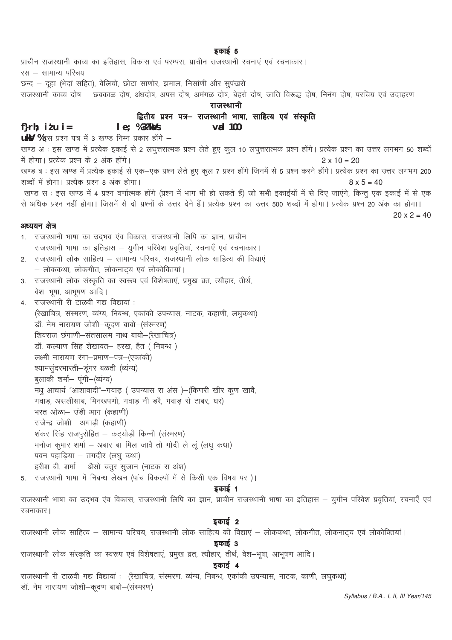प्राचीन राजस्थानी काव्य का इतिहास, विकास एवं परम्परा, प्राचीन राजस्थानी रचनाएं एवं रचनाकार। रस – सामान्य परिचय छन्द – दूहा (भेदां सहित), वेलियो, छोटा साणोर, झमाल, निसाणी और सुपंखरो राजस्थानी काव्य दोष – छबकाळ दोष, अंधदोष, अपस दोष, अमंगळ दोष, बेहरो दोष, जाति विरूद्ध दोष, निनंग दोष, परचिय एवं उदाहरण राजस्थानी द्वितीय प्रश्न पत्र– राजस्थानी भाषा, साहित्य एवं संस्कृति f} $r h$ ; it  $u$  i =  $le; %3?kdys$  $\mathsf{val}$  100 **ukV** %इस प्रश्न पत्र में 3 खण्ड निम्न प्रकार होंगे -खण्ड अः इस खण्ड में प्रत्येक इकाई से 2 लघुत्तरात्मक प्रश्न लेते हुए कूल 10 लघुत्तरात्मक प्रश्न होंगे। प्रत्येक प्रश्न का उत्तर लगभग 50 शब्दों में होगा। प्रत्येक प्रश्न के 2 अंक होंगे।  $2 \times 10 = 20$ खण्ड ब : इस खण्ड में प्रत्येक इकाई से एक–एक प्रश्न लेते हुए कूल 7 प्रश्न होंगे जिनमें से 5 प्रश्न करने होंगे। प्रत्येक प्रश्न का उत्तर लगभग 200 शब्दों में होगा। प्रत्येक प्रश्न 8 अंक होगा।  $8 \times 5 = 40$ खण्ड स : इस खण्ड में 4 प्रश्न वर्णात्मक होंगे (प्रश्न में भाग भी हो सकते हैं) जो सभी इकाईयों में से दिए जाएंगे, किन्तु एक इकाई में से एक से अधिक प्रश्न नहीं होगा। जिसमें से दो प्रश्नों के उत्तर देने हैं। प्रत्येक प्रश्न का उत्तर 500 शब्दों में होगा। प्रत्येक प्रश्न 20 अंक का होगा।  $20 \times 2 = 40$ अध्ययन क्षेत्र 1. राजस्थानी भाषा का उद्भव एंव विकास, राजस्थानी लिपि का ज्ञान, प्राचीन राजस्थानी भाषा का इतिहास - युगीन परिवेश प्रवृतियां, रचनाएँ एवं रचनाकार। 2. राजस्थानी लोक साहित्य – सामान्य परिचय, राजस्थानी लोक साहित्य की विद्याएं – लोककथा, लोकगीत, लोकनाट्य एवं लोकोक्तियां। 3. राजस्थानी लोक संस्कृति का स्वरूप एवं विशेषताएं, प्रमुख व्रत, त्यौहार, तीर्थ, वेश-भूषा, आभूषण आदि। 4. राजस्थानी री टाळवी गद्य विद्यावां : (रेखाचित्र, संस्मरण, व्यंग्य, निबन्ध, एकांकी उपन्यास, नाटक, कहाणी, लघुकथा) .<br>डॉ. नेम नारायण जोशी-कूदण बाबो-(सरमरण) शिवराज छंगाणी-संतसालम नाथ बाबो-(रेखाचित्र) डॉ. कल्याण सिंह शेखावत– हरख, हैत ( निबन्ध) लक्ष्मी नारायण रंगा-प्रमाण-पत्र-(एकांकी) श्यामसुंदरभारती-डूंगर बळती (व्यंग्य) बुलाकी शर्मा- पूंगी-(व्यंग्य) मधु आचार्य "आशावादी"-गवाड़ ( उपन्यास रा अंस )-(किणरी खीर कुण खावै, गवाड़, असलीसाब, मिनखपणो, गवाड़ नी डरै, गवाड़ रो टाबर, घर) भरत ओळा- उंडी आग (कहाणी) राजेन्द्र जोशी- अगाड़ी (कहाणी) शंकर सिंह राजपुरोहित – कट्योड़ौ किन्नौ (संस्मरण) मनोज कूमार शर्मा - अबार बा मिल जावै तो गोदी ले लूं (लघु कथा) पवन पहाड़िया - तगदीर (लघु कथा) हरीश बी. शर्मा - अैसो चतुर सुजान (नाटक रा अंश) 5. राजस्थानी भाषा में निबन्ध लेखन (पांच विकल्पों में से किसी एक विषय पर)। डकाई 1 राजस्थानी भाषा का उद्भव एव विकास, राजस्थानी लिपि का ज्ञान, प्राचीन राजस्थानी भाषा का इतिहास – युगीन परिवेश प्रवृतियां, रचनाएँ एवं रचनाकार। इकाई 2 राजस्थानी लोक साहित्य – सामान्य परिचय, राजस्थानी लोक साहित्य की विद्याएं – लोककथा, लोकगीत, लोकनाट्य एवं लोकोक्तियां। इकाई 3 राजस्थानी लोक संस्कृति का स्वरूप एवं विशेषताएं, प्रमुख व्रत, त्यौहार, तीर्थ, वेश-भूषा, आभूषण आदि। इकाई 4 राजस्थानी री टाळवी गद्य विद्यावां : (रेखाचित्र, संस्मरण, व्यंग्य, निबन्ध, एकांकी उपन्यास, नाटक, काणी, लघुकथा) डॉ. नेम नारायण जोशी-कूदण बाबो-(संस्मरण)

Syllabus / B.A.. I, II, III Year/145

### डकाई 5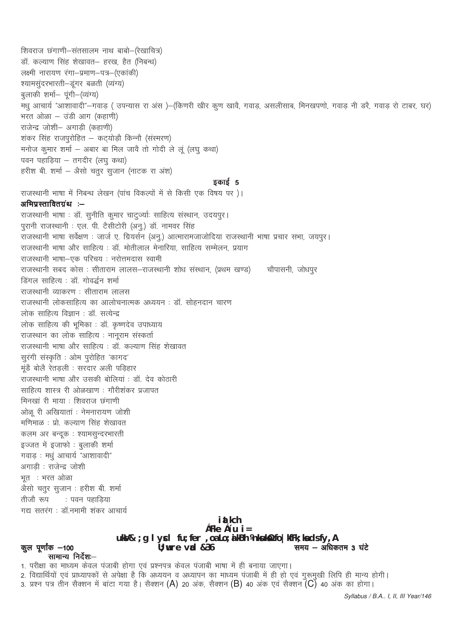समय  $-$  अधिकतम 3 घंटे

1. परीक्षा का माध्यम केवल पंजाबी होगा एवं प्रश्नपत्र केवल पंजाबी भाषा में ही बनाया जाएगा। 2. विद्यार्थियों एवं प्राध्यापकों से अपेक्षा है कि अध्ययन व अध्यापन का माध्यम पंजाबी में ही हो एवं गुरूमुखी लिपि ही मान्य होगी। 3. प्रश्न पत्र तीन सैक्शन में बांटा गया है। सैक्शन (A) 20 अंक, सैक्शन (B) 40 अंक एवं सैक्शन (C) 40 अंक का होगा।

 $c$ Fke  $c'$ u i = uksV&; g I ycl fu; fer, oa Lo; a kBh Vnksukst/s fo | kfFk; ka ds fy, A

 $U$ ; wre vad  $&36$ 

सामान्य निर्देश:–

राजस्थानी भाषा और साहित्य : डॉ. मोतीलाल मेनारिया, साहित्य सम्मेलन, प्रयाग राजस्थानी भाषा-एक परिचय: नरोत्तमदास स्वामी राजस्थानी सबद कोस : सीताराम लालस–राजस्थानी शोध संस्थान, (प्रथम खण्ड) चौपासनी, जोधपूर डिंगल साहित्य : डॉ गोवर्द्धन शर्मा राजस्थानी व्याकरण : सीताराम लालस राजस्थानी लोकसाहित्य का आलोचनात्मक अध्ययन : डॉ. सोहनदान चारण लोक साहित्य विज्ञान : डॉ. सत्येन्द्र लोक साहित्य की भूमिका : डॉ. कृष्णदेव उपाध्याय राजस्थान का लोक साहित्य : नानूराम संस्कर्ता राजस्थानी भाषा और साहित्य : डॉ. कल्याण सिंह शेखावत सूरंगी संस्कृति : ओम पूरोहित 'कागद' मुंडै बोलै रेतडली : सरदार अली पडिहार राजस्थानी भाषा और उसकी बोलियां : डॉ. देव कोठारी साहित्य शास्त्र री ओळखाण : गौरीशंकर प्रजापत मिनखां री माया : शिवराज छंगाणी ओळू री अखियातां : नेमनारायण जोशी मणिमाळ : प्रो. कल्याण सिंह शेखावत कलम अर बन्दुक : श्यामसुन्दरभारती इज्जत में इजाफो : बुलाकी शर्मा गवाड: मधु आचार्य "आशावादी" अगाडी : राजेन्द्र जोशी भूत : भरत ओळा अैसो चतुर सृजान : हरीश बी. शर्मा तीजौ रूप ः पवन पहाडिया गद्य सतरंग : डॉ.नमामी शंकर आचार्य i at kch

राजस्थानी भाषा सर्वेक्षण : जार्ज ए. ग्रियर्सन (अनू.) आत्मारामजाजोदिया राजस्थानी भाषा प्रचार सभा, जयपूर।

हरीश बी. शर्मा – अैसो चतर सजान (नाटक रा अंश)

अभिप्रस्तावितग्रंथ :-

कूल पूर्णांक –100

राजस्थानी भाषा में निबन्ध लेखन (पांच विकल्पों में से किसी एक विषय पर)।

राजस्थानी भाषा : डॉ. सूनीति कूमार चाटुज्यांः साहित्य संस्थान, उदयपूर।

पुरानी राजस्थानी : एल. पी. टैसीटोरी (अनू.) डॉ. नामवर सिंह

शिवराज छंगाणी-संतसालम नाथ बाबो-(रेखाचित्र) डॉ. कल्याण सिंह शेखावत– हरख, हैत (निबन्ध) लक्ष्मी नारायण रंगा-प्रमाण-पत्र-(एकांकी) श्यामसुंदरभारती-डूंगर बळती (व्यंग्य) बुलाकी शर्मा- पूंगी-(व्यंग्य) मधु आचार्य "आशावादी"—गवाड ( उपन्यास रा अंस )—(किणरी खीर कृण खावै, गवाड, असलीसाब, मिनखपणो, गवाड नी डरै, गवाड रो टाबर, घर) भरत ओळा - उंडी आग (कहाणी) राजेन्द्र जोशी- अगाडी (कहाणी) शंकर सिंह राजपूरोहित – कट्योड़ौ किन्नौ (संस्मरण) मनोज कूमार शर्मा – अबार बा मिल जावै तो गोदी ले लू (लघू कथा) पवन पहाड़िया - तगदीर (लघु कथा)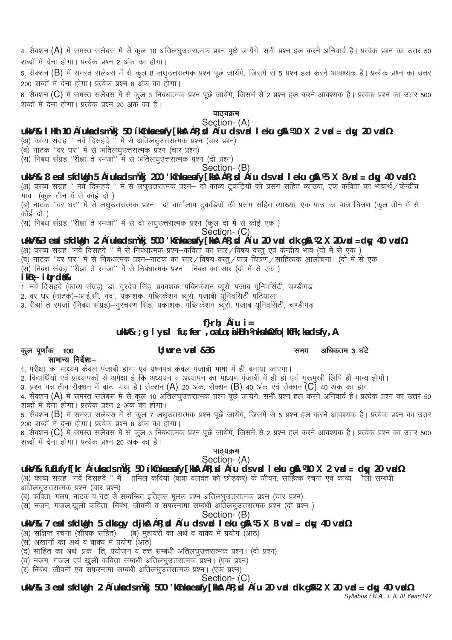4. सैक्शन (A) में समस्त सलेबस में से कूल 10 अतिलघूउत्तरात्मक प्रश्न पूछे जायेंगे, सभी प्रश्न हल करने अनिवार्य है। प्रत्येक प्रश्न का उत्तर 50 शब्दों में देना होगा। प्रत्येक प्रश्न 2 अंक का होगा।

5. सैक्शन (B) में समस्त सलेबस में से कुल 8 लघुउत्तरात्मक प्रश्न पूछे जायेंगे, जिसमें से 5 प्रश्न हल करने आवश्यक है। प्रत्येक प्रश्न का उत्तर 200 शब्दों में देना होगा। प्रत्येक प्रश्न 8 अंक का होगा।

6. सैक्शन (C) में समस्त सलेबस में से कुल 3 निबंधात्मक प्रश्न पूछे जायेंगे, जिसमें से 2 प्रश्न हल करने आवश्यक है। प्रत्येक प्रश्न का उत्तर 500 शब्दों में देना होगा। प्रत्येक प्रश्न 20 अंक का है।

पाठयक्रम

### Section- (A) **uksV%& lHkh 10 ç'uksa ds mÙkj 50 'kCnksa esa fy[kksA çR;sd ç'u ds vad leku gSA ¼10 X 2 vad = dqy 20 vad½**

(अ) काव्य संग्रह " नवें दिसहदे " में से अतिलघुउत्तरात्मक प्रश्न (चार प्रश्न)

(ब) नाटक "वर घर" में से अतिलघुउत्तरात्मक प्रश्न (चार प्रश्न)

(स) निबंध संग्रह "रीझां ते रमजा" में से अतिलघुउत्तरात्मक प्रश्न (दो प्रश्न)

Section- (B)

# **uksV%& 8 esa ls fdUgh 5 ç'uksa ds mÙkj 200 'kCnksa esa fy[kksA çR;sd ç'u ds vad leku gSA ¼5 X 8vad = dqy 40 vad½**

(अ) काव्य संग्रह " नर्वे दिसहदे " में से लघुउत्तरात्मक प्रश्न– दो काव्य दुकड़ियों की प्रसंग सहित व्याख्या, एक कविता का भावार्थ/केन्द्रीय भाव (कूल तीन में से कोई दो)

(ब) नाटक ''वर घर'' में से लघुउत्तरात्मक प्रश्न– दो वार्तालाप टुकडियों की प्रसंग सहित व्याख्या, एक पात्र का पात्र चित्रण (कूल तीन में से कोई दो )

(स) निबंध संग्रह ''रीझां ते रमजां'' में से दो लघुउत्तरात्मक प्रश्न (कूल दो में से कोई एक)

Section- (C)

#### **uksV%&3 esa ls fdUgh 2 ç'uksa ds mÙkj 500 'kCnksa esa fy[kksA çR;sd ç'u 20 vad dk gSA ¼2 X 20vad =dqy 40 vad½**

(अ) काव्य संग्रह ''नर्वे दिसहदे '' में से निबंधात्मक प्रश्न–कविता का सार/विषय वस्तु एवं केन्द्रीय भाव (दो में से एक )

(ब) नाटक ''वर घर'' में से निबंधात्मक प्रश्न–नाटक का सार/विषय वस्तू/पात्र चित्रण/साहित्यक आलोचना। (दो में से एक

(स) निबंध संग्रह ''रीझा ते रमजां'' में से निबंधात्मक प्रश्न- निबंध का सार (दो में से एक)

#### **ikB~; iqLrdas%&**

1. नवें दिसहदे (काव्य संग्रह)—डा. गुरदेव सिंह, प्रकाशकः पब्लिकेशन ब्यूरो, पंजाब यूनिवर्सिटी, चण्डीगढ़

2. वर घर (नाटक)–आई.सी. नदा, प्रॅकाशकः पब्लिकेशन ब्यूरो, पंजाबी युनिवसिर्टी पोटैयाला।

3. रीझा ते रमजा (निबंध संग्रह)—गुरचरण सिंह, प्रकाशकः पब्लिकेशन व्युरो, पंजाब युनिवर्सिटी, चण्डीगढ

#### **f}rh; ç'u i=**

uksV&;g lycl fu;fer, oa Lo; a kBh ¼nksuks½ fo | kfFk; ksa ds fy, A

#### क़ुल पूर्णांक —100 **Digime Digime Adda**ts U; wre vad &36 **left** and the set and wre wre wre wre wre wre wre . सामान्य निर्देश $-$

1. परीक्षा का माध्यम केवल पंजाबी होगा एवं प्रश्नपत्र केवल पंजाबी भाषा में ही बनाया जाएगा।

2. विद्यार्थियों एवं प्राध्यापकों से अपेक्षा है कि अध्ययन व अध्यापन का माध्यम पंजाबी में ही हो एवं गुरूमुखी लिपि ही मान्य होगी।

3. प्रश्न पत्र तीन सैक्शन में बांटा गया है। सैक्शन (A) 20 अंक, सैक्शन (B) 40 अंक एवं सैक्शन (C) 40 अंक का होगा।

4. सैक्शन (A) में समस्त सलेबस में से कल 10 अतिलघुउत्तरात्मक प्रश्न पुछे जायेंगे, सभी प्रश्न हल करने अनिवार्य है। प्रत्येक प्रश्न का उत्तर 50 शब्दों में देना होगा। प्रत्येक प्रश्न 2 अंक का होगा।

5. सैक्शन (B) में समस्त सलेबस में से कूल 7 लघुउत्तरात्मक प्रश्न पूछे जायेंगे, जिसमें से 5 प्रश्न हल करने आवश्यक है। प्रत्येक प्रश्न का उत्तर 200 शब्दों में देना होगा। प्रत्येक प्रश्न 8 अंक का होगा।

6. सैक्शन (C) में समस्त सलेबस में से कूल 3 निबंधात्मक प्रश्न पूछे जायेंगे, जिसमें से 2 प्रश्न हल करने आवश्यक है। प्रत्येक प्रश्न का उत्तर 500 शब्दों में देना होगा। प्रत्येक प्रश्न 20 अंक का है।

#### पाठ्यक्रम

#### Section- (A)

**uksV%& fuEufyf[kr ç'uksa ds mÙkj 50 'kCnksa esa fy[kksA çR;sd ç'u ds vad leku gSA ¼10 X 2 vad = dqy 20 vad½**

(अ) काव्य संग्रह "नवें दिसहदे " में - ामिल कवियों (बाबा वलवंत को छोडकर) के जीवन, साहित्क रचना एवं काव्य ) ली सम्बंधी

अतिलघउत्तरात्मक प्रश्न (चार प्रश्न)

(ब) कर्विता, गलप, नाटक व गद्य से सम्बन्धित इतिहास मूलक प्रश्न अतिलघुउत्तरात्मक प्रश्न (चार प्रश्न)

(स) नजम, गजल,खली कविता, निबंध, जीवनी व सफरनामा सम्बंधी अतिलघउत्तरात्मक प्रश्न (दो प्रश्न )

Section- (B)

# **uksV%& 7 esa ls fdUgh 5 dks gy djksA çR;sd ç'u ds vad leku gSA ¼5 X 8 vad = dqy 40 vad½**

(अ) संक्षिप्त रचना (र्शीषक सहित) (ब) मुहावरों का अर्थ व वाक्य में प्रयोग (आठ)

(स) अखानों का अर्थ व वाक्य में प्रयोग (आठ)

(द) साहित का अर्थ, प्रक ति, प्रयोजन व तत्त सम्बंधी अतिलघुउत्तरात्मक प्रश्न। (दो प्रश्न)

(य) नजम, गजल एवं खुली कविता सम्बंधी अतिलघुउत्तरात्मक प्रश्न। (एक प्रश्न)

(र) निबंध, जीवनी एवं सफरनामा सम्बंधी अतिलघुउत्तरात्मक प्रश्न। (एक प्रश्न)

Section- (C)

**uksV%& 3 esa ls fdUgh 2 ç'uksa ds mÙkj 500 'kCnksa esa fy[kksA çR;sd ç'u 20 vad dk gSA¼2 X 20 vad = dqy 40 vad½**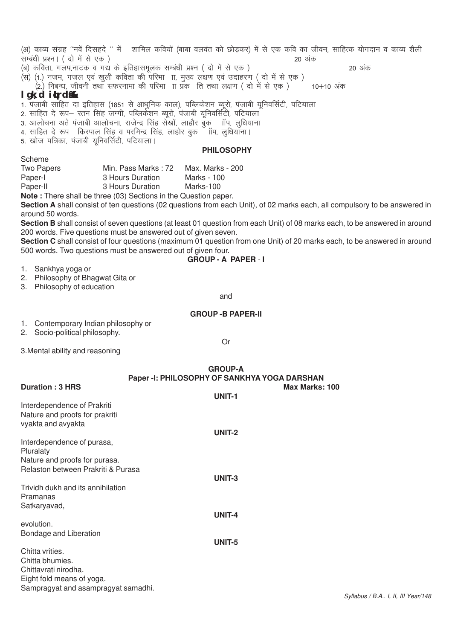| (अ) काव्य संग्रह ''नवें दिसहदे '' में शामिल कवियों (बाबा वलवंत को छोड़कर) में से एक कवि का जीवन, साहित्क योगदान व काव्य शैली<br>सम्बंधी प्रश्न। ( दो में से एक)<br>20 अंक                                                                                                                                                                                                                  |
|--------------------------------------------------------------------------------------------------------------------------------------------------------------------------------------------------------------------------------------------------------------------------------------------------------------------------------------------------------------------------------------------|
| (ब) कविता, गलप,नाटक व गद्य के इतिहासमूलक सम्बंधी प्रश्न ( दो में से एक)<br>20 अंक<br>(स) (1.) नजम, गजल एवं खुली कविता की परिभा ाा, मुख्य लक्षण एवं उदाहरण ( दो में से एक)<br>(2.) निबन्ध, जीवनी तथा सफरनामा की परिभा ाा प्रक) ति तथा लक्षण ( दो में से एक)<br>10+10 अंक                                                                                                                    |
| $lgk$ ; d $idr$ d $d\&$                                                                                                                                                                                                                                                                                                                                                                    |
| 1. पंजाबी साहित दा इतिहास (1851 से आधुनिक काल), पब्लिकेशन ब्यूरो, पंजाबी यूनिवर्सिटी, पटियाला<br>2. साहित दे रूप– रतन सिंह जग्गी, पब्लिकेंशन ब्यूरो, पंजाबी यूनिवर्सिटी, पटियाला<br>3. आलोचना अते पंजाबी आलोचना, राजेन्द्र सिंह सेखों, लाहौर बुक ॉाप, लूधियाना<br>4. साहित दे रूप— किरपाल सिंह व परमिन्द्र सिंह, लाहोर बुक ँ ॉप, लुधियाना।<br>5. खोज पत्रिका, पंजाबी यूनिवर्सिटी, पटियाला। |
| <b>PHILOSOPHY</b>                                                                                                                                                                                                                                                                                                                                                                          |
| Scheme                                                                                                                                                                                                                                                                                                                                                                                     |
| Two Papers<br>Min. Pass Marks : 72<br>Max. Marks - 200                                                                                                                                                                                                                                                                                                                                     |
| Paper-I<br>3 Hours Duration<br><b>Marks - 100</b>                                                                                                                                                                                                                                                                                                                                          |
| Paper-II<br>3 Hours Duration<br>Marks-100                                                                                                                                                                                                                                                                                                                                                  |
| Note: There shall be three (03) Sections in the Question paper.<br>Section A shall consist of ten questions (02 questions from each Unit), of 02 marks each, all compulsory to be answered in<br>around 50 words.                                                                                                                                                                          |
| Section B shall consist of seven questions (at least 01 question from each Unit) of 08 marks each, to be answered in around<br>200 words. Five questions must be answered out of given seven.                                                                                                                                                                                              |
| Section C shall consist of four questions (maximum 01 question from one Unit) of 20 marks each, to be answered in around                                                                                                                                                                                                                                                                   |
| 500 words. Two questions must be answered out of given four.                                                                                                                                                                                                                                                                                                                               |
| <b>GROUP - A PAPER - I</b>                                                                                                                                                                                                                                                                                                                                                                 |
| 1. Sankhya yoga or                                                                                                                                                                                                                                                                                                                                                                         |
| 2. Philosophy of Bhagwat Gita or                                                                                                                                                                                                                                                                                                                                                           |
| 3. Philosophy of education                                                                                                                                                                                                                                                                                                                                                                 |
| and                                                                                                                                                                                                                                                                                                                                                                                        |
| <b>GROUP - B PAPER-II</b>                                                                                                                                                                                                                                                                                                                                                                  |
| 1. Contemporary Indian philosophy or                                                                                                                                                                                                                                                                                                                                                       |
| 2. Socio-political philosophy.                                                                                                                                                                                                                                                                                                                                                             |
| <b>Or</b>                                                                                                                                                                                                                                                                                                                                                                                  |
| 3. Mental ability and reasoning                                                                                                                                                                                                                                                                                                                                                            |
| <b>GROUP-A</b>                                                                                                                                                                                                                                                                                                                                                                             |
| Paper -I: PHILOSOPHY OF SANKHYA YOGA DARSHAN                                                                                                                                                                                                                                                                                                                                               |
| <b>Duration: 3 HRS</b><br>Max Marks: 100                                                                                                                                                                                                                                                                                                                                                   |
| UNIT-1                                                                                                                                                                                                                                                                                                                                                                                     |
| Interdependence of Prakriti                                                                                                                                                                                                                                                                                                                                                                |
| Nature and proofs for prakriti                                                                                                                                                                                                                                                                                                                                                             |
| vyakta and avyakta                                                                                                                                                                                                                                                                                                                                                                         |
| <b>UNIT-2</b>                                                                                                                                                                                                                                                                                                                                                                              |
| Interdependence of purasa,                                                                                                                                                                                                                                                                                                                                                                 |
| Pluralaty                                                                                                                                                                                                                                                                                                                                                                                  |
| Nature and proofs for purasa.                                                                                                                                                                                                                                                                                                                                                              |
| Relaston between Prakriti & Purasa                                                                                                                                                                                                                                                                                                                                                         |
| UNIT-3                                                                                                                                                                                                                                                                                                                                                                                     |
| Trividh dukh and its annihilation<br>Pramanas                                                                                                                                                                                                                                                                                                                                              |
| Satkaryavad,                                                                                                                                                                                                                                                                                                                                                                               |
| UNIT-4                                                                                                                                                                                                                                                                                                                                                                                     |
| evolution.                                                                                                                                                                                                                                                                                                                                                                                 |
| Bondage and Liberation                                                                                                                                                                                                                                                                                                                                                                     |
| UNIT-5                                                                                                                                                                                                                                                                                                                                                                                     |
| Chitta vrities.                                                                                                                                                                                                                                                                                                                                                                            |
|                                                                                                                                                                                                                                                                                                                                                                                            |

Chitta bhumies. Chittavrati nirodha. Eight fold means of yoga. Sampragyat and asampragyat samadhi.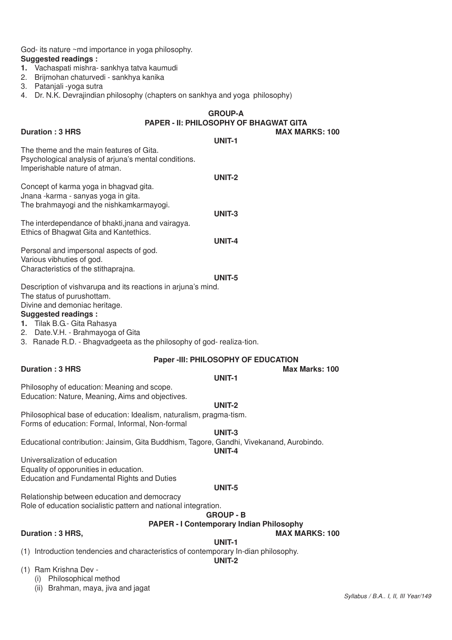God- its nature ~md importance in yoga philosophy. **Suggested readings :**

- **1.** Vachaspati mishra- sankhya tatva kaumudi
- 2. Brijmohan chaturvedi sankhya kanika
- 3. Patanjali -yoga sutra
- 4. Dr. N.K. Devrajindian philosophy (chapters on sankhya and yoga philosophy)

# **GROUP-A PAPER - II: PHILOSOPHY OF BHAGWAT GITA**

| <b>Duration: 3 HRS</b>                                                                                                                                        | <b>MAX MARKS: 100</b><br>UNIT-1                                     |
|---------------------------------------------------------------------------------------------------------------------------------------------------------------|---------------------------------------------------------------------|
| The theme and the main features of Gita.<br>Psychological analysis of arjuna's mental conditions.<br>Imperishable nature of atman.                            |                                                                     |
| Concept of karma yoga in bhagvad gita.<br>Jnana -karma - sanyas yoga in gita.                                                                                 | <b>UNIT-2</b>                                                       |
| The brahmayogi and the nishkamkarmayogi.                                                                                                                      | UNIT-3                                                              |
| The interdependance of bhakti, jnana and vairagya.<br>Ethics of Bhagwat Gita and Kantethics.                                                                  | <b>UNIT-4</b>                                                       |
| Personal and impersonal aspects of god.<br>Various vibhuties of god.                                                                                          |                                                                     |
| Characteristics of the stithaprajna.<br>Description of vishvarupa and its reactions in arjuna's mind.                                                         | UNIT-5                                                              |
| The status of purushottam.<br>Divine and demoniac heritage.<br><b>Suggested readings:</b><br>1. Tilak B.G.- Gita Rahasya<br>2. Date.V.H. - Brahmayoga of Gita |                                                                     |
| 3. Ranade R.D. - Bhagvadgeeta as the philosophy of god- realiza-tion.                                                                                         | Paper -III: PHILOSOPHY OF EDUCATION                                 |
| <b>Duration: 3 HRS</b>                                                                                                                                        | Max Marks: 100                                                      |
| Philosophy of education: Meaning and scope.<br>Education: Nature, Meaning, Aims and objectives.                                                               | UNIT-1<br><b>UNIT-2</b>                                             |
| Philosophical base of education: Idealism, naturalism, pragma-tism.<br>Forms of education: Formal, Informal, Non-formal                                       | UNIT-3                                                              |
| Educational contribution: Jainsim, Gita Buddhism, Tagore, Gandhi, Vivekanand, Aurobindo.                                                                      | UNIT-4                                                              |
| Universalization of education<br>Equality of opporunities in education.<br><b>Education and Fundamental Rights and Duties</b>                                 |                                                                     |
| Relationship between education and democracy<br>Role of education socialistic pattern and national integration.                                               | UNIT-5                                                              |
|                                                                                                                                                               | <b>GROUP - B</b><br><b>PAPER - I Contemporary Indian Philosophy</b> |
| Duration: 3 HRS,                                                                                                                                              | <b>MAX MARKS: 100</b>                                               |
| (1) Introduction tendencies and characteristics of contemporary In-dian philosophy.                                                                           | UNIT-1<br><b>UNIT-2</b>                                             |
| (1) Ram Krishna Dev -<br>Philosophical method<br>(i)<br>Brahman, maya, jiva and jagat<br>(ii)                                                                 |                                                                     |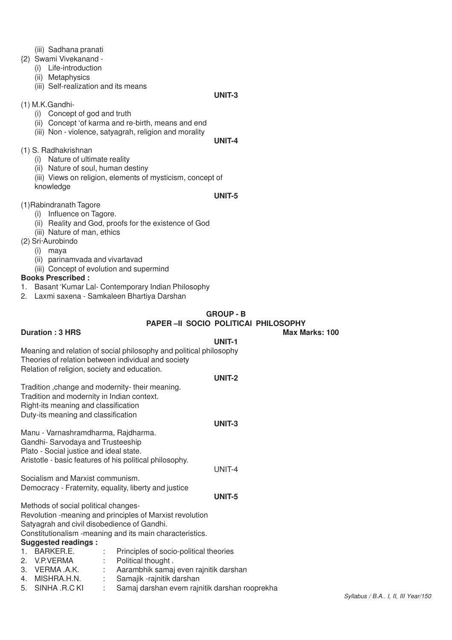- (iii) Sadhana pranati
- {2) Swami Vivekanand
	- (i) Life-introduction
	- (ii) Metaphysics
	- (iii) Self-realization and its means

#### **UNIT-3**

- (1) M.K.Gandhi-
	- (i) Concept of god and truth
	- (ii) Concept 'of karma and re-birth, means and end
	- (iii) Non violence, satyagrah, religion and morality

#### **UNIT-4**

- (1) S. Radhakrishnan
	- (i) Nature of ultimate reality
	- (ii) Nature of soul, human destiny
	- (iii) Views on religion, elements of mysticism, concept of knowledge

#### **UNIT-5**

- (1)Rabindranath Tagore
	- (i) Influence on Tagore.
	- (ii) Reality and God, proofs for the existence of God
	- (iii) Nature of man, ethics
- (2) Sri·Aurobindo
	- (i) maya
	- (ii) parinamvada and vivartavad
	- (iii) Concept of evolution and supermind

#### **Books Prescribed :**

- 1. Basant 'Kumar Lal- Contemporary Indian Philosophy
- 2. Laxmi saxena Samkaleen Bhartiya Darshan

#### **GROUP - B**

#### **PAPER –II SOCIO POLITICAl PHILOSOPHY**

**Duration : 3 HRS Max Marks: 100** 

**UNIT-1** Meaning and relation of social philosophy and political philosophy Theories of relation between individual and society Relation of religion, society and education. **UNIT-2**

Tradition ,change and modernity- their meaning. Tradition and modernity in Indian context. Right-its meaning and classification Duty-its meaning and classification

#### **UNIT-3**

Manu - Varnashramdharma, Rajdharma. Gandhi- Sarvodaya and Trusteeship Plato - Social justice and ideal state. Aristotle - basic features of his political philosophy.

Socialism and Marxist communism. Democracy - Fraternity, equality, liberty and justice

#### **UNIT-5**

UNIT-4

Methods of social political changes-Revolution -meaning and principles of Marxist revolution Satyagrah and civil disobedience of Gandhi. Constitutionalism -meaning and its main characteristics.

#### **Suggested readings :**

| <u>ouggootog roganigo :</u> |                                         |
|-----------------------------|-----------------------------------------|
| 1. BARKER.E.                | Principles of socio-political theories  |
| 2. V.P.VERMA                | : Political thought.                    |
| 3. VERMA A.K.               | : Aarambhik samaj even rajnitik darshan |
| 4. MISHRA.H.N.              | : Samajik -rajnitik darshan             |
|                             |                                         |

5. SINHA .R.C KI : Samaj darshan evem rajnitik darshan rooprekha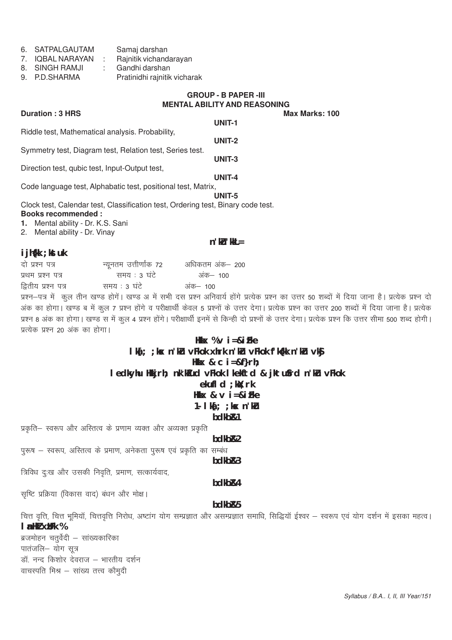| 6. | SATPALGAUTAM | Samaj darshan |
|----|--------------|---------------|
|----|--------------|---------------|

- 7. IQBAL NARAYAN : Rajnitik vichandarayan
- 8. SINGH RAMJI : Gandhi darshan
- 9. P.D.SHARMA Pratinidhi rajnitik vicharak

# **GROUP - B PAPER -III MENTAL ABILITY AND REASONING**

**Duration: 3 HRS UNIT-1** Riddle test, Mathematical analysis. Probability, **UNIT-2** Symmetry test, Diagram test, Relation test, Series test. **UNIT-3** Direction test, qubic test, Input-Output test, **UNIT-4** Code language test, Alphabatic test, positional test, Matrix, **UNIT-5** Clock test, Calendar test, Classification test, Ordering test, Binary code test. **Books recommended : 1.** Mental ability - Dr. K.S. Sani 2. Mental ability - Dr. Vinay

#### **n'kl**<sup>\*</sup> kkl =

#### **ijh{kk ;kstuk**

| दो प्रश्न पत्र      | न्यूनतम उत्तीर्णांक 72 | अधिकतम अंक– 200 |
|---------------------|------------------------|-----------------|
| प्रथम प्रश्न पत्र   | समय : ३ घंटे           | अंक– 100        |
| द्वितीय प्रश्न पत्र | समय : 3 घंटे           | अंक– 100        |
|                     |                        |                 |

प्रश्न-पत्र में कूल तीन खण्ड होगें। खण्ड अ में सभी दस प्रश्न अनिवार्य होंगे प्रत्येक प्रश्न का उत्तर 50 शब्दों में दिया जाना है। प्रत्येक प्रश्न दो अक का होगा। खण्ड ब में कूल 7 प्रश्न होंगे व परीक्षार्थी केवल 5 प्रश्नों के उत्तर देगा। प्रत्येक प्रश्न का उत्तर 200 शब्दों में दिया जाना है। प्रत्येक प्रश्न 8 अंक का होगा। खण्ड स में कुल 4 प्रश्न होंगे। परीक्षार्थी इनमें से किन्ही दो प्रश्नों के उत्तर देगा। प्रत्येक प्रश्न कि उत्तर सीमा 500 शब्द होगी। प्रत्येक प्रश्न २० अंक का होगा।

# **lka[; ;ksx n'kZu vFkok xhrk n'kZu vFkok f'k{kk n'kZu vkSj Hkkx & c i=&f}rh; ledkyhu Hkkjrh; nk'kZfud vFkok lkekftd & jktuSfrd n'kZu vFkok**

**Hkkx % v i=&izFke**

# **ekufld ;ksX;rk**

Hkkx & v i=&iFke

# **1- lka[; ;ksx n'kZu**

#### **bdkbZ&1**

प्रकृति– स्वरूप और अस्तित्व के प्रणाम व्यक्त और अव्यक्त प्रकृति

**bdkbZ&2**

पुरूष – स्वरूप, अस्तित्व के प्रमाण, अनेकता पुरूष एवं प्रकृति का सम्बंध **bdkbZ&3**

त्रिविध दुःख और उसकी निवृति, प्रमाण, सत्कार्यवाद,

# **bdkbZ&4**

सृष्टि प्रक्रिया (विकास वाद) बंधन और मोक्ष।

# **bdkbZ&5**

चित्त वृत्ति, चित्त भूमियॉ, चित्तवृत्ति निरोध, अष्टांग योग सम्प्रज्ञात असम्प्रज्ञात समाधि, सिद्धियॉ ईश्वर – स्वरूप एवं योग दर्शन में इसका महत्व। **lanHkZ xzUFk %**

ब्रजमोहन चतुर्वेदी – सांख्यकारिका पातंजलि- योग सूत्र डॉ. नन्द किशोर देवराज – भारतीय दर्शन वाचस्पति मिश्र $-$  सांख्य तत्त्व कौमुदी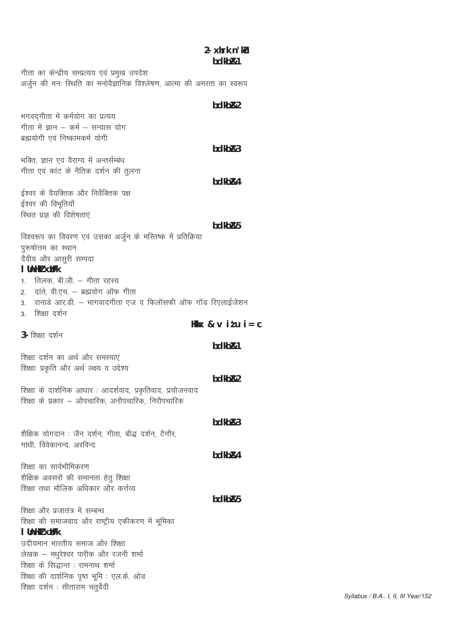# $2 - x$ hrk n' $k$ bdkb<sub>R1</sub>

गीता का केन्द्रीय सम्प्रत्यय एवं प्रमुख उपदेश अर्जुन की मनः स्थिति का मनोवैज्ञानिक विश्लेषण, आत्मा की अमरता का स्वरूप

### hdkh<sub>R2</sub>

भगवदगीता में कर्मयोग का प्रत्यय गीता में ज्ञान – कर्म – सन्यास योग ब्रह्मयोगी एवं निष्कामकर्म योगी

bdkb<sub>R3</sub>

bdkb<sub>R4</sub>

भक्ति, ज्ञान एवं वैराग्य में अन्तर्सम्बंध गीता एवं कांट के नैतिक दर्शन की तुलना

ईश्वर के वैयक्तिक और निर्वेक्तिक पक्ष ईश्वर की विभूतियाँ स्थित प्रज्ञ की विशेषताएं

#### bdkb<sub>R5</sub>

विश्वरूप का विवरण एवं उसका अर्जुन के मस्तिष्क में प्रतिक्रिया पुरूषोत्तम का स्थान दैवीय और आसुरी सम्पदा I Unliki xtifk 1 तिलक बीजी – गीता रहस्य

2. दांते, वी.एच. - ब्रह्मयोग ऑफ गीता

- 3. रानाडे आर.डी. भागवादगीता एज द फिलॉसफी ऑफ गॉड रिएलाईजेशन
- 3 शिक्षा दर्शन

Hkkx &  $\vee$  itu i =  $C$ 

3- शिक्षा दर्शन

bdkb<sub>R1</sub>

शिक्षा दर्शन का अर्थ और समस्याएं शिक्षाः प्रकृति और अर्थ लक्ष्य व उद्देश्य

bdkb<sub>R2</sub>

 $hdkhR3$ 

bdkb<sub>R4</sub>

शिक्षा के दार्शनिक आधार: आदर्शवाद, प्रकृतिवाद, प्रयोजनवाद शिक्षा के प्रकार – औपचारिक, अनौपचारिक, निरौपचारिक

शैक्षिक योगदान : जैन दर्शन, गीता, बौद्ध दर्शन, टैगौर, गांधी, विवेकानन्द, अरविन्द

शिक्षा का सार्वभौमिकरण शैक्षिक अवसरों की समानता हेतू शिक्षा <u>शिक्षा तथा मौलिक अधिकार और कर्त्तव्य</u>

bdkb<sub>R5</sub>

शिक्षा और प्रजातंत्र में सम्बन्ध शिक्षा की समाजवाद और राष्ट्रीय एकीकरण में भूमिका I Unliki xilfk

उदीयमान भारतीय समाज और शिक्षा लेखक – मधुरेश्वर पारीक और रजनी शर्मा शिक्षा के सिद्धान्त : रामनाथ शर्मा शिक्षा की दार्शनिक पृष्ठ भूमि : एल.के. ओड शिक्षा दर्शन : सीताराम चतुर्वेदी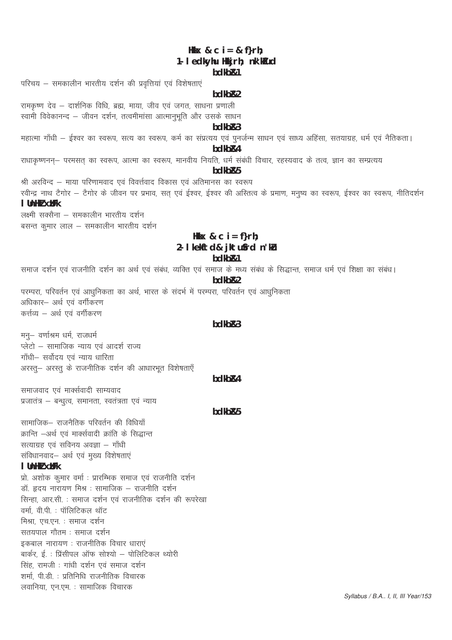# Hkkx & c  $i = 8$  f}rh; 1- I edkyhu Hkkjrh; nk'kTud

#### hdkh<sub>R1</sub>

परिचय – समकालीन भारतीय दर्शन की प्रवृत्तियां एवं विशेषताएं

#### bdkb<sub>R2</sub>

रामकृष्ण देव – दार्शनिक विधि, ब्रह्म, माया, जीव एवं जगत, साधना प्रणाली स्वामी विवेकानन्द – जीवन दर्शन, तत्वमीमांसा आत्मानभति और उसके साधन

#### $bdkbR3$

महात्मा गाँधी – ईश्वर का स्वरूप, सत्य का स्वरूप, कर्म का संप्रत्यय एवं पुनर्जन्म साधन एवं साध्य अहिंसा, सतयाग्रह, धर्म एवं नैतिकता।

# bdkb<sub>R4</sub>

राधाकृष्णनन्— परमसत् का स्वरूप, आत्मा का स्वरूप, मानवीय नियति, धर्म संबंधी विचार, रहस्यवाद के तत्व, ज्ञान का सम्प्रत्यय

# hdkh<sub>R5</sub>

श्री अरविन्द – माया परिणामवाद एवं विवर्त्तवाद विकास एवं अतिमानस का स्वरूप रवीन्द्र नाथ टैगोर – टैगोर के जीवन पर प्रभाव, सत् एवं ईश्वर, ईश्वर की अस्तित्व के प्रमाण, मनुष्य का स्वरूप, ईश्वर का स्वरूप, नीतिदर्शन  $I$  link $J \times t$  Fk

लक्ष्मी सक्सैना – समकालीन भारतीय दर्शन बसन्त कुमार लाल – समकालीन भारतीय दर्शन

# Hkkx & c  $i = f$ }rh; 2- I kekftd& jktufrd n'ku hdkh<sub>R1</sub>

समाज दर्शन एवं राजनीति दर्शन का अर्थ एवं संबंध, व्यक्ति एवं समाज के मध्य संबंध के सिद्धान्त, समाज धर्म एवं शिक्षा का संबंध।

#### hdkh<sub>R2</sub>

परम्परा, परिवर्तन एवं आधुनिकता का अर्थ, भारत के संदर्भ में परम्परा, परिवर्तन एवं आधुनिकता अधिकार- अर्थ एवं वर्गीकरण कर्त्तव्य – अर्थ एवं वर्गीकरण

### $hdkhR3$

मनु- वर्णाश्रम धर्म, राजधर्म प्लेटो – सामाजिक न्याय एवं आदर्श राज्य गाँधी- सर्वोदय एवं न्याय धारिता अरस्तू- अरस्तू के राजनीतिक दर्शन की आधारभूत विशेषताएँ

#### bdkb<sub>R4</sub>

समाजवाद एवं मार्क्सवादी साम्यवाद प्रजातंत्र – बन्धुत्व, समानता, स्वतंत्रता एवं न्याय

### bdkb<sub>R5</sub>

सामाजिक– राजनैतिक परिवर्तन की विधियाँ क्रान्ति –अर्थ एवं मार्क्सवादी क्रांति के सिद्धान्त सत्याग्रह एवं सविनय अवज्ञा - गाँधी संविधानवाद– अर्थ एवं मुख्य विशेषताएं

#### I Unliki xilfk

प्रो. अशोक कूमार वर्मा : प्रारम्भिक समाज एवं राजनीति दर्शन डॉ ह्रदय नारायण मिश्र : सामाजिक – राजनीति दर्शन सिन्हा, आर.सी. : समाज दर्शन एवं राजनीतिक दर्शन की रूपरेखा वर्मा, वी.पी. : पॉलिटिकल थॉट मिश्रा एच.एन. : समाज दर्शन सतयपाल गौतम : समाज दर्शन इकबाल नारायण : राजनीतिक विचार धाराएं बार्कर, ई. : प्रिंसीपल ऑफ सोश्यो – पोलिटिकल थ्योरी सिंह, रामजी : गांधी दर्शन एवं समाज दर्शन शर्मा, पी.डी. : प्रतिनिधि राजनीतिक विचारक लवानिया, एन.एम. : सामाजिक विचारक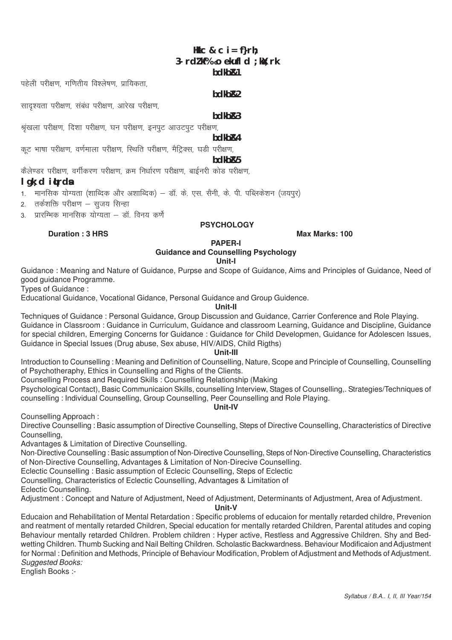# Hkkc & c  $i = f$ rh; 3- rd/lifa o ekufl d : kil: rk hdkh<sub>R1</sub>

पहेली परीक्षण, गणितीय विश्लेषण, प्रायिकता.

सादश्यता परीक्षण, संबंध परीक्षण, आरेख परीक्षण,

#### hdkh<sub>R2</sub>

#### $hdkhR3$

श्रृंखला परीक्षण, दिशा परीक्षण, घन परीक्षण, इनपुट आउटपुट परीक्षण,

hdkh<sub>R4</sub>

कट भाषा परीक्षण, वर्णमाला परीक्षण, स्थिति परीक्षण, मैटिक्स, घडी परीक्षण,

#### bdkb<sub>R5</sub>

कैलेण्डर परीक्षण, वर्गीकरण परीक्षण, क्रम निर्धारण परीक्षण, बाईनरी कोड परीक्षण,

#### $l$  qk; d  $i$ **t**rd**s**

1. मानसिक योग्यता (शाब्दिक और अशाब्दिक) — डॉ. के. एस. सैनी, के. पी. पब्लिकेशन (जयपुर)

2. तर्कशक्ति परीक्षण – सजय सिन्हा

Duration : 3 HRS

3. प्रारम्भिक मानसिक योग्यता – डॉ. विनय कर्णे

#### **PSYCHOLOGY**

Max Marks: 100

#### **PAPER-I Guidance and Counselling Psychology**

### Unit-I

Guidance: Meaning and Nature of Guidance, Purpse and Scope of Guidance, Aims and Principles of Guidance, Need of good guidance Programme.

Types of Guidance:

Educational Guidance, Vocational Gidance, Personal Guidance and Group Guidence.

#### Unit-II

Techniques of Guidance : Personal Guidance, Group Discussion and Guidance, Carrier Conference and Role Plaving, Guidance in Classroom: Guidance in Curriculum, Guidance and classroom Learning, Guidance and Discipline, Guidance for special children, Emerging Concerns for Guidance : Guidance for Child Developmen, Guidance for Adolescen Issues, Guidance in Special Issues (Drug abuse, Sex abuse, HIV/AIDS, Child Rigths)

#### Unit-III

Introduction to Counselling: Meaning and Definition of Counselling, Nature, Scope and Principle of Counselling, Counselling of Psychotheraphy. Ethics in Counselling and Rights of the Clients.

Counselling Process and Required Skills : Counselling Relationship (Making

Psychological Contact), Basic Communicaion Skills, counselling Interview, Stages of Counselling. Strategies/Techniques of counselling: Individual Counselling, Group Counselling, Peer Counselling and Role Plaving.

Unit-IV

Counselling Approach:

Directive Counselling: Basic assumption of Directive Counselling, Steps of Directive Counselling, Characteristics of Directive Counselling.

Advantages & Limitation of Directive Counselling.

Non-Directive Counselling: Basic assumption of Non-Directive Counselling, Steps of Non-Directive Counselling, Characteristics of Non-Directive Counselling, Advantages & Limitation of Non-Direcive Counselling.

Eclectic Counselling : Basic assumption of Eclecic Counselling. Steps of Eclectic

Counselling, Characteristics of Eclectic Counselling, Advantages & Limitation of

Eclectic Counselling.

Adjustment: Concept and Nature of Adjustment, Need of Adjustment, Determinants of Adjustment, Area of Adjustment.

Unit-V

Educaion and Rehabilitation of Mental Retardation : Specific problems of educaion for mentally retarded childre, Prevenion and reatment of mentally retarded Children, Special education for mentally retarded Children, Parental atitudes and coping Behaviour mentally retarded Children. Problem children: Hyper active, Restless and Aggressive Children. Shy and Bedwetting Children. Thumb Sucking and Nail Belting Children. Scholastic Backwardness. Behaviour Modificaion and Adjustment for Normal: Definition and Methods, Principle of Behaviour Modification, Problem of Adjustment and Methods of Adjustment. **Suggested Books:** 

English Books :-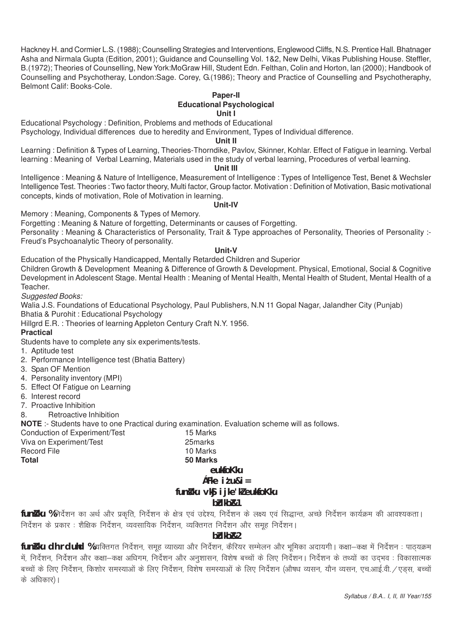Hackney H. and Cormier L.S. (1988); Counselling Strategies and Interventions, Englewood Cliffs, N.S. Prentice Hall. Bhatnager Asha and Nirmala Gupta (Edition, 2001); Guidance and Counselling Vol. 1&2, New Delhi, Vikas Publishing House. Steffler, B.(1972); Theories of Counselling, New York:MoGraw Hill, Student Edn. Felthan, Colin and Horton, lan (2000); Handbook of Counselling and Psychotheray, London:Sage. Corey, G.(1986); Theory and Practice of Counselling and Psychotheraphy, Belmont Calif: Books-Cole.

#### **Paper-II Educational Psychological Unit I**

Educational Psychology : Definition, Problems and methods of Educational

Psychology, Individual differences due to heredity and Environment, Types of Individual difference.

#### **Unit II**

Learning : Definition & Types of Learning, Theories-Thorndike, Pavlov, Skinner, Kohlar. Effect of Fatigue in learning. Verbal learning : Meaning of Verbal Learning, Materials used in the study of verbal learning, Procedures of verbal learning.

#### **Unit III**

Intelligence : Meaning & Nature of Intelligence, Measurement of Intelligence : Types of Intelligence Test, Benet & Wechsler Intelligence Test. Theories : Two factor theory, Multi factor, Group factor. Motivation : Definition of Motivation, Basic motivational concepts, kinds of motivation, Role of Motivation in learning.

#### **Unit-IV**

Memory : Meaning, Components & Types of Memory.

Forgetting : Meaning & Nature of forgetting, Determinants or causes of Forgetting.

Personality : Meaning & Characteristics of Personality, Trait & Type approaches of Personality, Theories of Personality :-Freud's Psychoanalytic Theory of personality.

#### **Unit-V**

Education of the Physically Handicapped, Mentally Retarded Children and Superior

Children Growth & Development Meaning & Difference of Growth & Development. Physical, Emotional, Social & Cognitive Development in Adolescent Stage. Mental Health : Meaning of Mental Health, Mental Health of Student, Mental Health of a Teacher.

*Suggested Books:*

Walia J.S. Foundations of Educational Psychology, Paul Publishers, N.N 11 Gopal Nagar, Jalandher City (Punjab) Bhatia & Purohit : Educational Psychology

Hillgrd E.R. : Theories of learning Appleton Century Craft N.Y. 1956.

#### **Practical**

Students have to complete any six experiments/tests.

- 1. Aptitude test
- 2. Performance Intelligence test (Bhatia Battery)
- 3. Span OF Mention
- 4. Personality inventory (MPI)
- 5. Effect Of Fatigue on Learning
- 6. Interest record
- 7. Proactive Inhibition

8. Retroactive Inhibition

**NOTE** :- Students have to one Practical during examination. Evaluation scheme will as follows.

Conduction of Experiment/Test 15 Marks Viva on Experiment/Test 25marks Record File 10 Marks **Total 50 Marks**

### **euksfoKku**

# **çFke iz'u&i=**

# fun**s** ku vk§ i jke'kZ euksfoKku

#### **bZdkbZ&1**

**funs ku %** निर्देशन का अर्थ और प्रकृति, निर्देशन के क्षेत्र एवं उद्देश्य, निर्देशन के लक्ष्य एवं सिद्धान्त, अच्छे निर्देशन कार्यक्रम की आवश्यकता। निर्देशन के प्रकार : शैक्षिक निर्देशन, व्यवसायिक निर्देशन, व्यक्तिगत निर्देशन और समह निर्देशन।

# **bZdkbZ&2**

**funIku dh rduhd %** व्यक्तिगत निर्देशन, समुह व्याख्या और निर्देशन, कैरियर सम्मेलन और भूमिका अदायगी। कक्षा—कक्ष में निर्देशन : पाठयक्रम में, निर्देशन, निर्देशन और कक्षा—कक्ष अधिगम, निर्देशन और अनुशासन, विशेष बच्चों के लिए निर्देशन। निर्देशन के तथ्यों का उद्भव : विकासात्मक बच्चों के लिए निर्देशन, किशोर समस्याओं के लिए निर्देशन, विशेष समस्याओं के लिए निर्देशन (औषध व्यसन, यौन व्यसन, एचआई.वी. /एडस, बच्चों के अधिकार)।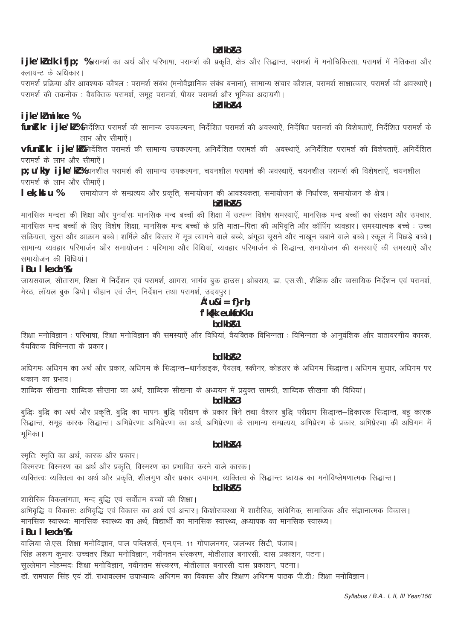#### bidkb<sub>R3</sub>

ijke'k'dk ifjp; %परामर्श का अर्थ और परिभाषा, परामर्श की प्रकृति, क्षेत्र और सिद्धान्त, परामर्श में मनोचिकित्सा, परामर्श में नैतिकता और -<br>क्लायन्ट के अधिकार।

परामर्श प्रक्रिया और आवश्यक कौषल : परामर्श संबंध (मनोवैज्ञानिक संबंध बनाना), सामान्य संचार कौशल, परामर्श साक्षात्कार, परामर्श की अवस्थाऐं। परामर्श की तकनीक : वैयक्तिक परामर्श, समूह परामर्श, पीयर परामर्श और भूमिका अदायगी।

# $h$ b $k$ k $h$  $R$ 4

### i jke'kl mikxe %

fun**t'kr ijke'kl%**निर्देशित परामर्श की सामान्य उपकल्पना, निर्देशित परामर्श की अवस्थाऐं, निर्देषित परामर्श की विशेषताऐं, निर्देशित परामर्श के लाभ और सीमाऐं।

**vfun]'kr ijke'k%** निर्देशित परामर्श की सामान्य उपकल्पना, अनिर्देशित परामर्श की अवस्थाऐं, अनिर्देशित परामर्श की विशेषताऐं, अनिर्देशित परामर्श के लाभ और सीमाऐं।

D: U'khv iike'kl ‰यनशील परामर्श की सामान्य उपकल्पना, चयनशील परामर्श की अवस्थाऐं, चयनशील परामर्श की विशेषताऐं, चयनशील परामर्श के लाभ और सीमाऐं।

lek: kstu % समायोजन के सम्प्रत्यय और प्रकृति, समायोजन की आवश्यकता, समायोजन के निर्धारक, समायोजन के क्षेत्र।

#### bidkb<sub>R5</sub>

मानसिक मन्दता की शिक्षा और पुनर्वासः मानसिक मन्द बच्चों की शिक्षा में उत्पन्न विशेष समस्याऐं, मानसिक मन्द बच्चों का संरक्षण और उपचार, ्त्रमानसिक मन्द बच्चों के लिए विशेष शिक्षा, मानसिक मन्द बच्चों के प्रति माता—पिता की अभिवृति और कॉपिंग व्यवहार। समस्यात्मक बच्चे : उच्च सक्रियता, सुस्त और आक्राम बच्चे। शर्मिले और बिस्तर में मूत्र त्यागने वाले बच्चे, अंगूठा चूसने और नाखून चबाने वाले बच्चे। स्कूल में पिछड़े बच्चे। सामान्य व्यवहार परिमार्जन और समायोजन : परिभाषा और विधिया, व्यवहार परिमार्जन के सिद्धान्त, समायोजन की समस्यारे की समस्याऐं और समायोजन की विधियां।

# iBu I kexh %

जायसवाल, सीताराम, शिक्षा में निर्देशन एवं परामर्श, आगरा, भार्गव बुक हाउस। ओबराय, डा. एस.सी., शैक्षिक और व्वसायिक निर्देशन एवं परामर्श, मेरठ, लॉयल बुक डिपो। चौहान एवं जैन, निर्देशन तथा परामर्श, उदयपुर।

# $c'$ u& $i = f$ }rh; f'kfkk eukfoKku bdkb&1

शिक्षा मनोविज्ञान : परिभाषा, शिक्षा मनोविज्ञान की समस्याऐं और विधियां, वैयक्तिक विभिन्नता : विभिन्नता के आनुवंशिक और वातावरणीय कारक, वैयक्तिक विभिन्नता के प्रकार।

#### hdkh<sub>R2</sub>

अधिगमः अधिगम का अर्थ और प्रकार, अधिगम के सिद्धान्त—थार्नडाइक, पैवलव, स्कीनर, कोहलर के अधिगम सिद्धान्त। अधिगम सुधार, अधिगम पर थकान का प्रभाव।

शाब्दिक सीखनाः शाब्दिक सीखना का अर्थ, शाब्दिक सीखना के अध्ययन में प्रयुक्त सामग्री, शाब्दिक सीखना की विधियां।

#### bdkb&3

बुद्धिः बुद्धि का अर्थ और प्रकृति, बुद्धि का मापनः बुद्धि परीक्षण के प्रकार बिने तथा वैश्लर बुद्धि परीक्षण सिद्धान्त-द्विकारक सिद्धान्त, बहु कारक उन्म उन्म<br>सिद्धान्त, समूह कारक सिद्धान्त। अभिप्रेरणाः अभिप्रेरणा का अर्थ, अभिप्रेरणा के सामान्य सम्प्रत्यय, अभिप्रेरण के प्रकार, अभिप्रेरणा की अधिगम में भुमिका ।

#### bdkb<sub>R4</sub>

स्मृतिः स्मृति का अर्थ, कारक और प्रकार।

- दू<br>विस्मरणः विस्मरण का अर्थ और प्रकृति, विस्मरण का प्रभावित करने वाले कारक।

.<br>व्यक्तित्वः व्यक्तित्व का अर्थ और प्रकृति, शीलगूण और प्रकार उपागम, व्यक्तित्व के सिद्धान्तः फ्रायड का मनोविष्लेषणात्मक सिद्धान्त।

#### hdkh<sub>R5</sub>

शारीरिक विकलांगता, मन्द बुद्धि एवं सर्वोतम बच्चों की शिक्षा।

अभिवृद्धि व विकासः अभिवृद्धि एवं विकास का अर्थ एवं अन्तर। किशोरावस्था में शारीरिक, सांवेगिक, सामाजिक और सज्ञानात्मक विकास। ्ति ।<br>मानसिक स्वास्थ्यः मानसिक स्वास्थ्य का अर्थ, विद्यार्थी का मानसिक स्वास्थ्य, अध्यापक का मानसिक स्वास्थ्य।

#### iBu I kexh %

वालिया जे.एस. शिक्षा मनोविज्ञान, पाल पब्लिशर्स, एन.एन. 11 गोपालनगर, जलन्धर सिटी, पंजाब।

सिंह अरूण कुमारः उच्चतर शिक्षा मनोविज्ञान, नवीनतम संस्करण, मोतीलाल बनारसी, दास प्रकाशन, पटना।

.<br>सुल्लेमान मोहम्मदः शिक्षा मनोविज्ञान, नवीनतम संस्करण, मोतीलाल बनारसी दास प्रकाशन, पटना।

ँ<br>डॉ. रामपाल सिंह एवं डॉ. राधावल्लभ उपाध्यायः अधिगम का विकास और शिक्षण अधिगम पाठक पी.डी.: शिक्षा मनोविज्ञान।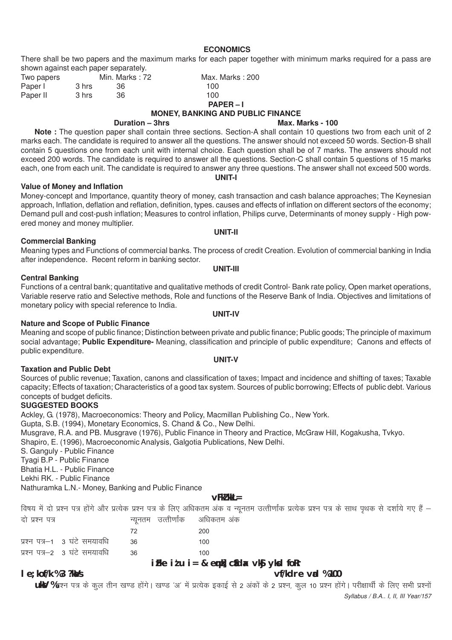**ECONOMICS**

There shall be two papers and the maximum marks for each paper together with minimum marks required for a pass are shown against each paper separately.

| Two papers |       | Min. Marks: 72 | Max. Marks: 200 |
|------------|-------|----------------|-----------------|
| Paper I    | 3 hrs | 36             | 100             |
| Paper II   | 3 hrs | 36             | 100.            |
|            |       |                | $PAPER - I$     |

# **MONEY, BANKING AND PUBLIC FINANCE**<br>Max. M

**Note :** The question paper shall contain three sections. Section-A shall contain 10 questions two from each unit of 2 marks each. The candidate is required to answer all the questions. The answer should not exceed 50 words. Section-B shall contain 5 questions one from each unit with internal choice. Each question shall be of 7 marks. The answers should not exceed 200 words. The candidate is required to answer all the questions. Section-C shall contain 5 questions of 15 marks each, one from each unit. The candidate is required to answer any three questions. The answer shall not exceed 500 words.

**UNIT-I**

#### **Value of Money and Inflation**

Money-concept and Importance, quantity theory of money, cash transaction and cash balance approaches; The Keynesian approach, Inflation, deflation and reflation, definition, types. causes and effects of inflation on different sectors of the economy; Demand pull and cost-push inflation; Measures to control inflation, Philips curve, Determinants of money supply - High powered money and money multiplier. **UNIT-II**

#### **Commercial Banking**

Meaning types and Functions of commercial banks. The process of credit Creation. Evolution of commercial banking in India after independence. Recent reform in banking sector.

#### **Central Banking**

Functions of a central bank; quantitative and qualitative methods of credit Control- Bank rate policy, Open market operations, Variable reserve ratio and Selective methods, Role and functions of the Reserve Bank of India. Objectives and limitations of monetary policy with special reference to India.

#### **Nature and Scope of Public Finance**

Meaning and scope of public finance; Distinction between private and public finance; Public goods; The principle of maximum social advantage; **Public Expenditure-** Meaning, classification and principle of public expenditure; Canons and effects of public expenditure. **UNIT-V**

#### **Taxation and Public Debt**

Sources of public revenue; Taxation, canons and classification of taxes; Impact and incidence and shifting of taxes; Taxable capacity; Effects of taxation; Characteristics of a good tax system. Sources of public borrowing; Effects of public debt. Various concepts of budget deficits.

#### **SUGGESTED BOOKS**

Ackley, G. (1978), Macroeconomics: Theory and Policy, Macmillan Publishing Co., New York.

Gupta, S.B. (1994), Monetary Economics, S. Chand & Co., New Delhi.

Musgrave, R.A. and PB. Musgrave (1976), Public Finance in Theory and Practice, McGraw Hill, Kogakusha, Tvkyo.

Shapiro, E. (1996), Macroeconomic Analysis, Galgotia Publications, New Delhi.

S. Ganguly - Public Finance

Tyagi B.P - Public Finance

Bhatia H.L. - Public Finance

Lekhi RK. - Public Finance

Nathuramka L.N.- Money, Banking and Public Finance

# **vFkZ'kkL=**

विषय में दो प्रश्न पत्र होंगे और प्रत्येक प्रश्न पत्र के लिए अधिकतम अंक व न्यूनतम उत्तीर्णांक प्रत्येक प्रश्न पत्र के साथ पृथक से दर्शाये गए हैं – दो प्रश्न पत्र विषया मान्युनतम उत्तीर्णांक अधिकतम अंक

|                                 | -72  | 200 |
|---------------------------------|------|-----|
| प्रश्न पत्र–1 3 घंटे समयावधि 36 |      | 100 |
| प्रश्न पत्र–2 ) घंटे समयावधि    | - 36 | 100 |

# **iFke itu i= & enk] click vkg yksd foRr**

**le;kof/k % 3 ?kaVs vf/kdre vad % 100**

*Syllabus / B.A.. I, II, III Year/157* **ukV** %प्रश्न पत्र के कूल तीन खण्ड होंगे। खण्ड 'अ' में प्रत्येक इकाई से 2 अंकों के 2 प्रश्न, कूल 10 प्रश्न होंगे। परीक्षार्थी के लिए सभी प्रश्नों

#### **Max. Marks - 100**

**UNIT-III**

# **UNIT-IV**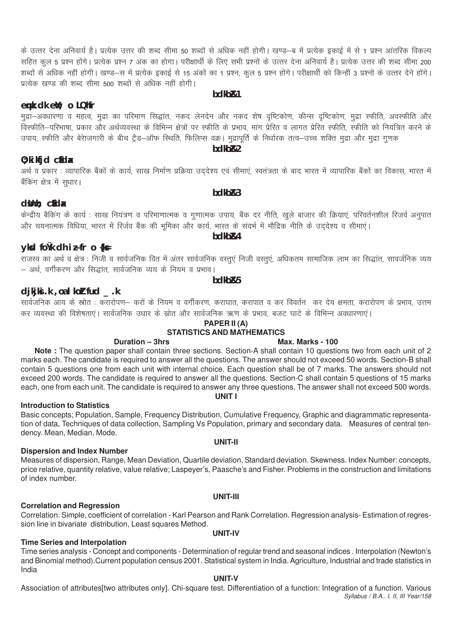के उत्तर देना अनिवार्य है। प्रत्येक उत्तर की शब्द सीमा 50 शब्दों से अधिक नहीं होगी। खण्ड—ब में प्रत्येक इकाई में से 1 प्रश्न आंतरिक विकल्प .<br>सहित कूल 5 प्रश्न होंगे। प्रत्येक प्रश्न 7 अंक का होगा। परीक्षार्थी के लिए सभी प्रश्नों के उत्तर देना अनिवार्य है। प्रत्येक उत्तर की शब्द सीमा 200 शब्दों से अधिक नहीं होगी। खण्ड—स में प्रत्येक इकाई से 15 अंकों का 1 प्रश्न, कूल 5 प्रश्न होंगे। परीक्षार्थी को किन्हीं 3 प्रश्नों के उत्तर देने होंगे। प्रत्येक खण्ड की शब्द सीमा 500 शब्दों से अधिक नहीं होगी।

# enk dk eW; o LQMfr

मुद्रा–अवधारणा व महत्व, मुद्रा का परिमाण सिद्धांत, नकद लेनदेन और नकद शेष दृष्टिकोण, कीन्स दृष्टिकोण, मुद्रा स्फीति, अवस्फीति और ँ<br>विस्फीति–परिभाषा, प्रकार और अर्थव्यवस्था के विभिन्न क्षेत्रों पर स्फीति के प्रभाव, मांग प्रेरित व लागत प्रेरित स्फीति, स्फीति को नियंत्रित करने के उपाय, स्फीति और बेरेाजगारी के बीच ट्रैड–ऑफ स्थिति, फिलिप्स वक्र। मुद्रापूर्ति के निर्धारक तत्व–उच्च शक्ति मुद्रा और मुद्रा गुणक  $bdk\overline{b}$ <sup>2</sup>

#### $0$ ; ki kfjd cldx

अर्थ व प्रकार : व्यापारिक बैंकों के कार्य, साख निर्माण प्रक्रिया उददेश्य एवं सीमाएं, स्वतंत्रता के बाद भारत में व्यापारिक बैंकों का विकास, भारत में बैकिंग क्षेत्र में सुधार।

 $hdkhR3$ 

#### dünn; cida

# केन्द्रीय बैकिंग के कार्य : साख नियंत्रण व परिमाणात्मक व गुणात्मक उपाय, बैंक दर नीति, खुले बाजार की क्रियाएं, परिवर्तनशील रिजर्व अनुपात<br>और चयनात्मक विधिया, भारत में रिर्जव बैंक की भूमिका और कार्य, भारत के संदर्भ में मौद्र

# yksd foùk dh i Ñfr o {ks=

djkjki .k , oa I koltfud \_.k

.<br>राजस्व का अर्थ व क्षेत्र : निजी व सार्वजनिक वित में अंतर सार्वजनिक वस्तुएं निजी वस्तुएं, अधिकतम सामाजिक लाभ का सिद्धांत, सावर्जनिक व्यय – अर्थ, वर्गीकरण और सिद्धांत, सार्वजनिक व्यय के नियम व प्रभाव।

# hdkh<sub>R5</sub>

सार्वजनिक आय के स्रोत : करारोपण– करों के नियम व वर्गीकरण, कराघात, करापात व कर विवर्तन कर देय क्षमता, करारोपण के प्रभाव, उत्तम कर व्यवस्था की विशेषताएं। सार्वजनिक उधार के स्रोत और सार्वजनिक ऋण के प्रभाव, बजट घाटे के विभिन्न अवधारणाएं।

# PAPER II (A)

#### **STATISTICS AND MATHEMATICS** Duration - 3hrs

#### Max. Marks - 100

Note : The question paper shall contain three sections. Section-A shall contain 10 questions two from each unit of 2 marks each. The candidate is required to answer all the questions. The answer should not exceed 50 words. Section-B shall contain 5 questions one from each unit with internal choice. Each question shall be of 7 marks. The answers should not exceed 200 words. The candidate is required to answer all the questions. Section-C shall contain 5 questions of 15 marks each, one from each unit. The candidate is required to answer any three questions. The answer shall not exceed 500 words. UNIT I

#### **Introduction to Statistics**

Basic concepts; Population, Sample, Frequency Distribution, Cumulative Frequency, Graphic and diagrammatic representation of data, Techniques of data collection, Sampling Vs Population, primary and secondary data. Measures of central tendency, Mean, Median, Mode.

#### **Dispersion and Index Number**

Measures of dispersion, Range, Mean Deviation, Quartile deviation, Standard deviation. Skewness. Index Number: concepts, price relative, quantity relative, value relative; Laspeyer's, Paasche's and Fisher. Problems in the construction and limitations of index number.

#### **Correlation and Regression**

Correlation: Simple, coefficient of correlation - Karl Pearson and Rank Correlation. Regression analysis- Estimation of regression line in bivariate distribution, Least squares Method. **UNIT-IV** 

**UNIT-III** 

#### **Time Series and Interpolation**

Time series analysis - Concept and components - Determination of regular trend and seasonal indices. Interpolation (Newton's and Binomial method). Current population census 2001. Statistical system in India. Agriculture, Industrial and trade statistics in India

#### **UNIT-V**

Association of attributes [two attributes only]. Chi-square test. Differentiation of a function: Integration of a function. Various Syllabus / B.A., I, II, III Year/158

#### hdkh<sub>R1</sub>

# bdkb<sub>R4</sub>

# **UNIT-II**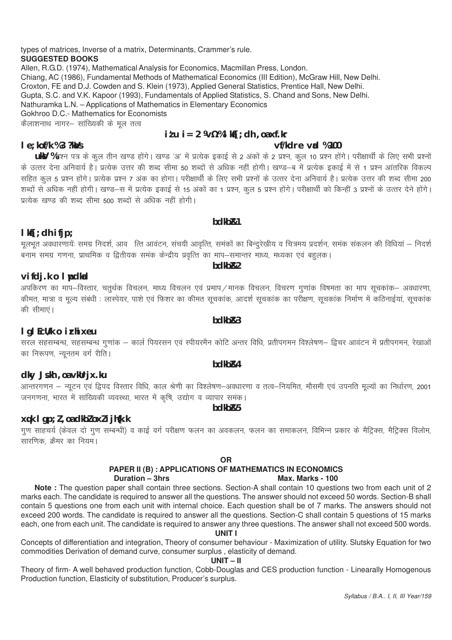types of matrices, Inverse of a matrix, Determinants, Crammer's rule. **SUGGESTED BOOKS** Allen, R.G.D. (1974), Mathematical Analysis for Economics, Macmillan Press, London. Chiang, AC (1986), Fundamental Methods of Mathematical Economics (III Edition), McGraw Hill, New Delhi.

Croxton, FE and D.J. Cowden and S. Klein (1973), Applied General Statistics, Prentice Hall, New Delhi.

Gupta, S.C. and V.K. Kapoor (1993), Fundamentals of Applied Statistics, S. Chand and Sons, New Delhi.

Nathuramka L.N. - Applications of Mathematics in Elementary Economics

Gokhroo D.C.- Mathematics for Economists

कैलाशनाथ नागर– सांख्यिकी के मुल तत्व

# $i$  tu  $i = 2$   $\frac{1}{2}$   $\frac{1}{2}$   $\frac{1}{2}$   $\frac{1}{2}$   $\frac{1}{2}$   $\frac{1}{2}$   $\frac{1}{2}$   $\frac{1}{2}$   $\frac{1}{2}$   $\frac{1}{2}$   $\frac{1}{2}$   $\frac{1}{2}$   $\frac{1}{2}$   $\frac{1}{2}$   $\frac{1}{2}$   $\frac{1}{2}$   $\frac{1}{2}$   $\frac{1}{2}$   $\frac{1}{2}$   $\frac{1}{2}$   $\frac{1}{2$

### vf/kdre vad %100

# I e; kof/k %3 ?ka/s

UKY %प्रश्न पत्र के कूल तीन खण्ड होंगे। खण्ड 'अ' में प्रत्येक इकाई से 2 अंकों के 2 प्रश्न, कूल 10 प्रश्न होंगे। परीक्षार्थी के लिए सभी प्रश्नों के उत्तर देना अनिवार्य है। प्रत्येक उत्तर की शब्द सीमा 50 शब्दों से अधिक नहीं होगी। खण्ड—ब में प्रत्येक इकाई में से 1 प्रश्न आंतरिक विकल्प |<br>सहित कूल 5 प्रश्न होंगे। प्रत्येक प्रश्न 7 अंक का होगा। परीक्षार्थी के लिए सभी प्रश्नों के उत्तर देना अनिवार्य है। प्रत्येक उत्तर की शब्द सीमा 200 .<br>शब्दों से अधिक नहीं होगी। खण्ड—स में प्रत्येक इकाई से 15 अंकों का 1 प्रश्न कल 5 प्रश्न होंगे। परीक्षार्थी को किन्हीं 3 प्रश्नों के उत्तर देने होंगे। प्रत्येक खण्ड की शब्द सीमा 500 शब्दों से अधिक नहीं होगी।

# $lkf$ ; dh ifjp;

मूलभूत अवधारणायेः समग्र निदर्श, आवक्ति आवंटन, संचयी आवृत्ति, समकों का बिन्दुरेखीय व चित्रमय प्रदर्शन, समक संकलन की विधियां — निदर्श ्न<br>बनाम समग्र गणना, प्राथमिक व द्वितीयक समक केन्द्रीय प्रवृत्ति का माप–समान्तर माध्य, मध्यका एवं बहुलक।

hdkh<sub>R2</sub>

bdkb<sub>R1</sub>

# vifdj.k o I pdkad

अपकिरण का माप–विस्तार, चतुर्थक विचलन, माध्य विचलन एवं प्रमाप ⁄ मानक विचलन, विचरण गुणाक विषमता का माप सुचकांक– अवधारणा, .<br>कीमत, मात्रा व मुल्य संबंधी : लास्पेयर, पाशे एवं फिशर का कीमत सुचकांक, आदर्श सुचकांक का परीक्षण, सुचकांक निर्माण में कठिनाईयां, सुचकांक की सीमाएं।

# I gl EcU/k o irhixeu

सरल सहसम्बन्ध, सहसम्बन्ध गुणांक – कार्ल पियरसन एवं स्पीयरमैन कोटि अन्तर विधि, प्रतीपगमन विश्लेषण– द्विचर आवंटन में प्रतीपगमन, रेखाओं का निरूपण, न्यूनतम वर्ग रीति।

#### bdkb<sub>R4</sub>

# dky Jskh, oa vkUrjx.ku

आन्तरगणन – न्यूटन एवं द्विपद विस्तार विधि, काल श्रेणी का विश्लेषण–अवधारणा व तत्व–नियमित, मौसमी एवं उपनति मूल्यों का निर्धारण, 2001 जनगणना. भारत में सांख्यिकी व्यवस्था. भारत में कृषि. उद्योग व व्यापार समंक।

bdkb<sub>R5</sub>

# $xqk$  I  $qp; l$ , oa dkbl oxl i jh $\{k,k\}$

गण साहचर्य (केवल दो गण सम्बन्धी) व काई वर्ग परीक्षण फलन का अवकलन, फलन का समाकलन, विभिन्न प्रकार के मैट्रिक्स, मैट्रिक्स विलोम, .<br>सारणिक, क्रैमर का नियम।

#### **OR**

#### PAPER II (B) : APPLICATIONS OF MATHEMATICS IN ECONOMICS Duration  $-3$ hrs Max. Marks - 100

Note: The question paper shall contain three sections. Section-A shall contain 10 questions two from each unit of 2 marks each. The candidate is required to answer all the questions. The answer should not exceed 50 words. Section-B shall contain 5 questions one from each unit with internal choice. Each question shall be of 7 marks. The answers should not exceed 200 words. The candidate is required to answer all the questions. Section-C shall contain 5 questions of 15 marks each, one from each unit. The candidate is required to answer any three questions. The answer shall not exceed 500 words.

# **UNIT I**

Concepts of differentiation and integration, Theory of consumer behaviour - Maximization of utility. Slutsky Equation for two commodities Derivation of demand curve, consumer surplus, elasticity of demand.

#### $UNIT-II$

Theory of firm- A well behaved production function, Cobb-Douglas and CES production function - Linearally Homogenous Production function. Elasticity of substitution. Producer's surplus.

# $hdkhR3$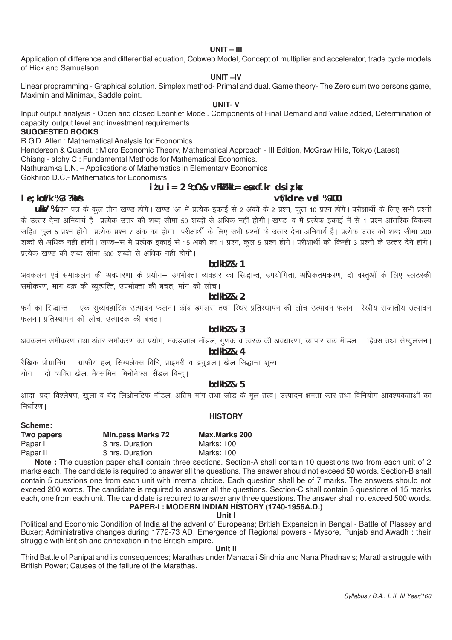#### **UNIT – III**

Application of difference and differential equation, Cobweb Model, Concept of multiplier and accelerator, trade cycle models of Hick and Samuelson.

#### **UNIT –IV**

Linear programming - Graphical solution. Simplex method- Primal and dual. Game theory- The Zero sum two persons game, Maximin and Minimax, Saddle point.

#### **UNIT- V**

Input output analysis - Open and closed Leontief Model. Components of Final Demand and Value added, Determination of capacity, output level and investment requirements.

# **SUGGESTED BOOKS**

R.G.D. Allen : Mathematical Analysis for Economics.

Henderson & Quandt. : Micro Economic Theory, Mathematical Approach - III Edition, McGraw Hills, Tokyo (Latest) Chiang - alphy C : Fundamental Methods for Mathematical Economics.

Nathuramka L.N. – Applications of Mathematics in Elementary Economics

Gokhroo D.C.- Mathematics for Economists

 $i \ell u$  i= 2  $k \ell x$  & vFk $\ell$  kkL= ent xf.kr ds iz kx

#### **le;kof/k % 3 ?kaVs vf/kdre vad % 100**

**Scheme:**

**ukV** %प्रश्न पत्र के कुल तीन खण्ड होंगे। खण्ड 'अ' में प्रत्येक इकाई से 2 अंकों के 2 प्रश्न, कुल 10 प्रश्न होंगे। परीक्षार्थी के लिए सभी प्रश्नों के उत्तर देना अनिवार्य है। प्रत्येक उत्तर की शब्द सीमा 50 शब्दों से अधिक नहीं होगी। खण्ड—ब में प्रत्येक इकाई में से 1 प्रश्न आंतरिक विकल्प सहित कल 5 प्रश्न होंगे। प्रत्येक प्रश्न 7 अंक का होगा। परीक्षार्थी के लिए सभी प्रश्नों के उत्तर देना अनिवार्य है। प्रत्येक उत्तर की शब्द सीमा 200 शब्दों से अधिक नहीं होगी। खण्ड—स में प्रत्येक इकाई से 15 अंकों का 1 प्रश्न, कल 5 प्रश्न होंगे। परीक्षार्थी को किन्हीं 3 प्रश्नों के उत्तर देने होंगे। प्रत्येक खण्ड की शब्द सीमा 500 शब्दों से अधिक नहीं होगी।

#### **bdkbZ & 1**

अवकलन एवं समाकलन की अवधारणा के प्रयोग– उपभोक्ता व्यवहार का सिद्धान्त, उपयोगिता, अधिकतमकरण, दो वस्तुओं के लिए स्लटस्की समीकरण, मांग वक्र की व्युत्पत्ति, उपभोक्ता की बचत, मांग की लोच।

#### **bdkb** $\frac{1}{2}$

फर्म का सिद्धान्त – एक सुव्यवहारिक उत्पादन फलन। कॉब डगलस तथा स्थिर प्रतिस्थापन की लोच उत्पादन फलन– रेखीय सजातीय उत्पादन फलन। प्रतिस्थापन की लोच, उत्पादक की बचत।

#### **bdkbZ & 3**

अवकलन समीकरण तथा अंतर समीकरण का प्रयोग, मकडजाल मॉडल, गुणक व त्वरक की अवधारणा, व्यापार चक्र मॅाडल – हिक्स तथा सेम्युलसन।

# **bdkbZ & 4**

रैखिक प्रोग्रामिंग – ग्राफीय हल, सिम्पलेक्स विधि, प्राइमरी व ड्युअल। खेल सिद्धान्त शून्य

योग - दो व्यक्ति खेल, मैक्समिन-मिनीमेक्स, सैंडल बिन्दू।

# **bdkbZ & 5**

आदा-प्रदा विश्लेषण, खुला व बंद लिओनटिफ मॉडल, अंतिम मांग तथा जोड के मुल तत्व। उत्पादन क्षमता स्तर तथा विनियोग आवश्यकताओं का निर्धारण । **HISTORY**

| JUICIIIC.  |                          |                      |
|------------|--------------------------|----------------------|
| Two papers | <b>Min.pass Marks 72</b> | <b>Max.Marks 200</b> |
| Paper I    | 3 hrs. Duration          | Marks: 100           |
| Paper II   | 3 hrs. Duration          | Marks: 100           |
|            |                          |                      |

**Note :** The question paper shall contain three sections. Section-A shall contain 10 questions two from each unit of 2 marks each. The candidate is required to answer all the questions. The answer should not exceed 50 words. Section-B shall contain 5 questions one from each unit with internal choice. Each question shall be of 7 marks. The answers should not exceed 200 words. The candidate is required to answer all the questions. Section-C shall contain 5 questions of 15 marks each, one from each unit. The candidate is required to answer any three questions. The answer shall not exceed 500 words. **PAPER-I : MODERN INDIAN HISTORY (1740-1956A.D.)**

**Unit I**

Political and Economic Condition of India at the advent of Europeans; British Expansion in Bengal - Battle of Plassey and Buxer; Administrative changes during 1772-73 AD; Emergence of Regional powers - Mysore, Punjab and Awadh : their struggle with British and annexation in the British Empire.

#### **Unit II**

Third Battle of Panipat and its consequences; Marathas under Mahadaji Sindhia and Nana Phadnavis; Maratha struggle with British Power; Causes of the failure of the Marathas.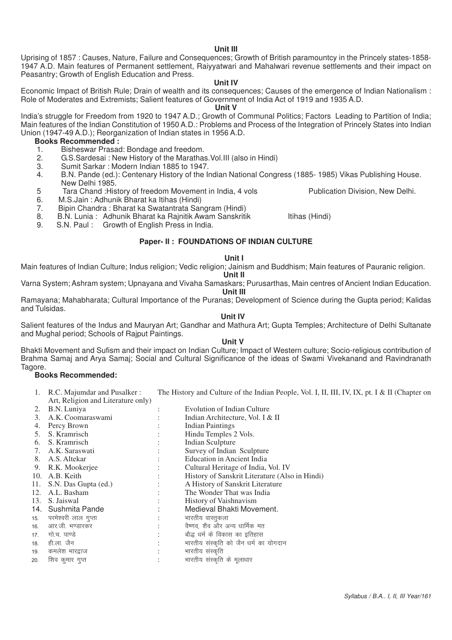#### *Syllabus / B.A.. I, II, III Year/161*

#### **Unit III**

Uprising of 1857 : Causes, Nature, Failure and Consequences; Growth of British paramountcy in the Princely states-1858- 1947 A.D. Main features of Permanent settlement, Raiyyatwari and Mahalwari revenue settlements and their impact on Peasantry; Growth of English Education and Press.

#### **Unit IV**

Economic Impact of British Rule; Drain of wealth and its consequences; Causes of the emergence of Indian Nationalism : Role of Moderates and Extremists; Salient features of Government of India Act of 1919 and 1935 A.D.

#### **Unit V**

India's struggle for Freedom from 1920 to 1947 A.D.; Growth of Communal Politics; Factors Leading to Partition of India; Main features of the Indian Constitution of 1950 A.D.: Problems and Process of the Integration of Princely States into Indian Union (1947-49 A.D.); Reorganization of Indian states in 1956 A.D.

#### **Books Recommended :**

- 1. Bisheswar Prasad: Bondage and freedom.<br>2. G.S. Sardesai: New History of the Maratha
- 2. G.S.Sardesai : New History of the Marathas.Vol.III (also in Hindi)
- 3. Sumit Sarkar : Modern Indian 1885 to 1947.
- 4. B.N. Pande (ed.): Centenary History of the Indian National Congress (1885- 1985) Vikas Publishing House. New Delhi 1985.
- 5 Tara Chand :History of freedom Movement in India, 4 vols Publication Division, New Delhi.
- 6. M.S.Jain : Adhunik Bharat ka Itihas (Hindi)
- 7. Bipin Chandra : Bharat ka Swatantrata Sangram (Hindi)

8. B.N. Lunia : Adhunik Bharat ka Rajnitik Awam Sanskritik Itihas (Hindi)<br>9. S.N. Paul : Growth of English Press in India.

Growth of English Press in India.

#### **Paper- II : FOUNDATIONS OF INDIAN CULTURE**

#### **Unit I**

Main features of Indian Culture; Indus religion; Vedic religion; Jainism and Buddhism; Main features of Pauranic religion.

#### **Unit II**

Varna System; Ashram system; Upnayana and Vivaha Samaskars; Purusarthas, Main centres of Ancient Indian Education.

**Unit III**

Ramayana; Mahabharata; Cultural Importance of the Puranas; Development of Science during the Gupta period; Kalidas and Tulsidas.

#### **Unit IV**

Salient features of the Indus and Mauryan Art; Gandhar and Mathura Art; Gupta Temples; Architecture of Delhi Sultanate and Mughal period; Schools of Raiput Paintings.

#### **Unit V**

Bhakti Movement and Sufism and their impact on Indian Culture; Impact of Western culture; Socio-religious contribution of Brahma Samaj and Arya Samaj; Social and Cultural Significance of the ideas of Swami Vivekanand and Ravindranath Tagore.

#### **Books Recommended:**

1. R.C. Majumdar and Pusalker : The History and Culture of the Indian People, Vol. I, II, III, IV, IX, pt. I & II (Chapter on Art, Religion and Literature only)

| 2.  | B.N. Luniya              |                      | <b>Evolution of Indian Culture</b>             |
|-----|--------------------------|----------------------|------------------------------------------------|
| 3.  | A.K. Coomaraswami        |                      | Indian Architecture, Vol. I & II               |
| 4.  | Percy Brown              |                      | <b>Indian Paintings</b>                        |
| 5.  | S. Kramrisch             |                      | Hindu Temples 2 Vols.                          |
| 6.  | S. Kramrisch             |                      | <b>Indian Sculpture</b>                        |
|     | 7. A.K. Saraswati        |                      | Survey of Indian Sculpture                     |
|     | 8. A.S. Altekar          |                      | <b>Education in Ancient India</b>              |
|     | 9. R.K. Mookerjee        |                      | Cultural Heritage of India, Vol. IV            |
|     | 10. A.B. Keith           |                      | History of Sanskrit Literature (Also in Hindi) |
| 11. | S.N. Das Gupta (ed.)     | $\ddot{\phantom{0}}$ | A History of Sanskrit Literature               |
| 12. | A.L. Basham              |                      | The Wonder That was India                      |
|     | 13. S. Jaiswal           |                      | History of Vaishnavism                         |
|     | 14. Sushmita Pande       |                      | Medieval Bhakti Movement.                      |
|     | 15. परमेश्वरी लाल गुप्ता |                      | भारतीय वास्तुकला                               |
|     | 16. आर.जी. भण्डारकर      |                      | वैष्णव, शैव और अन्य धार्मिक मत                 |
| 17. | गो.च. पाण्डे             |                      | बौद्ध धर्म के विकास का इतिहास                  |
| 18. | ही.ला. जैन               |                      | भारतीय संस्कृति को जैन धर्म का योगदान          |
| 19. | कमलेश भारद्वाज           |                      | भारतीय संस्कृति                                |
| 20. | शिव कूमार गुप्त          |                      | भारतीय संस्कृति के मूलाधार                     |
|     |                          |                      |                                                |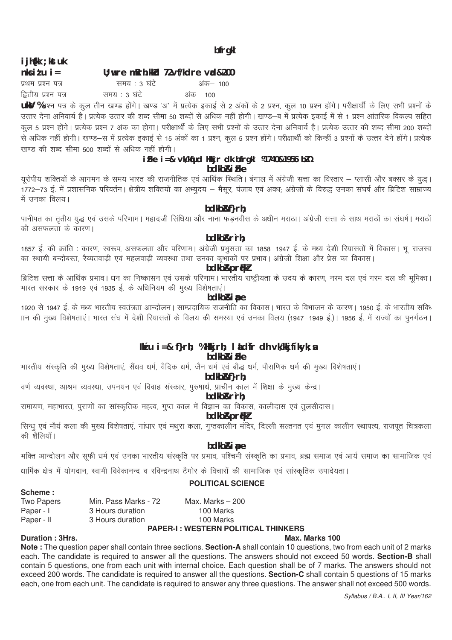# i jh{kk ; kst uk

 $n k i l u i =$ U; wre mRrh.kkd 72vf/kdre val&200

प्रथम प्रश्न पत्र समय: 3 घंटे अंक– 100 द्वितीय प्रश्न पत्र समय : 3 घंटे अंक– 100

uky %प्रश्न पत्र के कुल तीन खण्ड होंगे। खण्ड 'अ' में प्रत्येक इकाई से 2 अंकों के 2 प्रश्न, कुल 10 प्रश्न होंगे। परीक्षार्थी के लिए सभी प्रश्नों के कूल 5 प्रश्न होंगे। प्रत्येक प्रश्न 7 अंक का होगा। परीक्षार्थी के लिए सभी प्रश्नों के उत्तर देना अनिवार्य है। प्रत्येक उत्तर की शब्द सीमा 200 शब्दों ्<br>से अधिक नहीं होगी। खण्ड—स में प्रत्येक इकाई से 15 अंकों का 1 प्रश्न, कल 5 प्रश्न होंगे। परीक्षार्थी को किन्हीं 3 प्रश्नों के उत्तर देने होंगे। प्रत्येक खण्ड की शब्द सीमा 500 शब्दों से अधिक नहीं होगी।

#### iFke i =& vk/kfud Hkkjr dk bfrgkl ¼1740&1956 bl1/2 bdkb<sub>Ri</sub> Fke

ग्रूरोपीय शक्तियों के आगमन के समय भारत की राजनीतिक एवं आर्थिक स्थिति। बंगाल में अंग्रेजी सत्ता का विस्तार – प्लासी और बक्सर के युद्ध। ...<br>1772—73 ई. में प्रशासनिक परिवर्तन। क्षेत्रीय शक्तियों का अभ्युदय — मैसुर, पंजाब एवं अवध; अंग्रेजों के विरुद्ध उनका संघर्ष और ब्रिटिश साम्राज्य में उनका विलय।

bdkb&f}rh;

पानीपत का तृतीय युद्ध एवं उसके परिणाम। महादजी सिंधिया और नाना फड़नवीस के अधीन मराठा। अंग्रेजी सत्ता के साथ मराठों का संघर्ष। मराठों की असफलता के कारण।

bdkb&r`rh:

1857 ई. की क्रांति : कारण, स्वरूप, असफलता और परिणाम। अंग्रेजी प्रभुसत्ता का 1858–1947 ई. के मध्य देशी रियासतों में विकास। भू–राजस्व 

**bdkb&prfkl** 

|<br>|ब्रेटिश सत्ता के आर्थिक प्रभाव। धन का निष्कासन एवं उसके परिणाम। भारतीय राष्ट्रीयता के उदय के कारण, नरम दल एवं गरम दल की भूमिका। भारत सरकार के 1919 एवं 1935 ई. के अधिनियम की मुख्य विशेषताएं।

bdkb&ipe

1920 से 1947 ई. के मध्य भारतीय स्वतंत्रता आन्दोलन। साम्प्रदायिक राजनीति का विकास। भारत के विभाजन के कारण। 1950 ई. के भारतीय संविध .<br>गन की मुख्य विशेषताएं। भारत संघ में देशी रियासतों के विलय की समस्या एवं उनका विलय (1947—1949 ई.)। 1956 ई. में राज्यों का पुनर्गठन।

# $lk'u$  i=& f}rh; %Hkkjrh; l  $kd$ fr dh vk/kkjf'kyk; a

# bdkb<sub>Ri</sub> Fke

भारतीय संस्कृति की मुख्य विशेषताएं, सैंधव धर्म, वैदिक धर्म, जैन धर्म एवं बौद्ध धर्म, पौराणिक धर्म की मुख्य विशेषताएं।

bdkb&f}rh;

वर्ण व्यवस्था, आश्रम व्यवस्था, उपनयन एवं विवाह संस्कार, पुरुषार्थ, प्राचीन काल में शिक्षा के मुख्य केन्द्र।

bdkb&r`rh;

रामायण, महाभारत, पुराणों का सांस्कृतिक महत्व, गुप्त काल में विज्ञान का विकास, कालीदास एवं तुलसीदास।

**bdkb&prfkl** 

सिन्ध एवं मौर्य कला की मुख्य विशेषताएं, गांधार एवं मथुरा कला, गुप्तकालीन मंदिर, दिल्ली सल्तनत एवं मुगल कालीन स्थापत्य, राजपूत चित्रकला की शैलियाँ।

# **bdkb&i** pe

भक्ति आन्दोलन और सूफी धर्म एवं उनका भारतीय संस्कृति पर प्रभाव, पश्चिमी संस्कृति का प्रभाव, ब्रह्म समाज एवं आर्य समाज का सामाजिक एवं

धार्मिक क्षेत्र में योगदान, स्वामी विवेकानन्द व रविन्द्रनाथ टैगोर के विचारों की सामाजिक एवं सांस्कृतिक उपादेयता।

# **POLITICAL SCIENCE**

#### Scheme:

| <b>Two Papers</b> | Min. Pass Marks - 72 | Max. Marks $-200$ |
|-------------------|----------------------|-------------------|
| Paper - I         | 3 Hours duration     | 100 Marks         |
| Paper - II        | 3 Hours duration     | 100 Marks         |

#### **PAPER-I: WESTERN POLITICAL THINKERS**

# Duration: 3Hrs.

# Max. Marks 100

Note: The question paper shall contain three sections. Section-A shall contain 10 questions, two from each unit of 2 marks each. The candidate is required to answer all the questions. The answers should not exceed 50 words. Section-B shall contain 5 questions, one from each unit with internal choice. Each question shall be of 7 marks. The answers should not exceed 200 words. The candidate is required to answer all the questions. Section-C shall contain 5 questions of 15 marks each, one from each unit. The candidate is required to answer any three questions. The answer shall not exceed 500 words.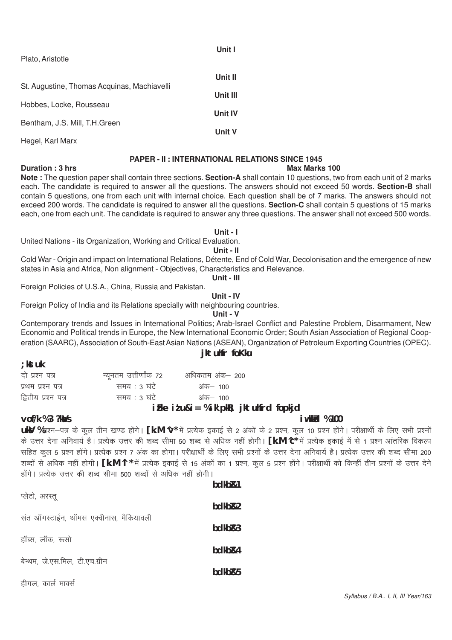| Plato, Aristotle                            |                |
|---------------------------------------------|----------------|
| St. Augustine, Thomas Acquinas, Machiavelli | Unit II        |
|                                             | Unit III       |
| Hobbes, Locke, Rousseau                     | <b>Unit IV</b> |
| Bentham, J.S. Mill, T.H.Green               | Unit V         |
| Hegel, Karl Marx                            |                |

### **PAPER - II: INTERNATIONAL RELATIONS SINCE 1945**

Unit I

#### **Max Marks 100**

Note: The question paper shall contain three sections. Section-A shall contain 10 questions, two from each unit of 2 marks each. The candidate is required to answer all the questions. The answers should not exceed 50 words. Section-B shall contain 5 questions, one from each unit with internal choice. Each question shall be of 7 marks. The answers should not exceed 200 words. The candidate is required to answer all the questions. Section-C shall contain 5 questions of 15 marks each, one from each unit. The candidate is required to answer any three questions. The answer shall not exceed 500 words.

#### Unit - I

United Nations - its Organization, Working and Critical Evaluation.

#### Unit -  $II$

Cold War - Origin and impact on International Relations, Détente, End of Cold War, Decolonisation and the emergence of new states in Asia and Africa, Non alignment - Objectives, Characteristics and Relevance.

Unit - III

Foreign Policies of U.S.A., China, Russia and Pakistan.

Unit - IV

Foreign Policy of India and its Relations specially with neighbouring countries.

Unit - V

Contemporary trends and Issues in International Politics; Arab-Israel Conflict and Palestine Problem, Disarmament, New Economic and Political trends in Europe, the New International Economic Order; South Asian Association of Regional Cooperation (SAARC), Association of South-East Asian Nations (ASEAN), Organization of Petroleum Exporting Countries (OPEC).

# jktuhfr foKku

|              | अधिकतम अंक— 200        |
|--------------|------------------------|
| समय : ३ घंटे | अंक— 100               |
| समय : ३ घंटे | अंक— 100               |
|              | न्यूनतम उत्तीर्णांक 72 |

# iFke  $i$  tu&i = % ik'pkR; jktuhfrd fopkjd

#### vof/k %3 ?ka/s

; kst uk

Duration: 3 hrs

#### i w kk/cl % 100

UkV %प्रश्न–पत्र के कल तीन खण्ड होंगे। [k.M ∿\* में प्रत्येक इकाई से 2 अंकों के 2 प्रश्न, कल 10 प्रश्न होंगे। परीक्षार्थी के लिए सभी प्रश्नों के उत्तर देना अनिवार्य है। प्रत्येक उत्तर की शब्द सीमा 50 शब्द से अधिक नहीं होगी। **[k.M ^c**\* में प्रत्येक इकाई में से 1 प्रश्न आंतरिक विकल्प सहित कल 5 प्रश्न होंगे। प्रत्येक प्रश्न 7 अंक का होगा। परीक्षार्थी के लिए सभी प्रश्नों के उत्तर देना अनिवार्य है। प्रत्येक उत्तर की शब्द सीमा 200 शब्दों से अधिक नहीं होगी। **[k.M ^l \*** में प्रत्येक इकाई से 15 अंकों का 1 प्रश्न, कूल 5 प्रश्न होंगे। परीक्षार्थी को किन्हीं तीन प्रश्नों के उत्तर देने होंगे। प्रत्येक उत्तर की शब्द सीमा 500 शब्दों से अधिक नहीं होगी।  $hdlhR.1$ 

| प्लेटो, अरस्तू                         | <b>UUNULX I</b> |
|----------------------------------------|-----------------|
|                                        | bdkbR2          |
| संत ऑगस्टाईन, थॉमस एक्वीनास, मैकियावली | bdkb&3          |
| हॉब्स, लॉक, रूसो                       | bdkb&4          |
| बेन्थम, जे.एस.मिल, टी.एच.ग्रीन         | bdkb&5          |
| हीगल, कार्ल मार्क्स                    |                 |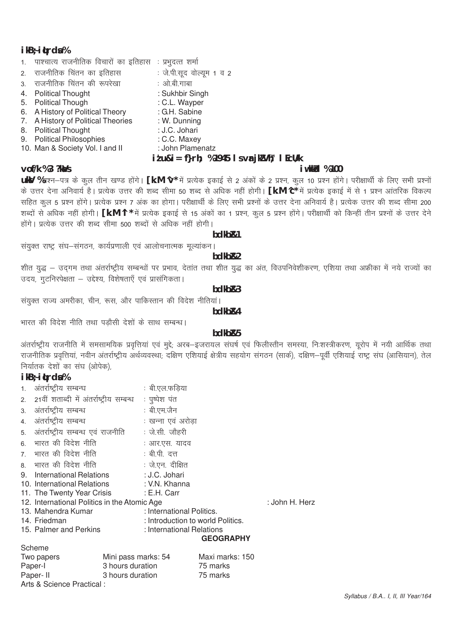### $ikB$ ;  $ikB$

|                                         | $i$ <i>t</i> u&i = f}rh; %1945 l s $\forall$ <b>r</b> jk $\forall$ h; l EcU/k |
|-----------------------------------------|-------------------------------------------------------------------------------|
| 10. Man & Society Vol. I and II         | : John Plamenatz                                                              |
| 9. Political Philosophies               | : C.C. Maxey                                                                  |
| 8. Political Thought                    | : J.C. Johari                                                                 |
| 7. A History of Political Theories      | : W. Dunning                                                                  |
| 6. A History of Political Theory        | : G.H. Sabine                                                                 |
| 5. Political Though                     | : C.L. Wayper                                                                 |
| 4. Political Thought                    | : Sukhbir Singh                                                               |
| 3. राजनीतिक चिंतन की रूपरेखा            | : ओ.बी.गाबा                                                                   |
| 2. राजनीतिक चिंतन का इतिहास             | : जे.पी.सूद वोल्यूम 1 व 2                                                     |
| 1. पाश्चात्य राजनीतिक विचारों का इतिहास | ः प्रभुदत्त शर्मा                                                             |
|                                         |                                                                               |

# vof/k %3 ?ka/s

### *i* wkk/d %100

uky %प्रश्न-पत्र के कुल तीन खण्ड होंगे। [k.M ^v\* में प्रत्येक इकाई से 2 अंकों के 2 प्रश्न, कुल 10 प्रश्न होंगे। परीक्षार्थी के लिए सभी प्रश्नों के उत्तर देना अनिवार्य है। प्रत्येक उत्तर की शब्द सीमा 50 शब्द से अधिक नहीं होगी। [k.M ^c\* में प्रत्येक इकाई में से 1 प्रश्न आंतरिक विकल्प सहित कूल 5 प्रश्न होंगे। प्रत्येक प्रश्न 7 अंक का होगा। परीक्षार्थी के लिए सभी प्रश्नों के उत्तर देना अनिवार्य है। प्रत्येक उत्तर की शब्द सीमा 200 शब्दों से अधिक नहीं होगी। [k.M ^l \* में प्रत्येक इकाई से 15 अंकों का 1 प्रश्न, कुल 5 प्रश्न होंगे। परीक्षार्थी को किन्हीं तीन प्रश्नों के उत्तर देने होंगे। प्रत्येक उत्तर की शब्द सीमा 500 शब्दों से अधिक नहीं होगी।

#### bdkb<sub>R1</sub>

संयुक्त राष्ट्र संघ–संगठन, कार्यप्रणाली एवं आलोचनात्मक मूल्यांकन।

hdkh<sub>R2</sub>

शीत युद्ध – उदगम तथा अंतर्राष्ट्रीय सम्बन्धों पर प्रभाव, देतांत तथा शीत युद्ध का अंत, विउपनिवेशीकरण, एशिया तथा अफ्रीका में नये राज्यों का उदय, गटनिरपेक्षता – उद्देश्य, विशेषताएँ एवं प्रासंगिकता।

#### bdkbR3

संयुक्त राज्य अमरीका, चीन, रूस, और पाकिस्तान की विदेश नीतियां।

bdkb<sub>R4</sub>

भारत की विदेश नीति तथा पडौसी देशों के साथ सम्बन्ध।

# hdkh<sub>R5</sub>

अंतर्राष्ट्रीय राजनीति में समसामयिक प्रवृत्तियां एवं मुद्दे; अरब–इजरायल संघर्ष एवं फिलीस्तीन समस्या, निःशस्त्रीकरण, यूरोप में नयी आर्थिक तथा राजनीतिक प्रवृत्तियां, नवीन अंतर्राष्ट्रीय अर्थव्यवस्था; दक्षिण एशियाई क्षेत्रीय सहयोग संगठन (सार्क), दक्षिण–पूर्वी एशियाई राष्ट्र संघ (आसियान), तेल निर्यातक देशों का संघ (ओपेक),

# $ikB$ ;  $ikB$

| 1. | अंतर्राष्ट्रीय सम्बन्ध                       |                     | : बी.एल.फडिया                     |                  |                |
|----|----------------------------------------------|---------------------|-----------------------------------|------------------|----------------|
|    | 2. 21वीं शताब्दी में अंतर्राष्ट्रीय सम्बन्ध  |                     | : पूष्पेश पंत                     |                  |                |
|    | 3. अंतर्राष्ट्रीय सम्बन्ध                    |                     | : बी.एम.जैन                       |                  |                |
| 4. | अंतर्राष्ट्रीय सम्बन्ध                       |                     | : खन्ना एवं अरोडा                 |                  |                |
|    | 5. अंतर्राष्ट्रीय सम्बन्ध एवं राजनीति        |                     | : जे.सी. जौहरी                    |                  |                |
| 6. | भारत की विदेश नीति                           |                     | : आर.एस. यादव                     |                  |                |
|    | 7. भारत की विदेश नीति                        |                     | : बी.पी. दत्त                     |                  |                |
|    | 8. भारत की विदेश नीति                        |                     | : जे.एन. दीक्षित                  |                  |                |
| 9. | International Relations                      |                     | : J.C. Johari                     |                  |                |
|    | 10. International Relations                  |                     | : V.N. Khanna                     |                  |                |
|    | 11. The Twenty Year Crisis                   |                     | : E.H. Carr                       |                  |                |
|    | 12. International Politics in the Atomic Age |                     |                                   |                  | : John H. Herz |
|    | 13. Mahendra Kumar                           |                     | : International Politics.         |                  |                |
|    | 14. Friedman                                 |                     | : Introduction to world Politics. |                  |                |
|    | 15. Palmer and Perkins                       |                     | : International Relations         |                  |                |
|    |                                              |                     |                                   | <b>GEOGRAPHY</b> |                |
|    | Scheme                                       |                     |                                   |                  |                |
|    | Two papers                                   | Mini pass marks: 54 |                                   | Maxi marks: 150  |                |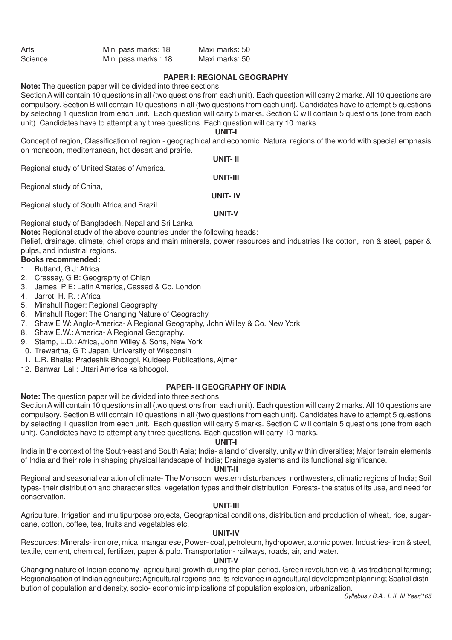| Arts    | Mini pass marks: 18 | Maxi marks: 50 |
|---------|---------------------|----------------|
| Science | Mini pass marks: 18 | Maxi marks: 50 |

#### **PAPER I: REGIONAL GEOGRAPHY**

**Note:** The question paper will be divided into three sections.

Section A will contain 10 questions in all (two questions from each unit). Each question will carry 2 marks. All 10 questions are compulsory. Section B will contain 10 questions in all (two questions from each unit). Candidates have to attempt 5 questions by selecting 1 question from each unit. Each question will carry 5 marks. Section C will contain 5 questions (one from each unit). Candidates have to attempt any three questions. Each question will carry 10 marks.

#### **UNIT-I**

Concept of region, Classification of region - geographical and economic. Natural regions of the world with special emphasis on monsoon, mediterranean, hot desert and prairie.

**UNIT- II** Regional study of United States of America. **UNIT-III** Regional study of China, **UNIT- IV** Regional study of South Africa and Brazil.

**UNIT-V**

Regional study of Bangladesh, Nepal and Sri Lanka.

**Note:** Regional study of the above countries under the following heads:

Relief, drainage, climate, chief crops and main minerals, power resources and industries like cotton, iron & steel, paper & pulps, and industrial regions.

# **Books recommended:**

- 1. Butland, G J: Africa
- 2. Crassey, G B: Geography of Chian
- 3. James, P E: Latin America, Cassed & Co. London
- 4. Jarrot, H. R. : Africa
- 5. Minshull Roger: Regional Geography
- 6. Minshull Roger: The Changing Nature of Geography.
- 7. Shaw E W: Anglo-America- A Regional Geography, John Willey & Co. New York
- 8. Shaw E.W.: America- A Regional Geography.
- 9. Stamp, L.D.: Africa, John Willey & Sons, New York
- 10. Trewartha, G T: Japan, University of Wisconsin
- 11. L.R. Bhalla: Pradeshik Bhoogol, Kuldeep Publications, Ajmer
- 12. Banwari Lal : Uttari America ka bhoogol.

#### **PAPER- II GEOGRAPHY OF INDIA**

**Note:** The question paper will be divided into three sections.

Section A will contain 10 questions in all (two questions from each unit). Each question will carry 2 marks. All 10 questions are compulsory. Section B will contain 10 questions in all (two questions from each unit). Candidates have to attempt 5 questions by selecting 1 question from each unit. Each question will carry 5 marks. Section C will contain 5 questions (one from each unit). Candidates have to attempt any three questions. Each question will carry 10 marks.

#### **UNIT-I**

India in the context of the South-east and South Asia; India- a land of diversity, unity within diversities; Major terrain elements of India and their role in shaping physical landscape of India; Drainage systems and its functional significance.

#### **UNIT-II**

Regional and seasonal variation of climate- The Monsoon, western disturbances, northwesters, climatic regions of India; Soil types- their distribution and characteristics, vegetation types and their distribution; Forests- the status of its use, and need for conservation.

#### **UNIT-III**

Agriculture, Irrigation and multipurpose projects, Geographical conditions, distribution and production of wheat, rice, sugarcane, cotton, coffee, tea, fruits and vegetables etc.

#### **UNIT-IV**

Resources: Minerals- iron ore, mica, manganese, Power- coal, petroleum, hydropower, atomic power. Industries- iron & steel, textile, cement, chemical, fertilizer, paper & pulp. Transportation- railways, roads, air, and water.

# **UNIT-V**

Changing nature of Indian economy- agricultural growth during the plan period, Green revolution vis-à-vis traditional farming; Regionalisation of Indian agriculture; Agricultural regions and its relevance in agricultural development planning; Spatial distribution of population and density, socio- economic implications of population explosion, urbanization.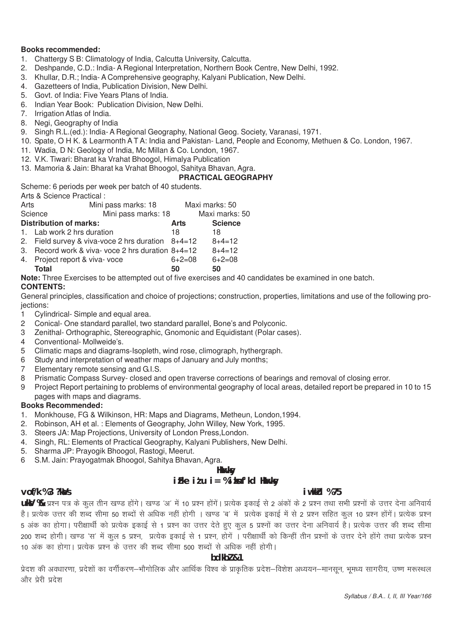#### **Books recommended:**

- 1. Chattergy S B: Climatology of India, Calcutta University, Calcutta.
- 2. Deshpande, C.D.: India- A Regional Interpretation, Northern Book Centre, New Delhi, 1992.
- 3. Khullar, D.R.; India- A Comprehensive geography, Kalyani Publication, New Delhi.
- 4. Gazetteers of India, Publication Division, New Delhi.
- 5. Govt. of India: Five Years Plans of India.
- 6. Indian Year Book: Publication Division, New Delhi.
- 7. Irrigation Atlas of India.
- 8. Negi, Geography of India
- 9. Singh R.L.(ed.): India- A Regional Geography, National Geog. Society, Varanasi, 1971.
- 10. Spate, O H K. & Learmonth A T A: India and Pakistan- Land, People and Economy, Methuen & Co. London, 1967.
- 11. Wadia, D N: Geology of India, Mc Millan & Co. London, 1967.
- 12. V.K. Tiwari: Bharat ka Vrahat Bhoogol, Himalya Publication
- 13. Mamoria & Jain: Bharat ka Vrahat Bhoogol, Sahitya Bhavan, Agra.

#### **PRACTICAL GEOGRAPHY**

Scheme: 6 periods per week per batch of 40 students.

Arts & Science Practical :

| Arts |                                                     | Mini pass marks: 18                                                                                             |              | Maxi marks: 50 |
|------|-----------------------------------------------------|-----------------------------------------------------------------------------------------------------------------|--------------|----------------|
|      | Science                                             | Mini pass marks: 18                                                                                             |              | Maxi marks: 50 |
|      | <b>Distribution of marks:</b>                       |                                                                                                                 | Arts         | <b>Science</b> |
|      | 1. Lab work 2 hrs duration                          |                                                                                                                 | 18           | 18             |
|      | 2. Field survey & viva-voce 2 hrs duration $8+4=12$ |                                                                                                                 |              | $8+4=12$       |
|      | 3. Record work & viva- voce 2 hrs duration 8+4=12   |                                                                                                                 |              | $8+4=12$       |
| 4.   | Project report & viva-voce                          |                                                                                                                 | $6 + 2 = 08$ | $6+2=08$       |
|      | <b>Total</b>                                        |                                                                                                                 | 50           | 50             |
|      |                                                     | the contract of the contract of the contract of the contract of the contract of the contract of the contract of |              |                |

**Note:** Three Exercises to be attempted out of five exercises and 40 candidates be examined in one batch.

#### **CONTENTS:**

General principles, classification and choice of projections; construction, properties, limitations and use of the following proiections:

- 1 Cylindrical- Simple and equal area.
- 2 Conical- One standard parallel, two standard parallel, Bone's and Polyconic.
- 3 Zenithal- Orthographic, Stereographic, Gnomonic and Equidistant (Polar cases).
- 4 Conventional- Mollweide's.
- 5 Climatic maps and diagrams-Isopleth, wind rose, climograph, hythergraph.
- 6 Study and interpretation of weather maps of January and July months;
- 7 Elementary remote sensing and G.I.S.
- 8 Prismatic Compass Survey- closed and open traverse corrections of bearings and removal of closing error.
- 9 Project Report pertaining to problems of environmental geography of local areas, detailed report be prepared in 10 to 15 pages with maps and diagrams.

#### **Books Recommended:**

- 1. Monkhouse, FG & Wilkinson, HR: Maps and Diagrams, Metheun, London,1994.
- 2. Robinson, AH et al. : Elements of Geography, John Willey, New York, 1995.
- 3. Steers JA: Map Projections, University of London Press,London.
- 4. Singh, RL: Elements of Practical Geography, Kalyani Publishers, New Delhi.
- 5. Sharma JP: Prayogik Bhoogol, Rastogi, Meerut.
- 6 S.M. Jain: Prayogatmak Bhoogol, Sahitya Bhavan, Agra.

#### **Hkwxksy**

# **izFke iz'u i= % izksnf'kd Hkwxksy**

#### **vof/k % 3 ?kaVs iw.kkZd % 75**

**ukV %** प्रश्न पत्र के कल तीन खण्ड होंगे। खण्ड 'अ' में 10 प्रश्न होंगें। प्रत्येक इकाई से 2 अंकों के 2 प्रश्न तथा सभी प्रश्नों के उत्तर देना अनिवार्य है। प्रत्येक उत्तर की शब्द सीमा 50 शब्दों से अधिक नहीं होगी । खण्ड 'ब' में प्रत्येक इकाई में से 2 प्रश्न सहित कल 10 प्रश्न होंगें। प्रत्येक प्रश्न 5 अंक का होगा। परीक्षार्थी को प्रत्येक इकाई से 1 प्रश्न का उत्तर देते हुए कुल 5 प्रश्नों का उत्तर देना अनिवार्य है। प्रत्येक उत्तर की शब्द सीमा 200 शब्द होगी। खण्ड 'स' में कुल 5 प्रश्न, प्रत्येक इकाई से 1 प्रश्न, होगें । परीक्षार्थी को किन्हीं तीन प्रश्नों के उत्तर देने होंगे तथा प्रत्येक प्रश्न 10 अंक का होगा। प्रत्येक प्रश्न के उत्तर की शब्द सीमा 500 शब्दों से अधिक नहीं होगी।

#### **bdkbZ &1**

प्रेदश की अवधारणा, प्रदेशों का वर्गीकरण—भौगोलिक और आर्थिक विश्व के प्राकृतिक प्रदेश—विशेश अध्ययन—मानसून, भूमध्य सागरीय, उष्ण मरूस्थल और पेरी प्रदेश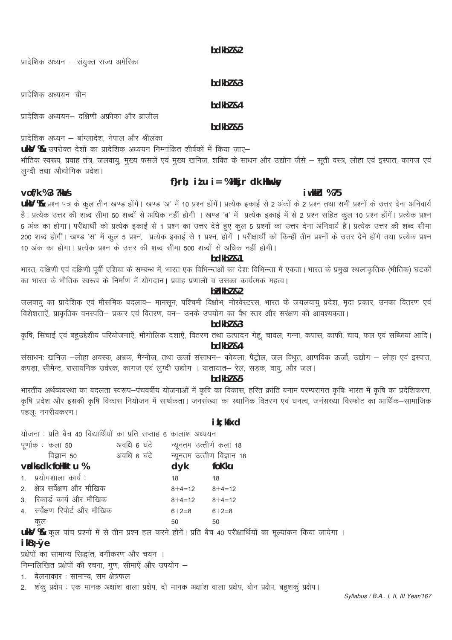bdkbl &2

प्रादेशिक अध्यन – संयुक्त राज्य अमेरिका

 $hdkh$  $l$   $R$ 3

# $hdkh$ <sub>7</sub> $g_4$

bdkbl &5

प्रादेशिक अध्यन – बांग्लादेश, नेपाल और श्रीलंका

प्रादेशिक अध्ययन– दक्षिणी अफ्रीका और ब्राजील

**ukV %** उपरोक्त देशों का प्रादेशिक अध्ययन निम्नांकित शीर्षकों में किया जाए–

भौतिक स्वरूप, प्रवाह तंत्र, जलवायु, मुख्य फसलें एवं मुख्य खनिज, शक्ति के साधन और उद्योग जैसे – सूती वस्त्र, लोहा एवं इस्पात, कागज एवं लग्दी तथा औद्योगिक प्रदेश।

# f} $r h$ ; it u i = %Hkkjr dk Hkukky

# vof/k %3 ?ka/s

प्रादेशिक अध्ययन–चीन

# i wkkid %75

UKV % प्रश्न पत्र के कुल तीन खण्ड होंगे। खण्ड 'अ' में 10 प्रश्न होंगें। प्रत्येक इकाई से 2 अंकों के 2 प्रश्न तथा सभी प्रश्नों के उत्तर देना अनिवार्य है। प्रत्येक उत्तर की शब्द सीमा 50 शब्दों से अधिक नहीं होगी । खण्ड 'ब' में प्रत्येक इकाई में से 2 प्रश्न सहित कूल 10 प्रश्न होंगें। प्रत्येक प्रश्न 5 अंक का होगा। परीक्षार्थी को प्रत्येक इकाई से 1 प्रश्न का उत्तर देते हुए कुल 5 प्रश्नों का उत्तर देना अनिवार्य है। प्रत्येक उत्तर की शब्द सीमा 200 शब्द होगी। खण्ड 'स' में कुल 5 प्रश्न, प्रत्येक इकाई से 1 प्रश्न, होगें । परीक्षार्थी को किन्हीं तीन प्रश्नों के उत्तर देने होंगे तथा प्रत्येक प्रश्न 10 अंक का होगा। प्रत्येक प्रश्न के उत्तर की शब्द सीमा 500 शब्दों से अधिक नहीं होगी।

# bdkbl &1

भारत, दक्षिणी एवं दक्षिणी पूर्वी एशिया के सम्बन्ध में, भारत एक विभिन्न्तओं का देशः विभिन्न्ता में एकता। भारत के प्रमुख स्थलाकृतिक (भौतिक) घटकों का भारत के भौतिक स्वरूप के निर्माण में योगदान। प्रवाह प्रणाली व उसका कार्यत्मक महत्व।

#### $b$  $d$  $kb$  $l$   $k$  $2$

जलवायु का प्रादेशिक एवं मौसमिक बदलाव– मानसून, पश्चिमी विक्षोभ, नोरवेस्टरस, भारत के जयलवायु प्रदेश, मृदा प्रकार, उनका वितरण एवं .<br>विशेशताऐं, प्राकृतिक वनस्पति– प्रकार एवं वितरण, वन– उनके उपयोग का वैध स्तर और सरक्षण की आवश्यकता |

### bdkbl &3

कृषि, सिंचाई एवं बहुउद्देशीय परियोजनाऐं, भौगोलिक दशाऐं, वितरण तथा उत्पादन गेहूं, चावल, गन्ना, कपास, काफी, चाय, फल एवं सब्जियां आदि। bdkbl &4

संसाधनः खनिज –लोहा अयस्क, अभ्रक, मैंग्नीज, तथा ऊर्जा संसाधन– कोयला, पैट्रोल, जल विधुत, आणविक ऊर्जा, उद्योग – लोहा एवं इस्पात, कपड़ा, सीमेन्ट, रासायनिक उर्वरक, कागज एवं लुग्दी उद्योग । यातायात– रेल, सड़क, वायू, और जल।

#### $hdkh$  $2.5$

भारतीय अर्थव्यवस्था का बदलता स्वरूप-पंचवर्षीय योजनाओं में कृषि का विकास, हरित क्रांति बनाम परम्परागत कृषिः भारत में कृषि का प्रदेशिकरण, कृषि प्रदेश और इसकी कृषि विकास नियोजन में सार्थकता। जनसंख्या का स्थानिक वितरण एवं घनत्व, जनसख्या विस्फोट का आर्थिक–सामाजिक पहलः नगरीयकरण ।

# ik: kfxd

| योजना : प्रति बैच 40 विद्यार्थियों का प्रति सप्ताह 6 कालांश अध्ययन |                                           |                   |                                                                                                                 |
|--------------------------------------------------------------------|-------------------------------------------|-------------------|-----------------------------------------------------------------------------------------------------------------|
| पूर्णाक : कला 50                                                   | अवधि ६ घंटे       न्यूनतम उत्तीर्ण कला 18 |                   |                                                                                                                 |
| विज्ञान 50 व्यावधि 6 घंटे न्यूनतम उत्तीण विज्ञान 18                |                                           |                   |                                                                                                                 |
| vadks dk follkktu %                                                |                                           | dyk               | foKku                                                                                                           |
| 1. प्रयोगशाला कार्य:                                               |                                           | 18                | 18                                                                                                              |
| 2. क्षेत्र सर्वेक्षण और मौखिक                                      |                                           | $8+4=12$ $8+4=12$ |                                                                                                                 |
| 3. रिकार्ड कार्य और मौखिक                                          |                                           | $8+4=12$ $8+4=12$ |                                                                                                                 |
| 4. सर्वेक्षण रिपोर्ट और मौखिक                                      |                                           | $6 + 2 = 8$       | $6+2=8$                                                                                                         |
| कुल                                                                |                                           | 50                | 50                                                                                                              |
|                                                                    |                                           |                   | UkV % कुल पांच प्रश्नों में से तीन प्रश्न हल करने होगें। प्रति बैच 40 परीक्षार्थियों का मूल्यांकन किया जायेगा । |
| $ikB; \emptyset e$                                                 |                                           |                   |                                                                                                                 |
| प्रक्षेपों का सामान्य सिद्धांत, वर्गीकरण और चयन ।                  |                                           |                   |                                                                                                                 |

निम्नलिखित प्रक्षेपों की रचना, गूण, सीमाऐं और उपयोग -

1. बेलनाकार: सामान्य, सम क्षेत्रफल

शंकू प्रक्षेप : एक मानक अक्षांश वाला प्रक्षेप, दो मानक अक्षांश वाला प्रक्षेप, बोन प्रक्षेप, बहुशकूं प्रक्षेप।  $2.$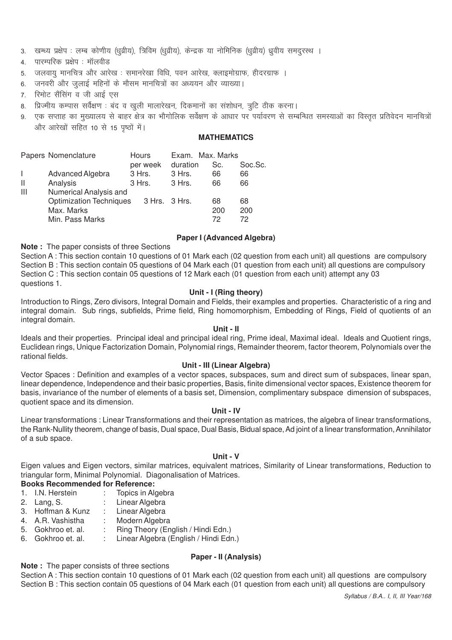- 3. खम्ध्य प्रक्षेप : लम्ब कोणीय (धूव्रीय), त्रिविम (धूव्रीय), केन्द्रक या नोमिनिक (धूव्रीय) ध्रूवीय समदूरस्थ ।
- 4. पारम्परिक प्रक्षेप : मॉलवीड
- 5. जलवायु मानचित्र और आरेख: समानरेखा विधि, पवन आरेख, क्लाइमोग्राफ, हीदरग्राफ ।
- 6. जनवरी और जुलाई महिनों के मौसम मानचित्रों का अध्ययन और व्याख्या।
- 7. रिमोट सैंसिंग व जी आई एस
- 8. प्रिज्मीय कम्पास सर्वेक्षण : बंद व खुली मालारेखन, दिकमानों का संशोधन, त्रूटि ठीक करना।
- 9. एक सप्ताह का मख्यालय से बाहर क्षेत्र का भौगोलिक सर्वेक्षण के आधार पर पर्यावरण से सम्बन्धित समस्याओं का विस्तत प्रतिवेदन मानचित्रों और आरेखों सहित 10 से 15 पृष्ठों में।

# **MATHEMATICS**

|              | Papers Nomenclature            | Hours         | Exam. Max. Marks |     |         |
|--------------|--------------------------------|---------------|------------------|-----|---------|
|              |                                | per week      | duration         | Sc. | Soc.Sc. |
|              | Advanced Algebra               | 3 Hrs.        | 3 Hrs.           | 66  | 66      |
| $\mathbf{I}$ | Analysis                       | 3 Hrs.        | 3 Hrs.           | 66  | 66      |
| Ш            | Numerical Analysis and         |               |                  |     |         |
|              | <b>Optimization Techniques</b> | 3 Hrs. 3 Hrs. |                  | 68  | 68      |
|              | Max. Marks                     |               |                  | 200 | 200     |
|              | Min. Pass Marks                |               |                  | 72  | 72      |

#### **Paper I (Advanced Algebra)**

**Note :** The paper consists of three Sections

Section A : This section contain 10 questions of 01 Mark each (02 question from each unit) all questions are compulsory Section B : This section contain 05 questions of 04 Mark each (01 question from each unit) all questions are compulsory Section C : This section contain 05 questions of 12 Mark each (01 question from each unit) attempt any 03 questions 1.

#### **Unit - I (Ring theory)**

Introduction to Rings, Zero divisors, Integral Domain and Fields, their examples and properties. Characteristic of a ring and integral domain. Sub rings, subfields, Prime field, Ring homomorphism, Embedding of Rings, Field of quotients of an integral domain.

#### **Unit - II**

Ideals and their properties. Principal ideal and principal ideal ring, Prime ideal, Maximal ideal. Ideals and Quotient rings, Euclidean rings, Unique Factorization Domain, Polynomial rings, Remainder theorem, factor theorem, Polynomials over the rational fields.

#### **Unit - III (Linear Algebra)**

Vector Spaces : Definition and examples of a vector spaces, subspaces, sum and direct sum of subspaces, linear span, linear dependence, Independence and their basic properties, Basis, finite dimensional vector spaces, Existence theorem for basis, invariance of the number of elements of a basis set, Dimension, complimentary subspace dimension of subspaces, quotient space and its dimension.

#### **Unit - IV**

Linear transformations : Linear Transformations and their representation as matrices, the algebra of linear transformations, the Rank-Nullity theorem, change of basis, Dual space, Dual Basis, Bidual space, Ad joint of a linear transformation, Annihilator of a sub space.

#### **Unit - V**

Eigen values and Eigen vectors, similar matrices, equivalent matrices, Similarity of Linear transformations, Reduction to triangular form, Minimal Polynomial. Diagonalisation of Matrices.

# **Books Recommended for Reference:**

- 1. I.N. Herstein : Topics in Algebra
- 2. Lang, S. : Linear Algebra
- 3. Hoffman & Kunz : Linear Algebra
- 4. A.R. Vashistha : Modern Algebra
- 5. Gokhroo et. al. : Ring Theory (English / Hindi Edn.)
- 6. Gokhroo et. al. : Linear Algebra (English / Hindi Edn.)

#### **Paper - II (Analysis)**

**Note :** The paper consists of three sections

Section A : This section contain 10 questions of 01 Mark each (02 question from each unit) all questions are compulsory Section B : This section contain 05 questions of 04 Mark each (01 question from each unit) all questions are compulsory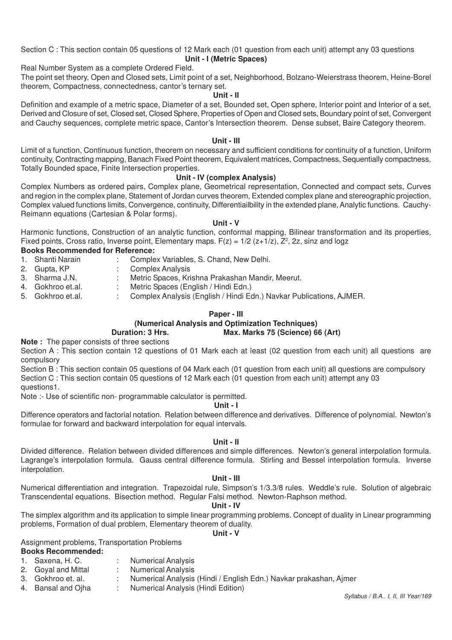Section C : This section contain 05 questions of 12 Mark each (01 question from each unit) attempt any 03 questions **Unit - I (Metric Spaces)**

Real Number System as a complete Ordered Field.

The point set theory, Open and Closed sets, Limit point of a set, Neighborhood, Bolzano-Weierstrass theorem, Heine-Borel theorem, Compactness, connectedness, cantor's ternary set.

#### **Unit - II**

Definition and example of a metric space, Diameter of a set, Bounded set, Open sphere, Interior point and Interior of a set, Derived and Closure of set, Closed set, Closed Sphere, Properties of Open and Closed sets, Boundary point of set, Convergent and Cauchy sequences, complete metric space, Cantor's Intersection theorem. Dense subset, Baire Category theorem.

#### **Unit - III**

Limit of a function, Continuous function, theorem on necessary and sufficient conditions for continuity of a function, Uniform continuity, Contracting mapping, Banach Fixed Point theorem, Equivalent matrices, Compactness, Sequentially compactness, Totally Bounded space, Finite Intersection properties.

#### **Unit - IV (complex Analysis)**

Complex Numbers as ordered pairs, Complex plane, Geometrical representation, Connected and compact sets, Curves and region in the complex plane, Statement of Jordan curves theorem, Extended complex plane and stereographic projection, Complex valued functions limits, Convergence, continuity, Differentiailbility in the extended plane, Analytic functions. Cauchy-Reimann equations (Cartesian & Polar forms).

#### **Unit - V**

Harmonic functions, Construction of an analytic function, conformal mapping, Bilinear transformation and its properties, Fixed points, Cross ratio, Inverse point, Elementary maps.  $F(z) = 1/2$  (z+1/z),  $Z^2$ , 2z, sinz and logz

#### **Books Recommended for Reference:**

- 1. Shanti Narain : Complex Variables, S. Chand, New Delhi.
- 2. Gupta, KP : Complex Analysis
- 3. Sharma J.N. : Metric Spaces, Krishna Prakashan Mandir, Meerut.<br>4. Gokhroo et.al. : Metric Spaces (English / Hindi Edn.)
- 4. Gokhroo et.al. : Metric Spaces (English / Hindi Edn.)<br>5. Gokhroo et.al. : Complex Analysis (English / Hindi Ed
- : Complex Analysis (English / Hindi Edn.) Navkar Publications, AJMER.

#### **Paper - III**

### **(Numerical Analysis and Optimization Techniques) Duration: 3 Hrs. Max. Marks 75 (Science) 66 (Art)**

# **Note :** The paper consists of three sections

Section A : This section contain 12 questions of 01 Mark each at least (02 question from each unit) all questions are compulsory

Section B : This section contain 05 questions of 04 Mark each (01 question from each unit) all questions are compulsory Section C : This section contain 05 questions of 12 Mark each (01 question from each unit) attempt any 03 questions1.

Note :- Use of scientific non- programmable calculator is permitted.

#### **Unit - I**

Difference operators and factorial notation. Relation between difference and derivatives. Difference of polynomial. Newton's formulae for forward and backward interpolation for equal intervals.

#### **Unit - II**

Divided difference. Relation between divided differences and simple differences. Newton's general interpolation formula. Lagrange's interpolation formula. Gauss central difference formula. Stirling and Bessel interpolation formula. Inverse interpolation.

#### **Unit - III**

Numerical differentiation and integration. Trapezoidal rule, Simpson's 1/3.3/8 rules. Weddle's rule. Solution of algebraic Transcendental equations. Bisection method. Regular Falsi method. Newton-Raphson method.

#### **Unit - IV**

The simplex algorithm and its application to simple linear programming problems. Concept of duality in Linear programming problems, Formation of dual problem, Elementary theorem of duality.

#### **Unit - V**

Assignment problems, Transportation Problems

# **Books Recommended:**

- 1. Saxena, H. C. : Numerical Analysis
	-
- 2. Goyal and Mittal : Numerical Analysis<br>3. Gokhroo et. al. . . . . . Numerical Analysis
- 3. Gokhroo et. al. : Numerical Analysis (Hindi / English Edn.) Navkar prakashan, Ajmer<br>4. Bansal and Oiha : Numerical Analysis (Hindi Edition)
	- : Numerical Analysis (Hindi Edition)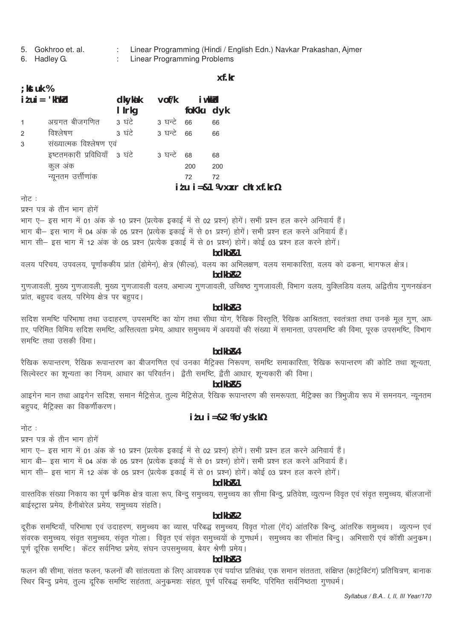- 5. Gokhroo et. al. 6. Hadley G.
- Linear Programming (Hindi / English Edn.) Navkar Prakashan, Ajmer
- **Linear Programming Problems**

xf.kr

| ; kst uk %                                                                 |                               |                     |            |               |                                              |
|----------------------------------------------------------------------------|-------------------------------|---------------------|------------|---------------|----------------------------------------------|
| $i \, \ell \, \mathsf{ui} = \mathsf{'}\mathsf{kh} \mathsf{''} \mathsf{kd}$ |                               | <b>dkykak</b>       |            | vof/k i wkkld |                                              |
|                                                                            |                               | I Irkg              |            | foKku dyk     |                                              |
| $\mathbf{1}$                                                               | अग्रगत बीजगणित        3  घंटे |                     | 3 घन्टे 66 |               | 66                                           |
| $\overline{2}$                                                             | विश्लेषण                      | 3 घंटे - 3 घन्टे 66 |            |               | 66                                           |
| 3                                                                          | संख्यात्मक विश्लेषण एवं       |                     |            |               |                                              |
|                                                                            | इष्टतमकारी प्रविधियाँ 3 घंटे  |                     | 3 घन्टे 68 |               | 68                                           |
|                                                                            | कुल अंक                       |                     |            | 200           | 200                                          |
|                                                                            | न्यूनतम उर्त्तीणांक           |                     |            | 72            | 72                                           |
|                                                                            |                               |                     |            |               | $i$ tu $i = 81$ Wyxar chtxf.kr $\frac{1}{2}$ |
|                                                                            |                               |                     |            |               |                                              |

नोट :

प्रश्न पत्र के तीन भाग होगें

भाग ए– इस भाग में 01 अंक के 10 प्रश्न (प्रत्येक इकाई में से 02 प्रश्न) होगें। सभी प्रश्न हल करने अनिवार्य हैं।

भाग बी– इस भाग में 04 अंक के 05 प्रश्न (प्रत्येक इकाई में से 01 प्रश्न) होगें। सभी प्रश्न हल करने अनिवार्य हैं।

भाग सी– इस भाग में 12 अंक के 05 प्रश्न (प्रत्येक इकाई में से 01 प्रश्न) होगें। कोई 03 प्रश्न हल करने होगें।

#### bdkb<sub>R1</sub>

वलय परिचय, उपवलय, पूर्णांककीय प्रांत (डोमेन), क्षेत्र (फील्ड), वलय का अभिलक्षण, वलय समाकारिता, वलय को ढकना, भागफल क्षेत्र।

### bdkb<sub>R2</sub>

गुणजावली, मुख्य गुणजावली, मुख्य गुणजावली वलय, अभाज्य गुणजावली, उच्चिष्ठ गुणजावली, विभाग वलय, युक्लिडिय वलय, अद्वितीय गणनखंडन प्रांत, बहपद वलय, परिमेय क्षेत्र पर बहपद।

# $hdkhR3$

सदिश समष्टि परिभाषा तथा उदाहरण, उपसमष्टि का योग तथा सीधा योग, रैखिक विस्तृति, रैखिक आश्रितता, स्वतंत्रता तथा उनके मूल गुण, आध TIर, परिमित विमिय सदिश समष्टि, अस्तित्वता प्रमेय, आधार समुच्चय में अवयवों की संख्या में समानता, उपसमष्टि की विमा, पूरक उपसमष्टि, विभाग समष्टि तथा उसकी विमा।

# bdkb<sub>R4</sub>

रैखिक रूपान्तरण, रैखिक रूपान्तरण का बीजगणित एवं उनका मैट्रिक्स निरूपण, समष्टि समाकारिता, रैखिक रूपान्तरण की कोटि तथा शून्यता, सिल्वेस्टर का शून्यता का नियम, आधार का परिवर्तन। द्वैती समष्टि, द्वैती आधार, शून्यकारी की विमा।

#### bdkb<sub>R5</sub>

आइगेन मान तथा आइगेन सदिश, समान मैट्रिसेज, तुल्य मैट्रिसेज, रैखिक रूपान्तरण की समरूपता, मैट्रिक्स का त्रिभुजीय रूप में समनयन, न्यूनतम बहुपद, मैट्रिक्स का विकर्णीकरण।

# $i \, i \, u \, i = 82$  *Mo*  $y$ *sk.kh*

नोट :

प्रश्न पत्र के तीन भाग होगें

भाग ए– इस भाग में 01 अंक के 10 प्रश्न (प्रत्येक इकाई में से 02 प्रश्न) होगें। सभी प्रश्न हल करने अनिवार्य हैं। भाग बी– इस भाग में 04 अंक के 05 प्रश्न (प्रत्येक इकाई में से 01 प्रश्न) होगें। सभी प्रश्न हल करने अनिवार्य हैं। भाग सी– इस भाग में 12 अंक के 05 प्रश्न (प्रत्येक इकाई में से 01 प्रश्न) होगें। कोई 03 प्रश्न हल करने होगें।

#### bdkb<sub>R1</sub>

वास्तविक संख्या निकाय का पूर्ण कमिक क्षेत्र वाला रूप, बिन्दु समुच्चय, समुच्चय का सीमा बिन्दु, प्रतिवेश, व्युत्पन्न विवृत एवं संवृत समुच्चय, बॉलजानों बाईस्ट्रास प्रमेय, हैनीबोरेल प्रमेय, समुच्चय सहति।

### hdkh<sub>R2</sub>

दूरीक समष्टियाँ, परिभाषा एवं उदाहरण, समुच्चय का व्यास, परिबद्ध समुच्चय, विवृत गोला (गेंद) आंतरिक बिन्दु, आंतरिक समुच्चय। व्युत्पन्न एवं ्<br>संवरक समुच्चय, सवृत समुच्चय, सवृत गोला। विवृत एवं सवृत समुच्चयों के गुणधर्म। समुच्चय का सीमांत बिन्दु। अभिसारी एवं कॉशी अनुकम। पूर्ण दूरिक समष्टि। केंटर सर्वनिष्ठ प्रमेय, संघन उपसमूच्चय, बेयर श्रेणी प्रमेय।

#### bdkb<sub>R3</sub>

फलन की सीमा, संतत फलन, फलनों की सांतत्यता के लिए आवश्यक एवं पर्याप्त प्रतिबंध, एक समान संततता, संक्षिप्त (काट्रेक्टिंग) प्रतिचित्रण, बानाक स्थिर बिन्दु प्रमेय, तुल्य दूरिक समष्टि सहतता, अनुक्रमशः संहत, पूर्ण परिबद्ध समष्टि, परिमित सर्वनिष्ठता गुणधर्म।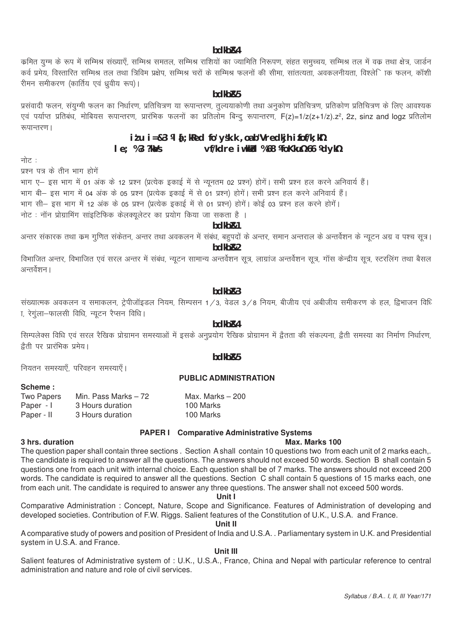#### bdkb<sub>R4</sub>

कमित युग्म के रूप में सम्मिश्र संख्याएँ, सम्मिश्र समतल, सम्मिश्र राशियों का ज्यामिति निरूपण, संहत समुच्चय, सम्मिश्र तल में वक तथा क्षेत्र, जार्डन कर्व प्रमेय, विस्तारित सम्मिश्र तल तथा त्रिविम प्रक्षेप, सम्मिश्र चरों के सम्मिश्र फलनों की सीमा, सांतत्यता, अवकलनीयता, विश्लेिाक फलन, कॉशी रीमन समीकरण (कार्तिय एवं ध्रवीय रूप)।

#### hdkh<sub>R5</sub>

प्रसंवादी फलन, संयुग्मी फलन का निर्धारण, प्रतिचित्रण या रूपान्तरण, तुल्ययाकोणी तथा अनुकोण प्रतिचित्रण, प्रतिकोण प्रतिचित्रण के लिए आवश्यक vs work was a construction of the construction of the construction of the construction of the construction of t<br>एवं पर्याप्त प्रतिबंध, मोबियस रूपान्तरण, प्रारंभिक फलनों का प्रतिलोम बिन्दु रूपान्तरण, F(z)=1/z(z+1/z).z², 2z रूपान्तरण ।

#### $i$  tu  $i = 83$  M  $i$ ; kRed fo'ysk.k, oa b"Vredkjh ifof/k; k $i$  $le: %3?kMs$ vf/kdre iwkkid %68 ¥ioKku½66 ¥dyk½

नोट :

पश्न पत्र के तीन भाग होगें

भाग ए– इस भाग में 01 अंक के 12 प्रश्न (प्रत्येक इकाई में से न्यूनतम 02 प्रश्न) होगें। सभी प्रश्न हल करने अनिवार्य हैं। भाग बी— इस भाग में 04 अंक के 05 प्रश्न (प्रत्येक इकाई में से 01 प्रश्न) होगें। सभी प्रश्न हल करने अनिवार्य हैं। भाग सी– इस भाग में 12 अंक के 05 प्रश्न (प्रत्येक इकाई में से 01 प्रश्न) होगें। कोई 03 प्रश्न हल करने होगें। नोट : नॉन प्रोग्रामिंग सांइटिफिक केलक्युलेटर का प्रयोग किया जा सकता है ।

hdkh<sub>R1</sub>

अन्तर संकारक तथा कम गुणित संकेतन, अन्तर तथा अवकलन में संबंध, बहुपदों के अन्तर, समान अन्तराल के अन्तर्वेशन के न्यूटन अग्र व पश्च सूत्र।  $hdkhR2$ 

विभाजित अन्तर, विभाजित एवं सरल अन्तर में संबंध, न्यूटन सामान्य अन्तर्वेशन सूत्र, लाग्रांज अन्तर्वेशन सूत्र, गॉस केन्द्रीय सूत्र, स्टरलिंग तथा बैसल अन्तर्वेशन ।

#### $bdkbR3$

संख्यात्मक अवकलन व समाकलन, ट्रेपीजॉइडल नियम, सिम्पसन 1/3, वेडल 3/8 नियम, बीजीय एवं अबीजीय समीकरण के हल, द्विभाजन विधि <u>ा, रेगुला-फालसी विधि, न्यूटन रैप्सन विधि।</u>

# hdkh<sub>R4</sub>

सिम्पलेक्स विधि एवं सरल रैखिक प्रोग्रामन समस्याओं में इसके अनुप्रयोग रैखिक प्रोग्रामन में द्वैतता की संकल्पना, द्वैती समस्या का निर्माण निर्धारण, द्वैती पर प्रारंभिक प्रमेय।

hdkh<sub>R5</sub>

नियतन समस्याएँ, परिवहन समस्याएँ।

#### **PUBLIC ADMINISTRATION**

| Scheme: |  |  |  |
|---------|--|--|--|
|---------|--|--|--|

3 hrs. duration

| Two Papers | Min. Pass Marks – 72 | Max. Marks $-200$ |
|------------|----------------------|-------------------|
| Paper - I  | 3 Hours duration     | 100 Marks         |
| Paper - II | 3 Hours duration     | 100 Marks         |

#### PAPER I Comparative Administrative Systems

#### Max. Marks 100

The question paper shall contain three sections. Section Ashall contain 10 questions two from each unit of 2 marks each,. The candidate is required to answer all the questions. The answers should not exceed 50 words. Section B shall contain 5 questions one from each unit with internal choice. Each question shall be of 7 marks. The answers should not exceed 200 words. The candidate is required to answer all the questions. Section C shall contain 5 questions of 15 marks each, one from each unit. The candidate is required to answer any three questions. The answer shall not exceed 500 words.

#### Unit 1

Comparative Administration: Concept, Nature, Scope and Significance. Features of Administration of developing and developed societies. Contribution of F.W. Riggs. Salient features of the Constitution of U.K., U.S.A. and France.

Unit II

A comparative study of powers and position of President of India and U.S.A. . Parliamentary system in U.K. and Presidential system in U.S.A. and France.

## Unit III

Salient features of Administrative system of : U.K., U.S.A., France, China and Nepal with particular reference to central administration and nature and role of civil services.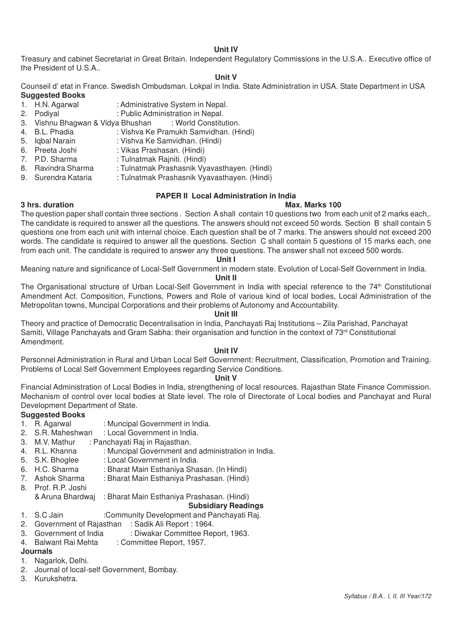#### **Unit IV**

Treasury and cabinet Secretariat in Great Britain. Independent Regulatory Commissions in the U.S.A.. Executive office of the President of U.S.A..

#### **Unit V**

Counseil d' etat in France. Swedish Ombudsman. Lokpal in India. State Administration in USA. State Department in USA **Suggested Books**

- 1. H.N. Agarwal : Administrative System in Nepal.<br>2. Podival : Public Administration in Nepal.
- : Public Administration in Nepal.<br>a Bhushan : World Constitution.
- 3. Vishnu Bhagwan & Vidya Bhushan<br>4. B.L. Phadia : Vishva Ke
- : Vishva Ke Pramukh Samvidhan. (Hindi)
- 5. Iqbal Narain : Vishva Ke Samvidhan. (Hindi)<br>6. Preeta Joshi : Vikas Prashasan. (Hindi)
- 6. Preeta Joshi : Vikas Prashasan. (Hindi)<br>7. P.D. Sharma : Tulnatmak Rainiti. (Hindi)
- : Tulnatmak Rajniti. (Hindi)
- 8. Ravindra Sharma : Tulnatmak Prashasnik Vyavasthayen. (Hindi)
- 9. Surendra Kataria : Tulnatmak Prashasnik Vyavasthayen. (Hindi)

#### **PAPER II Local Administration in India**

#### **3 hrs. duration Max. Marks 100**

The question paper shall contain three sections . Section A shall contain 10 questions two from each unit of 2 marks each,. The candidate is required to answer all the questions. The answers should not exceed 50 words. Section B shall contain 5 questions one from each unit with internal choice. Each question shall be of 7 marks. The answers should not exceed 200 words. The candidate is required to answer all the questions. Section C shall contain 5 questions of 15 marks each, one from each unit. The candidate is required to answer any three questions. The answer shall not exceed 500 words.

**Unit I**

Meaning nature and significance of Local-Self Government in modern state. Evolution of Local-Self Government in India.

#### **Unit II**

The Organisational structure of Urban Local-Self Government in India with special reference to the 74<sup>th</sup> Constitutional Amendment Act. Composition, Functions, Powers and Role of various kind of local bodies, Local Administration of the Metropolitan towns, Muncipal Corporations and their problems of Autonomy and Accountability.

#### **Unit III**

Theory and practice of Democratic Decentralisation in India, Panchayati Raj Institutions – Zila Parishad, Panchayat Samiti, Village Panchayats and Gram Sabha: their organisation and function in the context of 73<sup>rd</sup> Constitutional Amendment.

#### **Unit IV**

Personnel Administration in Rural and Urban Local Self Government: Recruitment, Classification, Promotion and Training. Problems of Local Self Government Employees regarding Service Conditions.

#### **Unit V**

Financial Administration of Local Bodies in India, strengthening of local resources. Rajasthan State Finance Commission. Mechanism of control over local bodies at State level. The role of Directorate of Local bodies and Panchayat and Rural Development Department of State.

# **Suggested Books**<br>1. R. Agarwal

- 1. R. Agarwal : Muncipal Government in India.<br>2. S.R. Maheshwari : Local Government in India.
- : Local Government in India.
- 3. M.V. Mathur : Panchayati Raj in Rajasthan.
- 4. R.L. Khanna : Muncipal Government and administration in India.<br>5. S.K. Bhoglee : Local Government in India.
- 5. S.K. Bhoglee : Local Government in India.<br>6. H.C. Sharma : Bharat Main Esthaniva Sha
- 6. H.C. Sharma : Bharat Main Esthaniya Shasan. (In Hindi)<br>7. Ashok Sharma : Bharat Main Esthaniya Prashasan. (Hindi)
- : Bharat Main Esthaniya Prashasan. (Hindi)
- 8. Prof. R.P. Joshi
	- & Aruna Bhardwaj : Bharat Main Esthaniya Prashasan. (Hindi)

# **Subsidiary Readings**

1. S.C Jain :Community Development and Panchayati Raj.

- 2. Government of Rajasthan : Sadik Ali Report : 1964.
- 3. Government of India : Diwakar Committee Report, 1963.<br>4. Balwant Rai Mehta : Committee Report, 1957.
- : Committee Report, 1957.

# **Journals**

- 1. Nagarlok, Delhi.
- 2. Journal of local-self Government, Bombay.
- 3. Kurukshetra.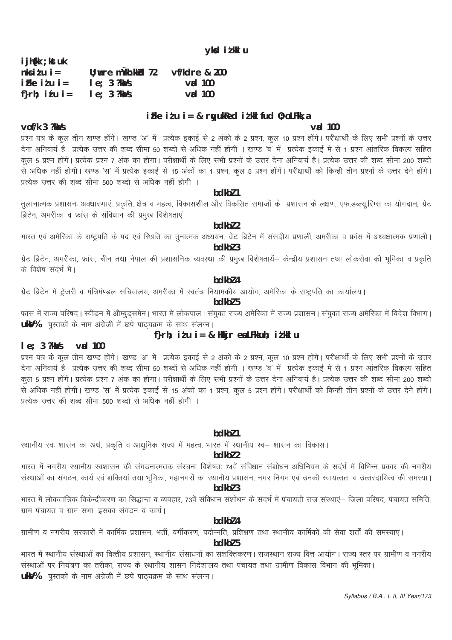ग्रेट ब्रिटेन में ट्रेजरी व मंत्रिमण्डल सचिवालय, अमरीका में स्वतंत्र नियामकीय आयोग, अमेरिका के राष्ट्रपति का कार्यालय।

# bdkbl 5

 $hdkh$ <sub>7</sub> $4$ 

फ्रांस में राज्य परिषद। स्वीडन में औम्बुड्समेन। भारत में लोकपाल। संयुक्त राज्य अमेरिका में राज्य प्रशासन। संयुक्त राज्य अमेरिका में विदेश विभाग। ukV% पुस्तकों के नाम अंग्रेजी में छपे पाठ्यक्रम के साथ संलग्न।

# f}rh; itu i = & Hkkjr ea LFkkuh; itkkl u

#### $le: 3$  ? $k\omega$ /s  $\mathsf{val}$  100

के विशेष संदर्भ में।

प्रश्न पत्र के कुल तीन खण्ड होंगे। खण्ड 'अ' में प्रत्येक इकाई से 2 अंको के 2 प्रश्न, कुल 10 प्रश्न होंगे। परीक्षार्थी के लिए सभी प्रश्नों के उत्तर .<br>देना अनिवार्य है। प्रत्येक उत्तर की शब्द सीमा 50 शब्दों से अधिक नहीं होगी । खण्ड 'ब' में प्रत्येक इकाई मे से 1 प्रश्न आंतरिक विकल्प सहित कल 5 प्रश्न होंगें। प्रत्येक प्रश्न 7 अंक का होगा। परीक्षार्थी के लिए सभी प्रश्नों के उत्तर देना अनिवार्य है। प्रत्येक उत्तर की शब्द सीमा 200 शब्दो से अधिक नहीं होगी। खण्ड 'स' में प्रत्येक इकाई से 15 अंकों का 1 प्रश्न, कुल 5 प्रश्न होंगें। परीक्षार्थी को किन्ही तीन प्रश्नों के उत्तर देने होंगे। प्रत्येक उत्तर की शब्द सीमा 500 शब्दों से अधिक नहीं होगी ।

# $hdkh$ <sup>7</sup>

स्थानीय स्वः शासन का अर्थ, प्रकृति व आधुनिक राज्य में महत्व, भारत में स्थानीय स्व– शासन का विकास।

# $hdkh$  $2$

भारत में नगरीय स्थानीय स्वशासन की संगठनात्मतक संरचना विशेषतः 74वें संविधान संशोधन अधिनियम के सदर्भ में विभिन्न प्रकार की नगरीय संस्थाओं का संगठन, कार्य एवं शक्तियां तथा भूमिका, महानगरों का स्थानीय प्रशासन, नगर निगम एवं उनकी स्वायत्तता व उत्तरदायित्व की समस्या। bdkbl 3

भारत में लोकतांत्रिक विकेन्द्रीकरण का सिद्धान्त व व्यवहार, 73वें संविधान संशोधन के संदर्भ में पंचायती राज संस्थाएं— जिला परिषद, पंचायत समिति, ग्राम पंचायत व ग्राम सभा–इसका संगठन व कार्य।

### hdkh<sub>74</sub>

ग्रामीण व नगरीय सरकारों में कार्मिक प्रशासन, भर्ती, वर्गीकरण, पदोन्नति, प्रशिक्षण तथा स्थानीय कार्मिकों की सेवा शर्तों की समस्याएं।

# $hdkh$ <sub>7</sub>

भारत में स्थानीय संस्थाओं का वित्तीय प्रशासन, स्थानीय संसाधनों का सशक्तिकरण। राजस्थान राज्य वित्त आयोग। राज्य स्तर पर ग्रामीण व नगरीय संस्थाओं पर नियंत्रण का तरीका, राज्य के स्थानीय शासन निदेशालय तथा पंचायत तथा ग्रामीण विकास विभाग की भूमिका। **ukV%** पुस्तकों के नाम अंग्रेजी में छपे पाठ्यक्रम के साथ संलग्न।

# $le; 3$  ?ka/s  $v$ ad 100 ifke itu i= & rwukked itkl fud  $0$ ; oLFkk, a

U; wre mùkh.kkkd 72

 $le; 3$  ? $k\Delta/s$ 

प्रत्येक उत्तर की शब्द सीमा 500 शब्दों से अधिक नहीं होगी ।

vof/k 3 ?ka/s  $\mathsf{val}$  100 प्रश्न पत्र के कुल तीन खण्ड होंगे। खण्ड 'अ' में प्रत्येक इकाई से 2 अंको के 2 प्रश्न, कुल 10 प्रश्न होंगे। परीक्षार्थी के लिए सभी प्रश्नों के उत्तर देना अनिवार्य है। प्रत्येक उत्तर की शब्द सीमा 50 शब्दो से अधिक नहीं होगी । खण्ड 'ब' में प्रत्येक इकाई मे से 1 प्रश्न आंतरिक विकल्प सहित ्<br>से अधिक नहीं होगी। खण्ड 'स' में प्रत्येक इकाई से 15 अंकों का 1 प्रश्न, कुल 5 प्रश्न होंगें। परीक्षार्थी को किन्ही तीन प्रश्नों के उत्तर देने होंगे।

## hdkh<sub>71</sub>

तुलानात्मक प्रशासनः अवधारणाएं, प्रकृति, क्षेत्र व महत्व, विकासशील और विकसित समाजों के प्रशासन के लक्षण, एफ.डब्ल्यू.रिग्स का योगदान, ग्रेट ब्रिटेन, अमरीका व फ्रांस के संविधान की प्रमुख विशेषताएं

# bdkbl 2 भारत एवं अमेरिका के राष्ट्रपति के पद एवं स्थिति का तुनात्मक अध्ययन, ग्रेट ब्रिटेन में संसदीय प्रणाली, अमरीका व फ्रांस में अध्यक्षात्मक प्रणाली।

bdkbl 3 ग्रेट ब्रिटेन, अमरीका, फ्रांस, चीन तथा नेपाल की प्रशासनिक व्यवस्था की प्रमुख विशेषतायें– केन्द्रीय प्रशासन तथा लोकसेवा की भूमिका व प्रकृति

#### Syllabus / B.A., I, II, III Year/173

# $iFke$   $i'u$   $i=$ f}rh; itu i=

i jh{kk ; kst uk  $n \times i \text{ t}$ u i =

vf/kdre & 200

 $v$ ad 100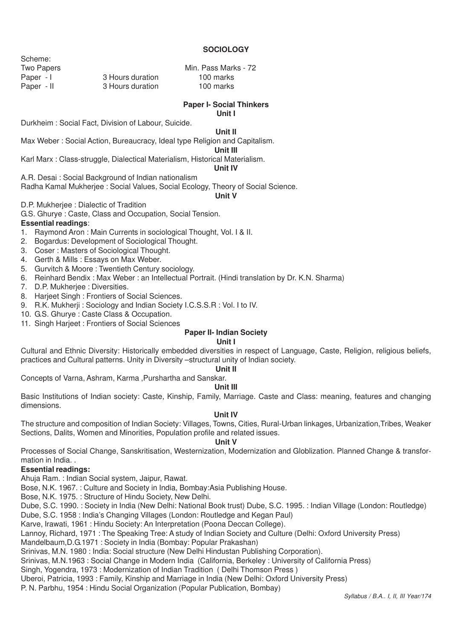#### **SOCIOLOGY**

Scheme:

Two Papers **Min. Pass Marks** - 72 Paper - I 3 Hours duration 100 marks<br>
Paper - II 3 Hours duration 100 marks 3 Hours duration 100 marks

#### **Paper I- Social Thinkers Unit I**

Durkheim : Social Fact, Division of Labour, Suicide.

**Unit II**

Max Weber : Social Action, Bureaucracy, Ideal type Religion and Capitalism.

**Unit III**

Karl Marx : Class-struggle, Dialectical Materialism, Historical Materialism.

#### **Unit IV**

A.R. Desai : Social Background of Indian nationalism Radha Kamal Mukherjee : Social Values, Social Ecology, Theory of Social Science.

#### **Unit V**

D.P. Mukherjee : Dialectic of Tradition

G.S. Ghurye : Caste, Class and Occupation, Social Tension.

#### **Essential readings**:

- 1. Raymond Aron : Main Currents in sociological Thought, Vol. I & II.
- 2. Bogardus: Development of Sociological Thought.
- 3. Coser : Masters of Sociological Thought.
- 4. Gerth & Mills : Essays on Max Weber.
- 5. Gurvitch & Moore : Twentieth Century sociology.
- 6. Reinhard Bendix : Max Weber : an Intellectual Portrait. (Hindi translation by Dr. K.N. Sharma)
- 7. D.P. Mukherjee : Diversities.
- 8. Harjeet Singh : Frontiers of Social Sciences.
- 9. R.K. Mukherii: Sociology and Indian Society I.C.S.S.R: Vol. I to IV.
- 10. G.S. Ghurye : Caste Class & Occupation.
- 11. Singh Harjeet : Frontiers of Social Sciences

#### **Paper II- Indian Society**

#### **Unit I**

Cultural and Ethnic Diversity: Historically embedded diversities in respect of Language, Caste, Religion, religious beliefs, practices and Cultural patterns. Unity in Diversity –structural unity of Indian society.

#### **Unit II**

Concepts of Varna, Ashram, Karma ,Purshartha and Sanskar.

#### **Unit III**

Basic Institutions of Indian society: Caste, Kinship, Family, Marriage. Caste and Class: meaning, features and changing dimensions.

#### **Unit IV**

The structure and composition of Indian Society: Villages, Towns, Cities, Rural-Urban linkages, Urbanization,Tribes, Weaker Sections, Dalits, Women and Minorities, Population profile and related issues.

#### **Unit V**

Processes of Social Change, Sanskritisation, Westernization, Modernization and Globlization. Planned Change & transformation in India. .

#### **Essential readings:**

Ahuja Ram. : Indian Social system, Jaipur, Rawat.

Bose, N.K. 1967. : Culture and Society in India, Bombay:Asia Publishing House.

Bose, N.K. 1975. : Structure of Hindu Society, New Delhi.

Dube, S.C. 1990. : Society in India (New Delhi: National Book trust) Dube, S.C. 1995. : Indian Village (London: Routledge) Dube, S.C. 1958 : India's Changing Villages (London: Routledge and Kegan Paul)

Karve, Irawati, 1961 : Hindu Society: An Interpretation (Poona Deccan College).

Lannoy, Richard, 1971 : The Speaking Tree: A study of Indian Society and Culture (Delhi: Oxford University Press)

Mandelbaum,D.G.1971 : Society in India (Bombay: Popular Prakashan)

Srinivas, M.N. 1980 : India: Social structure (New Delhi Hindustan Publishing Corporation).

Srinivas, M.N.1963 : Social Change in Modern India (California, Berkeley : University of California Press)

Singh, Yogendra, 1973 : Modernization of Indian Tradition ( Delhi Thomson Press )

Uberoi, Patricia, 1993 : Family, Kinship and Marriage in India (New Delhi: Oxford University Press)

P. N. Parbhu, 1954 : Hindu Social Organization (Popular Publication, Bombay)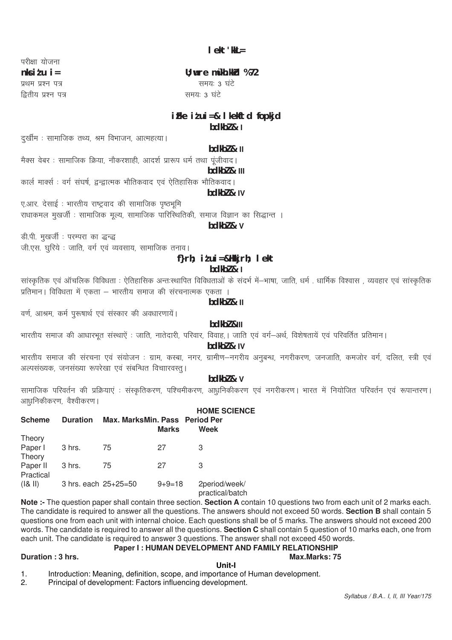परीक्षा योजना  $n$ ks i  $t$  u i = प्रथम प्रश्न पत्र द्वितीय प्रश्न पत्र

# U; wre mŸkh.kkd %72 समय: 3 घंटे समय: 3 घंटे

# $i$  Fke  $i$  t ui = & I kekftd fopkjd  $bdkb2 & 1$

दर्खीम : सामाजिक तथ्य, श्रम विभाजन, आत्महत्या।

# $bdkb2 & \textbf{II}$

मैक्स वेबर : सामाजिक क्रिया, नौकरशाही, आदर्श प्रारूप धर्म तथा पूंजीवाद।

# hdkh7 & III

कार्ल मार्क्स : वर्ग संघर्ष, द्वन्द्वात्मक भौतिकवाद एवं ऐतिहासिक भौतिकवाद।

#### bdkbl & IV

एआर. देसाई : भारतीय राष्ट्रवाद की सामाजिक पृष्ठभूमि राधाकमल मुखर्जी : सामाजिक मुल्य, सामाजिक पारिस्थितिकी, समाज विज्ञान का सिद्धान्त ।

bdkbl & v

डी.पी. मुखर्जी : परम्परा का द्धन्द्ध जी.एस. घरिये : जाति, वर्ग एवं व्यवसाय, सामाजिक तनाव।

# f}rh; itui=&Hkkjrh; lekt

# $bdkb2 & 1$

सांस्कतिक एवं ऑचलिक विविधता : ऐतिहासिक अन्तःस्थापित विविधताओं के संदर्भ में—भाषा, जाति, धर्म) धार्मिक विश्वास , व्यवहार एवं सांस्कतिक प्रतिमान । विविधता में एकता – भारतीय समाज की संरचनात्मक एकता ।

 $h$ dk $h$  $l$  &  $ll$ 

वर्ण, आश्रम, कर्म पुरूषार्थ एवं संस्कार की अवधारणायें।

# hdkh7 &III

भारतीय समाज की आधारभूत संस्थाऐं : जाति, नातेदारी, परिवार, विवाह, । जाति एवं वर्ग-अर्थ, विशेषतायें एवं परिवर्तित प्रतिमान ।

bdkbl & IV

भारतीय समाज की संरचना एवं संयोजन : ग्राम, कस्बा, नगर, ग्रामीण–नगरीय अनुबन्ध, नगरीकरण, जनजाति, कमजोर वर्ग, दलित, स्त्री एवं अल्पसंख्यक, जनसंख्या रूपरेखा एवं संबन्धित विचाारवस्त् ।

# hdkh<sub>7</sub> & v

सामाजिक परिवर्तन की प्रक्रियाएं : संस्कृतिकरण, पश्चिमीकरण, आधुनिकीकरण एवं नगरीकरण। भारत में नियोजित परिवर्तन एवं रूपान्तरण। आधुनिकीकरण, वैश्वीकरण ।

| <b>Scheme</b>         | <b>Duration</b>      | Max. MarksMin. Pass Period Per | <b>Marks</b> | <b>HOME SCIENCE</b><br>Week      |
|-----------------------|----------------------|--------------------------------|--------------|----------------------------------|
| Theory                |                      |                                |              |                                  |
| Paper I<br>Theory     | 3 hrs.               | 75                             | 27           | 3                                |
| Paper II<br>Practical | 3 hrs.               | 75                             | 27           | З                                |
| ( & 8  )              | 3 hrs. each 25+25=50 |                                | $9 + 9 = 18$ | 2period/week/<br>practical/batch |

Note :- The question paper shall contain three section. Section A contain 10 questions two from each unit of 2 marks each. The candidate is required to answer all the questions. The answers should not exceed 50 words. Section B shall contain 5 questions one from each unit with internal choice. Each questions shall be of 5 marks. The answers should not exceed 200 words. The candidate is required to answer all the questions. Section C shall contain 5 question of 10 marks each, one from each unit. The candidate is required to answer 3 questions. The answer shall not exceed 450 words.

#### Paper I: HUMAN DEVELOPMENT AND FAMILY RELATIONSHIP Max.Marks: 75

#### Duration: 3 hrs.

Unit-I Introduction: Meaning, definition, scope, and importance of Human development.  $\mathbf{1}$ .

Principal of development: Factors influencing development.  $\overline{2}$ .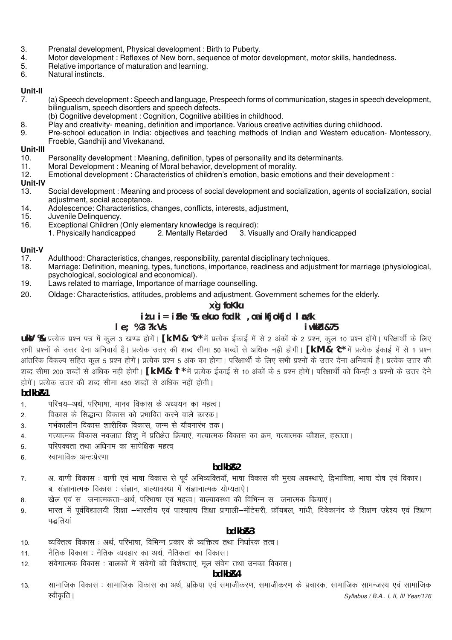- 3. Prenatal development, Physical development: Birth to Puberty.
- $\overline{4}$ . Motor development: Reflexes of New born, sequence of motor development, motor skills, handedness.
- 5. Relative importance of maturation and learning.
- 6. Natural instincts.

#### Unit-II

- (a) Speech development: Speech and language, Prespeech forms of communication, stages in speech development, 7 bilingualism, speech disorders and speech defects.
- (b) Cognitive development : Cognition, Cognitive abilities in childhood.
- Play and creativity- meaning, definition and importance. Various creative activities during childhood. 8.
- Pre-school education in India: objectives and teaching methods of Indian and Western education- Montessory,  $\mathbf{q}$ Froeble, Gandhiji and Vivekanand.

#### Unit-III

- $10.$ Personality development: Meaning, definition, types of personality and its determinants.
- Moral Development: Meaning of Moral behavior, development of morality.  $11.$
- Emotional development: Characteristics of children's emotion, basic emotions and their development:  $12.$

#### Unit-IV

- Social development: Meaning and process of social development and socialization, agents of socialization, social  $13.$ adjustment, social acceptance.
- Adolescence: Characteristics, changes, conflicts, interests, adjustment,  $14.$
- 15. Juvenile Delinquency.
- Exceptional Children (Only elementary knowledge is required):  $16$ 
	- 1. Physically handicapped 2. Mentally Retarded 3. Visually and Orally handicapped

#### Unit-V

- $17.$ Adulthood: Characteristics, changes, responsibility, parental disciplinary techniques.
- Marriage: Definition, meaning, types, functions, importance, readiness and adjustment for marriage (physiological, 18. psychological, sociological and economical).
- Laws related to marriage, Importance of marriage counselling. 19.
- $20.$ Oldage: Characteristics, attitudes, problems and adjustment. Government schemes for the elderly.

#### xg foKku  $i$  *t*  $u$  i = i *Fke*  $\%$  ekuo fodkl , oa i kfjokfjd l  $x$ *dk*  $le: %3?k.Vs$ iwkkH&75

uky % प्रत्येक प्रश्न पत्र में कल 3 खण्ड होगें। [k.M & ^v\* में प्रत्येक ईकाई में से 2 अंकों के 2 प्रश्न, कल 10 प्रश्न होंगे। परिक्षार्थी के लिए सभी प्रश्नों के उत्तर देना अनिवार्य है। प्रत्येक उत्तर की शब्द सीमा 50 शब्दों से अधिक नही होगी। **[k.M & 'C**\* में प्रत्येक ईकाई में से 1 प्रश्न आंतरिक विकल्प सहित कूल 5 प्रश्न होगें। प्रत्येक प्रश्न 5 अंक का होगा। परिक्षार्थी के लिए सभी प्रश्नों के उत्तर देना अनिवार्य है। प्रत्येक उत्तर की शब्द सीमा 200 शब्दों से अधिक नही होगी। **[k.M & 'l** \* में प्रत्येक ईकाई से 10 अंकों के 5 प्रश्न होगें। परिक्षार्थी को किन्ही 3 प्रश्नों के उत्तर देने होगें। प्रत्येक उत्तर की शब्द सीमा 450 शब्दों से अधिक नहीं होगी।

#### $hdkhR1$

- परिचय-अर्थ. परिभाषा. मानव विकास के अध्ययन का महत्व।  $1<sub>1</sub>$
- विकास के सिद्धान्त विकास को प्रभावित करने वाले कारक।  $\mathcal{L}$
- गर्भकालीन विकास शारीरिक विकास, जन्म से यौवनारंभ तक।  $\overline{3}$ .
- गत्यात्मक विकास नवजात शिशु में प्रतिक्षेत क्रियाएं, गत्यात्मक विकास का क्रम, गत्यात्मक कौशल, हस्तता।  $\overline{4}$ .
- परिपक्वता तथा अधिगम का सापेक्षिक महत्व  $\overline{5}$
- स्वाभाविक अन्त:प्रेरणा 6

#### bdkb<sub>R2</sub>

- अ. वाणी विकास : वाणी एवं भाषा विकास से पर्व अभिव्यक्तियाँ. भाषा विकास की मख्य अवस्थाऐ. द्विभाषिता, भाषा दोष एवं विकार।  $\overline{7}$ ब. संज्ञानात्मक विकास : संज्ञान, बाल्यावस्था में संज्ञानात्मक योग्यताऐ।
- खेल एवं स) जनात्मकता-अर्थ, परिभाषा एवं महत्व | बाल्यावस्था की विभिन्न स) जनात्मक कियाएं | 8
- भारत में पूर्वविद्यालयी शिक्षा –भारतीय एवं पाश्चात्य शिक्षा प्रणाली–मोंटेसरी, फ्रॉयबल, गांधी, विवेकानंद के शिक्षण उद्देश्य एवं शिक्षण  $\mathsf q$ पद्धतियां

#### $bdkbR3$

- व्यक्तित्व विकास : अर्थ परिभाषा विभिन्न प्रकार के व्यक्तित्व तथा निर्धारक तत्व ।  $10<sub>1</sub>$
- नैतिक विकास : नैतिक व्यवहार का अर्थ. नैतिकता का विकास।  $11$
- संवेगात्मक विकास : बालकों में संवेगों की विशेषताएं, मूल संवेग तथा उनका विकास।  $12<sup>12</sup>$

#### hdkh<sub>R4</sub>

सामाजिक विकास : सामाजिक विकास का अर्थ, प्रक्रिया एवं समाजीकरण, समाजीकरण के प्रचारक, सामाजिक सामन्जस्य एवं सामाजिक  $13$ स्वीकृति । Syllabus / B.A., I, II, III Year/176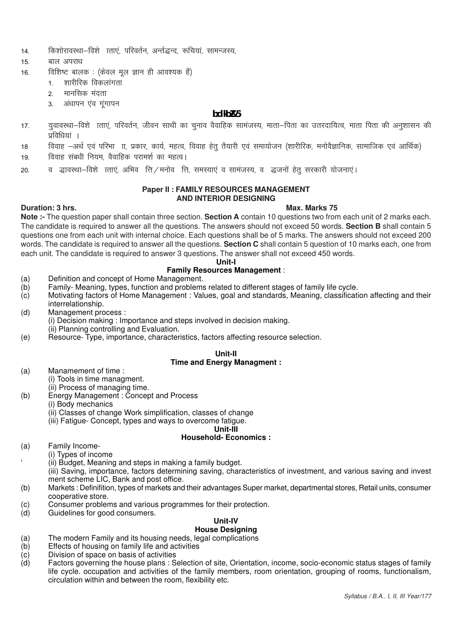- 14. किशोरावस्था–विशे ाताएं परिवर्तन अर्न्तद्धन्द रूचियां सामन्जस्य.
- 15. बाल अपराध
- 16. विशिष्ट बालक: (केवल मूल ज्ञान ही आवश्यक हैं)
	- 1. शारीरिक विकलांगता
	- 2. मानसिक मंदता
	- 3. अंधापन एव गूंगापन

### **bdkbZ&5**

- 17. युवावस्था—विशे ाताएं, परिवर्तन, जीवन साथी का चुनाव वैवाहिक सामंजस्य, माता—पिता का उतरदायित्व, माता पिता की अनुशासन की प्रविधियां ।
- 18 विवाह –अर्थ एवं परिभा । प्रकार, कार्य, महत्व, विवाह हेतू तैयारी एवं समायोजन (शारीरिक, मनोवैज्ञानिक, सामाजिक एवं आर्थिक)
- 19. विवाह संबंधी नियम, वैवाहिक परामर्श का महत्व।
- 20. व द्धावस्था—विशे ाताएं, अभिव त्ति / मनोव त्ति, समस्याएं व सामंजस्य, व द्धजनों हेतु सरकारी योजनाएं।

#### **Paper II : FAMILY RESOURCES MANAGEMENT AND INTERIOR DESIGNING**

### **Duration: 3 hrs.** Max. Marks 75

**Note :-** The question paper shall contain three section. **Section A** contain 10 questions two from each unit of 2 marks each. The candidate is required to answer all the questions. The answers should not exceed 50 words. **Section B** shall contain 5 questions one from each unit with internal choice. Each questions shall be of 5 marks. The answers should not exceed 200 words. The candidate is required to answer all the questions. **Section C** shall contain 5 question of 10 marks each, one from each unit. The candidate is required to answer 3 questions. The answer shall not exceed 450 words.

#### **Unit-I**

# **Family Resources Management** :

- (a) Definition and concept of Home Management.
- (b) Family- Meaning, types, function and problems related to different stages of family life cycle.
- (c) Motivating factors of Home Management : Values, goal and standards, Meaning, classification affecting and their interrelationship.
- (d) Management process :
	- (i) Decision making : Importance and steps involved in decision making.
	- (ii) Planning controlling and Evaluation.
- (e) Resource- Type, importance, characteristics, factors affecting resource selection.

#### **Unit-II Time and Energy Managment :**

- (a) Manamement of time :
	- (i) Tools in time managment.
	- (ii) Process of managing time.
- (b) Energy Management : Concept and Process
	- (i) Body mechanics
		- (ii) Classes of change Work simplification, classes of change
		- (iii) Fatigue- Concept, types and ways to overcome fatigue.

**Unit-III**

# **Household- Economics :**

- (a) Family Income-
	- (i) Types of income
		- ' (ii) Budget, Meaning and steps in making a family budget.
		- (iii) Saving, importance, factors determining saving, characteristics of investment, and various saving and invest ment scheme LIC, Bank and post office.
- (b) Markets : Definifition, types of markets and their advantages Super market, departmental stores, Retail units, consumer cooperative store.
- (c) Consumer problems and various programmes for their protection.
- (d) Guidelines for good consumers.

# **Unit-IV**

- **House Designing**
- (a) The modern Family and its housing needs, legal complications
- $(b)$  Effects of housing on family life and activities  $(c)$  Division of space on basis of activities
- Division of space on basis of activities
- (d) Factors governing the house plans : Selection of site, Orientation, income, socio-economic status stages of family life cycle. occupation and activities of the family members, room orientation, grouping of rooms, functionalism, circulation within and between the room, flexibility etc.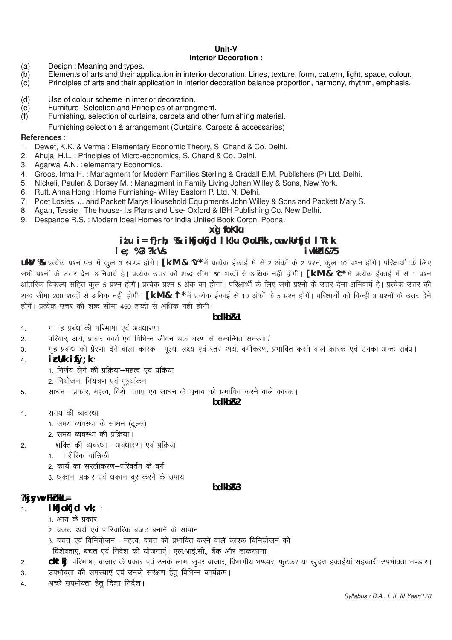#### Unit-V **Interior Decoration:**

- Design: Meaning and types.  $(a)$
- Elements of arts and their application in interior decoration. Lines, texture, form, pattern, light, space, colour.  $(b)$ Principles of arts and their application in interior decoration balance proportion, harmony, rhythm, emphasis.  $(c)$
- $(d)$ Use of colour scheme in interior decoration.
- Furniture- Selection and Principles of arrangment.  $(e)$
- $(f)$ Furnishing, selection of curtains, carpets and other furnishing material.
	- Furnishing selection & arrangement (Curtains, Carpets & accessaries)

#### References:

- 1. Dewet, K.K. & Verma: Elementary Economic Theory, S. Chand & Co. Delhi.
- 2. Ahuja, H.L.: Principles of Micro-economics, S. Chand & Co. Delhi.
- 3. Agarwal A.N. : elementary Economics.
- 4. Groos, Irma H.: Managment for Modern Families Sterling & Cradall E.M. Publishers (P) Ltd. Delhi.
- 5. Nickeli, Paulen & Dorsey M.: Managment in Family Living Johan Willey & Sons, New York.
- 6. Rutt. Anna Hong: Home Furnishing- Willey Eastorn P. Ltd. N. Delhi.
- 7. Poet Losies, J. and Packett Marys Household Equipments John Willey & Sons and Packett Mary S.
- 8. Agan, Tessie: The house- Its Plans and Use-Oxford & IBH Publishing Co. New Delhi.
- 9. Despande R.S.: Modern Ideal Homes for India United Book Corpn. Poona.

# x`a foKku

# itu i= f}rh; % ikfjokfjd lk/ku 0; oLFkk , oa vkUrfjd lTtk i wkkid&75

#### $le; %3?k.Vs$

uky % प्रत्येक प्रश्न पत्र में कूल 3 खण्ड होगें। [k.M & ^v\* में प्रत्येक ईकाई में से 2 अंकों के 2 प्रश्न, कूल 10 प्रश्न होंगे। परिक्षार्थी के लिए सभी प्रश्नों के उत्तर देना अनिवार्य है। प्रत्येक उत्तर की शब्द सीमा 50 शब्दों से अधिक नही होगी। **[k.M & 'C**\* में प्रत्येक ईकाई में से 1 प्रश्न आंतरिक विकल्प सहित कल 5 प्रश्न होगें। प्रत्येक प्रश्न 5 अंक का होगा। परिक्षार्थी के लिए सभी प्रश्नों के उत्तर देना अनिवार्य है। प्रत्येक उत्तर की शब्द सीमा 200 शब्दों से अधिक नही होगी। [k.M & 'l \* में प्रत्येक ईकाई से 10 अंकों के 5 प्रश्न होगें। परिक्षार्थी को किन्ही 3 प्रश्नों के उत्तर देने होगें। प्रत्येक उत्तर की शब्द सीमा 450 शब्दों से अधिक नहीं होगी।

#### bdkb<sub>R1</sub>

- $1.$ ग हु प्रबंध की परिभाषा एवं अवधारणा
- परिवार, अर्थ, प्रकार कार्य एवं विभिन्न जीवन चक्र चरण से सम्बन्धित समस्याएं  $\mathcal{P}$
- गृह प्रबन्ध को प्रेरणा देने वाला कारक– मूल्य, लक्ष्य एवं स्तर–अर्थ, वर्गीकरण, प्रभावित करने वाले कारक एवं उनका अन्तः सबंध। 3.

#### $i$   $\mathsf{r}$   $\mathsf{U}/k$   $i$   $\mathsf{f}\mathsf{O}:k$   $\overline{4}$

- 1. निर्णय लेने की प्रक्रिया-महत्व एवं प्रक्रिया
- 2. नियोजन, नियंत्रण एवं मूल्यांकन
- साधन- प्रकार, महत्व, विशे ाताए एव साधन के चुनाव को प्रभावित करने वाले कारक। 5

#### hdkh<sub>R2</sub>

- समय की व्यवस्था  $1.$ 
	- 1. समय व्यवस्था के साधन (टल्स)
	- 2. समय व्यवस्था की प्रक्रिया।
- शक्ति की व्यवस्था- अवधारणा एवं प्रक्रिया  $\mathfrak{p}$ 
	- 1 गरीरिक सांत्रिकी
	- 2. कार्य का सरलीकरण-परिवर्तन के वर्ग
	- 3. थकान-प्रकार एवं थकान दूर करने के उपाय

#### hdkhR3

#### $?$ kj syw $\vee$ Fk $Z$  kkL $=$

- $ikij$ okfjd vk;  $1.$ 
	- 1 आय के प्रकार
	- 2. बजट—अर्थ एवं पारिवारिक बजट बनाने के सोपान
	- 3. बचत एवं विनियोजन– महत्व, बचत को प्रभावित करने वाले कारक विनियोजन की विशेषताएं. बचत एवं निवेश की योजनाएं। एल.आई.सी.. बैंक और डाकखाना।
- cktkj-परिभाषा, बाजार के प्रकार एवं उनके लाभ, सुपर बाजार, विभागीय भण्डार, फुटकर या खुदरा इकाईयां सहकारी उपभोक्ता भण्डार।  $\overline{2}$
- उपभोक्ता की समस्याएं एवं उनके सरक्षण हेतू विभिन्न कार्यक्रम। 3.
- अच्छे उपभोक्ता हेतू दिशा निर्देश।  $\overline{4}$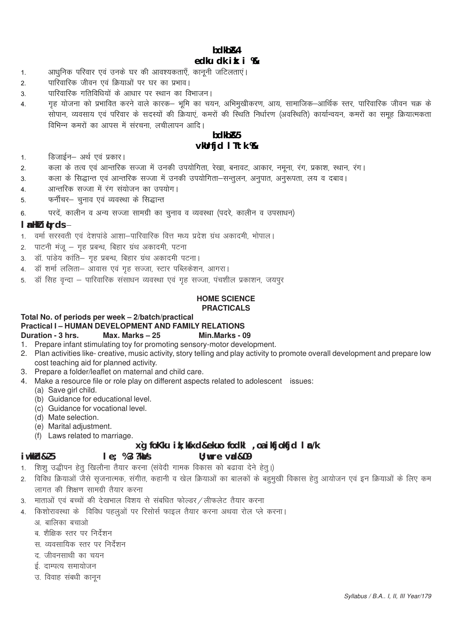# **bdkbZ&4 edku dk izk:i %&**

- 1. अधिनिक परिवार एवं उनके घर की आवश्यकताएँ, कानूनी जटिलताएं।
- 2. पारिवारिक जीवन एवं क्रियाओं पर घर का प्रभाव।
- 3. पारिवारिक गतिविधियों के आधार पर स्थान का विभाजन।
- 4. गृह योजना को प्रभावित करने वाले कारक— भूमि का चयन, अभिमुखीकरण, आय, सामाजिक—आर्थिक स्तर, पारिवारिक जीवन चक्र के .<br>सोपान, व्यवसाय एवं परिवार के सदस्यों की क्रियाएं, कमरों की स्थिति निर्धारण (अवस्थिति) कार्यान्वयन, कमरों का समह क्रियात्मकता विभिन्न कमरों का आपस में संरचना, लचीलापन आदि।

# **bdkbZ&5 vkUrfjd lTtk %&**

- 1. व्हिजाईन– अर्थ एवं प्रकार।
- 2. व्याकला के तत्व एवं आन्तरिक सज्जा में उनकी उपयोगिता, रेखा, बनावट, आकार, नमूना, रंग, प्रकाश, स्थान, रंग।
- 3. व्याकला के सिद्धान्त एवं आन्तरिक सज्जा में उनकी उपयोगिता-सन्तूलन, अनुपात, अनुरूपता, लय व दबाव।
- 4. अन्तरिक सज्जा में रंग संयोजन का उपयोग।
- 5. फर्नीचर– चुनाव एवं व्यवस्था के सिद्धान्त
- 6. परदें, कालीन व अन्य सज्जा सामग्री का चुनाव व व्यवस्था (पदरे, कालीन व उपसाधन)

#### **l** allkZ i **Lrds**  $\div$

- 1. वर्मा सरस्वती एवं देशपांडे आशा-पारिवारिक वित्त मध्य प्रदेश ग्रंथ अकादमी, भोपाल।
- 2. पाटनी मंज गह प्रबन्ध, बिहार ग्रंथ अकादमी, पटना
- 3. डॉ. पांडेय कांति– गृह प्रबन्ध, बिहार ग्रंथ अकादमी पटना।
- 4. डॉ शर्मा ललिता– आवास एवं गृह सज्जा, स्टार पब्लिकेशन, आगरा।
- 5. डॉ सिह वन्दा पारिवारिक संसाधन व्यवस्था एवं गृह सज्जा, पंचशील प्रकाशन, जयपुर

#### **HOME SCIENCE PRACTICALS**

#### **Total No. of periods per week – 2/batch/practical**

**Practical I – HUMAN DEVELOPMENT AND FAMILY RELATIONS**

**Duration - 3 hrs. Max. Marks – 25 Min.Marks - 09**

- 1. Prepare infant stimulating toy for promoting sensory-motor development.
- 2. Plan activities like- creative, music activity, story telling and play activity to promote overall development and prepare low cost teaching aid for planned activity.
- 3. Prepare a folder/leaflet on maternal and child care.
- 4. Make a resource file or role play on different aspects related to adolescent issues:
	- (a) Save girl child.
	- (b) Guidance for educational level.
	- (c) Guidance for vocational level.
	- (d) Mate selection.
	- (e) Marital adjustment.
	- (f) Laws related to marriage.

# **x**`g foKku ik; kfxd&ekuo fodkl , oa ikfjokfjd lac/k **iw.kkZd&25 le; % 3 ?kaVs U;wure vad&09**

- 1. शिशु उद्धीपन हेतु खिलौना तैयार करना (संवेदी गामक विकास को बढावा देने हेतु।)
- 2. विविध क्रियाओं जैसे सृजनात्मक, संगीत, कहानी व खेल क्रियाओं का बालकों के बहुमुखी विकास हेतु आयोजन एवं इन क्रियाओं के लिए कम लागत की शिक्षण सामग्री तैयार करना
- 3. माताओं एवं बच्चों की देखभाल विशय से संबधित फोल्डर/लीफलेट तैयार करना
- 4. किशोरावस्था के विविध पहलूओं पर रिसोर्स फाइल तैयार करना अथवा रोल प्ले करना।
	- अ. बालिका बचाओ
	- ब, शैक्षिक स्तर पर निर्देशन
	- स. व्यवसायिक स्तर पर निर्देशन
	- $\sigma$  जीवनसाथी का चयन
	- ई. दाम्पत्य समायोजन
	- उ. विवाह संबधी कानून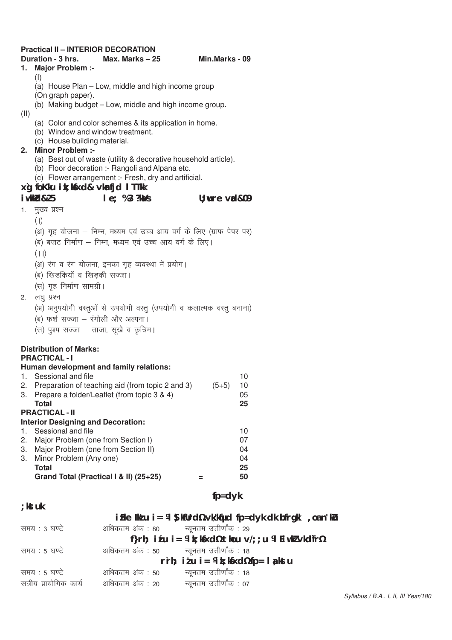| <b>Practical II - INTERIOR DECORATION</b> |                                                                                                                    |                 |    |
|-------------------------------------------|--------------------------------------------------------------------------------------------------------------------|-----------------|----|
|                                           | Duration - 3 hrs.<br>Max. Marks $-25$                                                                              | Min.Marks - 09  |    |
| 1.                                        | Major Problem :-                                                                                                   |                 |    |
|                                           | (1)                                                                                                                |                 |    |
|                                           | (a) House Plan - Low, middle and high income group<br>(On graph paper).                                            |                 |    |
|                                           | (b) Making budget - Low, middle and high income group.                                                             |                 |    |
| (II)                                      |                                                                                                                    |                 |    |
|                                           | (a) Color and color schemes & its application in home.                                                             |                 |    |
|                                           | (b) Window and window treatment.                                                                                   |                 |    |
|                                           | (c) House building material.                                                                                       |                 |    |
|                                           | 2. Minor Problem :-                                                                                                |                 |    |
|                                           | (a) Best out of waste (utility & decorative household article).<br>(b) Floor decoration :- Rangoli and Alpana etc. |                 |    |
|                                           | (c) Flower arrangement :- Fresh, dry and artificial.                                                               |                 |    |
|                                           | xg foKku ik; kfxd& vkrfjd I TTkk                                                                                   |                 |    |
|                                           | iwkkd&25<br>$le; %3?$ k $\Delta/s$                                                                                 | $U:$ wre val&09 |    |
| 1.                                        | मुख्य प्रश्न                                                                                                       |                 |    |
|                                           | (1)                                                                                                                |                 |    |
|                                           | (अ) गृह योजना – निम्न, मध्यम एवं उच्च आय वर्ग के लिए (ग्राफ पेपर पर)                                               |                 |    |
|                                           | (ब) बजट निर्माण – निम्न, मध्यम एवं उच्च आय वर्ग के लिए।                                                            |                 |    |
|                                           |                                                                                                                    |                 |    |
|                                           | (11)                                                                                                               |                 |    |
|                                           | (अ) रंग व रंग योजना, इनका गृह व्यवस्था में प्रयोग।                                                                 |                 |    |
|                                           | (ब) खिडकियाँ व खिड़की सज्जा।                                                                                       |                 |    |
|                                           | (स) गृह निर्माण सामग्री।                                                                                           |                 |    |
| 2.                                        | लघु प्रश्न                                                                                                         |                 |    |
|                                           | (अ) अनुपयोगी वस्तुओं से उपयोगी वस्तु (उपयोगी व कलात्मक वस्तु बनाना)                                                |                 |    |
|                                           | (ब) फर्श सज्जा – रंगोली और अल्पना।                                                                                 |                 |    |
|                                           | (स) पुश्प सज्जा – ताजा, सूखे व कृत्रिम।                                                                            |                 |    |
|                                           |                                                                                                                    |                 |    |
|                                           | <b>Distribution of Marks:</b><br><b>PRACTICAL-I</b>                                                                |                 |    |
|                                           | Human development and family relations:                                                                            |                 |    |
|                                           | 1. Sessional and file                                                                                              |                 | 10 |
|                                           | 2. Preparation of teaching aid (from topic 2 and 3) $(5+5)$ 10                                                     |                 |    |
|                                           | 3. Prepare a folder/Leaflet (from topic 3 & 4)                                                                     |                 | 05 |
|                                           | <b>Total</b>                                                                                                       |                 | 25 |
|                                           | <b>PRACTICAL - II</b>                                                                                              |                 |    |
| 1.                                        | <b>Interior Designing and Decoration:</b><br>Sessional and file                                                    |                 | 10 |
| 2.                                        | Major Problem (one from Section I)                                                                                 |                 | 07 |
|                                           | 3. Major Problem (one from Section II)                                                                             |                 | 04 |
|                                           | 3. Minor Problem (Any one)                                                                                         |                 | 04 |
|                                           | <b>Total</b>                                                                                                       |                 | 25 |
|                                           | Grand Total (Practical I & II) (25+25)                                                                             | Ξ               | 50 |
|                                           |                                                                                                                    |                 |    |
|                                           |                                                                                                                    | $fp = dyk$      |    |
| ; kst uk                                  |                                                                                                                    |                 |    |

|                                                      |                                          | i Fle Ildu i = 14 ) kfUrd1/2 vk/kfud fp=dyk dk bfrgkl, oan'ku |
|------------------------------------------------------|------------------------------------------|---------------------------------------------------------------|
| समय : 3 घण्टे                                        | अधिकतम अंक : 80 न्यूनतम उत्तीर्णांक : 29 |                                                               |
| f}rh; itu i = ¼ k; kfxd½ thou v/; ; u ¼ Eiwkl vkdfr½ |                                          |                                                               |
| समय : 5 घण्टे                                        | अधिकतम अंक : 50 न्यूनतम उत्तीर्णांक : 18 |                                                               |
| rrh; itu i = ¼ k; kfxd½ fp = la kstu                 |                                          |                                                               |
| समय : 5 घण्टे                                        | अधिकतम अंक : 50                          | न्यूनतम उत्तीर्णांक : 18                                      |
| सत्रीय प्रायोगिक कार्य                               | अधिकतम अंक : 20                          | न्यूनतम उत्तीर्णांक : 07                                      |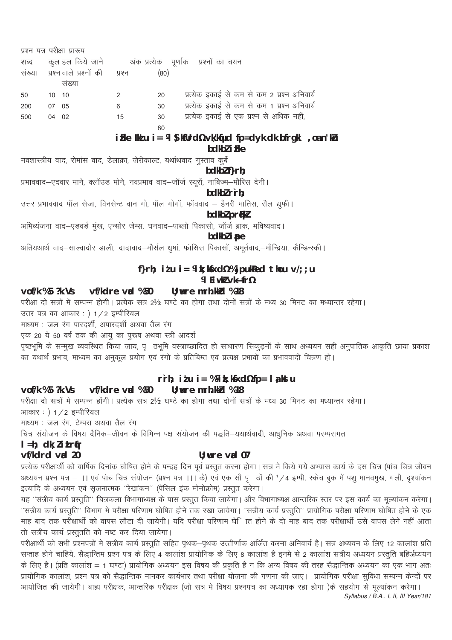| प्रश्न पत्र परीक्षा प्रारूप |       |                         |        |      |                                                                 |
|-----------------------------|-------|-------------------------|--------|------|-----------------------------------------------------------------|
| शब्द                        |       |                         |        |      | कुल हल किये जाने       अंक प्रत्येक   पूर्णाक   प्रश्नों का चयन |
| संख्या                      |       | प्रश्न वाले प्रश्नों की | प्रश्न | (80) |                                                                 |
|                             |       | सख्या                   |        |      |                                                                 |
| 50                          | 10 10 |                         | 2      | 20   | प्रत्येक इकाई से कम से कम 2 प्रश्न अनिवार्य                     |
| 200                         | 07    | - 05                    | 6      | 30   | प्रत्येक इकाई से कम से कम 1 प्रश्न अनिवार्य                     |
| 500                         | 04 02 |                         | 15     | 30   | प्रत्येक इकाई से एक प्रश्न से अधिक नहीं,                        |
|                             |       |                         |        | 80   |                                                                 |

# i Fke Ik'u i = 14 ) kfUrd1/2 vk/kfud fp=dyk dk bfrgkl , oan'ku

bdkbl i Fke

नवशास्त्रीय वाद, रोमांस वाद, डेलाक्रा, जेरीकाल्ट, यर्थाथवाद गुस्ताव कुर्बे

# $boldbR}$  f}rh:

प्रभाववाद-एदवार माने, क्लॉउड मोने, नवप्रभाव वाद-जॉर्ज स्यूरों, नाबिज्म-मौरिस देनी।

bdkbl r`rh;

उत्तर प्रभाववाद पॉल सेजा, विनसेन्ट वान गो, पॉल गोगॉ, फॉववाद – हैनरी मातिस, रौल द्युफी।

bdkbl prfkl

अभिव्यंजना वाद–एडवर्ड मुख, एन्सोर जेम्स, घनवाद–पाब्लो पिकासो, जॉर्ज ब्राक, भविष्यवाद।

# bdkbl ipe

अतियथार्थ वाद-साल्वादोर डाली, दादावाद-मौर्सल धुषां, फ्रांसिस पिकासों, अमूर्तवाद,-मौन्द्रिया, कैन्डिन्स्की।

# f}rh; itu i = ¼ k; kfxd½ % jpukRed thou  $v$ /; ; u **VI Fiwkl vkÑfr%**

#### vof/k %5 ?k.Vs vf/kdre vad %50  $U:$  wre mrh. kkd  $%18$

परीक्षा दो सत्रों में सम्पन्न होगी। प्रत्येक सत्र 2½ घण्टे का होगा तथा दोनों सत्रों के मध्य 30 मिनट का मध्यान्तर रहेगा।

उतर पत्र का आकार: ) 1/2 इम्पीरियल

माध्यम : जल रंग पारदर्शी. अपारदर्शी अथवा तैल रंग

एक 20 ये 50 वर्ष तक की आयु का पुरूष अथवा स्त्री आदर्श

.<br>पृष्ठभूमि के सम्मुख व्यवस्थित किया जाय, पृ) ठभूमि वस्त्राच्छादित हो साधारण सिकुड़नों के साथ अध्ययन सही अनुपातिक आकृति छाया प्रकाश का यथार्थ प्रभाव, माध्यम का अनुकूल प्रयोग एवं रंगो के प्रतिबिम्त एवं प्रत्यक्ष प्रभावों का प्रभाववादी चित्रण हो।

# rrh; itu i = % Vik; kfxd1/2 fp = lakstu

#### $U:$  wre mrh. kkd  $%18$  $\text{vol}/k$  %5 ?k. Vs vf/kdre vad %50

परीक्षा दो सत्रों मे सम्पन्न होंगी। प्रत्येक सत्र 2½ घण्टे का होगा तथा दोनों सत्रों के मध्य 30 मिनट का मध्यान्तर रहेगा। आकार: ) 1/2 इम्पीरियल

माध्यम : जल रंग, टेम्परा अथवा तैल रंग

चित्र संयोजन के विषय दैनिक-जीवन के विभिन्न पक्ष संयोजन की पद्धति–यथार्थवादी, आधुनिक अथवा परम्परागत

# $l = h$ ; dk; l i  $Lrefr$

### vf/kdrd vid 20

# $U$ ; wre vad 07

यह "सत्रीय कार्य प्रस्तुति" चित्रकला विभागाध्यक्ष के पास प्रस्तुत किया जायेगा। और विभागाध्यक्ष आन्तरिक स्तर पर इस कार्य का मूल्यांकन करेगा। "सत्रीय कार्य प्रस्तुति" विभाग मे परीक्षा परिणाम घोषित होने तक रखा जायेगा। "सत्रीय कार्य प्रस्तुति" प्रायोगिक परीक्षा परिणाम घोषित होने के एक .<br>माह बाद तक परीक्षार्थी को वापस लौटा दी जायेगी। यदि परीक्षा परिणाम घेिात होने के दो माह बाद तक परीक्षार्थी उसे वापस लेने नहीं आता तो सत्रीय कार्य प्रस्तूतति को नष्ट कर दिया जायेगा।

रायां में साथ महाराज्य के लिए में साथ से साथ कर है है। इस साथ महाराज्य के लिए से साथ से साथ से साथ साथ है। इस <br>सप्ताह होने चाहिये, सैद्धान्तिम प्रश्न पत्र के लिए 4 कालांश प्रायोगिक के लिए 8 कालांश है इनमे से 2 कालांश सत्र स्तरी हैं। साथ सराहित से साथ के लिए आया कि साथ है कि साथ से प्रकार के साथ में साथ से बाद पड़ा के साथ साथ साथ म<br>प्रायोगिक कालांश, प्रश्न पत्र को सैद्धान्तिक मानकर कार्यभार तथा परीक्षा योजना की गणना की जाए। प्रायोगिक परीक्ष

Syllabus / B.A., I, II, III Year/181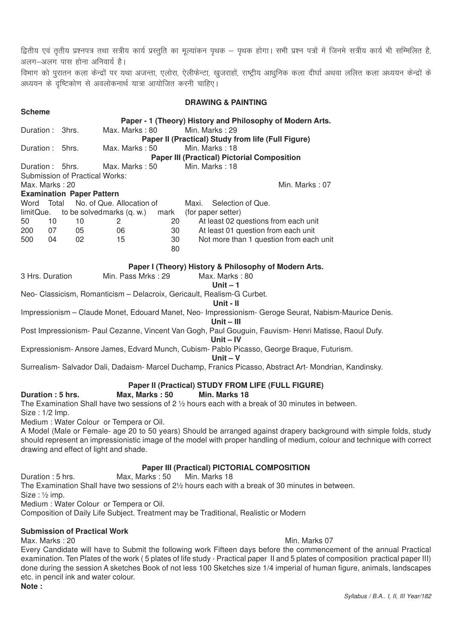द्वितीय एवं तृतीय प्रश्नपत्र तथा सत्रीय कार्य प्रस्तुति का मूल्यांकन पृथक – पृथक होगा। सभी प्रश्न पत्रों में जिनमे सत्रीय कार्य भी सम्मिलित है, अलग-अलग पास होना अनिवार्य है।

विभाग को पुरातन कला केन्द्रों पर यथा अजन्ता, एलोरा, ऐलीफेन्टा, खुजराहों, राष्ट्रीय आधुनिक कला दीर्घा अथवा ललित कला अध्ययन केन्द्रों के w: अध्ययन के दृष्टिकोण से अवलोकनार्थ यात्रा आयोजित करनी चाहिए।

|                           |    |                                  |                                         |          | <b>DRAWING &amp; PAINTING</b>                                                                                            |
|---------------------------|----|----------------------------------|-----------------------------------------|----------|--------------------------------------------------------------------------------------------------------------------------|
| <b>Scheme</b>             |    |                                  |                                         |          |                                                                                                                          |
|                           |    |                                  |                                         |          | Paper - 1 (Theory) History and Philosophy of Modern Arts.                                                                |
| Duration: 3hrs.           |    |                                  | Max. Marks: 80                          |          | Min. Marks: 29                                                                                                           |
|                           |    |                                  |                                         |          | Paper II (Practical) Study from life (Full Figure)                                                                       |
| Duration: 5hrs.           |    |                                  | Max. Marks: 50                          |          | Min. Marks: 18                                                                                                           |
|                           |    |                                  |                                         |          | <b>Paper III (Practical) Pictorial Composition</b>                                                                       |
| Duration: 5hrs.           |    |                                  | Max. Marks: 50                          |          | Min. Marks: 18                                                                                                           |
|                           |    | Submission of Practical Works:   |                                         |          |                                                                                                                          |
| Max. Marks: 20            |    |                                  |                                         |          | Min. Marks: 07                                                                                                           |
|                           |    | <b>Examination Paper Pattern</b> |                                         |          |                                                                                                                          |
| Word Total                |    |                                  | No. of Que. Allocation of               |          | Selection of Que.<br>Maxi.                                                                                               |
| limitQue.                 |    |                                  | to be solved marks (q. w.)              | mark     | (for paper setter)                                                                                                       |
| 50                        | 10 | 10                               | 2                                       | 20       | At least 02 questions from each unit                                                                                     |
| 200                       | 07 | 05                               | 06                                      | 30       | At least 01 question from each unit                                                                                      |
| 500                       | 04 | 02                               | 15                                      | 30<br>80 | Not more than 1 question from each unit                                                                                  |
|                           |    |                                  |                                         |          | Paper I (Theory) History & Philosophy of Modern Arts.                                                                    |
| 3 Hrs. Duration           |    |                                  | Min. Pass Mrks: 29                      |          | Max. Marks: 80                                                                                                           |
|                           |    |                                  |                                         |          | Unit $-1$                                                                                                                |
|                           |    |                                  |                                         |          | Neo- Classicism, Romanticism - Delacroix, Gericault, Realism-G Curbet.                                                   |
|                           |    |                                  |                                         |          | Unit - II                                                                                                                |
|                           |    |                                  |                                         |          | Impressionism - Claude Monet, Edouard Manet, Neo- Impressionism- Geroge Seurat, Nabism-Maurice Denis.<br>Unit $-$ III    |
|                           |    |                                  |                                         |          | Post Impressionism- Paul Cezanne, Vincent Van Gogh, Paul Gouguin, Fauvism- Henri Matisse, Raoul Dufy.<br>Unit $-$ IV     |
|                           |    |                                  |                                         |          | Expressionism-Ansore James, Edvard Munch, Cubism- Pablo Picasso, George Braque, Futurism.<br>Unit $- V$                  |
|                           |    |                                  |                                         |          | Surrealism- Salvador Dali, Dadaism- Marcel Duchamp, Franics Picasso, Abstract Art- Mondrian, Kandinsky.                  |
|                           |    |                                  |                                         |          | Paper II (Practical) STUDY FROM LIFE (FULL FIGURE)                                                                       |
| Duration: 5 hrs.          |    |                                  | Max, Marks: 50                          |          | Min. Marks 18                                                                                                            |
| Size: 1/2 Imp.            |    |                                  |                                         |          | The Examination Shall have two sessions of 2 1/2 hours each with a break of 30 minutes in between.                       |
|                           |    |                                  | Medium: Water Colour or Tempera or Oil. |          |                                                                                                                          |
|                           |    |                                  |                                         |          | A Model (Male or Female- age 20 to 50 years) Should be arranged against drapery background with simple folds, study      |
|                           |    |                                  | drawing and effect of light and shade.  |          | should represent an impressionistic image of the model with proper handling of medium, colour and technique with correct |
|                           |    |                                  |                                         |          | <b>Paper III (Practical) PICTORIAL COMPOSITION</b>                                                                       |
| Duration: 5 hrs.          |    |                                  | Max, Marks: 50                          |          | Min. Marks 18                                                                                                            |
| $Size : \frac{1}{2}$ imp. |    |                                  |                                         |          | The Examination Shall have two sessions of 21/2 hours each with a break of 30 minutes in between.                        |
|                           |    |                                  | Medium: Water Colour or Tempera or Oil. |          |                                                                                                                          |

Composition of Daily Life Subject. Treatment may be Traditional, Realistic or Modern

#### **Submission of Practical Work**

Max. Marks : 20 Min. Marks 07

Every Candidate will have to Submit the following work Fifteen days before the commencement of the annual Practical examination. Ten Plates of the work ( 5 plates of life study - Practical paper II and 5 plates of composition practical paper III) done during the session A sketches Book of not less 100 Sketches size 1/4 imperial of human figure, animals, landscapes etc. in pencil ink and water colour. **Note :**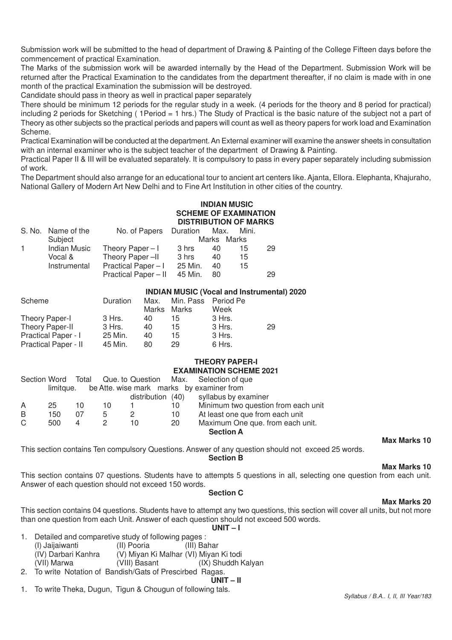Submission work will be submitted to the head of department of Drawing & Painting of the College Fifteen days before the commencement of practical Examination.

The Marks of the submission work will be awarded internally by the Head of the Department. Submission Work will be returned after the Practical Examination to the candidates from the department thereafter, if no claim is made with in one month of the practical Examination the submission will be destroyed.

Candidate should pass in theory as well in practical paper separately

There should be minimum 12 periods for the regular study in a week. (4 periods for the theory and 8 period for practical) including 2 periods for Sketching ( 1Period = 1 hrs.) The Study of Practical is the basic nature of the subject not a part of Theory as other subjects so the practical periods and papers will count as well as theory papers for work load and Examination Scheme.

Practical Examination will be conducted at the department. An External examiner will examine the answer sheets in consultation with an internal examiner who is the subject teacher of the department of Drawing & Painting.

Practical Paper II & III will be evaluated separately. It is compulsory to pass in every paper separately including submission of work.

The Department should also arrange for an educational tour to ancient art centers like. Ajanta, Ellora. Elephanta, Khajuraho, National Gallery of Modern Art New Delhi and to Fine Art Institution in other cities of the country.

### **INDIAN MUSIC SCHEME OF EXAMINATION DISTRIBUTION OF MARKS**

|    | S. No. Name of the  | No. of Papers Duration |         | Max. | Mini.       |    |
|----|---------------------|------------------------|---------|------|-------------|----|
|    | Subject             |                        |         |      | Marks Marks |    |
| 1. | <b>Indian Music</b> | Theory Paper $-1$      | 3 hrs   | 40   | 15          | 29 |
|    | Vocal &             | Theory Paper-II        | 3 hrs   | 40   | 15          |    |
|    | Instrumental        | Practical Paper-I      | 25 Min. | 40   | 15          |    |
|    |                     | Practical Paper - II   | 45 Min. | 80   |             | 29 |

|                            |          |             |                     | <b>INDIAN MUSIC (Vocal and Instrumental) 2020</b> |    |
|----------------------------|----------|-------------|---------------------|---------------------------------------------------|----|
| Scheme                     | Duration | Max.        | Min. Pass Period Pe |                                                   |    |
|                            |          | Marks Marks |                     | Week                                              |    |
| Theory Paper-I             | 3 Hrs.   | 40          | 15                  | 3 Hrs.                                            |    |
| Theory Paper-II            | 3 Hrs.   | 40          | 15                  | 3 Hrs.                                            | 29 |
| <b>Practical Paper - I</b> | 25 Min.  | 40          | 15                  | 3 Hrs.                                            |    |
| Practical Paper - II       | 45 Min.  | 80          | 29                  | 6 Hrs.                                            |    |

#### **THEORY PAPER-I EXAMINATION SCHEME 2021**

|   |           |    |    |                   |    | Section Word Total Que. to Question Max. Selection of que |
|---|-----------|----|----|-------------------|----|-----------------------------------------------------------|
|   | limitque. |    |    |                   |    | be Atte. wise mark marks by examiner from                 |
|   |           |    |    | distribution (40) |    | syllabus by examiner                                      |
| A | 25        | 10 | 10 |                   | 10 | Minimum two question from each unit                       |
| B | 150       | 07 | 5  |                   | 10 | At least one que from each unit                           |
| C | 500       | 4  |    | 10                | 20 | Maximum One que. from each unit.                          |
|   |           |    |    |                   |    | <b>Section A</b>                                          |
|   |           |    |    |                   |    |                                                           |

**Max Marks 10**

This section contains Ten compulsory Questions. Answer of any question should not exceed 25 words.

**Section B**

**Max Marks 10**

This section contains 07 questions. Students have to attempts 5 questions in all, selecting one question from each unit. Answer of each question should not exceed 150 words.

#### **Section C**

#### **Max Marks 20**

This section contains 04 questions. Students have to attempt any two questions, this section will cover all units, but not more than one question from each Unit. Answer of each question should not exceed 500 words.

**UNIT – I**

- 1. Detailed and comparetive study of following pages : (I) Jaijaiwanti (II) Pooria (III) Bahar (IV) Darbari Kanhra (V) Miyan Ki Malhar (VI) Miyan Ki todi (IX) Shuddh Kalyan
- 2. To write Notation of Bandish/Gats of Prescirbed Ragas.

$$
\overline{UNIT} - II
$$

1. To write Theka, Dugun, Tigun & Chougun of following tals.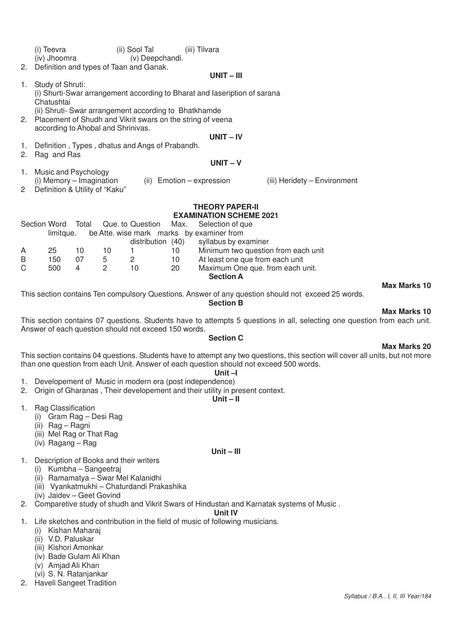|                      | (i) Teevra                                                                |       |                | (ii) Sool Tal                                                 |      | (iii) Tilvara                             |                                                                                                    |                     |  |  |  |
|----------------------|---------------------------------------------------------------------------|-------|----------------|---------------------------------------------------------------|------|-------------------------------------------|----------------------------------------------------------------------------------------------------|---------------------|--|--|--|
|                      | (iv) Jhoomra                                                              |       |                | (v) Deepchandi.                                               |      |                                           |                                                                                                    |                     |  |  |  |
| 2.                   |                                                                           |       |                | Definition and types of Taan and Ganak.                       |      |                                           |                                                                                                    |                     |  |  |  |
|                      |                                                                           |       |                |                                                               |      | $UNIT - III$                              |                                                                                                    |                     |  |  |  |
| 1.                   | Study of Shruti:                                                          |       |                |                                                               |      |                                           |                                                                                                    |                     |  |  |  |
|                      | (i) Shurti-Swar arrangement according to Bharat and laseription of sarana |       |                |                                                               |      |                                           |                                                                                                    |                     |  |  |  |
|                      | Chatushtai                                                                |       |                |                                                               |      |                                           |                                                                                                    |                     |  |  |  |
|                      |                                                                           |       |                | (ii) Shruti- Swar arrangement according to Bhatkhamde         |      |                                           |                                                                                                    |                     |  |  |  |
|                      |                                                                           |       |                | 2. Placement of Shudh and Vikrit swars on the string of veena |      |                                           |                                                                                                    |                     |  |  |  |
|                      | according to Ahobal and Shrinivas.                                        |       |                |                                                               |      |                                           |                                                                                                    |                     |  |  |  |
|                      |                                                                           |       |                |                                                               |      | $UNIT - IV$                               |                                                                                                    |                     |  |  |  |
| 1.                   |                                                                           |       |                | Definition, Types, dhatus and Angs of Prabandh.               |      |                                           |                                                                                                    |                     |  |  |  |
| 2.                   | Rag and Ras                                                               |       |                |                                                               |      |                                           |                                                                                                    |                     |  |  |  |
|                      |                                                                           |       |                |                                                               |      | $UNIT - V$                                |                                                                                                    |                     |  |  |  |
| 1.                   | Music and Psychology                                                      |       |                |                                                               |      |                                           |                                                                                                    |                     |  |  |  |
|                      | (i) Memory - Imagination                                                  |       |                |                                                               |      | (ii) Emotion - expression                 | (iii) Heridety - Environment                                                                       |                     |  |  |  |
| $\mathbf{2}^{\circ}$ | Definition & Utility of "Kaku"                                            |       |                |                                                               |      |                                           |                                                                                                    |                     |  |  |  |
|                      |                                                                           |       |                |                                                               |      |                                           |                                                                                                    |                     |  |  |  |
|                      |                                                                           |       |                |                                                               |      | <b>THEORY PAPER-II</b>                    |                                                                                                    |                     |  |  |  |
|                      |                                                                           |       |                |                                                               |      | <b>EXAMINATION SCHEME 2021</b>            |                                                                                                    |                     |  |  |  |
|                      | Section Word                                                              | Total |                | Que. to Question                                              | Max. | Selection of que                          |                                                                                                    |                     |  |  |  |
|                      | limitque.                                                                 |       |                |                                                               |      | be Atte. wise mark marks by examiner from |                                                                                                    |                     |  |  |  |
|                      |                                                                           |       |                | distribution (40)                                             |      | syllabus by examiner                      |                                                                                                    |                     |  |  |  |
| A                    | 25                                                                        | 10    | 10             | 1                                                             | 10   |                                           | Minimum two question from each unit                                                                |                     |  |  |  |
| B                    | 150                                                                       | 07    | 5              | $\mathbf{2}$                                                  | 10   |                                           | At least one que from each unit                                                                    |                     |  |  |  |
| C                    | 500                                                                       | 4     | $\overline{c}$ | 10                                                            | 20   |                                           | Maximum One que. from each unit.                                                                   |                     |  |  |  |
|                      |                                                                           |       |                |                                                               |      | <b>Section A</b>                          |                                                                                                    |                     |  |  |  |
|                      |                                                                           |       |                |                                                               |      |                                           |                                                                                                    | <b>Max Marks 10</b> |  |  |  |
|                      |                                                                           |       |                |                                                               |      |                                           | This section contains Ten compulsory Questions. Answer of any question should not exceed 25 words. |                     |  |  |  |

**Section B**

#### **Max Marks 10**

**Max Marks 20**

This section contains 07 questions. Students have to attempts 5 questions in all, selecting one question from each unit. Answer of each question should not exceed 150 words.

# **Section C**

#### This section contains 04 questions. Students have to attempt any two questions, this section will cover all units, but not more than one question from each Unit. Answer of each question should not exceed 500 words.

# **Unit –I**

- 1. Developement of Music in modern era (post independence) 2. Origin of Gharanas , Their developement and their utility in present context.
	- **Unit II**

- 1. Rag Classification
	- (i) Gram Rag Desi Rag
	- (ii) Rag Ragni
	- (iii) Mel Rag or That Rag
	- (iv) Ragang Rag

#### **Unit – III**

- 1. Description of Books and their writers
	- (i) Kumbha Sangeetraj
	- (ii) Ramamatya Swar Mel Kalanidhi
	- (iii) Vyankatmukhi Chaturdandi Prakashika
	- (iv) Jaidev Geet Govind
- 2. Comparetive study of shudh and Vikrit Swars of Hindustan and Karnatak systems of Music.

### **Unit IV**

- 1. Life sketches and contribution in the field of music of following musicians.
	- (i) Kishan Maharaj
	- (ii) V.D. Paluskar
	- (iii) Kishori Amonkar
	- (iv) Bade Gulam Ali Khan
	- (v) Amjad Ali Khan
- (vi) S. N. Ratanjankar 2. Haveli Sangeet Tradition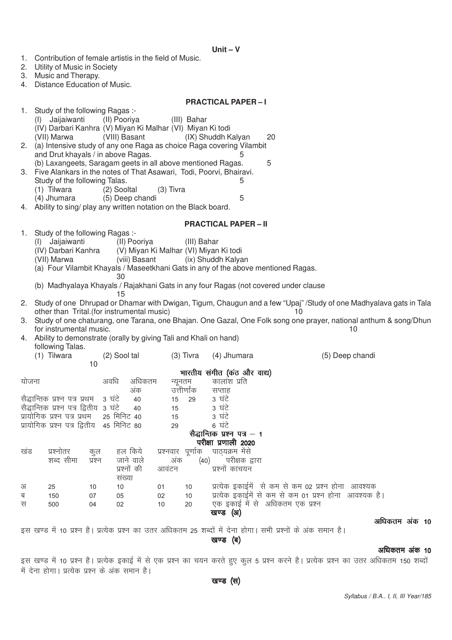| 1.     | Contribution of female artistis in the field of Music.<br>2. Utility of Music in Society<br>3. Music and Therapy.                     |          |                                |          |                       |                                                                                            |                                                                                                                                         |               |
|--------|---------------------------------------------------------------------------------------------------------------------------------------|----------|--------------------------------|----------|-----------------------|--------------------------------------------------------------------------------------------|-----------------------------------------------------------------------------------------------------------------------------------------|---------------|
| 4.     | Distance Education of Music.                                                                                                          |          |                                |          |                       |                                                                                            |                                                                                                                                         |               |
|        |                                                                                                                                       |          |                                |          |                       | <b>PRACTICAL PAPER-I</b>                                                                   |                                                                                                                                         |               |
| 1. .   | Study of the following Ragas :-                                                                                                       |          |                                |          |                       |                                                                                            |                                                                                                                                         |               |
|        | (I) Jaijaiwanti<br>(IV) Darbari Kanhra (V) Miyan Ki Malhar (VI) Miyan Ki todi                                                         |          | (II) Pooriya                   |          | (III) Bahar           |                                                                                            |                                                                                                                                         |               |
| 2.     | (VII) Marwa                                                                                                                           |          | (VIII) Basant                  |          |                       | (IX) Shuddh Kalyan<br>(a) Intensive study of any one Raga as choice Raga covering Vilambit | 20                                                                                                                                      |               |
|        | and Drut khayals / in above Ragas.                                                                                                    |          |                                |          |                       | 5                                                                                          |                                                                                                                                         |               |
|        | (b) Laxangeets, Saragam geets in all above mentioned Ragas.<br>3. Five Alankars in the notes of That Asawari, Todi, Poorvi, Bhairavi. |          |                                |          |                       |                                                                                            | 5                                                                                                                                       |               |
|        | Study of the following Talas.                                                                                                         |          |                                |          |                       | 5                                                                                          |                                                                                                                                         |               |
|        | (1) Tilwara<br>(4) Jhumara                                                                                                            |          | (2) Sooltal<br>(5) Deep chandi |          | $(3)$ Tivra           | 5                                                                                          |                                                                                                                                         |               |
|        | 4. Ability to sing/ play any written notation on the Black board.                                                                     |          |                                |          |                       |                                                                                            |                                                                                                                                         |               |
|        |                                                                                                                                       |          |                                |          |                       | <b>PRACTICAL PAPER - II</b>                                                                |                                                                                                                                         |               |
| 1.     | Study of the following Ragas :-<br>Jaijaiwanti<br>(I)                                                                                 |          | (II) Pooriya                   |          | (III) Bahar           |                                                                                            |                                                                                                                                         |               |
|        | (IV) Darbari Kanhra                                                                                                                   |          |                                |          |                       | (V) Miyan Ki Malhar (VI) Miyan Ki todi                                                     |                                                                                                                                         |               |
|        | (VII) Marwa                                                                                                                           |          | (viii) Basant                  |          |                       | (ix) Shuddh Kalyan                                                                         | (a) Four Vilambit Khayals / Maseetkhani Gats in any of the above mentioned Ragas.                                                       |               |
|        |                                                                                                                                       |          | 30                             |          |                       |                                                                                            |                                                                                                                                         |               |
|        |                                                                                                                                       |          | 15                             |          |                       |                                                                                            | (b) Madhyalaya Khayals / Rajakhani Gats in any four Ragas (not covered under clause                                                     |               |
|        | other than Trital.(for instrumental music)                                                                                            |          |                                |          |                       |                                                                                            | 2. Study of one Dhrupad or Dhamar with Dwigan, Tigum, Chaugun and a few "Upaj" /Study of one Madhyalava gats in Tala<br>10              |               |
|        |                                                                                                                                       |          |                                |          |                       |                                                                                            | 3. Study of one chaturang, one Tarana, one Bhajan. One Gazal, One Folk song one prayer, national anthum & song/Dhun                     |               |
| 4.     | for instrumental music.<br>Ability to demonstrate (orally by giving Tali and Khali on hand)                                           |          |                                |          |                       |                                                                                            | 10                                                                                                                                      |               |
|        | following Talas.                                                                                                                      |          |                                |          |                       |                                                                                            |                                                                                                                                         |               |
|        | (1) Tilwara                                                                                                                           | 10       | (2) Sool tal                   |          | $(3)$ Tivra           | (4) Jhumara                                                                                | (5) Deep chandi                                                                                                                         |               |
|        |                                                                                                                                       |          |                                |          |                       | भारतीय संगीत (कंठ और वाद्य)                                                                |                                                                                                                                         |               |
| योजना  |                                                                                                                                       |          | अवधि<br>अधिकतम<br>अंक          |          | न्यूनतम<br>उत्तीर्णाक | कालांश प्रति<br>सप्ताह                                                                     |                                                                                                                                         |               |
|        | सैद्धान्तिक प्रश्न पत्र प्रथम - 3 घंटे                                                                                                |          | 40                             |          | 29<br>15              | 3 घंटे                                                                                     |                                                                                                                                         |               |
|        | सैद्धान्तिक प्रश्न पत्र द्वितीय 3 घंटे<br>प्रायोगिक प्रश्न पत्र प्रथम                                                                 |          | 40<br>25 मिनिट 40              |          | 15<br>15              | 3 घंटे<br>3 घंटे                                                                           |                                                                                                                                         |               |
|        | प्रायोगिक प्रश्न पत्र द्वितीय 45 मिनिट 80                                                                                             |          |                                |          | 29                    | 6 घंटे                                                                                     |                                                                                                                                         |               |
|        |                                                                                                                                       |          |                                |          |                       | सैद्धान्तिक प्रश्न पत्र – 1<br>परीक्षा प्रणाली 2020                                        |                                                                                                                                         |               |
| खड     | प्रश्नोतर                                                                                                                             | कुल      | हल किये                        |          |                       | प्रश्नवार पूर्णाक पाठ्यक्रम मेंसे                                                          |                                                                                                                                         |               |
|        | शब्द सीमा                                                                                                                             | प्रश्न   | जाने वाले<br>प्रश्नों की       | आवंटन    | अंक                   | (40) परीक्षक द्वारा<br>प्रश्नों काचयन                                                      |                                                                                                                                         |               |
|        |                                                                                                                                       |          | सख्या                          |          |                       |                                                                                            |                                                                                                                                         |               |
| अ      | 25                                                                                                                                    | 10       | 10                             | 01       | 10                    |                                                                                            | प्रत्येक इकाईमें से कम से कम 02 प्रश्न होना आवश्यक                                                                                      |               |
| ब<br>स | 150<br>500                                                                                                                            | 07<br>04 | 05<br>02                       | 02<br>10 | 10<br>20              |                                                                                            | प्रत्येक इकाईमें से कम से कम 01 प्रश्न होना आवश्यक है।<br>एक इकाई में से अधिकतम एक प्रश्न                                               |               |
|        |                                                                                                                                       |          |                                |          |                       | खण्ड (अ)                                                                                   |                                                                                                                                         | अधिकतम अंक 10 |
|        |                                                                                                                                       |          |                                |          |                       |                                                                                            | इस खण्ड में 10 प्रश्न है। प्रत्येक प्रश्न का उतर अधिकतम 25 शब्दों में देना होगा। सभी प्रश्नों के अंक समान है।                           |               |
|        |                                                                                                                                       |          |                                |          |                       | खण्ड (ब)                                                                                   |                                                                                                                                         |               |
|        |                                                                                                                                       |          |                                |          |                       |                                                                                            | इस खण्ड में 10 प्रश्न है। प्रत्येक इकाई में से एक प्रश्न का चयन करते हुए कुल 5 प्रश्न करने है। प्रत्येक प्रश्न का उतर अधिकतम 150 शब्दों | अधिकतम अंक 10 |
|        | में देना होगा। प्रत्येक प्रश्न के अंक समान है।                                                                                        |          |                                |          |                       |                                                                                            |                                                                                                                                         |               |
|        |                                                                                                                                       |          |                                |          |                       | खण्ड (स)                                                                                   |                                                                                                                                         |               |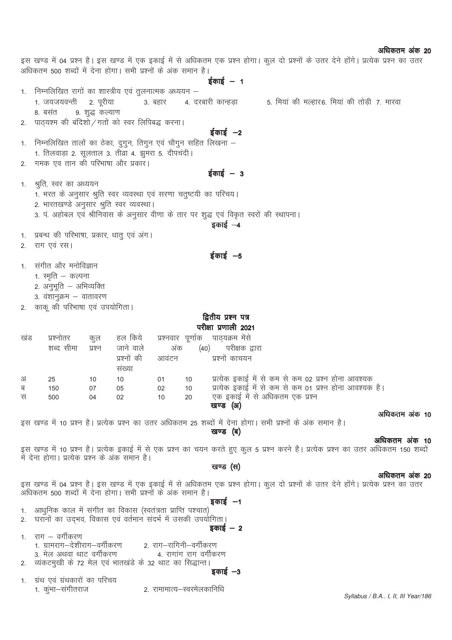|        | अधिकतम 500 शब्दों में देना होगा। सभी प्रश्नों के अंक समान है।                                                         |                 |             |                        |                        | $\frac{1}{2}$ काई – 1                                                                                          |  | इस खण्ड में 04 प्रश्न है। इस खण्ड में एक इकाई में से अधिकतम एक प्रश्न होगा। कुल दो प्रश्नों के उतर देने होंगे। प्रत्येक प्रश्न का उतर                  |  |
|--------|-----------------------------------------------------------------------------------------------------------------------|-----------------|-------------|------------------------|------------------------|----------------------------------------------------------------------------------------------------------------|--|--------------------------------------------------------------------------------------------------------------------------------------------------------|--|
|        | 1. निम्नलिखित रागों का शास्त्रीय एवं तुलनात्मक अध्ययन –                                                               |                 |             |                        |                        |                                                                                                                |  |                                                                                                                                                        |  |
|        | 1. जयजयवन्ती                                                                                                          | 2. पूरीया       | 3. बहार     |                        |                        | 4. दरबारी कान्हड़ा                                                                                             |  | 5. मियां की मल्हार6. मियां की तोड़ी 7. मारवा                                                                                                           |  |
|        | 8. बसंत                                                                                                               | 9. शुद्ध कल्याण |             |                        |                        |                                                                                                                |  |                                                                                                                                                        |  |
|        | 2. पाठ्यश्म की बंदिशो / गतों को स्वर लिपिबद्ध करना।                                                                   |                 |             |                        |                        |                                                                                                                |  |                                                                                                                                                        |  |
|        |                                                                                                                       |                 |             |                        |                        | ईकाई –2                                                                                                        |  |                                                                                                                                                        |  |
| 1.     | निम्नलिखित तालों का ठेका, दुगुन, तिगुन एवं चौगुन सहित लिखना –<br>1. तिलवाड़ा 2. सूलताल 3. तीव्रा 4. झुमरा 5. दीपचंदी। |                 |             |                        |                        |                                                                                                                |  |                                                                                                                                                        |  |
| 2.     | गमक एव तान की परिभाषा और प्रकार।                                                                                      |                 |             |                        |                        |                                                                                                                |  |                                                                                                                                                        |  |
|        |                                                                                                                       |                 |             |                        |                        | $\frac{1}{5}$ काई – 3                                                                                          |  |                                                                                                                                                        |  |
| 1.     | श्रुति, स्वर का अध्ययन                                                                                                |                 |             |                        |                        |                                                                                                                |  |                                                                                                                                                        |  |
|        | 1. भरत के अनुसार श्रुति स्वर व्यवस्था एवं सरणा चतुष्टयी का परिचय।                                                     |                 |             |                        |                        |                                                                                                                |  |                                                                                                                                                        |  |
|        | 2. भारतखण्डे अनुसार श्रुति स्वर व्यवस्था।                                                                             |                 |             |                        |                        |                                                                                                                |  |                                                                                                                                                        |  |
|        |                                                                                                                       |                 |             |                        |                        | 3. पं. अहोबल एवं श्रीनिवास के अनुसार वीणा के तार पर शुद्ध एवं विकृत स्वरों की स्थापना।                         |  |                                                                                                                                                        |  |
|        |                                                                                                                       |                 |             |                        |                        | इकाई –4                                                                                                        |  |                                                                                                                                                        |  |
|        | 1. प्रबन्ध की परिभाषा, प्रकार, धातु एवं अंग।                                                                          |                 |             |                        |                        |                                                                                                                |  |                                                                                                                                                        |  |
|        | 2. राग एवं रस।                                                                                                        |                 |             |                        |                        |                                                                                                                |  |                                                                                                                                                        |  |
|        |                                                                                                                       |                 |             |                        |                        | $\frac{1}{5}$ काई $-5$                                                                                         |  |                                                                                                                                                        |  |
| 1.     | संगीत और मनोविज्ञान                                                                                                   |                 |             |                        |                        |                                                                                                                |  |                                                                                                                                                        |  |
|        | 1. स्मृति – कल्पना                                                                                                    |                 |             |                        |                        |                                                                                                                |  |                                                                                                                                                        |  |
|        | 2. अनुभूति – अभिव्यक्ति                                                                                               |                 |             |                        |                        |                                                                                                                |  |                                                                                                                                                        |  |
|        | 3. वंशानुक्रम – वातावरण                                                                                               |                 |             |                        |                        |                                                                                                                |  |                                                                                                                                                        |  |
|        | 2. काकू की परिभाषा एवं उपयोगिता।                                                                                      |                 |             |                        |                        |                                                                                                                |  |                                                                                                                                                        |  |
|        |                                                                                                                       |                 |             |                        |                        | द्वितीय प्रश्न पत्र                                                                                            |  |                                                                                                                                                        |  |
|        |                                                                                                                       |                 |             |                        |                        | परीक्षा प्रणाली 2021                                                                                           |  |                                                                                                                                                        |  |
| खंड    | प्रश्नोतर                                                                                                             | कुल             | हल किये     |                        |                        | प्रश्नवार पूर्णाक पाठ्यक्रम मेंसे                                                                              |  |                                                                                                                                                        |  |
|        | शब्द सीमा                                                                                                             | प्रश्न          | जाने वाले   | अंक                    |                        | (40) परीक्षक द्वारा                                                                                            |  |                                                                                                                                                        |  |
|        |                                                                                                                       |                 | प्रश्नों की | आवंटन                  |                        | प्रश्नों काचयन                                                                                                 |  |                                                                                                                                                        |  |
|        |                                                                                                                       |                 | संख्या      |                        |                        |                                                                                                                |  |                                                                                                                                                        |  |
| अ<br>ब | 25<br>150                                                                                                             | 10<br>07        | 10<br>05    | 01<br>02               | 10<br>10               | प्रत्येक इकाई में से कम से कम 02 प्रश्न होना आवश्यक<br>प्रत्येक इकाई में से कम से कम 01 प्रश्न होना आवश्यक है। |  |                                                                                                                                                        |  |
| स      | 500<br>$\overline{04}$                                                                                                |                 | 02<br>10    |                        | 20                     | एक इकाई में से अधिकतम एक प्रश्न                                                                                |  |                                                                                                                                                        |  |
|        |                                                                                                                       |                 |             |                        |                        | खण्ड (अ)                                                                                                       |  |                                                                                                                                                        |  |
|        |                                                                                                                       |                 |             |                        |                        |                                                                                                                |  | अधिकतम अंक 10                                                                                                                                          |  |
|        | इस खण्ड में 10 प्रश्न है। प्रत्येक प्रश्न का उतर अधिकतम 25 शब्दों में देना होगा। सभी प्रश्नों के अंक समान है।         |                 |             |                        |                        |                                                                                                                |  |                                                                                                                                                        |  |
|        |                                                                                                                       |                 |             |                        |                        | खण्ड (ब)                                                                                                       |  | अधिकतम अंक 10                                                                                                                                          |  |
|        |                                                                                                                       |                 |             |                        |                        |                                                                                                                |  | इस खण्ड में 10 प्रश्न है। प्रत्येक इकाई में से एक प्रश्न का चयन करते हुए कुल 5 प्रश्न करने है। प्रत्येक प्रश्न का उतर अधिकतम 150 शब्दों                |  |
|        | में देना होगा। प्रत्येक प्रश्न के अंक समान है।                                                                        |                 |             |                        |                        |                                                                                                                |  |                                                                                                                                                        |  |
|        |                                                                                                                       |                 |             |                        |                        | खण्ड (स)                                                                                                       |  |                                                                                                                                                        |  |
|        |                                                                                                                       |                 |             |                        |                        |                                                                                                                |  | अधिकतम अंक 20<br>इस खण्ड में 04 प्रश्न है। इस खण्ड में एक इकाई में से अधिकतम एक प्रश्न होगा। कुल दो प्रश्नों के उतर देने होंगे। प्रत्येक प्रश्न का उतर |  |
|        | अधिकतम 500 शब्दों में देना होगा। सभी प्रश्नों के अंक समान है।                                                         |                 |             |                        |                        |                                                                                                                |  |                                                                                                                                                        |  |
|        |                                                                                                                       |                 |             |                        |                        | इकाई $-1$                                                                                                      |  |                                                                                                                                                        |  |
|        | 1. आधुनिक काल में संगीत का विकास (स्वतंत्रता प्राप्ति पश्चात)                                                         |                 |             |                        |                        |                                                                                                                |  |                                                                                                                                                        |  |
|        | 2. घरानों का उद्भव, विकास एवं वर्तमान संदर्भ में उसकी उपयोगिता।                                                       |                 |             |                        |                        |                                                                                                                |  |                                                                                                                                                        |  |
|        | 1.    राग – वर्गीकरण                                                                                                  |                 |             |                        |                        | इकाई <i>—</i> 2                                                                                                |  |                                                                                                                                                        |  |
|        | 1. ग्रामराग—देशीराग—वर्गीकरण                                                                                          |                 |             | 2. राग—रागिनी—वर्गीकरण |                        |                                                                                                                |  |                                                                                                                                                        |  |
|        | 3. मेल अथवा थाट वर्गीकरण                                                                                              |                 |             |                        | 4. रागांग राग वर्गीकरण |                                                                                                                |  |                                                                                                                                                        |  |
|        | 2. व्यंकटमुखी के 72 मेल एवं भातखंडे के 32 थाट का सिद्धान्त।                                                           |                 |             |                        |                        |                                                                                                                |  |                                                                                                                                                        |  |
|        | 1 - ग्रंथ एवं ग्रंथकारों का परिचय                                                                                     |                 |             |                        |                        | इकाई –3                                                                                                        |  |                                                                                                                                                        |  |
|        |                                                                                                                       |                 |             |                        |                        |                                                                                                                |  |                                                                                                                                                        |  |

त्रजन्दुष प्रचषगरा प<br>1. कुंभा–संगीतराज ......<br>2. रामामात्य—स्वरमेलकानिधि

Syllabus / B.A.. I, II, III Year/186

# अधिकतम अंक 20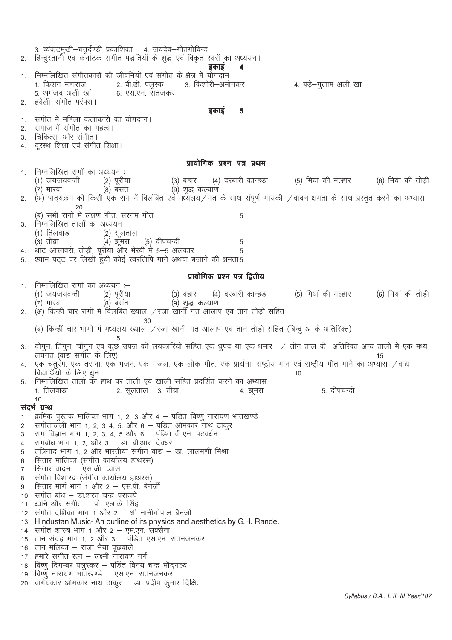3. व्यंकटमुखी–चतुर्दण्डी प्रकाशिका 4. जयदेव–गीतगोविन्द 2. हिन्दुस्तानी एवं कर्नाटक संगीत पद्धतियों के शुद्ध एवं विकृत स्वरों का अध्ययन। डकाई  $-4$ निम्नलिखित संगीतकारों की जीवनियों एवं संगीत के क्षेत्र में योगदान 2. वी.डी. पलूस्क 1. किशन महाराज 3. किशोरी–अमोनकर 4. बड़े–गुलाम अली खां 5. अमजद अली खा 6. एस.एन. रातजंकर हवेली–संगीत परंपरा।  $\mathfrak{D}$ इकाई  $-5$  $\mathbf{1}$ संगीत में महिला कलाकारों का योगदान। समाज में संगीत का महत्व।  $\mathcal{P}$ चिकित्सा और संगीत।  $\mathcal{S}$ दूरस्थ शिक्षा एवं संगीत शिक्षा।  $\overline{4}$ प्रायोगिक प्रश्न पत्र प्रथम निम्नलिखित रागों का अध्ययन :-- $\mathbf{1}$ (5) मियां की मल्हार (1) जयजयवन्ती (2) पुरीया (4) दरबारी कान्हडा (6) मियां की तोडी (३) बहार (7) मारवा (8) बसंत (9) शुद्ध कल्याण (अ) पाठयक्रम की किसी एक राग में विलंबित एवं मध्यलय ⁄ गत के साथ संपर्ण गायकी ⁄वादन क्षमता के साथ प्रस्तत करने का अभ्यास  $\mathfrak{D}$ 20 (ब) सभी रागों में लक्षण गीत, सरगम गीत 5 निम्नलिखित तालों का अध्ययन  $\mathbf{z}$ (1) तिलवाड़ा (2) सूलताल (4) झूमरा (३) तीव्रा (5) दीपचन्दी 5 थाट आसावरी, तोड़ी, पूरीया और भैरवी में 5-5 अलंकार 5  $\overline{4}$ श्याम पट्ट पर लिखी हुयी कोई स्वरलिपि गाने अथवा बजाने की क्षमता5 5 प्रायोगिक प्रश्न पत्र द्वितीय निम्नलिखित रागों का अध्ययन :–  $\mathbf{1}$ (1) जयजयवन्ती (२) पूरीया (3) बहार (4) दरबारी कान्हड़ा (5) मियां की मल्हार (6) मियां की तोडी (7) मारवा  $(8)$  बंसंत (9) शुद्ध कल्याण 2. (अं) किन्हीं चार रागों में विलंबित ख्याल /रजा खानी गत आलाप एवं तान तोड़ो सहित 30 (ब) किन्हीं चार भागों में मध्यलय ख्याल ⁄रजा खानी गत आलाप एवं तान तोडो सहित (बिन्द अ के अतिरिक्त) दोगन, तिगन, चौगन एवं कुछ उपज की लयकारियों सहित एक ध्रुपद या एक धमार / तीन ताल के अतिरिक्त अन्य तालों में एक मध्य  $\mathcal{S}$ लयँगत (वाँद्य संगीत के लिए) 15 एक चतुरंग, एक तराना, एक भजन, एक गजल, एक लोक गीत, एक प्रार्थना, राष्ट्रीय गान एवं राष्ट्रीय गीत गाने का अभ्यास /वाद्य विद्यार्थियों के लिए धुन  $10$ निम्नलिखित तालों का हाथ पर ताली एवं खाली सहित प्रदर्शित करने का अभ्यास  $\overline{5}$ 1. तिलवाडा 5. दीपचन्दी 2. सूलताल - 3. तीव्रा 4. झुमरा  $10$ संदर्भ ग्रन्थ क्रमिक पुस्तक मालिका भाग 1, 2, 3 और 4 – पंडित विष्णु नारायण भातखण्डे  $\mathbf{1}$ संगीतांजली भाग 1, 2, 3 4, 5, और 6 – पड़ित ओमकार नाथ ठाकुर  $\overline{2}$ राग विज्ञान भाग 1, 2, 3, 4, 5 और 6 - पंडित वी.एन. पटवर्धन 3 रागबोध भाग 1, 2, और 3 - डा. बी.आर. देवधर  $\overline{4}$ तंत्रिनाद भाग 1, 2 और भारतीया संगीत वाद्य - डा. लालमणी मिश्रा 5 सितार मालिका (संगीत कार्यालय हाथरस) 6 सितार वादन – एस.जी. व्यास  $\overline{7}$ संगीत विशारद (संगीत कार्यालय हाथरस)  $\mathsf{R}$ सितार मार्ग भाग 1 और 2 - एस.पी. बेनर्जी  $\mathsf{Q}$ 10 संगीत बोध - डा.शरत चन्द्र परांजपे 11 ध्वनि और संगीत – प्रो. एल.के. सिंह 12 संगीत दर्शिका भाग 1 और 2 – श्री नानीगोपाल बैनर्जी 13 Hindustan Music-An outline of its physics and aesthetics by G.H. Rande. 14 संगीत शास्त्र भाग 1 और 2 - एम.एन. सक्सैना 15 तान संग्रह भाग 1, 2 और 3 – पंडित एस.एन. रातनजनकर 16 तान मलिका – राजा भैया पुछवाले 17 हमारे संगीत रत्न – लक्ष्मी नारायण गर्ग 18) विष्णू दिगम्बर पलुस्कर – पडित विनय चन्द्र मौदगल्य 19 विष्णु नारायण भातखण्डे – एस.एन. रातनजनकर 20 वागेयकार ओमकार नाथ ठाकूर – डा. प्रदीप कुमार दिक्षित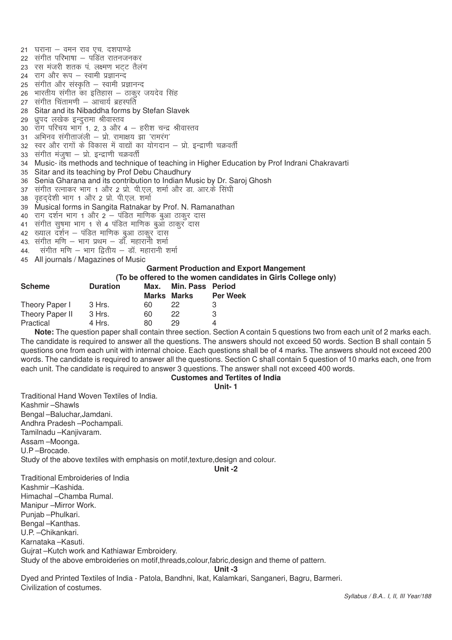$21$  घराना – वमन राव एच. दशपाण्डे 22 संगीत परिभाषा – पडित रातनजनकर 23 रस मंजरी शतक पं. लक्ष्मण भटट तैलंग 24 राग और रूप - स्वामी प्रज्ञानन्द 25 संगीत और संस्कृति – स्वामी प्रज्ञानन्द 26 भारतीय संगीत का इतिहास – ठाकर जयदेव सिंह 27 संगीत चिंतामणी – आचार्य ब्रहस्पति 28 Sitar and its Nibaddha forms by Stefan Slavek 29 ध्रपद लखेक इन्दुरामा श्रीवास्तव  $30$  राग परिचय भाग 1, 2, 3 और 4 – हरीश चन्द्र श्रीवास्तव  $31$  अभिनव संगीताजली – प्रो. रामाक्षय झा 'रामरंग' 32 स्वर और रागों के विकास में वाद्यों का योगदान – प्रो. इन्द्राणी चक्रवर्ती  $33$  संगीत मंजुषा - प्रो. इन्द्राणी चक्रवर्ती 34 Music- its methods and technique of teaching in Higher Education by Prof Indrani Chakravarti 35 Sitar and its teaching by Prof Debu Chaudhury 36 Senia Gharana and its contribution to Indian Music by Dr. Saroj Ghosh 37) संगीत रत्नाकर भाग 1 और 2 प्रो. पी.एल, शर्मा और डा. आर.के सिंघी 38 वहददेशी भाग 1 और 2 प्रो. पी.एल. शर्मा 39 Musical forms in Sangita Ratnakar by Prof. N. Ramanathan 40 )राग दर्शन भाग 1 और 2 – पंडित माणिक बुआ ठाकुर दास 41 संगीत सषमा भाग 1 से 4 पंडित माणिक बआ ठाकर दास  $42$  ख्याल दर्शन – पंडित माणिक बुआ ठाकूर दास 43. संगीत मणि – भाग प्रथम – डॉ. महारानी शर्मा 44. संगीत मणि – भाग द्वितीय – डॉ. महारानी शर्मा

- 
- 45 All journals / Magazines of Music

#### **Garment Production and Export Mangement (To be offered to the women candidates in Girls College only)**

|                | TO be onefed to the women candidates in Gill |      |                  |                 |  |  |  |  |
|----------------|----------------------------------------------|------|------------------|-----------------|--|--|--|--|
| Scheme         | <b>Duration</b>                              | Max. | Min. Pass Period |                 |  |  |  |  |
|                |                                              |      | Marks Marks      | <b>Per Week</b> |  |  |  |  |
| Theory Paper I | - 3 Hrs.                                     | 60.  | 22.              |                 |  |  |  |  |
|                |                                              |      |                  |                 |  |  |  |  |

Theory Paper II 3 Hrs. 60 22 3 Practical 4 Hrs. 80 29 4 **Note:** The question paper shall contain three section. Section A contain 5 questions two from each unit of 2 marks each. The candidate is required to answer all the questions. The answers should not exceed 50 words. Section B shall contain 5 questions one from each unit with internal choice. Each questions shall be of 4 marks. The answers should not exceed 200 words. The candidate is required to answer all the questions. Section C shall contain 5 question of 10 marks each, one from each unit. The candidate is required to answer 3 questions. The answer shall not exceed 400 words.

#### **Customes and Tertites of India**

#### **Unit- 1**

Traditional Hand Woven Textiles of India. Kashmir –Shawls Bengal –Baluchar,Jamdani. Andhra Pradesh –Pochampali. Tamilnadu –Kanjivaram. Assam –Moonga. U.P –Brocade. Study of the above textiles with emphasis on motif,texture,design and colour.

**Unit -2**

Traditional Embroideries of India Kashmir –Kashida. Himachal –Chamba Rumal. Manipur –Mirror Work. Punjab –Phulkari. Bengal –Kanthas. U.P. –Chikankari. Karnataka –Kasuti. Gujrat –Kutch work and Kathiawar Embroidery. Study of the above embroideries on motif,threads,colour,fabric,design and theme of pattern.

**Unit -3**

Dyed and Printed Textiles of India - Patola, Bandhni, Ikat, Kalamkari, Sanganeri, Bagru, Barmeri. Civilization of costumes.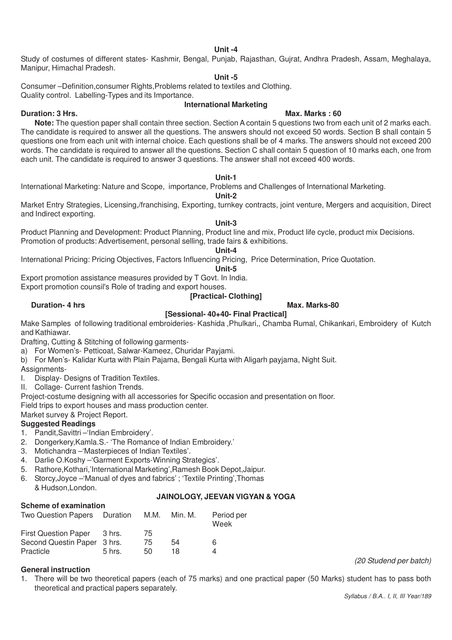#### **Unit -4**

Study of costumes of different states- Kashmir, Bengal, Punjab, Rajasthan, Gujrat, Andhra Pradesh, Assam, Meghalaya, Manipur, Himachal Pradesh.

#### **Unit -5**

Consumer –Definition,consumer Rights,Problems related to textiles and Clothing.

Quality control. Labelling-Types and its Importance.

# **International Marketing**

#### **Duration: 3 Hrs.** Max. Marks : 60

**Note:** The question paper shall contain three section. Section A contain 5 questions two from each unit of 2 marks each. The candidate is required to answer all the questions. The answers should not exceed 50 words. Section B shall contain 5 questions one from each unit with internal choice. Each questions shall be of 4 marks. The answers should not exceed 200 words. The candidate is required to answer all the questions. Section C shall contain 5 question of 10 marks each, one from each unit. The candidate is required to answer 3 questions. The answer shall not exceed 400 words.

#### **Unit-1**

International Marketing: Nature and Scope, importance, Problems and Challenges of International Marketing.

#### **Unit-2**

Market Entry Strategies, Licensing,/franchising, Exporting, turnkey contracts, joint venture, Mergers and acquisition, Direct and Indirect exporting.

### **Unit-3**

Product Planning and Development: Product Planning, Product line and mix, Product life cycle, product mix Decisions. Promotion of products: Advertisement, personal selling, trade fairs & exhibitions.

# **Unit-4**

International Pricing: Pricing Objectives, Factors Influencing Pricing, Price Determination, Price Quotation.

**Unit-5**

Export promotion assistance measures provided by T Govt. In India. Export promotion counsil's Role of trading and export houses.

# **[Practical- Clothing]**

### **Duration- 4 hrs** Max. Marks-80

# **[Sessional- 40+40- Final Practical]**

Make Samples of following traditional embroideries- Kashida ,Phulkari,, Chamba Rumal, Chikankari, Embroidery of Kutch and Kathiawar.

Drafting, Cutting & Stitching of following garments-

- a) For Women's- Petticoat, Salwar-Kameez, Churidar Payjami.
- b) For Men's- Kalidar Kurta with Plain Pajama, Bengali Kurta with Aligarh payjama, Night Suit.

Assignments-

- I. Display- Designs of Tradition Textiles.
- II. Collage- Current fashion Trends.

Project-costume designing with all accessories for Specific occasion and presentation on floor.

Field trips to export houses and mass production center.

Market survey & Project Report.

#### **Suggested Readings**

- 1. Pandit,Savittri –'Indian Embroidery'.
- 2. Dongerkery,Kamla.S.- 'The Romance of Indian Embroidery.'
- 3. Motichandra –'Masterpieces of Indian Textiles'.
- 4. Darlie O.Koshy –'Garment Exports-Winning Strategics'.
- 5. Rathore,Kothari,'International Marketing',Ramesh Book Depot,Jaipur.
- 6. Storcy,Joyce –'Manual of dyes and fabrics' ; 'Textile Printing',Thomas & Hudson,London.

# **JAINOLOGY, JEEVAN VIGYAN & YOGA**

# **Scheme of examination**

| Two Question Papers Duration M.M. |          |     | Min. M. | Period per<br>Week |
|-----------------------------------|----------|-----|---------|--------------------|
| <b>First Question Paper</b>       | 3 hrs.   | 75. |         |                    |
| Second Questin Paper 3 hrs.       |          | 75  | 54      | 6                  |
| Practicle                         | $5$ hrs. | 50  | 18.     | 4                  |

#### **General instruction**

1. There will be two theoretical papers (each of 75 marks) and one practical paper (50 Marks) student has to pass both theoretical and practical papers separately.

*(20 Studend per batch)*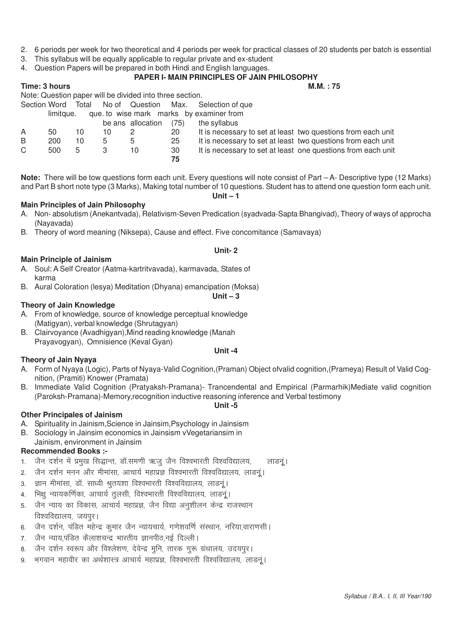- 2. 6 periods per week for two theoretical and 4 periods per week for practical classes of 20 students per batch is essential
- 3. This syllabus will be equally applicable to regular private and ex-student
- 4. Question Papers will be prepared in both Hindi and English languages.

### **PAPER I- MAIN PRINCIPLES OF JAIN PHILOSOPHY**

#### **Time: 3 hours M.M. : 75** Note: Question paper will be divided into three section.

|    |                    |    |    | TVUC. QUESTION DADEI WIII DE UNIUEU INTU THICE SECTION. |      |                                                              |
|----|--------------------|----|----|---------------------------------------------------------|------|--------------------------------------------------------------|
|    | Section Word Total |    |    |                                                         |      | No of Question Max. Selection of que                         |
|    | limitaue.          |    |    |                                                         |      | que to wise mark marks by examiner from                      |
|    |                    |    |    | be ans allocation                                       | (75) | the syllabus                                                 |
| A  | 50                 | 10 | 10 |                                                         | 20   | It is necessary to set at least two questions from each unit |
| B  | 200                | 10 | 5  | 5                                                       | 25   | It is necessary to set at least two questions from each unit |
| C. | 500                | 5  |    | 10                                                      | 30   | It is necessary to set at least one questions from each unit |
|    |                    |    |    |                                                         | 75   |                                                              |

**Note:** There will be tow questions form each unit. Every questions will note consist of Part – A- Descriptive type (12 Marks) and Part B short note type (3 Marks), Making total number of 10 questions. Student has to attend one question form each unit.

#### **Main Principles of Jain Philosophy**

A. Non- absolutism (Anekantvada), Relativism-Seven Predication (syadvada-Sapta Bhangivad), Theory of ways of approcha (Nayavada)

**Unit- 2**

**Unit – 3**

B. Theory of word meaning (Niksepa), Cause and effect. Five concomitance (Samavaya)

#### **Main Principle of Jainism**

- A. Soul: A Self Creator (Aatma-kartritvavada), karmavada, States of karma
- B. Aural Coloration (lesya) Meditation (Dhyana) emancipation (Moksa)

#### **Theory of Jain Knowledge**

- A. From of knowledge, source of knowledge perceptual knowledge (Matigyan), verbal knowledge (Shrutagyan)
- B. Clairvoyance (Avadhigyan),Mind reading knowledge (Manah Prayavogyan), Omnisience (Keval Gyan)

#### **Theory of Jain Nyaya**

A. Form of Nyaya (Logic), Parts of Nyaya-Valid Cognition,(Praman) Object ofvalid cognition,(Prameya) Result of Valid Cognition, (Pramiti) Knower (Pramata)

**Unit -4**

B. Immediate Valid Cognition (Pratyaksh-Pramana)- Trancendental and Empirical (Parmarhik)Mediate valid cognition (Paroksh-Pramana)-Memory,recognition inductive reasoning inference and Verbal testimony

#### **Unit -5**

#### **Other Principales of Jainism**

- A. Spirituality in Jainism,Science in Jainsim,Psychology in Jainsism
- B. Sociology in Jainsim economics in Jainsism vVegetariansim in Jainism, environment in Jainsim

#### **Recommended Books :-**

- 1. जैन दर्शन में प्रमुख सिद्धान्त, डॉ.समणी ऋजू जैन विश्वभारती विश्वविद्यालय, स्लाडन्।
- 2. जैन दर्शन मनन और मीमांसा, आचार्य महाप्रज्ञ विश्वभारती विश्वविद्यालय, लाडन्।
- 3. ज्ञान मीमांसा, डॉ. साध्वी श्रुतयशा विश्वभारती विश्वविद्यालय, लाडनूं।
- 4. भिक्षु न्यायकर्णिका, आचार्य तुलसी, विश्वभारती विश्वविद्यालय, लाडनुं।
- 5. जैन न्याय का विकास, आचार्य महाप्रज्ञ, जैन विद्या अनुशीलन केन्द्र राजस्थान विश्वविद्यालय, जयपर।
- 6. जैन दर्शन, पंडित महेन्द्र कुमार जैन न्यायचार्य, गणेशवर्णि संस्थान, नरिया,वाराणसी।
- 7. जैन न्याय,पंडित कैलाशचन्द्र भारतीय ज्ञानपीठ,नई दिल्ली।
- 8. जैन दर्शन स्वरूप और विश्लेशण, देवेन्द्र मुनि, तारक गुरू ग्रंथालय, उदयपुर।
- 9. भगवान महावीर का अर्थशास्त्र आचार्य महाप्रज्ञ, विश्वभारती विश्वविद्यालय, लाडनूं।

**Unit – 1**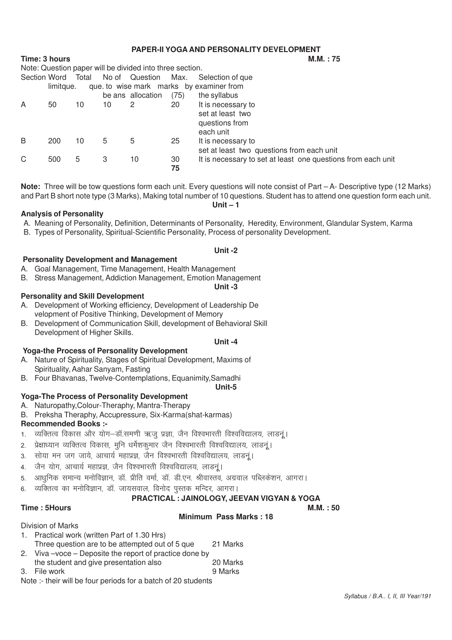# **PAPER-II YOGA AND PERSONALITY DEVELOPMENT**

**Time: 3 hours** 

|                                                       | Note: Question paper will be divided into three section. |       |    |                   |      |                                                              |  |  |  |  |
|-------------------------------------------------------|----------------------------------------------------------|-------|----|-------------------|------|--------------------------------------------------------------|--|--|--|--|
| Section Word                                          |                                                          | Total |    | No of Question    | Max. | Selection of que                                             |  |  |  |  |
| que. to wise mark marks by examiner from<br>limitque. |                                                          |       |    |                   |      |                                                              |  |  |  |  |
|                                                       |                                                          |       |    | be ans allocation | (75) | the syllabus                                                 |  |  |  |  |
| A                                                     | 50                                                       | 10    | 10 | 2                 | 20   | It is necessary to                                           |  |  |  |  |
|                                                       |                                                          |       |    |                   |      | set at least two                                             |  |  |  |  |
|                                                       |                                                          |       |    |                   |      | questions from                                               |  |  |  |  |
|                                                       |                                                          |       |    |                   |      | each unit                                                    |  |  |  |  |
| B                                                     | 200                                                      | 10    | 5  | 5                 | 25   | It is necessary to                                           |  |  |  |  |
|                                                       |                                                          |       |    |                   |      | set at least two questions from each unit                    |  |  |  |  |
| С                                                     | 500                                                      | 5.    | 3  | 10                | 30   | It is necessary to set at least one questions from each unit |  |  |  |  |
|                                                       |                                                          |       |    |                   | 75   |                                                              |  |  |  |  |

**Note:** Three will be tow questions form each unit. Every questions will note consist of Part – A- Descriptive type (12 Marks) and Part B short note type (3 Marks), Making total number of 10 questions. Student has to attend one question form each unit. **Unit – 1**

### **Analysis of Personality**

- A. Meaning of Personality, Definition, Determinants of Personality, Heredity, Environment, Glandular System, Karma
- B. Types of Personality, Spiritual-Scientific Personality, Process of personality Development.

#### **Unit -2**

# **Personality Development and Management**

- A. Goal Management, Time Management, Health Management
- B. Stress Management, Addiction Management, Emotion Management

#### **Unit -3**

### **Personality and Skill Development**

- A. Development of Working efficiency, Development of Leadership De velopment of Positive Thinking, Development of Memory
- B. Development of Communication Skill, development of Behavioral Skill Development of Higher Skills.

#### **Unit -4**

# **Yoga-the Process of Personality Development**

- A. Nature of Spirituality, Stages of Spiritual Development, Maxims of Spirituality, Aahar Sanyam, Fasting
- B. Four Bhavanas, Twelve-Contemplations, Equanimity,Samadhi

#### **Unit-5**

# **Yoga-The Process of Personality Development**

- A. Naturopathy,Colour-Theraphy, Mantra-Therapy
- B. Preksha Theraphy, Accupressure, Six-Karma(shat-karmas)

#### **Recommended Books :-**

- 1. व्यक्तित्व विकास और योग-डॉ.समणी ऋजू प्रज्ञा, जैन विश्वभारती विश्वविद्यालय, लाडनूं।
- 2. प्रेक्षाध्यान व्यक्तित्व विकास, मुनि धर्मेशकुमार जैन विश्वभारती विश्वविद्यालय, लाडनुं।
- 3. सोया मन जग जाये, आचार्य महाप्रज्ञ, जैन विश्वभारती विश्वविद्यालय, लाडन्।
- 4. जैन योग, आचार्य महाप्रज्ञ, जैन विश्वभारती विश्वविद्यालय, लाडन्।
- 5. आधुनिक समान्य मनोविज्ञान, डॉ. प्रीति वर्मा, डॉ. डी.एन. श्रीवास्तव, अग्रवाल पब्लिकेशन, आगरा।
- 6 व्यक्तित्व का मनोविज्ञान डॉ) जायसवाल विनोद पस्तक मन्दिर आगरा।

# **PRACTICAL : JAINOLOGY, JEEVAN VIGYAN & YOGA**

**Minimum Pass Marks : 18**

**Time : 5Hours M.M. : 50** 

Division of Marks

- 1. Practical work (written Part of 1.30 Hrs)
- Three question are to be attempted out of 5 que 21 Marks
- 2. Viva –voce Deposite the report of practice done by
- the student and give presentation also 20 Marks 3. File work 3. The work of the state of the state of the state of the state of the state of the state of the state of the state of the state of the state of the state of the state of the state of the state of the state of
- Note :- their will be four periods for a batch of 20 students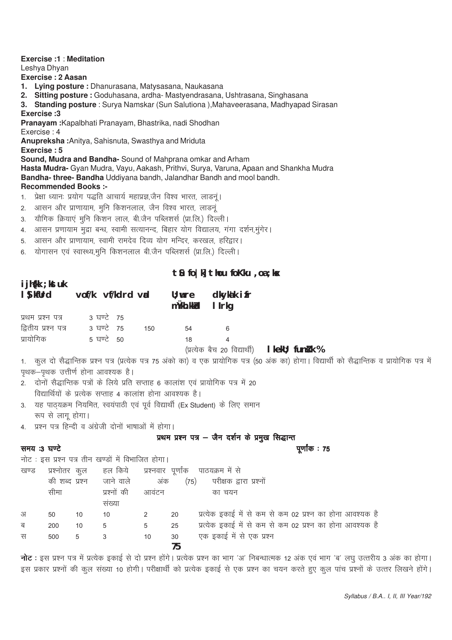| 1.<br>2.<br>3.<br>4.<br>आसन और प्राणायाम, स्वामी रामदेव दिव्य योग मन्दिर, करखल, हरिद्वार।<br>5. | <b>Exercise:1: Meditation</b><br>Leshya Dhyan<br>Exercise: 2 Aasan<br>1. Lying posture: Dhanurasana, Matysasana, Naukasana<br>2. Sitting posture : Goduhasana, ardha- Mastyendrasana, Ushtrasana, Singhasana<br>3. Standing posture : Surya Namskar (Sun Salutiona), Mahaveerasana, Madhyapad Sirasan<br>Exercise: 3<br>Pranayam: Kapalbhati Pranayam, Bhastrika, nadi Shodhan<br>Exercise: 4<br>Anupreksha: Anitya, Sahisnuta, Swasthya and Mriduta<br>Exercise: 5<br>Sound, Mudra and Bandha- Sound of Mahprana omkar and Arham<br>Hasta Mudra- Gyan Mudra, Vayu, Aakash, Prithvi, Surya, Varuna, Apaan and Shankha Mudra<br>Bandha-three- Bandha Uddiyana bandh, Jalandhar Bandh and mool bandh.<br><b>Recommended Books:-</b><br>प्रेक्षा ध्यानः प्रयोग पद्धति आचार्य महाप्रज्ञ,जैन विश्व भारत, लाडनूं।<br>आसन और प्राणायाम, मुनि किशनलाल, जैन विश्व भारत, लाडनूं<br>यौगिक क्रियाएं मुनि किशन लाल, बी.जैन पब्लिशर्स (प्रा.लि.) दिल्ली।<br>आसन प्रणायाम मुद्रा बन्ध, स्वामी सत्यानन्द, बिहार योग विद्यालय, गंगा दर्शन,मुंगेर। |    |                                                         |                                                                                                                                                   |  |  |
|-------------------------------------------------------------------------------------------------|----------------------------------------------------------------------------------------------------------------------------------------------------------------------------------------------------------------------------------------------------------------------------------------------------------------------------------------------------------------------------------------------------------------------------------------------------------------------------------------------------------------------------------------------------------------------------------------------------------------------------------------------------------------------------------------------------------------------------------------------------------------------------------------------------------------------------------------------------------------------------------------------------------------------------------------------------------------------------------------------------------------------------------|----|---------------------------------------------------------|---------------------------------------------------------------------------------------------------------------------------------------------------|--|--|
| 6.                                                                                              |                                                                                                                                                                                                                                                                                                                                                                                                                                                                                                                                                                                                                                                                                                                                                                                                                                                                                                                                                                                                                                  |    |                                                         | योगासन एवं स्वास्थ्य,मुनि किशनलाल बी.जैन पब्लिशर्स (प्रा.लि.) दिल्ली।                                                                             |  |  |
|                                                                                                 |                                                                                                                                                                                                                                                                                                                                                                                                                                                                                                                                                                                                                                                                                                                                                                                                                                                                                                                                                                                                                                  |    |                                                         | $\mathbf{t}$ & fo   k] $\mathbf{t}$ hou fo Kku, oa ; kx                                                                                           |  |  |
| i jh{kk ; kst uk<br>I S kfUrd<br>vof/k vf/kdrd vid<br>dkykak ifr<br>$\mathsf{U}$ ; wre          |                                                                                                                                                                                                                                                                                                                                                                                                                                                                                                                                                                                                                                                                                                                                                                                                                                                                                                                                                                                                                                  |    |                                                         |                                                                                                                                                   |  |  |
|                                                                                                 |                                                                                                                                                                                                                                                                                                                                                                                                                                                                                                                                                                                                                                                                                                                                                                                                                                                                                                                                                                                                                                  |    |                                                         | mÜkh. kk <b>ici</b><br>I Irkg                                                                                                                     |  |  |
| प्रथम प्रश्न पत्र                                                                               |                                                                                                                                                                                                                                                                                                                                                                                                                                                                                                                                                                                                                                                                                                                                                                                                                                                                                                                                                                                                                                  |    | 3 ਬਾਟੇ 75                                               |                                                                                                                                                   |  |  |
|                                                                                                 | द्वितीय प्रश्न पत्र                                                                                                                                                                                                                                                                                                                                                                                                                                                                                                                                                                                                                                                                                                                                                                                                                                                                                                                                                                                                              |    | 3 ਬਾਟੇ 75                                               | 150<br>54<br>6<br>$\overline{4}$                                                                                                                  |  |  |
| प्रायोगिक                                                                                       |                                                                                                                                                                                                                                                                                                                                                                                                                                                                                                                                                                                                                                                                                                                                                                                                                                                                                                                                                                                                                                  |    | 5 ਬਾਟੇ 50                                               | 18<br>(प्रत्येक बैच 20 विद्यार्थी)   kekU; funk k %                                                                                               |  |  |
|                                                                                                 |                                                                                                                                                                                                                                                                                                                                                                                                                                                                                                                                                                                                                                                                                                                                                                                                                                                                                                                                                                                                                                  |    |                                                         | 1. कुल दो सैद्धान्तिक प्रश्न पत्र (प्रत्येक पत्र 75 अंको का) व एक प्रायोगिक पत्र (50 अंक का) होगा। विद्यार्थी को सैद्धान्तिक व प्रायोगिक पत्र में |  |  |
|                                                                                                 |                                                                                                                                                                                                                                                                                                                                                                                                                                                                                                                                                                                                                                                                                                                                                                                                                                                                                                                                                                                                                                  |    | पृथक–पृथक उत्तीर्ण होना आवश्यक है।                      |                                                                                                                                                   |  |  |
|                                                                                                 |                                                                                                                                                                                                                                                                                                                                                                                                                                                                                                                                                                                                                                                                                                                                                                                                                                                                                                                                                                                                                                  |    |                                                         | 2. दोनों सैद्धान्तिक पत्रों के लिये प्रति सप्ताह 6 कालांश एवं प्रायोगिक पत्र में 20<br>विद्यार्थियों के प्रत्येक सप्ताह 4 कालांश होना आवश्यक है।  |  |  |
|                                                                                                 |                                                                                                                                                                                                                                                                                                                                                                                                                                                                                                                                                                                                                                                                                                                                                                                                                                                                                                                                                                                                                                  |    |                                                         | 3. यह पाठ्यक्रम नियमित, स्वयंपाठी एवं पूर्व विद्यार्थी (Ex Student) के लिए समान                                                                   |  |  |
|                                                                                                 | रूप से लागू होगा।                                                                                                                                                                                                                                                                                                                                                                                                                                                                                                                                                                                                                                                                                                                                                                                                                                                                                                                                                                                                                |    |                                                         |                                                                                                                                                   |  |  |
|                                                                                                 |                                                                                                                                                                                                                                                                                                                                                                                                                                                                                                                                                                                                                                                                                                                                                                                                                                                                                                                                                                                                                                  |    | 4. प्रश्न पत्र हिन्दी व अंग्रेजी दोनों भाषाओं में होगा। |                                                                                                                                                   |  |  |
|                                                                                                 |                                                                                                                                                                                                                                                                                                                                                                                                                                                                                                                                                                                                                                                                                                                                                                                                                                                                                                                                                                                                                                  |    |                                                         | प्रथम प्रश्न पत्र - जैन दर्शन के प्रमुख सिद्धान्त                                                                                                 |  |  |
| समय :3 घण्टे                                                                                    |                                                                                                                                                                                                                                                                                                                                                                                                                                                                                                                                                                                                                                                                                                                                                                                                                                                                                                                                                                                                                                  |    |                                                         | पूर्णांक : 75                                                                                                                                     |  |  |
|                                                                                                 |                                                                                                                                                                                                                                                                                                                                                                                                                                                                                                                                                                                                                                                                                                                                                                                                                                                                                                                                                                                                                                  |    | नोट : इस प्रश्न पत्र तीन खण्डों में विभाजित होगा।       |                                                                                                                                                   |  |  |
| खण्ड                                                                                            | प्रश्नोतर कुल                                                                                                                                                                                                                                                                                                                                                                                                                                                                                                                                                                                                                                                                                                                                                                                                                                                                                                                                                                                                                    |    | हल किये                                                 | प्रश्नवार पूर्णांक पाठयक्रम में से                                                                                                                |  |  |
|                                                                                                 | की शब्द प्रश्न<br>सीमा                                                                                                                                                                                                                                                                                                                                                                                                                                                                                                                                                                                                                                                                                                                                                                                                                                                                                                                                                                                                           |    | जाने वाले<br>प्रश्नों की                                | परीक्षक द्वारा प्रश्नों<br>अंक<br>(75)<br>आवंटन<br>का चयन                                                                                         |  |  |
|                                                                                                 |                                                                                                                                                                                                                                                                                                                                                                                                                                                                                                                                                                                                                                                                                                                                                                                                                                                                                                                                                                                                                                  |    | संख्या                                                  |                                                                                                                                                   |  |  |
| अ                                                                                               | 50                                                                                                                                                                                                                                                                                                                                                                                                                                                                                                                                                                                                                                                                                                                                                                                                                                                                                                                                                                                                                               | 10 | 10                                                      | प्रत्येक इकाई में से कम से कम 02 प्रश्न का होना आवश्यक है<br>2<br>20                                                                              |  |  |
| ब                                                                                               | 200                                                                                                                                                                                                                                                                                                                                                                                                                                                                                                                                                                                                                                                                                                                                                                                                                                                                                                                                                                                                                              | 10 | 5                                                       | प्रत्येक इकाई में से कम से कम 02 प्रश्न का होना आवश्यक है<br>5<br>25                                                                              |  |  |
| स                                                                                               | 500                                                                                                                                                                                                                                                                                                                                                                                                                                                                                                                                                                                                                                                                                                                                                                                                                                                                                                                                                                                                                              | 5  | 3                                                       | एक इकाई में से एक प्रश्न<br>10<br>30<br>75                                                                                                        |  |  |

**नोट** : इस प्रश्न पत्र में प्रत्येक इकाई से दो प्रश्न होंगे। प्रत्येक प्रश्न का भाग 'अ' निबन्धात्मक 12 अंक एवं भाग 'ब' लघु उत्तरीय 3 अंक का होगा। इस प्रकार प्रश्नों की कुल संख्या 10 होगी। परीक्षार्थी को प्रत्येक इकाई से एक प्रश्न का चयन करते हुए कुल पांच प्रश्नों के उत्तर लिखने होंगे।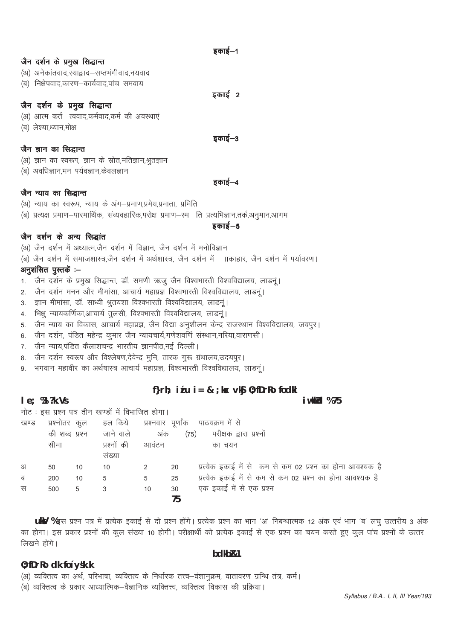डकाई—1

डकाई—2

#### जैन दर्शन के प्रमुख सिद्धान्त

- (अ) अनेकांतवाद,स्याद्वाद–सप्तभंगीवाद,नयवाद
- (ब) निक्षेपवाद कारण-कार्यवाद पांच समवाय

# जैन दर्शन के प्रमुख सिद्धान्त

- (अ) आत्म कर्त त्ववाद,कर्मवाद,कर्म की अवस्थाएं
- (ब) लेश्या,ध्यान,मोक्ष

डकाई—3

डकार्ड–४

### जैन ज्ञान का सिद्धान्त

- (अ) ज्ञान का स्वरूप, ज्ञान के स्रोत,मतिज्ञान,श्रुतज्ञान
- (ब) अवधिज्ञान,मन पर्यवज्ञान,केवलज्ञान

#### जैन न्याय का सिद्धान्त

- (अ) न्याय का स्वरूप, न्याय के अंग-प्रमाण,प्रमेय,प्रमाता, प्रमिति
- .<br>(ब) प्रत्यक्ष प्रमाण–पारमार्थिक, संव्यवहारिक,परोक्ष प्रमाण–स्म) ति प्रत्यभिज्ञान,तर्क,अनुमान,आगम

डकार्ड–5

# जैन दर्शन के अन्य सिद्धांत

- (अ) जैन दर्शन में अध्यात्म,जैन दर्शन में विज्ञान, जैन दर्शन में मनोविज्ञान
- (ब) जैन दर्शन में समाजशास्त्र,जैन दर्शन में अर्थशास्त्र, जैन दर्शन में ााकाहार, जैन दर्शन में पर्यावरण।

## अनुशंसित पुस्तकें :--

- 1. जैन दर्शन के प्रमुख सिद्धान्त, डॉ. समणी ऋजु जैन विश्वभारती विश्वविद्यालय, लाडनूं।
- 2. जैन दर्शन मनन और मीमांसा, आचार्य महाप्रज्ञ विश्वभारती विश्वविद्यालय, लाडनूं।
- 3. ज्ञान मीमांसा, डॉ. साध्वी श्रुतयशा विश्वभारती विश्वविद्यालय, लाडनूं।
- ्<br>4. मिक्षु न्यायकर्णिका,आचार्य तुलसी, विश्वभारती विश्वविद्यालय, लाडनुं।
- 5. जैन न्याय का विकास, आचार्य महाप्रज्ञ, जैन विद्या अनुशीलन केन्द्र राजस्थान विश्वविद्यालय, जयपुर।
- 6. जैन दर्शन, पंडित महेन्द्र कुमार जैन न्यायचार्य,गणेशवर्णि संस्थान,नरिया,वाराणसी।
- 7. जैन न्याय,पंडित कैलाशचन्द्र भारतीय ज्ञानपीठ,नई दिल्ली।
- 8. जैन दर्शन स्वरूप और विश्लेषण,देवेन्द्र मूनि, तारक गुरू ग्रंथालय,उदयपुर।
- 9. भगवान महावीर का अर्थषास्त्र आचार्य महाप्रज्ञ, विश्वभारती विश्वविद्यालय, लाडनू ।

# f}rh;  $i \in U$  i = & ; kx vkj 0; fDrRo fockl

i wkkld %75

#### $I e$ ; %  $?k.Vs$

नोट: इस प्रश्न पत्र तीन खण्डों में विभाजित होगा।

| खण्ड | प्रश्नोतर      | कल | हल किये - प्रश्नवार पूर्णांक |       |      | पाठयक्रम में से                                           |
|------|----------------|----|------------------------------|-------|------|-----------------------------------------------------------|
|      | की शब्द प्रश्न |    | जाने वाले                    | अंक   | (75) | परीक्षक द्वारा प्रश्नों                                   |
|      | सीमा           |    | प्रश्नों की                  | आवंटन |      | का चयन                                                    |
|      |                |    | सख्या                        |       |      |                                                           |
| अ    | 50             | 10 | 10                           |       | 20   | प्रत्येक इकाई में से कम से कम 02 प्रश्न का होना आवश्यक है |
| ब    | 200            | 10 | 5                            | 5     | 25   | प्रत्येक इकाई में से कम से कम 02 प्रश्न का होना आवश्यक है |
| स    | 500            | 5  |                              | 10    | 30   | एक इकाई में से एक प्रश्न                                  |
|      |                |    |                              |       | 75   |                                                           |

uky %इस प्रश्न पत्र में प्रत्येक इकाई से दो प्रश्न होंगे। प्रत्येक प्रश्न का भाग 'अ' निबन्धात्मक 12 अंक एवं भाग 'ब' लघु उत्तरीय 3 अंक का होगा। इस प्रकार प्रश्नों की कूल संख्या 10 होगी। परीक्षार्थी को प्रत्येक इकाई से एक प्रश्न का चयन करते हुए कूल पांच प्रश्नों के उत्तर लिखने होंगे।

#### bdkb<sub>R1</sub>

#### 0; fDrRo dk fo'ysk.k

(अ) व्यक्तित्व का अर्थ, परिभाषा, व्यक्तित्व के निर्धारक तत्त्व-वंशानुक्रम, वातावरण ग्रन्थि तंत्र, कर्म।

.<br>(ब) व्यक्तित्व के प्रकार आध्यात्मिक–वैज्ञानिक व्यक्तित्त्व, व्यक्तित्व विकास की प्रक्रिया।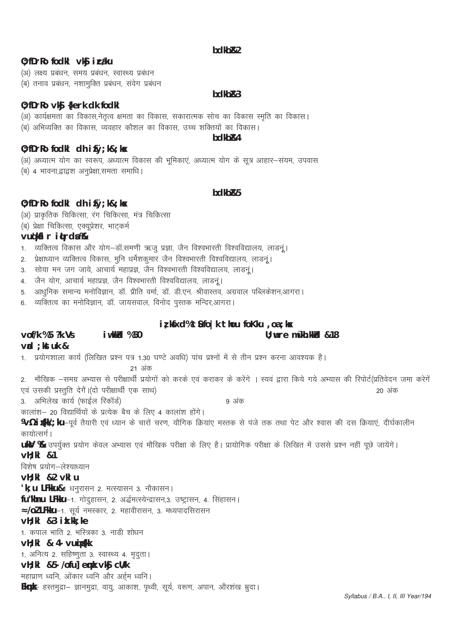### **bdkbR2**

### 0; fDrRo fodkl vk**S** i caku

(अ) लक्ष्य प्रबंधन, समय प्रबंधन, स्वास्थ्य प्रबंधन (ब) तनाव प्रबंधन, नशामुक्ति प्रबंधन, संवेग प्रबंधन

#### **bdkbZ&3**

# 0; fDrRo vkj {kerk dk fodkl

# (अ) कार्यक्षमता का विकास,नेतृत्व क्षमता का विकास, सकारात्मक सोच का विकास स्मृति का विकास। (ब) अभिव्यक्ति का विकास, व्यवहार कौशल का विकास, उच्च शक्तियों का विकास।

#### **bdkbZ&4**

## 0; fDrRo fodkl dh ifØ; k&; kx

# (अ) अध्यात्म योग का स्वरूप, अध्यात्म विकास की भूमिकाएं, अध्यात्म योग के सूत्र आहार-संयम, उपवास

(ब) 4 भावना द्वाद्वश अनप्रेक्षा समता समाधि।

#### **bdkbZ&5**

# 0; fDrRo fodkl dh ifØ; k&; kx

- (अ) प्राकृतिक चिकित्सा, रंग चिकित्सा, मंत्र चिकित्सा
- (ब) प्रेक्षा चिकित्सा, एक्यूप्रेशर, भाटकर्म

# **vuq'kaflr iqLrdsa %&**

- The other considers in the statement in the care in the care in the construction of the care in the care in t<br>In the state in the fournal form in the care in the care in the care in the care in the care in the care in t
- 2. प्रेक्षाध्यान व्यक्तित्व विकास, मुनि धर्मशकुमार जैन विश्वभारती विश्वविद्यालय, लाडनूं।
- 3. सोया मन जग जाये, आचार्य महाप्रज्ञ, जैन विश्वभारती विश्वविद्यालय, लाडनूं।
- 4. जैन योग, आचार्य महाप्रज्ञ, जैन विश्वभारती विश्वविद्यालय, लाडनं।
- 5. आधुनिक समान्य मनोविज्ञान, डॉ. प्रीति वर्मा, डॉ. डी.एन. श्रीवास्तव, अग्रवाल पब्लिकेशन,आगरा।
- 6. व्यक्तित्व का मनोविज्ञान, डॉ. जायसवाल, विनोद पुस्तक मन्दिर,आगरा।

# **iz;ksfxd% tSufo|k thou foKku ,oa ;ksx**

# **vof/k % 5 ?k.Vs iw.kkZad % 50 U;wure mŸkh.kkZad &18**

# **vad ;kstuk &** 1. प्रयोगशाला कार्य (लिखित प्रश्न पत्र 1.30 घण्टे अवधि) पांच प्रश्नों में से तीन प्रश्न करना आवश्यक है। 21 अंक 2. मौखिक —समग्र अभ्यास से परीक्षार्थी प्रयोगों को करके एवं कराकर के करेंगे । स्यवं द्वारा किये गये अभ्यास की रिपोर्ट(प्रतिवेदन जमा करेगें , एवं उसकी प्रस्तुति देगें।(दो परीक्षार्थी एक साथ) त्र कार्यालय करने के साथ स्थापिक करने के साथ प्रकार के प्रक 3- vfHkys[k dk;Z ¼QkbZy fjdkWMZ½ 9 vad कालांश- 20 विद्यार्थियों के प्रत्येक बैच के लिए 4 कालांश होंगे। **¼/½ i gkk/; ku**-पूर्व तैयारी एवं ध्यान के चारों चरण, यौगिक क्रियांए मस्तक से पंजे तक तथा पेट और श्वास की दस क्रियाएं, दीर्घकालीन कायोत्सर्ग । **ukV %** उपर्युक्त प्रयोग केवल अभ्यास एवं मौखिक परीक्षा के लिए है। प्रायोगिक परीक्षा के लिखित में उससे प्रश्न नहीं पूछे जायेंगे। **vH;kl &1** विशेष प्रयोग-लेश्याध्यान **vH;kl &2 vklu 'k: u LFkku&**1 धनरासन 2. मत्स्यासन 3. नौकासन। fu"khnu LFkku-1. गोदुहासन, 2. अर्द्धमत्स्येन्द्रासन,3. उष्ट्रासन, 4. सिंहासन। **Å/ol LFkku**-1. सूर्य नमस्कार, 2. महावीरासन, 3. मध्यपादसिरासन **vH;kl &3 izk.kk;ke** 1. कपाल भाति 2. भस्त्रिका 3. नाडी शोधन **vH;kl & 4- vuqizs{kk** 1, अनित्य 2. सहिष्णुता 3. स्वास्थ्य 4. मृदुता। vH; kl &5- /ofu] emk vkg cU/k महाप्राण ध्वनि, ओंकार ध्वनि और अर्हम ध्वनि। **Eknk**— हस्तमुद्रा— ज्ञानमुद्रा, वायु, आकाश, पृथ्वी, सूर्य, वरूण, अपान, औरशंख म्रुदा।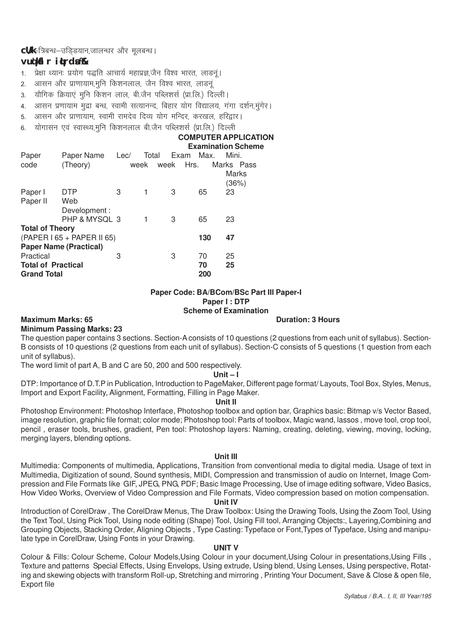**cU/k-**त्रिबन्ध-उडिडयान,जालन्धर और मुलबन्ध।

# **vuq'kaflr iqLrdsa %&**

- 1. प्रेक्षा ध्यानः प्रयोग पद्धति आचार्य महाप्रज्ञ,जैन विश्व भारत, लाडन्।
- 2. आसन और प्राणायाम,मुनि किशनलाल, जैन विश्व भारत, लाडनुं
- 3. यौगिक क्रियाएं मुनि किशन लाल, बी.जैन पब्लिशर्स (प्रा.लि.) दिल्ली।
- 4. आसन प्रणायाम मुद्रा बन्ध, स्वामी सत्यानन्द, बिहार योग विद्यालय, गंगा दर्शन,मंगेर।
- 5. आसन और प्राणायाम, स्वामी रामदेव दिव्य योग मन्दिर, करखल, हरिद्वार।
- 6. योगासन एवं स्वास्थ्य,मुनि किशनलाल बी.जैन पब्लिशर्स (प्रा.लि.) दिल्ली

# **COMPUTER APPLICATION**

|                           |                               |      |       |      |      | <b>Examination Scheme</b> |  |
|---------------------------|-------------------------------|------|-------|------|------|---------------------------|--|
| Paper                     | Paper Name                    | Lec/ | Total | Exam | Max. | Mini.                     |  |
| code                      | (Theory)                      |      | week  | week | Hrs. | Marks Pass                |  |
|                           |                               |      |       |      |      | Marks                     |  |
|                           |                               |      |       |      |      | (36%)                     |  |
| Paper I                   | DTP                           | 3    |       | 3    | 65   | 23                        |  |
| Paper II                  | Web                           |      |       |      |      |                           |  |
|                           | Development:                  |      |       |      |      |                           |  |
|                           | PHP & MYSQL 3                 |      |       | 3    | 65   | 23                        |  |
| <b>Total of Theory</b>    |                               |      |       |      |      |                           |  |
|                           | (PAPER I 65 + PAPER II 65)    |      |       |      | 130  | 47                        |  |
|                           | <b>Paper Name (Practical)</b> |      |       |      |      |                           |  |
| Practical                 |                               | 3    |       | 3    | 70   | 25                        |  |
| <b>Total of Practical</b> |                               |      |       |      | 70   | 25                        |  |
| <b>Grand Total</b>        |                               |      |       |      | 200  |                           |  |
|                           |                               |      |       |      |      |                           |  |

#### **Paper Code: BA/BCom/BSc Part III Paper-I Paper I : DTP Scheme of Examination**

# **Minimum Passing Marks: 23**

**Maximum Marks: 65 Duration: 3 Hours** 

The question paper contains 3 sections. Section-A consists of 10 questions (2 questions from each unit of syllabus). Section-B consists of 10 questions (2 questions from each unit of syllabus). Section-C consists of 5 questions (1 question from each unit of syllabus).

The word limit of part A, B and C are 50, 200 and 500 respectively.

#### **Unit – I**

DTP: Importance of D.T.P in Publication, Introduction to PageMaker, Different page format/ Layouts, Tool Box, Styles, Menus, Import and Export Facility, Alignment, Formatting, Filling in Page Maker.

#### **Unit II**

Photoshop Environment: Photoshop Interface, Photoshop toolbox and option bar, Graphics basic: Bitmap v/s Vector Based, image resolution, graphic file format; color mode; Photoshop tool: Parts of toolbox, Magic wand, lassos , move tool, crop tool, pencil , eraser tools, brushes, gradient, Pen tool: Photoshop layers: Naming, creating, deleting, viewing, moving, locking, merging layers, blending options.

#### **Unit III**

Multimedia: Components of multimedia, Applications, Transition from conventional media to digital media. Usage of text in Multimedia, Digitization of sound, Sound synthesis, MIDI, Compression and transmission of audio on Internet, Image Compression and File Formats like GIF, JPEG, PNG, PDF; Basic Image Processing, Use of image editing software, Video Basics, How Video Works, Overview of Video Compression and File Formats, Video compression based on motion compensation.

#### **Unit IV**

Introduction of CorelDraw , The CorelDraw Menus, The Draw Toolbox: Using the Drawing Tools, Using the Zoom Tool, Using the Text Tool, Using Pick Tool, Using node editing (Shape) Tool, Using Fill tool, Arranging Objects:, Layering,Combining and Grouping Objects, Stacking Order, Aligning Objects , Type Casting: Typeface or Font,Types of Typeface, Using and manipulate type in CorelDraw, Using Fonts in your Drawing.

#### **UNIT V**

Colour & Fills: Colour Scheme, Colour Models,Using Colour in your document,Using Colour in presentations,Using Fills , Texture and patterns Special Effects, Using Envelops, Using extrude, Using blend, Using Lenses, Using perspective, Rotating and skewing objects with transform Roll-up, Stretching and mirroring , Printing Your Document, Save & Close & open file, Export file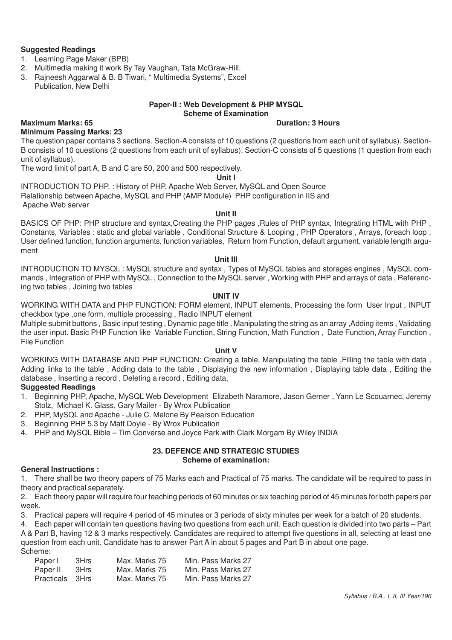#### **Suggested Readings**

- 1. Learning Page Maker (BPB)
- 2. Multimedia making it work By Tay Vaughan, Tata McGraw-Hill.
- 3. Rajneesh Aggarwal & B. B Tiwari, " Multimedia Systems", Excel Publication, New Delhi

#### **Paper-II : Web Development & PHP MYSQL Scheme of Examination**

#### **Maximum Marks: 65 Duration: 3 Hours**

**Minimum Passing Marks: 23** The question paper contains 3 sections. Section-A consists of 10 questions (2 questions from each unit of syllabus). Section-B consists of 10 questions (2 questions from each unit of syllabus). Section-C consists of 5 questions (1 question from each unit of syllabus).

The word limit of part A, B and C are 50, 200 and 500 respectively.

#### **Unit I**

INTRODUCTION TO PHP. : History of PHP, Apache Web Server, MySQL and Open Source Relationship between Apache, MySQL and PHP (AMP Module) PHP configuration in IIS and Apache Web server

#### **Unit II**

BASICS OF PHP: PHP structure and syntax,Creating the PHP pages ,Rules of PHP syntax, Integrating HTML with PHP , Constants, Variables : static and global variable , Conditional Structure & Looping , PHP Operators , Arrays, foreach loop , User defined function, function arguments, function variables, Return from Function, default argument, variable length argument

#### **Unit III**

INTRODUCTION TO MYSQL : MySQL structure and syntax , Types of MySQL tables and storages engines , MySQL commands , Integration of PHP with MySQL , Connection to the MySQL server , Working with PHP and arrays of data , Referencing two tables , Joining two tables

#### **UNIT IV**

WORKING WITH DATA and PHP FUNCTION: FORM element, INPUT elements, Processing the form User Input , INPUT checkbox type ,one form, multiple processing , Radio INPUT element

Multiple submit buttons , Basic input testing , Dynamic page title , Manipulating the string as an array ,Adding items , Validating the user input. Basic PHP Function like Variable Function, String Function, Math Function , Date Function, Array Function , File Function

#### **Unit V**

WORKING WITH DATABASE AND PHP FUNCTION: Creating a table, Manipulating the table ,Filling the table with data , Adding links to the table , Adding data to the table , Displaying the new information , Displaying table data , Editing the database , Inserting a record , Deleting a record , Editing data,

# **Suggested Readings**

- 1. Beginning PHP, Apache, MySQL Web Development Elizabeth Naramore, Jason Gerner , Yann Le Scouarnec, Jeremy Stolz, Michael K. Glass, Gary Mailer - By Wrox Publication
- 2. PHP, MySQL and Apache Julie C. Melone By Pearson Education
- 3. Beginning PHP 5.3 by Matt Doyle By Wrox Publication
- 4. PHP and MySQL Bible Tim Converse and Joyce Park with Clark Morgam By Wiley INDIA

#### **23. DEFENCE AND STRATEGIC STUDIES Scheme of examination:**

#### **General Instructions :**

1. There shall be two theory papers of 75 Marks each and Practical of 75 marks. The candidate will be required to pass in theory and practical separately.

2. Each theory paper will require four teaching periods of 60 minutes or six teaching period of 45 minutes for both papers per week.

3. Practical papers will require 4 period of 45 minutes or 3 periods of sixty minutes per week for a batch of 20 students.

4. Each paper will contain ten questions having two questions from each unit. Each question is divided into two parts – Part A & Part B, having 12 & 3 marks respectively. Candidates are required to attempt five questions in all, selecting at least one question from each unit. Candidate has to answer Part A in about 5 pages and Part B in about one page. Scheme:

| Paper I         | 3Hrs | Max. Marks 75 | Min. Pass Marks 27 |
|-----------------|------|---------------|--------------------|
| Paper II        | 3Hrs | Max. Marks 75 | Min. Pass Marks 27 |
| Practicals 3Hrs |      | Max. Marks 75 | Min. Pass Marks 27 |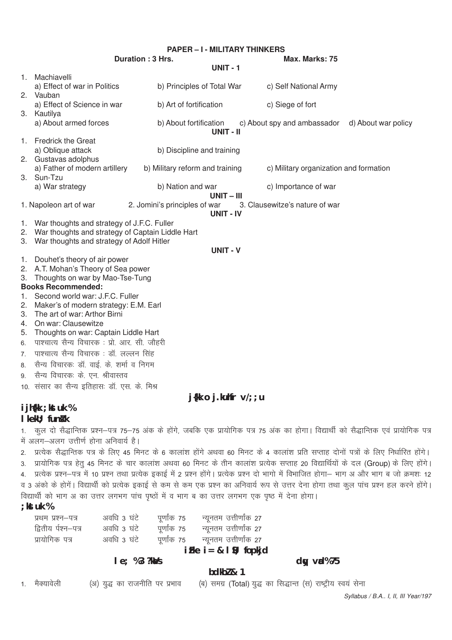|    | <b>PAPER - I - MILITARY THINKERS</b>                |                                 |                            |                                                 |  |  |  |
|----|-----------------------------------------------------|---------------------------------|----------------------------|-------------------------------------------------|--|--|--|
|    | Duration: 3 Hrs.<br>Max. Marks: 75                  |                                 |                            |                                                 |  |  |  |
|    |                                                     |                                 | <b>UNIT - 1</b>            |                                                 |  |  |  |
|    | 1. Machiavelli                                      |                                 |                            |                                                 |  |  |  |
|    | a) Effect of war in Politics                        | b) Principles of Total War      |                            | c) Self National Army                           |  |  |  |
|    | 2. Vauban                                           |                                 |                            |                                                 |  |  |  |
|    | a) Effect of Science in war                         | b) Art of fortification         |                            | c) Siege of fort                                |  |  |  |
|    | 3. Kautilya                                         |                                 |                            |                                                 |  |  |  |
|    | a) About armed forces                               | b) About fortification          |                            | c) About spy and ambassador d) About war policy |  |  |  |
|    | 1. Fredrick the Great                               |                                 | UNIT - II                  |                                                 |  |  |  |
|    | a) Oblique attack                                   | b) Discipline and training      |                            |                                                 |  |  |  |
|    | 2. Gustavas adolphus                                |                                 |                            |                                                 |  |  |  |
|    | a) Father of modern artillery                       | b) Military reform and training |                            | c) Military organization and formation          |  |  |  |
|    | 3. Sun-Tzu                                          |                                 |                            |                                                 |  |  |  |
|    | a) War strategy                                     | b) Nation and war               |                            | c) Importance of war                            |  |  |  |
|    |                                                     |                                 | $UNIT - III$               |                                                 |  |  |  |
|    | 1. Napoleon art of war                              | 2. Jomini's principles of war   |                            | 3. Clausewitze's nature of war                  |  |  |  |
|    |                                                     |                                 | <b>UNIT - IV</b>           |                                                 |  |  |  |
|    | 1. War thoughts and strategy of J.F.C. Fuller       |                                 |                            |                                                 |  |  |  |
|    | 2. War thoughts and strategy of Captain Liddle Hart |                                 |                            |                                                 |  |  |  |
| 3. | War thoughts and strategy of Adolf Hitler           |                                 |                            |                                                 |  |  |  |
|    |                                                     |                                 | <b>UNIT - V</b>            |                                                 |  |  |  |
|    | 1. Douhet's theory of air power                     |                                 |                            |                                                 |  |  |  |
|    | 2. A.T. Mohan's Theory of Sea power                 |                                 |                            |                                                 |  |  |  |
| 3. | Thoughts on war by Mao-Tse-Tung                     |                                 |                            |                                                 |  |  |  |
|    | <b>Books Recommended:</b>                           |                                 |                            |                                                 |  |  |  |
| 1. | Second world war: J.F.C. Fuller                     |                                 |                            |                                                 |  |  |  |
| 2. | Maker's of modern strategy: E.M. Earl               |                                 |                            |                                                 |  |  |  |
| 3. | The art of war: Arthor Birni                        |                                 |                            |                                                 |  |  |  |
| 4. | On war: Clausewitze                                 |                                 |                            |                                                 |  |  |  |
| 5. | Thoughts on war: Captain Liddle Hart                |                                 |                            |                                                 |  |  |  |
| 6. | पाश्चात्य सैन्य विचारक: प्रो. आर. सी. जौहरी         |                                 |                            |                                                 |  |  |  |
| 7. | पाश्चात्य सैन्य विचारक: डॉ. लल्लन सिंह              |                                 |                            |                                                 |  |  |  |
| 8. | सैन्य विचारकः डॉ. वाई. के. शर्मा व निगम             |                                 |                            |                                                 |  |  |  |
| 9. | सैन्य विचारकः के एन. श्रीवास्तव                     |                                 |                            |                                                 |  |  |  |
|    | 10. संसार का सैन्य इतिहासः डॉ. एस. के. मिश्र        |                                 |                            |                                                 |  |  |  |
|    |                                                     |                                 | $j$ {kk o j.kuhfr $v$ /;;u |                                                 |  |  |  |
|    | $2.21.011$ , $1.41.01$ , $0.1$                      |                                 |                            |                                                 |  |  |  |

# ijh{kk ; kstuk %

### I kekU; funk k

1. कुल दो सैद्धान्तिक प्रश्न–पत्र 75–75 अंक के होंगे, जबकि एक प्रायोगिक पत्र 75 अंक का होगा। विद्यार्थी को सैद्धान्तिक एवं प्रायोगिक पत्र में अलग-अलग उत्तीर्ण होना अनिवार्य है।

2. प्रत्येक सैद्धान्तिक पत्र के लिए 45 मिनट के 6 कालांश होंगे अथवा 60 मिनट के 4 कालांश प्रति सप्ताह दोनों पत्रों के लिए निर्धारित होंगे।

3. प्रायोगिक पत्र हेतु 45 मिनट के चार कालांश अथवा 60 मिनट के तीन कालांश प्रत्येक सप्ताह 20 विद्यार्थियों के दल (Group) के लिए होंगे। 4. प्रत्येक प्रश्न-पत्र में 10 प्रश्न तथा प्रत्येक इकाई में 2 प्रश्न होंगे। प्रत्येक प्रश्न दो भागो में विभाजित होगा- भाग अ और भाग ब जो क्रमशः 12 व 3 अंको के होगें। विद्यार्थी को प्रत्येक इकाई से कम से कम एक प्रश्न का अनिवार्य रूप से उत्तर देना होगा तथा कुल पांच प्रश्न हल करने होंगे।

विद्यार्थी को भाग अ का उत्तर लगभग पांच पृष्ठों में व भाग ब का उत्तर लगभग एक पृष्ठ में देना होगा।

|  | Uk | M  |
|--|----|----|
|  |    | 'n |

| प्रथम प्रश्न–पत्र   | अवधि 3 घंटे | पूर्णांक 75 | न्यूनतम उत्तीर्णांक 27 |
|---------------------|-------------|-------------|------------------------|
| द्वितीय र्पश्न–पत्र | अवधि 3 घंटे | पूर्णांक 75 | न्यूनतम उत्तीर्णांक 27 |
| प्रायोगिक पत्र      | अवधि 3 घंटे | पूर्णांक 75 | न्यूनतम उत्तीर्णांक 27 |
|                     |             |             |                        |

### $iFke$   $i = 8$   $l$   $s$ ; fopkjd

& 1

#### $le; %3?kMs$

dy vd%75

| bdkbl |
|-------|
|       |

| मक्यावला |  |
|----------|--|

(अ) युद्ध का राजनीति पर प्रभाव

(ब) समग्र (Total) युद्ध का सिद्धान्त (स) राष्ट्रीय स्वयं सेना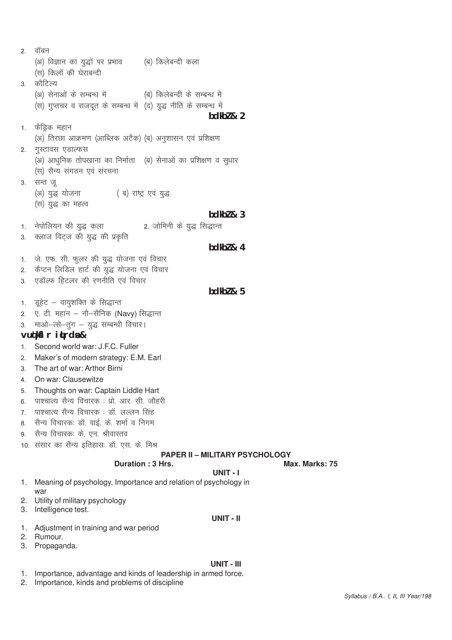$2.$  वॉबन (अ) विज्ञान का युद्धों पर प्रभाव (ब) किलेबन्दी कला (स) किलों की घेराबन्दी 3 कौटिल्य (अ) सेनाओं के सम्बन्ध में (ब) किलेबन्दी के सम्बन्ध में (स) गुप्तचर व राजदत के सम्बन्ध में (द) युद्ध नीति के सम्बन्ध में **bdkbZ & 2** 1. फैड्रिक महान (अ) तिरछा आक्रमण (आब्लिक अटैक) (ब) अनुशासन एवं प्रशिक्षण 2. गस्टावस एडाल्फस (अ) आधुनिक तोपखाना का निर्माता (ब) सेनाओं का प्रशिक्षण व सुधार (स) सैन्य संगठन एवं संरचना 3. सन्त ज् (अ) युद्ध योजना (ब) राष्ट्र एवं युद्ध (स) युद्ध का महत्व **bdkbZ & 3** 1- usiksfy;u dh ;q) dyk 2- tksfeuh ds ;q) fl)kUr 3. क्लाज विट्ज की युद्ध की प्रकृति **bdkbZ & 4** 1. जे. एफ. सी. फुलर की युद्ध योजना एवं विचार 2. कैप्टन लिडिल हार्ट की युद्ध योजना एवं विचार 3. एडॉल्फ हिटलर की रणनीति एवं विचार **bdkbZ & 5** 1. डूहेट – वायुशक्ति के सिद्धान्त 2. ए. टी. महान – नौ–सैनिक (Navy) सिद्धान्त 3. माओ-त्से-तुंग - युद्ध सम्बन्धी विचार। **vuq'kaflr iqLrdsa &** 1. Second world war: J.F.C. Fuller 2- Maker's of modern strategy: E.M. Earl 3. The art of war: Arthor Birni 4- On war: Clausewitze 5- Thoughts on war: Captain Liddle Hart 6. पाश्चात्य सैन्य विचारक: प्रो. आर. सी. जौहरी 7. पाश्चात्य सैन्य विचारक : डॉ. लल्लन सिंह 8. सैन्य विचारकः डॉ. वाई. के. शर्मा व निगम 9. सैन्य विचारकः के एन. श्रीवास्तव 10. संसार का सैन्य इतिहासः डॉ. एस. के. मिश्र **PAPER II – MILITARY PSYCHOLOGY Duration : 3 Hrs.** Max. Marks: 75 **UNIT - I** 1. Meaning of psychology, Importance and relation of psychology in war 2. Utility of military psychology 3. Intelligence test. **UNIT - II** 1. Adjustment in training and war period

- 2. Rumour.
- 3. Propaganda.

#### **UNIT - III**

- 1. Importance, advantage and kinds of leadership in armed force.
- 2. Importance, kinds and problems of discipline